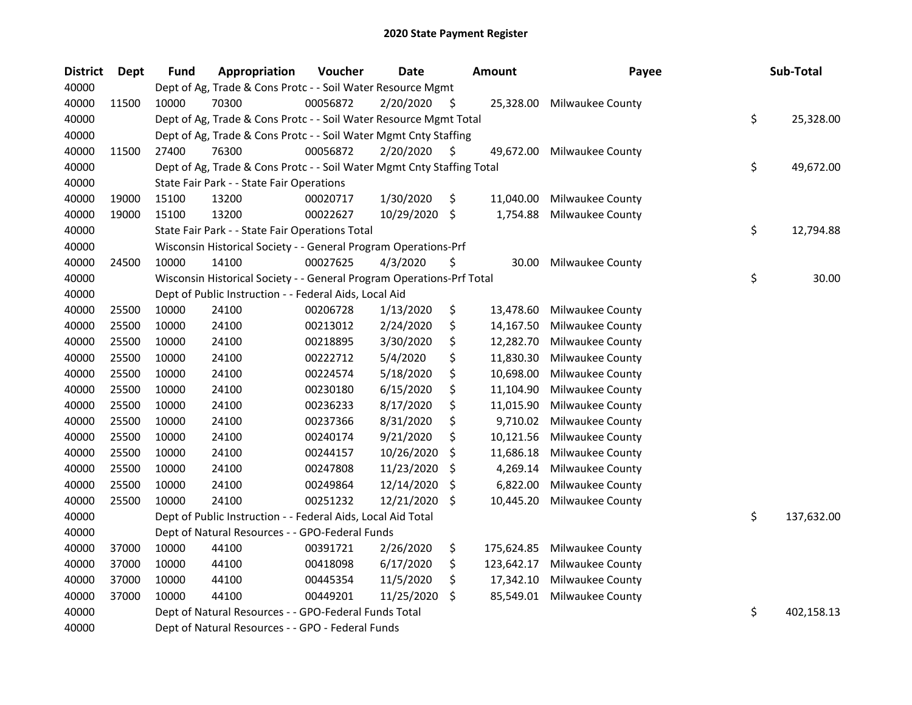| <b>District</b> | <b>Dept</b> | <b>Fund</b> | Appropriation                                                          | Voucher  | <b>Date</b> |     | <b>Amount</b> | Payee            | Sub-Total        |
|-----------------|-------------|-------------|------------------------------------------------------------------------|----------|-------------|-----|---------------|------------------|------------------|
| 40000           |             |             | Dept of Ag, Trade & Cons Protc - - Soil Water Resource Mgmt            |          |             |     |               |                  |                  |
| 40000           | 11500       | 10000       | 70300                                                                  | 00056872 | 2/20/2020   | S.  | 25,328.00     | Milwaukee County |                  |
| 40000           |             |             | Dept of Ag, Trade & Cons Protc - - Soil Water Resource Mgmt Total      |          |             |     |               |                  | \$<br>25,328.00  |
| 40000           |             |             | Dept of Ag, Trade & Cons Protc - - Soil Water Mgmt Cnty Staffing       |          |             |     |               |                  |                  |
| 40000           | 11500       | 27400       | 76300                                                                  | 00056872 | 2/20/2020   | S   | 49,672.00     | Milwaukee County |                  |
| 40000           |             |             | Dept of Ag, Trade & Cons Protc - - Soil Water Mgmt Cnty Staffing Total |          |             |     |               |                  | \$<br>49,672.00  |
| 40000           |             |             | State Fair Park - - State Fair Operations                              |          |             |     |               |                  |                  |
| 40000           | 19000       | 15100       | 13200                                                                  | 00020717 | 1/30/2020   | \$  | 11,040.00     | Milwaukee County |                  |
| 40000           | 19000       | 15100       | 13200                                                                  | 00022627 | 10/29/2020  | \$  | 1,754.88      | Milwaukee County |                  |
| 40000           |             |             | State Fair Park - - State Fair Operations Total                        |          |             |     |               |                  | \$<br>12,794.88  |
| 40000           |             |             | Wisconsin Historical Society - - General Program Operations-Prf        |          |             |     |               |                  |                  |
| 40000           | 24500       | 10000       | 14100                                                                  | 00027625 | 4/3/2020    | \$  | 30.00         | Milwaukee County |                  |
| 40000           |             |             | Wisconsin Historical Society - - General Program Operations-Prf Total  |          |             |     |               |                  | \$<br>30.00      |
| 40000           |             |             | Dept of Public Instruction - - Federal Aids, Local Aid                 |          |             |     |               |                  |                  |
| 40000           | 25500       | 10000       | 24100                                                                  | 00206728 | 1/13/2020   | \$  | 13,478.60     | Milwaukee County |                  |
| 40000           | 25500       | 10000       | 24100                                                                  | 00213012 | 2/24/2020   | \$  | 14,167.50     | Milwaukee County |                  |
| 40000           | 25500       | 10000       | 24100                                                                  | 00218895 | 3/30/2020   | \$  | 12,282.70     | Milwaukee County |                  |
| 40000           | 25500       | 10000       | 24100                                                                  | 00222712 | 5/4/2020    | \$  | 11,830.30     | Milwaukee County |                  |
| 40000           | 25500       | 10000       | 24100                                                                  | 00224574 | 5/18/2020   | \$  | 10,698.00     | Milwaukee County |                  |
| 40000           | 25500       | 10000       | 24100                                                                  | 00230180 | 6/15/2020   | \$  | 11,104.90     | Milwaukee County |                  |
| 40000           | 25500       | 10000       | 24100                                                                  | 00236233 | 8/17/2020   | \$  | 11,015.90     | Milwaukee County |                  |
| 40000           | 25500       | 10000       | 24100                                                                  | 00237366 | 8/31/2020   | \$  | 9,710.02      | Milwaukee County |                  |
| 40000           | 25500       | 10000       | 24100                                                                  | 00240174 | 9/21/2020   | \$  | 10,121.56     | Milwaukee County |                  |
| 40000           | 25500       | 10000       | 24100                                                                  | 00244157 | 10/26/2020  | \$  | 11,686.18     | Milwaukee County |                  |
| 40000           | 25500       | 10000       | 24100                                                                  | 00247808 | 11/23/2020  | \$  | 4,269.14      | Milwaukee County |                  |
| 40000           | 25500       | 10000       | 24100                                                                  | 00249864 | 12/14/2020  | \$  | 6,822.00      | Milwaukee County |                  |
| 40000           | 25500       | 10000       | 24100                                                                  | 00251232 | 12/21/2020  | \$  | 10,445.20     | Milwaukee County |                  |
| 40000           |             |             | Dept of Public Instruction - - Federal Aids, Local Aid Total           |          |             |     |               |                  | \$<br>137,632.00 |
| 40000           |             |             | Dept of Natural Resources - - GPO-Federal Funds                        |          |             |     |               |                  |                  |
| 40000           | 37000       | 10000       | 44100                                                                  | 00391721 | 2/26/2020   | \$  | 175,624.85    | Milwaukee County |                  |
| 40000           | 37000       | 10000       | 44100                                                                  | 00418098 | 6/17/2020   | \$  | 123,642.17    | Milwaukee County |                  |
| 40000           | 37000       | 10000       | 44100                                                                  | 00445354 | 11/5/2020   | \$  | 17,342.10     | Milwaukee County |                  |
| 40000           | 37000       | 10000       | 44100                                                                  | 00449201 | 11/25/2020  | \$. | 85,549.01     | Milwaukee County |                  |
| 40000           |             |             | Dept of Natural Resources - - GPO-Federal Funds Total                  |          |             |     |               |                  | \$<br>402,158.13 |
| 40000           |             |             | Dept of Natural Resources - - GPO - Federal Funds                      |          |             |     |               |                  |                  |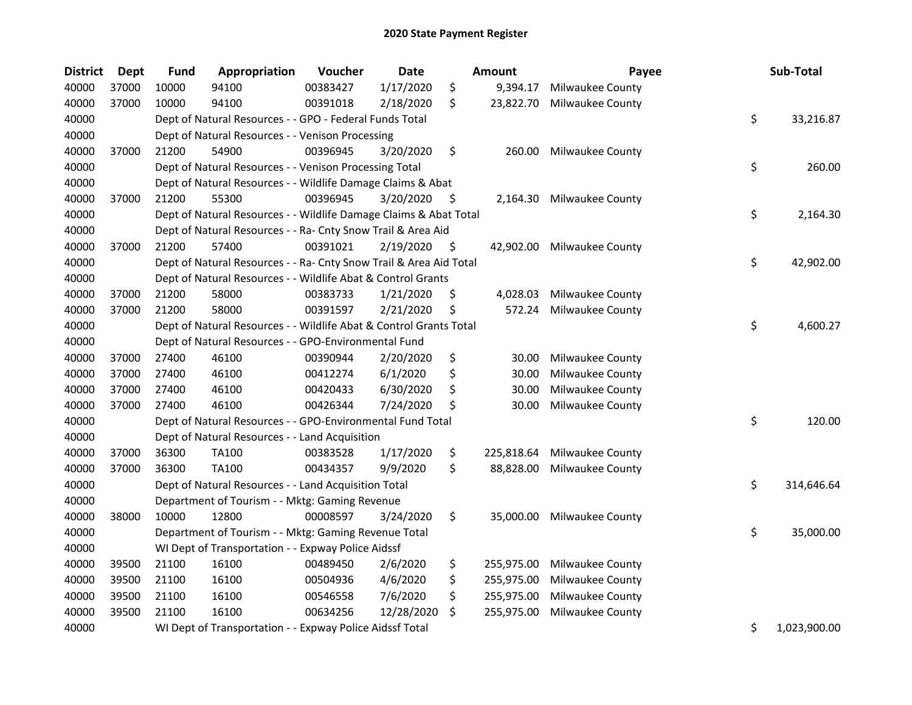| <b>District</b> | Dept  | <b>Fund</b> | Appropriation                                                      | Voucher  | <b>Date</b> |      | Amount     | Payee            | Sub-Total          |
|-----------------|-------|-------------|--------------------------------------------------------------------|----------|-------------|------|------------|------------------|--------------------|
| 40000           | 37000 | 10000       | 94100                                                              | 00383427 | 1/17/2020   | \$   | 9,394.17   | Milwaukee County |                    |
| 40000           | 37000 | 10000       | 94100                                                              | 00391018 | 2/18/2020   | \$   | 23,822.70  | Milwaukee County |                    |
| 40000           |       |             | Dept of Natural Resources - - GPO - Federal Funds Total            |          |             |      |            |                  | \$<br>33,216.87    |
| 40000           |       |             | Dept of Natural Resources - - Venison Processing                   |          |             |      |            |                  |                    |
| 40000           | 37000 | 21200       | 54900                                                              | 00396945 | 3/20/2020   | \$   | 260.00     | Milwaukee County |                    |
| 40000           |       |             | Dept of Natural Resources - - Venison Processing Total             |          |             |      |            |                  | \$<br>260.00       |
| 40000           |       |             | Dept of Natural Resources - - Wildlife Damage Claims & Abat        |          |             |      |            |                  |                    |
| 40000           | 37000 | 21200       | 55300                                                              | 00396945 | 3/20/2020   | - \$ | 2,164.30   | Milwaukee County |                    |
| 40000           |       |             | Dept of Natural Resources - - Wildlife Damage Claims & Abat Total  |          |             |      |            |                  | \$<br>2,164.30     |
| 40000           |       |             | Dept of Natural Resources - - Ra- Cnty Snow Trail & Area Aid       |          |             |      |            |                  |                    |
| 40000           | 37000 | 21200       | 57400                                                              | 00391021 | 2/19/2020   | Ş.   | 42,902.00  | Milwaukee County |                    |
| 40000           |       |             | Dept of Natural Resources - - Ra- Cnty Snow Trail & Area Aid Total |          |             |      |            |                  | \$<br>42,902.00    |
| 40000           |       |             | Dept of Natural Resources - - Wildlife Abat & Control Grants       |          |             |      |            |                  |                    |
| 40000           | 37000 | 21200       | 58000                                                              | 00383733 | 1/21/2020   | \$   | 4,028.03   | Milwaukee County |                    |
| 40000           | 37000 | 21200       | 58000                                                              | 00391597 | 2/21/2020   | \$   | 572.24     | Milwaukee County |                    |
| 40000           |       |             | Dept of Natural Resources - - Wildlife Abat & Control Grants Total |          |             |      |            |                  | \$<br>4,600.27     |
| 40000           |       |             | Dept of Natural Resources - - GPO-Environmental Fund               |          |             |      |            |                  |                    |
| 40000           | 37000 | 27400       | 46100                                                              | 00390944 | 2/20/2020   | \$   | 30.00      | Milwaukee County |                    |
| 40000           | 37000 | 27400       | 46100                                                              | 00412274 | 6/1/2020    | \$   | 30.00      | Milwaukee County |                    |
| 40000           | 37000 | 27400       | 46100                                                              | 00420433 | 6/30/2020   | \$   | 30.00      | Milwaukee County |                    |
| 40000           | 37000 | 27400       | 46100                                                              | 00426344 | 7/24/2020   | \$   | 30.00      | Milwaukee County |                    |
| 40000           |       |             | Dept of Natural Resources - - GPO-Environmental Fund Total         |          |             |      |            |                  | \$<br>120.00       |
| 40000           |       |             | Dept of Natural Resources - - Land Acquisition                     |          |             |      |            |                  |                    |
| 40000           | 37000 | 36300       | <b>TA100</b>                                                       | 00383528 | 1/17/2020   | \$   | 225,818.64 | Milwaukee County |                    |
| 40000           | 37000 | 36300       | TA100                                                              | 00434357 | 9/9/2020    | \$   | 88,828.00  | Milwaukee County |                    |
| 40000           |       |             | Dept of Natural Resources - - Land Acquisition Total               |          |             |      |            |                  | \$<br>314,646.64   |
| 40000           |       |             | Department of Tourism - - Mktg: Gaming Revenue                     |          |             |      |            |                  |                    |
| 40000           | 38000 | 10000       | 12800                                                              | 00008597 | 3/24/2020   | \$   | 35,000.00  | Milwaukee County |                    |
| 40000           |       |             | Department of Tourism - - Mktg: Gaming Revenue Total               |          |             |      |            |                  | \$<br>35,000.00    |
| 40000           |       |             | WI Dept of Transportation - - Expway Police Aidssf                 |          |             |      |            |                  |                    |
| 40000           | 39500 | 21100       | 16100                                                              | 00489450 | 2/6/2020    | \$   | 255,975.00 | Milwaukee County |                    |
| 40000           | 39500 | 21100       | 16100                                                              | 00504936 | 4/6/2020    | \$   | 255,975.00 | Milwaukee County |                    |
| 40000           | 39500 | 21100       | 16100                                                              | 00546558 | 7/6/2020    | \$   | 255,975.00 | Milwaukee County |                    |
| 40000           | 39500 | 21100       | 16100                                                              | 00634256 | 12/28/2020  | \$   | 255,975.00 | Milwaukee County |                    |
| 40000           |       |             | WI Dept of Transportation - - Expway Police Aidssf Total           |          |             |      |            |                  | \$<br>1,023,900.00 |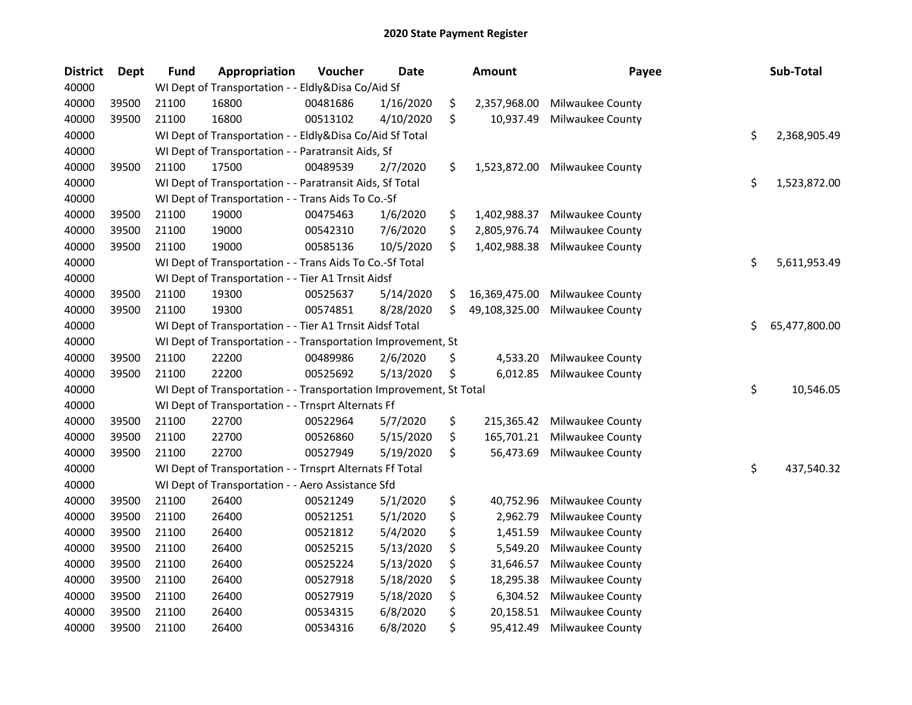| <b>District</b> | <b>Dept</b> | <b>Fund</b> | Appropriation                                                      | Voucher  | <b>Date</b> | <b>Amount</b>       | Payee            | Sub-Total           |
|-----------------|-------------|-------------|--------------------------------------------------------------------|----------|-------------|---------------------|------------------|---------------------|
| 40000           |             |             | WI Dept of Transportation - - Eldly&Disa Co/Aid Sf                 |          |             |                     |                  |                     |
| 40000           | 39500       | 21100       | 16800                                                              | 00481686 | 1/16/2020   | \$<br>2,357,968.00  | Milwaukee County |                     |
| 40000           | 39500       | 21100       | 16800                                                              | 00513102 | 4/10/2020   | \$<br>10,937.49     | Milwaukee County |                     |
| 40000           |             |             | WI Dept of Transportation - - Eldly&Disa Co/Aid Sf Total           |          |             |                     |                  | \$<br>2,368,905.49  |
| 40000           |             |             | WI Dept of Transportation - - Paratransit Aids, Sf                 |          |             |                     |                  |                     |
| 40000           | 39500       | 21100       | 17500                                                              | 00489539 | 2/7/2020    | \$<br>1,523,872.00  | Milwaukee County |                     |
| 40000           |             |             | WI Dept of Transportation - - Paratransit Aids, Sf Total           |          |             |                     |                  | \$<br>1,523,872.00  |
| 40000           |             |             | WI Dept of Transportation - - Trans Aids To Co.-Sf                 |          |             |                     |                  |                     |
| 40000           | 39500       | 21100       | 19000                                                              | 00475463 | 1/6/2020    | \$<br>1,402,988.37  | Milwaukee County |                     |
| 40000           | 39500       | 21100       | 19000                                                              | 00542310 | 7/6/2020    | \$<br>2,805,976.74  | Milwaukee County |                     |
| 40000           | 39500       | 21100       | 19000                                                              | 00585136 | 10/5/2020   | \$<br>1,402,988.38  | Milwaukee County |                     |
| 40000           |             |             | WI Dept of Transportation - - Trans Aids To Co.-Sf Total           |          |             |                     |                  | \$<br>5,611,953.49  |
| 40000           |             |             | WI Dept of Transportation - - Tier A1 Trnsit Aidsf                 |          |             |                     |                  |                     |
| 40000           | 39500       | 21100       | 19300                                                              | 00525637 | 5/14/2020   | \$<br>16,369,475.00 | Milwaukee County |                     |
| 40000           | 39500       | 21100       | 19300                                                              | 00574851 | 8/28/2020   | \$<br>49,108,325.00 | Milwaukee County |                     |
| 40000           |             |             | WI Dept of Transportation - - Tier A1 Trnsit Aidsf Total           |          |             |                     |                  | \$<br>65,477,800.00 |
| 40000           |             |             | WI Dept of Transportation - - Transportation Improvement, St       |          |             |                     |                  |                     |
| 40000           | 39500       | 21100       | 22200                                                              | 00489986 | 2/6/2020    | \$<br>4,533.20      | Milwaukee County |                     |
| 40000           | 39500       | 21100       | 22200                                                              | 00525692 | 5/13/2020   | \$<br>6,012.85      | Milwaukee County |                     |
| 40000           |             |             | WI Dept of Transportation - - Transportation Improvement, St Total |          |             |                     |                  | \$<br>10,546.05     |
| 40000           |             |             | WI Dept of Transportation - - Trnsprt Alternats Ff                 |          |             |                     |                  |                     |
| 40000           | 39500       | 21100       | 22700                                                              | 00522964 | 5/7/2020    | \$<br>215,365.42    | Milwaukee County |                     |
| 40000           | 39500       | 21100       | 22700                                                              | 00526860 | 5/15/2020   | \$<br>165,701.21    | Milwaukee County |                     |
| 40000           | 39500       | 21100       | 22700                                                              | 00527949 | 5/19/2020   | \$<br>56,473.69     | Milwaukee County |                     |
| 40000           |             |             | WI Dept of Transportation - - Trnsprt Alternats Ff Total           |          |             |                     |                  | \$<br>437,540.32    |
| 40000           |             |             | WI Dept of Transportation - - Aero Assistance Sfd                  |          |             |                     |                  |                     |
| 40000           | 39500       | 21100       | 26400                                                              | 00521249 | 5/1/2020    | \$<br>40,752.96     | Milwaukee County |                     |
| 40000           | 39500       | 21100       | 26400                                                              | 00521251 | 5/1/2020    | \$<br>2,962.79      | Milwaukee County |                     |
| 40000           | 39500       | 21100       | 26400                                                              | 00521812 | 5/4/2020    | \$<br>1,451.59      | Milwaukee County |                     |
| 40000           | 39500       | 21100       | 26400                                                              | 00525215 | 5/13/2020   | \$<br>5,549.20      | Milwaukee County |                     |
| 40000           | 39500       | 21100       | 26400                                                              | 00525224 | 5/13/2020   | \$<br>31,646.57     | Milwaukee County |                     |
| 40000           | 39500       | 21100       | 26400                                                              | 00527918 | 5/18/2020   | \$<br>18,295.38     | Milwaukee County |                     |
| 40000           | 39500       | 21100       | 26400                                                              | 00527919 | 5/18/2020   | \$<br>6,304.52      | Milwaukee County |                     |
| 40000           | 39500       | 21100       | 26400                                                              | 00534315 | 6/8/2020    | \$<br>20,158.51     | Milwaukee County |                     |
| 40000           | 39500       | 21100       | 26400                                                              | 00534316 | 6/8/2020    | \$<br>95,412.49     | Milwaukee County |                     |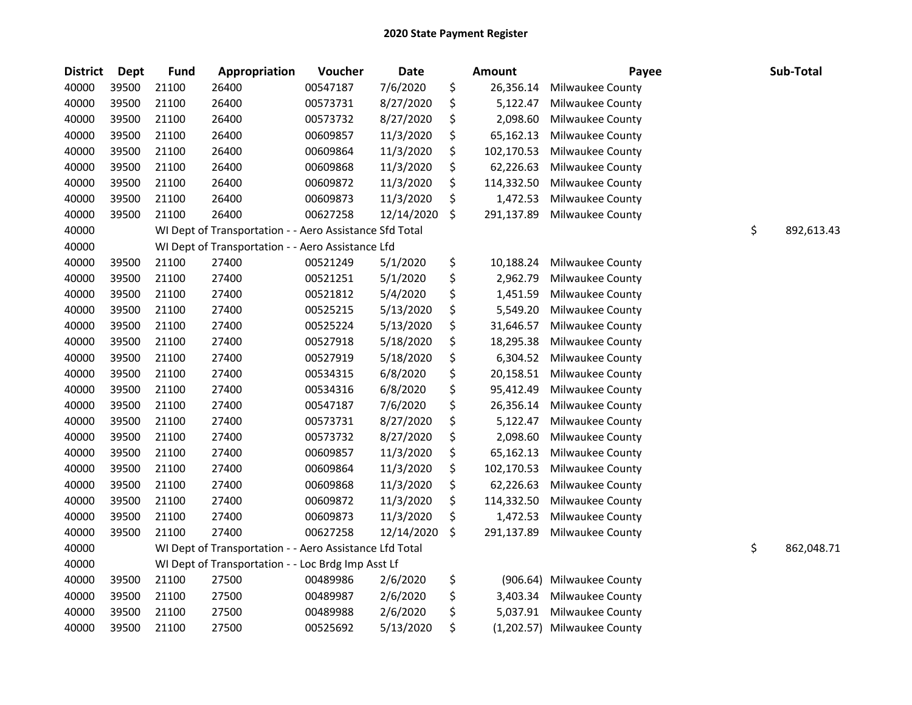| <b>District</b> | Dept  | <b>Fund</b> | Appropriation                                           | Voucher  | Date       | <b>Amount</b>    | Payee            | Sub-Total        |
|-----------------|-------|-------------|---------------------------------------------------------|----------|------------|------------------|------------------|------------------|
| 40000           | 39500 | 21100       | 26400                                                   | 00547187 | 7/6/2020   | \$<br>26,356.14  | Milwaukee County |                  |
| 40000           | 39500 | 21100       | 26400                                                   | 00573731 | 8/27/2020  | \$<br>5,122.47   | Milwaukee County |                  |
| 40000           | 39500 | 21100       | 26400                                                   | 00573732 | 8/27/2020  | \$<br>2,098.60   | Milwaukee County |                  |
| 40000           | 39500 | 21100       | 26400                                                   | 00609857 | 11/3/2020  | \$<br>65,162.13  | Milwaukee County |                  |
| 40000           | 39500 | 21100       | 26400                                                   | 00609864 | 11/3/2020  | \$<br>102,170.53 | Milwaukee County |                  |
| 40000           | 39500 | 21100       | 26400                                                   | 00609868 | 11/3/2020  | \$<br>62,226.63  | Milwaukee County |                  |
| 40000           | 39500 | 21100       | 26400                                                   | 00609872 | 11/3/2020  | \$<br>114,332.50 | Milwaukee County |                  |
| 40000           | 39500 | 21100       | 26400                                                   | 00609873 | 11/3/2020  | \$<br>1,472.53   | Milwaukee County |                  |
| 40000           | 39500 | 21100       | 26400                                                   | 00627258 | 12/14/2020 | \$<br>291,137.89 | Milwaukee County |                  |
| 40000           |       |             | WI Dept of Transportation - - Aero Assistance Sfd Total |          |            |                  |                  | \$<br>892,613.43 |
| 40000           |       |             | WI Dept of Transportation - - Aero Assistance Lfd       |          |            |                  |                  |                  |
| 40000           | 39500 | 21100       | 27400                                                   | 00521249 | 5/1/2020   | \$<br>10,188.24  | Milwaukee County |                  |
| 40000           | 39500 | 21100       | 27400                                                   | 00521251 | 5/1/2020   | \$<br>2,962.79   | Milwaukee County |                  |
| 40000           | 39500 | 21100       | 27400                                                   | 00521812 | 5/4/2020   | \$<br>1,451.59   | Milwaukee County |                  |
| 40000           | 39500 | 21100       | 27400                                                   | 00525215 | 5/13/2020  | \$<br>5,549.20   | Milwaukee County |                  |
| 40000           | 39500 | 21100       | 27400                                                   | 00525224 | 5/13/2020  | \$<br>31,646.57  | Milwaukee County |                  |
| 40000           | 39500 | 21100       | 27400                                                   | 00527918 | 5/18/2020  | \$<br>18,295.38  | Milwaukee County |                  |
| 40000           | 39500 | 21100       | 27400                                                   | 00527919 | 5/18/2020  | \$<br>6,304.52   | Milwaukee County |                  |
| 40000           | 39500 | 21100       | 27400                                                   | 00534315 | 6/8/2020   | \$<br>20,158.51  | Milwaukee County |                  |
| 40000           | 39500 | 21100       | 27400                                                   | 00534316 | 6/8/2020   | \$<br>95,412.49  | Milwaukee County |                  |
| 40000           | 39500 | 21100       | 27400                                                   | 00547187 | 7/6/2020   | \$<br>26,356.14  | Milwaukee County |                  |
| 40000           | 39500 | 21100       | 27400                                                   | 00573731 | 8/27/2020  | \$<br>5,122.47   | Milwaukee County |                  |
| 40000           | 39500 | 21100       | 27400                                                   | 00573732 | 8/27/2020  | \$<br>2,098.60   | Milwaukee County |                  |
| 40000           | 39500 | 21100       | 27400                                                   | 00609857 | 11/3/2020  | \$<br>65,162.13  | Milwaukee County |                  |
| 40000           | 39500 | 21100       | 27400                                                   | 00609864 | 11/3/2020  | \$<br>102,170.53 | Milwaukee County |                  |
| 40000           | 39500 | 21100       | 27400                                                   | 00609868 | 11/3/2020  | \$<br>62,226.63  | Milwaukee County |                  |
| 40000           | 39500 | 21100       | 27400                                                   | 00609872 | 11/3/2020  | \$<br>114,332.50 | Milwaukee County |                  |
| 40000           | 39500 | 21100       | 27400                                                   | 00609873 | 11/3/2020  | \$<br>1,472.53   | Milwaukee County |                  |
| 40000           | 39500 | 21100       | 27400                                                   | 00627258 | 12/14/2020 | \$<br>291,137.89 | Milwaukee County |                  |
| 40000           |       |             | WI Dept of Transportation - - Aero Assistance Lfd Total |          |            |                  |                  | \$<br>862,048.71 |
| 40000           |       |             | WI Dept of Transportation - - Loc Brdg Imp Asst Lf      |          |            |                  |                  |                  |
| 40000           | 39500 | 21100       | 27500                                                   | 00489986 | 2/6/2020   | \$<br>(906.64)   | Milwaukee County |                  |
| 40000           | 39500 | 21100       | 27500                                                   | 00489987 | 2/6/2020   | \$<br>3,403.34   | Milwaukee County |                  |
| 40000           | 39500 | 21100       | 27500                                                   | 00489988 | 2/6/2020   | \$<br>5,037.91   | Milwaukee County |                  |
| 40000           | 39500 | 21100       | 27500                                                   | 00525692 | 5/13/2020  | \$<br>(1,202.57) | Milwaukee County |                  |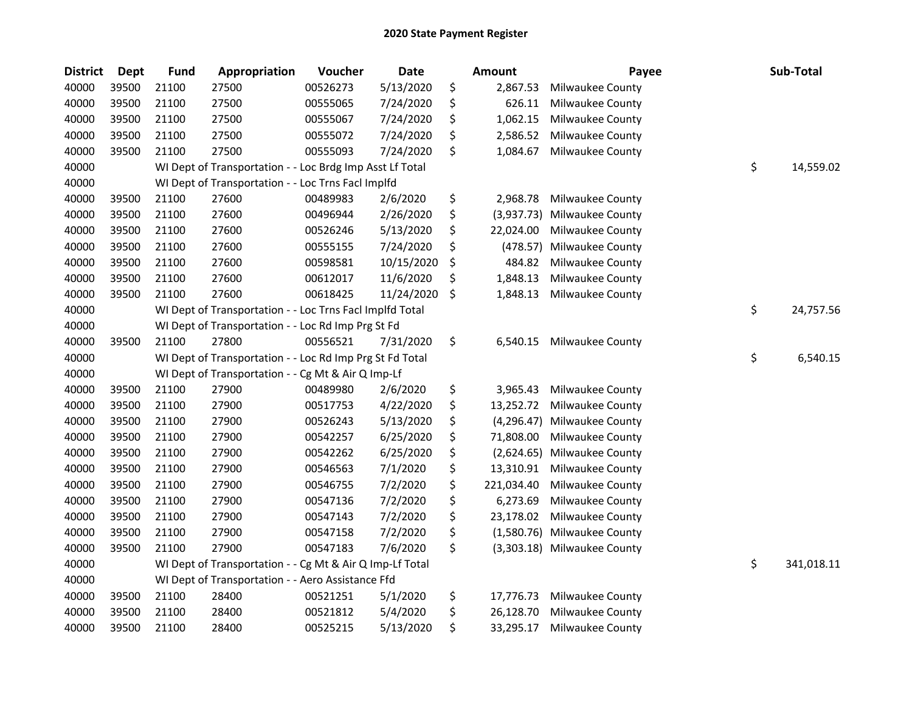| <b>District</b> | <b>Dept</b> | <b>Fund</b> | Appropriation                                            | Voucher  | <b>Date</b> | Amount            | Payee                       | Sub-Total        |
|-----------------|-------------|-------------|----------------------------------------------------------|----------|-------------|-------------------|-----------------------------|------------------|
| 40000           | 39500       | 21100       | 27500                                                    | 00526273 | 5/13/2020   | \$<br>2,867.53    | Milwaukee County            |                  |
| 40000           | 39500       | 21100       | 27500                                                    | 00555065 | 7/24/2020   | \$<br>626.11      | Milwaukee County            |                  |
| 40000           | 39500       | 21100       | 27500                                                    | 00555067 | 7/24/2020   | \$<br>1,062.15    | Milwaukee County            |                  |
| 40000           | 39500       | 21100       | 27500                                                    | 00555072 | 7/24/2020   | \$<br>2,586.52    | Milwaukee County            |                  |
| 40000           | 39500       | 21100       | 27500                                                    | 00555093 | 7/24/2020   | \$<br>1,084.67    | Milwaukee County            |                  |
| 40000           |             |             | WI Dept of Transportation - - Loc Brdg Imp Asst Lf Total |          |             |                   |                             | \$<br>14,559.02  |
| 40000           |             |             | WI Dept of Transportation - - Loc Trns Facl Implfd       |          |             |                   |                             |                  |
| 40000           | 39500       | 21100       | 27600                                                    | 00489983 | 2/6/2020    | \$<br>2,968.78    | Milwaukee County            |                  |
| 40000           | 39500       | 21100       | 27600                                                    | 00496944 | 2/26/2020   | \$<br>(3,937.73)  | Milwaukee County            |                  |
| 40000           | 39500       | 21100       | 27600                                                    | 00526246 | 5/13/2020   | \$<br>22,024.00   | Milwaukee County            |                  |
| 40000           | 39500       | 21100       | 27600                                                    | 00555155 | 7/24/2020   | \$<br>(478.57)    | Milwaukee County            |                  |
| 40000           | 39500       | 21100       | 27600                                                    | 00598581 | 10/15/2020  | \$<br>484.82      | Milwaukee County            |                  |
| 40000           | 39500       | 21100       | 27600                                                    | 00612017 | 11/6/2020   | \$<br>1,848.13    | Milwaukee County            |                  |
| 40000           | 39500       | 21100       | 27600                                                    | 00618425 | 11/24/2020  | \$<br>1,848.13    | Milwaukee County            |                  |
| 40000           |             |             | WI Dept of Transportation - - Loc Trns Facl Implfd Total |          |             |                   |                             | \$<br>24,757.56  |
| 40000           |             |             | WI Dept of Transportation - - Loc Rd Imp Prg St Fd       |          |             |                   |                             |                  |
| 40000           | 39500       | 21100       | 27800                                                    | 00556521 | 7/31/2020   | \$<br>6,540.15    | Milwaukee County            |                  |
| 40000           |             |             | WI Dept of Transportation - - Loc Rd Imp Prg St Fd Total |          |             |                   |                             | \$<br>6,540.15   |
| 40000           |             |             | WI Dept of Transportation - - Cg Mt & Air Q Imp-Lf       |          |             |                   |                             |                  |
| 40000           | 39500       | 21100       | 27900                                                    | 00489980 | 2/6/2020    | \$<br>3,965.43    | Milwaukee County            |                  |
| 40000           | 39500       | 21100       | 27900                                                    | 00517753 | 4/22/2020   | \$<br>13,252.72   | Milwaukee County            |                  |
| 40000           | 39500       | 21100       | 27900                                                    | 00526243 | 5/13/2020   | \$<br>(4, 296.47) | Milwaukee County            |                  |
| 40000           | 39500       | 21100       | 27900                                                    | 00542257 | 6/25/2020   | \$<br>71,808.00   | Milwaukee County            |                  |
| 40000           | 39500       | 21100       | 27900                                                    | 00542262 | 6/25/2020   | \$<br>(2,624.65)  | Milwaukee County            |                  |
| 40000           | 39500       | 21100       | 27900                                                    | 00546563 | 7/1/2020    | \$<br>13,310.91   | Milwaukee County            |                  |
| 40000           | 39500       | 21100       | 27900                                                    | 00546755 | 7/2/2020    | \$<br>221,034.40  | Milwaukee County            |                  |
| 40000           | 39500       | 21100       | 27900                                                    | 00547136 | 7/2/2020    | \$<br>6,273.69    | Milwaukee County            |                  |
| 40000           | 39500       | 21100       | 27900                                                    | 00547143 | 7/2/2020    | \$<br>23,178.02   | Milwaukee County            |                  |
| 40000           | 39500       | 21100       | 27900                                                    | 00547158 | 7/2/2020    | \$<br>(1,580.76)  | Milwaukee County            |                  |
| 40000           | 39500       | 21100       | 27900                                                    | 00547183 | 7/6/2020    | \$                | (3,303.18) Milwaukee County |                  |
| 40000           |             |             | WI Dept of Transportation - - Cg Mt & Air Q Imp-Lf Total |          |             |                   |                             | \$<br>341,018.11 |
| 40000           |             |             | WI Dept of Transportation - - Aero Assistance Ffd        |          |             |                   |                             |                  |
| 40000           | 39500       | 21100       | 28400                                                    | 00521251 | 5/1/2020    | \$<br>17,776.73   | Milwaukee County            |                  |
| 40000           | 39500       | 21100       | 28400                                                    | 00521812 | 5/4/2020    | \$<br>26,128.70   | Milwaukee County            |                  |
| 40000           | 39500       | 21100       | 28400                                                    | 00525215 | 5/13/2020   | \$<br>33,295.17   | Milwaukee County            |                  |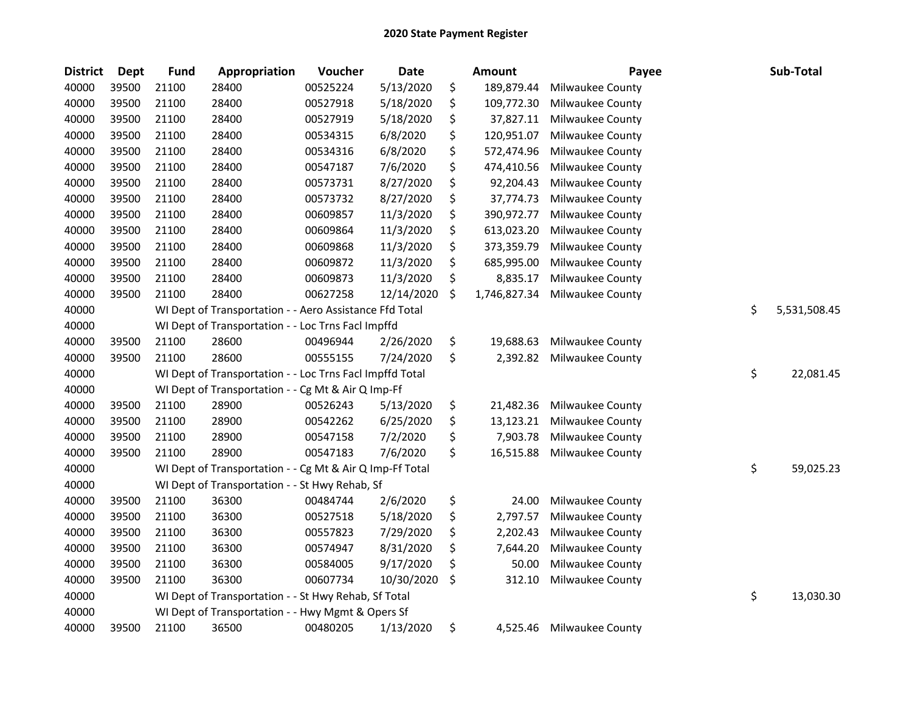| <b>District</b> | <b>Dept</b> | <b>Fund</b> | Appropriation                                            | Voucher  | <b>Date</b> | Amount             | Payee            | Sub-Total          |
|-----------------|-------------|-------------|----------------------------------------------------------|----------|-------------|--------------------|------------------|--------------------|
| 40000           | 39500       | 21100       | 28400                                                    | 00525224 | 5/13/2020   | \$<br>189,879.44   | Milwaukee County |                    |
| 40000           | 39500       | 21100       | 28400                                                    | 00527918 | 5/18/2020   | \$<br>109,772.30   | Milwaukee County |                    |
| 40000           | 39500       | 21100       | 28400                                                    | 00527919 | 5/18/2020   | \$<br>37,827.11    | Milwaukee County |                    |
| 40000           | 39500       | 21100       | 28400                                                    | 00534315 | 6/8/2020    | \$<br>120,951.07   | Milwaukee County |                    |
| 40000           | 39500       | 21100       | 28400                                                    | 00534316 | 6/8/2020    | \$<br>572,474.96   | Milwaukee County |                    |
| 40000           | 39500       | 21100       | 28400                                                    | 00547187 | 7/6/2020    | \$<br>474,410.56   | Milwaukee County |                    |
| 40000           | 39500       | 21100       | 28400                                                    | 00573731 | 8/27/2020   | \$<br>92,204.43    | Milwaukee County |                    |
| 40000           | 39500       | 21100       | 28400                                                    | 00573732 | 8/27/2020   | \$<br>37,774.73    | Milwaukee County |                    |
| 40000           | 39500       | 21100       | 28400                                                    | 00609857 | 11/3/2020   | \$<br>390,972.77   | Milwaukee County |                    |
| 40000           | 39500       | 21100       | 28400                                                    | 00609864 | 11/3/2020   | \$<br>613,023.20   | Milwaukee County |                    |
| 40000           | 39500       | 21100       | 28400                                                    | 00609868 | 11/3/2020   | \$<br>373,359.79   | Milwaukee County |                    |
| 40000           | 39500       | 21100       | 28400                                                    | 00609872 | 11/3/2020   | \$<br>685,995.00   | Milwaukee County |                    |
| 40000           | 39500       | 21100       | 28400                                                    | 00609873 | 11/3/2020   | \$<br>8,835.17     | Milwaukee County |                    |
| 40000           | 39500       | 21100       | 28400                                                    | 00627258 | 12/14/2020  | \$<br>1,746,827.34 | Milwaukee County |                    |
| 40000           |             |             | WI Dept of Transportation - - Aero Assistance Ffd Total  |          |             |                    |                  | \$<br>5,531,508.45 |
| 40000           |             |             | WI Dept of Transportation - - Loc Trns Facl Impffd       |          |             |                    |                  |                    |
| 40000           | 39500       | 21100       | 28600                                                    | 00496944 | 2/26/2020   | \$<br>19,688.63    | Milwaukee County |                    |
| 40000           | 39500       | 21100       | 28600                                                    | 00555155 | 7/24/2020   | \$<br>2,392.82     | Milwaukee County |                    |
| 40000           |             |             | WI Dept of Transportation - - Loc Trns Facl Impffd Total |          |             |                    |                  | \$<br>22,081.45    |
| 40000           |             |             | WI Dept of Transportation - - Cg Mt & Air Q Imp-Ff       |          |             |                    |                  |                    |
| 40000           | 39500       | 21100       | 28900                                                    | 00526243 | 5/13/2020   | \$<br>21,482.36    | Milwaukee County |                    |
| 40000           | 39500       | 21100       | 28900                                                    | 00542262 | 6/25/2020   | \$<br>13,123.21    | Milwaukee County |                    |
| 40000           | 39500       | 21100       | 28900                                                    | 00547158 | 7/2/2020    | \$<br>7,903.78     | Milwaukee County |                    |
| 40000           | 39500       | 21100       | 28900                                                    | 00547183 | 7/6/2020    | \$<br>16,515.88    | Milwaukee County |                    |
| 40000           |             |             | WI Dept of Transportation - - Cg Mt & Air Q Imp-Ff Total |          |             |                    |                  | \$<br>59,025.23    |
| 40000           |             |             | WI Dept of Transportation - - St Hwy Rehab, Sf           |          |             |                    |                  |                    |
| 40000           | 39500       | 21100       | 36300                                                    | 00484744 | 2/6/2020    | \$<br>24.00        | Milwaukee County |                    |
| 40000           | 39500       | 21100       | 36300                                                    | 00527518 | 5/18/2020   | \$<br>2,797.57     | Milwaukee County |                    |
| 40000           | 39500       | 21100       | 36300                                                    | 00557823 | 7/29/2020   | \$<br>2,202.43     | Milwaukee County |                    |
| 40000           | 39500       | 21100       | 36300                                                    | 00574947 | 8/31/2020   | \$<br>7,644.20     | Milwaukee County |                    |
| 40000           | 39500       | 21100       | 36300                                                    | 00584005 | 9/17/2020   | \$<br>50.00        | Milwaukee County |                    |
| 40000           | 39500       | 21100       | 36300                                                    | 00607734 | 10/30/2020  | \$<br>312.10       | Milwaukee County |                    |
| 40000           |             |             | WI Dept of Transportation - - St Hwy Rehab, Sf Total     |          |             |                    |                  | \$<br>13,030.30    |
| 40000           |             |             | WI Dept of Transportation - - Hwy Mgmt & Opers Sf        |          |             |                    |                  |                    |
| 40000           | 39500       | 21100       | 36500                                                    | 00480205 | 1/13/2020   | \$<br>4,525.46     | Milwaukee County |                    |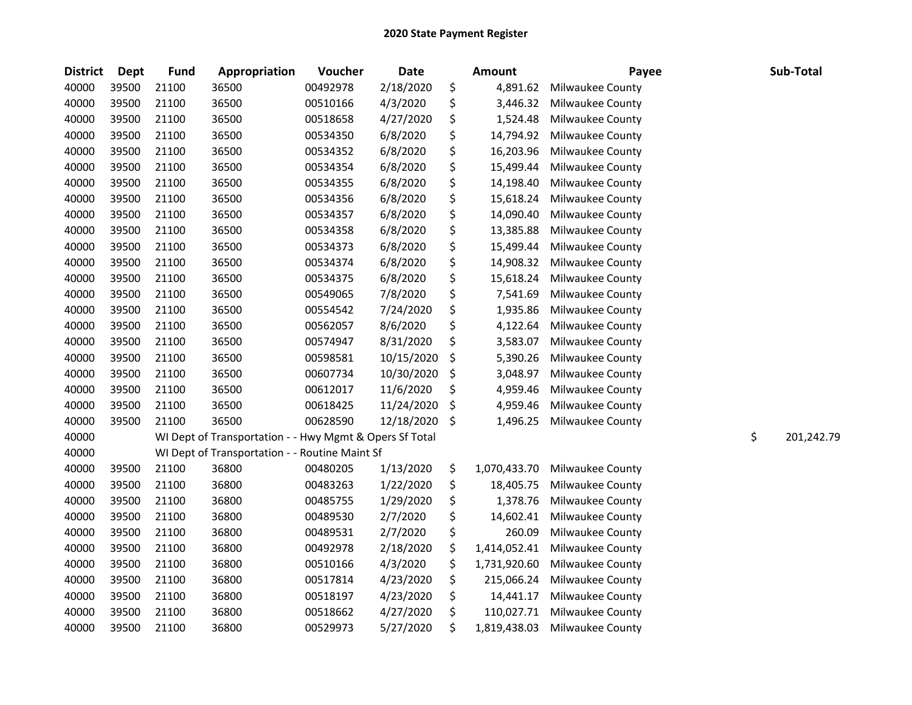| <b>District</b> | <b>Dept</b> | <b>Fund</b> | Appropriation                                           | Voucher  | <b>Date</b> | <b>Amount</b>      | Payee            | Sub-Total        |
|-----------------|-------------|-------------|---------------------------------------------------------|----------|-------------|--------------------|------------------|------------------|
| 40000           | 39500       | 21100       | 36500                                                   | 00492978 | 2/18/2020   | \$<br>4,891.62     | Milwaukee County |                  |
| 40000           | 39500       | 21100       | 36500                                                   | 00510166 | 4/3/2020    | \$<br>3,446.32     | Milwaukee County |                  |
| 40000           | 39500       | 21100       | 36500                                                   | 00518658 | 4/27/2020   | \$<br>1,524.48     | Milwaukee County |                  |
| 40000           | 39500       | 21100       | 36500                                                   | 00534350 | 6/8/2020    | \$<br>14,794.92    | Milwaukee County |                  |
| 40000           | 39500       | 21100       | 36500                                                   | 00534352 | 6/8/2020    | \$<br>16,203.96    | Milwaukee County |                  |
| 40000           | 39500       | 21100       | 36500                                                   | 00534354 | 6/8/2020    | \$<br>15,499.44    | Milwaukee County |                  |
| 40000           | 39500       | 21100       | 36500                                                   | 00534355 | 6/8/2020    | \$<br>14,198.40    | Milwaukee County |                  |
| 40000           | 39500       | 21100       | 36500                                                   | 00534356 | 6/8/2020    | \$<br>15,618.24    | Milwaukee County |                  |
| 40000           | 39500       | 21100       | 36500                                                   | 00534357 | 6/8/2020    | \$<br>14,090.40    | Milwaukee County |                  |
| 40000           | 39500       | 21100       | 36500                                                   | 00534358 | 6/8/2020    | \$<br>13,385.88    | Milwaukee County |                  |
| 40000           | 39500       | 21100       | 36500                                                   | 00534373 | 6/8/2020    | \$<br>15,499.44    | Milwaukee County |                  |
| 40000           | 39500       | 21100       | 36500                                                   | 00534374 | 6/8/2020    | \$<br>14,908.32    | Milwaukee County |                  |
| 40000           | 39500       | 21100       | 36500                                                   | 00534375 | 6/8/2020    | \$<br>15,618.24    | Milwaukee County |                  |
| 40000           | 39500       | 21100       | 36500                                                   | 00549065 | 7/8/2020    | \$<br>7,541.69     | Milwaukee County |                  |
| 40000           | 39500       | 21100       | 36500                                                   | 00554542 | 7/24/2020   | \$<br>1,935.86     | Milwaukee County |                  |
| 40000           | 39500       | 21100       | 36500                                                   | 00562057 | 8/6/2020    | \$<br>4,122.64     | Milwaukee County |                  |
| 40000           | 39500       | 21100       | 36500                                                   | 00574947 | 8/31/2020   | \$<br>3,583.07     | Milwaukee County |                  |
| 40000           | 39500       | 21100       | 36500                                                   | 00598581 | 10/15/2020  | \$<br>5,390.26     | Milwaukee County |                  |
| 40000           | 39500       | 21100       | 36500                                                   | 00607734 | 10/30/2020  | \$<br>3,048.97     | Milwaukee County |                  |
| 40000           | 39500       | 21100       | 36500                                                   | 00612017 | 11/6/2020   | \$<br>4,959.46     | Milwaukee County |                  |
| 40000           | 39500       | 21100       | 36500                                                   | 00618425 | 11/24/2020  | \$<br>4,959.46     | Milwaukee County |                  |
| 40000           | 39500       | 21100       | 36500                                                   | 00628590 | 12/18/2020  | \$<br>1,496.25     | Milwaukee County |                  |
| 40000           |             |             | WI Dept of Transportation - - Hwy Mgmt & Opers Sf Total |          |             |                    |                  | \$<br>201,242.79 |
| 40000           |             |             | WI Dept of Transportation - - Routine Maint Sf          |          |             |                    |                  |                  |
| 40000           | 39500       | 21100       | 36800                                                   | 00480205 | 1/13/2020   | \$<br>1,070,433.70 | Milwaukee County |                  |
| 40000           | 39500       | 21100       | 36800                                                   | 00483263 | 1/22/2020   | \$<br>18,405.75    | Milwaukee County |                  |
| 40000           | 39500       | 21100       | 36800                                                   | 00485755 | 1/29/2020   | \$<br>1,378.76     | Milwaukee County |                  |
| 40000           | 39500       | 21100       | 36800                                                   | 00489530 | 2/7/2020    | \$<br>14,602.41    | Milwaukee County |                  |
| 40000           | 39500       | 21100       | 36800                                                   | 00489531 | 2/7/2020    | \$<br>260.09       | Milwaukee County |                  |
| 40000           | 39500       | 21100       | 36800                                                   | 00492978 | 2/18/2020   | \$<br>1,414,052.41 | Milwaukee County |                  |
| 40000           | 39500       | 21100       | 36800                                                   | 00510166 | 4/3/2020    | \$<br>1,731,920.60 | Milwaukee County |                  |
| 40000           | 39500       | 21100       | 36800                                                   | 00517814 | 4/23/2020   | \$<br>215,066.24   | Milwaukee County |                  |
| 40000           | 39500       | 21100       | 36800                                                   | 00518197 | 4/23/2020   | \$<br>14,441.17    | Milwaukee County |                  |
| 40000           | 39500       | 21100       | 36800                                                   | 00518662 | 4/27/2020   | \$<br>110,027.71   | Milwaukee County |                  |
| 40000           | 39500       | 21100       | 36800                                                   | 00529973 | 5/27/2020   | \$<br>1,819,438.03 | Milwaukee County |                  |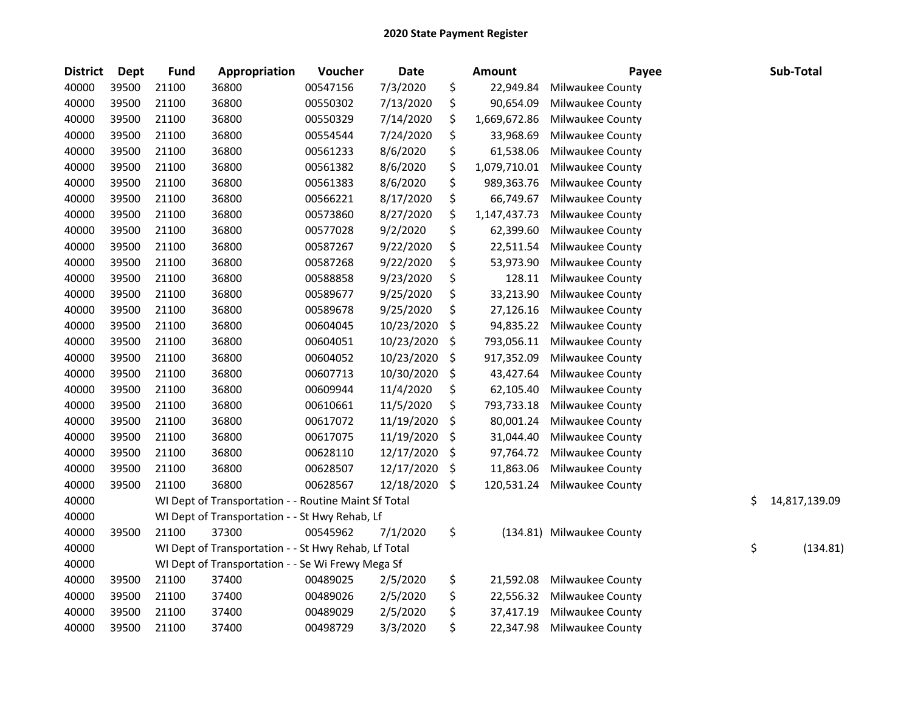| <b>District</b> | <b>Dept</b> | <b>Fund</b> | Appropriation                                        | Voucher  | Date       | <b>Amount</b>      | Payee                     | Sub-Total           |
|-----------------|-------------|-------------|------------------------------------------------------|----------|------------|--------------------|---------------------------|---------------------|
| 40000           | 39500       | 21100       | 36800                                                | 00547156 | 7/3/2020   | \$<br>22,949.84    | Milwaukee County          |                     |
| 40000           | 39500       | 21100       | 36800                                                | 00550302 | 7/13/2020  | \$<br>90,654.09    | Milwaukee County          |                     |
| 40000           | 39500       | 21100       | 36800                                                | 00550329 | 7/14/2020  | \$<br>1,669,672.86 | Milwaukee County          |                     |
| 40000           | 39500       | 21100       | 36800                                                | 00554544 | 7/24/2020  | \$<br>33,968.69    | Milwaukee County          |                     |
| 40000           | 39500       | 21100       | 36800                                                | 00561233 | 8/6/2020   | \$<br>61,538.06    | Milwaukee County          |                     |
| 40000           | 39500       | 21100       | 36800                                                | 00561382 | 8/6/2020   | \$<br>1,079,710.01 | Milwaukee County          |                     |
| 40000           | 39500       | 21100       | 36800                                                | 00561383 | 8/6/2020   | \$<br>989,363.76   | Milwaukee County          |                     |
| 40000           | 39500       | 21100       | 36800                                                | 00566221 | 8/17/2020  | \$<br>66,749.67    | Milwaukee County          |                     |
| 40000           | 39500       | 21100       | 36800                                                | 00573860 | 8/27/2020  | \$<br>1,147,437.73 | Milwaukee County          |                     |
| 40000           | 39500       | 21100       | 36800                                                | 00577028 | 9/2/2020   | \$<br>62,399.60    | Milwaukee County          |                     |
| 40000           | 39500       | 21100       | 36800                                                | 00587267 | 9/22/2020  | \$<br>22,511.54    | Milwaukee County          |                     |
| 40000           | 39500       | 21100       | 36800                                                | 00587268 | 9/22/2020  | \$<br>53,973.90    | Milwaukee County          |                     |
| 40000           | 39500       | 21100       | 36800                                                | 00588858 | 9/23/2020  | \$<br>128.11       | Milwaukee County          |                     |
| 40000           | 39500       | 21100       | 36800                                                | 00589677 | 9/25/2020  | \$<br>33,213.90    | Milwaukee County          |                     |
| 40000           | 39500       | 21100       | 36800                                                | 00589678 | 9/25/2020  | \$<br>27,126.16    | Milwaukee County          |                     |
| 40000           | 39500       | 21100       | 36800                                                | 00604045 | 10/23/2020 | \$<br>94,835.22    | Milwaukee County          |                     |
| 40000           | 39500       | 21100       | 36800                                                | 00604051 | 10/23/2020 | \$<br>793,056.11   | Milwaukee County          |                     |
| 40000           | 39500       | 21100       | 36800                                                | 00604052 | 10/23/2020 | \$<br>917,352.09   | Milwaukee County          |                     |
| 40000           | 39500       | 21100       | 36800                                                | 00607713 | 10/30/2020 | \$<br>43,427.64    | Milwaukee County          |                     |
| 40000           | 39500       | 21100       | 36800                                                | 00609944 | 11/4/2020  | \$<br>62,105.40    | Milwaukee County          |                     |
| 40000           | 39500       | 21100       | 36800                                                | 00610661 | 11/5/2020  | \$<br>793,733.18   | Milwaukee County          |                     |
| 40000           | 39500       | 21100       | 36800                                                | 00617072 | 11/19/2020 | \$<br>80,001.24    | Milwaukee County          |                     |
| 40000           | 39500       | 21100       | 36800                                                | 00617075 | 11/19/2020 | \$<br>31,044.40    | Milwaukee County          |                     |
| 40000           | 39500       | 21100       | 36800                                                | 00628110 | 12/17/2020 | \$<br>97,764.72    | Milwaukee County          |                     |
| 40000           | 39500       | 21100       | 36800                                                | 00628507 | 12/17/2020 | \$<br>11,863.06    | Milwaukee County          |                     |
| 40000           | 39500       | 21100       | 36800                                                | 00628567 | 12/18/2020 | \$<br>120,531.24   | Milwaukee County          |                     |
| 40000           |             |             | WI Dept of Transportation - - Routine Maint Sf Total |          |            |                    |                           | \$<br>14,817,139.09 |
| 40000           |             |             | WI Dept of Transportation - - St Hwy Rehab, Lf       |          |            |                    |                           |                     |
| 40000           | 39500       | 21100       | 37300                                                | 00545962 | 7/1/2020   | \$                 | (134.81) Milwaukee County |                     |
| 40000           |             |             | WI Dept of Transportation - - St Hwy Rehab, Lf Total |          |            |                    |                           | \$<br>(134.81)      |
| 40000           |             |             | WI Dept of Transportation - - Se Wi Frewy Mega Sf    |          |            |                    |                           |                     |
| 40000           | 39500       | 21100       | 37400                                                | 00489025 | 2/5/2020   | \$<br>21,592.08    | Milwaukee County          |                     |
| 40000           | 39500       | 21100       | 37400                                                | 00489026 | 2/5/2020   | \$<br>22,556.32    | Milwaukee County          |                     |
| 40000           | 39500       | 21100       | 37400                                                | 00489029 | 2/5/2020   | \$<br>37,417.19    | Milwaukee County          |                     |
| 40000           | 39500       | 21100       | 37400                                                | 00498729 | 3/3/2020   | \$<br>22,347.98    | Milwaukee County          |                     |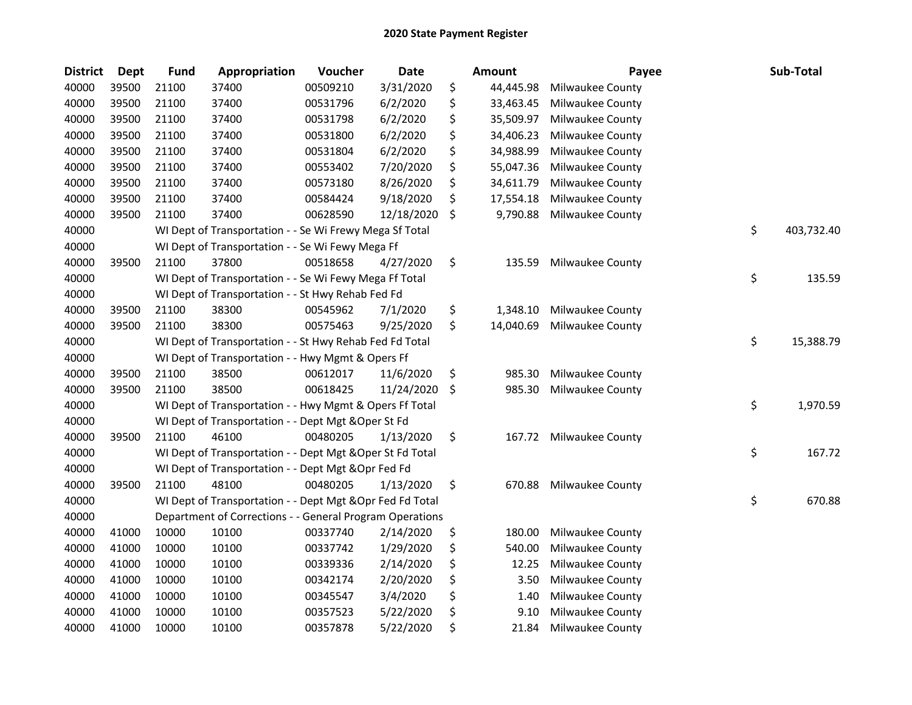| <b>District</b> | <b>Dept</b> | <b>Fund</b> | Appropriation                                             | Voucher  | <b>Date</b> | <b>Amount</b>   | Payee            | Sub-Total        |
|-----------------|-------------|-------------|-----------------------------------------------------------|----------|-------------|-----------------|------------------|------------------|
| 40000           | 39500       | 21100       | 37400                                                     | 00509210 | 3/31/2020   | \$<br>44,445.98 | Milwaukee County |                  |
| 40000           | 39500       | 21100       | 37400                                                     | 00531796 | 6/2/2020    | \$<br>33,463.45 | Milwaukee County |                  |
| 40000           | 39500       | 21100       | 37400                                                     | 00531798 | 6/2/2020    | \$<br>35,509.97 | Milwaukee County |                  |
| 40000           | 39500       | 21100       | 37400                                                     | 00531800 | 6/2/2020    | \$<br>34,406.23 | Milwaukee County |                  |
| 40000           | 39500       | 21100       | 37400                                                     | 00531804 | 6/2/2020    | \$<br>34,988.99 | Milwaukee County |                  |
| 40000           | 39500       | 21100       | 37400                                                     | 00553402 | 7/20/2020   | \$<br>55,047.36 | Milwaukee County |                  |
| 40000           | 39500       | 21100       | 37400                                                     | 00573180 | 8/26/2020   | \$<br>34,611.79 | Milwaukee County |                  |
| 40000           | 39500       | 21100       | 37400                                                     | 00584424 | 9/18/2020   | \$<br>17,554.18 | Milwaukee County |                  |
| 40000           | 39500       | 21100       | 37400                                                     | 00628590 | 12/18/2020  | \$<br>9,790.88  | Milwaukee County |                  |
| 40000           |             |             | WI Dept of Transportation - - Se Wi Frewy Mega Sf Total   |          |             |                 |                  | \$<br>403,732.40 |
| 40000           |             |             | WI Dept of Transportation - - Se Wi Fewy Mega Ff          |          |             |                 |                  |                  |
| 40000           | 39500       | 21100       | 37800                                                     | 00518658 | 4/27/2020   | \$<br>135.59    | Milwaukee County |                  |
| 40000           |             |             | WI Dept of Transportation - - Se Wi Fewy Mega Ff Total    |          |             |                 |                  | \$<br>135.59     |
| 40000           |             |             | WI Dept of Transportation - - St Hwy Rehab Fed Fd         |          |             |                 |                  |                  |
| 40000           | 39500       | 21100       | 38300                                                     | 00545962 | 7/1/2020    | \$<br>1,348.10  | Milwaukee County |                  |
| 40000           | 39500       | 21100       | 38300                                                     | 00575463 | 9/25/2020   | \$<br>14,040.69 | Milwaukee County |                  |
| 40000           |             |             | WI Dept of Transportation - - St Hwy Rehab Fed Fd Total   |          |             |                 |                  | \$<br>15,388.79  |
| 40000           |             |             | WI Dept of Transportation - - Hwy Mgmt & Opers Ff         |          |             |                 |                  |                  |
| 40000           | 39500       | 21100       | 38500                                                     | 00612017 | 11/6/2020   | \$<br>985.30    | Milwaukee County |                  |
| 40000           | 39500       | 21100       | 38500                                                     | 00618425 | 11/24/2020  | \$<br>985.30    | Milwaukee County |                  |
| 40000           |             |             | WI Dept of Transportation - - Hwy Mgmt & Opers Ff Total   |          |             |                 |                  | \$<br>1,970.59   |
| 40000           |             |             | WI Dept of Transportation - - Dept Mgt & Oper St Fd       |          |             |                 |                  |                  |
| 40000           | 39500       | 21100       | 46100                                                     | 00480205 | 1/13/2020   | \$<br>167.72    | Milwaukee County |                  |
| 40000           |             |             | WI Dept of Transportation - - Dept Mgt & Oper St Fd Total |          |             |                 |                  | \$<br>167.72     |
| 40000           |             |             | WI Dept of Transportation - - Dept Mgt & Opr Fed Fd       |          |             |                 |                  |                  |
| 40000           | 39500       | 21100       | 48100                                                     | 00480205 | 1/13/2020   | \$<br>670.88    | Milwaukee County |                  |
| 40000           |             |             | WI Dept of Transportation - - Dept Mgt & Opr Fed Fd Total |          |             |                 |                  | \$<br>670.88     |
| 40000           |             |             | Department of Corrections - - General Program Operations  |          |             |                 |                  |                  |
| 40000           | 41000       | 10000       | 10100                                                     | 00337740 | 2/14/2020   | \$<br>180.00    | Milwaukee County |                  |
| 40000           | 41000       | 10000       | 10100                                                     | 00337742 | 1/29/2020   | \$<br>540.00    | Milwaukee County |                  |
| 40000           | 41000       | 10000       | 10100                                                     | 00339336 | 2/14/2020   | \$<br>12.25     | Milwaukee County |                  |
| 40000           | 41000       | 10000       | 10100                                                     | 00342174 | 2/20/2020   | \$<br>3.50      | Milwaukee County |                  |
| 40000           | 41000       | 10000       | 10100                                                     | 00345547 | 3/4/2020    | \$<br>1.40      | Milwaukee County |                  |
| 40000           | 41000       | 10000       | 10100                                                     | 00357523 | 5/22/2020   | \$<br>9.10      | Milwaukee County |                  |
| 40000           | 41000       | 10000       | 10100                                                     | 00357878 | 5/22/2020   | \$<br>21.84     | Milwaukee County |                  |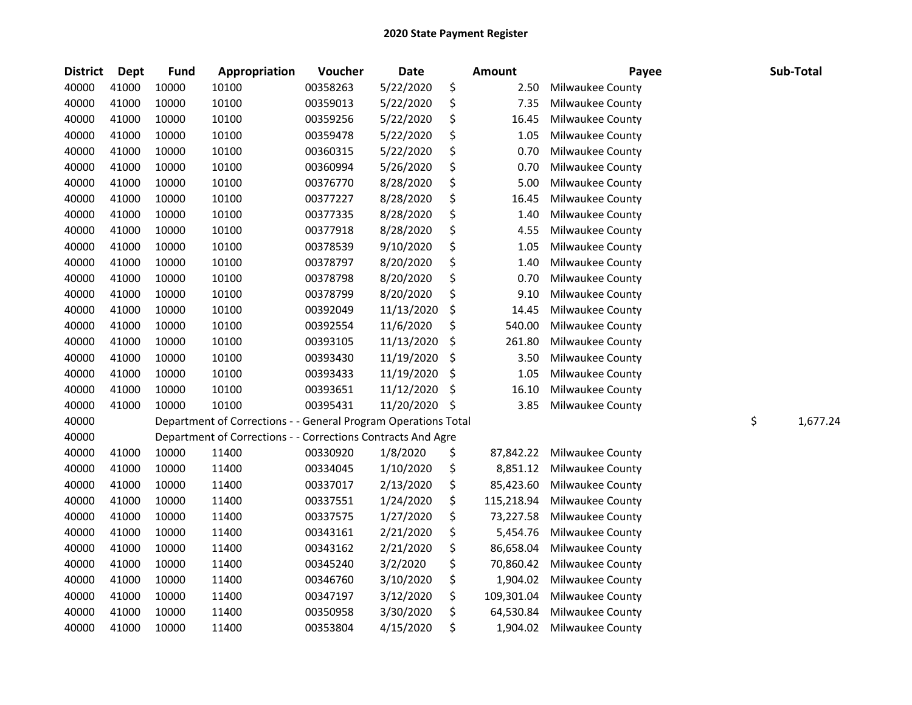| <b>District</b> | <b>Dept</b> | <b>Fund</b> | Appropriation                                                  | Voucher  | <b>Date</b> | Amount           | Payee            | Sub-Total      |
|-----------------|-------------|-------------|----------------------------------------------------------------|----------|-------------|------------------|------------------|----------------|
| 40000           | 41000       | 10000       | 10100                                                          | 00358263 | 5/22/2020   | \$<br>2.50       | Milwaukee County |                |
| 40000           | 41000       | 10000       | 10100                                                          | 00359013 | 5/22/2020   | \$<br>7.35       | Milwaukee County |                |
| 40000           | 41000       | 10000       | 10100                                                          | 00359256 | 5/22/2020   | \$<br>16.45      | Milwaukee County |                |
| 40000           | 41000       | 10000       | 10100                                                          | 00359478 | 5/22/2020   | \$<br>1.05       | Milwaukee County |                |
| 40000           | 41000       | 10000       | 10100                                                          | 00360315 | 5/22/2020   | \$<br>0.70       | Milwaukee County |                |
| 40000           | 41000       | 10000       | 10100                                                          | 00360994 | 5/26/2020   | \$<br>0.70       | Milwaukee County |                |
| 40000           | 41000       | 10000       | 10100                                                          | 00376770 | 8/28/2020   | \$<br>5.00       | Milwaukee County |                |
| 40000           | 41000       | 10000       | 10100                                                          | 00377227 | 8/28/2020   | \$<br>16.45      | Milwaukee County |                |
| 40000           | 41000       | 10000       | 10100                                                          | 00377335 | 8/28/2020   | \$<br>1.40       | Milwaukee County |                |
| 40000           | 41000       | 10000       | 10100                                                          | 00377918 | 8/28/2020   | \$<br>4.55       | Milwaukee County |                |
| 40000           | 41000       | 10000       | 10100                                                          | 00378539 | 9/10/2020   | \$<br>1.05       | Milwaukee County |                |
| 40000           | 41000       | 10000       | 10100                                                          | 00378797 | 8/20/2020   | \$<br>1.40       | Milwaukee County |                |
| 40000           | 41000       | 10000       | 10100                                                          | 00378798 | 8/20/2020   | \$<br>0.70       | Milwaukee County |                |
| 40000           | 41000       | 10000       | 10100                                                          | 00378799 | 8/20/2020   | \$<br>9.10       | Milwaukee County |                |
| 40000           | 41000       | 10000       | 10100                                                          | 00392049 | 11/13/2020  | \$<br>14.45      | Milwaukee County |                |
| 40000           | 41000       | 10000       | 10100                                                          | 00392554 | 11/6/2020   | \$<br>540.00     | Milwaukee County |                |
| 40000           | 41000       | 10000       | 10100                                                          | 00393105 | 11/13/2020  | \$<br>261.80     | Milwaukee County |                |
| 40000           | 41000       | 10000       | 10100                                                          | 00393430 | 11/19/2020  | \$<br>3.50       | Milwaukee County |                |
| 40000           | 41000       | 10000       | 10100                                                          | 00393433 | 11/19/2020  | \$<br>1.05       | Milwaukee County |                |
| 40000           | 41000       | 10000       | 10100                                                          | 00393651 | 11/12/2020  | \$<br>16.10      | Milwaukee County |                |
| 40000           | 41000       | 10000       | 10100                                                          | 00395431 | 11/20/2020  | \$<br>3.85       | Milwaukee County |                |
| 40000           |             |             | Department of Corrections - - General Program Operations Total |          |             |                  |                  | \$<br>1,677.24 |
| 40000           |             |             | Department of Corrections - - Corrections Contracts And Agre   |          |             |                  |                  |                |
| 40000           | 41000       | 10000       | 11400                                                          | 00330920 | 1/8/2020    | \$<br>87,842.22  | Milwaukee County |                |
| 40000           | 41000       | 10000       | 11400                                                          | 00334045 | 1/10/2020   | \$<br>8,851.12   | Milwaukee County |                |
| 40000           | 41000       | 10000       | 11400                                                          | 00337017 | 2/13/2020   | \$<br>85,423.60  | Milwaukee County |                |
| 40000           | 41000       | 10000       | 11400                                                          | 00337551 | 1/24/2020   | \$<br>115,218.94 | Milwaukee County |                |
| 40000           | 41000       | 10000       | 11400                                                          | 00337575 | 1/27/2020   | \$<br>73,227.58  | Milwaukee County |                |
| 40000           | 41000       | 10000       | 11400                                                          | 00343161 | 2/21/2020   | \$<br>5,454.76   | Milwaukee County |                |
| 40000           | 41000       | 10000       | 11400                                                          | 00343162 | 2/21/2020   | \$<br>86,658.04  | Milwaukee County |                |
| 40000           | 41000       | 10000       | 11400                                                          | 00345240 | 3/2/2020    | \$<br>70,860.42  | Milwaukee County |                |
| 40000           | 41000       | 10000       | 11400                                                          | 00346760 | 3/10/2020   | \$<br>1,904.02   | Milwaukee County |                |
| 40000           | 41000       | 10000       | 11400                                                          | 00347197 | 3/12/2020   | \$<br>109,301.04 | Milwaukee County |                |
| 40000           | 41000       | 10000       | 11400                                                          | 00350958 | 3/30/2020   | \$<br>64,530.84  | Milwaukee County |                |
| 40000           | 41000       | 10000       | 11400                                                          | 00353804 | 4/15/2020   | \$<br>1,904.02   | Milwaukee County |                |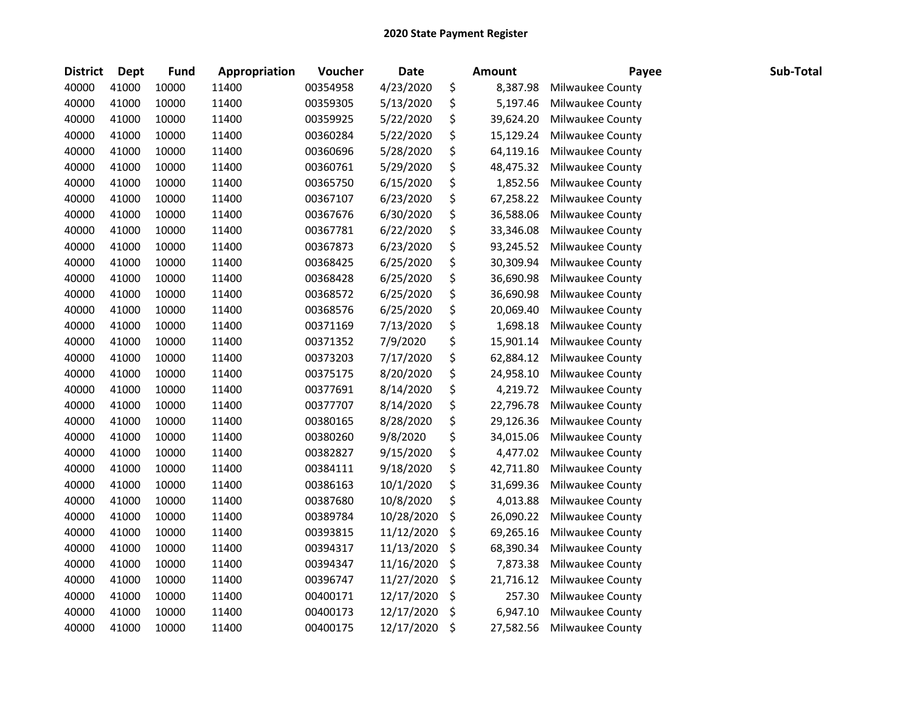| <b>District</b> | Dept  | <b>Fund</b> | Appropriation | Voucher  | <b>Date</b> | <b>Amount</b>   | Payee            | Sub-Total |
|-----------------|-------|-------------|---------------|----------|-------------|-----------------|------------------|-----------|
| 40000           | 41000 | 10000       | 11400         | 00354958 | 4/23/2020   | \$<br>8,387.98  | Milwaukee County |           |
| 40000           | 41000 | 10000       | 11400         | 00359305 | 5/13/2020   | \$<br>5,197.46  | Milwaukee County |           |
| 40000           | 41000 | 10000       | 11400         | 00359925 | 5/22/2020   | \$<br>39,624.20 | Milwaukee County |           |
| 40000           | 41000 | 10000       | 11400         | 00360284 | 5/22/2020   | \$<br>15,129.24 | Milwaukee County |           |
| 40000           | 41000 | 10000       | 11400         | 00360696 | 5/28/2020   | \$<br>64,119.16 | Milwaukee County |           |
| 40000           | 41000 | 10000       | 11400         | 00360761 | 5/29/2020   | \$<br>48,475.32 | Milwaukee County |           |
| 40000           | 41000 | 10000       | 11400         | 00365750 | 6/15/2020   | \$<br>1,852.56  | Milwaukee County |           |
| 40000           | 41000 | 10000       | 11400         | 00367107 | 6/23/2020   | \$<br>67,258.22 | Milwaukee County |           |
| 40000           | 41000 | 10000       | 11400         | 00367676 | 6/30/2020   | \$<br>36,588.06 | Milwaukee County |           |
| 40000           | 41000 | 10000       | 11400         | 00367781 | 6/22/2020   | \$<br>33,346.08 | Milwaukee County |           |
| 40000           | 41000 | 10000       | 11400         | 00367873 | 6/23/2020   | \$<br>93,245.52 | Milwaukee County |           |
| 40000           | 41000 | 10000       | 11400         | 00368425 | 6/25/2020   | \$<br>30,309.94 | Milwaukee County |           |
| 40000           | 41000 | 10000       | 11400         | 00368428 | 6/25/2020   | \$<br>36,690.98 | Milwaukee County |           |
| 40000           | 41000 | 10000       | 11400         | 00368572 | 6/25/2020   | \$<br>36,690.98 | Milwaukee County |           |
| 40000           | 41000 | 10000       | 11400         | 00368576 | 6/25/2020   | \$<br>20,069.40 | Milwaukee County |           |
| 40000           | 41000 | 10000       | 11400         | 00371169 | 7/13/2020   | \$<br>1,698.18  | Milwaukee County |           |
| 40000           | 41000 | 10000       | 11400         | 00371352 | 7/9/2020    | \$<br>15,901.14 | Milwaukee County |           |
| 40000           | 41000 | 10000       | 11400         | 00373203 | 7/17/2020   | \$<br>62,884.12 | Milwaukee County |           |
| 40000           | 41000 | 10000       | 11400         | 00375175 | 8/20/2020   | \$<br>24,958.10 | Milwaukee County |           |
| 40000           | 41000 | 10000       | 11400         | 00377691 | 8/14/2020   | \$<br>4,219.72  | Milwaukee County |           |
| 40000           | 41000 | 10000       | 11400         | 00377707 | 8/14/2020   | \$<br>22,796.78 | Milwaukee County |           |
| 40000           | 41000 | 10000       | 11400         | 00380165 | 8/28/2020   | \$<br>29,126.36 | Milwaukee County |           |
| 40000           | 41000 | 10000       | 11400         | 00380260 | 9/8/2020    | \$<br>34,015.06 | Milwaukee County |           |
| 40000           | 41000 | 10000       | 11400         | 00382827 | 9/15/2020   | \$<br>4,477.02  | Milwaukee County |           |
| 40000           | 41000 | 10000       | 11400         | 00384111 | 9/18/2020   | \$<br>42,711.80 | Milwaukee County |           |
| 40000           | 41000 | 10000       | 11400         | 00386163 | 10/1/2020   | \$<br>31,699.36 | Milwaukee County |           |
| 40000           | 41000 | 10000       | 11400         | 00387680 | 10/8/2020   | \$<br>4,013.88  | Milwaukee County |           |
| 40000           | 41000 | 10000       | 11400         | 00389784 | 10/28/2020  | \$<br>26,090.22 | Milwaukee County |           |
| 40000           | 41000 | 10000       | 11400         | 00393815 | 11/12/2020  | \$<br>69,265.16 | Milwaukee County |           |
| 40000           | 41000 | 10000       | 11400         | 00394317 | 11/13/2020  | \$<br>68,390.34 | Milwaukee County |           |
| 40000           | 41000 | 10000       | 11400         | 00394347 | 11/16/2020  | \$<br>7,873.38  | Milwaukee County |           |
| 40000           | 41000 | 10000       | 11400         | 00396747 | 11/27/2020  | \$<br>21,716.12 | Milwaukee County |           |
| 40000           | 41000 | 10000       | 11400         | 00400171 | 12/17/2020  | \$<br>257.30    | Milwaukee County |           |
| 40000           | 41000 | 10000       | 11400         | 00400173 | 12/17/2020  | \$<br>6,947.10  | Milwaukee County |           |
| 40000           | 41000 | 10000       | 11400         | 00400175 | 12/17/2020  | \$<br>27,582.56 | Milwaukee County |           |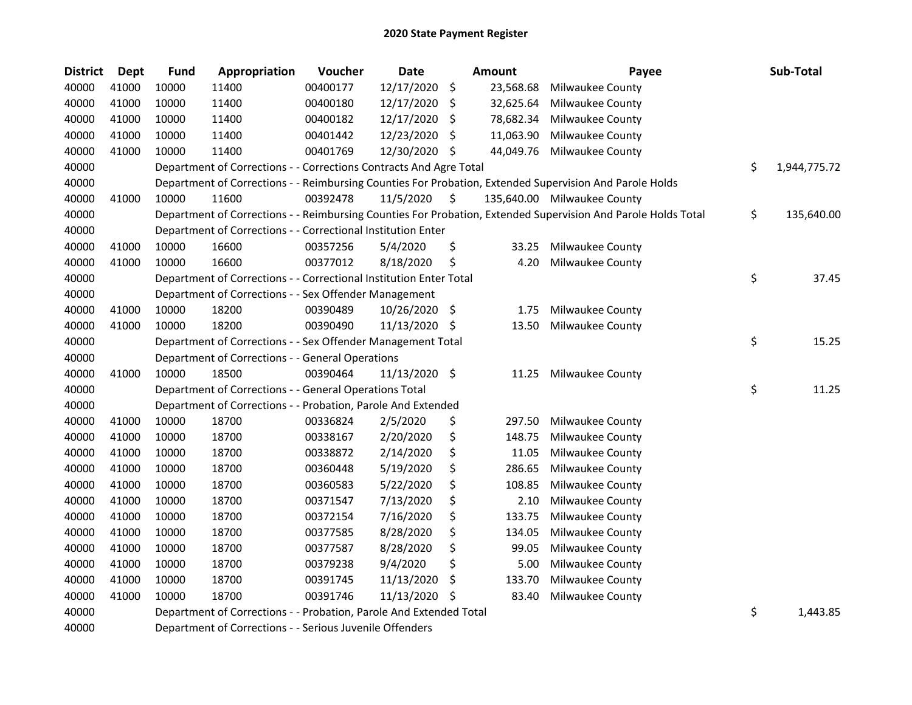| <b>District</b> | Dept  | <b>Fund</b> | Appropriation                                                      | Voucher  | <b>Date</b>   |     | Amount    | Payee                                                                                                         | Sub-Total          |
|-----------------|-------|-------------|--------------------------------------------------------------------|----------|---------------|-----|-----------|---------------------------------------------------------------------------------------------------------------|--------------------|
| 40000           | 41000 | 10000       | 11400                                                              | 00400177 | 12/17/2020    | \$  | 23,568.68 | Milwaukee County                                                                                              |                    |
| 40000           | 41000 | 10000       | 11400                                                              | 00400180 | 12/17/2020    | \$  | 32,625.64 | Milwaukee County                                                                                              |                    |
| 40000           | 41000 | 10000       | 11400                                                              | 00400182 | 12/17/2020    | \$. | 78,682.34 | Milwaukee County                                                                                              |                    |
| 40000           | 41000 | 10000       | 11400                                                              | 00401442 | 12/23/2020    | \$  | 11,063.90 | Milwaukee County                                                                                              |                    |
| 40000           | 41000 | 10000       | 11400                                                              | 00401769 | 12/30/2020    | \$  | 44,049.76 | Milwaukee County                                                                                              |                    |
| 40000           |       |             | Department of Corrections - - Corrections Contracts And Agre Total |          |               |     |           |                                                                                                               | \$<br>1,944,775.72 |
| 40000           |       |             |                                                                    |          |               |     |           | Department of Corrections - - Reimbursing Counties For Probation, Extended Supervision And Parole Holds       |                    |
| 40000           | 41000 | 10000       | 11600                                                              | 00392478 | 11/5/2020     | \$  |           | 135,640.00 Milwaukee County                                                                                   |                    |
| 40000           |       |             |                                                                    |          |               |     |           | Department of Corrections - - Reimbursing Counties For Probation, Extended Supervision And Parole Holds Total | \$<br>135,640.00   |
| 40000           |       |             | Department of Corrections - - Correctional Institution Enter       |          |               |     |           |                                                                                                               |                    |
| 40000           | 41000 | 10000       | 16600                                                              | 00357256 | 5/4/2020      | \$  | 33.25     | Milwaukee County                                                                                              |                    |
| 40000           | 41000 | 10000       | 16600                                                              | 00377012 | 8/18/2020     | \$  | 4.20      | Milwaukee County                                                                                              |                    |
| 40000           |       |             | Department of Corrections - - Correctional Institution Enter Total |          |               |     |           |                                                                                                               | \$<br>37.45        |
| 40000           |       |             | Department of Corrections - - Sex Offender Management              |          |               |     |           |                                                                                                               |                    |
| 40000           | 41000 | 10000       | 18200                                                              | 00390489 | 10/26/2020    | -\$ | 1.75      | Milwaukee County                                                                                              |                    |
| 40000           | 41000 | 10000       | 18200                                                              | 00390490 | 11/13/2020    | \$, | 13.50     | Milwaukee County                                                                                              |                    |
| 40000           |       |             | Department of Corrections - - Sex Offender Management Total        |          |               |     |           |                                                                                                               | \$<br>15.25        |
| 40000           |       |             | Department of Corrections - - General Operations                   |          |               |     |           |                                                                                                               |                    |
| 40000           | 41000 | 10000       | 18500                                                              | 00390464 | 11/13/2020 \$ |     | 11.25     | Milwaukee County                                                                                              |                    |
| 40000           |       |             | Department of Corrections - - General Operations Total             |          |               |     |           |                                                                                                               | \$<br>11.25        |
| 40000           |       |             | Department of Corrections - - Probation, Parole And Extended       |          |               |     |           |                                                                                                               |                    |
| 40000           | 41000 | 10000       | 18700                                                              | 00336824 | 2/5/2020      | \$  | 297.50    | Milwaukee County                                                                                              |                    |
| 40000           | 41000 | 10000       | 18700                                                              | 00338167 | 2/20/2020     | \$  | 148.75    | Milwaukee County                                                                                              |                    |
| 40000           | 41000 | 10000       | 18700                                                              | 00338872 | 2/14/2020     | \$  | 11.05     | Milwaukee County                                                                                              |                    |
| 40000           | 41000 | 10000       | 18700                                                              | 00360448 | 5/19/2020     | \$  | 286.65    | Milwaukee County                                                                                              |                    |
| 40000           | 41000 | 10000       | 18700                                                              | 00360583 | 5/22/2020     | \$  | 108.85    | Milwaukee County                                                                                              |                    |
| 40000           | 41000 | 10000       | 18700                                                              | 00371547 | 7/13/2020     | \$  | 2.10      | Milwaukee County                                                                                              |                    |
| 40000           | 41000 | 10000       | 18700                                                              | 00372154 | 7/16/2020     | \$  | 133.75    | Milwaukee County                                                                                              |                    |
| 40000           | 41000 | 10000       | 18700                                                              | 00377585 | 8/28/2020     | \$  | 134.05    | Milwaukee County                                                                                              |                    |
| 40000           | 41000 | 10000       | 18700                                                              | 00377587 | 8/28/2020     | \$  | 99.05     | Milwaukee County                                                                                              |                    |
| 40000           | 41000 | 10000       | 18700                                                              | 00379238 | 9/4/2020      | \$  | 5.00      | Milwaukee County                                                                                              |                    |
| 40000           | 41000 | 10000       | 18700                                                              | 00391745 | 11/13/2020    | \$  | 133.70    | Milwaukee County                                                                                              |                    |
| 40000           | 41000 | 10000       | 18700                                                              | 00391746 | 11/13/2020    | \$  | 83.40     | Milwaukee County                                                                                              |                    |
| 40000           |       |             | Department of Corrections - - Probation, Parole And Extended Total |          |               |     |           |                                                                                                               | \$<br>1,443.85     |
| 40000           |       |             | Department of Corrections - - Serious Juvenile Offenders           |          |               |     |           |                                                                                                               |                    |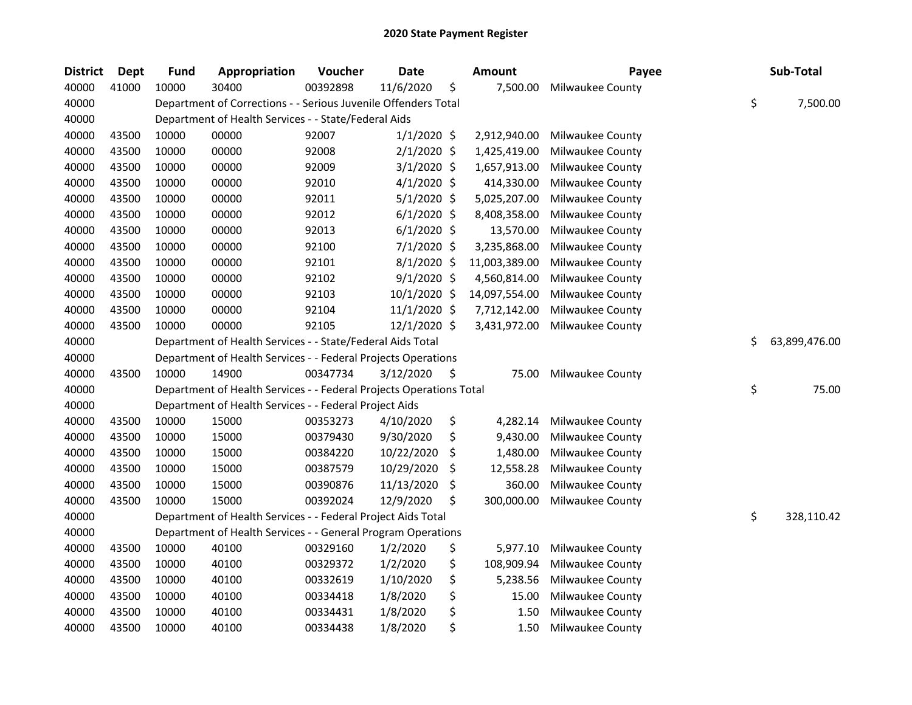| <b>District</b> | <b>Dept</b> | <b>Fund</b> | Appropriation                                                       | Voucher  | <b>Date</b>    | <b>Amount</b>    | Payee            |    | Sub-Total     |
|-----------------|-------------|-------------|---------------------------------------------------------------------|----------|----------------|------------------|------------------|----|---------------|
| 40000           | 41000       | 10000       | 30400                                                               | 00392898 | 11/6/2020      | \$<br>7,500.00   | Milwaukee County |    |               |
| 40000           |             |             | Department of Corrections - - Serious Juvenile Offenders Total      |          |                |                  |                  | \$ | 7,500.00      |
| 40000           |             |             | Department of Health Services - - State/Federal Aids                |          |                |                  |                  |    |               |
| 40000           | 43500       | 10000       | 00000                                                               | 92007    | $1/1/2020$ \$  | 2,912,940.00     | Milwaukee County |    |               |
| 40000           | 43500       | 10000       | 00000                                                               | 92008    | $2/1/2020$ \$  | 1,425,419.00     | Milwaukee County |    |               |
| 40000           | 43500       | 10000       | 00000                                                               | 92009    | $3/1/2020$ \$  | 1,657,913.00     | Milwaukee County |    |               |
| 40000           | 43500       | 10000       | 00000                                                               | 92010    | $4/1/2020$ \$  | 414,330.00       | Milwaukee County |    |               |
| 40000           | 43500       | 10000       | 00000                                                               | 92011    | 5/1/2020 \$    | 5,025,207.00     | Milwaukee County |    |               |
| 40000           | 43500       | 10000       | 00000                                                               | 92012    | $6/1/2020$ \$  | 8,408,358.00     | Milwaukee County |    |               |
| 40000           | 43500       | 10000       | 00000                                                               | 92013    | $6/1/2020$ \$  | 13,570.00        | Milwaukee County |    |               |
| 40000           | 43500       | 10000       | 00000                                                               | 92100    | 7/1/2020 \$    | 3,235,868.00     | Milwaukee County |    |               |
| 40000           | 43500       | 10000       | 00000                                                               | 92101    | $8/1/2020$ \$  | 11,003,389.00    | Milwaukee County |    |               |
| 40000           | 43500       | 10000       | 00000                                                               | 92102    | $9/1/2020$ \$  | 4,560,814.00     | Milwaukee County |    |               |
| 40000           | 43500       | 10000       | 00000                                                               | 92103    | 10/1/2020 \$   | 14,097,554.00    | Milwaukee County |    |               |
| 40000           | 43500       | 10000       | 00000                                                               | 92104    | 11/1/2020 \$   | 7,712,142.00     | Milwaukee County |    |               |
| 40000           | 43500       | 10000       | 00000                                                               | 92105    | $12/1/2020$ \$ | 3,431,972.00     | Milwaukee County |    |               |
| 40000           |             |             | Department of Health Services - - State/Federal Aids Total          |          |                |                  |                  | Ś. | 63,899,476.00 |
| 40000           |             |             | Department of Health Services - - Federal Projects Operations       |          |                |                  |                  |    |               |
| 40000           | 43500       | 10000       | 14900                                                               | 00347734 | 3/12/2020      | \$<br>75.00      | Milwaukee County |    |               |
| 40000           |             |             | Department of Health Services - - Federal Projects Operations Total |          |                |                  |                  | \$ | 75.00         |
| 40000           |             |             | Department of Health Services - - Federal Project Aids              |          |                |                  |                  |    |               |
| 40000           | 43500       | 10000       | 15000                                                               | 00353273 | 4/10/2020      | \$<br>4,282.14   | Milwaukee County |    |               |
| 40000           | 43500       | 10000       | 15000                                                               | 00379430 | 9/30/2020      | \$<br>9,430.00   | Milwaukee County |    |               |
| 40000           | 43500       | 10000       | 15000                                                               | 00384220 | 10/22/2020     | \$<br>1,480.00   | Milwaukee County |    |               |
| 40000           | 43500       | 10000       | 15000                                                               | 00387579 | 10/29/2020     | \$<br>12,558.28  | Milwaukee County |    |               |
| 40000           | 43500       | 10000       | 15000                                                               | 00390876 | 11/13/2020     | \$<br>360.00     | Milwaukee County |    |               |
| 40000           | 43500       | 10000       | 15000                                                               | 00392024 | 12/9/2020      | \$<br>300,000.00 | Milwaukee County |    |               |
| 40000           |             |             | Department of Health Services - - Federal Project Aids Total        |          |                |                  |                  | \$ | 328,110.42    |
| 40000           |             |             | Department of Health Services - - General Program Operations        |          |                |                  |                  |    |               |
| 40000           | 43500       | 10000       | 40100                                                               | 00329160 | 1/2/2020       | \$<br>5,977.10   | Milwaukee County |    |               |
| 40000           | 43500       | 10000       | 40100                                                               | 00329372 | 1/2/2020       | \$<br>108,909.94 | Milwaukee County |    |               |
| 40000           | 43500       | 10000       | 40100                                                               | 00332619 | 1/10/2020      | \$<br>5,238.56   | Milwaukee County |    |               |
| 40000           | 43500       | 10000       | 40100                                                               | 00334418 | 1/8/2020       | \$<br>15.00      | Milwaukee County |    |               |
| 40000           | 43500       | 10000       | 40100                                                               | 00334431 | 1/8/2020       | \$<br>1.50       | Milwaukee County |    |               |
| 40000           | 43500       | 10000       | 40100                                                               | 00334438 | 1/8/2020       | \$<br>1.50       | Milwaukee County |    |               |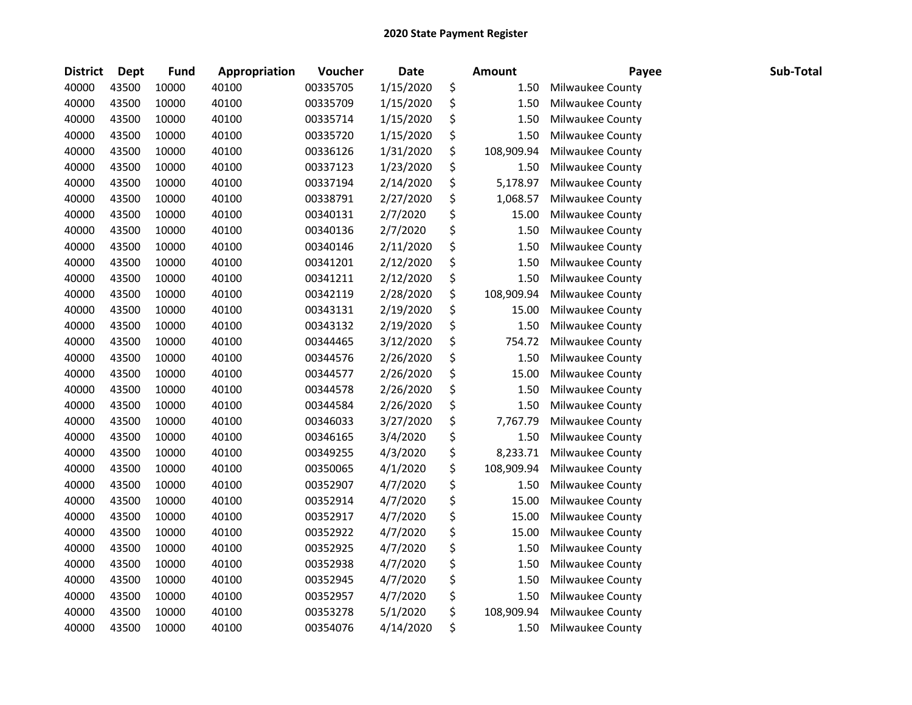| <b>District</b> | <b>Dept</b> | <b>Fund</b> | Appropriation | Voucher  | <b>Date</b> | <b>Amount</b>    | Payee            | Sub-Total |
|-----------------|-------------|-------------|---------------|----------|-------------|------------------|------------------|-----------|
| 40000           | 43500       | 10000       | 40100         | 00335705 | 1/15/2020   | \$<br>1.50       | Milwaukee County |           |
| 40000           | 43500       | 10000       | 40100         | 00335709 | 1/15/2020   | \$<br>1.50       | Milwaukee County |           |
| 40000           | 43500       | 10000       | 40100         | 00335714 | 1/15/2020   | \$<br>1.50       | Milwaukee County |           |
| 40000           | 43500       | 10000       | 40100         | 00335720 | 1/15/2020   | \$<br>1.50       | Milwaukee County |           |
| 40000           | 43500       | 10000       | 40100         | 00336126 | 1/31/2020   | \$<br>108,909.94 | Milwaukee County |           |
| 40000           | 43500       | 10000       | 40100         | 00337123 | 1/23/2020   | \$<br>1.50       | Milwaukee County |           |
| 40000           | 43500       | 10000       | 40100         | 00337194 | 2/14/2020   | \$<br>5,178.97   | Milwaukee County |           |
| 40000           | 43500       | 10000       | 40100         | 00338791 | 2/27/2020   | \$<br>1,068.57   | Milwaukee County |           |
| 40000           | 43500       | 10000       | 40100         | 00340131 | 2/7/2020    | \$<br>15.00      | Milwaukee County |           |
| 40000           | 43500       | 10000       | 40100         | 00340136 | 2/7/2020    | \$<br>1.50       | Milwaukee County |           |
| 40000           | 43500       | 10000       | 40100         | 00340146 | 2/11/2020   | \$<br>1.50       | Milwaukee County |           |
| 40000           | 43500       | 10000       | 40100         | 00341201 | 2/12/2020   | \$<br>1.50       | Milwaukee County |           |
| 40000           | 43500       | 10000       | 40100         | 00341211 | 2/12/2020   | \$<br>1.50       | Milwaukee County |           |
| 40000           | 43500       | 10000       | 40100         | 00342119 | 2/28/2020   | \$<br>108,909.94 | Milwaukee County |           |
| 40000           | 43500       | 10000       | 40100         | 00343131 | 2/19/2020   | \$<br>15.00      | Milwaukee County |           |
| 40000           | 43500       | 10000       | 40100         | 00343132 | 2/19/2020   | \$<br>1.50       | Milwaukee County |           |
| 40000           | 43500       | 10000       | 40100         | 00344465 | 3/12/2020   | \$<br>754.72     | Milwaukee County |           |
| 40000           | 43500       | 10000       | 40100         | 00344576 | 2/26/2020   | \$<br>1.50       | Milwaukee County |           |
| 40000           | 43500       | 10000       | 40100         | 00344577 | 2/26/2020   | \$<br>15.00      | Milwaukee County |           |
| 40000           | 43500       | 10000       | 40100         | 00344578 | 2/26/2020   | \$<br>1.50       | Milwaukee County |           |
| 40000           | 43500       | 10000       | 40100         | 00344584 | 2/26/2020   | \$<br>1.50       | Milwaukee County |           |
| 40000           | 43500       | 10000       | 40100         | 00346033 | 3/27/2020   | \$<br>7,767.79   | Milwaukee County |           |
| 40000           | 43500       | 10000       | 40100         | 00346165 | 3/4/2020    | \$<br>1.50       | Milwaukee County |           |
| 40000           | 43500       | 10000       | 40100         | 00349255 | 4/3/2020    | \$<br>8,233.71   | Milwaukee County |           |
| 40000           | 43500       | 10000       | 40100         | 00350065 | 4/1/2020    | \$<br>108,909.94 | Milwaukee County |           |
| 40000           | 43500       | 10000       | 40100         | 00352907 | 4/7/2020    | \$<br>1.50       | Milwaukee County |           |
| 40000           | 43500       | 10000       | 40100         | 00352914 | 4/7/2020    | \$<br>15.00      | Milwaukee County |           |
| 40000           | 43500       | 10000       | 40100         | 00352917 | 4/7/2020    | \$<br>15.00      | Milwaukee County |           |
| 40000           | 43500       | 10000       | 40100         | 00352922 | 4/7/2020    | \$<br>15.00      | Milwaukee County |           |
| 40000           | 43500       | 10000       | 40100         | 00352925 | 4/7/2020    | \$<br>1.50       | Milwaukee County |           |
| 40000           | 43500       | 10000       | 40100         | 00352938 | 4/7/2020    | \$<br>1.50       | Milwaukee County |           |
| 40000           | 43500       | 10000       | 40100         | 00352945 | 4/7/2020    | \$<br>1.50       | Milwaukee County |           |
| 40000           | 43500       | 10000       | 40100         | 00352957 | 4/7/2020    | \$<br>1.50       | Milwaukee County |           |
| 40000           | 43500       | 10000       | 40100         | 00353278 | 5/1/2020    | \$<br>108,909.94 | Milwaukee County |           |
| 40000           | 43500       | 10000       | 40100         | 00354076 | 4/14/2020   | \$<br>1.50       | Milwaukee County |           |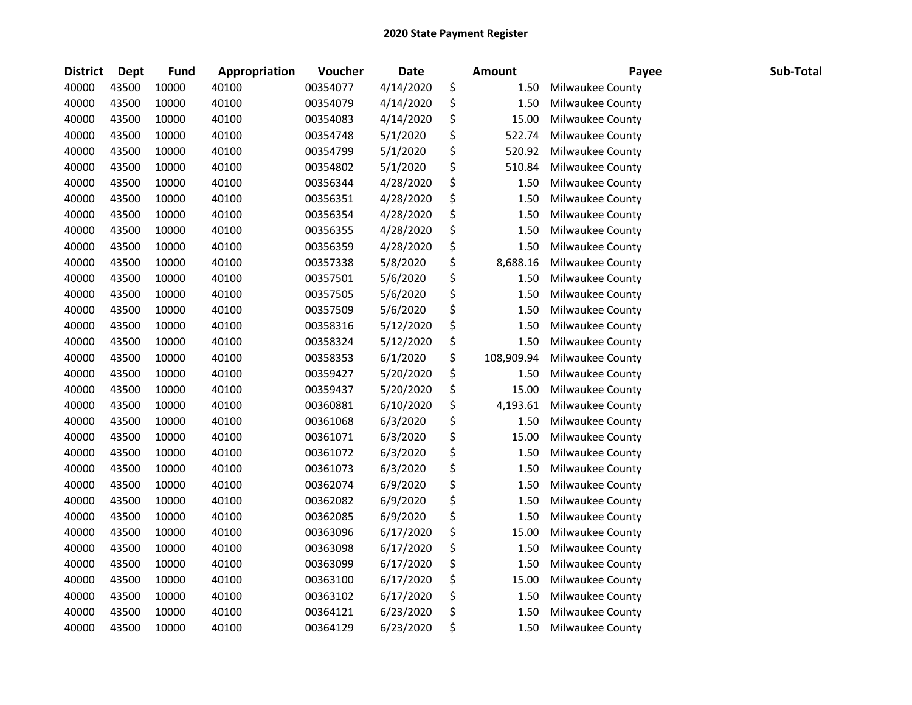| <b>District</b> | <b>Dept</b> | <b>Fund</b> | Appropriation | Voucher  | <b>Date</b> | <b>Amount</b>    | Payee            | Sub-Total |
|-----------------|-------------|-------------|---------------|----------|-------------|------------------|------------------|-----------|
| 40000           | 43500       | 10000       | 40100         | 00354077 | 4/14/2020   | \$<br>1.50       | Milwaukee County |           |
| 40000           | 43500       | 10000       | 40100         | 00354079 | 4/14/2020   | \$<br>1.50       | Milwaukee County |           |
| 40000           | 43500       | 10000       | 40100         | 00354083 | 4/14/2020   | \$<br>15.00      | Milwaukee County |           |
| 40000           | 43500       | 10000       | 40100         | 00354748 | 5/1/2020    | \$<br>522.74     | Milwaukee County |           |
| 40000           | 43500       | 10000       | 40100         | 00354799 | 5/1/2020    | \$<br>520.92     | Milwaukee County |           |
| 40000           | 43500       | 10000       | 40100         | 00354802 | 5/1/2020    | \$<br>510.84     | Milwaukee County |           |
| 40000           | 43500       | 10000       | 40100         | 00356344 | 4/28/2020   | \$<br>1.50       | Milwaukee County |           |
| 40000           | 43500       | 10000       | 40100         | 00356351 | 4/28/2020   | \$<br>1.50       | Milwaukee County |           |
| 40000           | 43500       | 10000       | 40100         | 00356354 | 4/28/2020   | \$<br>1.50       | Milwaukee County |           |
| 40000           | 43500       | 10000       | 40100         | 00356355 | 4/28/2020   | \$<br>1.50       | Milwaukee County |           |
| 40000           | 43500       | 10000       | 40100         | 00356359 | 4/28/2020   | \$<br>1.50       | Milwaukee County |           |
| 40000           | 43500       | 10000       | 40100         | 00357338 | 5/8/2020    | \$<br>8,688.16   | Milwaukee County |           |
| 40000           | 43500       | 10000       | 40100         | 00357501 | 5/6/2020    | \$<br>1.50       | Milwaukee County |           |
| 40000           | 43500       | 10000       | 40100         | 00357505 | 5/6/2020    | \$<br>1.50       | Milwaukee County |           |
| 40000           | 43500       | 10000       | 40100         | 00357509 | 5/6/2020    | \$<br>1.50       | Milwaukee County |           |
| 40000           | 43500       | 10000       | 40100         | 00358316 | 5/12/2020   | \$<br>1.50       | Milwaukee County |           |
| 40000           | 43500       | 10000       | 40100         | 00358324 | 5/12/2020   | \$<br>1.50       | Milwaukee County |           |
| 40000           | 43500       | 10000       | 40100         | 00358353 | 6/1/2020    | \$<br>108,909.94 | Milwaukee County |           |
| 40000           | 43500       | 10000       | 40100         | 00359427 | 5/20/2020   | \$<br>1.50       | Milwaukee County |           |
| 40000           | 43500       | 10000       | 40100         | 00359437 | 5/20/2020   | \$<br>15.00      | Milwaukee County |           |
| 40000           | 43500       | 10000       | 40100         | 00360881 | 6/10/2020   | \$<br>4,193.61   | Milwaukee County |           |
| 40000           | 43500       | 10000       | 40100         | 00361068 | 6/3/2020    | \$<br>1.50       | Milwaukee County |           |
| 40000           | 43500       | 10000       | 40100         | 00361071 | 6/3/2020    | \$<br>15.00      | Milwaukee County |           |
| 40000           | 43500       | 10000       | 40100         | 00361072 | 6/3/2020    | \$<br>1.50       | Milwaukee County |           |
| 40000           | 43500       | 10000       | 40100         | 00361073 | 6/3/2020    | \$<br>1.50       | Milwaukee County |           |
| 40000           | 43500       | 10000       | 40100         | 00362074 | 6/9/2020    | \$<br>1.50       | Milwaukee County |           |
| 40000           | 43500       | 10000       | 40100         | 00362082 | 6/9/2020    | \$<br>1.50       | Milwaukee County |           |
| 40000           | 43500       | 10000       | 40100         | 00362085 | 6/9/2020    | \$<br>1.50       | Milwaukee County |           |
| 40000           | 43500       | 10000       | 40100         | 00363096 | 6/17/2020   | \$<br>15.00      | Milwaukee County |           |
| 40000           | 43500       | 10000       | 40100         | 00363098 | 6/17/2020   | \$<br>1.50       | Milwaukee County |           |
| 40000           | 43500       | 10000       | 40100         | 00363099 | 6/17/2020   | \$<br>1.50       | Milwaukee County |           |
| 40000           | 43500       | 10000       | 40100         | 00363100 | 6/17/2020   | \$<br>15.00      | Milwaukee County |           |
| 40000           | 43500       | 10000       | 40100         | 00363102 | 6/17/2020   | \$<br>1.50       | Milwaukee County |           |
| 40000           | 43500       | 10000       | 40100         | 00364121 | 6/23/2020   | \$<br>1.50       | Milwaukee County |           |
| 40000           | 43500       | 10000       | 40100         | 00364129 | 6/23/2020   | \$<br>1.50       | Milwaukee County |           |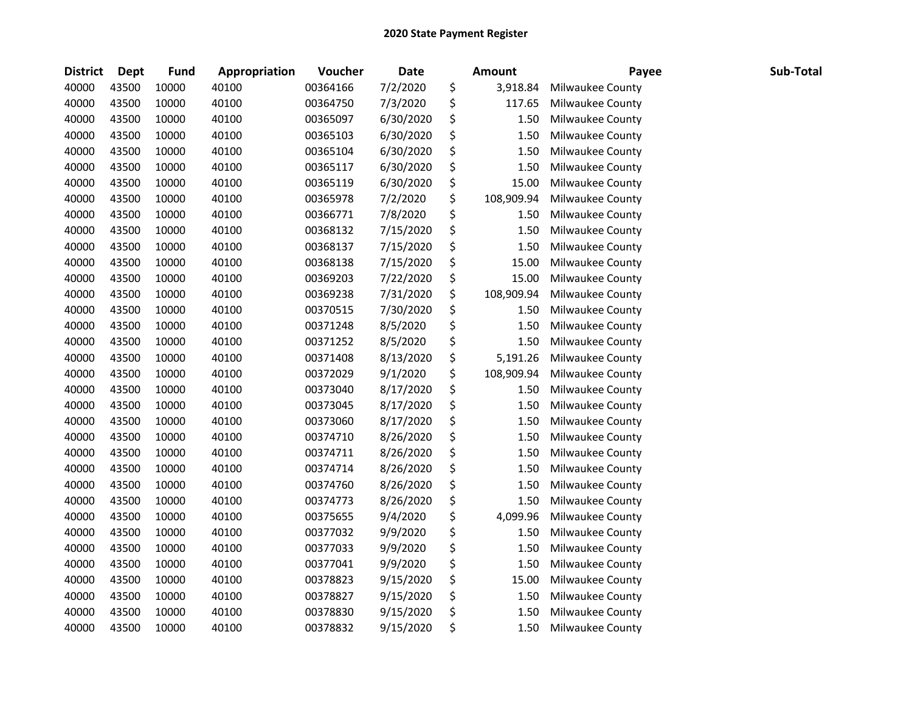| <b>District</b> | Dept  | <b>Fund</b> | Appropriation | Voucher  | Date      | <b>Amount</b>    | Payee            | Sub-Total |
|-----------------|-------|-------------|---------------|----------|-----------|------------------|------------------|-----------|
| 40000           | 43500 | 10000       | 40100         | 00364166 | 7/2/2020  | \$<br>3,918.84   | Milwaukee County |           |
| 40000           | 43500 | 10000       | 40100         | 00364750 | 7/3/2020  | \$<br>117.65     | Milwaukee County |           |
| 40000           | 43500 | 10000       | 40100         | 00365097 | 6/30/2020 | \$<br>1.50       | Milwaukee County |           |
| 40000           | 43500 | 10000       | 40100         | 00365103 | 6/30/2020 | \$<br>1.50       | Milwaukee County |           |
| 40000           | 43500 | 10000       | 40100         | 00365104 | 6/30/2020 | \$<br>1.50       | Milwaukee County |           |
| 40000           | 43500 | 10000       | 40100         | 00365117 | 6/30/2020 | \$<br>1.50       | Milwaukee County |           |
| 40000           | 43500 | 10000       | 40100         | 00365119 | 6/30/2020 | \$<br>15.00      | Milwaukee County |           |
| 40000           | 43500 | 10000       | 40100         | 00365978 | 7/2/2020  | \$<br>108,909.94 | Milwaukee County |           |
| 40000           | 43500 | 10000       | 40100         | 00366771 | 7/8/2020  | \$<br>1.50       | Milwaukee County |           |
| 40000           | 43500 | 10000       | 40100         | 00368132 | 7/15/2020 | \$<br>1.50       | Milwaukee County |           |
| 40000           | 43500 | 10000       | 40100         | 00368137 | 7/15/2020 | \$<br>1.50       | Milwaukee County |           |
| 40000           | 43500 | 10000       | 40100         | 00368138 | 7/15/2020 | \$<br>15.00      | Milwaukee County |           |
| 40000           | 43500 | 10000       | 40100         | 00369203 | 7/22/2020 | \$<br>15.00      | Milwaukee County |           |
| 40000           | 43500 | 10000       | 40100         | 00369238 | 7/31/2020 | \$<br>108,909.94 | Milwaukee County |           |
| 40000           | 43500 | 10000       | 40100         | 00370515 | 7/30/2020 | \$<br>1.50       | Milwaukee County |           |
| 40000           | 43500 | 10000       | 40100         | 00371248 | 8/5/2020  | \$<br>1.50       | Milwaukee County |           |
| 40000           | 43500 | 10000       | 40100         | 00371252 | 8/5/2020  | \$<br>1.50       | Milwaukee County |           |
| 40000           | 43500 | 10000       | 40100         | 00371408 | 8/13/2020 | \$<br>5,191.26   | Milwaukee County |           |
| 40000           | 43500 | 10000       | 40100         | 00372029 | 9/1/2020  | \$<br>108,909.94 | Milwaukee County |           |
| 40000           | 43500 | 10000       | 40100         | 00373040 | 8/17/2020 | \$<br>1.50       | Milwaukee County |           |
| 40000           | 43500 | 10000       | 40100         | 00373045 | 8/17/2020 | \$<br>1.50       | Milwaukee County |           |
| 40000           | 43500 | 10000       | 40100         | 00373060 | 8/17/2020 | \$<br>1.50       | Milwaukee County |           |
| 40000           | 43500 | 10000       | 40100         | 00374710 | 8/26/2020 | \$<br>1.50       | Milwaukee County |           |
| 40000           | 43500 | 10000       | 40100         | 00374711 | 8/26/2020 | \$<br>1.50       | Milwaukee County |           |
| 40000           | 43500 | 10000       | 40100         | 00374714 | 8/26/2020 | \$<br>1.50       | Milwaukee County |           |
| 40000           | 43500 | 10000       | 40100         | 00374760 | 8/26/2020 | \$<br>1.50       | Milwaukee County |           |
| 40000           | 43500 | 10000       | 40100         | 00374773 | 8/26/2020 | \$<br>1.50       | Milwaukee County |           |
| 40000           | 43500 | 10000       | 40100         | 00375655 | 9/4/2020  | \$<br>4,099.96   | Milwaukee County |           |
| 40000           | 43500 | 10000       | 40100         | 00377032 | 9/9/2020  | \$<br>1.50       | Milwaukee County |           |
| 40000           | 43500 | 10000       | 40100         | 00377033 | 9/9/2020  | \$<br>1.50       | Milwaukee County |           |
| 40000           | 43500 | 10000       | 40100         | 00377041 | 9/9/2020  | \$<br>1.50       | Milwaukee County |           |
| 40000           | 43500 | 10000       | 40100         | 00378823 | 9/15/2020 | \$<br>15.00      | Milwaukee County |           |
| 40000           | 43500 | 10000       | 40100         | 00378827 | 9/15/2020 | \$<br>1.50       | Milwaukee County |           |
| 40000           | 43500 | 10000       | 40100         | 00378830 | 9/15/2020 | \$<br>1.50       | Milwaukee County |           |
| 40000           | 43500 | 10000       | 40100         | 00378832 | 9/15/2020 | \$<br>1.50       | Milwaukee County |           |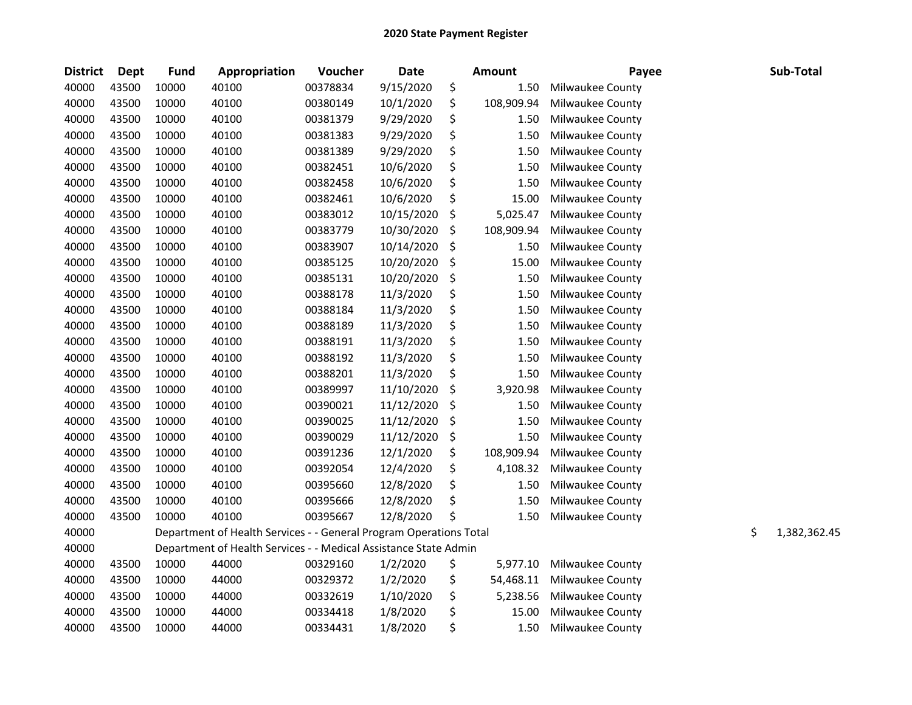| <b>District</b> | Dept  | Fund  | Appropriation                                                      | Voucher  | <b>Date</b> | <b>Amount</b>    | Payee            | Sub-Total          |
|-----------------|-------|-------|--------------------------------------------------------------------|----------|-------------|------------------|------------------|--------------------|
| 40000           | 43500 | 10000 | 40100                                                              | 00378834 | 9/15/2020   | \$<br>1.50       | Milwaukee County |                    |
| 40000           | 43500 | 10000 | 40100                                                              | 00380149 | 10/1/2020   | \$<br>108,909.94 | Milwaukee County |                    |
| 40000           | 43500 | 10000 | 40100                                                              | 00381379 | 9/29/2020   | \$<br>1.50       | Milwaukee County |                    |
| 40000           | 43500 | 10000 | 40100                                                              | 00381383 | 9/29/2020   | \$<br>1.50       | Milwaukee County |                    |
| 40000           | 43500 | 10000 | 40100                                                              | 00381389 | 9/29/2020   | \$<br>1.50       | Milwaukee County |                    |
| 40000           | 43500 | 10000 | 40100                                                              | 00382451 | 10/6/2020   | \$<br>1.50       | Milwaukee County |                    |
| 40000           | 43500 | 10000 | 40100                                                              | 00382458 | 10/6/2020   | \$<br>1.50       | Milwaukee County |                    |
| 40000           | 43500 | 10000 | 40100                                                              | 00382461 | 10/6/2020   | \$<br>15.00      | Milwaukee County |                    |
| 40000           | 43500 | 10000 | 40100                                                              | 00383012 | 10/15/2020  | \$<br>5,025.47   | Milwaukee County |                    |
| 40000           | 43500 | 10000 | 40100                                                              | 00383779 | 10/30/2020  | \$<br>108,909.94 | Milwaukee County |                    |
| 40000           | 43500 | 10000 | 40100                                                              | 00383907 | 10/14/2020  | \$<br>1.50       | Milwaukee County |                    |
| 40000           | 43500 | 10000 | 40100                                                              | 00385125 | 10/20/2020  | \$<br>15.00      | Milwaukee County |                    |
| 40000           | 43500 | 10000 | 40100                                                              | 00385131 | 10/20/2020  | \$<br>1.50       | Milwaukee County |                    |
| 40000           | 43500 | 10000 | 40100                                                              | 00388178 | 11/3/2020   | \$<br>1.50       | Milwaukee County |                    |
| 40000           | 43500 | 10000 | 40100                                                              | 00388184 | 11/3/2020   | \$<br>1.50       | Milwaukee County |                    |
| 40000           | 43500 | 10000 | 40100                                                              | 00388189 | 11/3/2020   | \$<br>1.50       | Milwaukee County |                    |
| 40000           | 43500 | 10000 | 40100                                                              | 00388191 | 11/3/2020   | \$<br>1.50       | Milwaukee County |                    |
| 40000           | 43500 | 10000 | 40100                                                              | 00388192 | 11/3/2020   | \$<br>1.50       | Milwaukee County |                    |
| 40000           | 43500 | 10000 | 40100                                                              | 00388201 | 11/3/2020   | \$<br>1.50       | Milwaukee County |                    |
| 40000           | 43500 | 10000 | 40100                                                              | 00389997 | 11/10/2020  | \$<br>3,920.98   | Milwaukee County |                    |
| 40000           | 43500 | 10000 | 40100                                                              | 00390021 | 11/12/2020  | \$<br>1.50       | Milwaukee County |                    |
| 40000           | 43500 | 10000 | 40100                                                              | 00390025 | 11/12/2020  | \$<br>1.50       | Milwaukee County |                    |
| 40000           | 43500 | 10000 | 40100                                                              | 00390029 | 11/12/2020  | \$<br>1.50       | Milwaukee County |                    |
| 40000           | 43500 | 10000 | 40100                                                              | 00391236 | 12/1/2020   | \$<br>108,909.94 | Milwaukee County |                    |
| 40000           | 43500 | 10000 | 40100                                                              | 00392054 | 12/4/2020   | \$<br>4,108.32   | Milwaukee County |                    |
| 40000           | 43500 | 10000 | 40100                                                              | 00395660 | 12/8/2020   | \$<br>1.50       | Milwaukee County |                    |
| 40000           | 43500 | 10000 | 40100                                                              | 00395666 | 12/8/2020   | \$<br>1.50       | Milwaukee County |                    |
| 40000           | 43500 | 10000 | 40100                                                              | 00395667 | 12/8/2020   | \$<br>1.50       | Milwaukee County |                    |
| 40000           |       |       | Department of Health Services - - General Program Operations Total |          |             |                  |                  | \$<br>1,382,362.45 |
| 40000           |       |       | Department of Health Services - - Medical Assistance State Admin   |          |             |                  |                  |                    |
| 40000           | 43500 | 10000 | 44000                                                              | 00329160 | 1/2/2020    | \$<br>5,977.10   | Milwaukee County |                    |
| 40000           | 43500 | 10000 | 44000                                                              | 00329372 | 1/2/2020    | \$<br>54,468.11  | Milwaukee County |                    |
| 40000           | 43500 | 10000 | 44000                                                              | 00332619 | 1/10/2020   | \$<br>5,238.56   | Milwaukee County |                    |
| 40000           | 43500 | 10000 | 44000                                                              | 00334418 | 1/8/2020    | \$<br>15.00      | Milwaukee County |                    |
| 40000           | 43500 | 10000 | 44000                                                              | 00334431 | 1/8/2020    | \$<br>1.50       | Milwaukee County |                    |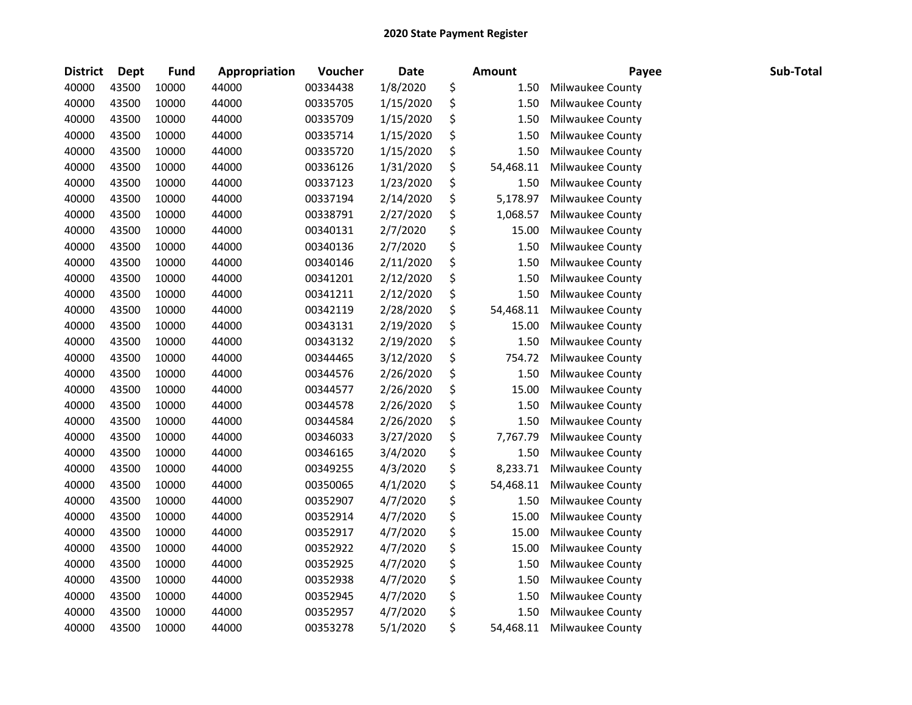| <b>District</b> | <b>Dept</b> | <b>Fund</b> | Appropriation | Voucher  | <b>Date</b> | Amount          | Payee            | Sub-Total |
|-----------------|-------------|-------------|---------------|----------|-------------|-----------------|------------------|-----------|
| 40000           | 43500       | 10000       | 44000         | 00334438 | 1/8/2020    | \$<br>1.50      | Milwaukee County |           |
| 40000           | 43500       | 10000       | 44000         | 00335705 | 1/15/2020   | \$<br>1.50      | Milwaukee County |           |
| 40000           | 43500       | 10000       | 44000         | 00335709 | 1/15/2020   | \$<br>1.50      | Milwaukee County |           |
| 40000           | 43500       | 10000       | 44000         | 00335714 | 1/15/2020   | \$<br>1.50      | Milwaukee County |           |
| 40000           | 43500       | 10000       | 44000         | 00335720 | 1/15/2020   | \$<br>1.50      | Milwaukee County |           |
| 40000           | 43500       | 10000       | 44000         | 00336126 | 1/31/2020   | \$<br>54,468.11 | Milwaukee County |           |
| 40000           | 43500       | 10000       | 44000         | 00337123 | 1/23/2020   | \$<br>1.50      | Milwaukee County |           |
| 40000           | 43500       | 10000       | 44000         | 00337194 | 2/14/2020   | \$<br>5,178.97  | Milwaukee County |           |
| 40000           | 43500       | 10000       | 44000         | 00338791 | 2/27/2020   | \$<br>1,068.57  | Milwaukee County |           |
| 40000           | 43500       | 10000       | 44000         | 00340131 | 2/7/2020    | \$<br>15.00     | Milwaukee County |           |
| 40000           | 43500       | 10000       | 44000         | 00340136 | 2/7/2020    | \$<br>1.50      | Milwaukee County |           |
| 40000           | 43500       | 10000       | 44000         | 00340146 | 2/11/2020   | \$<br>1.50      | Milwaukee County |           |
| 40000           | 43500       | 10000       | 44000         | 00341201 | 2/12/2020   | \$<br>1.50      | Milwaukee County |           |
| 40000           | 43500       | 10000       | 44000         | 00341211 | 2/12/2020   | \$<br>1.50      | Milwaukee County |           |
| 40000           | 43500       | 10000       | 44000         | 00342119 | 2/28/2020   | \$<br>54,468.11 | Milwaukee County |           |
| 40000           | 43500       | 10000       | 44000         | 00343131 | 2/19/2020   | \$<br>15.00     | Milwaukee County |           |
| 40000           | 43500       | 10000       | 44000         | 00343132 | 2/19/2020   | \$<br>1.50      | Milwaukee County |           |
| 40000           | 43500       | 10000       | 44000         | 00344465 | 3/12/2020   | \$<br>754.72    | Milwaukee County |           |
| 40000           | 43500       | 10000       | 44000         | 00344576 | 2/26/2020   | \$<br>1.50      | Milwaukee County |           |
| 40000           | 43500       | 10000       | 44000         | 00344577 | 2/26/2020   | \$<br>15.00     | Milwaukee County |           |
| 40000           | 43500       | 10000       | 44000         | 00344578 | 2/26/2020   | \$<br>1.50      | Milwaukee County |           |
| 40000           | 43500       | 10000       | 44000         | 00344584 | 2/26/2020   | \$<br>1.50      | Milwaukee County |           |
| 40000           | 43500       | 10000       | 44000         | 00346033 | 3/27/2020   | \$<br>7,767.79  | Milwaukee County |           |
| 40000           | 43500       | 10000       | 44000         | 00346165 | 3/4/2020    | \$<br>1.50      | Milwaukee County |           |
| 40000           | 43500       | 10000       | 44000         | 00349255 | 4/3/2020    | \$<br>8,233.71  | Milwaukee County |           |
| 40000           | 43500       | 10000       | 44000         | 00350065 | 4/1/2020    | \$<br>54,468.11 | Milwaukee County |           |
| 40000           | 43500       | 10000       | 44000         | 00352907 | 4/7/2020    | \$<br>1.50      | Milwaukee County |           |
| 40000           | 43500       | 10000       | 44000         | 00352914 | 4/7/2020    | \$<br>15.00     | Milwaukee County |           |
| 40000           | 43500       | 10000       | 44000         | 00352917 | 4/7/2020    | \$<br>15.00     | Milwaukee County |           |
| 40000           | 43500       | 10000       | 44000         | 00352922 | 4/7/2020    | \$<br>15.00     | Milwaukee County |           |
| 40000           | 43500       | 10000       | 44000         | 00352925 | 4/7/2020    | \$<br>1.50      | Milwaukee County |           |
| 40000           | 43500       | 10000       | 44000         | 00352938 | 4/7/2020    | \$<br>1.50      | Milwaukee County |           |
| 40000           | 43500       | 10000       | 44000         | 00352945 | 4/7/2020    | \$<br>1.50      | Milwaukee County |           |
| 40000           | 43500       | 10000       | 44000         | 00352957 | 4/7/2020    | \$<br>1.50      | Milwaukee County |           |
| 40000           | 43500       | 10000       | 44000         | 00353278 | 5/1/2020    | \$<br>54,468.11 | Milwaukee County |           |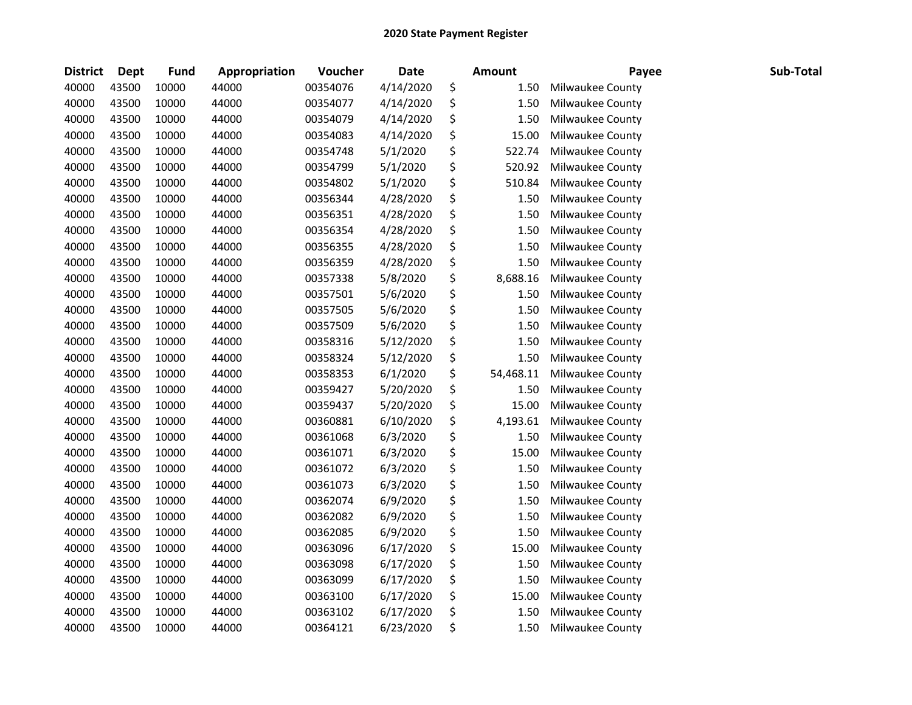| <b>District</b> | <b>Dept</b> | <b>Fund</b> | Appropriation | Voucher  | <b>Date</b> | <b>Amount</b>   | Payee            | Sub-Total |
|-----------------|-------------|-------------|---------------|----------|-------------|-----------------|------------------|-----------|
| 40000           | 43500       | 10000       | 44000         | 00354076 | 4/14/2020   | \$<br>1.50      | Milwaukee County |           |
| 40000           | 43500       | 10000       | 44000         | 00354077 | 4/14/2020   | \$<br>1.50      | Milwaukee County |           |
| 40000           | 43500       | 10000       | 44000         | 00354079 | 4/14/2020   | \$<br>1.50      | Milwaukee County |           |
| 40000           | 43500       | 10000       | 44000         | 00354083 | 4/14/2020   | \$<br>15.00     | Milwaukee County |           |
| 40000           | 43500       | 10000       | 44000         | 00354748 | 5/1/2020    | \$<br>522.74    | Milwaukee County |           |
| 40000           | 43500       | 10000       | 44000         | 00354799 | 5/1/2020    | \$<br>520.92    | Milwaukee County |           |
| 40000           | 43500       | 10000       | 44000         | 00354802 | 5/1/2020    | \$<br>510.84    | Milwaukee County |           |
| 40000           | 43500       | 10000       | 44000         | 00356344 | 4/28/2020   | \$<br>1.50      | Milwaukee County |           |
| 40000           | 43500       | 10000       | 44000         | 00356351 | 4/28/2020   | \$<br>1.50      | Milwaukee County |           |
| 40000           | 43500       | 10000       | 44000         | 00356354 | 4/28/2020   | \$<br>1.50      | Milwaukee County |           |
| 40000           | 43500       | 10000       | 44000         | 00356355 | 4/28/2020   | \$<br>1.50      | Milwaukee County |           |
| 40000           | 43500       | 10000       | 44000         | 00356359 | 4/28/2020   | \$<br>1.50      | Milwaukee County |           |
| 40000           | 43500       | 10000       | 44000         | 00357338 | 5/8/2020    | \$<br>8,688.16  | Milwaukee County |           |
| 40000           | 43500       | 10000       | 44000         | 00357501 | 5/6/2020    | \$<br>1.50      | Milwaukee County |           |
| 40000           | 43500       | 10000       | 44000         | 00357505 | 5/6/2020    | \$<br>1.50      | Milwaukee County |           |
| 40000           | 43500       | 10000       | 44000         | 00357509 | 5/6/2020    | \$<br>1.50      | Milwaukee County |           |
| 40000           | 43500       | 10000       | 44000         | 00358316 | 5/12/2020   | \$<br>1.50      | Milwaukee County |           |
| 40000           | 43500       | 10000       | 44000         | 00358324 | 5/12/2020   | \$<br>1.50      | Milwaukee County |           |
| 40000           | 43500       | 10000       | 44000         | 00358353 | 6/1/2020    | \$<br>54,468.11 | Milwaukee County |           |
| 40000           | 43500       | 10000       | 44000         | 00359427 | 5/20/2020   | \$<br>1.50      | Milwaukee County |           |
| 40000           | 43500       | 10000       | 44000         | 00359437 | 5/20/2020   | \$<br>15.00     | Milwaukee County |           |
| 40000           | 43500       | 10000       | 44000         | 00360881 | 6/10/2020   | \$<br>4,193.61  | Milwaukee County |           |
| 40000           | 43500       | 10000       | 44000         | 00361068 | 6/3/2020    | \$<br>1.50      | Milwaukee County |           |
| 40000           | 43500       | 10000       | 44000         | 00361071 | 6/3/2020    | \$<br>15.00     | Milwaukee County |           |
| 40000           | 43500       | 10000       | 44000         | 00361072 | 6/3/2020    | \$<br>1.50      | Milwaukee County |           |
| 40000           | 43500       | 10000       | 44000         | 00361073 | 6/3/2020    | \$<br>1.50      | Milwaukee County |           |
| 40000           | 43500       | 10000       | 44000         | 00362074 | 6/9/2020    | \$<br>1.50      | Milwaukee County |           |
| 40000           | 43500       | 10000       | 44000         | 00362082 | 6/9/2020    | \$<br>1.50      | Milwaukee County |           |
| 40000           | 43500       | 10000       | 44000         | 00362085 | 6/9/2020    | \$<br>1.50      | Milwaukee County |           |
| 40000           | 43500       | 10000       | 44000         | 00363096 | 6/17/2020   | \$<br>15.00     | Milwaukee County |           |
| 40000           | 43500       | 10000       | 44000         | 00363098 | 6/17/2020   | \$<br>1.50      | Milwaukee County |           |
| 40000           | 43500       | 10000       | 44000         | 00363099 | 6/17/2020   | \$<br>1.50      | Milwaukee County |           |
| 40000           | 43500       | 10000       | 44000         | 00363100 | 6/17/2020   | \$<br>15.00     | Milwaukee County |           |
| 40000           | 43500       | 10000       | 44000         | 00363102 | 6/17/2020   | \$<br>1.50      | Milwaukee County |           |
| 40000           | 43500       | 10000       | 44000         | 00364121 | 6/23/2020   | \$<br>1.50      | Milwaukee County |           |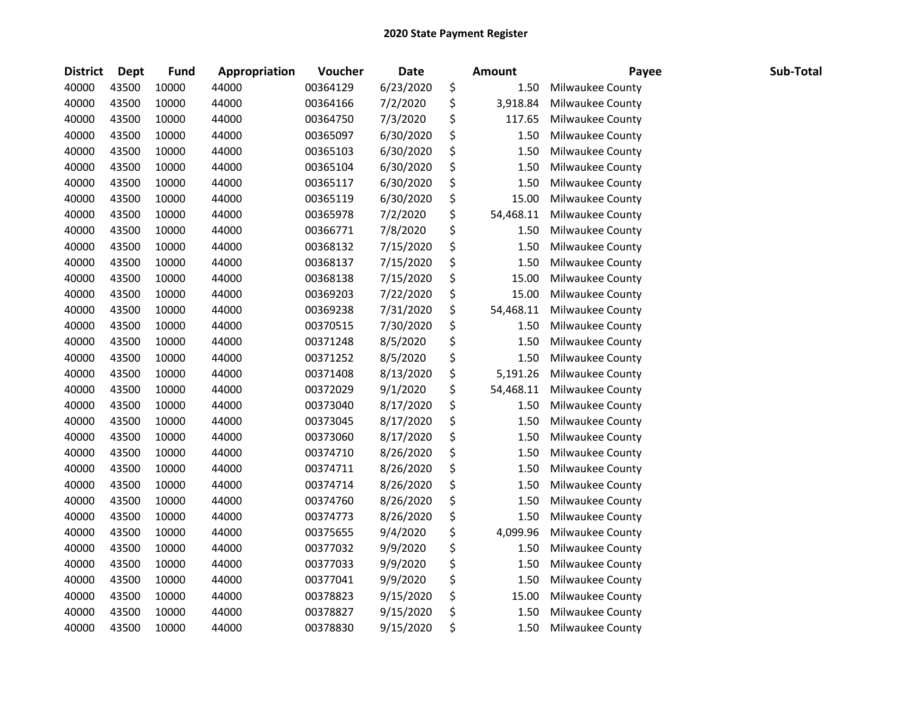| <b>District</b> | <b>Dept</b> | <b>Fund</b> | Appropriation | Voucher  | <b>Date</b> | <b>Amount</b>   | Payee            | Sub-Total |
|-----------------|-------------|-------------|---------------|----------|-------------|-----------------|------------------|-----------|
| 40000           | 43500       | 10000       | 44000         | 00364129 | 6/23/2020   | \$<br>1.50      | Milwaukee County |           |
| 40000           | 43500       | 10000       | 44000         | 00364166 | 7/2/2020    | \$<br>3,918.84  | Milwaukee County |           |
| 40000           | 43500       | 10000       | 44000         | 00364750 | 7/3/2020    | \$<br>117.65    | Milwaukee County |           |
| 40000           | 43500       | 10000       | 44000         | 00365097 | 6/30/2020   | \$<br>1.50      | Milwaukee County |           |
| 40000           | 43500       | 10000       | 44000         | 00365103 | 6/30/2020   | \$<br>1.50      | Milwaukee County |           |
| 40000           | 43500       | 10000       | 44000         | 00365104 | 6/30/2020   | \$<br>1.50      | Milwaukee County |           |
| 40000           | 43500       | 10000       | 44000         | 00365117 | 6/30/2020   | \$<br>1.50      | Milwaukee County |           |
| 40000           | 43500       | 10000       | 44000         | 00365119 | 6/30/2020   | \$<br>15.00     | Milwaukee County |           |
| 40000           | 43500       | 10000       | 44000         | 00365978 | 7/2/2020    | \$<br>54,468.11 | Milwaukee County |           |
| 40000           | 43500       | 10000       | 44000         | 00366771 | 7/8/2020    | \$<br>1.50      | Milwaukee County |           |
| 40000           | 43500       | 10000       | 44000         | 00368132 | 7/15/2020   | \$<br>1.50      | Milwaukee County |           |
| 40000           | 43500       | 10000       | 44000         | 00368137 | 7/15/2020   | \$<br>1.50      | Milwaukee County |           |
| 40000           | 43500       | 10000       | 44000         | 00368138 | 7/15/2020   | \$<br>15.00     | Milwaukee County |           |
| 40000           | 43500       | 10000       | 44000         | 00369203 | 7/22/2020   | \$<br>15.00     | Milwaukee County |           |
| 40000           | 43500       | 10000       | 44000         | 00369238 | 7/31/2020   | \$<br>54,468.11 | Milwaukee County |           |
| 40000           | 43500       | 10000       | 44000         | 00370515 | 7/30/2020   | \$<br>1.50      | Milwaukee County |           |
| 40000           | 43500       | 10000       | 44000         | 00371248 | 8/5/2020    | \$<br>1.50      | Milwaukee County |           |
| 40000           | 43500       | 10000       | 44000         | 00371252 | 8/5/2020    | \$<br>1.50      | Milwaukee County |           |
| 40000           | 43500       | 10000       | 44000         | 00371408 | 8/13/2020   | \$<br>5,191.26  | Milwaukee County |           |
| 40000           | 43500       | 10000       | 44000         | 00372029 | 9/1/2020    | \$<br>54,468.11 | Milwaukee County |           |
| 40000           | 43500       | 10000       | 44000         | 00373040 | 8/17/2020   | \$<br>1.50      | Milwaukee County |           |
| 40000           | 43500       | 10000       | 44000         | 00373045 | 8/17/2020   | \$<br>1.50      | Milwaukee County |           |
| 40000           | 43500       | 10000       | 44000         | 00373060 | 8/17/2020   | \$<br>1.50      | Milwaukee County |           |
| 40000           | 43500       | 10000       | 44000         | 00374710 | 8/26/2020   | \$<br>1.50      | Milwaukee County |           |
| 40000           | 43500       | 10000       | 44000         | 00374711 | 8/26/2020   | \$<br>1.50      | Milwaukee County |           |
| 40000           | 43500       | 10000       | 44000         | 00374714 | 8/26/2020   | \$<br>1.50      | Milwaukee County |           |
| 40000           | 43500       | 10000       | 44000         | 00374760 | 8/26/2020   | \$<br>1.50      | Milwaukee County |           |
| 40000           | 43500       | 10000       | 44000         | 00374773 | 8/26/2020   | \$<br>1.50      | Milwaukee County |           |
| 40000           | 43500       | 10000       | 44000         | 00375655 | 9/4/2020    | \$<br>4,099.96  | Milwaukee County |           |
| 40000           | 43500       | 10000       | 44000         | 00377032 | 9/9/2020    | \$<br>1.50      | Milwaukee County |           |
| 40000           | 43500       | 10000       | 44000         | 00377033 | 9/9/2020    | \$<br>1.50      | Milwaukee County |           |
| 40000           | 43500       | 10000       | 44000         | 00377041 | 9/9/2020    | \$<br>1.50      | Milwaukee County |           |
| 40000           | 43500       | 10000       | 44000         | 00378823 | 9/15/2020   | \$<br>15.00     | Milwaukee County |           |
| 40000           | 43500       | 10000       | 44000         | 00378827 | 9/15/2020   | \$<br>1.50      | Milwaukee County |           |
| 40000           | 43500       | 10000       | 44000         | 00378830 | 9/15/2020   | \$<br>1.50      | Milwaukee County |           |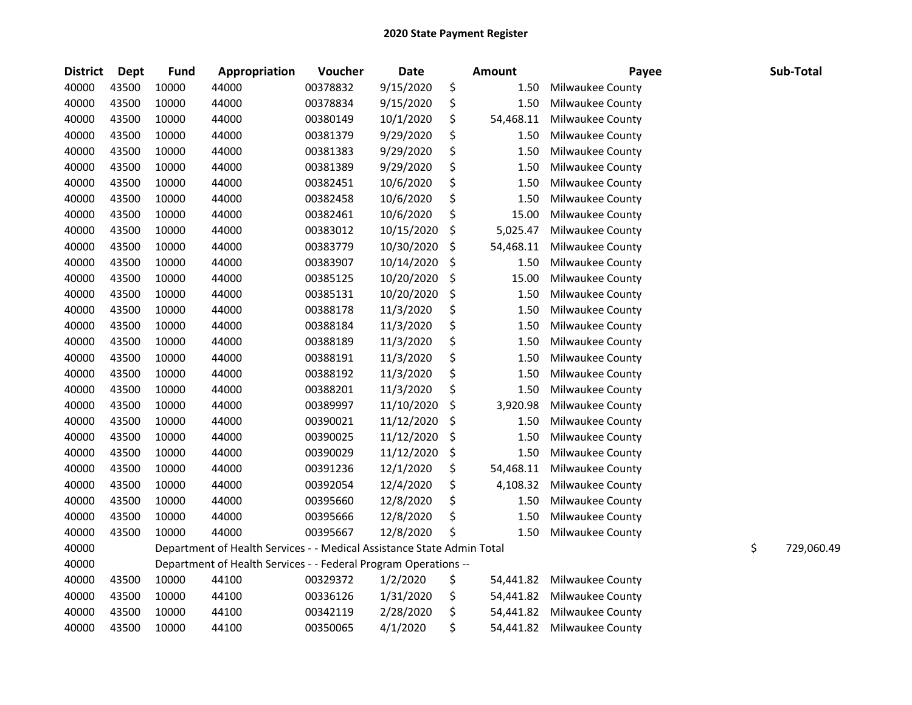| <b>District</b> | Dept  | <b>Fund</b> | Appropriation                                                          | Voucher  | <b>Date</b> |    | <b>Amount</b> | Payee            |    | Sub-Total  |
|-----------------|-------|-------------|------------------------------------------------------------------------|----------|-------------|----|---------------|------------------|----|------------|
| 40000           | 43500 | 10000       | 44000                                                                  | 00378832 | 9/15/2020   | \$ | 1.50          | Milwaukee County |    |            |
| 40000           | 43500 | 10000       | 44000                                                                  | 00378834 | 9/15/2020   | \$ | 1.50          | Milwaukee County |    |            |
| 40000           | 43500 | 10000       | 44000                                                                  | 00380149 | 10/1/2020   | \$ | 54,468.11     | Milwaukee County |    |            |
| 40000           | 43500 | 10000       | 44000                                                                  | 00381379 | 9/29/2020   | \$ | 1.50          | Milwaukee County |    |            |
| 40000           | 43500 | 10000       | 44000                                                                  | 00381383 | 9/29/2020   | \$ | 1.50          | Milwaukee County |    |            |
| 40000           | 43500 | 10000       | 44000                                                                  | 00381389 | 9/29/2020   | \$ | 1.50          | Milwaukee County |    |            |
| 40000           | 43500 | 10000       | 44000                                                                  | 00382451 | 10/6/2020   | \$ | 1.50          | Milwaukee County |    |            |
| 40000           | 43500 | 10000       | 44000                                                                  | 00382458 | 10/6/2020   | \$ | 1.50          | Milwaukee County |    |            |
| 40000           | 43500 | 10000       | 44000                                                                  | 00382461 | 10/6/2020   | \$ | 15.00         | Milwaukee County |    |            |
| 40000           | 43500 | 10000       | 44000                                                                  | 00383012 | 10/15/2020  | \$ | 5,025.47      | Milwaukee County |    |            |
| 40000           | 43500 | 10000       | 44000                                                                  | 00383779 | 10/30/2020  | \$ | 54,468.11     | Milwaukee County |    |            |
| 40000           | 43500 | 10000       | 44000                                                                  | 00383907 | 10/14/2020  | \$ | 1.50          | Milwaukee County |    |            |
| 40000           | 43500 | 10000       | 44000                                                                  | 00385125 | 10/20/2020  | \$ | 15.00         | Milwaukee County |    |            |
| 40000           | 43500 | 10000       | 44000                                                                  | 00385131 | 10/20/2020  | \$ | 1.50          | Milwaukee County |    |            |
| 40000           | 43500 | 10000       | 44000                                                                  | 00388178 | 11/3/2020   | \$ | 1.50          | Milwaukee County |    |            |
| 40000           | 43500 | 10000       | 44000                                                                  | 00388184 | 11/3/2020   | \$ | 1.50          | Milwaukee County |    |            |
| 40000           | 43500 | 10000       | 44000                                                                  | 00388189 | 11/3/2020   | \$ | 1.50          | Milwaukee County |    |            |
| 40000           | 43500 | 10000       | 44000                                                                  | 00388191 | 11/3/2020   | \$ | 1.50          | Milwaukee County |    |            |
| 40000           | 43500 | 10000       | 44000                                                                  | 00388192 | 11/3/2020   | \$ | 1.50          | Milwaukee County |    |            |
| 40000           | 43500 | 10000       | 44000                                                                  | 00388201 | 11/3/2020   | \$ | 1.50          | Milwaukee County |    |            |
| 40000           | 43500 | 10000       | 44000                                                                  | 00389997 | 11/10/2020  | \$ | 3,920.98      | Milwaukee County |    |            |
| 40000           | 43500 | 10000       | 44000                                                                  | 00390021 | 11/12/2020  | \$ | 1.50          | Milwaukee County |    |            |
| 40000           | 43500 | 10000       | 44000                                                                  | 00390025 | 11/12/2020  | \$ | 1.50          | Milwaukee County |    |            |
| 40000           | 43500 | 10000       | 44000                                                                  | 00390029 | 11/12/2020  | \$ | 1.50          | Milwaukee County |    |            |
| 40000           | 43500 | 10000       | 44000                                                                  | 00391236 | 12/1/2020   | \$ | 54,468.11     | Milwaukee County |    |            |
| 40000           | 43500 | 10000       | 44000                                                                  | 00392054 | 12/4/2020   | \$ | 4,108.32      | Milwaukee County |    |            |
| 40000           | 43500 | 10000       | 44000                                                                  | 00395660 | 12/8/2020   | \$ | 1.50          | Milwaukee County |    |            |
| 40000           | 43500 | 10000       | 44000                                                                  | 00395666 | 12/8/2020   | \$ | 1.50          | Milwaukee County |    |            |
| 40000           | 43500 | 10000       | 44000                                                                  | 00395667 | 12/8/2020   | Ś  | 1.50          | Milwaukee County |    |            |
| 40000           |       |             | Department of Health Services - - Medical Assistance State Admin Total |          |             |    |               |                  | \$ | 729,060.49 |
| 40000           |       |             | Department of Health Services - - Federal Program Operations --        |          |             |    |               |                  |    |            |
| 40000           | 43500 | 10000       | 44100                                                                  | 00329372 | 1/2/2020    | \$ | 54,441.82     | Milwaukee County |    |            |
| 40000           | 43500 | 10000       | 44100                                                                  | 00336126 | 1/31/2020   | \$ | 54,441.82     | Milwaukee County |    |            |
| 40000           | 43500 | 10000       | 44100                                                                  | 00342119 | 2/28/2020   | \$ | 54,441.82     | Milwaukee County |    |            |
| 40000           | 43500 | 10000       | 44100                                                                  | 00350065 | 4/1/2020    | \$ | 54,441.82     | Milwaukee County |    |            |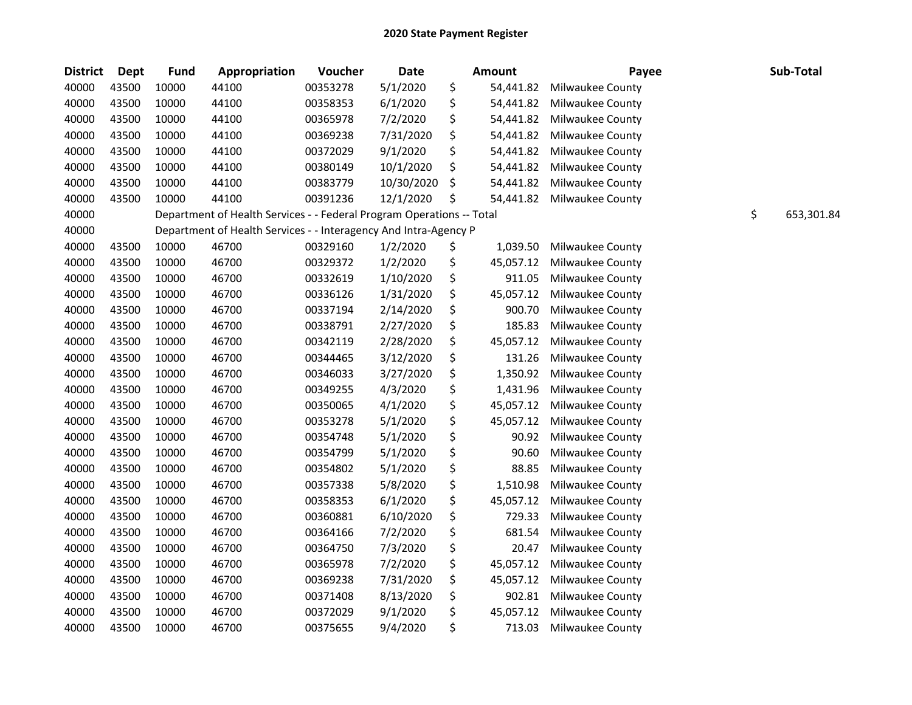| <b>District</b> | <b>Dept</b> | <b>Fund</b> | Appropriation                                                         | Voucher  | <b>Date</b> | <b>Amount</b>   | Payee            | Sub-Total        |
|-----------------|-------------|-------------|-----------------------------------------------------------------------|----------|-------------|-----------------|------------------|------------------|
| 40000           | 43500       | 10000       | 44100                                                                 | 00353278 | 5/1/2020    | \$<br>54,441.82 | Milwaukee County |                  |
| 40000           | 43500       | 10000       | 44100                                                                 | 00358353 | 6/1/2020    | \$<br>54,441.82 | Milwaukee County |                  |
| 40000           | 43500       | 10000       | 44100                                                                 | 00365978 | 7/2/2020    | \$<br>54,441.82 | Milwaukee County |                  |
| 40000           | 43500       | 10000       | 44100                                                                 | 00369238 | 7/31/2020   | \$<br>54,441.82 | Milwaukee County |                  |
| 40000           | 43500       | 10000       | 44100                                                                 | 00372029 | 9/1/2020    | \$<br>54,441.82 | Milwaukee County |                  |
| 40000           | 43500       | 10000       | 44100                                                                 | 00380149 | 10/1/2020   | \$<br>54,441.82 | Milwaukee County |                  |
| 40000           | 43500       | 10000       | 44100                                                                 | 00383779 | 10/30/2020  | \$<br>54,441.82 | Milwaukee County |                  |
| 40000           | 43500       | 10000       | 44100                                                                 | 00391236 | 12/1/2020   | \$<br>54,441.82 | Milwaukee County |                  |
| 40000           |             |             | Department of Health Services - - Federal Program Operations -- Total |          |             |                 |                  | \$<br>653,301.84 |
| 40000           |             |             | Department of Health Services - - Interagency And Intra-Agency P      |          |             |                 |                  |                  |
| 40000           | 43500       | 10000       | 46700                                                                 | 00329160 | 1/2/2020    | \$<br>1,039.50  | Milwaukee County |                  |
| 40000           | 43500       | 10000       | 46700                                                                 | 00329372 | 1/2/2020    | \$<br>45,057.12 | Milwaukee County |                  |
| 40000           | 43500       | 10000       | 46700                                                                 | 00332619 | 1/10/2020   | \$<br>911.05    | Milwaukee County |                  |
| 40000           | 43500       | 10000       | 46700                                                                 | 00336126 | 1/31/2020   | \$<br>45,057.12 | Milwaukee County |                  |
| 40000           | 43500       | 10000       | 46700                                                                 | 00337194 | 2/14/2020   | \$<br>900.70    | Milwaukee County |                  |
| 40000           | 43500       | 10000       | 46700                                                                 | 00338791 | 2/27/2020   | \$<br>185.83    | Milwaukee County |                  |
| 40000           | 43500       | 10000       | 46700                                                                 | 00342119 | 2/28/2020   | \$<br>45,057.12 | Milwaukee County |                  |
| 40000           | 43500       | 10000       | 46700                                                                 | 00344465 | 3/12/2020   | \$<br>131.26    | Milwaukee County |                  |
| 40000           | 43500       | 10000       | 46700                                                                 | 00346033 | 3/27/2020   | \$<br>1,350.92  | Milwaukee County |                  |
| 40000           | 43500       | 10000       | 46700                                                                 | 00349255 | 4/3/2020    | \$<br>1,431.96  | Milwaukee County |                  |
| 40000           | 43500       | 10000       | 46700                                                                 | 00350065 | 4/1/2020    | \$<br>45,057.12 | Milwaukee County |                  |
| 40000           | 43500       | 10000       | 46700                                                                 | 00353278 | 5/1/2020    | \$<br>45,057.12 | Milwaukee County |                  |
| 40000           | 43500       | 10000       | 46700                                                                 | 00354748 | 5/1/2020    | \$<br>90.92     | Milwaukee County |                  |
| 40000           | 43500       | 10000       | 46700                                                                 | 00354799 | 5/1/2020    | \$<br>90.60     | Milwaukee County |                  |
| 40000           | 43500       | 10000       | 46700                                                                 | 00354802 | 5/1/2020    | \$<br>88.85     | Milwaukee County |                  |
| 40000           | 43500       | 10000       | 46700                                                                 | 00357338 | 5/8/2020    | \$<br>1,510.98  | Milwaukee County |                  |
| 40000           | 43500       | 10000       | 46700                                                                 | 00358353 | 6/1/2020    | \$<br>45,057.12 | Milwaukee County |                  |
| 40000           | 43500       | 10000       | 46700                                                                 | 00360881 | 6/10/2020   | \$<br>729.33    | Milwaukee County |                  |
| 40000           | 43500       | 10000       | 46700                                                                 | 00364166 | 7/2/2020    | \$<br>681.54    | Milwaukee County |                  |
| 40000           | 43500       | 10000       | 46700                                                                 | 00364750 | 7/3/2020    | \$<br>20.47     | Milwaukee County |                  |
| 40000           | 43500       | 10000       | 46700                                                                 | 00365978 | 7/2/2020    | \$<br>45,057.12 | Milwaukee County |                  |
| 40000           | 43500       | 10000       | 46700                                                                 | 00369238 | 7/31/2020   | \$<br>45,057.12 | Milwaukee County |                  |
| 40000           | 43500       | 10000       | 46700                                                                 | 00371408 | 8/13/2020   | \$<br>902.81    | Milwaukee County |                  |
| 40000           | 43500       | 10000       | 46700                                                                 | 00372029 | 9/1/2020    | \$<br>45,057.12 | Milwaukee County |                  |
| 40000           | 43500       | 10000       | 46700                                                                 | 00375655 | 9/4/2020    | \$<br>713.03    | Milwaukee County |                  |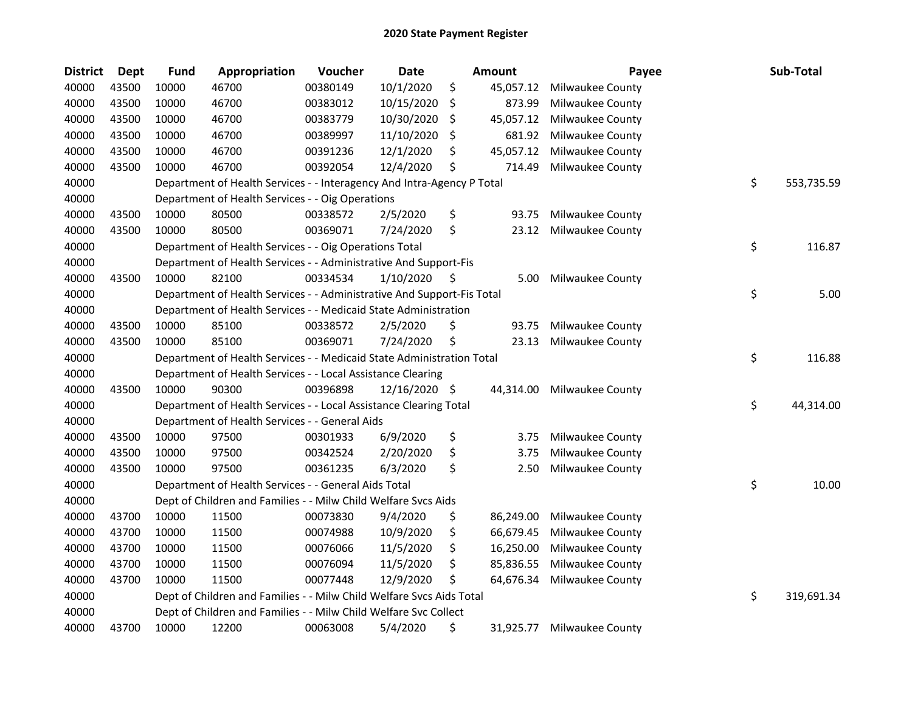| <b>District</b> | Dept  | <b>Fund</b> | Appropriation                                                          | Voucher  | <b>Date</b>   | Amount          | Payee            | Sub-Total        |
|-----------------|-------|-------------|------------------------------------------------------------------------|----------|---------------|-----------------|------------------|------------------|
| 40000           | 43500 | 10000       | 46700                                                                  | 00380149 | 10/1/2020     | \$<br>45,057.12 | Milwaukee County |                  |
| 40000           | 43500 | 10000       | 46700                                                                  | 00383012 | 10/15/2020    | \$<br>873.99    | Milwaukee County |                  |
| 40000           | 43500 | 10000       | 46700                                                                  | 00383779 | 10/30/2020    | \$<br>45,057.12 | Milwaukee County |                  |
| 40000           | 43500 | 10000       | 46700                                                                  | 00389997 | 11/10/2020    | \$<br>681.92    | Milwaukee County |                  |
| 40000           | 43500 | 10000       | 46700                                                                  | 00391236 | 12/1/2020     | \$<br>45,057.12 | Milwaukee County |                  |
| 40000           | 43500 | 10000       | 46700                                                                  | 00392054 | 12/4/2020     | \$<br>714.49    | Milwaukee County |                  |
| 40000           |       |             | Department of Health Services - - Interagency And Intra-Agency P Total |          |               |                 |                  | \$<br>553,735.59 |
| 40000           |       |             | Department of Health Services - - Oig Operations                       |          |               |                 |                  |                  |
| 40000           | 43500 | 10000       | 80500                                                                  | 00338572 | 2/5/2020      | \$<br>93.75     | Milwaukee County |                  |
| 40000           | 43500 | 10000       | 80500                                                                  | 00369071 | 7/24/2020     | \$<br>23.12     | Milwaukee County |                  |
| 40000           |       |             | Department of Health Services - - Oig Operations Total                 |          |               |                 |                  | \$<br>116.87     |
| 40000           |       |             | Department of Health Services - - Administrative And Support-Fis       |          |               |                 |                  |                  |
| 40000           | 43500 | 10000       | 82100                                                                  | 00334534 | 1/10/2020     | \$<br>5.00      | Milwaukee County |                  |
| 40000           |       |             | Department of Health Services - - Administrative And Support-Fis Total |          |               |                 |                  | \$<br>5.00       |
| 40000           |       |             | Department of Health Services - - Medicaid State Administration        |          |               |                 |                  |                  |
| 40000           | 43500 | 10000       | 85100                                                                  | 00338572 | 2/5/2020      | \$<br>93.75     | Milwaukee County |                  |
| 40000           | 43500 | 10000       | 85100                                                                  | 00369071 | 7/24/2020     | \$<br>23.13     | Milwaukee County |                  |
| 40000           |       |             | Department of Health Services - - Medicaid State Administration Total  |          |               |                 |                  | \$<br>116.88     |
| 40000           |       |             | Department of Health Services - - Local Assistance Clearing            |          |               |                 |                  |                  |
| 40000           | 43500 | 10000       | 90300                                                                  | 00396898 | 12/16/2020 \$ | 44,314.00       | Milwaukee County |                  |
| 40000           |       |             | Department of Health Services - - Local Assistance Clearing Total      |          |               |                 |                  | \$<br>44,314.00  |
| 40000           |       |             | Department of Health Services - - General Aids                         |          |               |                 |                  |                  |
| 40000           | 43500 | 10000       | 97500                                                                  | 00301933 | 6/9/2020      | \$<br>3.75      | Milwaukee County |                  |
| 40000           | 43500 | 10000       | 97500                                                                  | 00342524 | 2/20/2020     | \$<br>3.75      | Milwaukee County |                  |
| 40000           | 43500 | 10000       | 97500                                                                  | 00361235 | 6/3/2020      | \$<br>2.50      | Milwaukee County |                  |
| 40000           |       |             | Department of Health Services - - General Aids Total                   |          |               |                 |                  | \$<br>10.00      |
| 40000           |       |             | Dept of Children and Families - - Milw Child Welfare Svcs Aids         |          |               |                 |                  |                  |
| 40000           | 43700 | 10000       | 11500                                                                  | 00073830 | 9/4/2020      | \$<br>86,249.00 | Milwaukee County |                  |
| 40000           | 43700 | 10000       | 11500                                                                  | 00074988 | 10/9/2020     | \$<br>66,679.45 | Milwaukee County |                  |
| 40000           | 43700 | 10000       | 11500                                                                  | 00076066 | 11/5/2020     | \$<br>16,250.00 | Milwaukee County |                  |
| 40000           | 43700 | 10000       | 11500                                                                  | 00076094 | 11/5/2020     | \$<br>85,836.55 | Milwaukee County |                  |
| 40000           | 43700 | 10000       | 11500                                                                  | 00077448 | 12/9/2020     | \$<br>64,676.34 | Milwaukee County |                  |
| 40000           |       |             | Dept of Children and Families - - Milw Child Welfare Svcs Aids Total   |          |               |                 |                  | \$<br>319,691.34 |
| 40000           |       |             | Dept of Children and Families - - Milw Child Welfare Svc Collect       |          |               |                 |                  |                  |
| 40000           | 43700 | 10000       | 12200                                                                  | 00063008 | 5/4/2020      | \$<br>31,925.77 | Milwaukee County |                  |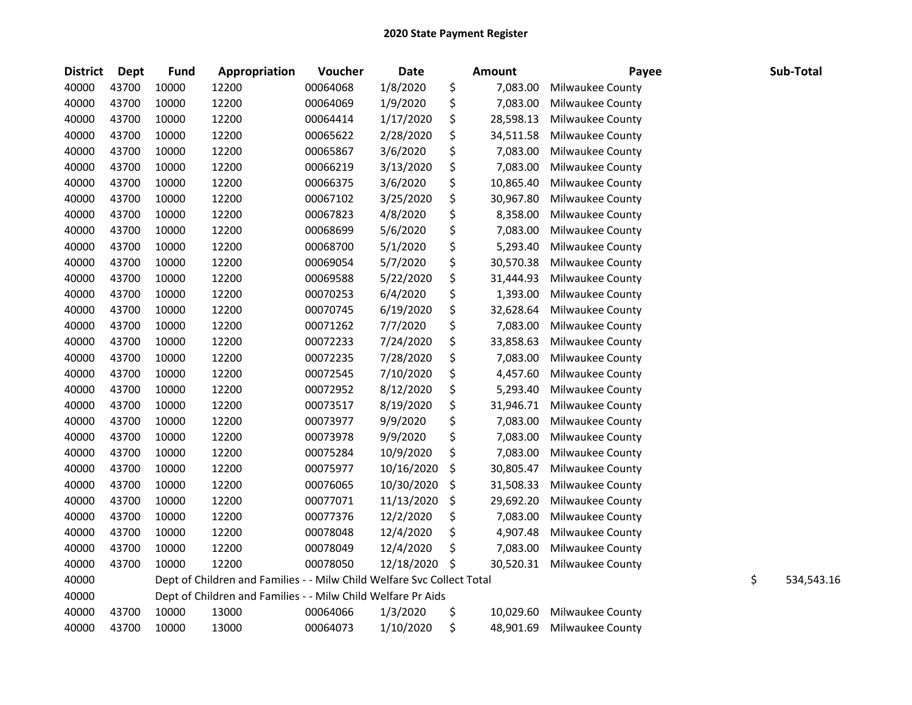| <b>District</b> | <b>Dept</b> | <b>Fund</b> | Appropriation                                                          | Voucher  | Date       | <b>Amount</b>   | Payee            |    | Sub-Total  |
|-----------------|-------------|-------------|------------------------------------------------------------------------|----------|------------|-----------------|------------------|----|------------|
| 40000           | 43700       | 10000       | 12200                                                                  | 00064068 | 1/8/2020   | \$<br>7,083.00  | Milwaukee County |    |            |
| 40000           | 43700       | 10000       | 12200                                                                  | 00064069 | 1/9/2020   | \$<br>7,083.00  | Milwaukee County |    |            |
| 40000           | 43700       | 10000       | 12200                                                                  | 00064414 | 1/17/2020  | \$<br>28,598.13 | Milwaukee County |    |            |
| 40000           | 43700       | 10000       | 12200                                                                  | 00065622 | 2/28/2020  | \$<br>34,511.58 | Milwaukee County |    |            |
| 40000           | 43700       | 10000       | 12200                                                                  | 00065867 | 3/6/2020   | \$<br>7,083.00  | Milwaukee County |    |            |
| 40000           | 43700       | 10000       | 12200                                                                  | 00066219 | 3/13/2020  | \$<br>7,083.00  | Milwaukee County |    |            |
| 40000           | 43700       | 10000       | 12200                                                                  | 00066375 | 3/6/2020   | \$<br>10,865.40 | Milwaukee County |    |            |
| 40000           | 43700       | 10000       | 12200                                                                  | 00067102 | 3/25/2020  | \$<br>30,967.80 | Milwaukee County |    |            |
| 40000           | 43700       | 10000       | 12200                                                                  | 00067823 | 4/8/2020   | \$<br>8,358.00  | Milwaukee County |    |            |
| 40000           | 43700       | 10000       | 12200                                                                  | 00068699 | 5/6/2020   | \$<br>7,083.00  | Milwaukee County |    |            |
| 40000           | 43700       | 10000       | 12200                                                                  | 00068700 | 5/1/2020   | \$<br>5,293.40  | Milwaukee County |    |            |
| 40000           | 43700       | 10000       | 12200                                                                  | 00069054 | 5/7/2020   | \$<br>30,570.38 | Milwaukee County |    |            |
| 40000           | 43700       | 10000       | 12200                                                                  | 00069588 | 5/22/2020  | \$<br>31,444.93 | Milwaukee County |    |            |
| 40000           | 43700       | 10000       | 12200                                                                  | 00070253 | 6/4/2020   | \$<br>1,393.00  | Milwaukee County |    |            |
| 40000           | 43700       | 10000       | 12200                                                                  | 00070745 | 6/19/2020  | \$<br>32,628.64 | Milwaukee County |    |            |
| 40000           | 43700       | 10000       | 12200                                                                  | 00071262 | 7/7/2020   | \$<br>7,083.00  | Milwaukee County |    |            |
| 40000           | 43700       | 10000       | 12200                                                                  | 00072233 | 7/24/2020  | \$<br>33,858.63 | Milwaukee County |    |            |
| 40000           | 43700       | 10000       | 12200                                                                  | 00072235 | 7/28/2020  | \$<br>7,083.00  | Milwaukee County |    |            |
| 40000           | 43700       | 10000       | 12200                                                                  | 00072545 | 7/10/2020  | \$<br>4,457.60  | Milwaukee County |    |            |
| 40000           | 43700       | 10000       | 12200                                                                  | 00072952 | 8/12/2020  | \$<br>5,293.40  | Milwaukee County |    |            |
| 40000           | 43700       | 10000       | 12200                                                                  | 00073517 | 8/19/2020  | \$<br>31,946.71 | Milwaukee County |    |            |
| 40000           | 43700       | 10000       | 12200                                                                  | 00073977 | 9/9/2020   | \$<br>7,083.00  | Milwaukee County |    |            |
| 40000           | 43700       | 10000       | 12200                                                                  | 00073978 | 9/9/2020   | \$<br>7,083.00  | Milwaukee County |    |            |
| 40000           | 43700       | 10000       | 12200                                                                  | 00075284 | 10/9/2020  | \$<br>7,083.00  | Milwaukee County |    |            |
| 40000           | 43700       | 10000       | 12200                                                                  | 00075977 | 10/16/2020 | \$<br>30,805.47 | Milwaukee County |    |            |
| 40000           | 43700       | 10000       | 12200                                                                  | 00076065 | 10/30/2020 | \$<br>31,508.33 | Milwaukee County |    |            |
| 40000           | 43700       | 10000       | 12200                                                                  | 00077071 | 11/13/2020 | \$<br>29,692.20 | Milwaukee County |    |            |
| 40000           | 43700       | 10000       | 12200                                                                  | 00077376 | 12/2/2020  | \$<br>7,083.00  | Milwaukee County |    |            |
| 40000           | 43700       | 10000       | 12200                                                                  | 00078048 | 12/4/2020  | \$<br>4,907.48  | Milwaukee County |    |            |
| 40000           | 43700       | 10000       | 12200                                                                  | 00078049 | 12/4/2020  | \$<br>7,083.00  | Milwaukee County |    |            |
| 40000           | 43700       | 10000       | 12200                                                                  | 00078050 | 12/18/2020 | \$<br>30,520.31 | Milwaukee County |    |            |
| 40000           |             |             | Dept of Children and Families - - Milw Child Welfare Svc Collect Total |          |            |                 |                  | \$ | 534,543.16 |
| 40000           |             |             | Dept of Children and Families - - Milw Child Welfare Pr Aids           |          |            |                 |                  |    |            |
| 40000           | 43700       | 10000       | 13000                                                                  | 00064066 | 1/3/2020   | \$<br>10,029.60 | Milwaukee County |    |            |
| 40000           | 43700       | 10000       | 13000                                                                  | 00064073 | 1/10/2020  | \$<br>48,901.69 | Milwaukee County |    |            |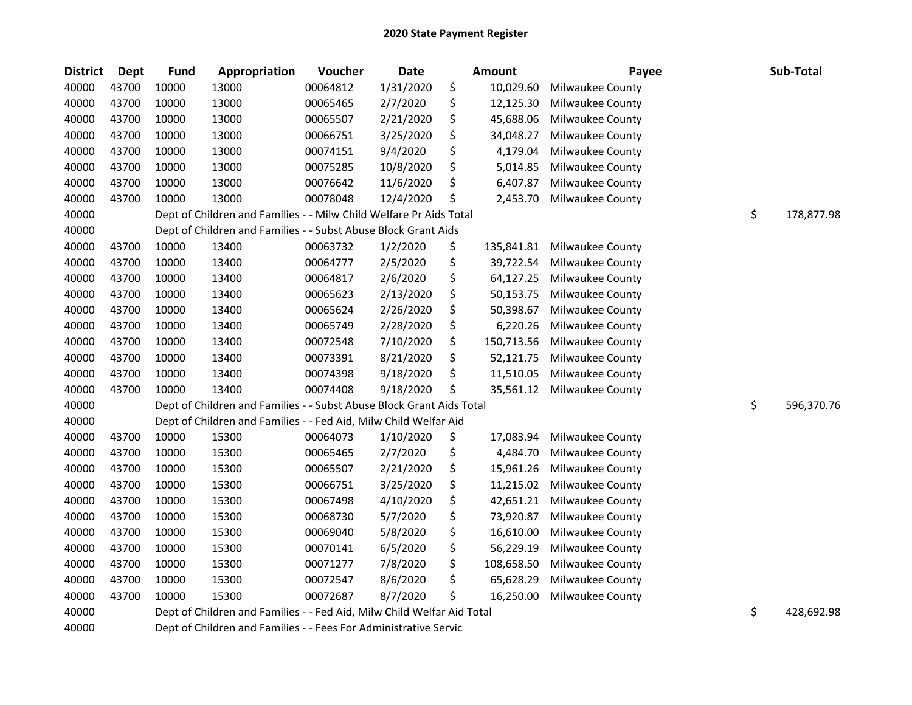| <b>District</b> | <b>Dept</b> | <b>Fund</b> | Appropriation                                                          | Voucher  | Date      | <b>Amount</b>    | Payee            | Sub-Total        |
|-----------------|-------------|-------------|------------------------------------------------------------------------|----------|-----------|------------------|------------------|------------------|
| 40000           | 43700       | 10000       | 13000                                                                  | 00064812 | 1/31/2020 | \$<br>10,029.60  | Milwaukee County |                  |
| 40000           | 43700       | 10000       | 13000                                                                  | 00065465 | 2/7/2020  | \$<br>12,125.30  | Milwaukee County |                  |
| 40000           | 43700       | 10000       | 13000                                                                  | 00065507 | 2/21/2020 | \$<br>45,688.06  | Milwaukee County |                  |
| 40000           | 43700       | 10000       | 13000                                                                  | 00066751 | 3/25/2020 | \$<br>34,048.27  | Milwaukee County |                  |
| 40000           | 43700       | 10000       | 13000                                                                  | 00074151 | 9/4/2020  | \$<br>4,179.04   | Milwaukee County |                  |
| 40000           | 43700       | 10000       | 13000                                                                  | 00075285 | 10/8/2020 | \$<br>5,014.85   | Milwaukee County |                  |
| 40000           | 43700       | 10000       | 13000                                                                  | 00076642 | 11/6/2020 | \$<br>6,407.87   | Milwaukee County |                  |
| 40000           | 43700       | 10000       | 13000                                                                  | 00078048 | 12/4/2020 | \$<br>2,453.70   | Milwaukee County |                  |
| 40000           |             |             | Dept of Children and Families - - Milw Child Welfare Pr Aids Total     |          |           |                  |                  | \$<br>178,877.98 |
| 40000           |             |             | Dept of Children and Families - - Subst Abuse Block Grant Aids         |          |           |                  |                  |                  |
| 40000           | 43700       | 10000       | 13400                                                                  | 00063732 | 1/2/2020  | \$<br>135,841.81 | Milwaukee County |                  |
| 40000           | 43700       | 10000       | 13400                                                                  | 00064777 | 2/5/2020  | \$<br>39,722.54  | Milwaukee County |                  |
| 40000           | 43700       | 10000       | 13400                                                                  | 00064817 | 2/6/2020  | \$<br>64,127.25  | Milwaukee County |                  |
| 40000           | 43700       | 10000       | 13400                                                                  | 00065623 | 2/13/2020 | \$<br>50,153.75  | Milwaukee County |                  |
| 40000           | 43700       | 10000       | 13400                                                                  | 00065624 | 2/26/2020 | \$<br>50,398.67  | Milwaukee County |                  |
| 40000           | 43700       | 10000       | 13400                                                                  | 00065749 | 2/28/2020 | \$<br>6,220.26   | Milwaukee County |                  |
| 40000           | 43700       | 10000       | 13400                                                                  | 00072548 | 7/10/2020 | \$<br>150,713.56 | Milwaukee County |                  |
| 40000           | 43700       | 10000       | 13400                                                                  | 00073391 | 8/21/2020 | \$<br>52,121.75  | Milwaukee County |                  |
| 40000           | 43700       | 10000       | 13400                                                                  | 00074398 | 9/18/2020 | \$<br>11,510.05  | Milwaukee County |                  |
| 40000           | 43700       | 10000       | 13400                                                                  | 00074408 | 9/18/2020 | \$<br>35,561.12  | Milwaukee County |                  |
| 40000           |             |             | Dept of Children and Families - - Subst Abuse Block Grant Aids Total   |          |           |                  |                  | \$<br>596,370.76 |
| 40000           |             |             | Dept of Children and Families - - Fed Aid, Milw Child Welfar Aid       |          |           |                  |                  |                  |
| 40000           | 43700       | 10000       | 15300                                                                  | 00064073 | 1/10/2020 | \$<br>17,083.94  | Milwaukee County |                  |
| 40000           | 43700       | 10000       | 15300                                                                  | 00065465 | 2/7/2020  | \$<br>4,484.70   | Milwaukee County |                  |
| 40000           | 43700       | 10000       | 15300                                                                  | 00065507 | 2/21/2020 | \$<br>15,961.26  | Milwaukee County |                  |
| 40000           | 43700       | 10000       | 15300                                                                  | 00066751 | 3/25/2020 | \$<br>11,215.02  | Milwaukee County |                  |
| 40000           | 43700       | 10000       | 15300                                                                  | 00067498 | 4/10/2020 | \$<br>42,651.21  | Milwaukee County |                  |
| 40000           | 43700       | 10000       | 15300                                                                  | 00068730 | 5/7/2020  | \$<br>73,920.87  | Milwaukee County |                  |
| 40000           | 43700       | 10000       | 15300                                                                  | 00069040 | 5/8/2020  | \$<br>16,610.00  | Milwaukee County |                  |
| 40000           | 43700       | 10000       | 15300                                                                  | 00070141 | 6/5/2020  | \$<br>56,229.19  | Milwaukee County |                  |
| 40000           | 43700       | 10000       | 15300                                                                  | 00071277 | 7/8/2020  | \$<br>108,658.50 | Milwaukee County |                  |
| 40000           | 43700       | 10000       | 15300                                                                  | 00072547 | 8/6/2020  | \$<br>65,628.29  | Milwaukee County |                  |
| 40000           | 43700       | 10000       | 15300                                                                  | 00072687 | 8/7/2020  | \$<br>16,250.00  | Milwaukee County |                  |
| 40000           |             |             | Dept of Children and Families - - Fed Aid, Milw Child Welfar Aid Total |          |           |                  |                  | \$<br>428,692.98 |
| 40000           |             |             | Dept of Children and Families - - Fees For Administrative Servic       |          |           |                  |                  |                  |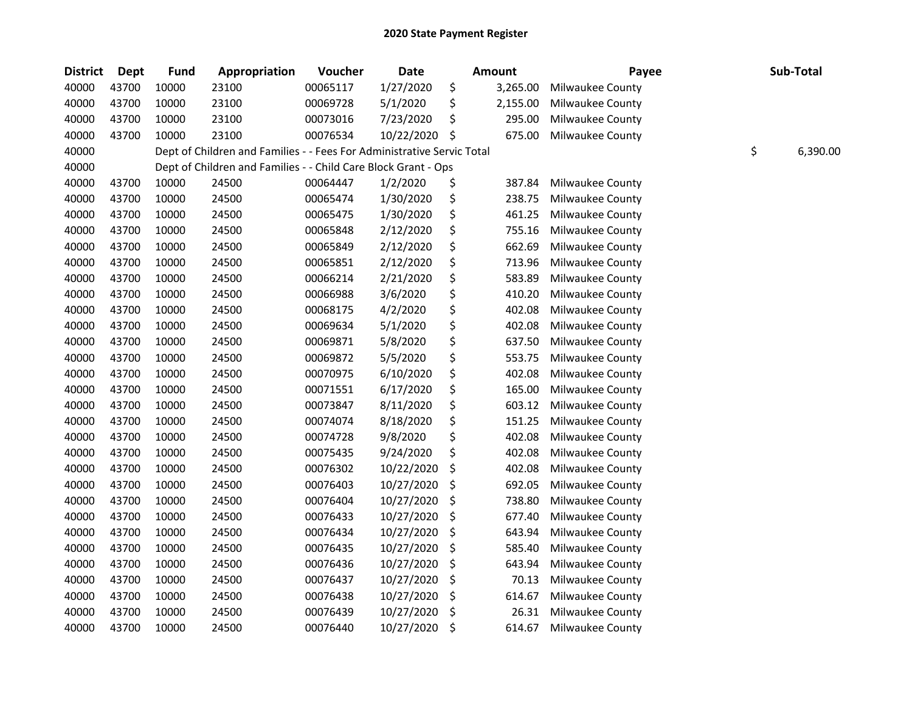| <b>District</b> | <b>Dept</b> | <b>Fund</b> | Appropriation                                                          | Voucher  | <b>Date</b> | <b>Amount</b>  | Payee            | Sub-Total      |
|-----------------|-------------|-------------|------------------------------------------------------------------------|----------|-------------|----------------|------------------|----------------|
| 40000           | 43700       | 10000       | 23100                                                                  | 00065117 | 1/27/2020   | \$<br>3,265.00 | Milwaukee County |                |
| 40000           | 43700       | 10000       | 23100                                                                  | 00069728 | 5/1/2020    | \$<br>2,155.00 | Milwaukee County |                |
| 40000           | 43700       | 10000       | 23100                                                                  | 00073016 | 7/23/2020   | \$<br>295.00   | Milwaukee County |                |
| 40000           | 43700       | 10000       | 23100                                                                  | 00076534 | 10/22/2020  | \$<br>675.00   | Milwaukee County |                |
| 40000           |             |             | Dept of Children and Families - - Fees For Administrative Servic Total |          |             |                |                  | \$<br>6,390.00 |
| 40000           |             |             | Dept of Children and Families - - Child Care Block Grant - Ops         |          |             |                |                  |                |
| 40000           | 43700       | 10000       | 24500                                                                  | 00064447 | 1/2/2020    | \$<br>387.84   | Milwaukee County |                |
| 40000           | 43700       | 10000       | 24500                                                                  | 00065474 | 1/30/2020   | \$<br>238.75   | Milwaukee County |                |
| 40000           | 43700       | 10000       | 24500                                                                  | 00065475 | 1/30/2020   | \$<br>461.25   | Milwaukee County |                |
| 40000           | 43700       | 10000       | 24500                                                                  | 00065848 | 2/12/2020   | \$<br>755.16   | Milwaukee County |                |
| 40000           | 43700       | 10000       | 24500                                                                  | 00065849 | 2/12/2020   | \$<br>662.69   | Milwaukee County |                |
| 40000           | 43700       | 10000       | 24500                                                                  | 00065851 | 2/12/2020   | \$<br>713.96   | Milwaukee County |                |
| 40000           | 43700       | 10000       | 24500                                                                  | 00066214 | 2/21/2020   | \$<br>583.89   | Milwaukee County |                |
| 40000           | 43700       | 10000       | 24500                                                                  | 00066988 | 3/6/2020    | \$<br>410.20   | Milwaukee County |                |
| 40000           | 43700       | 10000       | 24500                                                                  | 00068175 | 4/2/2020    | \$<br>402.08   | Milwaukee County |                |
| 40000           | 43700       | 10000       | 24500                                                                  | 00069634 | 5/1/2020    | \$<br>402.08   | Milwaukee County |                |
| 40000           | 43700       | 10000       | 24500                                                                  | 00069871 | 5/8/2020    | \$<br>637.50   | Milwaukee County |                |
| 40000           | 43700       | 10000       | 24500                                                                  | 00069872 | 5/5/2020    | \$<br>553.75   | Milwaukee County |                |
| 40000           | 43700       | 10000       | 24500                                                                  | 00070975 | 6/10/2020   | \$<br>402.08   | Milwaukee County |                |
| 40000           | 43700       | 10000       | 24500                                                                  | 00071551 | 6/17/2020   | \$<br>165.00   | Milwaukee County |                |
| 40000           | 43700       | 10000       | 24500                                                                  | 00073847 | 8/11/2020   | \$<br>603.12   | Milwaukee County |                |
| 40000           | 43700       | 10000       | 24500                                                                  | 00074074 | 8/18/2020   | \$<br>151.25   | Milwaukee County |                |
| 40000           | 43700       | 10000       | 24500                                                                  | 00074728 | 9/8/2020    | \$<br>402.08   | Milwaukee County |                |
| 40000           | 43700       | 10000       | 24500                                                                  | 00075435 | 9/24/2020   | \$<br>402.08   | Milwaukee County |                |
| 40000           | 43700       | 10000       | 24500                                                                  | 00076302 | 10/22/2020  | \$<br>402.08   | Milwaukee County |                |
| 40000           | 43700       | 10000       | 24500                                                                  | 00076403 | 10/27/2020  | \$<br>692.05   | Milwaukee County |                |
| 40000           | 43700       | 10000       | 24500                                                                  | 00076404 | 10/27/2020  | \$<br>738.80   | Milwaukee County |                |
| 40000           | 43700       | 10000       | 24500                                                                  | 00076433 | 10/27/2020  | \$<br>677.40   | Milwaukee County |                |
| 40000           | 43700       | 10000       | 24500                                                                  | 00076434 | 10/27/2020  | \$<br>643.94   | Milwaukee County |                |
| 40000           | 43700       | 10000       | 24500                                                                  | 00076435 | 10/27/2020  | \$<br>585.40   | Milwaukee County |                |
| 40000           | 43700       | 10000       | 24500                                                                  | 00076436 | 10/27/2020  | \$<br>643.94   | Milwaukee County |                |
| 40000           | 43700       | 10000       | 24500                                                                  | 00076437 | 10/27/2020  | \$<br>70.13    | Milwaukee County |                |
| 40000           | 43700       | 10000       | 24500                                                                  | 00076438 | 10/27/2020  | \$<br>614.67   | Milwaukee County |                |
| 40000           | 43700       | 10000       | 24500                                                                  | 00076439 | 10/27/2020  | \$<br>26.31    | Milwaukee County |                |
| 40000           | 43700       | 10000       | 24500                                                                  | 00076440 | 10/27/2020  | \$<br>614.67   | Milwaukee County |                |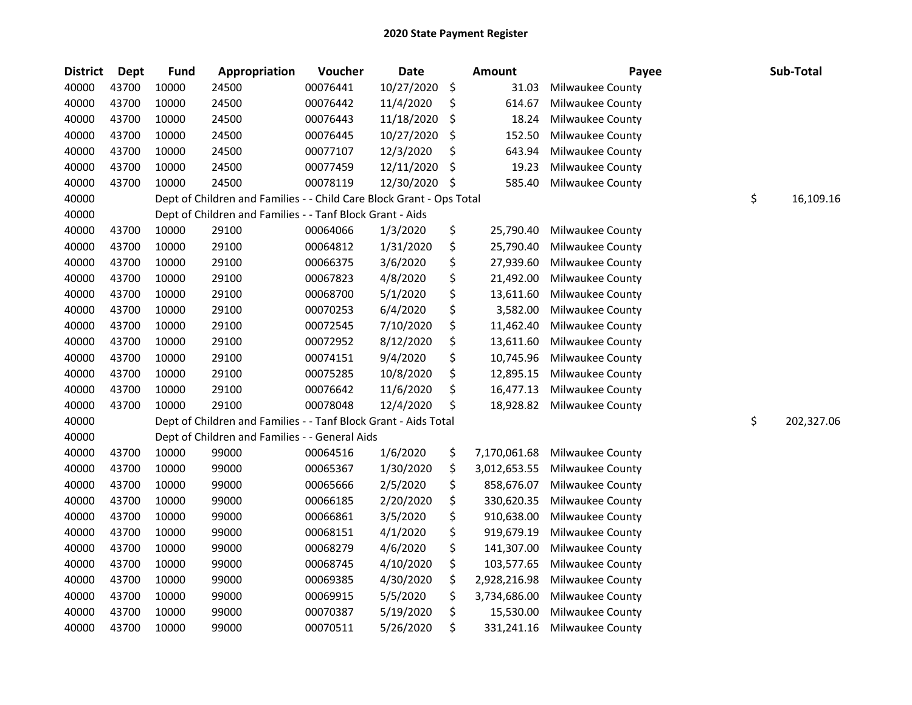| <b>District</b> | Dept  | <b>Fund</b> | Appropriation                                                        | Voucher  | <b>Date</b> |     | Amount       | Payee            | Sub-Total        |
|-----------------|-------|-------------|----------------------------------------------------------------------|----------|-------------|-----|--------------|------------------|------------------|
| 40000           | 43700 | 10000       | 24500                                                                | 00076441 | 10/27/2020  | \$  | 31.03        | Milwaukee County |                  |
| 40000           | 43700 | 10000       | 24500                                                                | 00076442 | 11/4/2020   | \$  | 614.67       | Milwaukee County |                  |
| 40000           | 43700 | 10000       | 24500                                                                | 00076443 | 11/18/2020  | \$  | 18.24        | Milwaukee County |                  |
| 40000           | 43700 | 10000       | 24500                                                                | 00076445 | 10/27/2020  | \$  | 152.50       | Milwaukee County |                  |
| 40000           | 43700 | 10000       | 24500                                                                | 00077107 | 12/3/2020   | \$  | 643.94       | Milwaukee County |                  |
| 40000           | 43700 | 10000       | 24500                                                                | 00077459 | 12/11/2020  | \$  | 19.23        | Milwaukee County |                  |
| 40000           | 43700 | 10000       | 24500                                                                | 00078119 | 12/30/2020  | -\$ | 585.40       | Milwaukee County |                  |
| 40000           |       |             | Dept of Children and Families - - Child Care Block Grant - Ops Total |          |             |     |              |                  | \$<br>16,109.16  |
| 40000           |       |             | Dept of Children and Families - - Tanf Block Grant - Aids            |          |             |     |              |                  |                  |
| 40000           | 43700 | 10000       | 29100                                                                | 00064066 | 1/3/2020    | \$  | 25,790.40    | Milwaukee County |                  |
| 40000           | 43700 | 10000       | 29100                                                                | 00064812 | 1/31/2020   | \$  | 25,790.40    | Milwaukee County |                  |
| 40000           | 43700 | 10000       | 29100                                                                | 00066375 | 3/6/2020    | \$  | 27,939.60    | Milwaukee County |                  |
| 40000           | 43700 | 10000       | 29100                                                                | 00067823 | 4/8/2020    | \$  | 21,492.00    | Milwaukee County |                  |
| 40000           | 43700 | 10000       | 29100                                                                | 00068700 | 5/1/2020    | \$  | 13,611.60    | Milwaukee County |                  |
| 40000           | 43700 | 10000       | 29100                                                                | 00070253 | 6/4/2020    | \$  | 3,582.00     | Milwaukee County |                  |
| 40000           | 43700 | 10000       | 29100                                                                | 00072545 | 7/10/2020   | \$  | 11,462.40    | Milwaukee County |                  |
| 40000           | 43700 | 10000       | 29100                                                                | 00072952 | 8/12/2020   | \$  | 13,611.60    | Milwaukee County |                  |
| 40000           | 43700 | 10000       | 29100                                                                | 00074151 | 9/4/2020    | \$  | 10,745.96    | Milwaukee County |                  |
| 40000           | 43700 | 10000       | 29100                                                                | 00075285 | 10/8/2020   | \$  | 12,895.15    | Milwaukee County |                  |
| 40000           | 43700 | 10000       | 29100                                                                | 00076642 | 11/6/2020   | \$  | 16,477.13    | Milwaukee County |                  |
| 40000           | 43700 | 10000       | 29100                                                                | 00078048 | 12/4/2020   | \$  | 18,928.82    | Milwaukee County |                  |
| 40000           |       |             | Dept of Children and Families - - Tanf Block Grant - Aids Total      |          |             |     |              |                  | \$<br>202,327.06 |
| 40000           |       |             | Dept of Children and Families - - General Aids                       |          |             |     |              |                  |                  |
| 40000           | 43700 | 10000       | 99000                                                                | 00064516 | 1/6/2020    | \$  | 7,170,061.68 | Milwaukee County |                  |
| 40000           | 43700 | 10000       | 99000                                                                | 00065367 | 1/30/2020   | \$  | 3,012,653.55 | Milwaukee County |                  |
| 40000           | 43700 | 10000       | 99000                                                                | 00065666 | 2/5/2020    | \$  | 858,676.07   | Milwaukee County |                  |
| 40000           | 43700 | 10000       | 99000                                                                | 00066185 | 2/20/2020   | \$  | 330,620.35   | Milwaukee County |                  |
| 40000           | 43700 | 10000       | 99000                                                                | 00066861 | 3/5/2020    | \$  | 910,638.00   | Milwaukee County |                  |
| 40000           | 43700 | 10000       | 99000                                                                | 00068151 | 4/1/2020    | \$  | 919,679.19   | Milwaukee County |                  |
| 40000           | 43700 | 10000       | 99000                                                                | 00068279 | 4/6/2020    | \$  | 141,307.00   | Milwaukee County |                  |
| 40000           | 43700 | 10000       | 99000                                                                | 00068745 | 4/10/2020   | \$  | 103,577.65   | Milwaukee County |                  |
| 40000           | 43700 | 10000       | 99000                                                                | 00069385 | 4/30/2020   | \$  | 2,928,216.98 | Milwaukee County |                  |
| 40000           | 43700 | 10000       | 99000                                                                | 00069915 | 5/5/2020    | \$  | 3,734,686.00 | Milwaukee County |                  |
| 40000           | 43700 | 10000       | 99000                                                                | 00070387 | 5/19/2020   | \$  | 15,530.00    | Milwaukee County |                  |
| 40000           | 43700 | 10000       | 99000                                                                | 00070511 | 5/26/2020   | \$  | 331,241.16   | Milwaukee County |                  |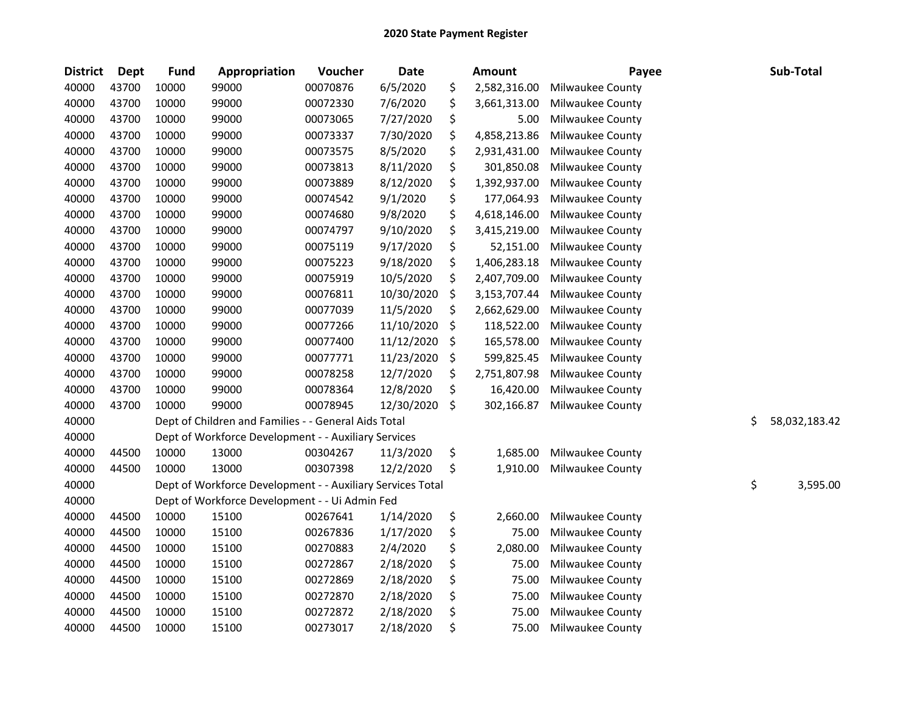| <b>District</b> | Dept  | <b>Fund</b> | Appropriation                                              | Voucher  | <b>Date</b> | <b>Amount</b>      | Payee            | Sub-Total           |
|-----------------|-------|-------------|------------------------------------------------------------|----------|-------------|--------------------|------------------|---------------------|
| 40000           | 43700 | 10000       | 99000                                                      | 00070876 | 6/5/2020    | \$<br>2,582,316.00 | Milwaukee County |                     |
| 40000           | 43700 | 10000       | 99000                                                      | 00072330 | 7/6/2020    | \$<br>3,661,313.00 | Milwaukee County |                     |
| 40000           | 43700 | 10000       | 99000                                                      | 00073065 | 7/27/2020   | \$<br>5.00         | Milwaukee County |                     |
| 40000           | 43700 | 10000       | 99000                                                      | 00073337 | 7/30/2020   | \$<br>4,858,213.86 | Milwaukee County |                     |
| 40000           | 43700 | 10000       | 99000                                                      | 00073575 | 8/5/2020    | \$<br>2,931,431.00 | Milwaukee County |                     |
| 40000           | 43700 | 10000       | 99000                                                      | 00073813 | 8/11/2020   | \$<br>301,850.08   | Milwaukee County |                     |
| 40000           | 43700 | 10000       | 99000                                                      | 00073889 | 8/12/2020   | \$<br>1,392,937.00 | Milwaukee County |                     |
| 40000           | 43700 | 10000       | 99000                                                      | 00074542 | 9/1/2020    | \$<br>177,064.93   | Milwaukee County |                     |
| 40000           | 43700 | 10000       | 99000                                                      | 00074680 | 9/8/2020    | \$<br>4,618,146.00 | Milwaukee County |                     |
| 40000           | 43700 | 10000       | 99000                                                      | 00074797 | 9/10/2020   | \$<br>3,415,219.00 | Milwaukee County |                     |
| 40000           | 43700 | 10000       | 99000                                                      | 00075119 | 9/17/2020   | \$<br>52,151.00    | Milwaukee County |                     |
| 40000           | 43700 | 10000       | 99000                                                      | 00075223 | 9/18/2020   | \$<br>1,406,283.18 | Milwaukee County |                     |
| 40000           | 43700 | 10000       | 99000                                                      | 00075919 | 10/5/2020   | \$<br>2,407,709.00 | Milwaukee County |                     |
| 40000           | 43700 | 10000       | 99000                                                      | 00076811 | 10/30/2020  | \$<br>3,153,707.44 | Milwaukee County |                     |
| 40000           | 43700 | 10000       | 99000                                                      | 00077039 | 11/5/2020   | \$<br>2,662,629.00 | Milwaukee County |                     |
| 40000           | 43700 | 10000       | 99000                                                      | 00077266 | 11/10/2020  | \$<br>118,522.00   | Milwaukee County |                     |
| 40000           | 43700 | 10000       | 99000                                                      | 00077400 | 11/12/2020  | \$<br>165,578.00   | Milwaukee County |                     |
| 40000           | 43700 | 10000       | 99000                                                      | 00077771 | 11/23/2020  | \$<br>599,825.45   | Milwaukee County |                     |
| 40000           | 43700 | 10000       | 99000                                                      | 00078258 | 12/7/2020   | \$<br>2,751,807.98 | Milwaukee County |                     |
| 40000           | 43700 | 10000       | 99000                                                      | 00078364 | 12/8/2020   | \$<br>16,420.00    | Milwaukee County |                     |
| 40000           | 43700 | 10000       | 99000                                                      | 00078945 | 12/30/2020  | \$<br>302,166.87   | Milwaukee County |                     |
| 40000           |       |             | Dept of Children and Families - - General Aids Total       |          |             |                    |                  | \$<br>58,032,183.42 |
| 40000           |       |             | Dept of Workforce Development - - Auxiliary Services       |          |             |                    |                  |                     |
| 40000           | 44500 | 10000       | 13000                                                      | 00304267 | 11/3/2020   | \$<br>1,685.00     | Milwaukee County |                     |
| 40000           | 44500 | 10000       | 13000                                                      | 00307398 | 12/2/2020   | \$<br>1,910.00     | Milwaukee County |                     |
| 40000           |       |             | Dept of Workforce Development - - Auxiliary Services Total |          |             |                    |                  | \$<br>3,595.00      |
| 40000           |       |             | Dept of Workforce Development - - Ui Admin Fed             |          |             |                    |                  |                     |
| 40000           | 44500 | 10000       | 15100                                                      | 00267641 | 1/14/2020   | \$<br>2,660.00     | Milwaukee County |                     |
| 40000           | 44500 | 10000       | 15100                                                      | 00267836 | 1/17/2020   | \$<br>75.00        | Milwaukee County |                     |
| 40000           | 44500 | 10000       | 15100                                                      | 00270883 | 2/4/2020    | \$<br>2,080.00     | Milwaukee County |                     |
| 40000           | 44500 | 10000       | 15100                                                      | 00272867 | 2/18/2020   | \$<br>75.00        | Milwaukee County |                     |
| 40000           | 44500 | 10000       | 15100                                                      | 00272869 | 2/18/2020   | \$<br>75.00        | Milwaukee County |                     |
| 40000           | 44500 | 10000       | 15100                                                      | 00272870 | 2/18/2020   | \$<br>75.00        | Milwaukee County |                     |
| 40000           | 44500 | 10000       | 15100                                                      | 00272872 | 2/18/2020   | \$<br>75.00        | Milwaukee County |                     |
| 40000           | 44500 | 10000       | 15100                                                      | 00273017 | 2/18/2020   | \$<br>75.00        | Milwaukee County |                     |
|                 |       |             |                                                            |          |             |                    |                  |                     |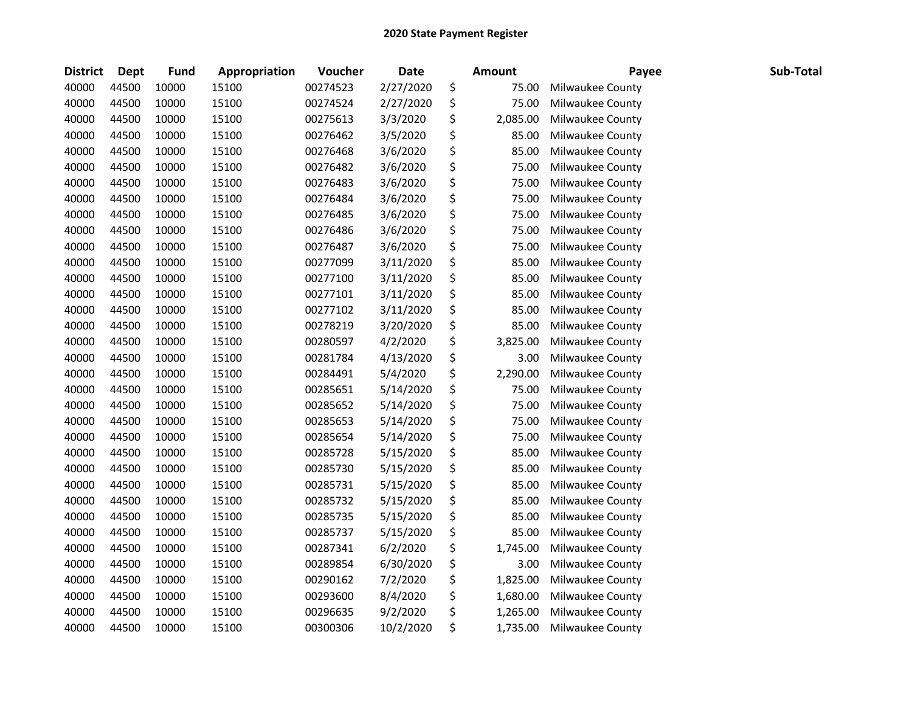| <b>District</b> | <b>Dept</b> | <b>Fund</b> | Appropriation | Voucher  | <b>Date</b> | <b>Amount</b>  | Payee            | Sub-Total |
|-----------------|-------------|-------------|---------------|----------|-------------|----------------|------------------|-----------|
| 40000           | 44500       | 10000       | 15100         | 00274523 | 2/27/2020   | \$<br>75.00    | Milwaukee County |           |
| 40000           | 44500       | 10000       | 15100         | 00274524 | 2/27/2020   | \$<br>75.00    | Milwaukee County |           |
| 40000           | 44500       | 10000       | 15100         | 00275613 | 3/3/2020    | \$<br>2,085.00 | Milwaukee County |           |
| 40000           | 44500       | 10000       | 15100         | 00276462 | 3/5/2020    | \$<br>85.00    | Milwaukee County |           |
| 40000           | 44500       | 10000       | 15100         | 00276468 | 3/6/2020    | \$<br>85.00    | Milwaukee County |           |
| 40000           | 44500       | 10000       | 15100         | 00276482 | 3/6/2020    | \$<br>75.00    | Milwaukee County |           |
| 40000           | 44500       | 10000       | 15100         | 00276483 | 3/6/2020    | \$<br>75.00    | Milwaukee County |           |
| 40000           | 44500       | 10000       | 15100         | 00276484 | 3/6/2020    | \$<br>75.00    | Milwaukee County |           |
| 40000           | 44500       | 10000       | 15100         | 00276485 | 3/6/2020    | \$<br>75.00    | Milwaukee County |           |
| 40000           | 44500       | 10000       | 15100         | 00276486 | 3/6/2020    | \$<br>75.00    | Milwaukee County |           |
| 40000           | 44500       | 10000       | 15100         | 00276487 | 3/6/2020    | \$<br>75.00    | Milwaukee County |           |
| 40000           | 44500       | 10000       | 15100         | 00277099 | 3/11/2020   | \$<br>85.00    | Milwaukee County |           |
| 40000           | 44500       | 10000       | 15100         | 00277100 | 3/11/2020   | \$<br>85.00    | Milwaukee County |           |
| 40000           | 44500       | 10000       | 15100         | 00277101 | 3/11/2020   | \$<br>85.00    | Milwaukee County |           |
| 40000           | 44500       | 10000       | 15100         | 00277102 | 3/11/2020   | \$<br>85.00    | Milwaukee County |           |
| 40000           | 44500       | 10000       | 15100         | 00278219 | 3/20/2020   | \$<br>85.00    | Milwaukee County |           |
| 40000           | 44500       | 10000       | 15100         | 00280597 | 4/2/2020    | \$<br>3,825.00 | Milwaukee County |           |
| 40000           | 44500       | 10000       | 15100         | 00281784 | 4/13/2020   | \$<br>3.00     | Milwaukee County |           |
| 40000           | 44500       | 10000       | 15100         | 00284491 | 5/4/2020    | \$<br>2,290.00 | Milwaukee County |           |
| 40000           | 44500       | 10000       | 15100         | 00285651 | 5/14/2020   | \$<br>75.00    | Milwaukee County |           |
| 40000           | 44500       | 10000       | 15100         | 00285652 | 5/14/2020   | \$<br>75.00    | Milwaukee County |           |
| 40000           | 44500       | 10000       | 15100         | 00285653 | 5/14/2020   | \$<br>75.00    | Milwaukee County |           |
| 40000           | 44500       | 10000       | 15100         | 00285654 | 5/14/2020   | \$<br>75.00    | Milwaukee County |           |
| 40000           | 44500       | 10000       | 15100         | 00285728 | 5/15/2020   | \$<br>85.00    | Milwaukee County |           |
| 40000           | 44500       | 10000       | 15100         | 00285730 | 5/15/2020   | \$<br>85.00    | Milwaukee County |           |
| 40000           | 44500       | 10000       | 15100         | 00285731 | 5/15/2020   | \$<br>85.00    | Milwaukee County |           |
| 40000           | 44500       | 10000       | 15100         | 00285732 | 5/15/2020   | \$<br>85.00    | Milwaukee County |           |
| 40000           | 44500       | 10000       | 15100         | 00285735 | 5/15/2020   | \$<br>85.00    | Milwaukee County |           |
| 40000           | 44500       | 10000       | 15100         | 00285737 | 5/15/2020   | \$<br>85.00    | Milwaukee County |           |
| 40000           | 44500       | 10000       | 15100         | 00287341 | 6/2/2020    | \$<br>1,745.00 | Milwaukee County |           |
| 40000           | 44500       | 10000       | 15100         | 00289854 | 6/30/2020   | \$<br>3.00     | Milwaukee County |           |
| 40000           | 44500       | 10000       | 15100         | 00290162 | 7/2/2020    | \$<br>1,825.00 | Milwaukee County |           |
| 40000           | 44500       | 10000       | 15100         | 00293600 | 8/4/2020    | \$<br>1,680.00 | Milwaukee County |           |
| 40000           | 44500       | 10000       | 15100         | 00296635 | 9/2/2020    | \$<br>1,265.00 | Milwaukee County |           |
| 40000           | 44500       | 10000       | 15100         | 00300306 | 10/2/2020   | \$<br>1,735.00 | Milwaukee County |           |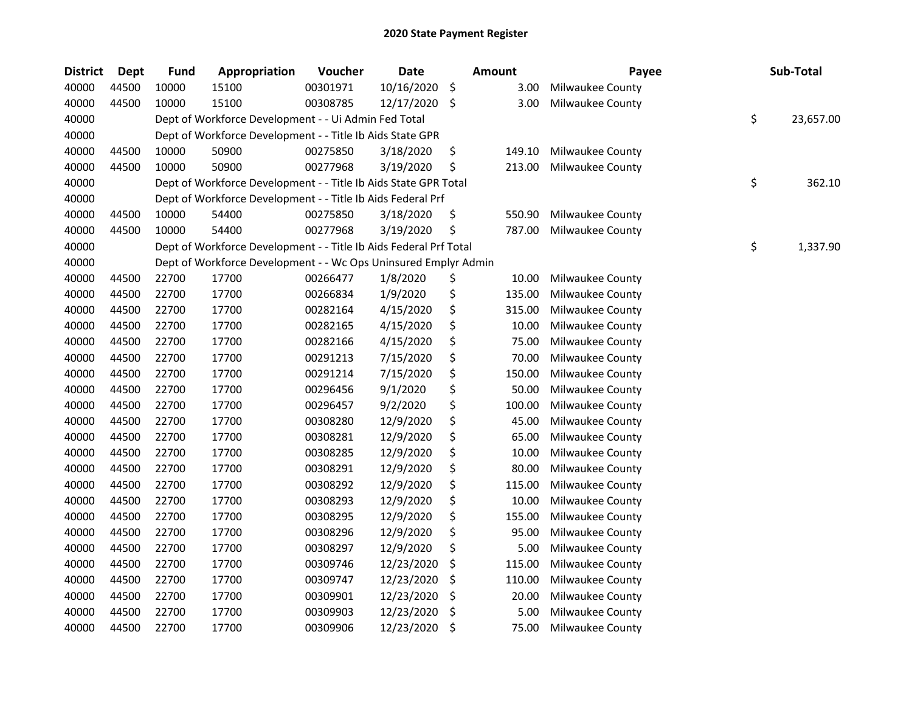| <b>District</b> | <b>Dept</b> | <b>Fund</b> | Appropriation                                                     | Voucher  | <b>Date</b> | Amount       | Payee            | Sub-Total       |
|-----------------|-------------|-------------|-------------------------------------------------------------------|----------|-------------|--------------|------------------|-----------------|
| 40000           | 44500       | 10000       | 15100                                                             | 00301971 | 10/16/2020  | \$<br>3.00   | Milwaukee County |                 |
| 40000           | 44500       | 10000       | 15100                                                             | 00308785 | 12/17/2020  | \$<br>3.00   | Milwaukee County |                 |
| 40000           |             |             | Dept of Workforce Development - - Ui Admin Fed Total              |          |             |              |                  | \$<br>23,657.00 |
| 40000           |             |             | Dept of Workforce Development - - Title Ib Aids State GPR         |          |             |              |                  |                 |
| 40000           | 44500       | 10000       | 50900                                                             | 00275850 | 3/18/2020   | \$<br>149.10 | Milwaukee County |                 |
| 40000           | 44500       | 10000       | 50900                                                             | 00277968 | 3/19/2020   | \$<br>213.00 | Milwaukee County |                 |
| 40000           |             |             | Dept of Workforce Development - - Title Ib Aids State GPR Total   |          |             |              |                  | \$<br>362.10    |
| 40000           |             |             | Dept of Workforce Development - - Title Ib Aids Federal Prf       |          |             |              |                  |                 |
| 40000           | 44500       | 10000       | 54400                                                             | 00275850 | 3/18/2020   | \$<br>550.90 | Milwaukee County |                 |
| 40000           | 44500       | 10000       | 54400                                                             | 00277968 | 3/19/2020   | \$<br>787.00 | Milwaukee County |                 |
| 40000           |             |             | Dept of Workforce Development - - Title Ib Aids Federal Prf Total |          |             |              |                  | \$<br>1,337.90  |
| 40000           |             |             | Dept of Workforce Development - - Wc Ops Uninsured Emplyr Admin   |          |             |              |                  |                 |
| 40000           | 44500       | 22700       | 17700                                                             | 00266477 | 1/8/2020    | \$<br>10.00  | Milwaukee County |                 |
| 40000           | 44500       | 22700       | 17700                                                             | 00266834 | 1/9/2020    | \$<br>135.00 | Milwaukee County |                 |
| 40000           | 44500       | 22700       | 17700                                                             | 00282164 | 4/15/2020   | \$<br>315.00 | Milwaukee County |                 |
| 40000           | 44500       | 22700       | 17700                                                             | 00282165 | 4/15/2020   | \$<br>10.00  | Milwaukee County |                 |
| 40000           | 44500       | 22700       | 17700                                                             | 00282166 | 4/15/2020   | \$<br>75.00  | Milwaukee County |                 |
| 40000           | 44500       | 22700       | 17700                                                             | 00291213 | 7/15/2020   | \$<br>70.00  | Milwaukee County |                 |
| 40000           | 44500       | 22700       | 17700                                                             | 00291214 | 7/15/2020   | \$<br>150.00 | Milwaukee County |                 |
| 40000           | 44500       | 22700       | 17700                                                             | 00296456 | 9/1/2020    | \$<br>50.00  | Milwaukee County |                 |
| 40000           | 44500       | 22700       | 17700                                                             | 00296457 | 9/2/2020    | \$<br>100.00 | Milwaukee County |                 |
| 40000           | 44500       | 22700       | 17700                                                             | 00308280 | 12/9/2020   | \$<br>45.00  | Milwaukee County |                 |
| 40000           | 44500       | 22700       | 17700                                                             | 00308281 | 12/9/2020   | \$<br>65.00  | Milwaukee County |                 |
| 40000           | 44500       | 22700       | 17700                                                             | 00308285 | 12/9/2020   | \$<br>10.00  | Milwaukee County |                 |
| 40000           | 44500       | 22700       | 17700                                                             | 00308291 | 12/9/2020   | \$<br>80.00  | Milwaukee County |                 |
| 40000           | 44500       | 22700       | 17700                                                             | 00308292 | 12/9/2020   | \$<br>115.00 | Milwaukee County |                 |
| 40000           | 44500       | 22700       | 17700                                                             | 00308293 | 12/9/2020   | \$<br>10.00  | Milwaukee County |                 |
| 40000           | 44500       | 22700       | 17700                                                             | 00308295 | 12/9/2020   | \$<br>155.00 | Milwaukee County |                 |
| 40000           | 44500       | 22700       | 17700                                                             | 00308296 | 12/9/2020   | \$<br>95.00  | Milwaukee County |                 |
| 40000           | 44500       | 22700       | 17700                                                             | 00308297 | 12/9/2020   | \$<br>5.00   | Milwaukee County |                 |
| 40000           | 44500       | 22700       | 17700                                                             | 00309746 | 12/23/2020  | \$<br>115.00 | Milwaukee County |                 |
| 40000           | 44500       | 22700       | 17700                                                             | 00309747 | 12/23/2020  | \$<br>110.00 | Milwaukee County |                 |
| 40000           | 44500       | 22700       | 17700                                                             | 00309901 | 12/23/2020  | \$<br>20.00  | Milwaukee County |                 |
| 40000           | 44500       | 22700       | 17700                                                             | 00309903 | 12/23/2020  | \$<br>5.00   | Milwaukee County |                 |
| 40000           | 44500       | 22700       | 17700                                                             | 00309906 | 12/23/2020  | \$<br>75.00  | Milwaukee County |                 |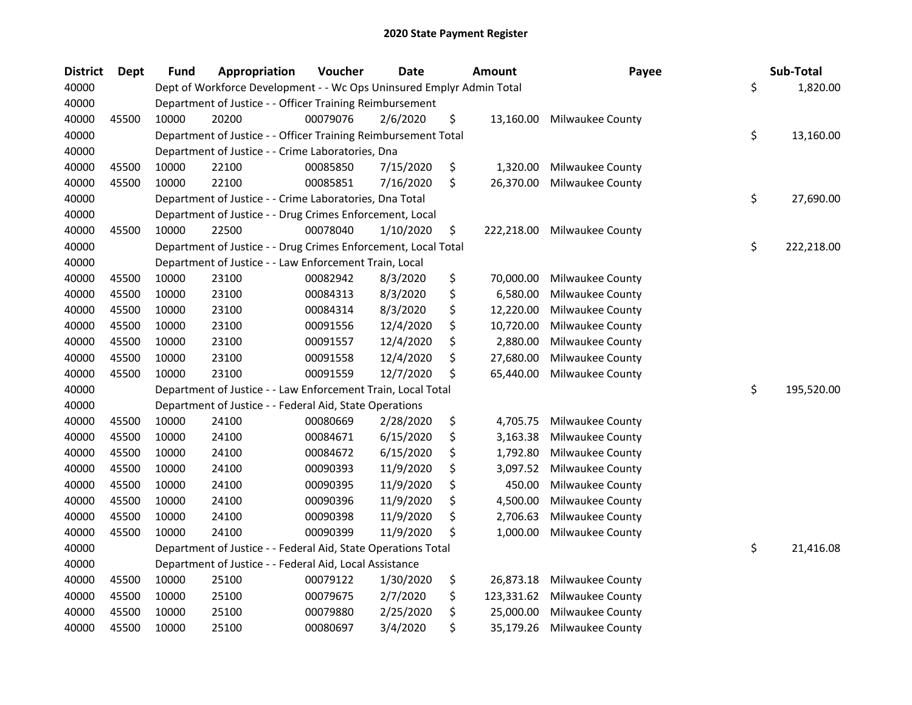| <b>District</b> | <b>Dept</b> | <b>Fund</b> | Appropriation                                                         | Voucher  | <b>Date</b> | <b>Amount</b>    | Payee            | Sub-Total        |
|-----------------|-------------|-------------|-----------------------------------------------------------------------|----------|-------------|------------------|------------------|------------------|
| 40000           |             |             | Dept of Workforce Development - - Wc Ops Uninsured Emplyr Admin Total |          |             |                  |                  | \$<br>1,820.00   |
| 40000           |             |             | Department of Justice - - Officer Training Reimbursement              |          |             |                  |                  |                  |
| 40000           | 45500       | 10000       | 20200                                                                 | 00079076 | 2/6/2020    | \$<br>13,160.00  | Milwaukee County |                  |
| 40000           |             |             | Department of Justice - - Officer Training Reimbursement Total        |          |             |                  |                  | \$<br>13,160.00  |
| 40000           |             |             | Department of Justice - - Crime Laboratories, Dna                     |          |             |                  |                  |                  |
| 40000           | 45500       | 10000       | 22100                                                                 | 00085850 | 7/15/2020   | \$<br>1,320.00   | Milwaukee County |                  |
| 40000           | 45500       | 10000       | 22100                                                                 | 00085851 | 7/16/2020   | \$<br>26,370.00  | Milwaukee County |                  |
| 40000           |             |             | Department of Justice - - Crime Laboratories, Dna Total               |          |             |                  |                  | \$<br>27,690.00  |
| 40000           |             |             | Department of Justice - - Drug Crimes Enforcement, Local              |          |             |                  |                  |                  |
| 40000           | 45500       | 10000       | 22500                                                                 | 00078040 | 1/10/2020   | \$<br>222,218.00 | Milwaukee County |                  |
| 40000           |             |             | Department of Justice - - Drug Crimes Enforcement, Local Total        |          |             |                  |                  | \$<br>222,218.00 |
| 40000           |             |             | Department of Justice - - Law Enforcement Train, Local                |          |             |                  |                  |                  |
| 40000           | 45500       | 10000       | 23100                                                                 | 00082942 | 8/3/2020    | \$<br>70,000.00  | Milwaukee County |                  |
| 40000           | 45500       | 10000       | 23100                                                                 | 00084313 | 8/3/2020    | \$<br>6,580.00   | Milwaukee County |                  |
| 40000           | 45500       | 10000       | 23100                                                                 | 00084314 | 8/3/2020    | \$<br>12,220.00  | Milwaukee County |                  |
| 40000           | 45500       | 10000       | 23100                                                                 | 00091556 | 12/4/2020   | \$<br>10,720.00  | Milwaukee County |                  |
| 40000           | 45500       | 10000       | 23100                                                                 | 00091557 | 12/4/2020   | \$<br>2,880.00   | Milwaukee County |                  |
| 40000           | 45500       | 10000       | 23100                                                                 | 00091558 | 12/4/2020   | \$<br>27,680.00  | Milwaukee County |                  |
| 40000           | 45500       | 10000       | 23100                                                                 | 00091559 | 12/7/2020   | \$<br>65,440.00  | Milwaukee County |                  |
| 40000           |             |             | Department of Justice - - Law Enforcement Train, Local Total          |          |             |                  |                  | \$<br>195,520.00 |
| 40000           |             |             | Department of Justice - - Federal Aid, State Operations               |          |             |                  |                  |                  |
| 40000           | 45500       | 10000       | 24100                                                                 | 00080669 | 2/28/2020   | \$<br>4,705.75   | Milwaukee County |                  |
| 40000           | 45500       | 10000       | 24100                                                                 | 00084671 | 6/15/2020   | \$<br>3,163.38   | Milwaukee County |                  |
| 40000           | 45500       | 10000       | 24100                                                                 | 00084672 | 6/15/2020   | \$<br>1,792.80   | Milwaukee County |                  |
| 40000           | 45500       | 10000       | 24100                                                                 | 00090393 | 11/9/2020   | \$<br>3,097.52   | Milwaukee County |                  |
| 40000           | 45500       | 10000       | 24100                                                                 | 00090395 | 11/9/2020   | \$<br>450.00     | Milwaukee County |                  |
| 40000           | 45500       | 10000       | 24100                                                                 | 00090396 | 11/9/2020   | \$<br>4,500.00   | Milwaukee County |                  |
| 40000           | 45500       | 10000       | 24100                                                                 | 00090398 | 11/9/2020   | \$<br>2,706.63   | Milwaukee County |                  |
| 40000           | 45500       | 10000       | 24100                                                                 | 00090399 | 11/9/2020   | \$<br>1,000.00   | Milwaukee County |                  |
| 40000           |             |             | Department of Justice - - Federal Aid, State Operations Total         |          |             |                  |                  | \$<br>21,416.08  |
| 40000           |             |             | Department of Justice - - Federal Aid, Local Assistance               |          |             |                  |                  |                  |
| 40000           | 45500       | 10000       | 25100                                                                 | 00079122 | 1/30/2020   | \$<br>26,873.18  | Milwaukee County |                  |
| 40000           | 45500       | 10000       | 25100                                                                 | 00079675 | 2/7/2020    | \$<br>123,331.62 | Milwaukee County |                  |
| 40000           | 45500       | 10000       | 25100                                                                 | 00079880 | 2/25/2020   | \$<br>25,000.00  | Milwaukee County |                  |
| 40000           | 45500       | 10000       | 25100                                                                 | 00080697 | 3/4/2020    | \$<br>35,179.26  | Milwaukee County |                  |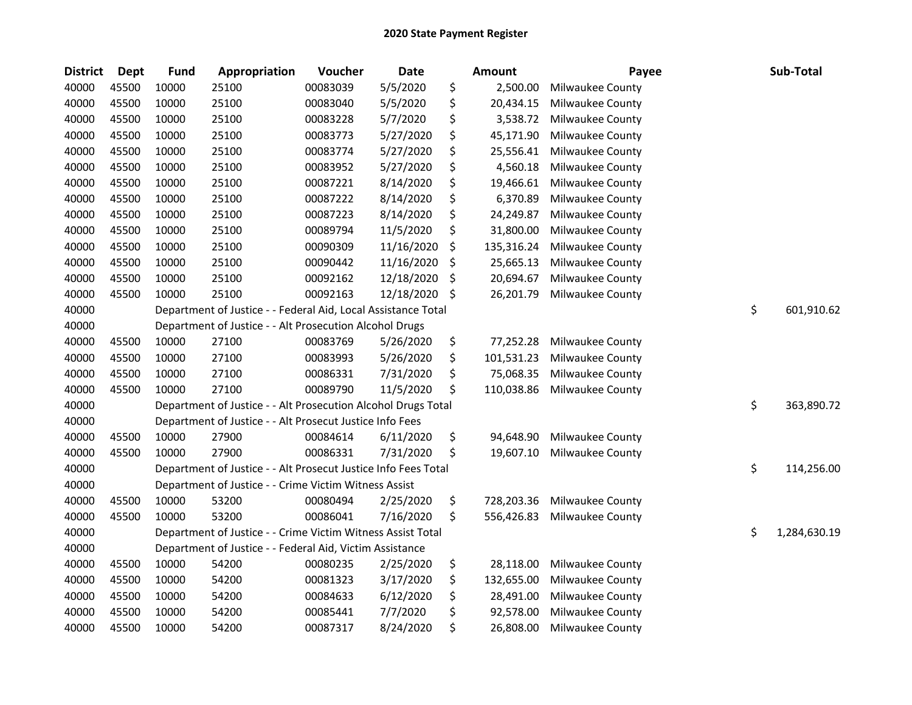| <b>District</b> | Dept  | <b>Fund</b> | Appropriation                                                  | Voucher  | <b>Date</b> |         | <b>Amount</b> | Payee            | Sub-Total          |
|-----------------|-------|-------------|----------------------------------------------------------------|----------|-------------|---------|---------------|------------------|--------------------|
| 40000           | 45500 | 10000       | 25100                                                          | 00083039 | 5/5/2020    | \$      | 2,500.00      | Milwaukee County |                    |
| 40000           | 45500 | 10000       | 25100                                                          | 00083040 | 5/5/2020    | \$      | 20,434.15     | Milwaukee County |                    |
| 40000           | 45500 | 10000       | 25100                                                          | 00083228 | 5/7/2020    | \$      | 3,538.72      | Milwaukee County |                    |
| 40000           | 45500 | 10000       | 25100                                                          | 00083773 | 5/27/2020   | \$      | 45,171.90     | Milwaukee County |                    |
| 40000           | 45500 | 10000       | 25100                                                          | 00083774 | 5/27/2020   | \$      | 25,556.41     | Milwaukee County |                    |
| 40000           | 45500 | 10000       | 25100                                                          | 00083952 | 5/27/2020   | \$      | 4,560.18      | Milwaukee County |                    |
| 40000           | 45500 | 10000       | 25100                                                          | 00087221 | 8/14/2020   | \$      | 19,466.61     | Milwaukee County |                    |
| 40000           | 45500 | 10000       | 25100                                                          | 00087222 | 8/14/2020   | \$      | 6,370.89      | Milwaukee County |                    |
| 40000           | 45500 | 10000       | 25100                                                          | 00087223 | 8/14/2020   | \$      | 24,249.87     | Milwaukee County |                    |
| 40000           | 45500 | 10000       | 25100                                                          | 00089794 | 11/5/2020   | \$      | 31,800.00     | Milwaukee County |                    |
| 40000           | 45500 | 10000       | 25100                                                          | 00090309 | 11/16/2020  | \$      | 135,316.24    | Milwaukee County |                    |
| 40000           | 45500 | 10000       | 25100                                                          | 00090442 | 11/16/2020  | \$      | 25,665.13     | Milwaukee County |                    |
| 40000           | 45500 | 10000       | 25100                                                          | 00092162 | 12/18/2020  | $\zeta$ | 20,694.67     | Milwaukee County |                    |
| 40000           | 45500 | 10000       | 25100                                                          | 00092163 | 12/18/2020  | \$      | 26,201.79     | Milwaukee County |                    |
| 40000           |       |             | Department of Justice - - Federal Aid, Local Assistance Total  |          |             |         |               |                  | \$<br>601,910.62   |
| 40000           |       |             | Department of Justice - - Alt Prosecution Alcohol Drugs        |          |             |         |               |                  |                    |
| 40000           | 45500 | 10000       | 27100                                                          | 00083769 | 5/26/2020   | \$      | 77,252.28     | Milwaukee County |                    |
| 40000           | 45500 | 10000       | 27100                                                          | 00083993 | 5/26/2020   | \$      | 101,531.23    | Milwaukee County |                    |
| 40000           | 45500 | 10000       | 27100                                                          | 00086331 | 7/31/2020   | \$      | 75,068.35     | Milwaukee County |                    |
| 40000           | 45500 | 10000       | 27100                                                          | 00089790 | 11/5/2020   | \$      | 110,038.86    | Milwaukee County |                    |
| 40000           |       |             | Department of Justice - - Alt Prosecution Alcohol Drugs Total  |          |             |         |               |                  | \$<br>363,890.72   |
| 40000           |       |             | Department of Justice - - Alt Prosecut Justice Info Fees       |          |             |         |               |                  |                    |
| 40000           | 45500 | 10000       | 27900                                                          | 00084614 | 6/11/2020   | \$      | 94,648.90     | Milwaukee County |                    |
| 40000           | 45500 | 10000       | 27900                                                          | 00086331 | 7/31/2020   | \$      | 19,607.10     | Milwaukee County |                    |
| 40000           |       |             | Department of Justice - - Alt Prosecut Justice Info Fees Total |          |             |         |               |                  | \$<br>114,256.00   |
| 40000           |       |             | Department of Justice - - Crime Victim Witness Assist          |          |             |         |               |                  |                    |
| 40000           | 45500 | 10000       | 53200                                                          | 00080494 | 2/25/2020   | \$      | 728,203.36    | Milwaukee County |                    |
| 40000           | 45500 | 10000       | 53200                                                          | 00086041 | 7/16/2020   | \$      | 556,426.83    | Milwaukee County |                    |
| 40000           |       |             | Department of Justice - - Crime Victim Witness Assist Total    |          |             |         |               |                  | \$<br>1,284,630.19 |
| 40000           |       |             | Department of Justice - - Federal Aid, Victim Assistance       |          |             |         |               |                  |                    |
| 40000           | 45500 | 10000       | 54200                                                          | 00080235 | 2/25/2020   | \$      | 28,118.00     | Milwaukee County |                    |
| 40000           | 45500 | 10000       | 54200                                                          | 00081323 | 3/17/2020   | \$      | 132,655.00    | Milwaukee County |                    |
| 40000           | 45500 | 10000       | 54200                                                          | 00084633 | 6/12/2020   | \$      | 28,491.00     | Milwaukee County |                    |
| 40000           | 45500 | 10000       | 54200                                                          | 00085441 | 7/7/2020    | \$      | 92,578.00     | Milwaukee County |                    |
| 40000           | 45500 | 10000       | 54200                                                          | 00087317 | 8/24/2020   | \$      | 26,808.00     | Milwaukee County |                    |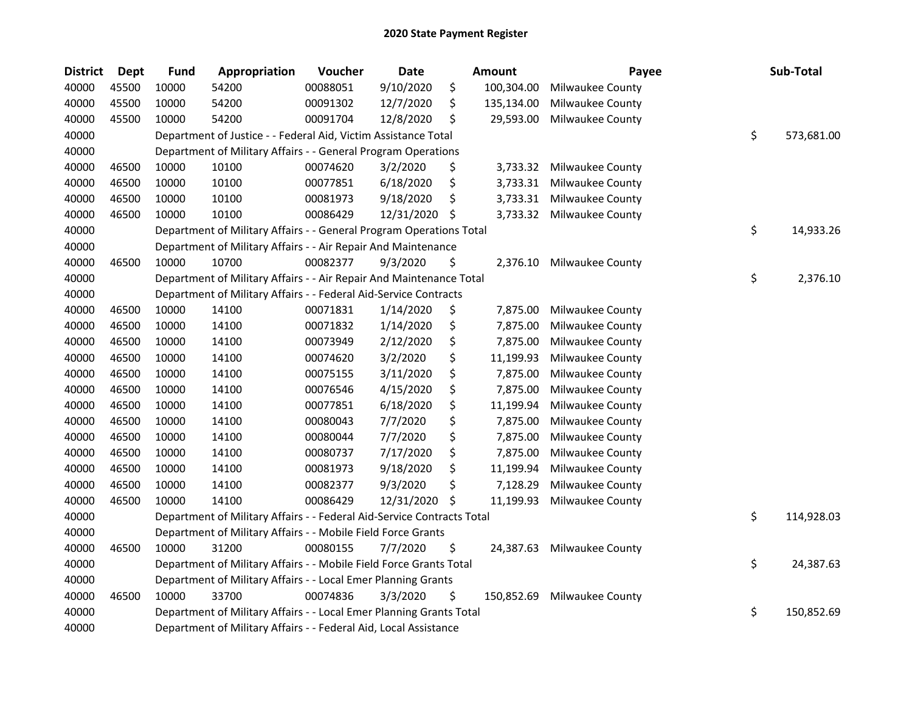| <b>District</b> | <b>Dept</b> | <b>Fund</b> | Appropriation                                                          | Voucher  | <b>Date</b> |     | Amount     | Payee            | Sub-Total        |
|-----------------|-------------|-------------|------------------------------------------------------------------------|----------|-------------|-----|------------|------------------|------------------|
| 40000           | 45500       | 10000       | 54200                                                                  | 00088051 | 9/10/2020   | \$  | 100,304.00 | Milwaukee County |                  |
| 40000           | 45500       | 10000       | 54200                                                                  | 00091302 | 12/7/2020   | \$  | 135,134.00 | Milwaukee County |                  |
| 40000           | 45500       | 10000       | 54200                                                                  | 00091704 | 12/8/2020   | \$  | 29,593.00  | Milwaukee County |                  |
| 40000           |             |             | Department of Justice - - Federal Aid, Victim Assistance Total         |          |             |     |            |                  | \$<br>573,681.00 |
| 40000           |             |             | Department of Military Affairs - - General Program Operations          |          |             |     |            |                  |                  |
| 40000           | 46500       | 10000       | 10100                                                                  | 00074620 | 3/2/2020    | \$  | 3,733.32   | Milwaukee County |                  |
| 40000           | 46500       | 10000       | 10100                                                                  | 00077851 | 6/18/2020   | \$  | 3,733.31   | Milwaukee County |                  |
| 40000           | 46500       | 10000       | 10100                                                                  | 00081973 | 9/18/2020   | \$  | 3,733.31   | Milwaukee County |                  |
| 40000           | 46500       | 10000       | 10100                                                                  | 00086429 | 12/31/2020  | \$, | 3,733.32   | Milwaukee County |                  |
| 40000           |             |             | Department of Military Affairs - - General Program Operations Total    |          |             |     |            |                  | \$<br>14,933.26  |
| 40000           |             |             | Department of Military Affairs - - Air Repair And Maintenance          |          |             |     |            |                  |                  |
| 40000           | 46500       | 10000       | 10700                                                                  | 00082377 | 9/3/2020    | \$  | 2,376.10   | Milwaukee County |                  |
| 40000           |             |             | Department of Military Affairs - - Air Repair And Maintenance Total    |          |             |     |            |                  | \$<br>2,376.10   |
| 40000           |             |             | Department of Military Affairs - - Federal Aid-Service Contracts       |          |             |     |            |                  |                  |
| 40000           | 46500       | 10000       | 14100                                                                  | 00071831 | 1/14/2020   | \$  | 7,875.00   | Milwaukee County |                  |
| 40000           | 46500       | 10000       | 14100                                                                  | 00071832 | 1/14/2020   | \$  | 7,875.00   | Milwaukee County |                  |
| 40000           | 46500       | 10000       | 14100                                                                  | 00073949 | 2/12/2020   | \$  | 7,875.00   | Milwaukee County |                  |
| 40000           | 46500       | 10000       | 14100                                                                  | 00074620 | 3/2/2020    | \$  | 11,199.93  | Milwaukee County |                  |
| 40000           | 46500       | 10000       | 14100                                                                  | 00075155 | 3/11/2020   | \$  | 7,875.00   | Milwaukee County |                  |
| 40000           | 46500       | 10000       | 14100                                                                  | 00076546 | 4/15/2020   | \$  | 7,875.00   | Milwaukee County |                  |
| 40000           | 46500       | 10000       | 14100                                                                  | 00077851 | 6/18/2020   | \$  | 11,199.94  | Milwaukee County |                  |
| 40000           | 46500       | 10000       | 14100                                                                  | 00080043 | 7/7/2020    | \$  | 7,875.00   | Milwaukee County |                  |
| 40000           | 46500       | 10000       | 14100                                                                  | 00080044 | 7/7/2020    | \$  | 7,875.00   | Milwaukee County |                  |
| 40000           | 46500       | 10000       | 14100                                                                  | 00080737 | 7/17/2020   | \$  | 7,875.00   | Milwaukee County |                  |
| 40000           | 46500       | 10000       | 14100                                                                  | 00081973 | 9/18/2020   | \$  | 11,199.94  | Milwaukee County |                  |
| 40000           | 46500       | 10000       | 14100                                                                  | 00082377 | 9/3/2020    | \$  | 7,128.29   | Milwaukee County |                  |
| 40000           | 46500       | 10000       | 14100                                                                  | 00086429 | 12/31/2020  | \$  | 11,199.93  | Milwaukee County |                  |
| 40000           |             |             | Department of Military Affairs - - Federal Aid-Service Contracts Total |          |             |     |            |                  | \$<br>114,928.03 |
| 40000           |             |             | Department of Military Affairs - - Mobile Field Force Grants           |          |             |     |            |                  |                  |
| 40000           | 46500       | 10000       | 31200                                                                  | 00080155 | 7/7/2020    | \$  | 24,387.63  | Milwaukee County |                  |
| 40000           |             |             | Department of Military Affairs - - Mobile Field Force Grants Total     |          |             |     |            |                  | \$<br>24,387.63  |
| 40000           |             |             | Department of Military Affairs - - Local Emer Planning Grants          |          |             |     |            |                  |                  |
| 40000           | 46500       | 10000       | 33700                                                                  | 00074836 | 3/3/2020    | \$  | 150,852.69 | Milwaukee County |                  |
| 40000           |             |             | Department of Military Affairs - - Local Emer Planning Grants Total    |          |             |     |            |                  | \$<br>150,852.69 |
| 40000           |             |             | Department of Military Affairs - - Federal Aid, Local Assistance       |          |             |     |            |                  |                  |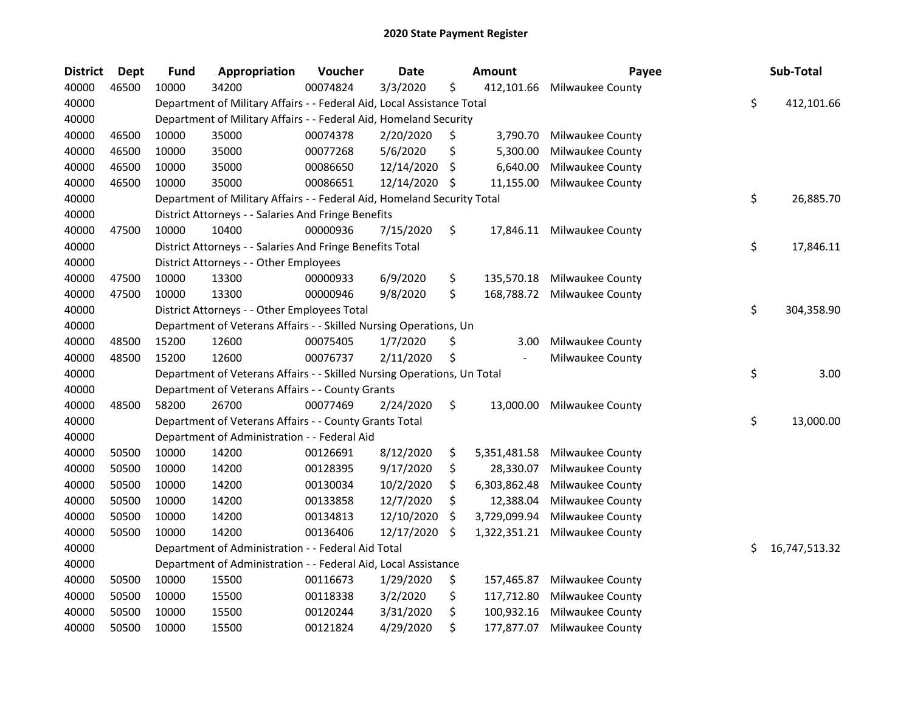| <b>District</b> | Dept  | <b>Fund</b> | Appropriation                                                           | Voucher  | <b>Date</b> |     | <b>Amount</b>  | Payee                      |     | Sub-Total     |
|-----------------|-------|-------------|-------------------------------------------------------------------------|----------|-------------|-----|----------------|----------------------------|-----|---------------|
| 40000           | 46500 | 10000       | 34200                                                                   | 00074824 | 3/3/2020    | \$  | 412,101.66     | Milwaukee County           |     |               |
| 40000           |       |             | Department of Military Affairs - - Federal Aid, Local Assistance Total  |          |             |     |                |                            | \$  | 412,101.66    |
| 40000           |       |             | Department of Military Affairs - - Federal Aid, Homeland Security       |          |             |     |                |                            |     |               |
| 40000           | 46500 | 10000       | 35000                                                                   | 00074378 | 2/20/2020   | \$  | 3,790.70       | Milwaukee County           |     |               |
| 40000           | 46500 | 10000       | 35000                                                                   | 00077268 | 5/6/2020    | \$  | 5,300.00       | Milwaukee County           |     |               |
| 40000           | 46500 | 10000       | 35000                                                                   | 00086650 | 12/14/2020  | \$  | 6,640.00       | Milwaukee County           |     |               |
| 40000           | 46500 | 10000       | 35000                                                                   | 00086651 | 12/14/2020  | -\$ | 11,155.00      | Milwaukee County           |     |               |
| 40000           |       |             | Department of Military Affairs - - Federal Aid, Homeland Security Total |          |             |     |                |                            | \$  | 26,885.70     |
| 40000           |       |             | District Attorneys - - Salaries And Fringe Benefits                     |          |             |     |                |                            |     |               |
| 40000           | 47500 | 10000       | 10400                                                                   | 00000936 | 7/15/2020   | \$  |                | 17,846.11 Milwaukee County |     |               |
| 40000           |       |             | District Attorneys - - Salaries And Fringe Benefits Total               |          |             |     |                |                            | \$  | 17,846.11     |
| 40000           |       |             | District Attorneys - - Other Employees                                  |          |             |     |                |                            |     |               |
| 40000           | 47500 | 10000       | 13300                                                                   | 00000933 | 6/9/2020    | \$  | 135,570.18     | Milwaukee County           |     |               |
| 40000           | 47500 | 10000       | 13300                                                                   | 00000946 | 9/8/2020    | \$  | 168,788.72     | Milwaukee County           |     |               |
| 40000           |       |             | District Attorneys - - Other Employees Total                            |          |             |     |                |                            | \$  | 304,358.90    |
| 40000           |       |             | Department of Veterans Affairs - - Skilled Nursing Operations, Un       |          |             |     |                |                            |     |               |
| 40000           | 48500 | 15200       | 12600                                                                   | 00075405 | 1/7/2020    | \$  | 3.00           | Milwaukee County           |     |               |
| 40000           | 48500 | 15200       | 12600                                                                   | 00076737 | 2/11/2020   |     | $\blacksquare$ | Milwaukee County           |     |               |
| 40000           |       |             | Department of Veterans Affairs - - Skilled Nursing Operations, Un Total |          |             |     |                |                            | \$  | 3.00          |
| 40000           |       |             | Department of Veterans Affairs - - County Grants                        |          |             |     |                |                            |     |               |
| 40000           | 48500 | 58200       | 26700                                                                   | 00077469 | 2/24/2020   | \$  | 13,000.00      | Milwaukee County           |     |               |
| 40000           |       |             | Department of Veterans Affairs - - County Grants Total                  |          |             |     |                |                            | \$  | 13,000.00     |
| 40000           |       |             | Department of Administration - - Federal Aid                            |          |             |     |                |                            |     |               |
| 40000           | 50500 | 10000       | 14200                                                                   | 00126691 | 8/12/2020   | \$  | 5,351,481.58   | Milwaukee County           |     |               |
| 40000           | 50500 | 10000       | 14200                                                                   | 00128395 | 9/17/2020   | \$  | 28,330.07      | Milwaukee County           |     |               |
| 40000           | 50500 | 10000       | 14200                                                                   | 00130034 | 10/2/2020   | \$  | 6,303,862.48   | Milwaukee County           |     |               |
| 40000           | 50500 | 10000       | 14200                                                                   | 00133858 | 12/7/2020   | \$  | 12,388.04      | Milwaukee County           |     |               |
| 40000           | 50500 | 10000       | 14200                                                                   | 00134813 | 12/10/2020  | \$  | 3,729,099.94   | Milwaukee County           |     |               |
| 40000           | 50500 | 10000       | 14200                                                                   | 00136406 | 12/17/2020  | \$  | 1,322,351.21   | Milwaukee County           |     |               |
| 40000           |       |             | Department of Administration - - Federal Aid Total                      |          |             |     |                |                            | \$. | 16,747,513.32 |
| 40000           |       |             | Department of Administration - - Federal Aid, Local Assistance          |          |             |     |                |                            |     |               |
| 40000           | 50500 | 10000       | 15500                                                                   | 00116673 | 1/29/2020   | \$  | 157,465.87     | Milwaukee County           |     |               |
| 40000           | 50500 | 10000       | 15500                                                                   | 00118338 | 3/2/2020    | \$  | 117,712.80     | Milwaukee County           |     |               |
| 40000           | 50500 | 10000       | 15500                                                                   | 00120244 | 3/31/2020   | \$  | 100,932.16     | Milwaukee County           |     |               |
| 40000           | 50500 | 10000       | 15500                                                                   | 00121824 | 4/29/2020   | \$  | 177,877.07     | Milwaukee County           |     |               |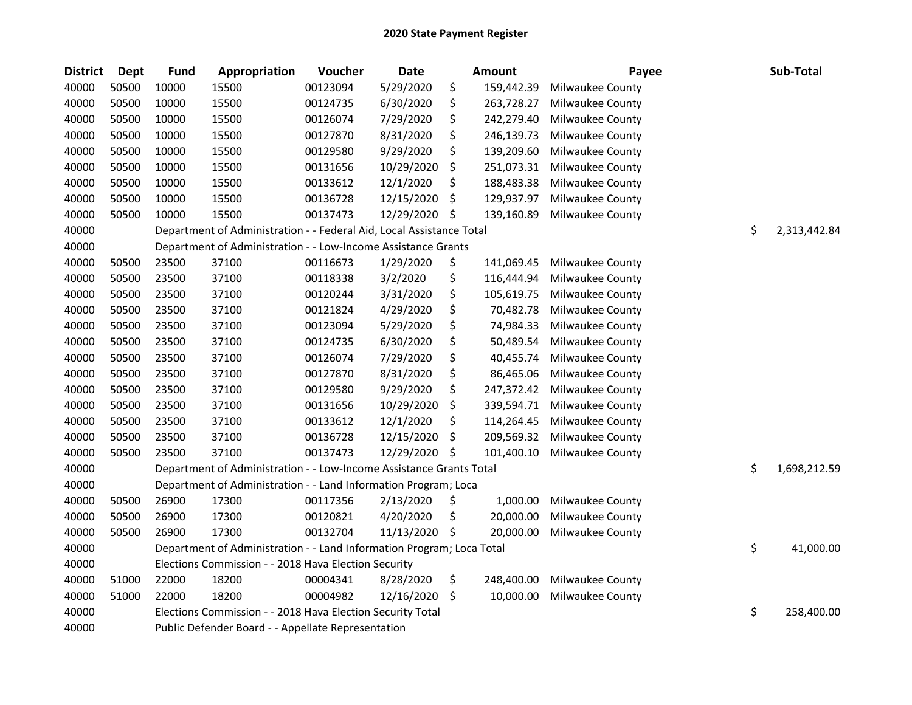| <b>District</b> | Dept  | <b>Fund</b> | Appropriation                                                         | Voucher  | <b>Date</b> | <b>Amount</b>    | Payee            | Sub-Total          |
|-----------------|-------|-------------|-----------------------------------------------------------------------|----------|-------------|------------------|------------------|--------------------|
| 40000           | 50500 | 10000       | 15500                                                                 | 00123094 | 5/29/2020   | \$<br>159,442.39 | Milwaukee County |                    |
| 40000           | 50500 | 10000       | 15500                                                                 | 00124735 | 6/30/2020   | \$<br>263,728.27 | Milwaukee County |                    |
| 40000           | 50500 | 10000       | 15500                                                                 | 00126074 | 7/29/2020   | \$<br>242,279.40 | Milwaukee County |                    |
| 40000           | 50500 | 10000       | 15500                                                                 | 00127870 | 8/31/2020   | \$<br>246,139.73 | Milwaukee County |                    |
| 40000           | 50500 | 10000       | 15500                                                                 | 00129580 | 9/29/2020   | \$<br>139,209.60 | Milwaukee County |                    |
| 40000           | 50500 | 10000       | 15500                                                                 | 00131656 | 10/29/2020  | \$<br>251,073.31 | Milwaukee County |                    |
| 40000           | 50500 | 10000       | 15500                                                                 | 00133612 | 12/1/2020   | \$<br>188,483.38 | Milwaukee County |                    |
| 40000           | 50500 | 10000       | 15500                                                                 | 00136728 | 12/15/2020  | \$<br>129,937.97 | Milwaukee County |                    |
| 40000           | 50500 | 10000       | 15500                                                                 | 00137473 | 12/29/2020  | \$<br>139,160.89 | Milwaukee County |                    |
| 40000           |       |             | Department of Administration - - Federal Aid, Local Assistance Total  |          |             |                  |                  | \$<br>2,313,442.84 |
| 40000           |       |             | Department of Administration - - Low-Income Assistance Grants         |          |             |                  |                  |                    |
| 40000           | 50500 | 23500       | 37100                                                                 | 00116673 | 1/29/2020   | \$<br>141,069.45 | Milwaukee County |                    |
| 40000           | 50500 | 23500       | 37100                                                                 | 00118338 | 3/2/2020    | \$<br>116,444.94 | Milwaukee County |                    |
| 40000           | 50500 | 23500       | 37100                                                                 | 00120244 | 3/31/2020   | \$<br>105,619.75 | Milwaukee County |                    |
| 40000           | 50500 | 23500       | 37100                                                                 | 00121824 | 4/29/2020   | \$<br>70,482.78  | Milwaukee County |                    |
| 40000           | 50500 | 23500       | 37100                                                                 | 00123094 | 5/29/2020   | \$<br>74,984.33  | Milwaukee County |                    |
| 40000           | 50500 | 23500       | 37100                                                                 | 00124735 | 6/30/2020   | \$<br>50,489.54  | Milwaukee County |                    |
| 40000           | 50500 | 23500       | 37100                                                                 | 00126074 | 7/29/2020   | \$<br>40,455.74  | Milwaukee County |                    |
| 40000           | 50500 | 23500       | 37100                                                                 | 00127870 | 8/31/2020   | \$<br>86,465.06  | Milwaukee County |                    |
| 40000           | 50500 | 23500       | 37100                                                                 | 00129580 | 9/29/2020   | \$<br>247,372.42 | Milwaukee County |                    |
| 40000           | 50500 | 23500       | 37100                                                                 | 00131656 | 10/29/2020  | \$<br>339,594.71 | Milwaukee County |                    |
| 40000           | 50500 | 23500       | 37100                                                                 | 00133612 | 12/1/2020   | \$<br>114,264.45 | Milwaukee County |                    |
| 40000           | 50500 | 23500       | 37100                                                                 | 00136728 | 12/15/2020  | \$<br>209,569.32 | Milwaukee County |                    |
| 40000           | 50500 | 23500       | 37100                                                                 | 00137473 | 12/29/2020  | \$<br>101,400.10 | Milwaukee County |                    |
| 40000           |       |             | Department of Administration - - Low-Income Assistance Grants Total   |          |             |                  |                  | \$<br>1,698,212.59 |
| 40000           |       |             | Department of Administration - - Land Information Program; Loca       |          |             |                  |                  |                    |
| 40000           | 50500 | 26900       | 17300                                                                 | 00117356 | 2/13/2020   | \$<br>1,000.00   | Milwaukee County |                    |
| 40000           | 50500 | 26900       | 17300                                                                 | 00120821 | 4/20/2020   | \$<br>20,000.00  | Milwaukee County |                    |
| 40000           | 50500 | 26900       | 17300                                                                 | 00132704 | 11/13/2020  | \$<br>20,000.00  | Milwaukee County |                    |
| 40000           |       |             | Department of Administration - - Land Information Program; Loca Total |          |             |                  |                  | \$<br>41,000.00    |
| 40000           |       |             | Elections Commission - - 2018 Hava Election Security                  |          |             |                  |                  |                    |
| 40000           | 51000 | 22000       | 18200                                                                 | 00004341 | 8/28/2020   | \$<br>248,400.00 | Milwaukee County |                    |
| 40000           | 51000 | 22000       | 18200                                                                 | 00004982 | 12/16/2020  | \$<br>10,000.00  | Milwaukee County |                    |
| 40000           |       |             | Elections Commission - - 2018 Hava Election Security Total            |          |             |                  |                  | \$<br>258,400.00   |
| 40000           |       |             | Public Defender Board - - Appellate Representation                    |          |             |                  |                  |                    |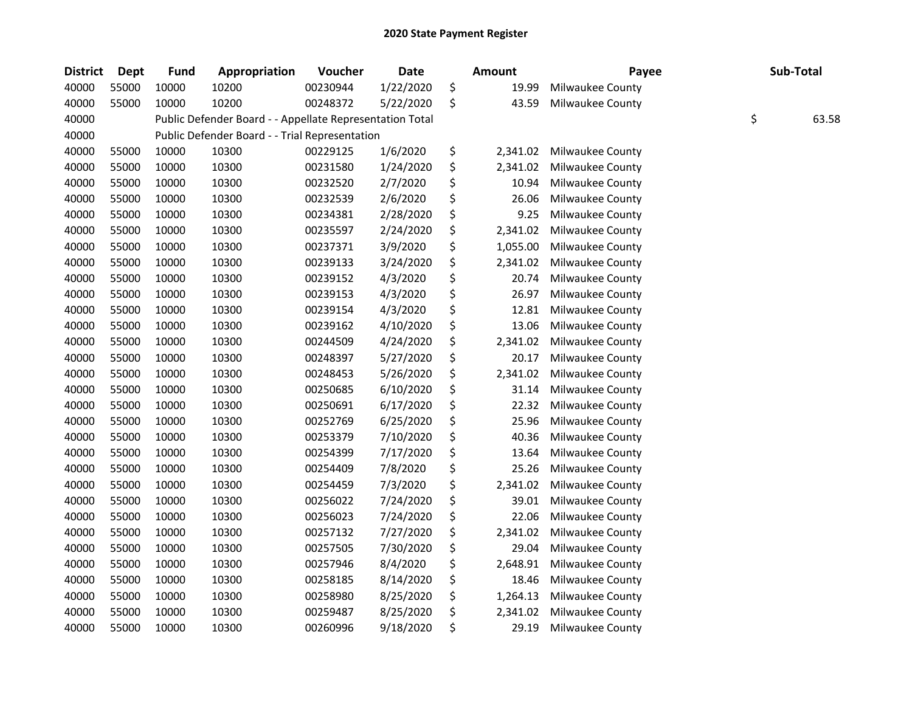| <b>District</b> | <b>Dept</b> | <b>Fund</b> | Appropriation                                            | Voucher  | <b>Date</b> | <b>Amount</b>  | Payee            | Sub-Total   |
|-----------------|-------------|-------------|----------------------------------------------------------|----------|-------------|----------------|------------------|-------------|
| 40000           | 55000       | 10000       | 10200                                                    | 00230944 | 1/22/2020   | \$<br>19.99    | Milwaukee County |             |
| 40000           | 55000       | 10000       | 10200                                                    | 00248372 | 5/22/2020   | \$<br>43.59    | Milwaukee County |             |
| 40000           |             |             | Public Defender Board - - Appellate Representation Total |          |             |                |                  | \$<br>63.58 |
| 40000           |             |             | Public Defender Board - - Trial Representation           |          |             |                |                  |             |
| 40000           | 55000       | 10000       | 10300                                                    | 00229125 | 1/6/2020    | \$<br>2,341.02 | Milwaukee County |             |
| 40000           | 55000       | 10000       | 10300                                                    | 00231580 | 1/24/2020   | \$<br>2,341.02 | Milwaukee County |             |
| 40000           | 55000       | 10000       | 10300                                                    | 00232520 | 2/7/2020    | \$<br>10.94    | Milwaukee County |             |
| 40000           | 55000       | 10000       | 10300                                                    | 00232539 | 2/6/2020    | \$<br>26.06    | Milwaukee County |             |
| 40000           | 55000       | 10000       | 10300                                                    | 00234381 | 2/28/2020   | \$<br>9.25     | Milwaukee County |             |
| 40000           | 55000       | 10000       | 10300                                                    | 00235597 | 2/24/2020   | \$<br>2,341.02 | Milwaukee County |             |
| 40000           | 55000       | 10000       | 10300                                                    | 00237371 | 3/9/2020    | \$<br>1,055.00 | Milwaukee County |             |
| 40000           | 55000       | 10000       | 10300                                                    | 00239133 | 3/24/2020   | \$<br>2,341.02 | Milwaukee County |             |
| 40000           | 55000       | 10000       | 10300                                                    | 00239152 | 4/3/2020    | \$<br>20.74    | Milwaukee County |             |
| 40000           | 55000       | 10000       | 10300                                                    | 00239153 | 4/3/2020    | \$<br>26.97    | Milwaukee County |             |
| 40000           | 55000       | 10000       | 10300                                                    | 00239154 | 4/3/2020    | \$<br>12.81    | Milwaukee County |             |
| 40000           | 55000       | 10000       | 10300                                                    | 00239162 | 4/10/2020   | \$<br>13.06    | Milwaukee County |             |
| 40000           | 55000       | 10000       | 10300                                                    | 00244509 | 4/24/2020   | \$<br>2,341.02 | Milwaukee County |             |
| 40000           | 55000       | 10000       | 10300                                                    | 00248397 | 5/27/2020   | \$<br>20.17    | Milwaukee County |             |
| 40000           | 55000       | 10000       | 10300                                                    | 00248453 | 5/26/2020   | \$<br>2,341.02 | Milwaukee County |             |
| 40000           | 55000       | 10000       | 10300                                                    | 00250685 | 6/10/2020   | \$<br>31.14    | Milwaukee County |             |
| 40000           | 55000       | 10000       | 10300                                                    | 00250691 | 6/17/2020   | \$<br>22.32    | Milwaukee County |             |
| 40000           | 55000       | 10000       | 10300                                                    | 00252769 | 6/25/2020   | \$<br>25.96    | Milwaukee County |             |
| 40000           | 55000       | 10000       | 10300                                                    | 00253379 | 7/10/2020   | \$<br>40.36    | Milwaukee County |             |
| 40000           | 55000       | 10000       | 10300                                                    | 00254399 | 7/17/2020   | \$<br>13.64    | Milwaukee County |             |
| 40000           | 55000       | 10000       | 10300                                                    | 00254409 | 7/8/2020    | \$<br>25.26    | Milwaukee County |             |
| 40000           | 55000       | 10000       | 10300                                                    | 00254459 | 7/3/2020    | \$<br>2,341.02 | Milwaukee County |             |
| 40000           | 55000       | 10000       | 10300                                                    | 00256022 | 7/24/2020   | \$<br>39.01    | Milwaukee County |             |
| 40000           | 55000       | 10000       | 10300                                                    | 00256023 | 7/24/2020   | \$<br>22.06    | Milwaukee County |             |
| 40000           | 55000       | 10000       | 10300                                                    | 00257132 | 7/27/2020   | \$<br>2,341.02 | Milwaukee County |             |
| 40000           | 55000       | 10000       | 10300                                                    | 00257505 | 7/30/2020   | \$<br>29.04    | Milwaukee County |             |
| 40000           | 55000       | 10000       | 10300                                                    | 00257946 | 8/4/2020    | \$<br>2,648.91 | Milwaukee County |             |
| 40000           | 55000       | 10000       | 10300                                                    | 00258185 | 8/14/2020   | \$<br>18.46    | Milwaukee County |             |
| 40000           | 55000       | 10000       | 10300                                                    | 00258980 | 8/25/2020   | \$<br>1,264.13 | Milwaukee County |             |
| 40000           | 55000       | 10000       | 10300                                                    | 00259487 | 8/25/2020   | \$<br>2,341.02 | Milwaukee County |             |
| 40000           | 55000       | 10000       | 10300                                                    | 00260996 | 9/18/2020   | \$<br>29.19    | Milwaukee County |             |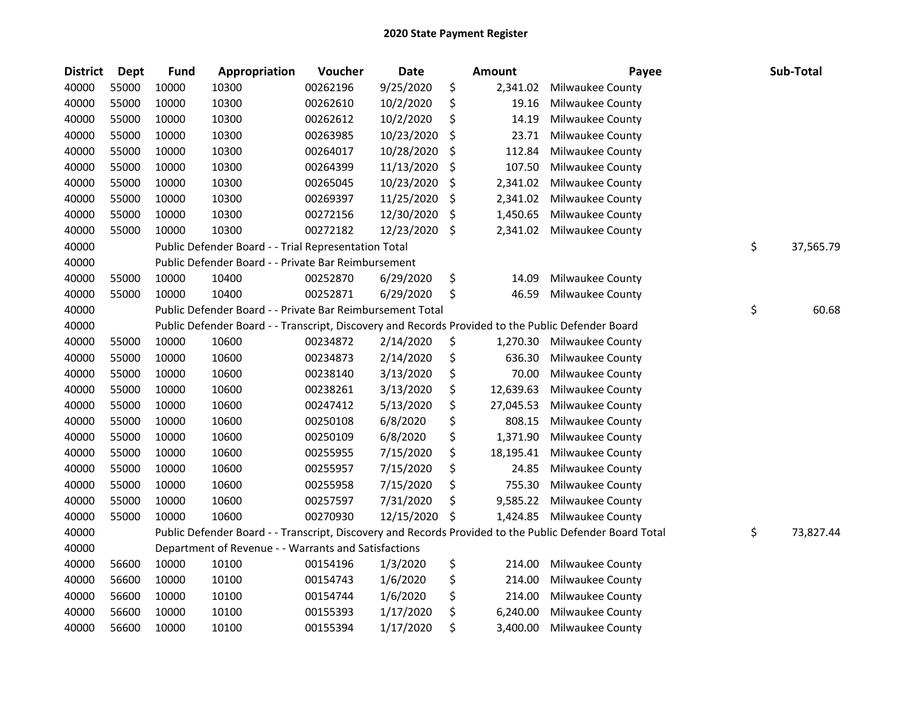| <b>District</b> | Dept  | <b>Fund</b> | Appropriation                                                                                     | Voucher  | <b>Date</b> | <b>Amount</b>   | Payee                                                                                                   | Sub-Total       |
|-----------------|-------|-------------|---------------------------------------------------------------------------------------------------|----------|-------------|-----------------|---------------------------------------------------------------------------------------------------------|-----------------|
| 40000           | 55000 | 10000       | 10300                                                                                             | 00262196 | 9/25/2020   | \$<br>2,341.02  | Milwaukee County                                                                                        |                 |
| 40000           | 55000 | 10000       | 10300                                                                                             | 00262610 | 10/2/2020   | \$<br>19.16     | <b>Milwaukee County</b>                                                                                 |                 |
| 40000           | 55000 | 10000       | 10300                                                                                             | 00262612 | 10/2/2020   | \$<br>14.19     | Milwaukee County                                                                                        |                 |
| 40000           | 55000 | 10000       | 10300                                                                                             | 00263985 | 10/23/2020  | \$<br>23.71     | Milwaukee County                                                                                        |                 |
| 40000           | 55000 | 10000       | 10300                                                                                             | 00264017 | 10/28/2020  | \$<br>112.84    | Milwaukee County                                                                                        |                 |
| 40000           | 55000 | 10000       | 10300                                                                                             | 00264399 | 11/13/2020  | \$<br>107.50    | Milwaukee County                                                                                        |                 |
| 40000           | 55000 | 10000       | 10300                                                                                             | 00265045 | 10/23/2020  | \$<br>2,341.02  | Milwaukee County                                                                                        |                 |
| 40000           | 55000 | 10000       | 10300                                                                                             | 00269397 | 11/25/2020  | \$<br>2,341.02  | Milwaukee County                                                                                        |                 |
| 40000           | 55000 | 10000       | 10300                                                                                             | 00272156 | 12/30/2020  | \$<br>1,450.65  | Milwaukee County                                                                                        |                 |
| 40000           | 55000 | 10000       | 10300                                                                                             | 00272182 | 12/23/2020  | \$<br>2,341.02  | Milwaukee County                                                                                        |                 |
| 40000           |       |             | Public Defender Board - - Trial Representation Total                                              |          |             |                 |                                                                                                         | \$<br>37,565.79 |
| 40000           |       |             | Public Defender Board - - Private Bar Reimbursement                                               |          |             |                 |                                                                                                         |                 |
| 40000           | 55000 | 10000       | 10400                                                                                             | 00252870 | 6/29/2020   | \$<br>14.09     | Milwaukee County                                                                                        |                 |
| 40000           | 55000 | 10000       | 10400                                                                                             | 00252871 | 6/29/2020   | \$<br>46.59     | Milwaukee County                                                                                        |                 |
| 40000           |       |             | Public Defender Board - - Private Bar Reimbursement Total                                         |          |             |                 |                                                                                                         | \$<br>60.68     |
| 40000           |       |             | Public Defender Board - - Transcript, Discovery and Records Provided to the Public Defender Board |          |             |                 |                                                                                                         |                 |
| 40000           | 55000 | 10000       | 10600                                                                                             | 00234872 | 2/14/2020   | \$<br>1,270.30  | <b>Milwaukee County</b>                                                                                 |                 |
| 40000           | 55000 | 10000       | 10600                                                                                             | 00234873 | 2/14/2020   | \$<br>636.30    | Milwaukee County                                                                                        |                 |
| 40000           | 55000 | 10000       | 10600                                                                                             | 00238140 | 3/13/2020   | \$<br>70.00     | Milwaukee County                                                                                        |                 |
| 40000           | 55000 | 10000       | 10600                                                                                             | 00238261 | 3/13/2020   | \$<br>12,639.63 | Milwaukee County                                                                                        |                 |
| 40000           | 55000 | 10000       | 10600                                                                                             | 00247412 | 5/13/2020   | \$<br>27,045.53 | Milwaukee County                                                                                        |                 |
| 40000           | 55000 | 10000       | 10600                                                                                             | 00250108 | 6/8/2020    | \$<br>808.15    | Milwaukee County                                                                                        |                 |
| 40000           | 55000 | 10000       | 10600                                                                                             | 00250109 | 6/8/2020    | \$<br>1,371.90  | Milwaukee County                                                                                        |                 |
| 40000           | 55000 | 10000       | 10600                                                                                             | 00255955 | 7/15/2020   | \$<br>18,195.41 | Milwaukee County                                                                                        |                 |
| 40000           | 55000 | 10000       | 10600                                                                                             | 00255957 | 7/15/2020   | \$<br>24.85     | Milwaukee County                                                                                        |                 |
| 40000           | 55000 | 10000       | 10600                                                                                             | 00255958 | 7/15/2020   | \$<br>755.30    | Milwaukee County                                                                                        |                 |
| 40000           | 55000 | 10000       | 10600                                                                                             | 00257597 | 7/31/2020   | \$<br>9,585.22  | Milwaukee County                                                                                        |                 |
| 40000           | 55000 | 10000       | 10600                                                                                             | 00270930 | 12/15/2020  | \$<br>1,424.85  | Milwaukee County                                                                                        |                 |
| 40000           |       |             |                                                                                                   |          |             |                 | Public Defender Board - - Transcript, Discovery and Records Provided to the Public Defender Board Total | \$<br>73,827.44 |
| 40000           |       |             | Department of Revenue - - Warrants and Satisfactions                                              |          |             |                 |                                                                                                         |                 |
| 40000           | 56600 | 10000       | 10100                                                                                             | 00154196 | 1/3/2020    | \$<br>214.00    | Milwaukee County                                                                                        |                 |
| 40000           | 56600 | 10000       | 10100                                                                                             | 00154743 | 1/6/2020    | \$<br>214.00    | Milwaukee County                                                                                        |                 |
| 40000           | 56600 | 10000       | 10100                                                                                             | 00154744 | 1/6/2020    | \$<br>214.00    | Milwaukee County                                                                                        |                 |
| 40000           | 56600 | 10000       | 10100                                                                                             | 00155393 | 1/17/2020   | \$<br>6,240.00  | Milwaukee County                                                                                        |                 |
| 40000           | 56600 | 10000       | 10100                                                                                             | 00155394 | 1/17/2020   | \$<br>3,400.00  | <b>Milwaukee County</b>                                                                                 |                 |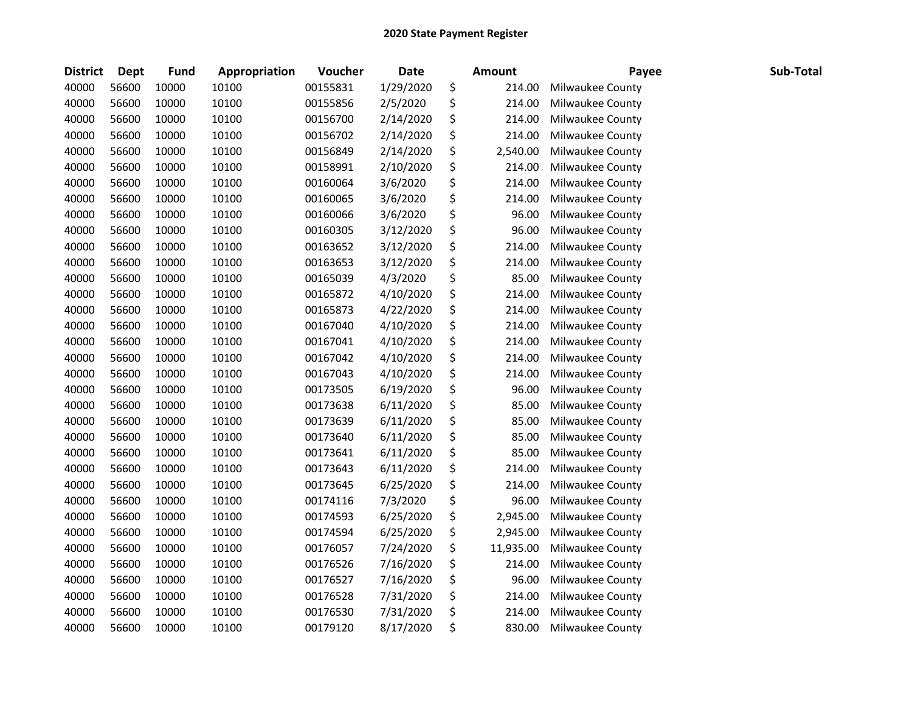| <b>District</b> | <b>Dept</b> | <b>Fund</b> | Appropriation | Voucher  | <b>Date</b> | <b>Amount</b>   | Payee            | Sub-Total |
|-----------------|-------------|-------------|---------------|----------|-------------|-----------------|------------------|-----------|
| 40000           | 56600       | 10000       | 10100         | 00155831 | 1/29/2020   | \$<br>214.00    | Milwaukee County |           |
| 40000           | 56600       | 10000       | 10100         | 00155856 | 2/5/2020    | \$<br>214.00    | Milwaukee County |           |
| 40000           | 56600       | 10000       | 10100         | 00156700 | 2/14/2020   | \$<br>214.00    | Milwaukee County |           |
| 40000           | 56600       | 10000       | 10100         | 00156702 | 2/14/2020   | \$<br>214.00    | Milwaukee County |           |
| 40000           | 56600       | 10000       | 10100         | 00156849 | 2/14/2020   | \$<br>2,540.00  | Milwaukee County |           |
| 40000           | 56600       | 10000       | 10100         | 00158991 | 2/10/2020   | \$<br>214.00    | Milwaukee County |           |
| 40000           | 56600       | 10000       | 10100         | 00160064 | 3/6/2020    | \$<br>214.00    | Milwaukee County |           |
| 40000           | 56600       | 10000       | 10100         | 00160065 | 3/6/2020    | \$<br>214.00    | Milwaukee County |           |
| 40000           | 56600       | 10000       | 10100         | 00160066 | 3/6/2020    | \$<br>96.00     | Milwaukee County |           |
| 40000           | 56600       | 10000       | 10100         | 00160305 | 3/12/2020   | \$<br>96.00     | Milwaukee County |           |
| 40000           | 56600       | 10000       | 10100         | 00163652 | 3/12/2020   | \$<br>214.00    | Milwaukee County |           |
| 40000           | 56600       | 10000       | 10100         | 00163653 | 3/12/2020   | \$<br>214.00    | Milwaukee County |           |
| 40000           | 56600       | 10000       | 10100         | 00165039 | 4/3/2020    | \$<br>85.00     | Milwaukee County |           |
| 40000           | 56600       | 10000       | 10100         | 00165872 | 4/10/2020   | \$<br>214.00    | Milwaukee County |           |
| 40000           | 56600       | 10000       | 10100         | 00165873 | 4/22/2020   | \$<br>214.00    | Milwaukee County |           |
| 40000           | 56600       | 10000       | 10100         | 00167040 | 4/10/2020   | \$<br>214.00    | Milwaukee County |           |
| 40000           | 56600       | 10000       | 10100         | 00167041 | 4/10/2020   | \$<br>214.00    | Milwaukee County |           |
| 40000           | 56600       | 10000       | 10100         | 00167042 | 4/10/2020   | \$<br>214.00    | Milwaukee County |           |
| 40000           | 56600       | 10000       | 10100         | 00167043 | 4/10/2020   | \$<br>214.00    | Milwaukee County |           |
| 40000           | 56600       | 10000       | 10100         | 00173505 | 6/19/2020   | \$<br>96.00     | Milwaukee County |           |
| 40000           | 56600       | 10000       | 10100         | 00173638 | 6/11/2020   | \$<br>85.00     | Milwaukee County |           |
| 40000           | 56600       | 10000       | 10100         | 00173639 | 6/11/2020   | \$<br>85.00     | Milwaukee County |           |
| 40000           | 56600       | 10000       | 10100         | 00173640 | 6/11/2020   | \$<br>85.00     | Milwaukee County |           |
| 40000           | 56600       | 10000       | 10100         | 00173641 | 6/11/2020   | \$<br>85.00     | Milwaukee County |           |
| 40000           | 56600       | 10000       | 10100         | 00173643 | 6/11/2020   | \$<br>214.00    | Milwaukee County |           |
| 40000           | 56600       | 10000       | 10100         | 00173645 | 6/25/2020   | \$<br>214.00    | Milwaukee County |           |
| 40000           | 56600       | 10000       | 10100         | 00174116 | 7/3/2020    | \$<br>96.00     | Milwaukee County |           |
| 40000           | 56600       | 10000       | 10100         | 00174593 | 6/25/2020   | \$<br>2,945.00  | Milwaukee County |           |
| 40000           | 56600       | 10000       | 10100         | 00174594 | 6/25/2020   | \$<br>2,945.00  | Milwaukee County |           |
| 40000           | 56600       | 10000       | 10100         | 00176057 | 7/24/2020   | \$<br>11,935.00 | Milwaukee County |           |
| 40000           | 56600       | 10000       | 10100         | 00176526 | 7/16/2020   | \$<br>214.00    | Milwaukee County |           |
| 40000           | 56600       | 10000       | 10100         | 00176527 | 7/16/2020   | \$<br>96.00     | Milwaukee County |           |
| 40000           | 56600       | 10000       | 10100         | 00176528 | 7/31/2020   | \$<br>214.00    | Milwaukee County |           |
| 40000           | 56600       | 10000       | 10100         | 00176530 | 7/31/2020   | \$<br>214.00    | Milwaukee County |           |
| 40000           | 56600       | 10000       | 10100         | 00179120 | 8/17/2020   | \$<br>830.00    | Milwaukee County |           |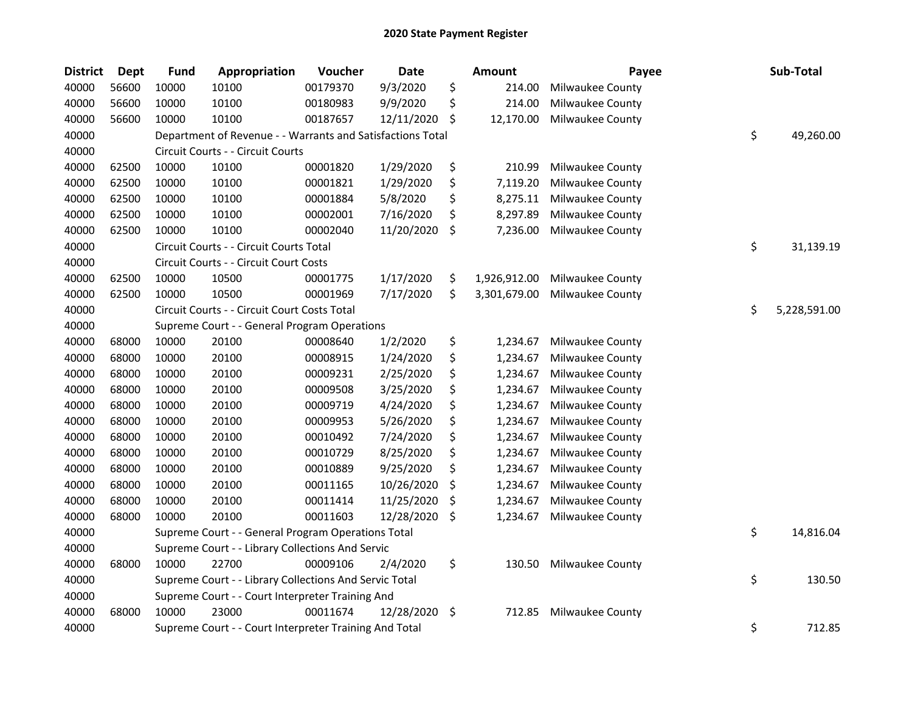| <b>District</b> | <b>Dept</b> | <b>Fund</b> | <b>Appropriation</b>                                       | Voucher  | Date       |    | <b>Amount</b> | Payee            | Sub-Total          |
|-----------------|-------------|-------------|------------------------------------------------------------|----------|------------|----|---------------|------------------|--------------------|
| 40000           | 56600       | 10000       | 10100                                                      | 00179370 | 9/3/2020   | \$ | 214.00        | Milwaukee County |                    |
| 40000           | 56600       | 10000       | 10100                                                      | 00180983 | 9/9/2020   | \$ | 214.00        | Milwaukee County |                    |
| 40000           | 56600       | 10000       | 10100                                                      | 00187657 | 12/11/2020 | \$ | 12,170.00     | Milwaukee County |                    |
| 40000           |             |             | Department of Revenue - - Warrants and Satisfactions Total |          |            |    |               |                  | \$<br>49,260.00    |
| 40000           |             |             | Circuit Courts - - Circuit Courts                          |          |            |    |               |                  |                    |
| 40000           | 62500       | 10000       | 10100                                                      | 00001820 | 1/29/2020  | \$ | 210.99        | Milwaukee County |                    |
| 40000           | 62500       | 10000       | 10100                                                      | 00001821 | 1/29/2020  | \$ | 7,119.20      | Milwaukee County |                    |
| 40000           | 62500       | 10000       | 10100                                                      | 00001884 | 5/8/2020   | \$ | 8,275.11      | Milwaukee County |                    |
| 40000           | 62500       | 10000       | 10100                                                      | 00002001 | 7/16/2020  | \$ | 8,297.89      | Milwaukee County |                    |
| 40000           | 62500       | 10000       | 10100                                                      | 00002040 | 11/20/2020 | \$ | 7,236.00      | Milwaukee County |                    |
| 40000           |             |             | Circuit Courts - - Circuit Courts Total                    |          |            |    |               |                  | \$<br>31,139.19    |
| 40000           |             |             | Circuit Courts - - Circuit Court Costs                     |          |            |    |               |                  |                    |
| 40000           | 62500       | 10000       | 10500                                                      | 00001775 | 1/17/2020  | \$ | 1,926,912.00  | Milwaukee County |                    |
| 40000           | 62500       | 10000       | 10500                                                      | 00001969 | 7/17/2020  | \$ | 3,301,679.00  | Milwaukee County |                    |
| 40000           |             |             | Circuit Courts - - Circuit Court Costs Total               |          |            |    |               |                  | \$<br>5,228,591.00 |
| 40000           |             |             | Supreme Court - - General Program Operations               |          |            |    |               |                  |                    |
| 40000           | 68000       | 10000       | 20100                                                      | 00008640 | 1/2/2020   | \$ | 1,234.67      | Milwaukee County |                    |
| 40000           | 68000       | 10000       | 20100                                                      | 00008915 | 1/24/2020  | \$ | 1,234.67      | Milwaukee County |                    |
| 40000           | 68000       | 10000       | 20100                                                      | 00009231 | 2/25/2020  | \$ | 1,234.67      | Milwaukee County |                    |
| 40000           | 68000       | 10000       | 20100                                                      | 00009508 | 3/25/2020  | \$ | 1,234.67      | Milwaukee County |                    |
| 40000           | 68000       | 10000       | 20100                                                      | 00009719 | 4/24/2020  | \$ | 1,234.67      | Milwaukee County |                    |
| 40000           | 68000       | 10000       | 20100                                                      | 00009953 | 5/26/2020  | \$ | 1,234.67      | Milwaukee County |                    |
| 40000           | 68000       | 10000       | 20100                                                      | 00010492 | 7/24/2020  | \$ | 1,234.67      | Milwaukee County |                    |
| 40000           | 68000       | 10000       | 20100                                                      | 00010729 | 8/25/2020  | \$ | 1,234.67      | Milwaukee County |                    |
| 40000           | 68000       | 10000       | 20100                                                      | 00010889 | 9/25/2020  | \$ | 1,234.67      | Milwaukee County |                    |
| 40000           | 68000       | 10000       | 20100                                                      | 00011165 | 10/26/2020 | \$ | 1,234.67      | Milwaukee County |                    |
| 40000           | 68000       | 10000       | 20100                                                      | 00011414 | 11/25/2020 | S  | 1,234.67      | Milwaukee County |                    |
| 40000           | 68000       | 10000       | 20100                                                      | 00011603 | 12/28/2020 | \$ | 1,234.67      | Milwaukee County |                    |
| 40000           |             |             | Supreme Court - - General Program Operations Total         |          |            |    |               |                  | \$<br>14,816.04    |
| 40000           |             |             | Supreme Court - - Library Collections And Servic           |          |            |    |               |                  |                    |
| 40000           | 68000       | 10000       | 22700                                                      | 00009106 | 2/4/2020   | \$ | 130.50        | Milwaukee County |                    |
| 40000           |             |             | Supreme Court - - Library Collections And Servic Total     |          |            |    |               |                  | \$<br>130.50       |
| 40000           |             |             | Supreme Court - - Court Interpreter Training And           |          |            |    |               |                  |                    |
| 40000           | 68000       | 10000       | 23000                                                      | 00011674 | 12/28/2020 | \$ | 712.85        | Milwaukee County |                    |
| 40000           |             |             | Supreme Court - - Court Interpreter Training And Total     |          |            |    |               |                  | \$<br>712.85       |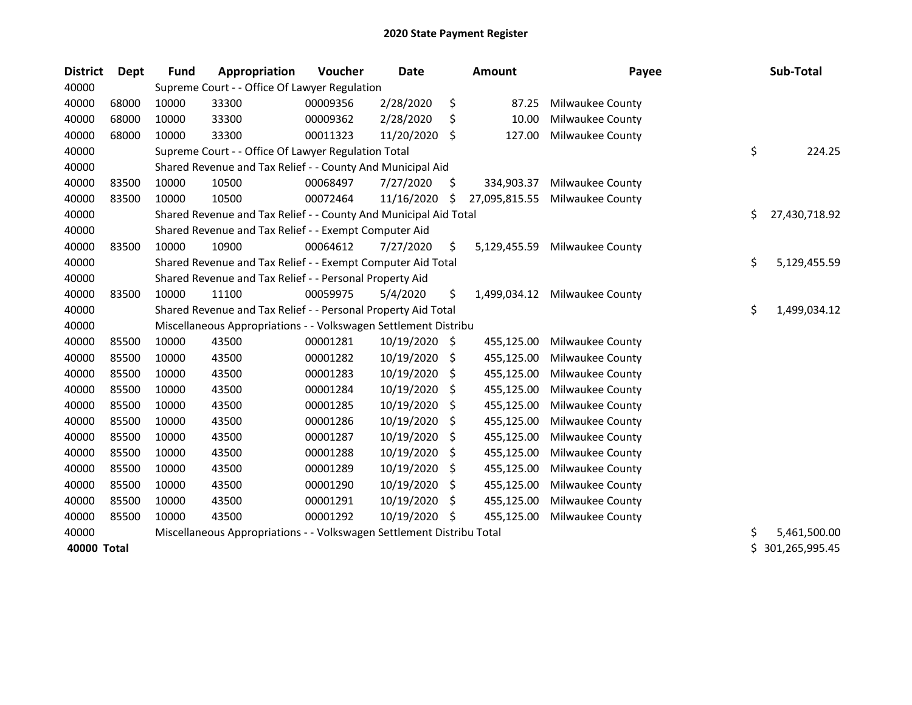| <b>District</b> | <b>Dept</b> | Fund  | Appropriation                                                         | Voucher  | <b>Date</b>   |     | <b>Amount</b> | Payee            | Sub-Total           |
|-----------------|-------------|-------|-----------------------------------------------------------------------|----------|---------------|-----|---------------|------------------|---------------------|
| 40000           |             |       | Supreme Court - - Office Of Lawyer Regulation                         |          |               |     |               |                  |                     |
| 40000           | 68000       | 10000 | 33300                                                                 | 00009356 | 2/28/2020     | \$  | 87.25         | Milwaukee County |                     |
| 40000           | 68000       | 10000 | 33300                                                                 | 00009362 | 2/28/2020     | \$  | 10.00         | Milwaukee County |                     |
| 40000           | 68000       | 10000 | 33300                                                                 | 00011323 | 11/20/2020    | \$  | 127.00        | Milwaukee County |                     |
| 40000           |             |       | Supreme Court - - Office Of Lawyer Regulation Total                   |          |               |     |               |                  | \$<br>224.25        |
| 40000           |             |       | Shared Revenue and Tax Relief - - County And Municipal Aid            |          |               |     |               |                  |                     |
| 40000           | 83500       | 10000 | 10500                                                                 | 00068497 | 7/27/2020     | \$. | 334,903.37    | Milwaukee County |                     |
| 40000           | 83500       | 10000 | 10500                                                                 | 00072464 | 11/16/2020    | Ś   | 27,095,815.55 | Milwaukee County |                     |
| 40000           |             |       | Shared Revenue and Tax Relief - - County And Municipal Aid Total      |          |               |     |               |                  | \$<br>27,430,718.92 |
| 40000           |             |       | Shared Revenue and Tax Relief - - Exempt Computer Aid                 |          |               |     |               |                  |                     |
| 40000           | 83500       | 10000 | 10900                                                                 | 00064612 | 7/27/2020     | \$  | 5,129,455.59  | Milwaukee County |                     |
| 40000           |             |       | Shared Revenue and Tax Relief - - Exempt Computer Aid Total           |          |               |     |               |                  | \$<br>5,129,455.59  |
| 40000           |             |       | Shared Revenue and Tax Relief - - Personal Property Aid               |          |               |     |               |                  |                     |
| 40000           | 83500       | 10000 | 11100                                                                 | 00059975 | 5/4/2020      | \$  | 1,499,034.12  | Milwaukee County |                     |
| 40000           |             |       | Shared Revenue and Tax Relief - - Personal Property Aid Total         |          |               |     |               |                  | \$<br>1,499,034.12  |
| 40000           |             |       | Miscellaneous Appropriations - - Volkswagen Settlement Distribu       |          |               |     |               |                  |                     |
| 40000           | 85500       | 10000 | 43500                                                                 | 00001281 | 10/19/2020 \$ |     | 455,125.00    | Milwaukee County |                     |
| 40000           | 85500       | 10000 | 43500                                                                 | 00001282 | 10/19/2020    | \$  | 455,125.00    | Milwaukee County |                     |
| 40000           | 85500       | 10000 | 43500                                                                 | 00001283 | 10/19/2020    | \$  | 455,125.00    | Milwaukee County |                     |
| 40000           | 85500       | 10000 | 43500                                                                 | 00001284 | 10/19/2020    | S   | 455,125.00    | Milwaukee County |                     |
| 40000           | 85500       | 10000 | 43500                                                                 | 00001285 | 10/19/2020    | S   | 455,125.00    | Milwaukee County |                     |
| 40000           | 85500       | 10000 | 43500                                                                 | 00001286 | 10/19/2020    | S   | 455,125.00    | Milwaukee County |                     |
| 40000           | 85500       | 10000 | 43500                                                                 | 00001287 | 10/19/2020    | \$. | 455,125.00    | Milwaukee County |                     |
| 40000           | 85500       | 10000 | 43500                                                                 | 00001288 | 10/19/2020    | \$  | 455,125.00    | Milwaukee County |                     |
| 40000           | 85500       | 10000 | 43500                                                                 | 00001289 | 10/19/2020    | \$  | 455,125.00    | Milwaukee County |                     |
| 40000           | 85500       | 10000 | 43500                                                                 | 00001290 | 10/19/2020    | \$  | 455,125.00    | Milwaukee County |                     |
| 40000           | 85500       | 10000 | 43500                                                                 | 00001291 | 10/19/2020    | \$. | 455,125.00    | Milwaukee County |                     |
| 40000           | 85500       | 10000 | 43500                                                                 | 00001292 | 10/19/2020    | \$. | 455,125.00    | Milwaukee County |                     |
| 40000           |             |       | Miscellaneous Appropriations - - Volkswagen Settlement Distribu Total |          |               |     |               |                  | \$<br>5,461,500.00  |
| 40000 Total     |             |       |                                                                       |          |               |     |               |                  | \$301,265,995.45    |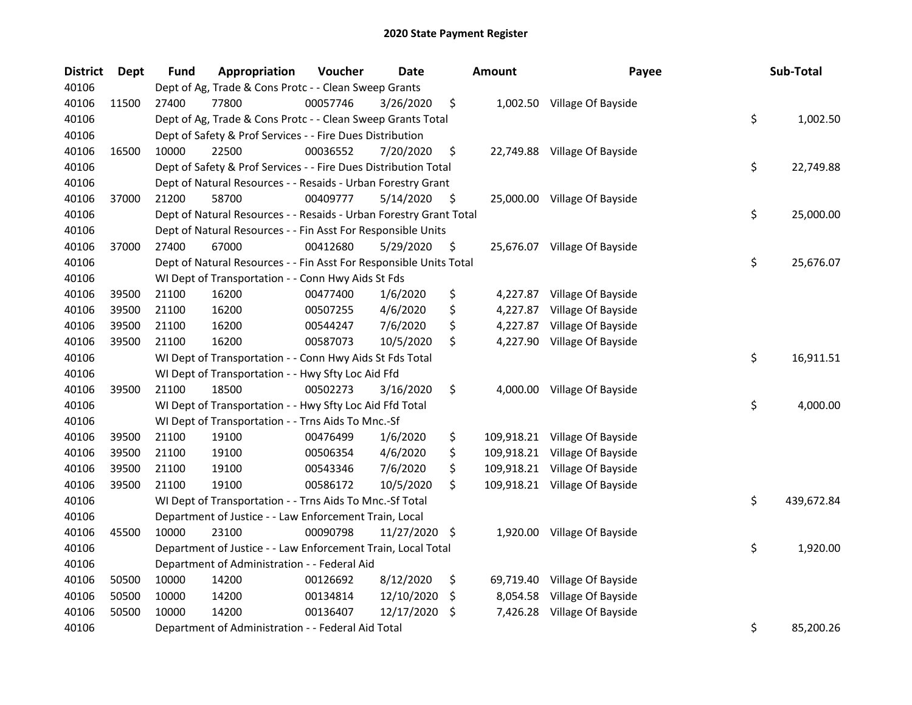| <b>District</b> | <b>Dept</b> | <b>Fund</b> | Appropriation                                                      | Voucher  | <b>Date</b>   |                    | <b>Amount</b> | Payee                         | Sub-Total        |
|-----------------|-------------|-------------|--------------------------------------------------------------------|----------|---------------|--------------------|---------------|-------------------------------|------------------|
| 40106           |             |             | Dept of Ag, Trade & Cons Protc - - Clean Sweep Grants              |          |               |                    |               |                               |                  |
| 40106           | 11500       | 27400       | 77800                                                              | 00057746 | 3/26/2020     | \$                 |               | 1,002.50 Village Of Bayside   |                  |
| 40106           |             |             | Dept of Ag, Trade & Cons Protc - - Clean Sweep Grants Total        |          |               |                    |               |                               | \$<br>1,002.50   |
| 40106           |             |             | Dept of Safety & Prof Services - - Fire Dues Distribution          |          |               |                    |               |                               |                  |
| 40106           | 16500       | 10000       | 22500                                                              | 00036552 | 7/20/2020     | \$                 |               | 22,749.88 Village Of Bayside  |                  |
| 40106           |             |             | Dept of Safety & Prof Services - - Fire Dues Distribution Total    |          |               |                    |               |                               | \$<br>22,749.88  |
| 40106           |             |             | Dept of Natural Resources - - Resaids - Urban Forestry Grant       |          |               |                    |               |                               |                  |
| 40106           | 37000       | 21200       | 58700                                                              | 00409777 | 5/14/2020     | \$                 |               | 25,000.00 Village Of Bayside  |                  |
| 40106           |             |             | Dept of Natural Resources - - Resaids - Urban Forestry Grant Total |          |               |                    |               |                               | \$<br>25,000.00  |
| 40106           |             |             | Dept of Natural Resources - - Fin Asst For Responsible Units       |          |               |                    |               |                               |                  |
| 40106           | 37000       | 27400       | 67000                                                              | 00412680 | 5/29/2020     | \$                 |               | 25,676.07 Village Of Bayside  |                  |
| 40106           |             |             | Dept of Natural Resources - - Fin Asst For Responsible Units Total |          |               |                    |               |                               | \$<br>25,676.07  |
| 40106           |             |             | WI Dept of Transportation - - Conn Hwy Aids St Fds                 |          |               |                    |               |                               |                  |
| 40106           | 39500       | 21100       | 16200                                                              | 00477400 | 1/6/2020      | \$                 | 4,227.87      | Village Of Bayside            |                  |
| 40106           | 39500       | 21100       | 16200                                                              | 00507255 | 4/6/2020      | \$                 | 4,227.87      | Village Of Bayside            |                  |
| 40106           | 39500       | 21100       | 16200                                                              | 00544247 | 7/6/2020      | \$                 | 4,227.87      | Village Of Bayside            |                  |
| 40106           | 39500       | 21100       | 16200                                                              | 00587073 | 10/5/2020     | \$                 |               | 4,227.90 Village Of Bayside   |                  |
| 40106           |             |             | WI Dept of Transportation - - Conn Hwy Aids St Fds Total           |          |               |                    |               |                               | \$<br>16,911.51  |
| 40106           |             |             | WI Dept of Transportation - - Hwy Sfty Loc Aid Ffd                 |          |               |                    |               |                               |                  |
| 40106           | 39500       | 21100       | 18500                                                              | 00502273 | 3/16/2020     | \$                 | 4,000.00      | Village Of Bayside            |                  |
| 40106           |             |             | WI Dept of Transportation - - Hwy Sfty Loc Aid Ffd Total           |          |               |                    |               |                               | \$<br>4,000.00   |
| 40106           |             |             | WI Dept of Transportation - - Trns Aids To Mnc.-Sf                 |          |               |                    |               |                               |                  |
| 40106           | 39500       | 21100       | 19100                                                              | 00476499 | 1/6/2020      | \$                 |               | 109,918.21 Village Of Bayside |                  |
| 40106           | 39500       | 21100       | 19100                                                              | 00506354 | 4/6/2020      | \$                 |               | 109,918.21 Village Of Bayside |                  |
| 40106           | 39500       | 21100       | 19100                                                              | 00543346 | 7/6/2020      | \$                 | 109,918.21    | Village Of Bayside            |                  |
| 40106           | 39500       | 21100       | 19100                                                              | 00586172 | 10/5/2020     | \$                 |               | 109,918.21 Village Of Bayside |                  |
| 40106           |             |             | WI Dept of Transportation - - Trns Aids To Mnc.-Sf Total           |          |               |                    |               |                               | \$<br>439,672.84 |
| 40106           |             |             | Department of Justice - - Law Enforcement Train, Local             |          |               |                    |               |                               |                  |
| 40106           | 45500       | 10000       | 23100                                                              | 00090798 | 11/27/2020 \$ |                    |               | 1,920.00 Village Of Bayside   |                  |
| 40106           |             |             | Department of Justice - - Law Enforcement Train, Local Total       |          |               |                    |               |                               | \$<br>1,920.00   |
| 40106           |             |             | Department of Administration - - Federal Aid                       |          |               |                    |               |                               |                  |
| 40106           | 50500       | 10000       | 14200                                                              | 00126692 | 8/12/2020     | \$                 |               | 69,719.40 Village Of Bayside  |                  |
| 40106           | 50500       | 10000       | 14200                                                              | 00134814 | 12/10/2020    | $\ddot{\varsigma}$ |               | 8,054.58 Village Of Bayside   |                  |
| 40106           | 50500       | 10000       | 14200                                                              | 00136407 | 12/17/2020    | \$                 | 7,426.28      | Village Of Bayside            |                  |
| 40106           |             |             | Department of Administration - - Federal Aid Total                 |          |               |                    |               |                               | \$<br>85,200.26  |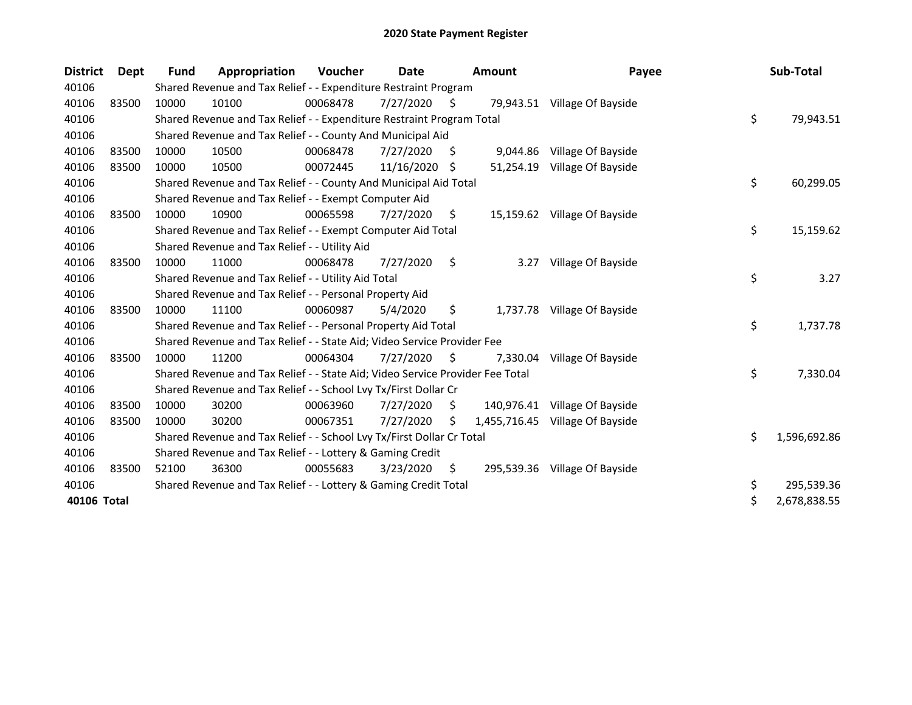| <b>District</b> | Dept  | <b>Fund</b> | Appropriation                                                                 | Voucher  | Date       |     | <b>Amount</b> | Payee                           | Sub-Total          |
|-----------------|-------|-------------|-------------------------------------------------------------------------------|----------|------------|-----|---------------|---------------------------------|--------------------|
| 40106           |       |             | Shared Revenue and Tax Relief - - Expenditure Restraint Program               |          |            |     |               |                                 |                    |
| 40106           | 83500 | 10000       | 10100                                                                         | 00068478 | 7/27/2020  | S.  | 79,943.51     | Village Of Bayside              |                    |
| 40106           |       |             | Shared Revenue and Tax Relief - - Expenditure Restraint Program Total         |          |            |     |               |                                 | \$<br>79,943.51    |
| 40106           |       |             | Shared Revenue and Tax Relief - - County And Municipal Aid                    |          |            |     |               |                                 |                    |
| 40106           | 83500 | 10000       | 10500                                                                         | 00068478 | 7/27/2020  | \$, | 9,044.86      | Village Of Bayside              |                    |
| 40106           | 83500 | 10000       | 10500                                                                         | 00072445 | 11/16/2020 | -S  | 51,254.19     | Village Of Bayside              |                    |
| 40106           |       |             | Shared Revenue and Tax Relief - - County And Municipal Aid Total              |          |            |     |               |                                 | \$<br>60,299.05    |
| 40106           |       |             | Shared Revenue and Tax Relief - - Exempt Computer Aid                         |          |            |     |               |                                 |                    |
| 40106           | 83500 | 10000       | 10900                                                                         | 00065598 | 7/27/2020  | S.  |               | 15,159.62 Village Of Bayside    |                    |
| 40106           |       |             | Shared Revenue and Tax Relief - - Exempt Computer Aid Total                   |          |            |     |               |                                 | \$<br>15,159.62    |
| 40106           |       |             | Shared Revenue and Tax Relief - - Utility Aid                                 |          |            |     |               |                                 |                    |
| 40106           | 83500 | 10000       | 11000                                                                         | 00068478 | 7/27/2020  | \$  | 3.27          | Village Of Bayside              |                    |
| 40106           |       |             | Shared Revenue and Tax Relief - - Utility Aid Total                           |          |            |     |               |                                 | \$<br>3.27         |
| 40106           |       |             | Shared Revenue and Tax Relief - - Personal Property Aid                       |          |            |     |               |                                 |                    |
| 40106           | 83500 | 10000       | 11100                                                                         | 00060987 | 5/4/2020   | \$  |               | 1,737.78 Village Of Bayside     |                    |
| 40106           |       |             | Shared Revenue and Tax Relief - - Personal Property Aid Total                 |          |            |     |               |                                 | \$<br>1,737.78     |
| 40106           |       |             | Shared Revenue and Tax Relief - - State Aid; Video Service Provider Fee       |          |            |     |               |                                 |                    |
| 40106           | 83500 | 10000       | 11200                                                                         | 00064304 | 7/27/2020  | S.  | 7,330.04      | Village Of Bayside              |                    |
| 40106           |       |             | Shared Revenue and Tax Relief - - State Aid; Video Service Provider Fee Total |          |            |     |               |                                 | \$<br>7,330.04     |
| 40106           |       |             | Shared Revenue and Tax Relief - - School Lvy Tx/First Dollar Cr               |          |            |     |               |                                 |                    |
| 40106           | 83500 | 10000       | 30200                                                                         | 00063960 | 7/27/2020  | S.  | 140,976.41    | Village Of Bayside              |                    |
| 40106           | 83500 | 10000       | 30200                                                                         | 00067351 | 7/27/2020  | \$  |               | 1,455,716.45 Village Of Bayside |                    |
| 40106           |       |             | Shared Revenue and Tax Relief - - School Lvy Tx/First Dollar Cr Total         |          |            |     |               |                                 | \$<br>1,596,692.86 |
| 40106           |       |             | Shared Revenue and Tax Relief - - Lottery & Gaming Credit                     |          |            |     |               |                                 |                    |
| 40106           | 83500 | 52100       | 36300                                                                         | 00055683 | 3/23/2020  | \$  |               | 295,539.36 Village Of Bayside   |                    |
| 40106           |       |             | Shared Revenue and Tax Relief - - Lottery & Gaming Credit Total               |          |            |     |               |                                 | \$<br>295,539.36   |
| 40106 Total     |       |             |                                                                               |          |            |     |               |                                 | \$<br>2,678,838.55 |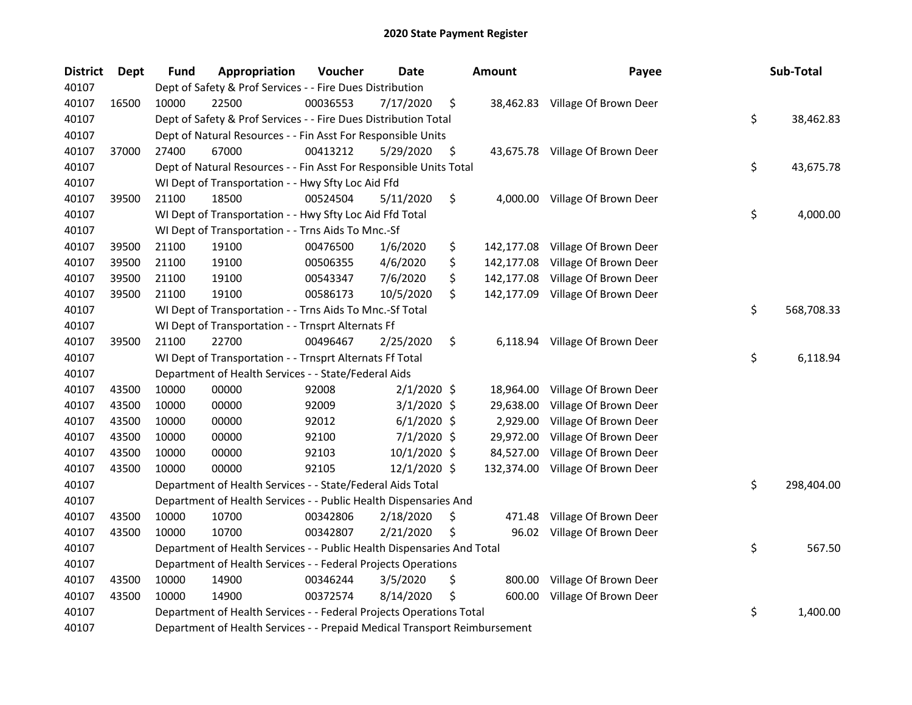| <b>District</b> | Dept  | <b>Fund</b> | Appropriation                                                             | Voucher  | <b>Date</b>   | <b>Amount</b>    | Payee                            | Sub-Total        |
|-----------------|-------|-------------|---------------------------------------------------------------------------|----------|---------------|------------------|----------------------------------|------------------|
| 40107           |       |             | Dept of Safety & Prof Services - - Fire Dues Distribution                 |          |               |                  |                                  |                  |
| 40107           | 16500 | 10000       | 22500                                                                     | 00036553 | 7/17/2020     | \$               | 38,462.83 Village Of Brown Deer  |                  |
| 40107           |       |             | Dept of Safety & Prof Services - - Fire Dues Distribution Total           |          |               |                  |                                  | \$<br>38,462.83  |
| 40107           |       |             | Dept of Natural Resources - - Fin Asst For Responsible Units              |          |               |                  |                                  |                  |
| 40107           | 37000 | 27400       | 67000                                                                     | 00413212 | 5/29/2020     | \$               | 43,675.78 Village Of Brown Deer  |                  |
| 40107           |       |             | Dept of Natural Resources - - Fin Asst For Responsible Units Total        |          |               |                  |                                  | \$<br>43,675.78  |
| 40107           |       |             | WI Dept of Transportation - - Hwy Sfty Loc Aid Ffd                        |          |               |                  |                                  |                  |
| 40107           | 39500 | 21100       | 18500                                                                     | 00524504 | 5/11/2020     | \$               | 4,000.00 Village Of Brown Deer   |                  |
| 40107           |       |             | WI Dept of Transportation - - Hwy Sfty Loc Aid Ffd Total                  |          |               |                  |                                  | \$<br>4,000.00   |
| 40107           |       |             | WI Dept of Transportation - - Trns Aids To Mnc.-Sf                        |          |               |                  |                                  |                  |
| 40107           | 39500 | 21100       | 19100                                                                     | 00476500 | 1/6/2020      | \$               | 142,177.08 Village Of Brown Deer |                  |
| 40107           | 39500 | 21100       | 19100                                                                     | 00506355 | 4/6/2020      | \$<br>142,177.08 | Village Of Brown Deer            |                  |
| 40107           | 39500 | 21100       | 19100                                                                     | 00543347 | 7/6/2020      | \$               | 142,177.08 Village Of Brown Deer |                  |
| 40107           | 39500 | 21100       | 19100                                                                     | 00586173 | 10/5/2020     | \$<br>142,177.09 | Village Of Brown Deer            |                  |
| 40107           |       |             | WI Dept of Transportation - - Trns Aids To Mnc.-Sf Total                  |          |               |                  |                                  | \$<br>568,708.33 |
| 40107           |       |             | WI Dept of Transportation - - Trnsprt Alternats Ff                        |          |               |                  |                                  |                  |
| 40107           | 39500 | 21100       | 22700                                                                     | 00496467 | 2/25/2020     | \$<br>6,118.94   | Village Of Brown Deer            |                  |
| 40107           |       |             | WI Dept of Transportation - - Trnsprt Alternats Ff Total                  |          |               |                  |                                  | \$<br>6,118.94   |
| 40107           |       |             | Department of Health Services - - State/Federal Aids                      |          |               |                  |                                  |                  |
| 40107           | 43500 | 10000       | 00000                                                                     | 92008    | $2/1/2020$ \$ | 18,964.00        | Village Of Brown Deer            |                  |
| 40107           | 43500 | 10000       | 00000                                                                     | 92009    | $3/1/2020$ \$ | 29,638.00        | Village Of Brown Deer            |                  |
| 40107           | 43500 | 10000       | 00000                                                                     | 92012    | $6/1/2020$ \$ | 2,929.00         | Village Of Brown Deer            |                  |
| 40107           | 43500 | 10000       | 00000                                                                     | 92100    | 7/1/2020 \$   | 29,972.00        | Village Of Brown Deer            |                  |
| 40107           | 43500 | 10000       | 00000                                                                     | 92103    | 10/1/2020 \$  | 84,527.00        | Village Of Brown Deer            |                  |
| 40107           | 43500 | 10000       | 00000                                                                     | 92105    | 12/1/2020 \$  | 132,374.00       | Village Of Brown Deer            |                  |
| 40107           |       |             | Department of Health Services - - State/Federal Aids Total                |          |               |                  |                                  | \$<br>298,404.00 |
| 40107           |       |             | Department of Health Services - - Public Health Dispensaries And          |          |               |                  |                                  |                  |
| 40107           | 43500 | 10000       | 10700                                                                     | 00342806 | 2/18/2020     | \$<br>471.48     | Village Of Brown Deer            |                  |
| 40107           | 43500 | 10000       | 10700                                                                     | 00342807 | 2/21/2020     | \$               | 96.02 Village Of Brown Deer      |                  |
| 40107           |       |             | Department of Health Services - - Public Health Dispensaries And Total    |          |               |                  |                                  | \$<br>567.50     |
| 40107           |       |             | Department of Health Services - - Federal Projects Operations             |          |               |                  |                                  |                  |
| 40107           | 43500 | 10000       | 14900                                                                     | 00346244 | 3/5/2020      | \$<br>800.00     | Village Of Brown Deer            |                  |
| 40107           | 43500 | 10000       | 14900                                                                     | 00372574 | 8/14/2020     | \$<br>600.00     | Village Of Brown Deer            |                  |
| 40107           |       |             | Department of Health Services - - Federal Projects Operations Total       |          |               |                  |                                  | \$<br>1,400.00   |
| 40107           |       |             | Department of Health Services - - Prepaid Medical Transport Reimbursement |          |               |                  |                                  |                  |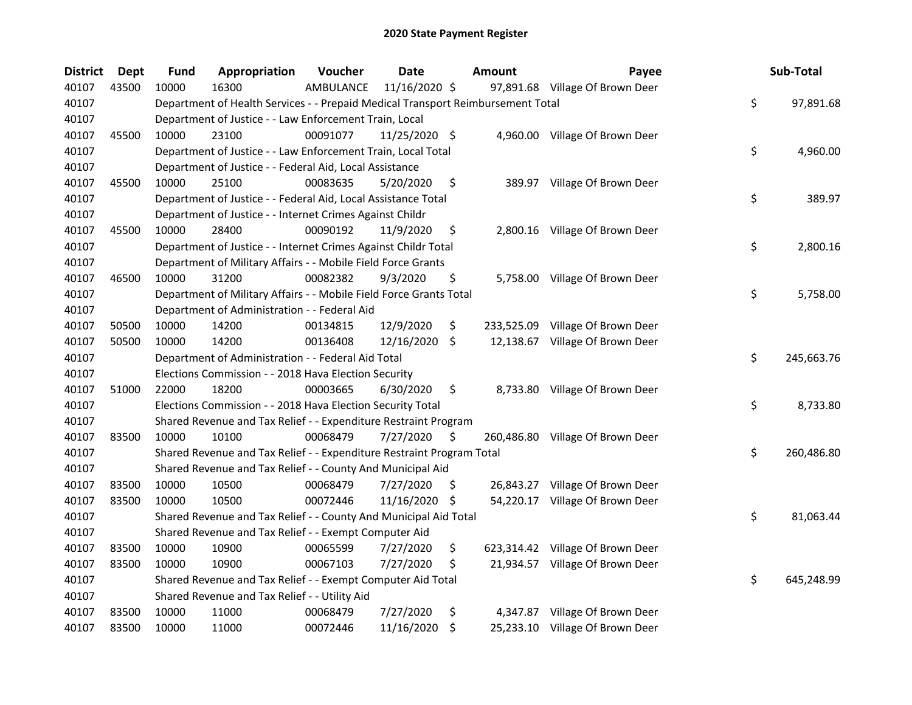| <b>District</b> | <b>Dept</b> | <b>Fund</b> | Appropriation                                                                   | Voucher   | <b>Date</b>   |    | <b>Amount</b> | Payee                            | Sub-Total        |
|-----------------|-------------|-------------|---------------------------------------------------------------------------------|-----------|---------------|----|---------------|----------------------------------|------------------|
| 40107           | 43500       | 10000       | 16300                                                                           | AMBULANCE | 11/16/2020 \$ |    |               | 97,891.68 Village Of Brown Deer  |                  |
| 40107           |             |             | Department of Health Services - - Prepaid Medical Transport Reimbursement Total |           |               |    |               |                                  | \$<br>97,891.68  |
| 40107           |             |             | Department of Justice - - Law Enforcement Train, Local                          |           |               |    |               |                                  |                  |
| 40107           | 45500       | 10000       | 23100                                                                           | 00091077  | 11/25/2020 \$ |    |               | 4,960.00 Village Of Brown Deer   |                  |
| 40107           |             |             | Department of Justice - - Law Enforcement Train, Local Total                    |           |               |    |               |                                  | \$<br>4,960.00   |
| 40107           |             |             | Department of Justice - - Federal Aid, Local Assistance                         |           |               |    |               |                                  |                  |
| 40107           | 45500       | 10000       | 25100                                                                           | 00083635  | 5/20/2020     | \$ |               | 389.97 Village Of Brown Deer     |                  |
| 40107           |             |             | Department of Justice - - Federal Aid, Local Assistance Total                   |           |               |    |               |                                  | \$<br>389.97     |
| 40107           |             |             | Department of Justice - - Internet Crimes Against Childr                        |           |               |    |               |                                  |                  |
| 40107           | 45500       | 10000       | 28400                                                                           | 00090192  | 11/9/2020     | \$ |               | 2,800.16 Village Of Brown Deer   |                  |
| 40107           |             |             | Department of Justice - - Internet Crimes Against Childr Total                  |           |               |    |               |                                  | \$<br>2,800.16   |
| 40107           |             |             | Department of Military Affairs - - Mobile Field Force Grants                    |           |               |    |               |                                  |                  |
| 40107           | 46500       | 10000       | 31200                                                                           | 00082382  | 9/3/2020      | \$ | 5,758.00      | Village Of Brown Deer            |                  |
| 40107           |             |             | Department of Military Affairs - - Mobile Field Force Grants Total              |           |               |    |               |                                  | \$<br>5,758.00   |
| 40107           |             |             | Department of Administration - - Federal Aid                                    |           |               |    |               |                                  |                  |
| 40107           | 50500       | 10000       | 14200                                                                           | 00134815  | 12/9/2020     | \$ | 233,525.09    | Village Of Brown Deer            |                  |
| 40107           | 50500       | 10000       | 14200                                                                           | 00136408  | 12/16/2020    | \$ | 12,138.67     | Village Of Brown Deer            |                  |
| 40107           |             |             | Department of Administration - - Federal Aid Total                              |           |               |    |               |                                  | \$<br>245,663.76 |
| 40107           |             |             | Elections Commission - - 2018 Hava Election Security                            |           |               |    |               |                                  |                  |
| 40107           | 51000       | 22000       | 18200                                                                           | 00003665  | 6/30/2020     | \$ | 8,733.80      | Village Of Brown Deer            |                  |
| 40107           |             |             | Elections Commission - - 2018 Hava Election Security Total                      |           |               |    |               |                                  | \$<br>8,733.80   |
| 40107           |             |             | Shared Revenue and Tax Relief - - Expenditure Restraint Program                 |           |               |    |               |                                  |                  |
| 40107           | 83500       | 10000       | 10100                                                                           | 00068479  | 7/27/2020     | \$ | 260,486.80    | Village Of Brown Deer            |                  |
| 40107           |             |             | Shared Revenue and Tax Relief - - Expenditure Restraint Program Total           |           |               |    |               |                                  | \$<br>260,486.80 |
| 40107           |             |             | Shared Revenue and Tax Relief - - County And Municipal Aid                      |           |               |    |               |                                  |                  |
| 40107           | 83500       | 10000       | 10500                                                                           | 00068479  | 7/27/2020     | -S | 26,843.27     | Village Of Brown Deer            |                  |
| 40107           | 83500       | 10000       | 10500                                                                           | 00072446  | 11/16/2020 \$ |    |               | 54,220.17 Village Of Brown Deer  |                  |
| 40107           |             |             | Shared Revenue and Tax Relief - - County And Municipal Aid Total                |           |               |    |               |                                  | \$<br>81,063.44  |
| 40107           |             |             | Shared Revenue and Tax Relief - - Exempt Computer Aid                           |           |               |    |               |                                  |                  |
| 40107           | 83500       | 10000       | 10900                                                                           | 00065599  | 7/27/2020     | \$ |               | 623,314.42 Village Of Brown Deer |                  |
| 40107           | 83500       | 10000       | 10900                                                                           | 00067103  | 7/27/2020     | \$ |               | 21,934.57 Village Of Brown Deer  |                  |
| 40107           |             |             | Shared Revenue and Tax Relief - - Exempt Computer Aid Total                     |           |               |    |               |                                  | \$<br>645,248.99 |
| 40107           |             |             | Shared Revenue and Tax Relief - - Utility Aid                                   |           |               |    |               |                                  |                  |
| 40107           | 83500       | 10000       | 11000                                                                           | 00068479  | 7/27/2020     | \$ |               | 4,347.87 Village Of Brown Deer   |                  |
| 40107           | 83500       | 10000       | 11000                                                                           | 00072446  | 11/16/2020    | \$ |               | 25,233.10 Village Of Brown Deer  |                  |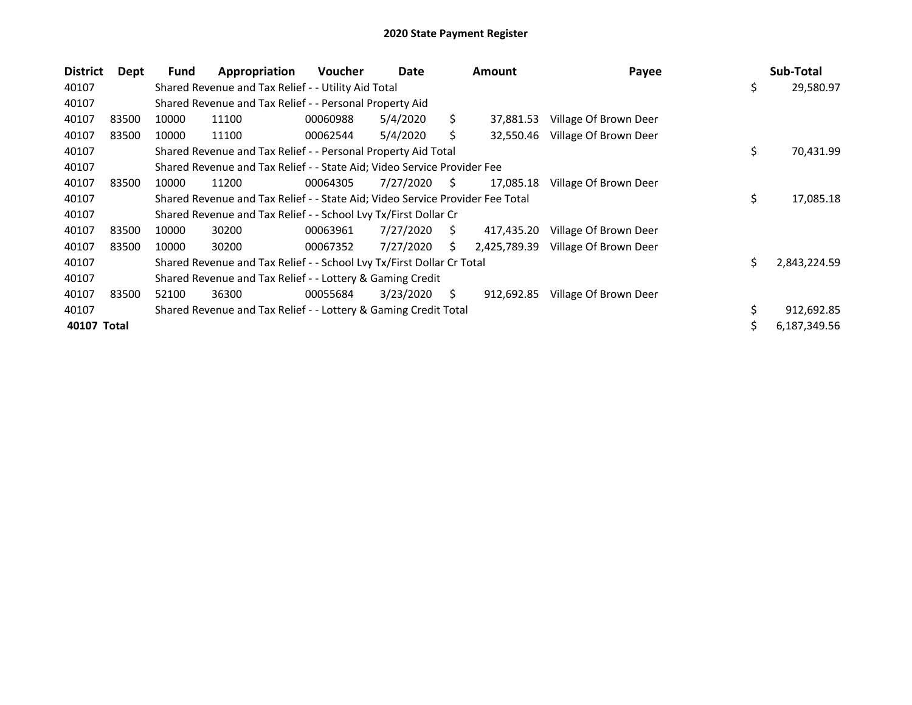| <b>District</b> | Dept  | Fund  | Appropriation                                                                 | <b>Voucher</b> | Date      |    | <b>Amount</b> | Payee                 |     | Sub-Total    |
|-----------------|-------|-------|-------------------------------------------------------------------------------|----------------|-----------|----|---------------|-----------------------|-----|--------------|
| 40107           |       |       | Shared Revenue and Tax Relief - - Utility Aid Total                           |                |           |    |               |                       | \$  | 29,580.97    |
| 40107           |       |       | Shared Revenue and Tax Relief - - Personal Property Aid                       |                |           |    |               |                       |     |              |
| 40107           | 83500 | 10000 | 11100                                                                         | 00060988       | 5/4/2020  | Ś. | 37,881.53     | Village Of Brown Deer |     |              |
| 40107           | 83500 | 10000 | 11100                                                                         | 00062544       | 5/4/2020  | S  | 32,550.46     | Village Of Brown Deer |     |              |
| 40107           |       |       | Shared Revenue and Tax Relief - - Personal Property Aid Total                 |                |           |    |               |                       | \$  | 70,431.99    |
| 40107           |       |       | Shared Revenue and Tax Relief - - State Aid; Video Service Provider Fee       |                |           |    |               |                       |     |              |
| 40107           | 83500 | 10000 | 11200                                                                         | 00064305       | 7/27/2020 | S. | 17,085.18     | Village Of Brown Deer |     |              |
| 40107           |       |       | Shared Revenue and Tax Relief - - State Aid; Video Service Provider Fee Total |                |           |    |               |                       | \$  | 17,085.18    |
| 40107           |       |       | Shared Revenue and Tax Relief - - School Lvy Tx/First Dollar Cr               |                |           |    |               |                       |     |              |
| 40107           | 83500 | 10000 | 30200                                                                         | 00063961       | 7/27/2020 | S. | 417,435.20    | Village Of Brown Deer |     |              |
| 40107           | 83500 | 10000 | 30200                                                                         | 00067352       | 7/27/2020 | Ś. | 2,425,789.39  | Village Of Brown Deer |     |              |
| 40107           |       |       | Shared Revenue and Tax Relief - - School Lvy Tx/First Dollar Cr Total         |                |           |    |               |                       | \$. | 2,843,224.59 |
| 40107           |       |       | Shared Revenue and Tax Relief - - Lottery & Gaming Credit                     |                |           |    |               |                       |     |              |
| 40107           | 83500 | 52100 | 36300                                                                         | 00055684       | 3/23/2020 | S. | 912,692.85    | Village Of Brown Deer |     |              |
| 40107           |       |       | Shared Revenue and Tax Relief - - Lottery & Gaming Credit Total               |                |           |    |               |                       |     | 912,692.85   |
| 40107 Total     |       |       |                                                                               |                |           |    |               |                       |     | 6,187,349.56 |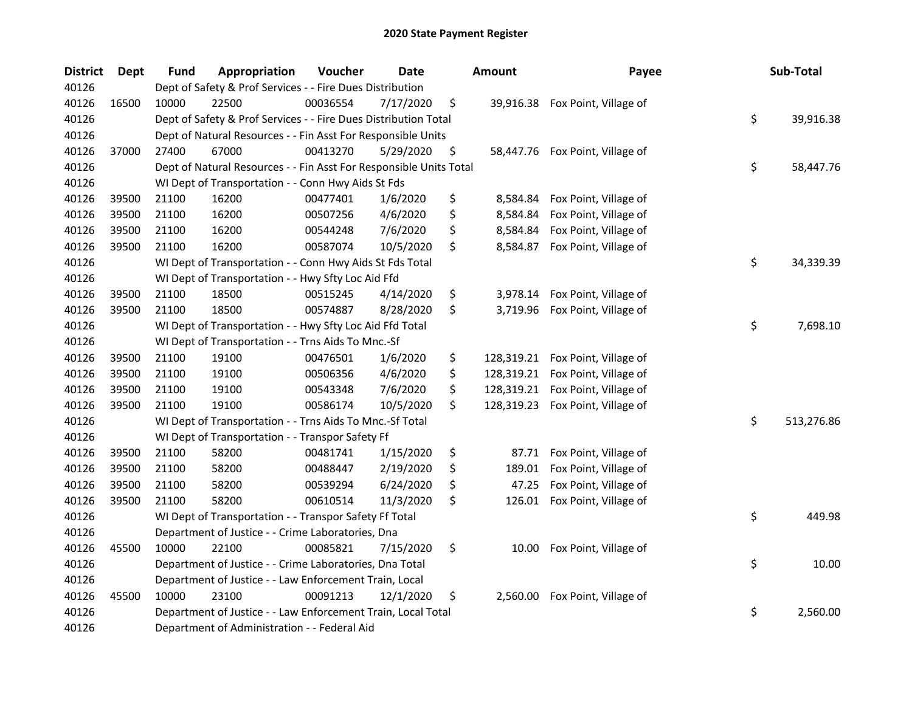| <b>District</b> | <b>Dept</b> | <b>Fund</b> | Appropriation                                                      | Voucher  | <b>Date</b> | <b>Amount</b>    | Payee                           | Sub-Total        |
|-----------------|-------------|-------------|--------------------------------------------------------------------|----------|-------------|------------------|---------------------------------|------------------|
| 40126           |             |             | Dept of Safety & Prof Services - - Fire Dues Distribution          |          |             |                  |                                 |                  |
| 40126           | 16500       | 10000       | 22500                                                              | 00036554 | 7/17/2020   | \$               | 39,916.38 Fox Point, Village of |                  |
| 40126           |             |             | Dept of Safety & Prof Services - - Fire Dues Distribution Total    |          |             |                  |                                 | \$<br>39,916.38  |
| 40126           |             |             | Dept of Natural Resources - - Fin Asst For Responsible Units       |          |             |                  |                                 |                  |
| 40126           | 37000       | 27400       | 67000                                                              | 00413270 | 5/29/2020   | \$               | 58,447.76 Fox Point, Village of |                  |
| 40126           |             |             | Dept of Natural Resources - - Fin Asst For Responsible Units Total |          |             |                  |                                 | \$<br>58,447.76  |
| 40126           |             |             | WI Dept of Transportation - - Conn Hwy Aids St Fds                 |          |             |                  |                                 |                  |
| 40126           | 39500       | 21100       | 16200                                                              | 00477401 | 1/6/2020    | \$               | 8,584.84 Fox Point, Village of  |                  |
| 40126           | 39500       | 21100       | 16200                                                              | 00507256 | 4/6/2020    | \$<br>8,584.84   | Fox Point, Village of           |                  |
| 40126           | 39500       | 21100       | 16200                                                              | 00544248 | 7/6/2020    | \$<br>8,584.84   | Fox Point, Village of           |                  |
| 40126           | 39500       | 21100       | 16200                                                              | 00587074 | 10/5/2020   | \$<br>8,584.87   | Fox Point, Village of           |                  |
| 40126           |             |             | WI Dept of Transportation - - Conn Hwy Aids St Fds Total           |          |             |                  |                                 | \$<br>34,339.39  |
| 40126           |             |             | WI Dept of Transportation - - Hwy Sfty Loc Aid Ffd                 |          |             |                  |                                 |                  |
| 40126           | 39500       | 21100       | 18500                                                              | 00515245 | 4/14/2020   | \$<br>3,978.14   | Fox Point, Village of           |                  |
| 40126           | 39500       | 21100       | 18500                                                              | 00574887 | 8/28/2020   | \$<br>3,719.96   | Fox Point, Village of           |                  |
| 40126           |             |             | WI Dept of Transportation - - Hwy Sfty Loc Aid Ffd Total           |          |             |                  |                                 | \$<br>7,698.10   |
| 40126           |             |             | WI Dept of Transportation - - Trns Aids To Mnc.-Sf                 |          |             |                  |                                 |                  |
| 40126           | 39500       | 21100       | 19100                                                              | 00476501 | 1/6/2020    | \$<br>128,319.21 | Fox Point, Village of           |                  |
| 40126           | 39500       | 21100       | 19100                                                              | 00506356 | 4/6/2020    | \$<br>128,319.21 | Fox Point, Village of           |                  |
| 40126           | 39500       | 21100       | 19100                                                              | 00543348 | 7/6/2020    | \$<br>128,319.21 | Fox Point, Village of           |                  |
| 40126           | 39500       | 21100       | 19100                                                              | 00586174 | 10/5/2020   | \$<br>128,319.23 | Fox Point, Village of           |                  |
| 40126           |             |             | WI Dept of Transportation - - Trns Aids To Mnc.-Sf Total           |          |             |                  |                                 | \$<br>513,276.86 |
| 40126           |             |             | WI Dept of Transportation - - Transpor Safety Ff                   |          |             |                  |                                 |                  |
| 40126           | 39500       | 21100       | 58200                                                              | 00481741 | 1/15/2020   | \$<br>87.71      | Fox Point, Village of           |                  |
| 40126           | 39500       | 21100       | 58200                                                              | 00488447 | 2/19/2020   | \$<br>189.01     | Fox Point, Village of           |                  |
| 40126           | 39500       | 21100       | 58200                                                              | 00539294 | 6/24/2020   | \$<br>47.25      | Fox Point, Village of           |                  |
| 40126           | 39500       | 21100       | 58200                                                              | 00610514 | 11/3/2020   | \$<br>126.01     | Fox Point, Village of           |                  |
| 40126           |             |             | WI Dept of Transportation - - Transpor Safety Ff Total             |          |             |                  |                                 | \$<br>449.98     |
| 40126           |             |             | Department of Justice - - Crime Laboratories, Dna                  |          |             |                  |                                 |                  |
| 40126           | 45500       | 10000       | 22100                                                              | 00085821 | 7/15/2020   | \$<br>10.00      | Fox Point, Village of           |                  |
| 40126           |             |             | Department of Justice - - Crime Laboratories, Dna Total            |          |             |                  |                                 | \$<br>10.00      |
| 40126           |             |             | Department of Justice - - Law Enforcement Train, Local             |          |             |                  |                                 |                  |
| 40126           | 45500       | 10000       | 23100                                                              | 00091213 | 12/1/2020   | \$<br>2,560.00   | Fox Point, Village of           |                  |
| 40126           |             |             | Department of Justice - - Law Enforcement Train, Local Total       |          |             |                  |                                 | \$<br>2,560.00   |
| 40126           |             |             | Department of Administration - - Federal Aid                       |          |             |                  |                                 |                  |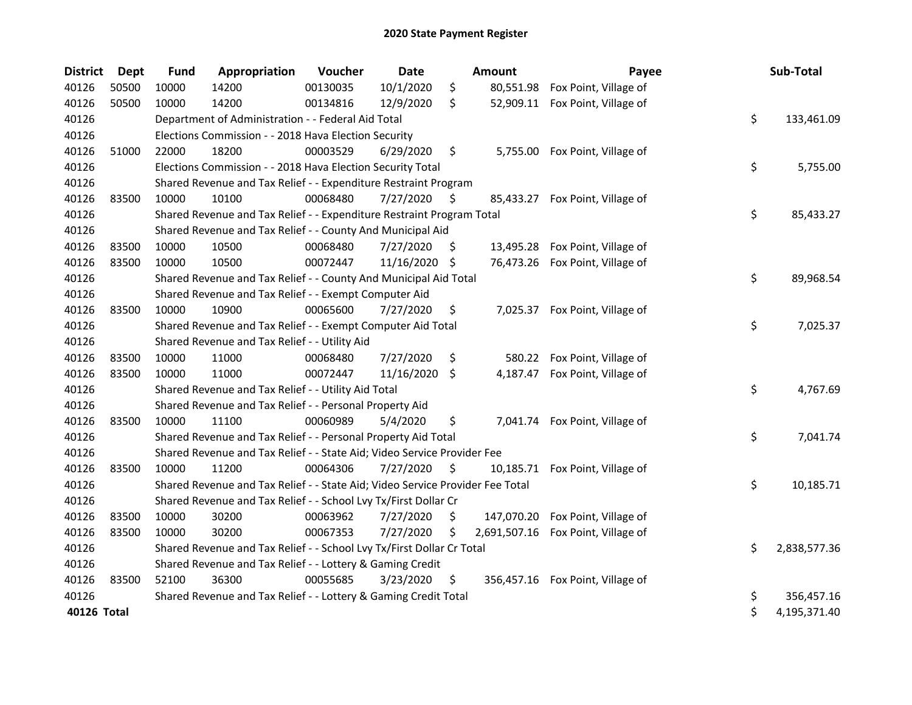| <b>District</b> | <b>Dept</b> | <b>Fund</b> | Appropriation                                                                 | Voucher  | <b>Date</b>   |     | <b>Amount</b> | Payee                            | Sub-Total          |
|-----------------|-------------|-------------|-------------------------------------------------------------------------------|----------|---------------|-----|---------------|----------------------------------|--------------------|
| 40126           | 50500       | 10000       | 14200                                                                         | 00130035 | 10/1/2020     | \$  | 80,551.98     | Fox Point, Village of            |                    |
| 40126           | 50500       | 10000       | 14200                                                                         | 00134816 | 12/9/2020     | \$  |               | 52,909.11 Fox Point, Village of  |                    |
| 40126           |             |             | Department of Administration - - Federal Aid Total                            |          |               |     |               |                                  | \$<br>133,461.09   |
| 40126           |             |             | Elections Commission - - 2018 Hava Election Security                          |          |               |     |               |                                  |                    |
| 40126           | 51000       | 22000       | 18200                                                                         | 00003529 | 6/29/2020     | \$  |               | 5,755.00 Fox Point, Village of   |                    |
| 40126           |             |             | Elections Commission - - 2018 Hava Election Security Total                    |          |               |     |               |                                  | \$<br>5,755.00     |
| 40126           |             |             | Shared Revenue and Tax Relief - - Expenditure Restraint Program               |          |               |     |               |                                  |                    |
| 40126           | 83500       | 10000       | 10100                                                                         | 00068480 | 7/27/2020     | -\$ | 85,433.27     | Fox Point, Village of            |                    |
| 40126           |             |             | Shared Revenue and Tax Relief - - Expenditure Restraint Program Total         |          |               |     |               |                                  | \$<br>85,433.27    |
| 40126           |             |             | Shared Revenue and Tax Relief - - County And Municipal Aid                    |          |               |     |               |                                  |                    |
| 40126           | 83500       | 10000       | 10500                                                                         | 00068480 | 7/27/2020     | \$. |               | 13,495.28 Fox Point, Village of  |                    |
| 40126           | 83500       | 10000       | 10500                                                                         | 00072447 | 11/16/2020 \$ |     |               | 76,473.26 Fox Point, Village of  |                    |
| 40126           |             |             | Shared Revenue and Tax Relief - - County And Municipal Aid Total              |          |               |     |               |                                  | \$<br>89,968.54    |
| 40126           |             |             | Shared Revenue and Tax Relief - - Exempt Computer Aid                         |          |               |     |               |                                  |                    |
| 40126           | 83500       | 10000       | 10900                                                                         | 00065600 | 7/27/2020     | \$. |               | 7,025.37 Fox Point, Village of   |                    |
| 40126           |             |             | Shared Revenue and Tax Relief - - Exempt Computer Aid Total                   |          |               |     |               |                                  | \$<br>7,025.37     |
| 40126           |             |             | Shared Revenue and Tax Relief - - Utility Aid                                 |          |               |     |               |                                  |                    |
| 40126           | 83500       | 10000       | 11000                                                                         | 00068480 | 7/27/2020     | \$  |               | 580.22 Fox Point, Village of     |                    |
| 40126           | 83500       | 10000       | 11000                                                                         | 00072447 | 11/16/2020    | -\$ | 4,187.47      | Fox Point, Village of            |                    |
| 40126           |             |             | Shared Revenue and Tax Relief - - Utility Aid Total                           |          |               |     |               |                                  | \$<br>4,767.69     |
| 40126           |             |             | Shared Revenue and Tax Relief - - Personal Property Aid                       |          |               |     |               |                                  |                    |
| 40126           | 83500       | 10000       | 11100                                                                         | 00060989 | 5/4/2020      | \$  |               | 7,041.74 Fox Point, Village of   |                    |
| 40126           |             |             | Shared Revenue and Tax Relief - - Personal Property Aid Total                 |          |               |     |               |                                  | \$<br>7,041.74     |
| 40126           |             |             | Shared Revenue and Tax Relief - - State Aid; Video Service Provider Fee       |          |               |     |               |                                  |                    |
| 40126           | 83500       | 10000       | 11200                                                                         | 00064306 | 7/27/2020     | \$  | 10,185.71     | Fox Point, Village of            |                    |
| 40126           |             |             | Shared Revenue and Tax Relief - - State Aid; Video Service Provider Fee Total |          |               |     |               |                                  | \$<br>10,185.71    |
| 40126           |             |             | Shared Revenue and Tax Relief - - School Lvy Tx/First Dollar Cr               |          |               |     |               |                                  |                    |
| 40126           | 83500       | 10000       | 30200                                                                         | 00063962 | 7/27/2020     | \$  | 147,070.20    | Fox Point, Village of            |                    |
| 40126           | 83500       | 10000       | 30200                                                                         | 00067353 | 7/27/2020     | \$  | 2,691,507.16  | Fox Point, Village of            |                    |
| 40126           |             |             | Shared Revenue and Tax Relief - - School Lvy Tx/First Dollar Cr Total         |          |               |     |               |                                  | \$<br>2,838,577.36 |
| 40126           |             |             | Shared Revenue and Tax Relief - - Lottery & Gaming Credit                     |          |               |     |               |                                  |                    |
| 40126           | 83500       | 52100       | 36300                                                                         | 00055685 | 3/23/2020     | \$  |               | 356,457.16 Fox Point, Village of |                    |
| 40126           |             |             | Shared Revenue and Tax Relief - - Lottery & Gaming Credit Total               |          |               |     |               |                                  | \$<br>356,457.16   |
| 40126 Total     |             |             |                                                                               |          |               |     |               |                                  | \$<br>4,195,371.40 |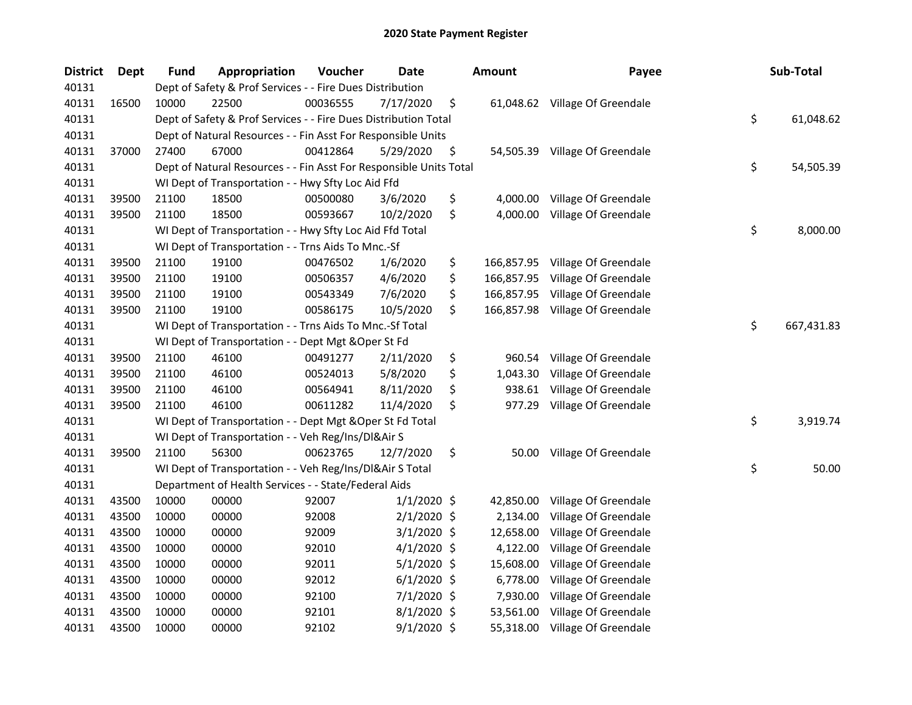| <b>District</b> | <b>Dept</b> | <b>Fund</b> | <b>Appropriation</b>                                               | Voucher  | Date          | <b>Amount</b>    | Payee                          | Sub-Total        |
|-----------------|-------------|-------------|--------------------------------------------------------------------|----------|---------------|------------------|--------------------------------|------------------|
| 40131           |             |             | Dept of Safety & Prof Services - - Fire Dues Distribution          |          |               |                  |                                |                  |
| 40131           | 16500       | 10000       | 22500                                                              | 00036555 | 7/17/2020     | \$               | 61,048.62 Village Of Greendale |                  |
| 40131           |             |             | Dept of Safety & Prof Services - - Fire Dues Distribution Total    |          |               |                  |                                | \$<br>61,048.62  |
| 40131           |             |             | Dept of Natural Resources - - Fin Asst For Responsible Units       |          |               |                  |                                |                  |
| 40131           | 37000       | 27400       | 67000                                                              | 00412864 | 5/29/2020     | \$               | 54,505.39 Village Of Greendale |                  |
| 40131           |             |             | Dept of Natural Resources - - Fin Asst For Responsible Units Total |          |               |                  |                                | \$<br>54,505.39  |
| 40131           |             |             | WI Dept of Transportation - - Hwy Sfty Loc Aid Ffd                 |          |               |                  |                                |                  |
| 40131           | 39500       | 21100       | 18500                                                              | 00500080 | 3/6/2020      | \$               | 4,000.00 Village Of Greendale  |                  |
| 40131           | 39500       | 21100       | 18500                                                              | 00593667 | 10/2/2020     | \$<br>4,000.00   | Village Of Greendale           |                  |
| 40131           |             |             | WI Dept of Transportation - - Hwy Sfty Loc Aid Ffd Total           |          |               |                  |                                | \$<br>8,000.00   |
| 40131           |             |             | WI Dept of Transportation - - Trns Aids To Mnc.-Sf                 |          |               |                  |                                |                  |
| 40131           | 39500       | 21100       | 19100                                                              | 00476502 | 1/6/2020      | \$<br>166,857.95 | Village Of Greendale           |                  |
| 40131           | 39500       | 21100       | 19100                                                              | 00506357 | 4/6/2020      | \$<br>166,857.95 | Village Of Greendale           |                  |
| 40131           | 39500       | 21100       | 19100                                                              | 00543349 | 7/6/2020      | \$<br>166,857.95 | Village Of Greendale           |                  |
| 40131           | 39500       | 21100       | 19100                                                              | 00586175 | 10/5/2020     | \$<br>166,857.98 | Village Of Greendale           |                  |
| 40131           |             |             | WI Dept of Transportation - - Trns Aids To Mnc.-Sf Total           |          |               |                  |                                | \$<br>667,431.83 |
| 40131           |             |             | WI Dept of Transportation - - Dept Mgt & Oper St Fd                |          |               |                  |                                |                  |
| 40131           | 39500       | 21100       | 46100                                                              | 00491277 | 2/11/2020     | \$<br>960.54     | Village Of Greendale           |                  |
| 40131           | 39500       | 21100       | 46100                                                              | 00524013 | 5/8/2020      | \$<br>1,043.30   | Village Of Greendale           |                  |
| 40131           | 39500       | 21100       | 46100                                                              | 00564941 | 8/11/2020     | \$<br>938.61     | Village Of Greendale           |                  |
| 40131           | 39500       | 21100       | 46100                                                              | 00611282 | 11/4/2020     | \$<br>977.29     | Village Of Greendale           |                  |
| 40131           |             |             | WI Dept of Transportation - - Dept Mgt & Oper St Fd Total          |          |               |                  |                                | \$<br>3,919.74   |
| 40131           |             |             | WI Dept of Transportation - - Veh Reg/Ins/DI&Air S                 |          |               |                  |                                |                  |
| 40131           | 39500       | 21100       | 56300                                                              | 00623765 | 12/7/2020     | \$<br>50.00      | Village Of Greendale           |                  |
| 40131           |             |             | WI Dept of Transportation - - Veh Reg/Ins/DI&Air S Total           |          |               |                  |                                | \$<br>50.00      |
| 40131           |             |             | Department of Health Services - - State/Federal Aids               |          |               |                  |                                |                  |
| 40131           | 43500       | 10000       | 00000                                                              | 92007    | $1/1/2020$ \$ | 42,850.00        | Village Of Greendale           |                  |
| 40131           | 43500       | 10000       | 00000                                                              | 92008    | $2/1/2020$ \$ | 2,134.00         | Village Of Greendale           |                  |
| 40131           | 43500       | 10000       | 00000                                                              | 92009    | $3/1/2020$ \$ | 12,658.00        | Village Of Greendale           |                  |
| 40131           | 43500       | 10000       | 00000                                                              | 92010    | $4/1/2020$ \$ | 4,122.00         | Village Of Greendale           |                  |
| 40131           | 43500       | 10000       | 00000                                                              | 92011    | $5/1/2020$ \$ | 15,608.00        | Village Of Greendale           |                  |
| 40131           | 43500       | 10000       | 00000                                                              | 92012    | $6/1/2020$ \$ | 6,778.00         | Village Of Greendale           |                  |
| 40131           | 43500       | 10000       | 00000                                                              | 92100    | $7/1/2020$ \$ | 7,930.00         | Village Of Greendale           |                  |
| 40131           | 43500       | 10000       | 00000                                                              | 92101    | $8/1/2020$ \$ | 53,561.00        | Village Of Greendale           |                  |
| 40131           | 43500       | 10000       | 00000                                                              | 92102    | $9/1/2020$ \$ |                  | 55,318.00 Village Of Greendale |                  |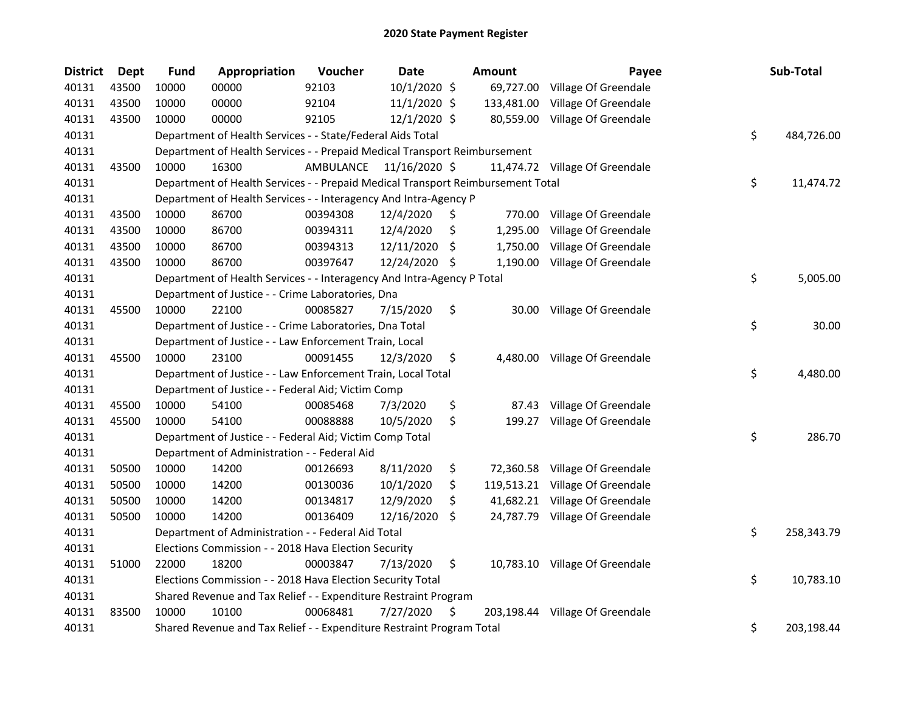| <b>District</b> | <b>Dept</b> | <b>Fund</b> | Appropriation                                                                   | Voucher   | <b>Date</b>    |     | <b>Amount</b> | Payee                           | Sub-Total        |
|-----------------|-------------|-------------|---------------------------------------------------------------------------------|-----------|----------------|-----|---------------|---------------------------------|------------------|
| 40131           | 43500       | 10000       | 00000                                                                           | 92103     | 10/1/2020 \$   |     | 69,727.00     | Village Of Greendale            |                  |
| 40131           | 43500       | 10000       | 00000                                                                           | 92104     | 11/1/2020 \$   |     | 133,481.00    | Village Of Greendale            |                  |
| 40131           | 43500       | 10000       | 00000                                                                           | 92105     | $12/1/2020$ \$ |     | 80,559.00     | Village Of Greendale            |                  |
| 40131           |             |             | Department of Health Services - - State/Federal Aids Total                      |           |                |     |               |                                 | \$<br>484,726.00 |
| 40131           |             |             | Department of Health Services - - Prepaid Medical Transport Reimbursement       |           |                |     |               |                                 |                  |
| 40131           | 43500       | 10000       | 16300                                                                           | AMBULANCE | 11/16/2020 \$  |     |               | 11,474.72 Village Of Greendale  |                  |
| 40131           |             |             | Department of Health Services - - Prepaid Medical Transport Reimbursement Total |           |                |     |               |                                 | \$<br>11,474.72  |
| 40131           |             |             | Department of Health Services - - Interagency And Intra-Agency P                |           |                |     |               |                                 |                  |
| 40131           | 43500       | 10000       | 86700                                                                           | 00394308  | 12/4/2020      | \$, | 770.00        | Village Of Greendale            |                  |
| 40131           | 43500       | 10000       | 86700                                                                           | 00394311  | 12/4/2020      | \$  | 1,295.00      | Village Of Greendale            |                  |
| 40131           | 43500       | 10000       | 86700                                                                           | 00394313  | 12/11/2020     | \$. | 1,750.00      | Village Of Greendale            |                  |
| 40131           | 43500       | 10000       | 86700                                                                           | 00397647  | 12/24/2020 \$  |     | 1,190.00      | Village Of Greendale            |                  |
| 40131           |             |             | Department of Health Services - - Interagency And Intra-Agency P Total          |           |                |     |               |                                 | \$<br>5,005.00   |
| 40131           |             |             | Department of Justice - - Crime Laboratories, Dna                               |           |                |     |               |                                 |                  |
| 40131           | 45500       | 10000       | 22100                                                                           | 00085827  | 7/15/2020      | \$  | 30.00         | Village Of Greendale            |                  |
| 40131           |             |             | Department of Justice - - Crime Laboratories, Dna Total                         |           |                |     |               |                                 | \$<br>30.00      |
| 40131           |             |             | Department of Justice - - Law Enforcement Train, Local                          |           |                |     |               |                                 |                  |
| 40131           | 45500       | 10000       | 23100                                                                           | 00091455  | 12/3/2020      | \$  | 4,480.00      | Village Of Greendale            |                  |
| 40131           |             |             | Department of Justice - - Law Enforcement Train, Local Total                    |           |                |     |               |                                 | \$<br>4,480.00   |
| 40131           |             |             | Department of Justice - - Federal Aid; Victim Comp                              |           |                |     |               |                                 |                  |
| 40131           | 45500       | 10000       | 54100                                                                           | 00085468  | 7/3/2020       | \$  | 87.43         | Village Of Greendale            |                  |
| 40131           | 45500       | 10000       | 54100                                                                           | 00088888  | 10/5/2020      | \$  |               | 199.27 Village Of Greendale     |                  |
| 40131           |             |             | Department of Justice - - Federal Aid; Victim Comp Total                        |           |                |     |               |                                 | \$<br>286.70     |
| 40131           |             |             | Department of Administration - - Federal Aid                                    |           |                |     |               |                                 |                  |
| 40131           | 50500       | 10000       | 14200                                                                           | 00126693  | 8/11/2020      | \$  |               | 72,360.58 Village Of Greendale  |                  |
| 40131           | 50500       | 10000       | 14200                                                                           | 00130036  | 10/1/2020      | \$  |               | 119,513.21 Village Of Greendale |                  |
| 40131           | 50500       | 10000       | 14200                                                                           | 00134817  | 12/9/2020      | \$  |               | 41,682.21 Village Of Greendale  |                  |
| 40131           | 50500       | 10000       | 14200                                                                           | 00136409  | 12/16/2020     | \$  |               | 24,787.79 Village Of Greendale  |                  |
| 40131           |             |             | Department of Administration - - Federal Aid Total                              |           |                |     |               |                                 | \$<br>258,343.79 |
| 40131           |             |             | Elections Commission - - 2018 Hava Election Security                            |           |                |     |               |                                 |                  |
| 40131           | 51000       | 22000       | 18200                                                                           | 00003847  | 7/13/2020      | \$  |               | 10,783.10 Village Of Greendale  |                  |
| 40131           |             |             | Elections Commission - - 2018 Hava Election Security Total                      |           |                |     |               |                                 | \$<br>10,783.10  |
| 40131           |             |             | Shared Revenue and Tax Relief - - Expenditure Restraint Program                 |           |                |     |               |                                 |                  |
| 40131           | 83500       | 10000       | 10100                                                                           | 00068481  | 7/27/2020      | \$  |               | 203,198.44 Village Of Greendale |                  |
| 40131           |             |             | Shared Revenue and Tax Relief - - Expenditure Restraint Program Total           |           |                |     |               |                                 | \$<br>203,198.44 |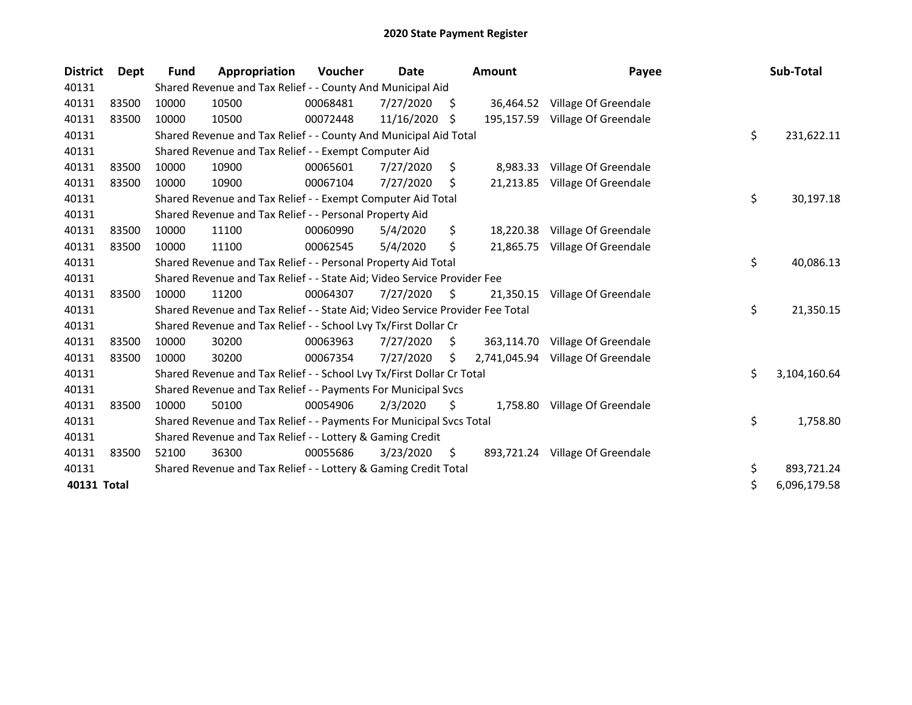| <b>District</b> | Dept  | <b>Fund</b> | Appropriation                                                                 | <b>Voucher</b> | Date       |     | <b>Amount</b> | Payee                           | Sub-Total          |
|-----------------|-------|-------------|-------------------------------------------------------------------------------|----------------|------------|-----|---------------|---------------------------------|--------------------|
| 40131           |       |             | Shared Revenue and Tax Relief - - County And Municipal Aid                    |                |            |     |               |                                 |                    |
| 40131           | 83500 | 10000       | 10500                                                                         | 00068481       | 7/27/2020  | \$. |               | 36,464.52 Village Of Greendale  |                    |
| 40131           | 83500 | 10000       | 10500                                                                         | 00072448       | 11/16/2020 | S   |               | 195,157.59 Village Of Greendale |                    |
| 40131           |       |             | Shared Revenue and Tax Relief - - County And Municipal Aid Total              |                |            |     |               |                                 | \$<br>231,622.11   |
| 40131           |       |             | Shared Revenue and Tax Relief - - Exempt Computer Aid                         |                |            |     |               |                                 |                    |
| 40131           | 83500 | 10000       | 10900                                                                         | 00065601       | 7/27/2020  | \$  | 8,983.33      | Village Of Greendale            |                    |
| 40131           | 83500 | 10000       | 10900                                                                         | 00067104       | 7/27/2020  | S   |               | 21,213.85 Village Of Greendale  |                    |
| 40131           |       |             | Shared Revenue and Tax Relief - - Exempt Computer Aid Total                   |                |            |     |               |                                 | \$<br>30,197.18    |
| 40131           |       |             | Shared Revenue and Tax Relief - - Personal Property Aid                       |                |            |     |               |                                 |                    |
| 40131           | 83500 | 10000       | 11100                                                                         | 00060990       | 5/4/2020   | \$  |               | 18,220.38 Village Of Greendale  |                    |
| 40131           | 83500 | 10000       | 11100                                                                         | 00062545       | 5/4/2020   | \$  |               | 21,865.75 Village Of Greendale  |                    |
| 40131           |       |             | Shared Revenue and Tax Relief - - Personal Property Aid Total                 |                |            |     |               |                                 | \$<br>40,086.13    |
| 40131           |       |             | Shared Revenue and Tax Relief - - State Aid; Video Service Provider Fee       |                |            |     |               |                                 |                    |
| 40131           | 83500 | 10000       | 11200                                                                         | 00064307       | 7/27/2020  | \$  | 21,350.15     | Village Of Greendale            |                    |
| 40131           |       |             | Shared Revenue and Tax Relief - - State Aid; Video Service Provider Fee Total |                |            |     |               |                                 | \$<br>21,350.15    |
| 40131           |       |             | Shared Revenue and Tax Relief - - School Lvy Tx/First Dollar Cr               |                |            |     |               |                                 |                    |
| 40131           | 83500 | 10000       | 30200                                                                         | 00063963       | 7/27/2020  | S.  | 363,114.70    | Village Of Greendale            |                    |
| 40131           | 83500 | 10000       | 30200                                                                         | 00067354       | 7/27/2020  | S.  | 2,741,045.94  | Village Of Greendale            |                    |
| 40131           |       |             | Shared Revenue and Tax Relief - - School Lvy Tx/First Dollar Cr Total         |                |            |     |               |                                 | \$<br>3,104,160.64 |
| 40131           |       |             | Shared Revenue and Tax Relief - - Payments For Municipal Svcs                 |                |            |     |               |                                 |                    |
| 40131           | 83500 | 10000       | 50100                                                                         | 00054906       | 2/3/2020   | \$, | 1,758.80      | Village Of Greendale            |                    |
| 40131           |       |             | Shared Revenue and Tax Relief - - Payments For Municipal Svcs Total           |                |            |     |               |                                 | \$<br>1,758.80     |
| 40131           |       |             | Shared Revenue and Tax Relief - - Lottery & Gaming Credit                     |                |            |     |               |                                 |                    |
| 40131           | 83500 | 52100       | 36300                                                                         | 00055686       | 3/23/2020  | \$  |               | 893,721.24 Village Of Greendale |                    |
| 40131           |       |             | Shared Revenue and Tax Relief - - Lottery & Gaming Credit Total               |                |            |     |               |                                 | \$<br>893,721.24   |
| 40131 Total     |       |             |                                                                               |                |            |     |               |                                 | \$<br>6,096,179.58 |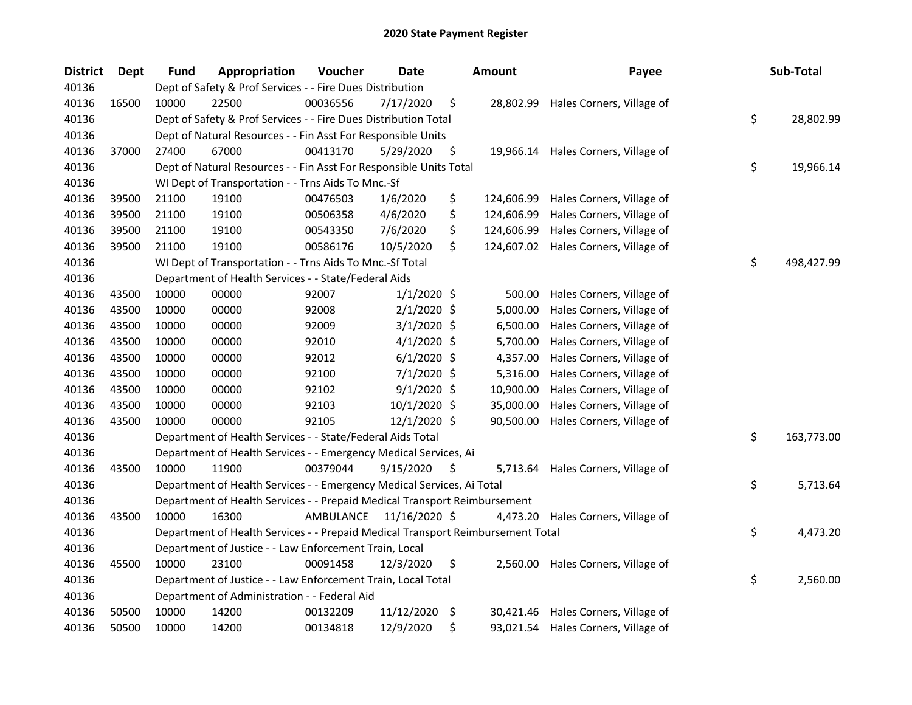| <b>District</b> | Dept  | <b>Fund</b> | Appropriation                                                                   | Voucher   | Date          |     | <b>Amount</b> | Payee                                | Sub-Total        |
|-----------------|-------|-------------|---------------------------------------------------------------------------------|-----------|---------------|-----|---------------|--------------------------------------|------------------|
| 40136           |       |             | Dept of Safety & Prof Services - - Fire Dues Distribution                       |           |               |     |               |                                      |                  |
| 40136           | 16500 | 10000       | 22500                                                                           | 00036556  | 7/17/2020     | \$  |               | 28,802.99 Hales Corners, Village of  |                  |
| 40136           |       |             | Dept of Safety & Prof Services - - Fire Dues Distribution Total                 |           |               |     |               |                                      | \$<br>28,802.99  |
| 40136           |       |             | Dept of Natural Resources - - Fin Asst For Responsible Units                    |           |               |     |               |                                      |                  |
| 40136           | 37000 | 27400       | 67000                                                                           | 00413170  | 5/29/2020     | \$  |               | 19,966.14 Hales Corners, Village of  |                  |
| 40136           |       |             | Dept of Natural Resources - - Fin Asst For Responsible Units Total              |           |               |     |               |                                      | \$<br>19,966.14  |
| 40136           |       |             | WI Dept of Transportation - - Trns Aids To Mnc.-Sf                              |           |               |     |               |                                      |                  |
| 40136           | 39500 | 21100       | 19100                                                                           | 00476503  | 1/6/2020      | \$  | 124,606.99    | Hales Corners, Village of            |                  |
| 40136           | 39500 | 21100       | 19100                                                                           | 00506358  | 4/6/2020      | \$  | 124,606.99    | Hales Corners, Village of            |                  |
| 40136           | 39500 | 21100       | 19100                                                                           | 00543350  | 7/6/2020      | \$  | 124,606.99    | Hales Corners, Village of            |                  |
| 40136           | 39500 | 21100       | 19100                                                                           | 00586176  | 10/5/2020     | \$  |               | 124,607.02 Hales Corners, Village of |                  |
| 40136           |       |             | WI Dept of Transportation - - Trns Aids To Mnc.-Sf Total                        |           |               |     |               |                                      | \$<br>498,427.99 |
| 40136           |       |             | Department of Health Services - - State/Federal Aids                            |           |               |     |               |                                      |                  |
| 40136           | 43500 | 10000       | 00000                                                                           | 92007     | $1/1/2020$ \$ |     | 500.00        | Hales Corners, Village of            |                  |
| 40136           | 43500 | 10000       | 00000                                                                           | 92008     | $2/1/2020$ \$ |     | 5,000.00      | Hales Corners, Village of            |                  |
| 40136           | 43500 | 10000       | 00000                                                                           | 92009     | $3/1/2020$ \$ |     | 6,500.00      | Hales Corners, Village of            |                  |
| 40136           | 43500 | 10000       | 00000                                                                           | 92010     | $4/1/2020$ \$ |     | 5,700.00      | Hales Corners, Village of            |                  |
| 40136           | 43500 | 10000       | 00000                                                                           | 92012     | $6/1/2020$ \$ |     | 4,357.00      | Hales Corners, Village of            |                  |
| 40136           | 43500 | 10000       | 00000                                                                           | 92100     | 7/1/2020 \$   |     | 5,316.00      | Hales Corners, Village of            |                  |
| 40136           | 43500 | 10000       | 00000                                                                           | 92102     | $9/1/2020$ \$ |     | 10,900.00     | Hales Corners, Village of            |                  |
| 40136           | 43500 | 10000       | 00000                                                                           | 92103     | 10/1/2020 \$  |     | 35,000.00     | Hales Corners, Village of            |                  |
| 40136           | 43500 | 10000       | 00000                                                                           | 92105     | 12/1/2020 \$  |     | 90,500.00     | Hales Corners, Village of            |                  |
| 40136           |       |             | Department of Health Services - - State/Federal Aids Total                      |           |               |     |               |                                      | \$<br>163,773.00 |
| 40136           |       |             | Department of Health Services - - Emergency Medical Services, Ai                |           |               |     |               |                                      |                  |
| 40136           | 43500 | 10000       | 11900                                                                           | 00379044  | 9/15/2020     | \$. |               | 5,713.64 Hales Corners, Village of   |                  |
| 40136           |       |             | Department of Health Services - - Emergency Medical Services, Ai Total          |           |               |     |               |                                      | \$<br>5,713.64   |
| 40136           |       |             | Department of Health Services - - Prepaid Medical Transport Reimbursement       |           |               |     |               |                                      |                  |
| 40136           | 43500 | 10000       | 16300                                                                           | AMBULANCE | 11/16/2020 \$ |     |               | 4,473.20 Hales Corners, Village of   |                  |
| 40136           |       |             | Department of Health Services - - Prepaid Medical Transport Reimbursement Total |           |               |     |               |                                      | \$<br>4,473.20   |
| 40136           |       |             | Department of Justice - - Law Enforcement Train, Local                          |           |               |     |               |                                      |                  |
| 40136           | 45500 | 10000       | 23100                                                                           | 00091458  | 12/3/2020     | \$  |               | 2,560.00 Hales Corners, Village of   |                  |
| 40136           |       |             | Department of Justice - - Law Enforcement Train, Local Total                    |           |               |     |               |                                      | \$<br>2,560.00   |
| 40136           |       |             | Department of Administration - - Federal Aid                                    |           |               |     |               |                                      |                  |
| 40136           | 50500 | 10000       | 14200                                                                           | 00132209  | 11/12/2020    | \$  |               | 30,421.46 Hales Corners, Village of  |                  |
| 40136           | 50500 | 10000       | 14200                                                                           | 00134818  | 12/9/2020     | \$  |               | 93,021.54 Hales Corners, Village of  |                  |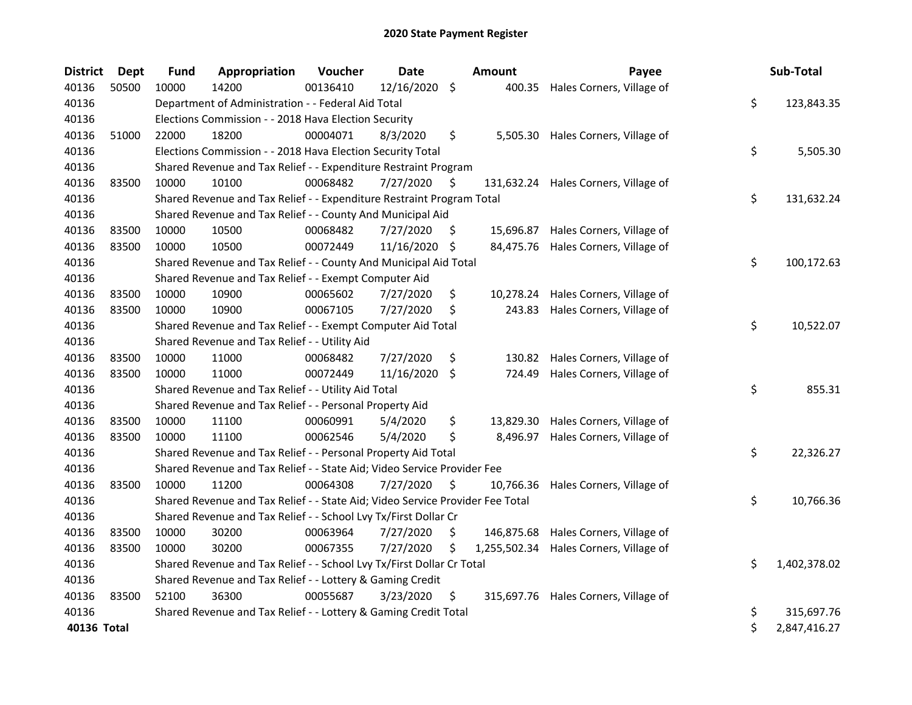| <b>District</b> | <b>Dept</b> | <b>Fund</b> | Appropriation                                                                 | Voucher  | <b>Date</b>   |                    | Amount       | Payee                                | Sub-Total          |
|-----------------|-------------|-------------|-------------------------------------------------------------------------------|----------|---------------|--------------------|--------------|--------------------------------------|--------------------|
| 40136           | 50500       | 10000       | 14200                                                                         | 00136410 | 12/16/2020    | $\ddot{\varsigma}$ | 400.35       | Hales Corners, Village of            |                    |
| 40136           |             |             | Department of Administration - - Federal Aid Total                            |          |               |                    |              |                                      | \$<br>123,843.35   |
| 40136           |             |             | Elections Commission - - 2018 Hava Election Security                          |          |               |                    |              |                                      |                    |
| 40136           | 51000       | 22000       | 18200                                                                         | 00004071 | 8/3/2020      | \$                 |              | 5,505.30 Hales Corners, Village of   |                    |
| 40136           |             |             | Elections Commission - - 2018 Hava Election Security Total                    |          |               |                    |              |                                      | \$<br>5,505.30     |
| 40136           |             |             | Shared Revenue and Tax Relief - - Expenditure Restraint Program               |          |               |                    |              |                                      |                    |
| 40136           | 83500       | 10000       | 10100                                                                         | 00068482 | 7/27/2020     | \$                 |              | 131,632.24 Hales Corners, Village of |                    |
| 40136           |             |             | Shared Revenue and Tax Relief - - Expenditure Restraint Program Total         |          |               |                    |              |                                      | \$<br>131,632.24   |
| 40136           |             |             | Shared Revenue and Tax Relief - - County And Municipal Aid                    |          |               |                    |              |                                      |                    |
| 40136           | 83500       | 10000       | 10500                                                                         | 00068482 | 7/27/2020     | \$                 | 15,696.87    | Hales Corners, Village of            |                    |
| 40136           | 83500       | 10000       | 10500                                                                         | 00072449 | 11/16/2020 \$ |                    | 84,475.76    | Hales Corners, Village of            |                    |
| 40136           |             |             | Shared Revenue and Tax Relief - - County And Municipal Aid Total              |          |               |                    |              |                                      | \$<br>100,172.63   |
| 40136           |             |             | Shared Revenue and Tax Relief - - Exempt Computer Aid                         |          |               |                    |              |                                      |                    |
| 40136           | 83500       | 10000       | 10900                                                                         | 00065602 | 7/27/2020     | \$                 | 10,278.24    | Hales Corners, Village of            |                    |
| 40136           | 83500       | 10000       | 10900                                                                         | 00067105 | 7/27/2020     | \$                 | 243.83       | Hales Corners, Village of            |                    |
| 40136           |             |             | Shared Revenue and Tax Relief - - Exempt Computer Aid Total                   |          |               |                    |              |                                      | \$<br>10,522.07    |
| 40136           |             |             | Shared Revenue and Tax Relief - - Utility Aid                                 |          |               |                    |              |                                      |                    |
| 40136           | 83500       | 10000       | 11000                                                                         | 00068482 | 7/27/2020     | \$                 | 130.82       | Hales Corners, Village of            |                    |
| 40136           | 83500       | 10000       | 11000                                                                         | 00072449 | 11/16/2020    | \$                 | 724.49       | Hales Corners, Village of            |                    |
| 40136           |             |             | Shared Revenue and Tax Relief - - Utility Aid Total                           |          |               |                    |              |                                      | \$<br>855.31       |
| 40136           |             |             | Shared Revenue and Tax Relief - - Personal Property Aid                       |          |               |                    |              |                                      |                    |
| 40136           | 83500       | 10000       | 11100                                                                         | 00060991 | 5/4/2020      | \$                 | 13,829.30    | Hales Corners, Village of            |                    |
| 40136           | 83500       | 10000       | 11100                                                                         | 00062546 | 5/4/2020      | \$                 | 8,496.97     | Hales Corners, Village of            |                    |
| 40136           |             |             | Shared Revenue and Tax Relief - - Personal Property Aid Total                 |          |               |                    |              |                                      | \$<br>22,326.27    |
| 40136           |             |             | Shared Revenue and Tax Relief - - State Aid; Video Service Provider Fee       |          |               |                    |              |                                      |                    |
| 40136           | 83500       | 10000       | 11200                                                                         | 00064308 | 7/27/2020     | \$                 | 10,766.36    | Hales Corners, Village of            |                    |
| 40136           |             |             | Shared Revenue and Tax Relief - - State Aid; Video Service Provider Fee Total |          |               |                    |              |                                      | \$<br>10,766.36    |
| 40136           |             |             | Shared Revenue and Tax Relief - - School Lvy Tx/First Dollar Cr               |          |               |                    |              |                                      |                    |
| 40136           | 83500       | 10000       | 30200                                                                         | 00063964 | 7/27/2020     | \$                 | 146,875.68   | Hales Corners, Village of            |                    |
| 40136           | 83500       | 10000       | 30200                                                                         | 00067355 | 7/27/2020     | \$                 | 1,255,502.34 | Hales Corners, Village of            |                    |
| 40136           |             |             | Shared Revenue and Tax Relief - - School Lvy Tx/First Dollar Cr Total         |          |               |                    |              |                                      | \$<br>1,402,378.02 |
| 40136           |             |             | Shared Revenue and Tax Relief - - Lottery & Gaming Credit                     |          |               |                    |              |                                      |                    |
| 40136           | 83500       | 52100       | 36300                                                                         | 00055687 | 3/23/2020     | \$                 |              | 315,697.76 Hales Corners, Village of |                    |
| 40136           |             |             | Shared Revenue and Tax Relief - - Lottery & Gaming Credit Total               |          |               |                    |              |                                      | \$<br>315,697.76   |
| 40136 Total     |             |             |                                                                               |          |               |                    |              |                                      | \$<br>2,847,416.27 |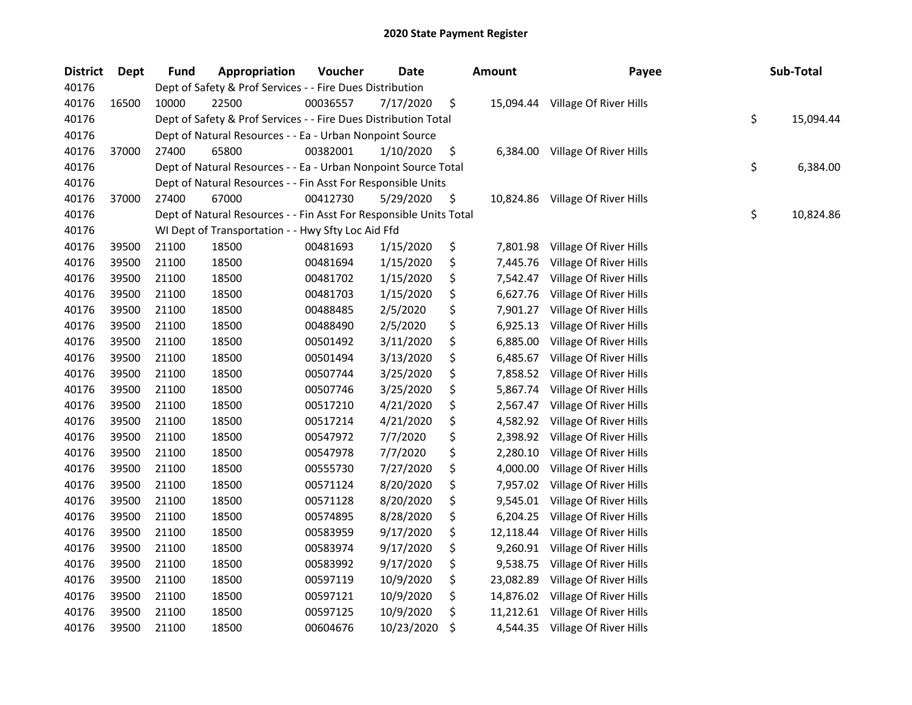| <b>District</b> | <b>Dept</b> | <b>Fund</b> | Appropriation                                                      | Voucher  | Date       | <b>Amount</b>   | Payee                            | Sub-Total       |
|-----------------|-------------|-------------|--------------------------------------------------------------------|----------|------------|-----------------|----------------------------------|-----------------|
| 40176           |             |             | Dept of Safety & Prof Services - - Fire Dues Distribution          |          |            |                 |                                  |                 |
| 40176           | 16500       | 10000       | 22500                                                              | 00036557 | 7/17/2020  | \$<br>15,094.44 | Village Of River Hills           |                 |
| 40176           |             |             | Dept of Safety & Prof Services - - Fire Dues Distribution Total    |          |            |                 |                                  | \$<br>15,094.44 |
| 40176           |             |             | Dept of Natural Resources - - Ea - Urban Nonpoint Source           |          |            |                 |                                  |                 |
| 40176           | 37000       | 27400       | 65800                                                              | 00382001 | 1/10/2020  | \$<br>6,384.00  | Village Of River Hills           |                 |
| 40176           |             |             | Dept of Natural Resources - - Ea - Urban Nonpoint Source Total     |          |            |                 |                                  | \$<br>6,384.00  |
| 40176           |             |             | Dept of Natural Resources - - Fin Asst For Responsible Units       |          |            |                 |                                  |                 |
| 40176           | 37000       | 27400       | 67000                                                              | 00412730 | 5/29/2020  | \$              | 10,824.86 Village Of River Hills |                 |
| 40176           |             |             | Dept of Natural Resources - - Fin Asst For Responsible Units Total |          |            |                 |                                  | \$<br>10,824.86 |
| 40176           |             |             | WI Dept of Transportation - - Hwy Sfty Loc Aid Ffd                 |          |            |                 |                                  |                 |
| 40176           | 39500       | 21100       | 18500                                                              | 00481693 | 1/15/2020  | \$<br>7,801.98  | Village Of River Hills           |                 |
| 40176           | 39500       | 21100       | 18500                                                              | 00481694 | 1/15/2020  | \$<br>7,445.76  | Village Of River Hills           |                 |
| 40176           | 39500       | 21100       | 18500                                                              | 00481702 | 1/15/2020  | \$<br>7,542.47  | Village Of River Hills           |                 |
| 40176           | 39500       | 21100       | 18500                                                              | 00481703 | 1/15/2020  | \$<br>6,627.76  | Village Of River Hills           |                 |
| 40176           | 39500       | 21100       | 18500                                                              | 00488485 | 2/5/2020   | \$<br>7,901.27  | Village Of River Hills           |                 |
| 40176           | 39500       | 21100       | 18500                                                              | 00488490 | 2/5/2020   | \$<br>6,925.13  | Village Of River Hills           |                 |
| 40176           | 39500       | 21100       | 18500                                                              | 00501492 | 3/11/2020  | \$<br>6,885.00  | Village Of River Hills           |                 |
| 40176           | 39500       | 21100       | 18500                                                              | 00501494 | 3/13/2020  | \$<br>6,485.67  | Village Of River Hills           |                 |
| 40176           | 39500       | 21100       | 18500                                                              | 00507744 | 3/25/2020  | \$<br>7,858.52  | Village Of River Hills           |                 |
| 40176           | 39500       | 21100       | 18500                                                              | 00507746 | 3/25/2020  | \$<br>5,867.74  | Village Of River Hills           |                 |
| 40176           | 39500       | 21100       | 18500                                                              | 00517210 | 4/21/2020  | \$<br>2,567.47  | Village Of River Hills           |                 |
| 40176           | 39500       | 21100       | 18500                                                              | 00517214 | 4/21/2020  | \$<br>4,582.92  | Village Of River Hills           |                 |
| 40176           | 39500       | 21100       | 18500                                                              | 00547972 | 7/7/2020   | \$<br>2,398.92  | Village Of River Hills           |                 |
| 40176           | 39500       | 21100       | 18500                                                              | 00547978 | 7/7/2020   | \$<br>2,280.10  | Village Of River Hills           |                 |
| 40176           | 39500       | 21100       | 18500                                                              | 00555730 | 7/27/2020  | \$<br>4,000.00  | Village Of River Hills           |                 |
| 40176           | 39500       | 21100       | 18500                                                              | 00571124 | 8/20/2020  | \$<br>7,957.02  | Village Of River Hills           |                 |
| 40176           | 39500       | 21100       | 18500                                                              | 00571128 | 8/20/2020  | \$<br>9,545.01  | Village Of River Hills           |                 |
| 40176           | 39500       | 21100       | 18500                                                              | 00574895 | 8/28/2020  | \$<br>6,204.25  | Village Of River Hills           |                 |
| 40176           | 39500       | 21100       | 18500                                                              | 00583959 | 9/17/2020  | \$<br>12,118.44 | Village Of River Hills           |                 |
| 40176           | 39500       | 21100       | 18500                                                              | 00583974 | 9/17/2020  | \$<br>9,260.91  | Village Of River Hills           |                 |
| 40176           | 39500       | 21100       | 18500                                                              | 00583992 | 9/17/2020  | \$<br>9,538.75  | Village Of River Hills           |                 |
| 40176           | 39500       | 21100       | 18500                                                              | 00597119 | 10/9/2020  | \$<br>23,082.89 | Village Of River Hills           |                 |
| 40176           | 39500       | 21100       | 18500                                                              | 00597121 | 10/9/2020  | \$<br>14,876.02 | Village Of River Hills           |                 |
| 40176           | 39500       | 21100       | 18500                                                              | 00597125 | 10/9/2020  | \$<br>11,212.61 | Village Of River Hills           |                 |
| 40176           | 39500       | 21100       | 18500                                                              | 00604676 | 10/23/2020 | \$              | 4,544.35 Village Of River Hills  |                 |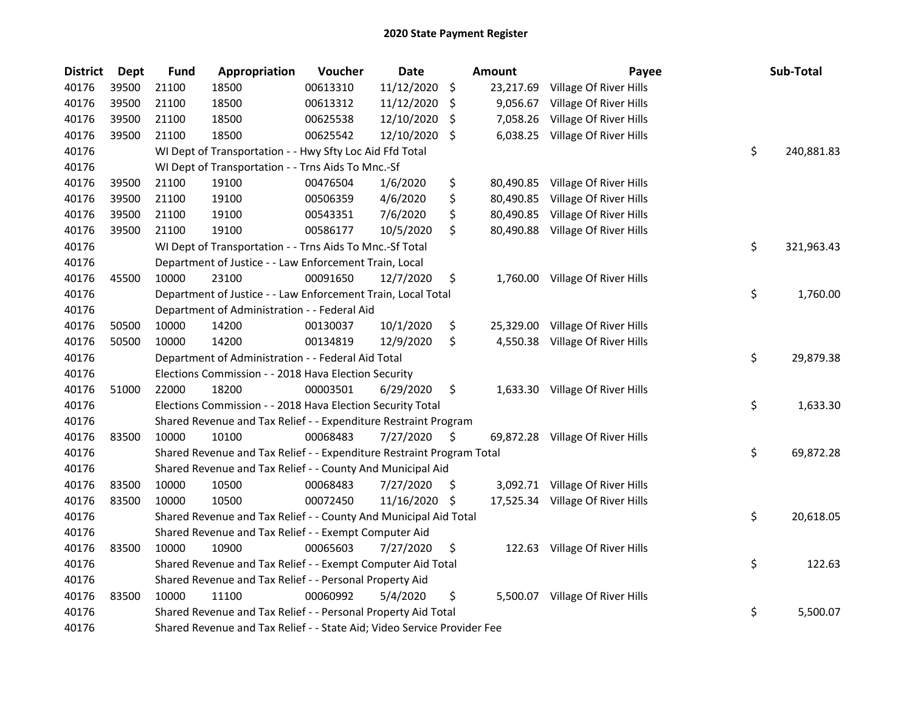| <b>District</b> | Dept  | <b>Fund</b> | Appropriation                                                           | Voucher  | <b>Date</b>   |                    | Amount    | Payee                            | Sub-Total        |
|-----------------|-------|-------------|-------------------------------------------------------------------------|----------|---------------|--------------------|-----------|----------------------------------|------------------|
| 40176           | 39500 | 21100       | 18500                                                                   | 00613310 | 11/12/2020    | $\ddot{\varsigma}$ | 23,217.69 | Village Of River Hills           |                  |
| 40176           | 39500 | 21100       | 18500                                                                   | 00613312 | 11/12/2020    | \$                 | 9,056.67  | Village Of River Hills           |                  |
| 40176           | 39500 | 21100       | 18500                                                                   | 00625538 | 12/10/2020    | \$                 | 7,058.26  | Village Of River Hills           |                  |
| 40176           | 39500 | 21100       | 18500                                                                   | 00625542 | 12/10/2020    | \$                 | 6,038.25  | Village Of River Hills           |                  |
| 40176           |       |             | WI Dept of Transportation - - Hwy Sfty Loc Aid Ffd Total                |          |               |                    |           |                                  | \$<br>240,881.83 |
| 40176           |       |             | WI Dept of Transportation - - Trns Aids To Mnc.-Sf                      |          |               |                    |           |                                  |                  |
| 40176           | 39500 | 21100       | 19100                                                                   | 00476504 | 1/6/2020      | \$                 |           | 80,490.85 Village Of River Hills |                  |
| 40176           | 39500 | 21100       | 19100                                                                   | 00506359 | 4/6/2020      | \$                 | 80,490.85 | Village Of River Hills           |                  |
| 40176           | 39500 | 21100       | 19100                                                                   | 00543351 | 7/6/2020      | \$                 | 80,490.85 | Village Of River Hills           |                  |
| 40176           | 39500 | 21100       | 19100                                                                   | 00586177 | 10/5/2020     | \$                 |           | 80,490.88 Village Of River Hills |                  |
| 40176           |       |             | WI Dept of Transportation - - Trns Aids To Mnc.-Sf Total                |          |               |                    |           |                                  | \$<br>321,963.43 |
| 40176           |       |             | Department of Justice - - Law Enforcement Train, Local                  |          |               |                    |           |                                  |                  |
| 40176           | 45500 | 10000       | 23100                                                                   | 00091650 | 12/7/2020     | \$                 | 1,760.00  | Village Of River Hills           |                  |
| 40176           |       |             | Department of Justice - - Law Enforcement Train, Local Total            |          |               |                    |           |                                  | \$<br>1,760.00   |
| 40176           |       |             | Department of Administration - - Federal Aid                            |          |               |                    |           |                                  |                  |
| 40176           | 50500 | 10000       | 14200                                                                   | 00130037 | 10/1/2020     | \$                 | 25,329.00 | Village Of River Hills           |                  |
| 40176           | 50500 | 10000       | 14200                                                                   | 00134819 | 12/9/2020     | \$                 | 4,550.38  | Village Of River Hills           |                  |
| 40176           |       |             | Department of Administration - - Federal Aid Total                      |          |               |                    |           |                                  | \$<br>29,879.38  |
| 40176           |       |             | Elections Commission - - 2018 Hava Election Security                    |          |               |                    |           |                                  |                  |
| 40176           | 51000 | 22000       | 18200                                                                   | 00003501 | 6/29/2020     | \$                 |           | 1,633.30 Village Of River Hills  |                  |
| 40176           |       |             | Elections Commission - - 2018 Hava Election Security Total              |          |               |                    |           |                                  | \$<br>1,633.30   |
| 40176           |       |             | Shared Revenue and Tax Relief - - Expenditure Restraint Program         |          |               |                    |           |                                  |                  |
| 40176           | 83500 | 10000       | 10100                                                                   | 00068483 | 7/27/2020     | \$                 |           | 69,872.28 Village Of River Hills |                  |
| 40176           |       |             | Shared Revenue and Tax Relief - - Expenditure Restraint Program Total   |          |               |                    |           |                                  | \$<br>69,872.28  |
| 40176           |       |             | Shared Revenue and Tax Relief - - County And Municipal Aid              |          |               |                    |           |                                  |                  |
| 40176           | 83500 | 10000       | 10500                                                                   | 00068483 | 7/27/2020     | \$                 |           | 3,092.71 Village Of River Hills  |                  |
| 40176           | 83500 | 10000       | 10500                                                                   | 00072450 | 11/16/2020 \$ |                    |           | 17,525.34 Village Of River Hills |                  |
| 40176           |       |             | Shared Revenue and Tax Relief - - County And Municipal Aid Total        |          |               |                    |           |                                  | \$<br>20,618.05  |
| 40176           |       |             | Shared Revenue and Tax Relief - - Exempt Computer Aid                   |          |               |                    |           |                                  |                  |
| 40176           | 83500 | 10000       | 10900                                                                   | 00065603 | 7/27/2020     | \$                 |           | 122.63 Village Of River Hills    |                  |
| 40176           |       |             | Shared Revenue and Tax Relief - - Exempt Computer Aid Total             |          |               |                    |           |                                  | \$<br>122.63     |
| 40176           |       |             | Shared Revenue and Tax Relief - - Personal Property Aid                 |          |               |                    |           |                                  |                  |
| 40176           | 83500 | 10000       | 11100                                                                   | 00060992 | 5/4/2020      | \$                 | 5,500.07  | Village Of River Hills           |                  |
| 40176           |       |             | Shared Revenue and Tax Relief - - Personal Property Aid Total           |          |               |                    |           |                                  | \$<br>5,500.07   |
| 40176           |       |             | Shared Revenue and Tax Relief - - State Aid; Video Service Provider Fee |          |               |                    |           |                                  |                  |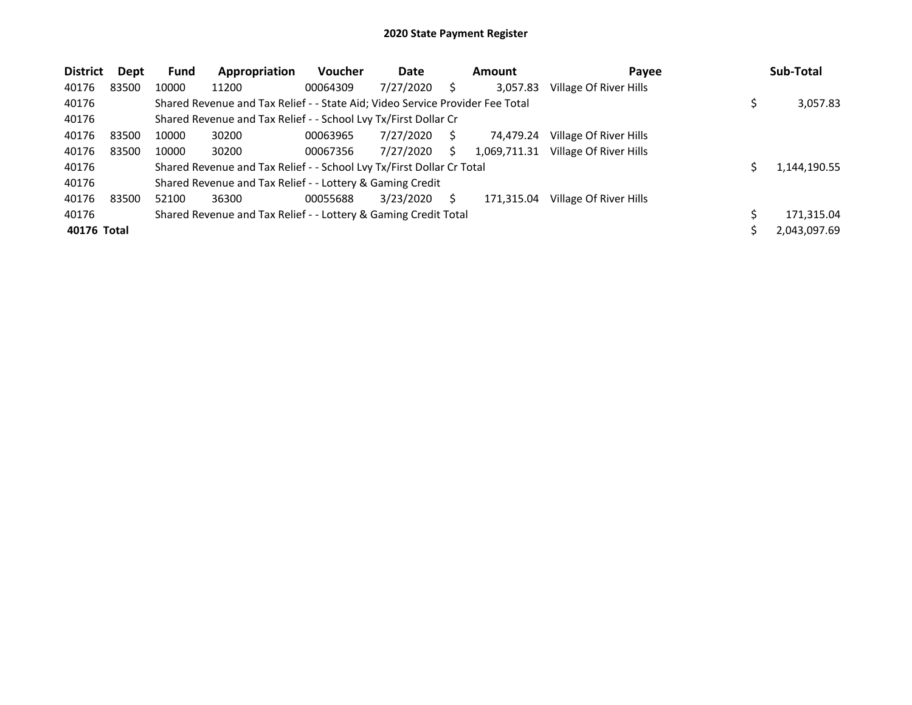| <b>District</b> | Dept  | Fund  | Appropriation                                                                 | <b>Voucher</b> | Date      |   | Amount       | Payee                  | Sub-Total    |
|-----------------|-------|-------|-------------------------------------------------------------------------------|----------------|-----------|---|--------------|------------------------|--------------|
| 40176           | 83500 | 10000 | 11200                                                                         | 00064309       | 7/27/2020 |   | 3,057.83     | Village Of River Hills |              |
| 40176           |       |       | Shared Revenue and Tax Relief - - State Aid; Video Service Provider Fee Total |                |           |   |              |                        | 3,057.83     |
| 40176           |       |       | Shared Revenue and Tax Relief - - School Lvy Tx/First Dollar Cr               |                |           |   |              |                        |              |
| 40176           | 83500 | 10000 | 30200                                                                         | 00063965       | 7/27/2020 | S | 74.479.24    | Village Of River Hills |              |
| 40176           | 83500 | 10000 | 30200                                                                         | 00067356       | 7/27/2020 | S | 1,069,711.31 | Village Of River Hills |              |
| 40176           |       |       | Shared Revenue and Tax Relief - - School Lvy Tx/First Dollar Cr Total         |                |           |   |              |                        | 1,144,190.55 |
| 40176           |       |       | Shared Revenue and Tax Relief - - Lottery & Gaming Credit                     |                |           |   |              |                        |              |
| 40176           | 83500 | 52100 | 36300                                                                         | 00055688       | 3/23/2020 |   | 171.315.04   | Village Of River Hills |              |
| 40176           |       |       | Shared Revenue and Tax Relief - - Lottery & Gaming Credit Total               |                |           |   |              |                        | 171,315.04   |
| 40176 Total     |       |       |                                                                               |                |           |   |              |                        | 2,043,097.69 |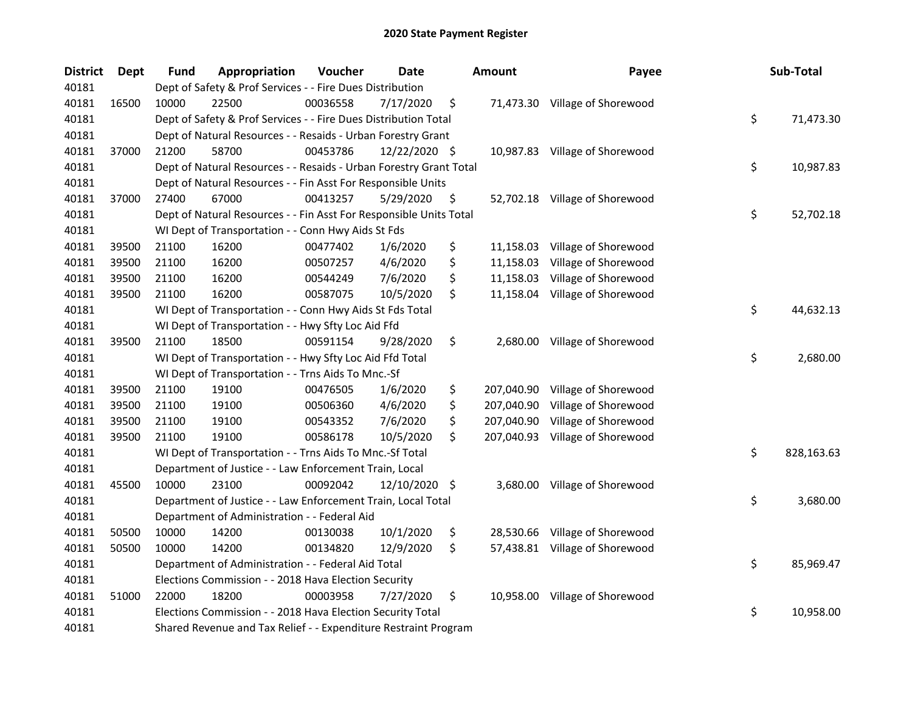| <b>District</b> | <b>Dept</b> | <b>Fund</b> | Appropriation                                                      | Voucher  | Date          | <b>Amount</b>    | Payee                          | Sub-Total        |
|-----------------|-------------|-------------|--------------------------------------------------------------------|----------|---------------|------------------|--------------------------------|------------------|
| 40181           |             |             | Dept of Safety & Prof Services - - Fire Dues Distribution          |          |               |                  |                                |                  |
| 40181           | 16500       | 10000       | 22500                                                              | 00036558 | 7/17/2020     | \$               | 71,473.30 Village of Shorewood |                  |
| 40181           |             |             | Dept of Safety & Prof Services - - Fire Dues Distribution Total    |          |               |                  |                                | \$<br>71,473.30  |
| 40181           |             |             | Dept of Natural Resources - - Resaids - Urban Forestry Grant       |          |               |                  |                                |                  |
| 40181           | 37000       | 21200       | 58700                                                              | 00453786 | 12/22/2020 \$ |                  | 10,987.83 Village of Shorewood |                  |
| 40181           |             |             | Dept of Natural Resources - - Resaids - Urban Forestry Grant Total |          |               |                  |                                | \$<br>10,987.83  |
| 40181           |             |             | Dept of Natural Resources - - Fin Asst For Responsible Units       |          |               |                  |                                |                  |
| 40181           | 37000       | 27400       | 67000                                                              | 00413257 | 5/29/2020     | \$               | 52,702.18 Village of Shorewood |                  |
| 40181           |             |             | Dept of Natural Resources - - Fin Asst For Responsible Units Total |          |               |                  |                                | \$<br>52,702.18  |
| 40181           |             |             | WI Dept of Transportation - - Conn Hwy Aids St Fds                 |          |               |                  |                                |                  |
| 40181           | 39500       | 21100       | 16200                                                              | 00477402 | 1/6/2020      | \$               | 11,158.03 Village of Shorewood |                  |
| 40181           | 39500       | 21100       | 16200                                                              | 00507257 | 4/6/2020      | \$<br>11,158.03  | Village of Shorewood           |                  |
| 40181           | 39500       | 21100       | 16200                                                              | 00544249 | 7/6/2020      | \$<br>11,158.03  | Village of Shorewood           |                  |
| 40181           | 39500       | 21100       | 16200                                                              | 00587075 | 10/5/2020     | \$<br>11,158.04  | Village of Shorewood           |                  |
| 40181           |             |             | WI Dept of Transportation - - Conn Hwy Aids St Fds Total           |          |               |                  |                                | \$<br>44,632.13  |
| 40181           |             |             | WI Dept of Transportation - - Hwy Sfty Loc Aid Ffd                 |          |               |                  |                                |                  |
| 40181           | 39500       | 21100       | 18500                                                              | 00591154 | 9/28/2020     | \$<br>2,680.00   | Village of Shorewood           |                  |
| 40181           |             |             | WI Dept of Transportation - - Hwy Sfty Loc Aid Ffd Total           |          |               |                  |                                | \$<br>2,680.00   |
| 40181           |             |             | WI Dept of Transportation - - Trns Aids To Mnc.-Sf                 |          |               |                  |                                |                  |
| 40181           | 39500       | 21100       | 19100                                                              | 00476505 | 1/6/2020      | \$<br>207,040.90 | Village of Shorewood           |                  |
| 40181           | 39500       | 21100       | 19100                                                              | 00506360 | 4/6/2020      | \$<br>207,040.90 | Village of Shorewood           |                  |
| 40181           | 39500       | 21100       | 19100                                                              | 00543352 | 7/6/2020      | \$<br>207,040.90 | Village of Shorewood           |                  |
| 40181           | 39500       | 21100       | 19100                                                              | 00586178 | 10/5/2020     | \$<br>207,040.93 | Village of Shorewood           |                  |
| 40181           |             |             | WI Dept of Transportation - - Trns Aids To Mnc.-Sf Total           |          |               |                  |                                | \$<br>828,163.63 |
| 40181           |             |             | Department of Justice - - Law Enforcement Train, Local             |          |               |                  |                                |                  |
| 40181           | 45500       | 10000       | 23100                                                              | 00092042 | 12/10/2020    | \$<br>3,680.00   | Village of Shorewood           |                  |
| 40181           |             |             | Department of Justice - - Law Enforcement Train, Local Total       |          |               |                  |                                | \$<br>3,680.00   |
| 40181           |             |             | Department of Administration - - Federal Aid                       |          |               |                  |                                |                  |
| 40181           | 50500       | 10000       | 14200                                                              | 00130038 | 10/1/2020     | \$<br>28,530.66  | Village of Shorewood           |                  |
| 40181           | 50500       | 10000       | 14200                                                              | 00134820 | 12/9/2020     | \$<br>57,438.81  | Village of Shorewood           |                  |
| 40181           |             |             | Department of Administration - - Federal Aid Total                 |          |               |                  |                                | \$<br>85,969.47  |
| 40181           |             |             | Elections Commission - - 2018 Hava Election Security               |          |               |                  |                                |                  |
| 40181           | 51000       | 22000       | 18200                                                              | 00003958 | 7/27/2020     | \$               | 10,958.00 Village of Shorewood |                  |
| 40181           |             |             | Elections Commission - - 2018 Hava Election Security Total         |          |               |                  |                                | \$<br>10,958.00  |
| 40181           |             |             | Shared Revenue and Tax Relief - - Expenditure Restraint Program    |          |               |                  |                                |                  |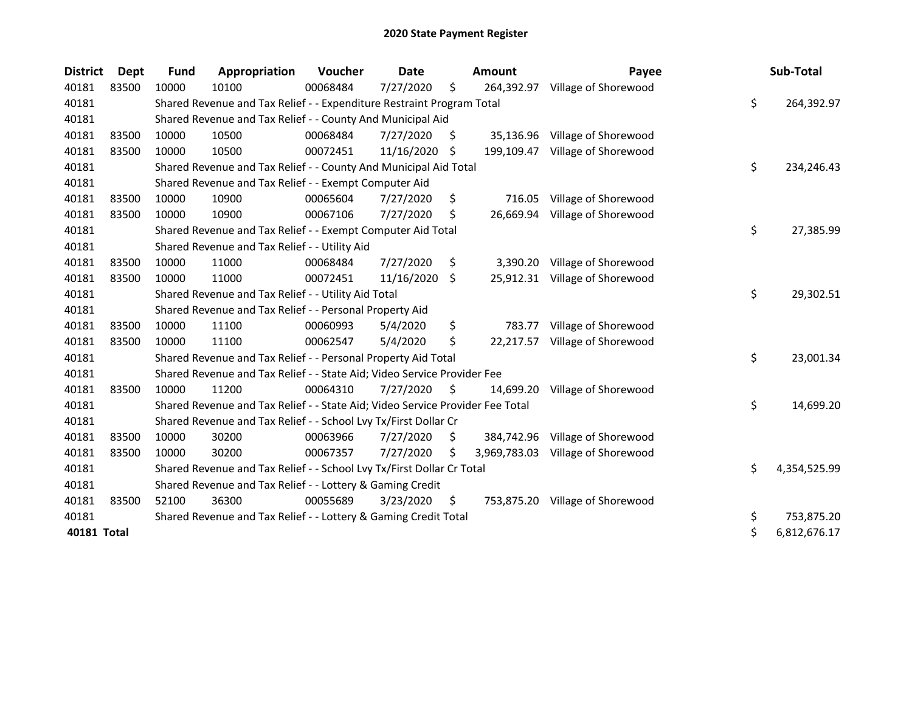| <b>District</b> | <b>Dept</b> | <b>Fund</b> | Appropriation                                                                 | Voucher  | Date       |     | <b>Amount</b> | Payee                           | Sub-Total          |
|-----------------|-------------|-------------|-------------------------------------------------------------------------------|----------|------------|-----|---------------|---------------------------------|--------------------|
| 40181           | 83500       | 10000       | 10100                                                                         | 00068484 | 7/27/2020  | \$  | 264,392.97    | Village of Shorewood            |                    |
| 40181           |             |             | Shared Revenue and Tax Relief - - Expenditure Restraint Program Total         |          |            |     |               |                                 | \$<br>264,392.97   |
| 40181           |             |             | Shared Revenue and Tax Relief - - County And Municipal Aid                    |          |            |     |               |                                 |                    |
| 40181           | 83500       | 10000       | 10500                                                                         | 00068484 | 7/27/2020  | S   | 35,136.96     | Village of Shorewood            |                    |
| 40181           | 83500       | 10000       | 10500                                                                         | 00072451 | 11/16/2020 | -S  | 199,109.47    | Village of Shorewood            |                    |
| 40181           |             |             | Shared Revenue and Tax Relief - - County And Municipal Aid Total              |          |            |     |               |                                 | \$<br>234,246.43   |
| 40181           |             |             | Shared Revenue and Tax Relief - - Exempt Computer Aid                         |          |            |     |               |                                 |                    |
| 40181           | 83500       | 10000       | 10900                                                                         | 00065604 | 7/27/2020  | \$  | 716.05        | Village of Shorewood            |                    |
| 40181           | 83500       | 10000       | 10900                                                                         | 00067106 | 7/27/2020  | \$  | 26,669.94     | Village of Shorewood            |                    |
| 40181           |             |             | Shared Revenue and Tax Relief - - Exempt Computer Aid Total                   |          |            |     |               |                                 | \$<br>27,385.99    |
| 40181           |             |             | Shared Revenue and Tax Relief - - Utility Aid                                 |          |            |     |               |                                 |                    |
| 40181           | 83500       | 10000       | 11000                                                                         | 00068484 | 7/27/2020  | \$. | 3,390.20      | Village of Shorewood            |                    |
| 40181           | 83500       | 10000       | 11000                                                                         | 00072451 | 11/16/2020 | \$  |               | 25,912.31 Village of Shorewood  |                    |
| 40181           |             |             | Shared Revenue and Tax Relief - - Utility Aid Total                           |          |            |     |               |                                 | \$<br>29,302.51    |
| 40181           |             |             | Shared Revenue and Tax Relief - - Personal Property Aid                       |          |            |     |               |                                 |                    |
| 40181           | 83500       | 10000       | 11100                                                                         | 00060993 | 5/4/2020   | \$  | 783.77        | Village of Shorewood            |                    |
| 40181           | 83500       | 10000       | 11100                                                                         | 00062547 | 5/4/2020   | \$  | 22,217.57     | Village of Shorewood            |                    |
| 40181           |             |             | Shared Revenue and Tax Relief - - Personal Property Aid Total                 |          |            |     |               |                                 | \$<br>23,001.34    |
| 40181           |             |             | Shared Revenue and Tax Relief - - State Aid; Video Service Provider Fee       |          |            |     |               |                                 |                    |
| 40181           | 83500       | 10000       | 11200                                                                         | 00064310 | 7/27/2020  | S   | 14.699.20     | Village of Shorewood            |                    |
| 40181           |             |             | Shared Revenue and Tax Relief - - State Aid; Video Service Provider Fee Total |          |            |     |               |                                 | \$<br>14,699.20    |
| 40181           |             |             | Shared Revenue and Tax Relief - - School Lvy Tx/First Dollar Cr               |          |            |     |               |                                 |                    |
| 40181           | 83500       | 10000       | 30200                                                                         | 00063966 | 7/27/2020  | S.  | 384,742.96    | Village of Shorewood            |                    |
| 40181           | 83500       | 10000       | 30200                                                                         | 00067357 | 7/27/2020  | \$  | 3,969,783.03  | Village of Shorewood            |                    |
| 40181           |             |             | Shared Revenue and Tax Relief - - School Lvy Tx/First Dollar Cr Total         |          |            |     |               |                                 | \$<br>4,354,525.99 |
| 40181           |             |             | Shared Revenue and Tax Relief - - Lottery & Gaming Credit                     |          |            |     |               |                                 |                    |
| 40181           | 83500       | 52100       | 36300                                                                         | 00055689 | 3/23/2020  | \$  |               | 753,875.20 Village of Shorewood |                    |
| 40181           |             |             | Shared Revenue and Tax Relief - - Lottery & Gaming Credit Total               |          |            |     |               |                                 | \$<br>753,875.20   |
| 40181 Total     |             |             |                                                                               |          |            |     |               |                                 | \$<br>6,812,676.17 |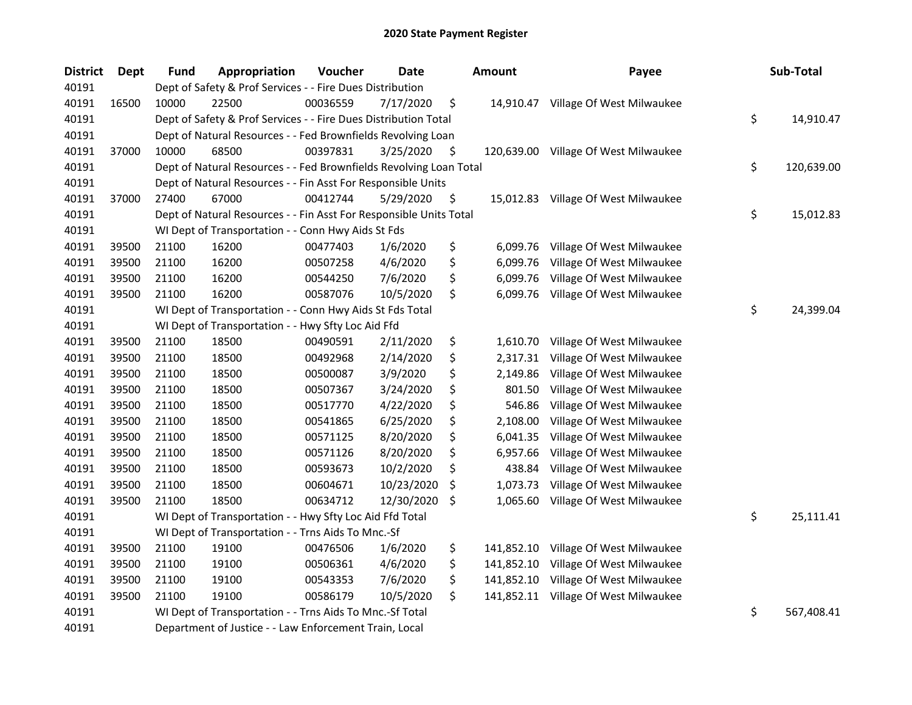| <b>District</b> | <b>Dept</b> | <b>Fund</b> | Appropriation                                                      | Voucher  | <b>Date</b> |     | Amount     | Payee                                | Sub-Total        |
|-----------------|-------------|-------------|--------------------------------------------------------------------|----------|-------------|-----|------------|--------------------------------------|------------------|
| 40191           |             |             | Dept of Safety & Prof Services - - Fire Dues Distribution          |          |             |     |            |                                      |                  |
| 40191           | 16500       | 10000       | 22500                                                              | 00036559 | 7/17/2020   | \$  |            | 14,910.47 Village Of West Milwaukee  |                  |
| 40191           |             |             | Dept of Safety & Prof Services - - Fire Dues Distribution Total    |          |             |     |            |                                      | \$<br>14,910.47  |
| 40191           |             |             | Dept of Natural Resources - - Fed Brownfields Revolving Loan       |          |             |     |            |                                      |                  |
| 40191           | 37000       | 10000       | 68500                                                              | 00397831 | 3/25/2020   | \$  |            | 120,639.00 Village Of West Milwaukee |                  |
| 40191           |             |             | Dept of Natural Resources - - Fed Brownfields Revolving Loan Total |          |             |     |            |                                      | \$<br>120,639.00 |
| 40191           |             |             | Dept of Natural Resources - - Fin Asst For Responsible Units       |          |             |     |            |                                      |                  |
| 40191           | 37000       | 27400       | 67000                                                              | 00412744 | 5/29/2020   | \$  |            | 15,012.83 Village Of West Milwaukee  |                  |
| 40191           |             |             | Dept of Natural Resources - - Fin Asst For Responsible Units Total |          |             |     |            |                                      | \$<br>15,012.83  |
| 40191           |             |             | WI Dept of Transportation - - Conn Hwy Aids St Fds                 |          |             |     |            |                                      |                  |
| 40191           | 39500       | 21100       | 16200                                                              | 00477403 | 1/6/2020    | \$  | 6,099.76   | Village Of West Milwaukee            |                  |
| 40191           | 39500       | 21100       | 16200                                                              | 00507258 | 4/6/2020    | \$  | 6,099.76   | Village Of West Milwaukee            |                  |
| 40191           | 39500       | 21100       | 16200                                                              | 00544250 | 7/6/2020    | \$  | 6,099.76   | Village Of West Milwaukee            |                  |
| 40191           | 39500       | 21100       | 16200                                                              | 00587076 | 10/5/2020   | \$  | 6,099.76   | Village Of West Milwaukee            |                  |
| 40191           |             |             | WI Dept of Transportation - - Conn Hwy Aids St Fds Total           |          |             |     |            |                                      | \$<br>24,399.04  |
| 40191           |             |             | WI Dept of Transportation - - Hwy Sfty Loc Aid Ffd                 |          |             |     |            |                                      |                  |
| 40191           | 39500       | 21100       | 18500                                                              | 00490591 | 2/11/2020   | \$  | 1,610.70   | Village Of West Milwaukee            |                  |
| 40191           | 39500       | 21100       | 18500                                                              | 00492968 | 2/14/2020   | \$  | 2,317.31   | Village Of West Milwaukee            |                  |
| 40191           | 39500       | 21100       | 18500                                                              | 00500087 | 3/9/2020    | \$  | 2,149.86   | Village Of West Milwaukee            |                  |
| 40191           | 39500       | 21100       | 18500                                                              | 00507367 | 3/24/2020   | \$  | 801.50     | Village Of West Milwaukee            |                  |
| 40191           | 39500       | 21100       | 18500                                                              | 00517770 | 4/22/2020   | \$  | 546.86     | Village Of West Milwaukee            |                  |
| 40191           | 39500       | 21100       | 18500                                                              | 00541865 | 6/25/2020   | \$  | 2,108.00   | Village Of West Milwaukee            |                  |
| 40191           | 39500       | 21100       | 18500                                                              | 00571125 | 8/20/2020   | \$  | 6,041.35   | Village Of West Milwaukee            |                  |
| 40191           | 39500       | 21100       | 18500                                                              | 00571126 | 8/20/2020   | \$  | 6,957.66   | Village Of West Milwaukee            |                  |
| 40191           | 39500       | 21100       | 18500                                                              | 00593673 | 10/2/2020   | \$  | 438.84     | Village Of West Milwaukee            |                  |
| 40191           | 39500       | 21100       | 18500                                                              | 00604671 | 10/23/2020  | \$  | 1,073.73   | Village Of West Milwaukee            |                  |
| 40191           | 39500       | 21100       | 18500                                                              | 00634712 | 12/30/2020  | -\$ | 1,065.60   | Village Of West Milwaukee            |                  |
| 40191           |             |             | WI Dept of Transportation - - Hwy Sfty Loc Aid Ffd Total           |          |             |     |            |                                      | \$<br>25,111.41  |
| 40191           |             |             | WI Dept of Transportation - - Trns Aids To Mnc.-Sf                 |          |             |     |            |                                      |                  |
| 40191           | 39500       | 21100       | 19100                                                              | 00476506 | 1/6/2020    | \$  | 141,852.10 | Village Of West Milwaukee            |                  |
| 40191           | 39500       | 21100       | 19100                                                              | 00506361 | 4/6/2020    | \$  | 141,852.10 | Village Of West Milwaukee            |                  |
| 40191           | 39500       | 21100       | 19100                                                              | 00543353 | 7/6/2020    | \$  | 141,852.10 | Village Of West Milwaukee            |                  |
| 40191           | 39500       | 21100       | 19100                                                              | 00586179 | 10/5/2020   | \$  |            | 141,852.11 Village Of West Milwaukee |                  |
| 40191           |             |             | WI Dept of Transportation - - Trns Aids To Mnc.-Sf Total           |          |             |     |            |                                      | \$<br>567,408.41 |
| 40191           |             |             | Department of Justice - - Law Enforcement Train, Local             |          |             |     |            |                                      |                  |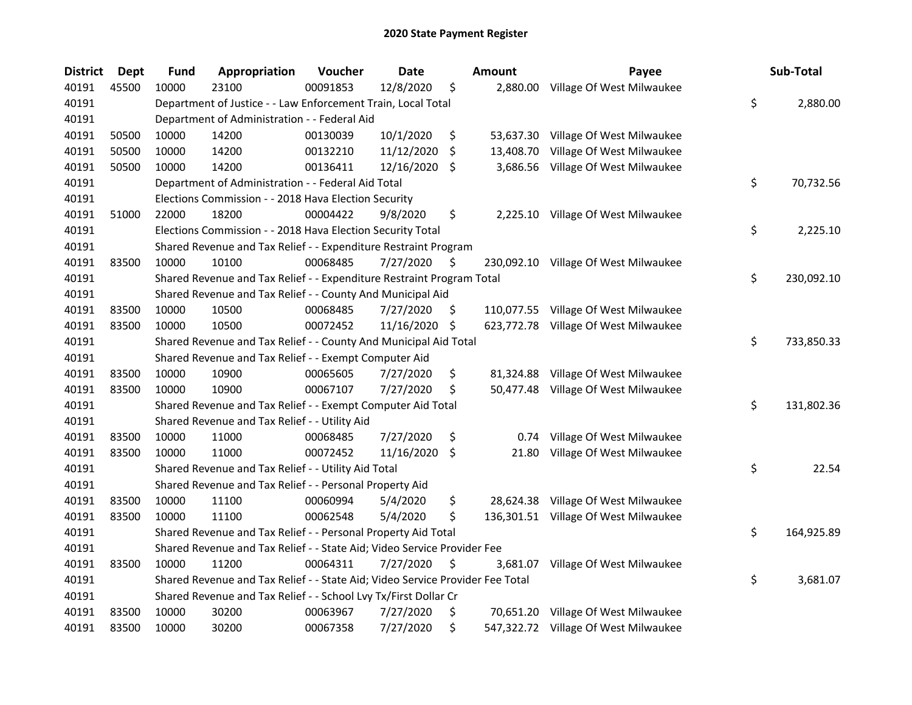| <b>District</b> | <b>Dept</b> | <b>Fund</b> | Appropriation                                                                 | Voucher  | <b>Date</b> |     | Amount    | Payee                                | Sub-Total        |
|-----------------|-------------|-------------|-------------------------------------------------------------------------------|----------|-------------|-----|-----------|--------------------------------------|------------------|
| 40191           | 45500       | 10000       | 23100                                                                         | 00091853 | 12/8/2020   | \$  | 2,880.00  | Village Of West Milwaukee            |                  |
| 40191           |             |             | Department of Justice - - Law Enforcement Train, Local Total                  |          |             |     |           |                                      | \$<br>2,880.00   |
| 40191           |             |             | Department of Administration - - Federal Aid                                  |          |             |     |           |                                      |                  |
| 40191           | 50500       | 10000       | 14200                                                                         | 00130039 | 10/1/2020   | \$  | 53,637.30 | Village Of West Milwaukee            |                  |
| 40191           | 50500       | 10000       | 14200                                                                         | 00132210 | 11/12/2020  | \$. | 13,408.70 | Village Of West Milwaukee            |                  |
| 40191           | 50500       | 10000       | 14200                                                                         | 00136411 | 12/16/2020  | \$. | 3,686.56  | Village Of West Milwaukee            |                  |
| 40191           |             |             | Department of Administration - - Federal Aid Total                            |          |             |     |           |                                      | \$<br>70,732.56  |
| 40191           |             |             | Elections Commission - - 2018 Hava Election Security                          |          |             |     |           |                                      |                  |
| 40191           | 51000       | 22000       | 18200                                                                         | 00004422 | 9/8/2020    | \$  |           | 2,225.10 Village Of West Milwaukee   |                  |
| 40191           |             |             | Elections Commission - - 2018 Hava Election Security Total                    |          |             |     |           |                                      | \$<br>2,225.10   |
| 40191           |             |             | Shared Revenue and Tax Relief - - Expenditure Restraint Program               |          |             |     |           |                                      |                  |
| 40191           | 83500       | 10000       | 10100                                                                         | 00068485 | 7/27/2020   | \$. |           | 230,092.10 Village Of West Milwaukee |                  |
| 40191           |             |             | Shared Revenue and Tax Relief - - Expenditure Restraint Program Total         |          |             |     |           |                                      | \$<br>230,092.10 |
| 40191           |             |             | Shared Revenue and Tax Relief - - County And Municipal Aid                    |          |             |     |           |                                      |                  |
| 40191           | 83500       | 10000       | 10500                                                                         | 00068485 | 7/27/2020   | \$. |           | 110,077.55 Village Of West Milwaukee |                  |
| 40191           | 83500       | 10000       | 10500                                                                         | 00072452 | 11/16/2020  | \$  |           | 623,772.78 Village Of West Milwaukee |                  |
| 40191           |             |             | Shared Revenue and Tax Relief - - County And Municipal Aid Total              |          |             |     |           |                                      | \$<br>733,850.33 |
| 40191           |             |             | Shared Revenue and Tax Relief - - Exempt Computer Aid                         |          |             |     |           |                                      |                  |
| 40191           | 83500       | 10000       | 10900                                                                         | 00065605 | 7/27/2020   | \$  | 81,324.88 | Village Of West Milwaukee            |                  |
| 40191           | 83500       | 10000       | 10900                                                                         | 00067107 | 7/27/2020   | \$  |           | 50,477.48 Village Of West Milwaukee  |                  |
| 40191           |             |             | Shared Revenue and Tax Relief - - Exempt Computer Aid Total                   |          |             |     |           |                                      | \$<br>131,802.36 |
| 40191           |             |             | Shared Revenue and Tax Relief - - Utility Aid                                 |          |             |     |           |                                      |                  |
| 40191           | 83500       | 10000       | 11000                                                                         | 00068485 | 7/27/2020   | \$  |           | 0.74 Village Of West Milwaukee       |                  |
| 40191           | 83500       | 10000       | 11000                                                                         | 00072452 | 11/16/2020  | \$  | 21.80     | Village Of West Milwaukee            |                  |
| 40191           |             |             | Shared Revenue and Tax Relief - - Utility Aid Total                           |          |             |     |           |                                      | \$<br>22.54      |
| 40191           |             |             | Shared Revenue and Tax Relief - - Personal Property Aid                       |          |             |     |           |                                      |                  |
| 40191           | 83500       | 10000       | 11100                                                                         | 00060994 | 5/4/2020    | \$  |           | 28,624.38 Village Of West Milwaukee  |                  |
| 40191           | 83500       | 10000       | 11100                                                                         | 00062548 | 5/4/2020    | \$  |           | 136,301.51 Village Of West Milwaukee |                  |
| 40191           |             |             | Shared Revenue and Tax Relief - - Personal Property Aid Total                 |          |             |     |           |                                      | \$<br>164,925.89 |
| 40191           |             |             | Shared Revenue and Tax Relief - - State Aid; Video Service Provider Fee       |          |             |     |           |                                      |                  |
| 40191           | 83500       | 10000       | 11200                                                                         | 00064311 | 7/27/2020   | \$  | 3,681.07  | Village Of West Milwaukee            |                  |
| 40191           |             |             | Shared Revenue and Tax Relief - - State Aid; Video Service Provider Fee Total |          |             |     |           |                                      | \$<br>3,681.07   |
| 40191           |             |             | Shared Revenue and Tax Relief - - School Lvy Tx/First Dollar Cr               |          |             |     |           |                                      |                  |
| 40191           | 83500       | 10000       | 30200                                                                         | 00063967 | 7/27/2020   | \$  |           | 70,651.20 Village Of West Milwaukee  |                  |
| 40191           | 83500       | 10000       | 30200                                                                         | 00067358 | 7/27/2020   | \$  |           | 547,322.72 Village Of West Milwaukee |                  |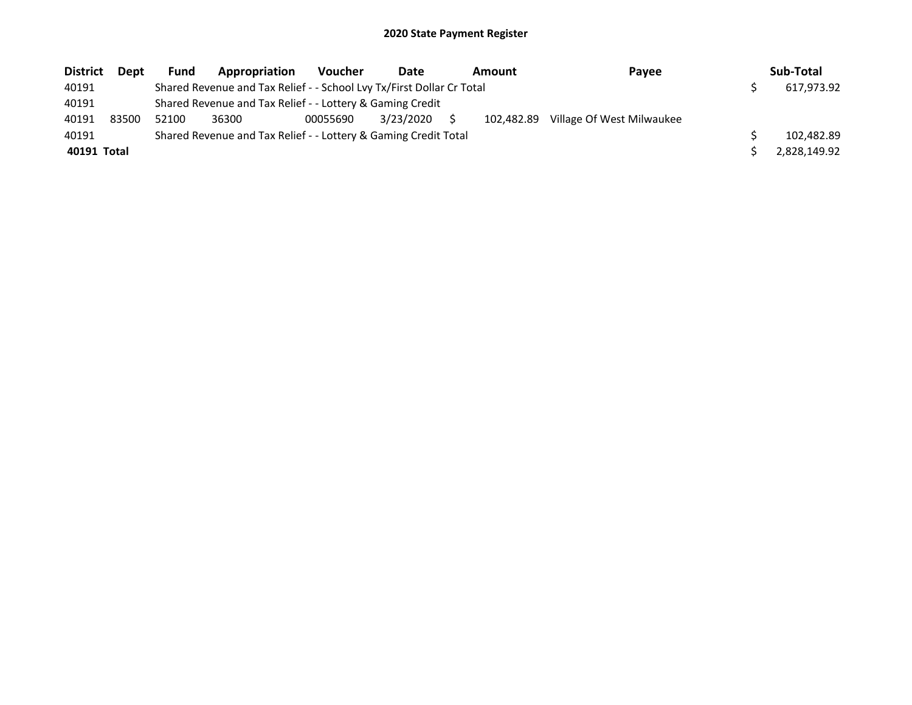| <b>District</b> | Dept  | <b>Fund</b> | Appropriation                                                         | <b>Voucher</b> | Date      | <b>Amount</b> | Payee                     | Sub-Total    |
|-----------------|-------|-------------|-----------------------------------------------------------------------|----------------|-----------|---------------|---------------------------|--------------|
| 40191           |       |             | Shared Revenue and Tax Relief - - School Lvy Tx/First Dollar Cr Total |                |           |               |                           | 617,973.92   |
| 40191           |       |             | Shared Revenue and Tax Relief - - Lottery & Gaming Credit             |                |           |               |                           |              |
| 40191           | 83500 | 52100       | 36300                                                                 | 00055690       | 3/23/2020 | 102.482.89    | Village Of West Milwaukee |              |
| 40191           |       |             | Shared Revenue and Tax Relief - - Lottery & Gaming Credit Total       |                |           |               |                           | 102,482.89   |
| 40191 Total     |       |             |                                                                       |                |           |               |                           | 2,828,149.92 |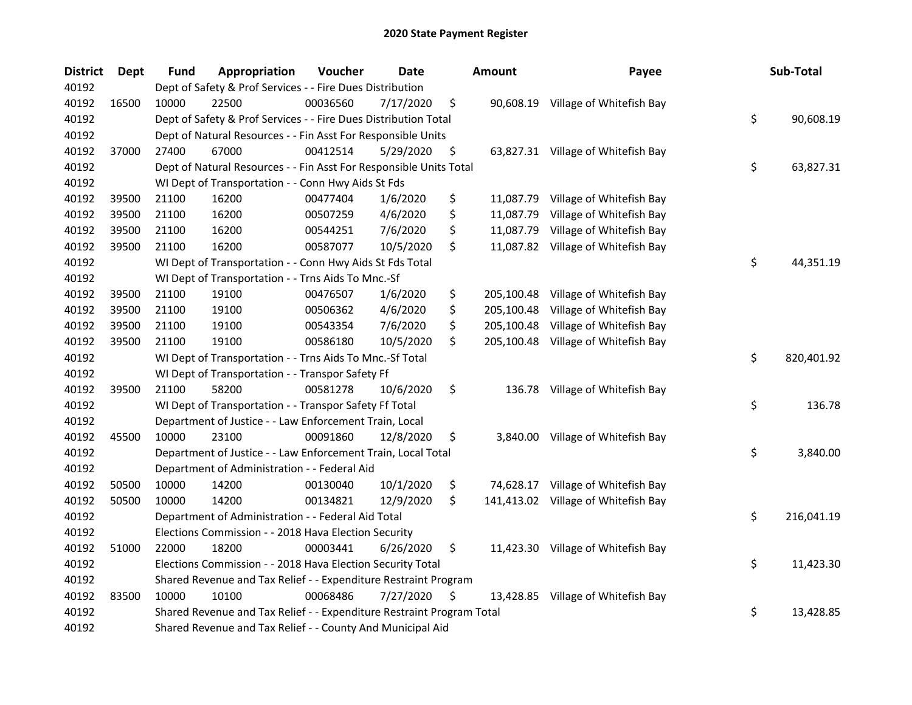| <b>District</b> | Dept  | <b>Fund</b> | Appropriation                                                         | Voucher  | <b>Date</b> | Amount           | Payee                               | Sub-Total        |
|-----------------|-------|-------------|-----------------------------------------------------------------------|----------|-------------|------------------|-------------------------------------|------------------|
| 40192           |       |             | Dept of Safety & Prof Services - - Fire Dues Distribution             |          |             |                  |                                     |                  |
| 40192           | 16500 | 10000       | 22500                                                                 | 00036560 | 7/17/2020   | \$               | 90,608.19 Village of Whitefish Bay  |                  |
| 40192           |       |             | Dept of Safety & Prof Services - - Fire Dues Distribution Total       |          |             |                  |                                     | \$<br>90,608.19  |
| 40192           |       |             | Dept of Natural Resources - - Fin Asst For Responsible Units          |          |             |                  |                                     |                  |
| 40192           | 37000 | 27400       | 67000                                                                 | 00412514 | 5/29/2020   | \$               | 63,827.31 Village of Whitefish Bay  |                  |
| 40192           |       |             | Dept of Natural Resources - - Fin Asst For Responsible Units Total    |          |             |                  |                                     | \$<br>63,827.31  |
| 40192           |       |             | WI Dept of Transportation - - Conn Hwy Aids St Fds                    |          |             |                  |                                     |                  |
| 40192           | 39500 | 21100       | 16200                                                                 | 00477404 | 1/6/2020    | \$               | 11,087.79 Village of Whitefish Bay  |                  |
| 40192           | 39500 | 21100       | 16200                                                                 | 00507259 | 4/6/2020    | \$<br>11,087.79  | Village of Whitefish Bay            |                  |
| 40192           | 39500 | 21100       | 16200                                                                 | 00544251 | 7/6/2020    | \$               | 11,087.79 Village of Whitefish Bay  |                  |
| 40192           | 39500 | 21100       | 16200                                                                 | 00587077 | 10/5/2020   | \$               | 11,087.82 Village of Whitefish Bay  |                  |
| 40192           |       |             | WI Dept of Transportation - - Conn Hwy Aids St Fds Total              |          |             |                  |                                     | \$<br>44,351.19  |
| 40192           |       |             | WI Dept of Transportation - - Trns Aids To Mnc.-Sf                    |          |             |                  |                                     |                  |
| 40192           | 39500 | 21100       | 19100                                                                 | 00476507 | 1/6/2020    | \$<br>205,100.48 | Village of Whitefish Bay            |                  |
| 40192           | 39500 | 21100       | 19100                                                                 | 00506362 | 4/6/2020    | \$<br>205,100.48 | Village of Whitefish Bay            |                  |
| 40192           | 39500 | 21100       | 19100                                                                 | 00543354 | 7/6/2020    | \$<br>205,100.48 | Village of Whitefish Bay            |                  |
| 40192           | 39500 | 21100       | 19100                                                                 | 00586180 | 10/5/2020   | \$<br>205,100.48 | Village of Whitefish Bay            |                  |
| 40192           |       |             | WI Dept of Transportation - - Trns Aids To Mnc.-Sf Total              |          |             |                  |                                     | \$<br>820,401.92 |
| 40192           |       |             | WI Dept of Transportation - - Transpor Safety Ff                      |          |             |                  |                                     |                  |
| 40192           | 39500 | 21100       | 58200                                                                 | 00581278 | 10/6/2020   | \$<br>136.78     | Village of Whitefish Bay            |                  |
| 40192           |       |             | WI Dept of Transportation - - Transpor Safety Ff Total                |          |             |                  |                                     | \$<br>136.78     |
| 40192           |       |             | Department of Justice - - Law Enforcement Train, Local                |          |             |                  |                                     |                  |
| 40192           | 45500 | 10000       | 23100                                                                 | 00091860 | 12/8/2020   | \$               | 3,840.00 Village of Whitefish Bay   |                  |
| 40192           |       |             | Department of Justice - - Law Enforcement Train, Local Total          |          |             |                  |                                     | \$<br>3,840.00   |
| 40192           |       |             | Department of Administration - - Federal Aid                          |          |             |                  |                                     |                  |
| 40192           | 50500 | 10000       | 14200                                                                 | 00130040 | 10/1/2020   | \$               | 74,628.17 Village of Whitefish Bay  |                  |
| 40192           | 50500 | 10000       | 14200                                                                 | 00134821 | 12/9/2020   | \$               | 141,413.02 Village of Whitefish Bay |                  |
| 40192           |       |             | Department of Administration - - Federal Aid Total                    |          |             |                  |                                     | \$<br>216,041.19 |
| 40192           |       |             | Elections Commission - - 2018 Hava Election Security                  |          |             |                  |                                     |                  |
| 40192           | 51000 | 22000       | 18200                                                                 | 00003441 | 6/26/2020   | \$               | 11,423.30 Village of Whitefish Bay  |                  |
| 40192           |       |             | Elections Commission - - 2018 Hava Election Security Total            |          |             |                  |                                     | \$<br>11,423.30  |
| 40192           |       |             | Shared Revenue and Tax Relief - - Expenditure Restraint Program       |          |             |                  |                                     |                  |
| 40192           | 83500 | 10000       | 10100                                                                 | 00068486 | 7/27/2020   | \$               | 13,428.85 Village of Whitefish Bay  |                  |
| 40192           |       |             | Shared Revenue and Tax Relief - - Expenditure Restraint Program Total |          |             |                  |                                     | \$<br>13,428.85  |
| 40192           |       |             | Shared Revenue and Tax Relief - - County And Municipal Aid            |          |             |                  |                                     |                  |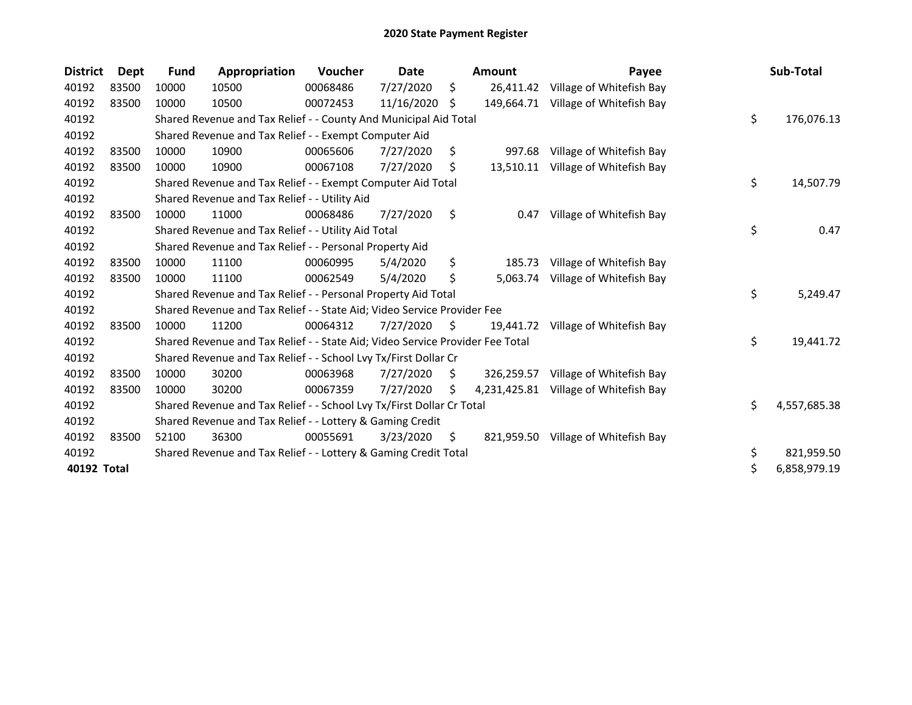| <b>District</b> | <b>Dept</b> | Fund  | Appropriation                                                                 | <b>Voucher</b> | Date       |     | <b>Amount</b> | Payee                               | Sub-Total          |
|-----------------|-------------|-------|-------------------------------------------------------------------------------|----------------|------------|-----|---------------|-------------------------------------|--------------------|
| 40192           | 83500       | 10000 | 10500                                                                         | 00068486       | 7/27/2020  | \$  | 26,411.42     | Village of Whitefish Bay            |                    |
| 40192           | 83500       | 10000 | 10500                                                                         | 00072453       | 11/16/2020 | S   |               | 149,664.71 Village of Whitefish Bay |                    |
| 40192           |             |       | Shared Revenue and Tax Relief - - County And Municipal Aid Total              |                |            |     |               |                                     | \$<br>176,076.13   |
| 40192           |             |       | Shared Revenue and Tax Relief - - Exempt Computer Aid                         |                |            |     |               |                                     |                    |
| 40192           | 83500       | 10000 | 10900                                                                         | 00065606       | 7/27/2020  | \$  | 997.68        | Village of Whitefish Bay            |                    |
| 40192           | 83500       | 10000 | 10900                                                                         | 00067108       | 7/27/2020  | \$. | 13,510.11     | Village of Whitefish Bay            |                    |
| 40192           |             |       | Shared Revenue and Tax Relief - - Exempt Computer Aid Total                   |                |            |     |               |                                     | \$<br>14,507.79    |
| 40192           |             |       | Shared Revenue and Tax Relief - - Utility Aid                                 |                |            |     |               |                                     |                    |
| 40192           | 83500       | 10000 | 11000                                                                         | 00068486       | 7/27/2020  | \$  | 0.47          | Village of Whitefish Bay            |                    |
| 40192           |             |       | Shared Revenue and Tax Relief - - Utility Aid Total                           |                |            |     |               |                                     | \$<br>0.47         |
| 40192           |             |       | Shared Revenue and Tax Relief - - Personal Property Aid                       |                |            |     |               |                                     |                    |
| 40192           | 83500       | 10000 | 11100                                                                         | 00060995       | 5/4/2020   | \$  | 185.73        | Village of Whitefish Bay            |                    |
| 40192           | 83500       | 10000 | 11100                                                                         | 00062549       | 5/4/2020   | \$  | 5,063.74      | Village of Whitefish Bay            |                    |
| 40192           |             |       | Shared Revenue and Tax Relief - - Personal Property Aid Total                 |                |            |     |               |                                     | \$<br>5,249.47     |
| 40192           |             |       | Shared Revenue and Tax Relief - - State Aid; Video Service Provider Fee       |                |            |     |               |                                     |                    |
| 40192           | 83500       | 10000 | 11200                                                                         | 00064312       | 7/27/2020  | S   | 19,441.72     | Village of Whitefish Bay            |                    |
| 40192           |             |       | Shared Revenue and Tax Relief - - State Aid; Video Service Provider Fee Total |                |            |     |               |                                     | \$<br>19,441.72    |
| 40192           |             |       | Shared Revenue and Tax Relief - - School Lvy Tx/First Dollar Cr               |                |            |     |               |                                     |                    |
| 40192           | 83500       | 10000 | 30200                                                                         | 00063968       | 7/27/2020  | S.  | 326,259.57    | Village of Whitefish Bay            |                    |
| 40192           | 83500       | 10000 | 30200                                                                         | 00067359       | 7/27/2020  | S.  | 4,231,425.81  | Village of Whitefish Bay            |                    |
| 40192           |             |       | Shared Revenue and Tax Relief - - School Lvy Tx/First Dollar Cr Total         |                |            |     |               |                                     | \$<br>4,557,685.38 |
| 40192           |             |       | Shared Revenue and Tax Relief - - Lottery & Gaming Credit                     |                |            |     |               |                                     |                    |
| 40192           | 83500       | 52100 | 36300                                                                         | 00055691       | 3/23/2020  | \$. |               | 821,959.50 Village of Whitefish Bay |                    |
| 40192           |             |       | Shared Revenue and Tax Relief - - Lottery & Gaming Credit Total               |                |            |     |               |                                     | \$<br>821,959.50   |
| 40192 Total     |             |       |                                                                               |                |            |     |               |                                     | \$<br>6,858,979.19 |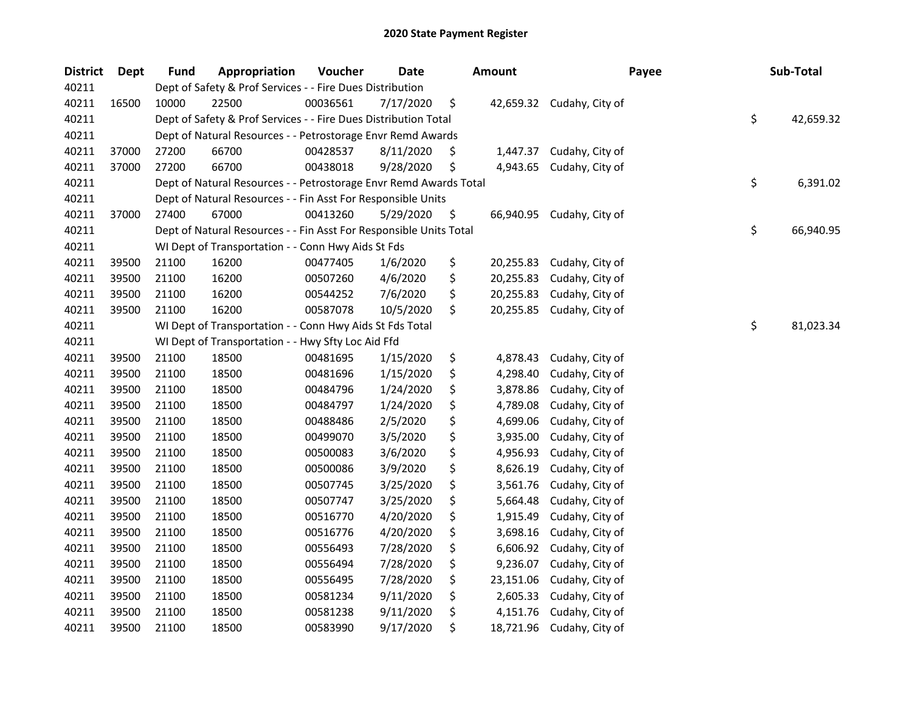| <b>District</b> | <b>Dept</b> | <b>Fund</b> | Appropriation                                                      | Voucher  | <b>Date</b> | <b>Amount</b>   | Payee                     | Sub-Total       |
|-----------------|-------------|-------------|--------------------------------------------------------------------|----------|-------------|-----------------|---------------------------|-----------------|
| 40211           |             |             | Dept of Safety & Prof Services - - Fire Dues Distribution          |          |             |                 |                           |                 |
| 40211           | 16500       | 10000       | 22500                                                              | 00036561 | 7/17/2020   | \$              | 42,659.32 Cudahy, City of |                 |
| 40211           |             |             | Dept of Safety & Prof Services - - Fire Dues Distribution Total    |          |             |                 |                           | \$<br>42,659.32 |
| 40211           |             |             | Dept of Natural Resources - - Petrostorage Envr Remd Awards        |          |             |                 |                           |                 |
| 40211           | 37000       | 27200       | 66700                                                              | 00428537 | 8/11/2020   | \$<br>1,447.37  | Cudahy, City of           |                 |
| 40211           | 37000       | 27200       | 66700                                                              | 00438018 | 9/28/2020   | \$<br>4,943.65  | Cudahy, City of           |                 |
| 40211           |             |             | Dept of Natural Resources - - Petrostorage Envr Remd Awards Total  |          |             |                 |                           | \$<br>6,391.02  |
| 40211           |             |             | Dept of Natural Resources - - Fin Asst For Responsible Units       |          |             |                 |                           |                 |
| 40211           | 37000       | 27400       | 67000                                                              | 00413260 | 5/29/2020   | \$              | 66,940.95 Cudahy, City of |                 |
| 40211           |             |             | Dept of Natural Resources - - Fin Asst For Responsible Units Total |          |             |                 |                           | \$<br>66,940.95 |
| 40211           |             |             | WI Dept of Transportation - - Conn Hwy Aids St Fds                 |          |             |                 |                           |                 |
| 40211           | 39500       | 21100       | 16200                                                              | 00477405 | 1/6/2020    | \$<br>20,255.83 | Cudahy, City of           |                 |
| 40211           | 39500       | 21100       | 16200                                                              | 00507260 | 4/6/2020    | \$<br>20,255.83 | Cudahy, City of           |                 |
| 40211           | 39500       | 21100       | 16200                                                              | 00544252 | 7/6/2020    | \$<br>20,255.83 | Cudahy, City of           |                 |
| 40211           | 39500       | 21100       | 16200                                                              | 00587078 | 10/5/2020   | \$<br>20,255.85 | Cudahy, City of           |                 |
| 40211           |             |             | WI Dept of Transportation - - Conn Hwy Aids St Fds Total           |          |             |                 |                           | \$<br>81,023.34 |
| 40211           |             |             | WI Dept of Transportation - - Hwy Sfty Loc Aid Ffd                 |          |             |                 |                           |                 |
| 40211           | 39500       | 21100       | 18500                                                              | 00481695 | 1/15/2020   | \$<br>4,878.43  | Cudahy, City of           |                 |
| 40211           | 39500       | 21100       | 18500                                                              | 00481696 | 1/15/2020   | \$<br>4,298.40  | Cudahy, City of           |                 |
| 40211           | 39500       | 21100       | 18500                                                              | 00484796 | 1/24/2020   | \$<br>3,878.86  | Cudahy, City of           |                 |
| 40211           | 39500       | 21100       | 18500                                                              | 00484797 | 1/24/2020   | \$<br>4,789.08  | Cudahy, City of           |                 |
| 40211           | 39500       | 21100       | 18500                                                              | 00488486 | 2/5/2020    | \$<br>4,699.06  | Cudahy, City of           |                 |
| 40211           | 39500       | 21100       | 18500                                                              | 00499070 | 3/5/2020    | \$<br>3,935.00  | Cudahy, City of           |                 |
| 40211           | 39500       | 21100       | 18500                                                              | 00500083 | 3/6/2020    | \$<br>4,956.93  | Cudahy, City of           |                 |
| 40211           | 39500       | 21100       | 18500                                                              | 00500086 | 3/9/2020    | \$<br>8,626.19  | Cudahy, City of           |                 |
| 40211           | 39500       | 21100       | 18500                                                              | 00507745 | 3/25/2020   | \$<br>3,561.76  | Cudahy, City of           |                 |
| 40211           | 39500       | 21100       | 18500                                                              | 00507747 | 3/25/2020   | \$<br>5,664.48  | Cudahy, City of           |                 |
| 40211           | 39500       | 21100       | 18500                                                              | 00516770 | 4/20/2020   | \$<br>1,915.49  | Cudahy, City of           |                 |
| 40211           | 39500       | 21100       | 18500                                                              | 00516776 | 4/20/2020   | \$<br>3,698.16  | Cudahy, City of           |                 |
| 40211           | 39500       | 21100       | 18500                                                              | 00556493 | 7/28/2020   | \$<br>6,606.92  | Cudahy, City of           |                 |
| 40211           | 39500       | 21100       | 18500                                                              | 00556494 | 7/28/2020   | \$<br>9,236.07  | Cudahy, City of           |                 |
| 40211           | 39500       | 21100       | 18500                                                              | 00556495 | 7/28/2020   | \$<br>23,151.06 | Cudahy, City of           |                 |
| 40211           | 39500       | 21100       | 18500                                                              | 00581234 | 9/11/2020   | \$<br>2,605.33  | Cudahy, City of           |                 |
| 40211           | 39500       | 21100       | 18500                                                              | 00581238 | 9/11/2020   | \$<br>4,151.76  | Cudahy, City of           |                 |
| 40211           | 39500       | 21100       | 18500                                                              | 00583990 | 9/17/2020   | \$              | 18,721.96 Cudahy, City of |                 |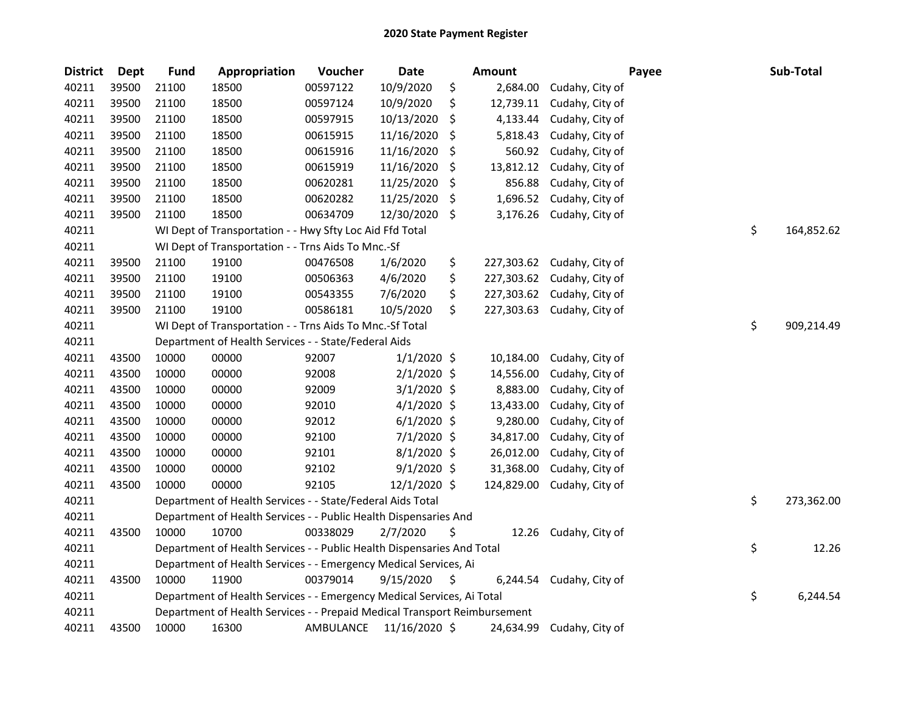| <b>District</b> | <b>Dept</b> | <b>Fund</b> | Appropriation                                                             | Voucher   | <b>Date</b>   | <b>Amount</b>    |                 | Payee | Sub-Total        |
|-----------------|-------------|-------------|---------------------------------------------------------------------------|-----------|---------------|------------------|-----------------|-------|------------------|
| 40211           | 39500       | 21100       | 18500                                                                     | 00597122  | 10/9/2020     | \$<br>2,684.00   | Cudahy, City of |       |                  |
| 40211           | 39500       | 21100       | 18500                                                                     | 00597124  | 10/9/2020     | \$<br>12,739.11  | Cudahy, City of |       |                  |
| 40211           | 39500       | 21100       | 18500                                                                     | 00597915  | 10/13/2020    | \$<br>4,133.44   | Cudahy, City of |       |                  |
| 40211           | 39500       | 21100       | 18500                                                                     | 00615915  | 11/16/2020    | \$<br>5,818.43   | Cudahy, City of |       |                  |
| 40211           | 39500       | 21100       | 18500                                                                     | 00615916  | 11/16/2020    | \$<br>560.92     | Cudahy, City of |       |                  |
| 40211           | 39500       | 21100       | 18500                                                                     | 00615919  | 11/16/2020    | \$<br>13,812.12  | Cudahy, City of |       |                  |
| 40211           | 39500       | 21100       | 18500                                                                     | 00620281  | 11/25/2020    | \$<br>856.88     | Cudahy, City of |       |                  |
| 40211           | 39500       | 21100       | 18500                                                                     | 00620282  | 11/25/2020    | \$<br>1,696.52   | Cudahy, City of |       |                  |
| 40211           | 39500       | 21100       | 18500                                                                     | 00634709  | 12/30/2020    | \$<br>3,176.26   | Cudahy, City of |       |                  |
| 40211           |             |             | WI Dept of Transportation - - Hwy Sfty Loc Aid Ffd Total                  |           |               |                  |                 |       | \$<br>164,852.62 |
| 40211           |             |             | WI Dept of Transportation - - Trns Aids To Mnc.-Sf                        |           |               |                  |                 |       |                  |
| 40211           | 39500       | 21100       | 19100                                                                     | 00476508  | 1/6/2020      | \$<br>227,303.62 | Cudahy, City of |       |                  |
| 40211           | 39500       | 21100       | 19100                                                                     | 00506363  | 4/6/2020      | \$<br>227,303.62 | Cudahy, City of |       |                  |
| 40211           | 39500       | 21100       | 19100                                                                     | 00543355  | 7/6/2020      | \$<br>227,303.62 | Cudahy, City of |       |                  |
| 40211           | 39500       | 21100       | 19100                                                                     | 00586181  | 10/5/2020     | \$<br>227,303.63 | Cudahy, City of |       |                  |
| 40211           |             |             | WI Dept of Transportation - - Trns Aids To Mnc.-Sf Total                  |           |               |                  |                 |       | \$<br>909,214.49 |
| 40211           |             |             | Department of Health Services - - State/Federal Aids                      |           |               |                  |                 |       |                  |
| 40211           | 43500       | 10000       | 00000                                                                     | 92007     | $1/1/2020$ \$ | 10,184.00        | Cudahy, City of |       |                  |
| 40211           | 43500       | 10000       | 00000                                                                     | 92008     | $2/1/2020$ \$ | 14,556.00        | Cudahy, City of |       |                  |
| 40211           | 43500       | 10000       | 00000                                                                     | 92009     | $3/1/2020$ \$ | 8,883.00         | Cudahy, City of |       |                  |
| 40211           | 43500       | 10000       | 00000                                                                     | 92010     | $4/1/2020$ \$ | 13,433.00        | Cudahy, City of |       |                  |
| 40211           | 43500       | 10000       | 00000                                                                     | 92012     | $6/1/2020$ \$ | 9,280.00         | Cudahy, City of |       |                  |
| 40211           | 43500       | 10000       | 00000                                                                     | 92100     | $7/1/2020$ \$ | 34,817.00        | Cudahy, City of |       |                  |
| 40211           | 43500       | 10000       | 00000                                                                     | 92101     | $8/1/2020$ \$ | 26,012.00        | Cudahy, City of |       |                  |
| 40211           | 43500       | 10000       | 00000                                                                     | 92102     | $9/1/2020$ \$ | 31,368.00        | Cudahy, City of |       |                  |
| 40211           | 43500       | 10000       | 00000                                                                     | 92105     | 12/1/2020 \$  | 124,829.00       | Cudahy, City of |       |                  |
| 40211           |             |             | Department of Health Services - - State/Federal Aids Total                |           |               |                  |                 |       | \$<br>273,362.00 |
| 40211           |             |             | Department of Health Services - - Public Health Dispensaries And          |           |               |                  |                 |       |                  |
| 40211           | 43500       | 10000       | 10700                                                                     | 00338029  | 2/7/2020      | \$<br>12.26      | Cudahy, City of |       |                  |
| 40211           |             |             | Department of Health Services - - Public Health Dispensaries And Total    |           |               |                  |                 |       | \$<br>12.26      |
| 40211           |             |             | Department of Health Services - - Emergency Medical Services, Ai          |           |               |                  |                 |       |                  |
| 40211           | 43500       | 10000       | 11900                                                                     | 00379014  | 9/15/2020     | \$<br>6,244.54   | Cudahy, City of |       |                  |
| 40211           |             |             | Department of Health Services - - Emergency Medical Services, Ai Total    |           |               |                  |                 |       | \$<br>6,244.54   |
| 40211           |             |             | Department of Health Services - - Prepaid Medical Transport Reimbursement |           |               |                  |                 |       |                  |
| 40211           | 43500       | 10000       | 16300                                                                     | AMBULANCE | 11/16/2020 \$ | 24,634.99        | Cudahy, City of |       |                  |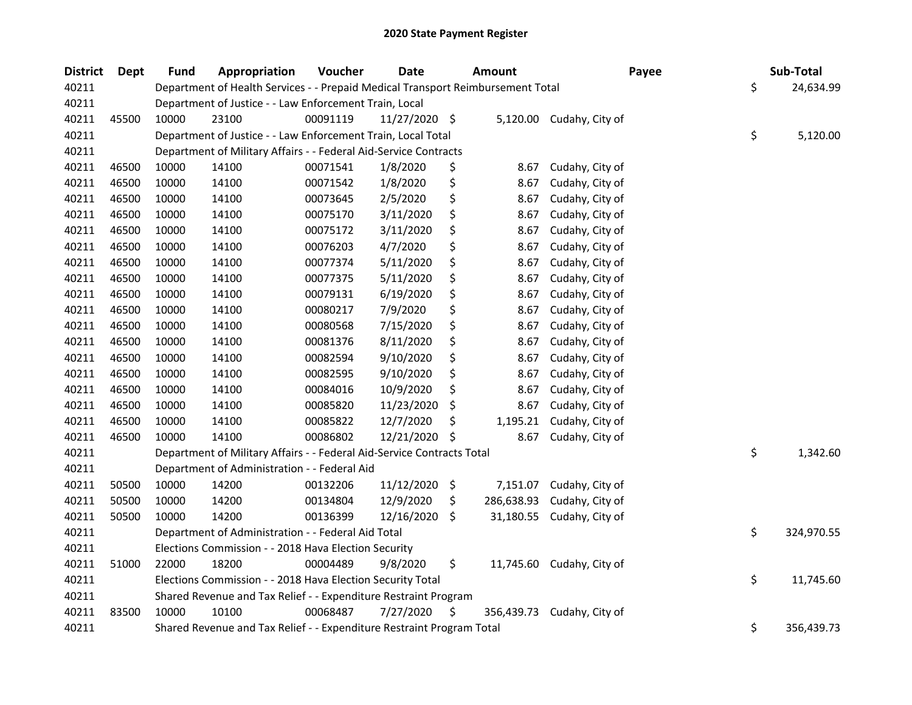| <b>District</b> | Dept  | <b>Fund</b> | Appropriation                                                                   | Voucher  | <b>Date</b>   | <b>Amount</b>    | Payee                     | Sub-Total        |
|-----------------|-------|-------------|---------------------------------------------------------------------------------|----------|---------------|------------------|---------------------------|------------------|
| 40211           |       |             | Department of Health Services - - Prepaid Medical Transport Reimbursement Total |          |               |                  |                           | \$<br>24,634.99  |
| 40211           |       |             | Department of Justice - - Law Enforcement Train, Local                          |          |               |                  |                           |                  |
| 40211           | 45500 | 10000       | 23100                                                                           | 00091119 | 11/27/2020 \$ |                  | 5,120.00 Cudahy, City of  |                  |
| 40211           |       |             | Department of Justice - - Law Enforcement Train, Local Total                    |          |               |                  |                           | \$<br>5,120.00   |
| 40211           |       |             | Department of Military Affairs - - Federal Aid-Service Contracts                |          |               |                  |                           |                  |
| 40211           | 46500 | 10000       | 14100                                                                           | 00071541 | 1/8/2020      | \$<br>8.67       | Cudahy, City of           |                  |
| 40211           | 46500 | 10000       | 14100                                                                           | 00071542 | 1/8/2020      | \$<br>8.67       | Cudahy, City of           |                  |
| 40211           | 46500 | 10000       | 14100                                                                           | 00073645 | 2/5/2020      | \$<br>8.67       | Cudahy, City of           |                  |
| 40211           | 46500 | 10000       | 14100                                                                           | 00075170 | 3/11/2020     | \$<br>8.67       | Cudahy, City of           |                  |
| 40211           | 46500 | 10000       | 14100                                                                           | 00075172 | 3/11/2020     | \$<br>8.67       | Cudahy, City of           |                  |
| 40211           | 46500 | 10000       | 14100                                                                           | 00076203 | 4/7/2020      | \$<br>8.67       | Cudahy, City of           |                  |
| 40211           | 46500 | 10000       | 14100                                                                           | 00077374 | 5/11/2020     | \$<br>8.67       | Cudahy, City of           |                  |
| 40211           | 46500 | 10000       | 14100                                                                           | 00077375 | 5/11/2020     | \$<br>8.67       | Cudahy, City of           |                  |
| 40211           | 46500 | 10000       | 14100                                                                           | 00079131 | 6/19/2020     | \$<br>8.67       | Cudahy, City of           |                  |
| 40211           | 46500 | 10000       | 14100                                                                           | 00080217 | 7/9/2020      | \$<br>8.67       | Cudahy, City of           |                  |
| 40211           | 46500 | 10000       | 14100                                                                           | 00080568 | 7/15/2020     | \$<br>8.67       | Cudahy, City of           |                  |
| 40211           | 46500 | 10000       | 14100                                                                           | 00081376 | 8/11/2020     | \$<br>8.67       | Cudahy, City of           |                  |
| 40211           | 46500 | 10000       | 14100                                                                           | 00082594 | 9/10/2020     | \$<br>8.67       | Cudahy, City of           |                  |
| 40211           | 46500 | 10000       | 14100                                                                           | 00082595 | 9/10/2020     | \$<br>8.67       | Cudahy, City of           |                  |
| 40211           | 46500 | 10000       | 14100                                                                           | 00084016 | 10/9/2020     | \$<br>8.67       | Cudahy, City of           |                  |
| 40211           | 46500 | 10000       | 14100                                                                           | 00085820 | 11/23/2020    | \$<br>8.67       | Cudahy, City of           |                  |
| 40211           | 46500 | 10000       | 14100                                                                           | 00085822 | 12/7/2020     | \$<br>1,195.21   | Cudahy, City of           |                  |
| 40211           | 46500 | 10000       | 14100                                                                           | 00086802 | 12/21/2020    | \$<br>8.67       | Cudahy, City of           |                  |
| 40211           |       |             | Department of Military Affairs - - Federal Aid-Service Contracts Total          |          |               |                  |                           | \$<br>1,342.60   |
| 40211           |       |             | Department of Administration - - Federal Aid                                    |          |               |                  |                           |                  |
| 40211           | 50500 | 10000       | 14200                                                                           | 00132206 | 11/12/2020    | \$<br>7,151.07   | Cudahy, City of           |                  |
| 40211           | 50500 | 10000       | 14200                                                                           | 00134804 | 12/9/2020     | \$<br>286,638.93 | Cudahy, City of           |                  |
| 40211           | 50500 | 10000       | 14200                                                                           | 00136399 | 12/16/2020    | \$<br>31,180.55  | Cudahy, City of           |                  |
| 40211           |       |             | Department of Administration - - Federal Aid Total                              |          |               |                  |                           | \$<br>324,970.55 |
| 40211           |       |             | Elections Commission - - 2018 Hava Election Security                            |          |               |                  |                           |                  |
| 40211           | 51000 | 22000       | 18200                                                                           | 00004489 | 9/8/2020      | \$               | 11,745.60 Cudahy, City of |                  |
| 40211           |       |             | Elections Commission - - 2018 Hava Election Security Total                      |          |               |                  |                           | \$<br>11,745.60  |
| 40211           |       |             | Shared Revenue and Tax Relief - - Expenditure Restraint Program                 |          |               |                  |                           |                  |
| 40211           | 83500 | 10000       | 10100                                                                           | 00068487 | 7/27/2020     | \$<br>356,439.73 | Cudahy, City of           |                  |
| 40211           |       |             | Shared Revenue and Tax Relief - - Expenditure Restraint Program Total           |          |               |                  |                           | \$<br>356,439.73 |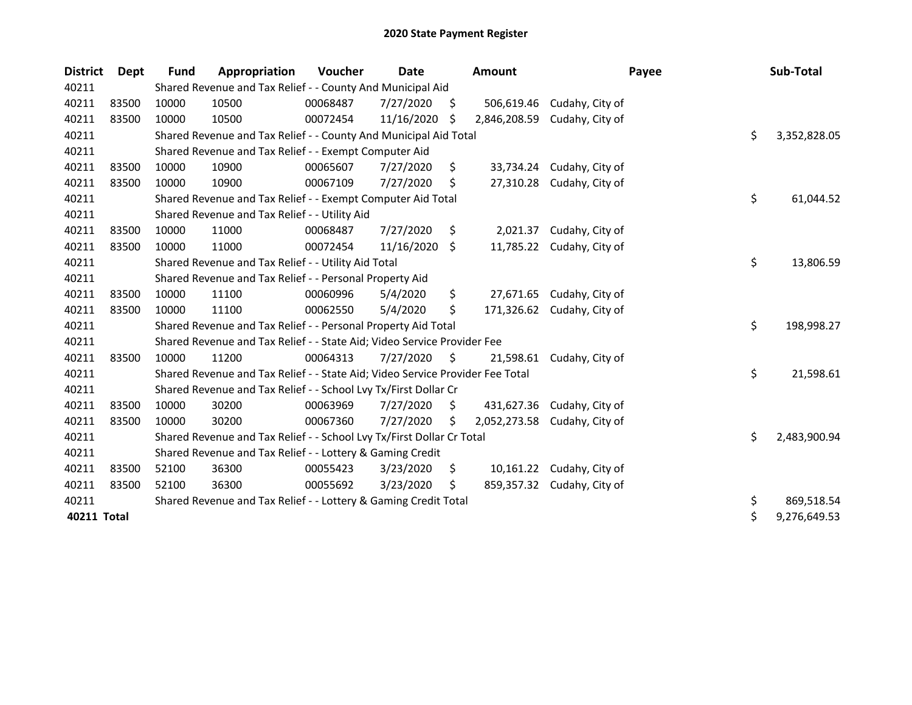| <b>District</b> | <b>Dept</b> | <b>Fund</b> | Appropriation                                                                 | Voucher  | Date       |     | <b>Amount</b> | Payee                     | Sub-Total          |
|-----------------|-------------|-------------|-------------------------------------------------------------------------------|----------|------------|-----|---------------|---------------------------|--------------------|
| 40211           |             |             | Shared Revenue and Tax Relief - - County And Municipal Aid                    |          |            |     |               |                           |                    |
| 40211           | 83500       | 10000       | 10500                                                                         | 00068487 | 7/27/2020  | \$. | 506,619.46    | Cudahy, City of           |                    |
| 40211           | 83500       | 10000       | 10500                                                                         | 00072454 | 11/16/2020 | .S  | 2,846,208.59  | Cudahy, City of           |                    |
| 40211           |             |             | Shared Revenue and Tax Relief - - County And Municipal Aid Total              |          |            |     |               |                           | \$<br>3,352,828.05 |
| 40211           |             |             | Shared Revenue and Tax Relief - - Exempt Computer Aid                         |          |            |     |               |                           |                    |
| 40211           | 83500       | 10000       | 10900                                                                         | 00065607 | 7/27/2020  | \$  |               | 33,734.24 Cudahy, City of |                    |
| 40211           | 83500       | 10000       | 10900                                                                         | 00067109 | 7/27/2020  | S   |               | 27,310.28 Cudahy, City of |                    |
| 40211           |             |             | Shared Revenue and Tax Relief - - Exempt Computer Aid Total                   |          |            |     |               |                           | \$<br>61,044.52    |
| 40211           |             |             | Shared Revenue and Tax Relief - - Utility Aid                                 |          |            |     |               |                           |                    |
| 40211           | 83500       | 10000       | 11000                                                                         | 00068487 | 7/27/2020  | \$. | 2,021.37      | Cudahy, City of           |                    |
| 40211           | 83500       | 10000       | 11000                                                                         | 00072454 | 11/16/2020 | \$  | 11,785.22     | Cudahy, City of           |                    |
| 40211           |             |             | Shared Revenue and Tax Relief - - Utility Aid Total                           |          |            |     |               |                           | \$<br>13,806.59    |
| 40211           |             |             | Shared Revenue and Tax Relief - - Personal Property Aid                       |          |            |     |               |                           |                    |
| 40211           | 83500       | 10000       | 11100                                                                         | 00060996 | 5/4/2020   | \$  |               | 27,671.65 Cudahy, City of |                    |
| 40211           | 83500       | 10000       | 11100                                                                         | 00062550 | 5/4/2020   | \$  | 171,326.62    | Cudahy, City of           |                    |
| 40211           |             |             | Shared Revenue and Tax Relief - - Personal Property Aid Total                 |          |            |     |               |                           | \$<br>198,998.27   |
| 40211           |             |             | Shared Revenue and Tax Relief - - State Aid; Video Service Provider Fee       |          |            |     |               |                           |                    |
| 40211           | 83500       | 10000       | 11200                                                                         | 00064313 | 7/27/2020  | S.  | 21.598.61     | Cudahy, City of           |                    |
| 40211           |             |             | Shared Revenue and Tax Relief - - State Aid; Video Service Provider Fee Total |          |            |     |               |                           | \$<br>21,598.61    |
| 40211           |             |             | Shared Revenue and Tax Relief - - School Lvy Tx/First Dollar Cr               |          |            |     |               |                           |                    |
| 40211           | 83500       | 10000       | 30200                                                                         | 00063969 | 7/27/2020  | \$  | 431,627.36    | Cudahy, City of           |                    |
| 40211           | 83500       | 10000       | 30200                                                                         | 00067360 | 7/27/2020  | \$  | 2,052,273.58  | Cudahy, City of           |                    |
| 40211           |             |             | Shared Revenue and Tax Relief - - School Lvy Tx/First Dollar Cr Total         |          |            |     |               |                           | \$<br>2,483,900.94 |
| 40211           |             |             | Shared Revenue and Tax Relief - - Lottery & Gaming Credit                     |          |            |     |               |                           |                    |
| 40211           | 83500       | 52100       | 36300                                                                         | 00055423 | 3/23/2020  | \$  |               | 10,161.22 Cudahy, City of |                    |
| 40211           | 83500       | 52100       | 36300                                                                         | 00055692 | 3/23/2020  | S.  | 859,357.32    | Cudahy, City of           |                    |
| 40211           |             |             | Shared Revenue and Tax Relief - - Lottery & Gaming Credit Total               |          |            |     |               |                           | \$<br>869,518.54   |
| 40211 Total     |             |             |                                                                               |          |            |     |               |                           | \$<br>9,276,649.53 |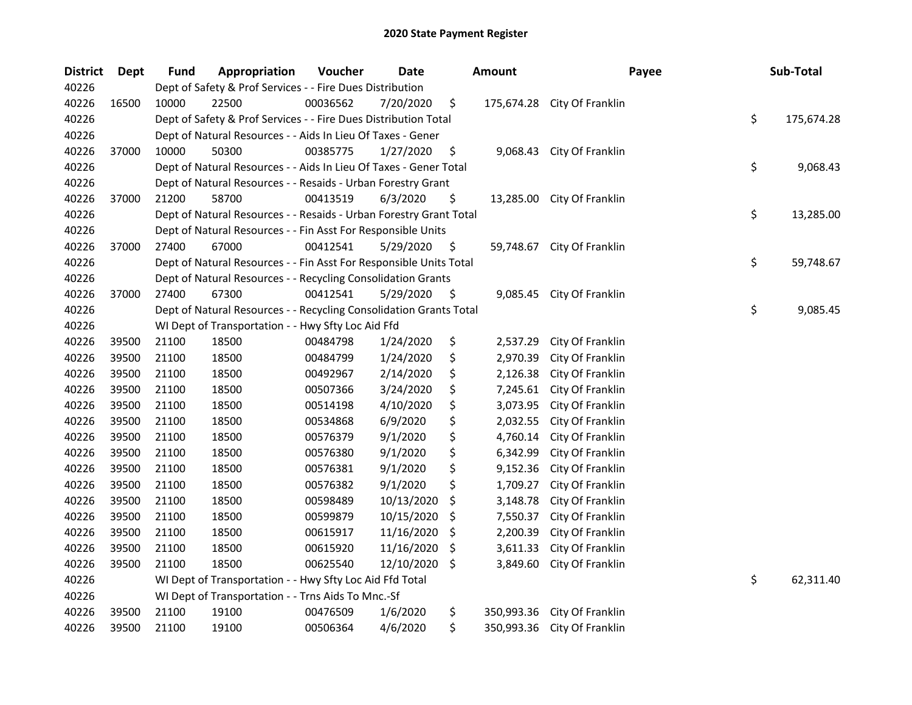| <b>District</b> | Dept  | <b>Fund</b> | Appropriation                                                      | Voucher  | Date       |     | <b>Amount</b> | Payee            | Sub-Total        |
|-----------------|-------|-------------|--------------------------------------------------------------------|----------|------------|-----|---------------|------------------|------------------|
| 40226           |       |             | Dept of Safety & Prof Services - - Fire Dues Distribution          |          |            |     |               |                  |                  |
| 40226           | 16500 | 10000       | 22500                                                              | 00036562 | 7/20/2020  | \$  | 175,674.28    | City Of Franklin |                  |
| 40226           |       |             | Dept of Safety & Prof Services - - Fire Dues Distribution Total    |          |            |     |               |                  | \$<br>175,674.28 |
| 40226           |       |             | Dept of Natural Resources - - Aids In Lieu Of Taxes - Gener        |          |            |     |               |                  |                  |
| 40226           | 37000 | 10000       | 50300                                                              | 00385775 | 1/27/2020  | \$  | 9,068.43      | City Of Franklin |                  |
| 40226           |       |             | Dept of Natural Resources - - Aids In Lieu Of Taxes - Gener Total  |          |            |     |               |                  | \$<br>9,068.43   |
| 40226           |       |             | Dept of Natural Resources - - Resaids - Urban Forestry Grant       |          |            |     |               |                  |                  |
| 40226           | 37000 | 21200       | 58700                                                              | 00413519 | 6/3/2020   | \$  | 13,285.00     | City Of Franklin |                  |
| 40226           |       |             | Dept of Natural Resources - - Resaids - Urban Forestry Grant Total |          |            |     |               |                  | \$<br>13,285.00  |
| 40226           |       |             | Dept of Natural Resources - - Fin Asst For Responsible Units       |          |            |     |               |                  |                  |
| 40226           | 37000 | 27400       | 67000                                                              | 00412541 | 5/29/2020  | \$, | 59,748.67     | City Of Franklin |                  |
| 40226           |       |             | Dept of Natural Resources - - Fin Asst For Responsible Units Total |          |            |     |               |                  | \$<br>59,748.67  |
| 40226           |       |             | Dept of Natural Resources - - Recycling Consolidation Grants       |          |            |     |               |                  |                  |
| 40226           | 37000 | 27400       | 67300                                                              | 00412541 | 5/29/2020  | \$. | 9,085.45      | City Of Franklin |                  |
| 40226           |       |             | Dept of Natural Resources - - Recycling Consolidation Grants Total |          |            |     |               |                  | \$<br>9,085.45   |
| 40226           |       |             | WI Dept of Transportation - - Hwy Sfty Loc Aid Ffd                 |          |            |     |               |                  |                  |
| 40226           | 39500 | 21100       | 18500                                                              | 00484798 | 1/24/2020  | \$  | 2,537.29      | City Of Franklin |                  |
| 40226           | 39500 | 21100       | 18500                                                              | 00484799 | 1/24/2020  | \$  | 2,970.39      | City Of Franklin |                  |
| 40226           | 39500 | 21100       | 18500                                                              | 00492967 | 2/14/2020  | \$  | 2,126.38      | City Of Franklin |                  |
| 40226           | 39500 | 21100       | 18500                                                              | 00507366 | 3/24/2020  | \$  | 7,245.61      | City Of Franklin |                  |
| 40226           | 39500 | 21100       | 18500                                                              | 00514198 | 4/10/2020  | \$  | 3,073.95      | City Of Franklin |                  |
| 40226           | 39500 | 21100       | 18500                                                              | 00534868 | 6/9/2020   | \$  | 2,032.55      | City Of Franklin |                  |
| 40226           | 39500 | 21100       | 18500                                                              | 00576379 | 9/1/2020   | \$  | 4,760.14      | City Of Franklin |                  |
| 40226           | 39500 | 21100       | 18500                                                              | 00576380 | 9/1/2020   | \$  | 6,342.99      | City Of Franklin |                  |
| 40226           | 39500 | 21100       | 18500                                                              | 00576381 | 9/1/2020   | \$  | 9,152.36      | City Of Franklin |                  |
| 40226           | 39500 | 21100       | 18500                                                              | 00576382 | 9/1/2020   | \$  | 1,709.27      | City Of Franklin |                  |
| 40226           | 39500 | 21100       | 18500                                                              | 00598489 | 10/13/2020 | \$  | 3,148.78      | City Of Franklin |                  |
| 40226           | 39500 | 21100       | 18500                                                              | 00599879 | 10/15/2020 | \$  | 7,550.37      | City Of Franklin |                  |
| 40226           | 39500 | 21100       | 18500                                                              | 00615917 | 11/16/2020 | \$  | 2,200.39      | City Of Franklin |                  |
| 40226           | 39500 | 21100       | 18500                                                              | 00615920 | 11/16/2020 | \$. | 3,611.33      | City Of Franklin |                  |
| 40226           | 39500 | 21100       | 18500                                                              | 00625540 | 12/10/2020 | \$  | 3,849.60      | City Of Franklin |                  |
| 40226           |       |             | WI Dept of Transportation - - Hwy Sfty Loc Aid Ffd Total           |          |            |     |               |                  | \$<br>62,311.40  |
| 40226           |       |             | WI Dept of Transportation - - Trns Aids To Mnc.-Sf                 |          |            |     |               |                  |                  |
| 40226           | 39500 | 21100       | 19100                                                              | 00476509 | 1/6/2020   | \$  | 350,993.36    | City Of Franklin |                  |
| 40226           | 39500 | 21100       | 19100                                                              | 00506364 | 4/6/2020   | \$  | 350,993.36    | City Of Franklin |                  |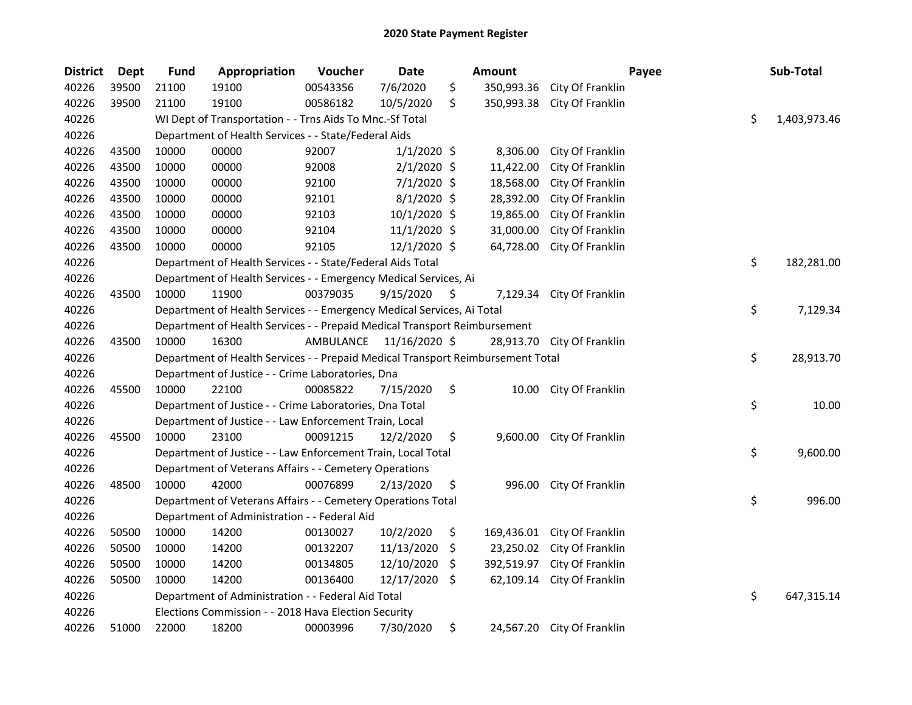| <b>District</b> | <b>Dept</b> | <b>Fund</b> | Appropriation                                                                   | Voucher  | Date                    |     | <b>Amount</b> |                            | Payee | Sub-Total          |
|-----------------|-------------|-------------|---------------------------------------------------------------------------------|----------|-------------------------|-----|---------------|----------------------------|-------|--------------------|
| 40226           | 39500       | 21100       | 19100                                                                           | 00543356 | 7/6/2020                | \$  | 350,993.36    | City Of Franklin           |       |                    |
| 40226           | 39500       | 21100       | 19100                                                                           | 00586182 | 10/5/2020               | \$  | 350,993.38    | City Of Franklin           |       |                    |
| 40226           |             |             | WI Dept of Transportation - - Trns Aids To Mnc.-Sf Total                        |          |                         |     |               |                            |       | \$<br>1,403,973.46 |
| 40226           |             |             | Department of Health Services - - State/Federal Aids                            |          |                         |     |               |                            |       |                    |
| 40226           | 43500       | 10000       | 00000                                                                           | 92007    | $1/1/2020$ \$           |     | 8,306.00      | City Of Franklin           |       |                    |
| 40226           | 43500       | 10000       | 00000                                                                           | 92008    | $2/1/2020$ \$           |     | 11,422.00     | City Of Franklin           |       |                    |
| 40226           | 43500       | 10000       | 00000                                                                           | 92100    | $7/1/2020$ \$           |     | 18,568.00     | City Of Franklin           |       |                    |
| 40226           | 43500       | 10000       | 00000                                                                           | 92101    | $8/1/2020$ \$           |     | 28,392.00     | City Of Franklin           |       |                    |
| 40226           | 43500       | 10000       | 00000                                                                           | 92103    | 10/1/2020 \$            |     | 19,865.00     | City Of Franklin           |       |                    |
| 40226           | 43500       | 10000       | 00000                                                                           | 92104    | 11/1/2020 \$            |     | 31,000.00     | City Of Franklin           |       |                    |
| 40226           | 43500       | 10000       | 00000                                                                           | 92105    | $12/1/2020$ \$          |     | 64,728.00     | City Of Franklin           |       |                    |
| 40226           |             |             | Department of Health Services - - State/Federal Aids Total                      |          |                         |     |               |                            |       | \$<br>182,281.00   |
| 40226           |             |             | Department of Health Services - - Emergency Medical Services, Ai                |          |                         |     |               |                            |       |                    |
| 40226           | 43500       | 10000       | 11900                                                                           | 00379035 | 9/15/2020               | \$  | 7,129.34      | City Of Franklin           |       |                    |
| 40226           |             |             | Department of Health Services - - Emergency Medical Services, Ai Total          |          |                         |     |               |                            |       | \$<br>7,129.34     |
| 40226           |             |             | Department of Health Services - - Prepaid Medical Transport Reimbursement       |          |                         |     |               |                            |       |                    |
| 40226           | 43500       | 10000       | 16300                                                                           |          | AMBULANCE 11/16/2020 \$ |     |               | 28,913.70 City Of Franklin |       |                    |
| 40226           |             |             | Department of Health Services - - Prepaid Medical Transport Reimbursement Total |          |                         |     |               |                            |       | \$<br>28,913.70    |
| 40226           |             |             | Department of Justice - - Crime Laboratories, Dna                               |          |                         |     |               |                            |       |                    |
| 40226           | 45500       | 10000       | 22100                                                                           | 00085822 | 7/15/2020               | \$  | 10.00         | City Of Franklin           |       |                    |
| 40226           |             |             | Department of Justice - - Crime Laboratories, Dna Total                         |          |                         |     |               |                            |       | \$<br>10.00        |
| 40226           |             |             | Department of Justice - - Law Enforcement Train, Local                          |          |                         |     |               |                            |       |                    |
| 40226           | 45500       | 10000       | 23100                                                                           | 00091215 | 12/2/2020               | \$  | 9,600.00      | City Of Franklin           |       |                    |
| 40226           |             |             | Department of Justice - - Law Enforcement Train, Local Total                    |          |                         |     |               |                            |       | \$<br>9,600.00     |
| 40226           |             |             | Department of Veterans Affairs - - Cemetery Operations                          |          |                         |     |               |                            |       |                    |
| 40226           | 48500       | 10000       | 42000                                                                           | 00076899 | 2/13/2020               | \$  | 996.00        | City Of Franklin           |       |                    |
| 40226           |             |             | Department of Veterans Affairs - - Cemetery Operations Total                    |          |                         |     |               |                            |       | \$<br>996.00       |
| 40226           |             |             | Department of Administration - - Federal Aid                                    |          |                         |     |               |                            |       |                    |
| 40226           | 50500       | 10000       | 14200                                                                           | 00130027 | 10/2/2020               | \$  | 169,436.01    | City Of Franklin           |       |                    |
| 40226           | 50500       | 10000       | 14200                                                                           | 00132207 | 11/13/2020              | \$  | 23,250.02     | City Of Franklin           |       |                    |
| 40226           | 50500       | 10000       | 14200                                                                           | 00134805 | 12/10/2020              | \$  | 392,519.97    | City Of Franklin           |       |                    |
| 40226           | 50500       | 10000       | 14200                                                                           | 00136400 | 12/17/2020              | \$. | 62,109.14     | City Of Franklin           |       |                    |
| 40226           |             |             | Department of Administration - - Federal Aid Total                              |          |                         |     |               |                            |       | \$<br>647,315.14   |
| 40226           |             |             | Elections Commission - - 2018 Hava Election Security                            |          |                         |     |               |                            |       |                    |
| 40226           | 51000       | 22000       | 18200                                                                           | 00003996 | 7/30/2020               | \$  | 24,567.20     | City Of Franklin           |       |                    |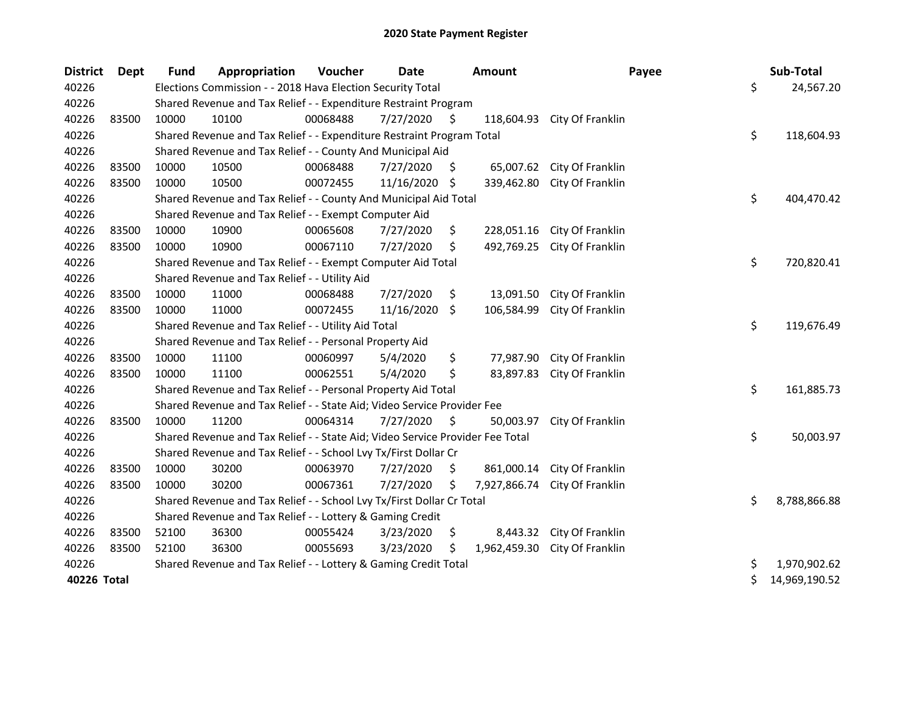| <b>District</b> | Dept  | <b>Fund</b> | Appropriation                                                                 | Voucher  | <b>Date</b> |                     | <b>Amount</b> | Payee            | Sub-Total           |
|-----------------|-------|-------------|-------------------------------------------------------------------------------|----------|-------------|---------------------|---------------|------------------|---------------------|
| 40226           |       |             | Elections Commission - - 2018 Hava Election Security Total                    |          |             |                     |               |                  | \$<br>24,567.20     |
| 40226           |       |             | Shared Revenue and Tax Relief - - Expenditure Restraint Program               |          |             |                     |               |                  |                     |
| 40226           | 83500 | 10000       | 10100                                                                         | 00068488 | 7/27/2020   | \$                  | 118,604.93    | City Of Franklin |                     |
| 40226           |       |             | Shared Revenue and Tax Relief - - Expenditure Restraint Program Total         |          |             |                     |               |                  | \$<br>118,604.93    |
| 40226           |       |             | Shared Revenue and Tax Relief - - County And Municipal Aid                    |          |             |                     |               |                  |                     |
| 40226           | 83500 | 10000       | 10500                                                                         | 00068488 | 7/27/2020   | \$.                 | 65,007.62     | City Of Franklin |                     |
| 40226           | 83500 | 10000       | 10500                                                                         | 00072455 | 11/16/2020  | \$                  | 339,462.80    | City Of Franklin |                     |
| 40226           |       |             | Shared Revenue and Tax Relief - - County And Municipal Aid Total              |          |             |                     |               |                  | \$<br>404,470.42    |
| 40226           |       |             | Shared Revenue and Tax Relief - - Exempt Computer Aid                         |          |             |                     |               |                  |                     |
| 40226           | 83500 | 10000       | 10900                                                                         | 00065608 | 7/27/2020   | \$                  | 228,051.16    | City Of Franklin |                     |
| 40226           | 83500 | 10000       | 10900                                                                         | 00067110 | 7/27/2020   | \$                  | 492,769.25    | City Of Franklin |                     |
| 40226           |       |             | Shared Revenue and Tax Relief - - Exempt Computer Aid Total                   |          |             |                     |               |                  | \$<br>720,820.41    |
| 40226           |       |             | Shared Revenue and Tax Relief - - Utility Aid                                 |          |             |                     |               |                  |                     |
| 40226           | 83500 | 10000       | 11000                                                                         | 00068488 | 7/27/2020   | \$                  | 13,091.50     | City Of Franklin |                     |
| 40226           | 83500 | 10000       | 11000                                                                         | 00072455 | 11/16/2020  | $\ddot{\mathsf{S}}$ | 106,584.99    | City Of Franklin |                     |
| 40226           |       |             | Shared Revenue and Tax Relief - - Utility Aid Total                           |          |             |                     |               |                  | \$<br>119,676.49    |
| 40226           |       |             | Shared Revenue and Tax Relief - - Personal Property Aid                       |          |             |                     |               |                  |                     |
| 40226           | 83500 | 10000       | 11100                                                                         | 00060997 | 5/4/2020    | \$                  | 77,987.90     | City Of Franklin |                     |
| 40226           | 83500 | 10000       | 11100                                                                         | 00062551 | 5/4/2020    | \$                  | 83,897.83     | City Of Franklin |                     |
| 40226           |       |             | Shared Revenue and Tax Relief - - Personal Property Aid Total                 |          |             |                     |               |                  | \$<br>161,885.73    |
| 40226           |       |             | Shared Revenue and Tax Relief - - State Aid; Video Service Provider Fee       |          |             |                     |               |                  |                     |
| 40226           | 83500 | 10000       | 11200                                                                         | 00064314 | 7/27/2020   | \$                  | 50,003.97     | City Of Franklin |                     |
| 40226           |       |             | Shared Revenue and Tax Relief - - State Aid; Video Service Provider Fee Total |          |             |                     |               |                  | \$<br>50,003.97     |
| 40226           |       |             | Shared Revenue and Tax Relief - - School Lvy Tx/First Dollar Cr               |          |             |                     |               |                  |                     |
| 40226           | 83500 | 10000       | 30200                                                                         | 00063970 | 7/27/2020   | \$                  | 861,000.14    | City Of Franklin |                     |
| 40226           | 83500 | 10000       | 30200                                                                         | 00067361 | 7/27/2020   | \$                  | 7,927,866.74  | City Of Franklin |                     |
| 40226           |       |             | Shared Revenue and Tax Relief - - School Lvy Tx/First Dollar Cr Total         |          |             |                     |               |                  | \$<br>8,788,866.88  |
| 40226           |       |             | Shared Revenue and Tax Relief - - Lottery & Gaming Credit                     |          |             |                     |               |                  |                     |
| 40226           | 83500 | 52100       | 36300                                                                         | 00055424 | 3/23/2020   | \$                  | 8,443.32      | City Of Franklin |                     |
| 40226           | 83500 | 52100       | 36300                                                                         | 00055693 | 3/23/2020   | Ś                   | 1,962,459.30  | City Of Franklin |                     |
| 40226           |       |             | Shared Revenue and Tax Relief - - Lottery & Gaming Credit Total               |          |             |                     |               |                  | \$<br>1,970,902.62  |
| 40226 Total     |       |             |                                                                               |          |             |                     |               |                  | \$<br>14,969,190.52 |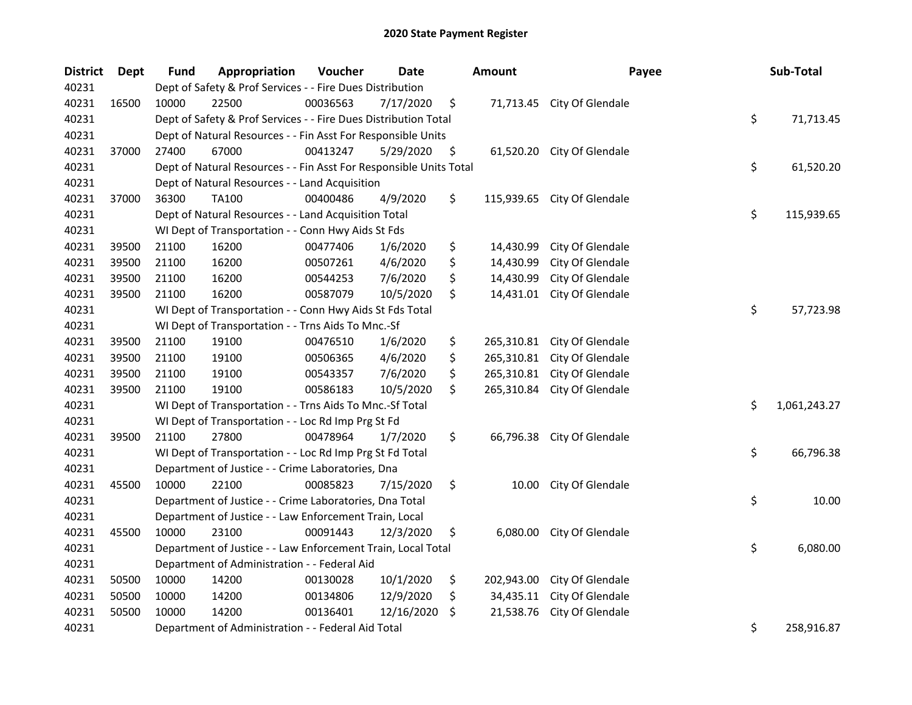| <b>District</b> | Dept  | <b>Fund</b> | Appropriation                                                      | Voucher  | Date       |     | <b>Amount</b> | Payee                       | Sub-Total          |
|-----------------|-------|-------------|--------------------------------------------------------------------|----------|------------|-----|---------------|-----------------------------|--------------------|
| 40231           |       |             | Dept of Safety & Prof Services - - Fire Dues Distribution          |          |            |     |               |                             |                    |
| 40231           | 16500 | 10000       | 22500                                                              | 00036563 | 7/17/2020  | \$  |               | 71,713.45 City Of Glendale  |                    |
| 40231           |       |             | Dept of Safety & Prof Services - - Fire Dues Distribution Total    |          |            |     |               |                             | \$<br>71,713.45    |
| 40231           |       |             | Dept of Natural Resources - - Fin Asst For Responsible Units       |          |            |     |               |                             |                    |
| 40231           | 37000 | 27400       | 67000                                                              | 00413247 | 5/29/2020  | \$  | 61,520.20     | City Of Glendale            |                    |
| 40231           |       |             | Dept of Natural Resources - - Fin Asst For Responsible Units Total |          |            |     |               |                             | \$<br>61,520.20    |
| 40231           |       |             | Dept of Natural Resources - - Land Acquisition                     |          |            |     |               |                             |                    |
| 40231           | 37000 | 36300       | TA100                                                              | 00400486 | 4/9/2020   | \$  |               | 115,939.65 City Of Glendale |                    |
| 40231           |       |             | Dept of Natural Resources - - Land Acquisition Total               |          |            |     |               |                             | \$<br>115,939.65   |
| 40231           |       |             | WI Dept of Transportation - - Conn Hwy Aids St Fds                 |          |            |     |               |                             |                    |
| 40231           | 39500 | 21100       | 16200                                                              | 00477406 | 1/6/2020   | \$  | 14,430.99     | City Of Glendale            |                    |
| 40231           | 39500 | 21100       | 16200                                                              | 00507261 | 4/6/2020   | \$  | 14,430.99     | City Of Glendale            |                    |
| 40231           | 39500 | 21100       | 16200                                                              | 00544253 | 7/6/2020   | \$  | 14,430.99     | City Of Glendale            |                    |
| 40231           | 39500 | 21100       | 16200                                                              | 00587079 | 10/5/2020  | \$  | 14,431.01     | City Of Glendale            |                    |
| 40231           |       |             | WI Dept of Transportation - - Conn Hwy Aids St Fds Total           |          |            |     |               |                             | \$<br>57,723.98    |
| 40231           |       |             | WI Dept of Transportation - - Trns Aids To Mnc.-Sf                 |          |            |     |               |                             |                    |
| 40231           | 39500 | 21100       | 19100                                                              | 00476510 | 1/6/2020   | \$  | 265,310.81    | City Of Glendale            |                    |
| 40231           | 39500 | 21100       | 19100                                                              | 00506365 | 4/6/2020   | \$  | 265,310.81    | City Of Glendale            |                    |
| 40231           | 39500 | 21100       | 19100                                                              | 00543357 | 7/6/2020   | \$  | 265,310.81    | City Of Glendale            |                    |
| 40231           | 39500 | 21100       | 19100                                                              | 00586183 | 10/5/2020  | \$  | 265,310.84    | City Of Glendale            |                    |
| 40231           |       |             | WI Dept of Transportation - - Trns Aids To Mnc.-Sf Total           |          |            |     |               |                             | \$<br>1,061,243.27 |
| 40231           |       |             | WI Dept of Transportation - - Loc Rd Imp Prg St Fd                 |          |            |     |               |                             |                    |
| 40231           | 39500 | 21100       | 27800                                                              | 00478964 | 1/7/2020   | \$  |               | 66,796.38 City Of Glendale  |                    |
| 40231           |       |             | WI Dept of Transportation - - Loc Rd Imp Prg St Fd Total           |          |            |     |               |                             | \$<br>66,796.38    |
| 40231           |       |             | Department of Justice - - Crime Laboratories, Dna                  |          |            |     |               |                             |                    |
| 40231           | 45500 | 10000       | 22100                                                              | 00085823 | 7/15/2020  | \$  | 10.00         | City Of Glendale            |                    |
| 40231           |       |             | Department of Justice - - Crime Laboratories, Dna Total            |          |            |     |               |                             | \$<br>10.00        |
| 40231           |       |             | Department of Justice - - Law Enforcement Train, Local             |          |            |     |               |                             |                    |
| 40231           | 45500 | 10000       | 23100                                                              | 00091443 | 12/3/2020  | \$  | 6,080.00      | City Of Glendale            |                    |
| 40231           |       |             | Department of Justice - - Law Enforcement Train, Local Total       |          |            |     |               |                             | \$<br>6,080.00     |
| 40231           |       |             | Department of Administration - - Federal Aid                       |          |            |     |               |                             |                    |
| 40231           | 50500 | 10000       | 14200                                                              | 00130028 | 10/1/2020  | \$  | 202,943.00    | City Of Glendale            |                    |
| 40231           | 50500 | 10000       | 14200                                                              | 00134806 | 12/9/2020  | \$  | 34,435.11     | City Of Glendale            |                    |
| 40231           | 50500 | 10000       | 14200                                                              | 00136401 | 12/16/2020 | \$. | 21,538.76     | City Of Glendale            |                    |
| 40231           |       |             | Department of Administration - - Federal Aid Total                 |          |            |     |               |                             | \$<br>258,916.87   |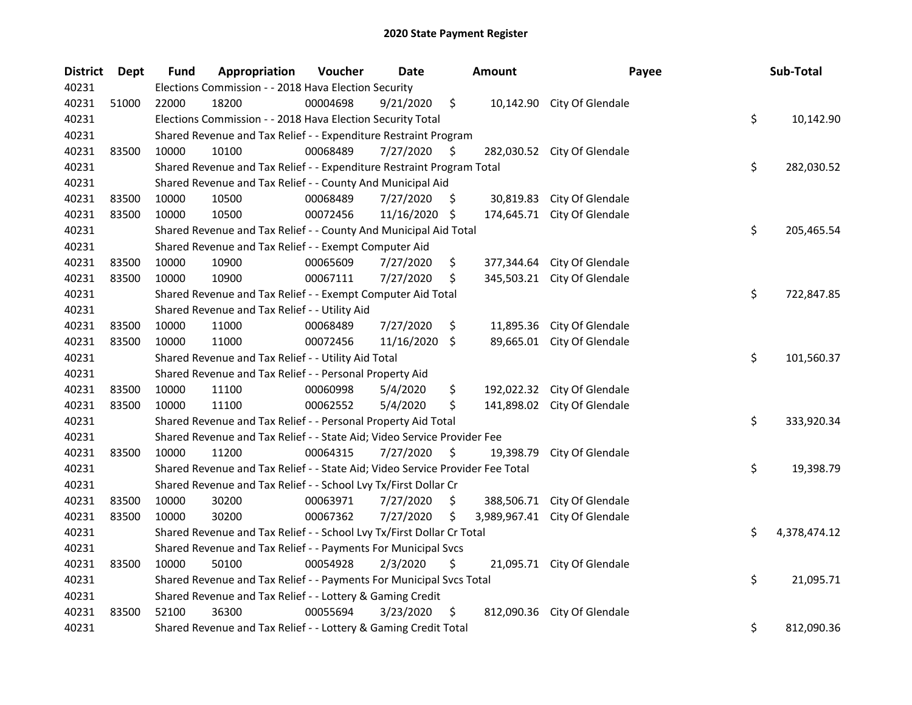| <b>District</b> | Dept  | <b>Fund</b> | Appropriation                                                                 | Voucher  | Date       |     | <b>Amount</b> | Payee                       | Sub-Total          |
|-----------------|-------|-------------|-------------------------------------------------------------------------------|----------|------------|-----|---------------|-----------------------------|--------------------|
| 40231           |       |             | Elections Commission - - 2018 Hava Election Security                          |          |            |     |               |                             |                    |
| 40231           | 51000 | 22000       | 18200                                                                         | 00004698 | 9/21/2020  | \$  |               | 10,142.90 City Of Glendale  |                    |
| 40231           |       |             | Elections Commission - - 2018 Hava Election Security Total                    |          |            |     |               |                             | \$<br>10,142.90    |
| 40231           |       |             | Shared Revenue and Tax Relief - - Expenditure Restraint Program               |          |            |     |               |                             |                    |
| 40231           | 83500 | 10000       | 10100                                                                         | 00068489 | 7/27/2020  | \$  |               | 282,030.52 City Of Glendale |                    |
| 40231           |       |             | Shared Revenue and Tax Relief - - Expenditure Restraint Program Total         |          |            |     |               |                             | \$<br>282,030.52   |
| 40231           |       |             | Shared Revenue and Tax Relief - - County And Municipal Aid                    |          |            |     |               |                             |                    |
| 40231           | 83500 | 10000       | 10500                                                                         | 00068489 | 7/27/2020  | -\$ | 30,819.83     | City Of Glendale            |                    |
| 40231           | 83500 | 10000       | 10500                                                                         | 00072456 | 11/16/2020 | \$  | 174,645.71    | City Of Glendale            |                    |
| 40231           |       |             | Shared Revenue and Tax Relief - - County And Municipal Aid Total              |          |            |     |               |                             | \$<br>205,465.54   |
| 40231           |       |             | Shared Revenue and Tax Relief - - Exempt Computer Aid                         |          |            |     |               |                             |                    |
| 40231           | 83500 | 10000       | 10900                                                                         | 00065609 | 7/27/2020  | \$  | 377,344.64    | City Of Glendale            |                    |
| 40231           | 83500 | 10000       | 10900                                                                         | 00067111 | 7/27/2020  | \$  | 345,503.21    | City Of Glendale            |                    |
| 40231           |       |             | Shared Revenue and Tax Relief - - Exempt Computer Aid Total                   |          |            |     |               |                             | \$<br>722,847.85   |
| 40231           |       |             | Shared Revenue and Tax Relief - - Utility Aid                                 |          |            |     |               |                             |                    |
| 40231           | 83500 | 10000       | 11000                                                                         | 00068489 | 7/27/2020  | \$  | 11,895.36     | City Of Glendale            |                    |
| 40231           | 83500 | 10000       | 11000                                                                         | 00072456 | 11/16/2020 | \$  |               | 89,665.01 City Of Glendale  |                    |
| 40231           |       |             | Shared Revenue and Tax Relief - - Utility Aid Total                           |          |            |     |               |                             | \$<br>101,560.37   |
| 40231           |       |             | Shared Revenue and Tax Relief - - Personal Property Aid                       |          |            |     |               |                             |                    |
| 40231           | 83500 | 10000       | 11100                                                                         | 00060998 | 5/4/2020   | \$  | 192,022.32    | City Of Glendale            |                    |
| 40231           | 83500 | 10000       | 11100                                                                         | 00062552 | 5/4/2020   | \$  | 141,898.02    | City Of Glendale            |                    |
| 40231           |       |             | Shared Revenue and Tax Relief - - Personal Property Aid Total                 |          |            |     |               |                             | \$<br>333,920.34   |
| 40231           |       |             | Shared Revenue and Tax Relief - - State Aid; Video Service Provider Fee       |          |            |     |               |                             |                    |
| 40231           | 83500 | 10000       | 11200                                                                         | 00064315 | 7/27/2020  | \$  | 19,398.79     | City Of Glendale            |                    |
| 40231           |       |             | Shared Revenue and Tax Relief - - State Aid; Video Service Provider Fee Total |          |            |     |               |                             | \$<br>19,398.79    |
| 40231           |       |             | Shared Revenue and Tax Relief - - School Lvy Tx/First Dollar Cr               |          |            |     |               |                             |                    |
| 40231           | 83500 | 10000       | 30200                                                                         | 00063971 | 7/27/2020  | \$  | 388,506.71    | City Of Glendale            |                    |
| 40231           | 83500 | 10000       | 30200                                                                         | 00067362 | 7/27/2020  | \$  | 3,989,967.41  | City Of Glendale            |                    |
| 40231           |       |             | Shared Revenue and Tax Relief - - School Lvy Tx/First Dollar Cr Total         |          |            |     |               |                             | \$<br>4,378,474.12 |
| 40231           |       |             | Shared Revenue and Tax Relief - - Payments For Municipal Svcs                 |          |            |     |               |                             |                    |
| 40231           | 83500 | 10000       | 50100                                                                         | 00054928 | 2/3/2020   | \$  |               | 21,095.71 City Of Glendale  |                    |
| 40231           |       |             | Shared Revenue and Tax Relief - - Payments For Municipal Svcs Total           |          |            |     |               |                             | \$<br>21,095.71    |
| 40231           |       |             | Shared Revenue and Tax Relief - - Lottery & Gaming Credit                     |          |            |     |               |                             |                    |
| 40231           | 83500 | 52100       | 36300                                                                         | 00055694 | 3/23/2020  | \$  |               | 812,090.36 City Of Glendale |                    |
| 40231           |       |             | Shared Revenue and Tax Relief - - Lottery & Gaming Credit Total               |          |            |     |               |                             | \$<br>812,090.36   |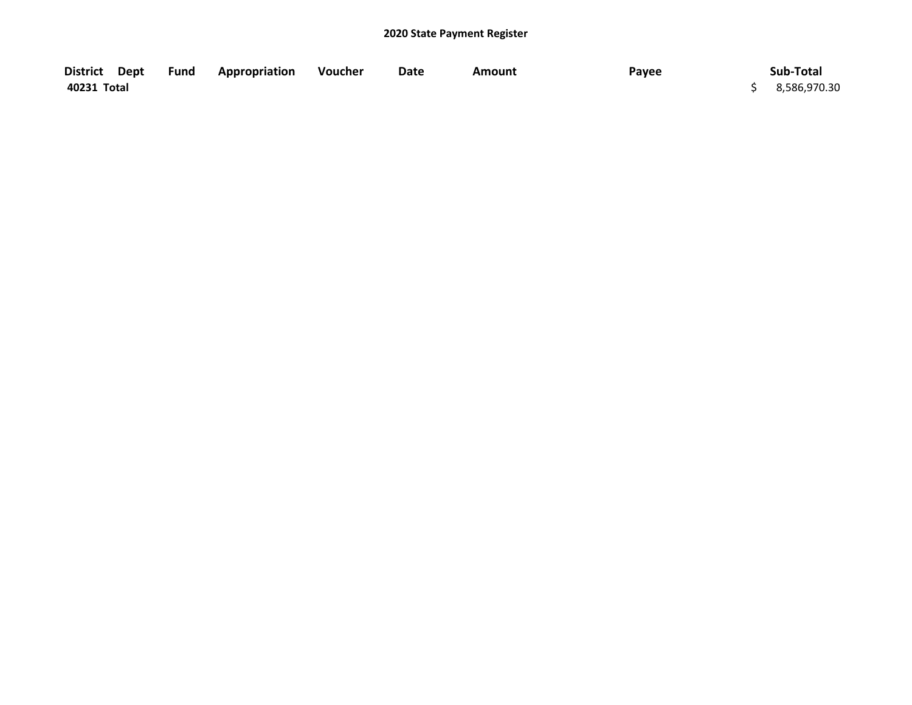| District Dept | <b>Fund Appropriation Voucher</b> | Date | <b>Amount</b> | Payee | Sub-Total      |
|---------------|-----------------------------------|------|---------------|-------|----------------|
| 40231 Total   |                                   |      |               |       | \$3,586,970.30 |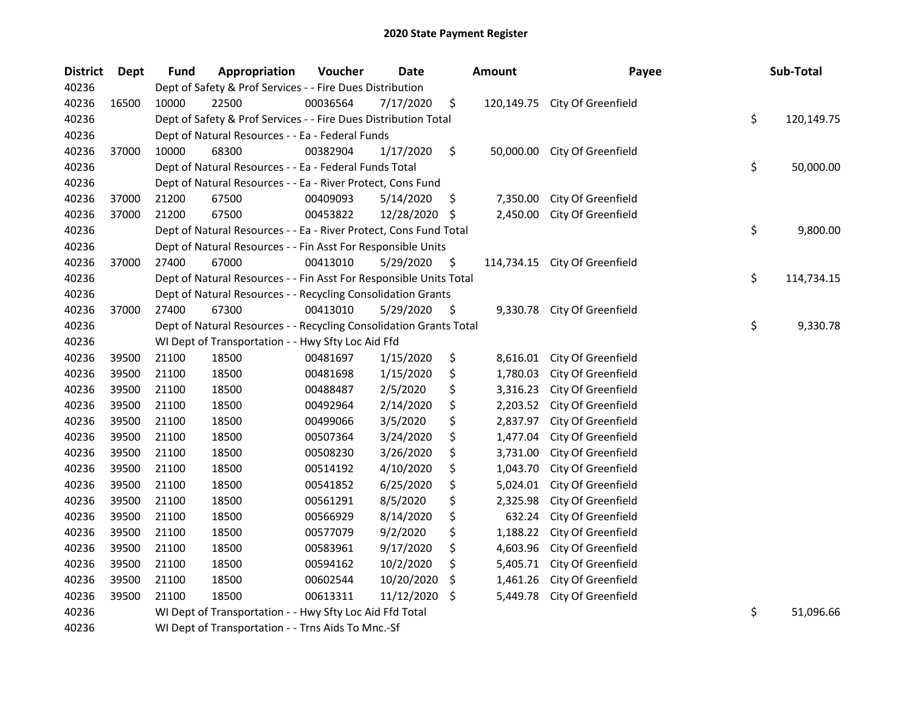| <b>District</b> | <b>Dept</b> | <b>Fund</b> | Appropriation                                                      | Voucher  | <b>Date</b> |     | <b>Amount</b> | Payee              | Sub-Total        |
|-----------------|-------------|-------------|--------------------------------------------------------------------|----------|-------------|-----|---------------|--------------------|------------------|
| 40236           |             |             | Dept of Safety & Prof Services - - Fire Dues Distribution          |          |             |     |               |                    |                  |
| 40236           | 16500       | 10000       | 22500                                                              | 00036564 | 7/17/2020   | \$  | 120,149.75    | City Of Greenfield |                  |
| 40236           |             |             | Dept of Safety & Prof Services - - Fire Dues Distribution Total    |          |             |     |               |                    | \$<br>120,149.75 |
| 40236           |             |             | Dept of Natural Resources - - Ea - Federal Funds                   |          |             |     |               |                    |                  |
| 40236           | 37000       | 10000       | 68300                                                              | 00382904 | 1/17/2020   | \$  | 50,000.00     | City Of Greenfield |                  |
| 40236           |             |             | Dept of Natural Resources - - Ea - Federal Funds Total             |          |             |     |               |                    | \$<br>50,000.00  |
| 40236           |             |             | Dept of Natural Resources - - Ea - River Protect, Cons Fund        |          |             |     |               |                    |                  |
| 40236           | 37000       | 21200       | 67500                                                              | 00409093 | 5/14/2020   | \$  | 7,350.00      | City Of Greenfield |                  |
| 40236           | 37000       | 21200       | 67500                                                              | 00453822 | 12/28/2020  | -\$ | 2,450.00      | City Of Greenfield |                  |
| 40236           |             |             | Dept of Natural Resources - - Ea - River Protect, Cons Fund Total  |          |             |     |               |                    | \$<br>9,800.00   |
| 40236           |             |             | Dept of Natural Resources - - Fin Asst For Responsible Units       |          |             |     |               |                    |                  |
| 40236           | 37000       | 27400       | 67000                                                              | 00413010 | 5/29/2020   | \$  | 114,734.15    | City Of Greenfield |                  |
| 40236           |             |             | Dept of Natural Resources - - Fin Asst For Responsible Units Total |          |             |     |               |                    | \$<br>114,734.15 |
| 40236           |             |             | Dept of Natural Resources - - Recycling Consolidation Grants       |          |             |     |               |                    |                  |
| 40236           | 37000       | 27400       | 67300                                                              | 00413010 | 5/29/2020   | \$  | 9,330.78      | City Of Greenfield |                  |
| 40236           |             |             | Dept of Natural Resources - - Recycling Consolidation Grants Total |          |             |     |               |                    | \$<br>9,330.78   |
| 40236           |             |             | WI Dept of Transportation - - Hwy Sfty Loc Aid Ffd                 |          |             |     |               |                    |                  |
| 40236           | 39500       | 21100       | 18500                                                              | 00481697 | 1/15/2020   | \$  | 8,616.01      | City Of Greenfield |                  |
| 40236           | 39500       | 21100       | 18500                                                              | 00481698 | 1/15/2020   | \$  | 1,780.03      | City Of Greenfield |                  |
| 40236           | 39500       | 21100       | 18500                                                              | 00488487 | 2/5/2020    | \$  | 3,316.23      | City Of Greenfield |                  |
| 40236           | 39500       | 21100       | 18500                                                              | 00492964 | 2/14/2020   | \$  | 2,203.52      | City Of Greenfield |                  |
| 40236           | 39500       | 21100       | 18500                                                              | 00499066 | 3/5/2020    | \$  | 2,837.97      | City Of Greenfield |                  |
| 40236           | 39500       | 21100       | 18500                                                              | 00507364 | 3/24/2020   | \$  | 1,477.04      | City Of Greenfield |                  |
| 40236           | 39500       | 21100       | 18500                                                              | 00508230 | 3/26/2020   | \$  | 3,731.00      | City Of Greenfield |                  |
| 40236           | 39500       | 21100       | 18500                                                              | 00514192 | 4/10/2020   | \$  | 1,043.70      | City Of Greenfield |                  |
| 40236           | 39500       | 21100       | 18500                                                              | 00541852 | 6/25/2020   | \$  | 5,024.01      | City Of Greenfield |                  |
| 40236           | 39500       | 21100       | 18500                                                              | 00561291 | 8/5/2020    | \$  | 2,325.98      | City Of Greenfield |                  |
| 40236           | 39500       | 21100       | 18500                                                              | 00566929 | 8/14/2020   | \$  | 632.24        | City Of Greenfield |                  |
| 40236           | 39500       | 21100       | 18500                                                              | 00577079 | 9/2/2020    | \$  | 1,188.22      | City Of Greenfield |                  |
| 40236           | 39500       | 21100       | 18500                                                              | 00583961 | 9/17/2020   | \$  | 4,603.96      | City Of Greenfield |                  |
| 40236           | 39500       | 21100       | 18500                                                              | 00594162 | 10/2/2020   | \$  | 5,405.71      | City Of Greenfield |                  |
| 40236           | 39500       | 21100       | 18500                                                              | 00602544 | 10/20/2020  | \$  | 1,461.26      | City Of Greenfield |                  |
| 40236           | 39500       | 21100       | 18500                                                              | 00613311 | 11/12/2020  | \$  | 5,449.78      | City Of Greenfield |                  |
| 40236           |             |             | WI Dept of Transportation - - Hwy Sfty Loc Aid Ffd Total           |          |             |     |               |                    | \$<br>51,096.66  |
| 40236           |             |             | WI Dept of Transportation - - Trns Aids To Mnc.-Sf                 |          |             |     |               |                    |                  |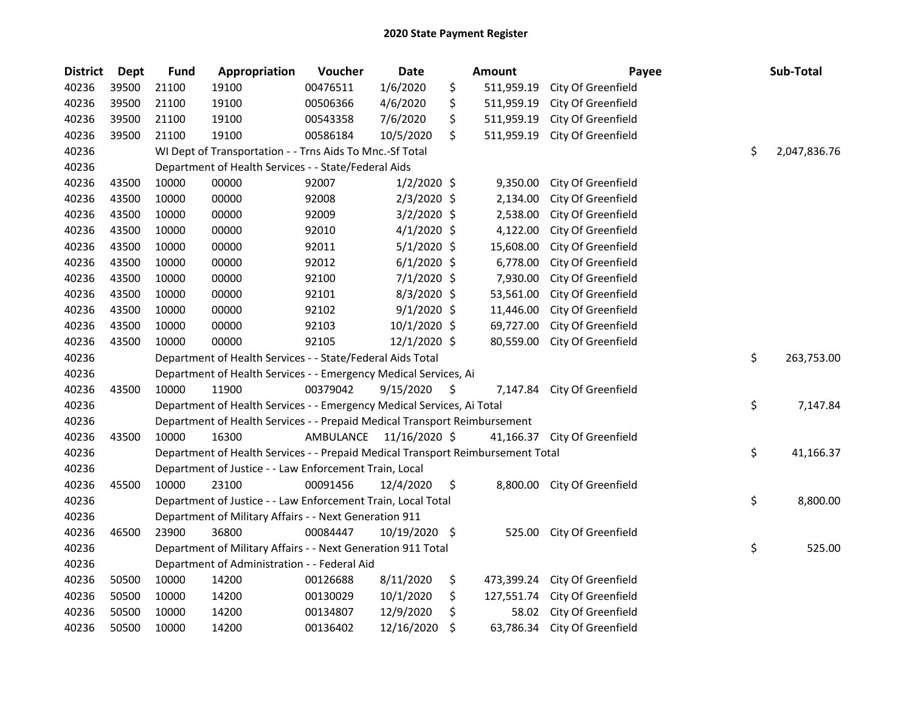| <b>District</b> | Dept  | <b>Fund</b> | Appropriation                                                                   | Voucher  | <b>Date</b>             | <b>Amount</b>    | Payee                        | Sub-Total          |
|-----------------|-------|-------------|---------------------------------------------------------------------------------|----------|-------------------------|------------------|------------------------------|--------------------|
| 40236           | 39500 | 21100       | 19100                                                                           | 00476511 | 1/6/2020                | \$<br>511,959.19 | City Of Greenfield           |                    |
| 40236           | 39500 | 21100       | 19100                                                                           | 00506366 | 4/6/2020                | \$<br>511,959.19 | City Of Greenfield           |                    |
| 40236           | 39500 | 21100       | 19100                                                                           | 00543358 | 7/6/2020                | \$<br>511,959.19 | City Of Greenfield           |                    |
| 40236           | 39500 | 21100       | 19100                                                                           | 00586184 | 10/5/2020               | \$<br>511,959.19 | City Of Greenfield           |                    |
| 40236           |       |             | WI Dept of Transportation - - Trns Aids To Mnc.-Sf Total                        |          |                         |                  |                              | \$<br>2,047,836.76 |
| 40236           |       |             | Department of Health Services - - State/Federal Aids                            |          |                         |                  |                              |                    |
| 40236           | 43500 | 10000       | 00000                                                                           | 92007    | $1/2/2020$ \$           | 9,350.00         | City Of Greenfield           |                    |
| 40236           | 43500 | 10000       | 00000                                                                           | 92008    | 2/3/2020 \$             | 2,134.00         | City Of Greenfield           |                    |
| 40236           | 43500 | 10000       | 00000                                                                           | 92009    | 3/2/2020 \$             | 2,538.00         | City Of Greenfield           |                    |
| 40236           | 43500 | 10000       | 00000                                                                           | 92010    | $4/1/2020$ \$           | 4,122.00         | City Of Greenfield           |                    |
| 40236           | 43500 | 10000       | 00000                                                                           | 92011    | $5/1/2020$ \$           | 15,608.00        | City Of Greenfield           |                    |
| 40236           | 43500 | 10000       | 00000                                                                           | 92012    | $6/1/2020$ \$           | 6,778.00         | City Of Greenfield           |                    |
| 40236           | 43500 | 10000       | 00000                                                                           | 92100    | 7/1/2020 \$             | 7,930.00         | City Of Greenfield           |                    |
| 40236           | 43500 | 10000       | 00000                                                                           | 92101    | $8/3/2020$ \$           | 53,561.00        | City Of Greenfield           |                    |
| 40236           | 43500 | 10000       | 00000                                                                           | 92102    | $9/1/2020$ \$           | 11,446.00        | City Of Greenfield           |                    |
| 40236           | 43500 | 10000       | 00000                                                                           | 92103    | 10/1/2020 \$            | 69,727.00        | City Of Greenfield           |                    |
| 40236           | 43500 | 10000       | 00000                                                                           | 92105    | 12/1/2020 \$            | 80,559.00        | City Of Greenfield           |                    |
| 40236           |       |             | Department of Health Services - - State/Federal Aids Total                      |          |                         |                  |                              | \$<br>263,753.00   |
| 40236           |       |             | Department of Health Services - - Emergency Medical Services, Ai                |          |                         |                  |                              |                    |
| 40236           | 43500 | 10000       | 11900                                                                           | 00379042 | 9/15/2020               | \$<br>7,147.84   | City Of Greenfield           |                    |
| 40236           |       |             | Department of Health Services - - Emergency Medical Services, Ai Total          |          |                         |                  |                              | \$<br>7,147.84     |
| 40236           |       |             | Department of Health Services - - Prepaid Medical Transport Reimbursement       |          |                         |                  |                              |                    |
| 40236           | 43500 | 10000       | 16300                                                                           |          | AMBULANCE 11/16/2020 \$ | 41,166.37        | City Of Greenfield           |                    |
| 40236           |       |             | Department of Health Services - - Prepaid Medical Transport Reimbursement Total |          |                         |                  |                              | \$<br>41,166.37    |
| 40236           |       |             | Department of Justice - - Law Enforcement Train, Local                          |          |                         |                  |                              |                    |
| 40236           | 45500 | 10000       | 23100                                                                           | 00091456 | 12/4/2020               | \$               | 8,800.00 City Of Greenfield  |                    |
| 40236           |       |             | Department of Justice - - Law Enforcement Train, Local Total                    |          |                         |                  |                              | \$<br>8,800.00     |
| 40236           |       |             | Department of Military Affairs - - Next Generation 911                          |          |                         |                  |                              |                    |
| 40236           | 46500 | 23900       | 36800                                                                           | 00084447 | 10/19/2020 \$           | 525.00           | City Of Greenfield           |                    |
| 40236           |       |             | Department of Military Affairs - - Next Generation 911 Total                    |          |                         |                  |                              | \$<br>525.00       |
| 40236           |       |             | Department of Administration - - Federal Aid                                    |          |                         |                  |                              |                    |
| 40236           | 50500 | 10000       | 14200                                                                           | 00126688 | 8/11/2020               | \$<br>473,399.24 | City Of Greenfield           |                    |
| 40236           | 50500 | 10000       | 14200                                                                           | 00130029 | 10/1/2020               | \$<br>127,551.74 | City Of Greenfield           |                    |
| 40236           | 50500 | 10000       | 14200                                                                           | 00134807 | 12/9/2020               | \$<br>58.02      | City Of Greenfield           |                    |
| 40236           | 50500 | 10000       | 14200                                                                           | 00136402 | 12/16/2020              | \$               | 63,786.34 City Of Greenfield |                    |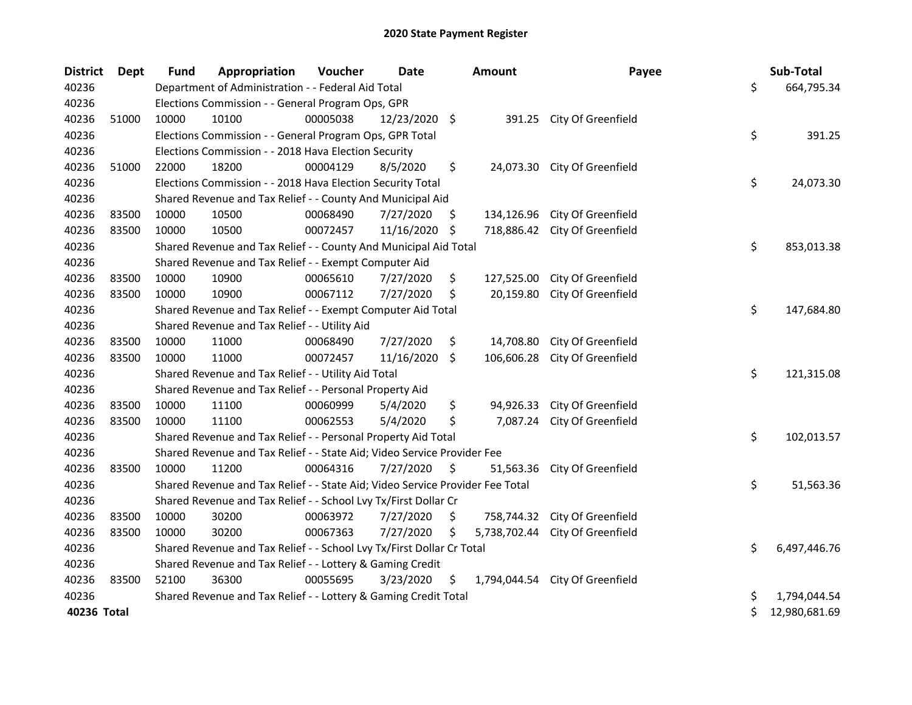| <b>District</b> | Dept  | Fund  | Appropriation                                                                 | Voucher  | Date          |    | <b>Amount</b> | Payee                           | Sub-Total           |
|-----------------|-------|-------|-------------------------------------------------------------------------------|----------|---------------|----|---------------|---------------------------------|---------------------|
| 40236           |       |       | Department of Administration - - Federal Aid Total                            |          |               |    |               |                                 | \$<br>664,795.34    |
| 40236           |       |       | Elections Commission - - General Program Ops, GPR                             |          |               |    |               |                                 |                     |
| 40236           | 51000 | 10000 | 10100                                                                         | 00005038 | 12/23/2020 \$ |    |               | 391.25 City Of Greenfield       |                     |
| 40236           |       |       | Elections Commission - - General Program Ops, GPR Total                       |          |               |    |               |                                 | \$<br>391.25        |
| 40236           |       |       | Elections Commission - - 2018 Hava Election Security                          |          |               |    |               |                                 |                     |
| 40236           | 51000 | 22000 | 18200                                                                         | 00004129 | 8/5/2020      | \$ |               | 24,073.30 City Of Greenfield    |                     |
| 40236           |       |       | Elections Commission - - 2018 Hava Election Security Total                    |          |               |    |               |                                 | \$<br>24,073.30     |
| 40236           |       |       | Shared Revenue and Tax Relief - - County And Municipal Aid                    |          |               |    |               |                                 |                     |
| 40236           | 83500 | 10000 | 10500                                                                         | 00068490 | 7/27/2020     | \$ | 134,126.96    | City Of Greenfield              |                     |
| 40236           | 83500 | 10000 | 10500                                                                         | 00072457 | 11/16/2020    | \$ | 718,886.42    | City Of Greenfield              |                     |
| 40236           |       |       | Shared Revenue and Tax Relief - - County And Municipal Aid Total              |          |               |    |               |                                 | \$<br>853,013.38    |
| 40236           |       |       | Shared Revenue and Tax Relief - - Exempt Computer Aid                         |          |               |    |               |                                 |                     |
| 40236           | 83500 | 10000 | 10900                                                                         | 00065610 | 7/27/2020     | \$ | 127,525.00    | City Of Greenfield              |                     |
| 40236           | 83500 | 10000 | 10900                                                                         | 00067112 | 7/27/2020     | \$ | 20,159.80     | City Of Greenfield              |                     |
| 40236           |       |       | Shared Revenue and Tax Relief - - Exempt Computer Aid Total                   |          |               |    |               |                                 | \$<br>147,684.80    |
| 40236           |       |       | Shared Revenue and Tax Relief - - Utility Aid                                 |          |               |    |               |                                 |                     |
| 40236           | 83500 | 10000 | 11000                                                                         | 00068490 | 7/27/2020     | \$ | 14,708.80     | City Of Greenfield              |                     |
| 40236           | 83500 | 10000 | 11000                                                                         | 00072457 | 11/16/2020    | \$ | 106,606.28    | City Of Greenfield              |                     |
| 40236           |       |       | Shared Revenue and Tax Relief - - Utility Aid Total                           |          |               |    |               |                                 | \$<br>121,315.08    |
| 40236           |       |       | Shared Revenue and Tax Relief - - Personal Property Aid                       |          |               |    |               |                                 |                     |
| 40236           | 83500 | 10000 | 11100                                                                         | 00060999 | 5/4/2020      | \$ | 94,926.33     | City Of Greenfield              |                     |
| 40236           | 83500 | 10000 | 11100                                                                         | 00062553 | 5/4/2020      | \$ | 7,087.24      | City Of Greenfield              |                     |
| 40236           |       |       | Shared Revenue and Tax Relief - - Personal Property Aid Total                 |          |               |    |               |                                 | \$<br>102,013.57    |
| 40236           |       |       | Shared Revenue and Tax Relief - - State Aid; Video Service Provider Fee       |          |               |    |               |                                 |                     |
| 40236           | 83500 | 10000 | 11200                                                                         | 00064316 | 7/27/2020     | \$ | 51,563.36     | City Of Greenfield              |                     |
| 40236           |       |       | Shared Revenue and Tax Relief - - State Aid; Video Service Provider Fee Total |          |               |    |               |                                 | \$<br>51,563.36     |
| 40236           |       |       | Shared Revenue and Tax Relief - - School Lvy Tx/First Dollar Cr               |          |               |    |               |                                 |                     |
| 40236           | 83500 | 10000 | 30200                                                                         | 00063972 | 7/27/2020     | S  | 758,744.32    | City Of Greenfield              |                     |
| 40236           | 83500 | 10000 | 30200                                                                         | 00067363 | 7/27/2020     | \$ | 5,738,702.44  | City Of Greenfield              |                     |
| 40236           |       |       | Shared Revenue and Tax Relief - - School Lvy Tx/First Dollar Cr Total         |          |               |    |               |                                 | \$<br>6,497,446.76  |
| 40236           |       |       | Shared Revenue and Tax Relief - - Lottery & Gaming Credit                     |          |               |    |               |                                 |                     |
| 40236           | 83500 | 52100 | 36300                                                                         | 00055695 | 3/23/2020     | \$ |               | 1,794,044.54 City Of Greenfield |                     |
| 40236           |       |       | Shared Revenue and Tax Relief - - Lottery & Gaming Credit Total               |          |               |    |               |                                 | \$<br>1,794,044.54  |
| 40236 Total     |       |       |                                                                               |          |               |    |               |                                 | \$<br>12,980,681.69 |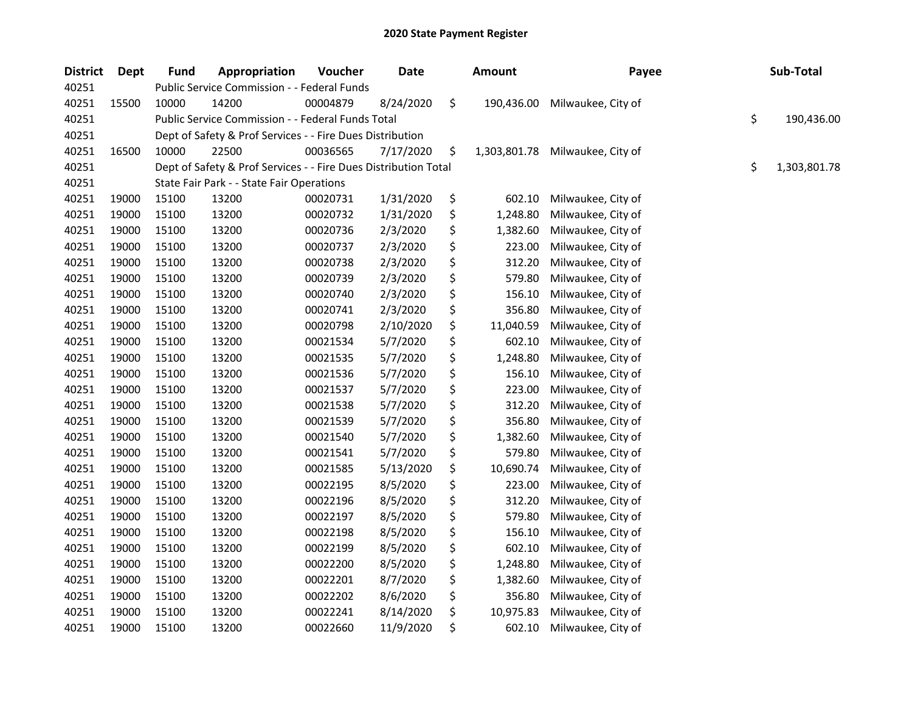| <b>District</b> | Dept  | <b>Fund</b> | Appropriation                                                   | Voucher  | <b>Date</b> | <b>Amount</b>      | Payee              | Sub-Total          |
|-----------------|-------|-------------|-----------------------------------------------------------------|----------|-------------|--------------------|--------------------|--------------------|
| 40251           |       |             | Public Service Commission - - Federal Funds                     |          |             |                    |                    |                    |
| 40251           | 15500 | 10000       | 14200                                                           | 00004879 | 8/24/2020   | \$<br>190,436.00   | Milwaukee, City of |                    |
| 40251           |       |             | Public Service Commission - - Federal Funds Total               |          |             |                    |                    | \$<br>190,436.00   |
| 40251           |       |             | Dept of Safety & Prof Services - - Fire Dues Distribution       |          |             |                    |                    |                    |
| 40251           | 16500 | 10000       | 22500                                                           | 00036565 | 7/17/2020   | \$<br>1,303,801.78 | Milwaukee, City of |                    |
| 40251           |       |             | Dept of Safety & Prof Services - - Fire Dues Distribution Total |          |             |                    |                    | \$<br>1,303,801.78 |
| 40251           |       |             | State Fair Park - - State Fair Operations                       |          |             |                    |                    |                    |
| 40251           | 19000 | 15100       | 13200                                                           | 00020731 | 1/31/2020   | \$<br>602.10       | Milwaukee, City of |                    |
| 40251           | 19000 | 15100       | 13200                                                           | 00020732 | 1/31/2020   | \$<br>1,248.80     | Milwaukee, City of |                    |
| 40251           | 19000 | 15100       | 13200                                                           | 00020736 | 2/3/2020    | \$<br>1,382.60     | Milwaukee, City of |                    |
| 40251           | 19000 | 15100       | 13200                                                           | 00020737 | 2/3/2020    | \$<br>223.00       | Milwaukee, City of |                    |
| 40251           | 19000 | 15100       | 13200                                                           | 00020738 | 2/3/2020    | \$<br>312.20       | Milwaukee, City of |                    |
| 40251           | 19000 | 15100       | 13200                                                           | 00020739 | 2/3/2020    | \$<br>579.80       | Milwaukee, City of |                    |
| 40251           | 19000 | 15100       | 13200                                                           | 00020740 | 2/3/2020    | \$<br>156.10       | Milwaukee, City of |                    |
| 40251           | 19000 | 15100       | 13200                                                           | 00020741 | 2/3/2020    | \$<br>356.80       | Milwaukee, City of |                    |
| 40251           | 19000 | 15100       | 13200                                                           | 00020798 | 2/10/2020   | \$<br>11,040.59    | Milwaukee, City of |                    |
| 40251           | 19000 | 15100       | 13200                                                           | 00021534 | 5/7/2020    | \$<br>602.10       | Milwaukee, City of |                    |
| 40251           | 19000 | 15100       | 13200                                                           | 00021535 | 5/7/2020    | \$<br>1,248.80     | Milwaukee, City of |                    |
| 40251           | 19000 | 15100       | 13200                                                           | 00021536 | 5/7/2020    | \$<br>156.10       | Milwaukee, City of |                    |
| 40251           | 19000 | 15100       | 13200                                                           | 00021537 | 5/7/2020    | \$<br>223.00       | Milwaukee, City of |                    |
| 40251           | 19000 | 15100       | 13200                                                           | 00021538 | 5/7/2020    | \$<br>312.20       | Milwaukee, City of |                    |
| 40251           | 19000 | 15100       | 13200                                                           | 00021539 | 5/7/2020    | \$<br>356.80       | Milwaukee, City of |                    |
| 40251           | 19000 | 15100       | 13200                                                           | 00021540 | 5/7/2020    | \$<br>1,382.60     | Milwaukee, City of |                    |
| 40251           | 19000 | 15100       | 13200                                                           | 00021541 | 5/7/2020    | \$<br>579.80       | Milwaukee, City of |                    |
| 40251           | 19000 | 15100       | 13200                                                           | 00021585 | 5/13/2020   | \$<br>10,690.74    | Milwaukee, City of |                    |
| 40251           | 19000 | 15100       | 13200                                                           | 00022195 | 8/5/2020    | \$<br>223.00       | Milwaukee, City of |                    |
| 40251           | 19000 | 15100       | 13200                                                           | 00022196 | 8/5/2020    | \$<br>312.20       | Milwaukee, City of |                    |
| 40251           | 19000 | 15100       | 13200                                                           | 00022197 | 8/5/2020    | \$<br>579.80       | Milwaukee, City of |                    |
| 40251           | 19000 | 15100       | 13200                                                           | 00022198 | 8/5/2020    | \$<br>156.10       | Milwaukee, City of |                    |
| 40251           | 19000 | 15100       | 13200                                                           | 00022199 | 8/5/2020    | \$<br>602.10       | Milwaukee, City of |                    |
| 40251           | 19000 | 15100       | 13200                                                           | 00022200 | 8/5/2020    | \$<br>1,248.80     | Milwaukee, City of |                    |
| 40251           | 19000 | 15100       | 13200                                                           | 00022201 | 8/7/2020    | \$<br>1,382.60     | Milwaukee, City of |                    |
| 40251           | 19000 | 15100       | 13200                                                           | 00022202 | 8/6/2020    | \$<br>356.80       | Milwaukee, City of |                    |
| 40251           | 19000 | 15100       | 13200                                                           | 00022241 | 8/14/2020   | \$<br>10,975.83    | Milwaukee, City of |                    |
| 40251           | 19000 | 15100       | 13200                                                           | 00022660 | 11/9/2020   | \$<br>602.10       | Milwaukee, City of |                    |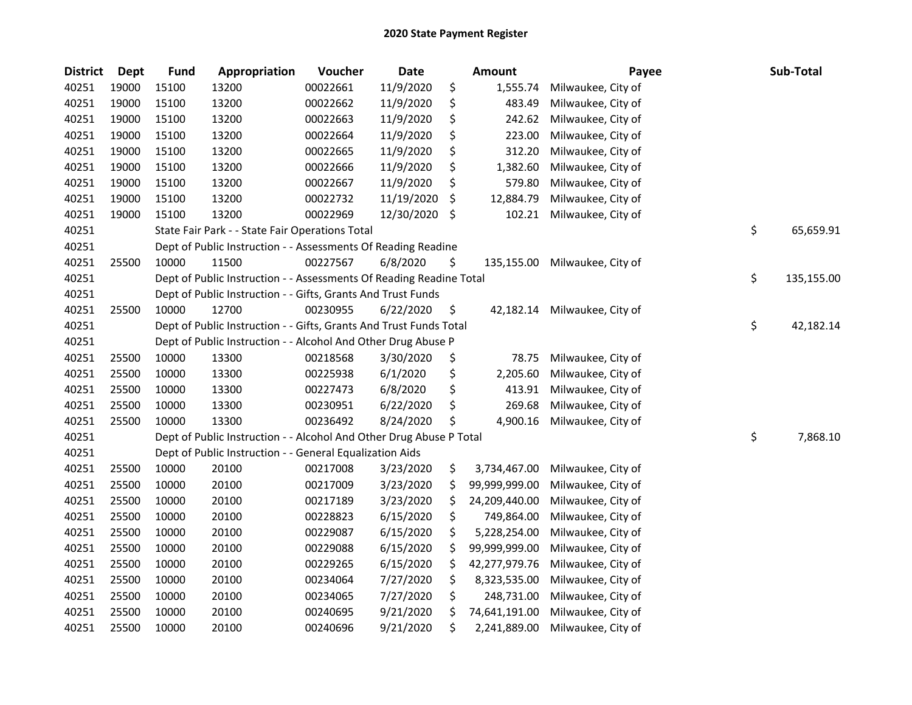| <b>District</b> | <b>Dept</b> | <b>Fund</b> | Appropriation                                                       | Voucher  | <b>Date</b> |    | Amount        | Payee              | Sub-Total        |
|-----------------|-------------|-------------|---------------------------------------------------------------------|----------|-------------|----|---------------|--------------------|------------------|
| 40251           | 19000       | 15100       | 13200                                                               | 00022661 | 11/9/2020   | \$ | 1,555.74      | Milwaukee, City of |                  |
| 40251           | 19000       | 15100       | 13200                                                               | 00022662 | 11/9/2020   | \$ | 483.49        | Milwaukee, City of |                  |
| 40251           | 19000       | 15100       | 13200                                                               | 00022663 | 11/9/2020   | \$ | 242.62        | Milwaukee, City of |                  |
| 40251           | 19000       | 15100       | 13200                                                               | 00022664 | 11/9/2020   | \$ | 223.00        | Milwaukee, City of |                  |
| 40251           | 19000       | 15100       | 13200                                                               | 00022665 | 11/9/2020   | \$ | 312.20        | Milwaukee, City of |                  |
| 40251           | 19000       | 15100       | 13200                                                               | 00022666 | 11/9/2020   | \$ | 1,382.60      | Milwaukee, City of |                  |
| 40251           | 19000       | 15100       | 13200                                                               | 00022667 | 11/9/2020   | \$ | 579.80        | Milwaukee, City of |                  |
| 40251           | 19000       | 15100       | 13200                                                               | 00022732 | 11/19/2020  | \$ | 12,884.79     | Milwaukee, City of |                  |
| 40251           | 19000       | 15100       | 13200                                                               | 00022969 | 12/30/2020  | \$ | 102.21        | Milwaukee, City of |                  |
| 40251           |             |             | State Fair Park - - State Fair Operations Total                     |          |             |    |               |                    | \$<br>65,659.91  |
| 40251           |             |             | Dept of Public Instruction - - Assessments Of Reading Readine       |          |             |    |               |                    |                  |
| 40251           | 25500       | 10000       | 11500                                                               | 00227567 | 6/8/2020    | \$ | 135,155.00    | Milwaukee, City of |                  |
| 40251           |             |             | Dept of Public Instruction - - Assessments Of Reading Readine Total |          |             |    |               |                    | \$<br>135,155.00 |
| 40251           |             |             | Dept of Public Instruction - - Gifts, Grants And Trust Funds        |          |             |    |               |                    |                  |
| 40251           | 25500       | 10000       | 12700                                                               | 00230955 | 6/22/2020   | \$ | 42,182.14     | Milwaukee, City of |                  |
| 40251           |             |             | Dept of Public Instruction - - Gifts, Grants And Trust Funds Total  |          |             |    |               |                    | \$<br>42,182.14  |
| 40251           |             |             | Dept of Public Instruction - - Alcohol And Other Drug Abuse P       |          |             |    |               |                    |                  |
| 40251           | 25500       | 10000       | 13300                                                               | 00218568 | 3/30/2020   | \$ | 78.75         | Milwaukee, City of |                  |
| 40251           | 25500       | 10000       | 13300                                                               | 00225938 | 6/1/2020    | \$ | 2,205.60      | Milwaukee, City of |                  |
| 40251           | 25500       | 10000       | 13300                                                               | 00227473 | 6/8/2020    | \$ | 413.91        | Milwaukee, City of |                  |
| 40251           | 25500       | 10000       | 13300                                                               | 00230951 | 6/22/2020   | \$ | 269.68        | Milwaukee, City of |                  |
| 40251           | 25500       | 10000       | 13300                                                               | 00236492 | 8/24/2020   | S  | 4,900.16      | Milwaukee, City of |                  |
| 40251           |             |             | Dept of Public Instruction - - Alcohol And Other Drug Abuse P Total |          |             |    |               |                    | \$<br>7,868.10   |
| 40251           |             |             | Dept of Public Instruction - - General Equalization Aids            |          |             |    |               |                    |                  |
| 40251           | 25500       | 10000       | 20100                                                               | 00217008 | 3/23/2020   | \$ | 3,734,467.00  | Milwaukee, City of |                  |
| 40251           | 25500       | 10000       | 20100                                                               | 00217009 | 3/23/2020   | \$ | 99,999,999.00 | Milwaukee, City of |                  |
| 40251           | 25500       | 10000       | 20100                                                               | 00217189 | 3/23/2020   | \$ | 24,209,440.00 | Milwaukee, City of |                  |
| 40251           | 25500       | 10000       | 20100                                                               | 00228823 | 6/15/2020   | \$ | 749,864.00    | Milwaukee, City of |                  |
| 40251           | 25500       | 10000       | 20100                                                               | 00229087 | 6/15/2020   | \$ | 5,228,254.00  | Milwaukee, City of |                  |
| 40251           | 25500       | 10000       | 20100                                                               | 00229088 | 6/15/2020   | \$ | 99,999,999.00 | Milwaukee, City of |                  |
| 40251           | 25500       | 10000       | 20100                                                               | 00229265 | 6/15/2020   | \$ | 42,277,979.76 | Milwaukee, City of |                  |
| 40251           | 25500       | 10000       | 20100                                                               | 00234064 | 7/27/2020   | \$ | 8,323,535.00  | Milwaukee, City of |                  |
| 40251           | 25500       | 10000       | 20100                                                               | 00234065 | 7/27/2020   | \$ | 248,731.00    | Milwaukee, City of |                  |
| 40251           | 25500       | 10000       | 20100                                                               | 00240695 | 9/21/2020   | \$ | 74,641,191.00 | Milwaukee, City of |                  |
| 40251           | 25500       | 10000       | 20100                                                               | 00240696 | 9/21/2020   | \$ | 2,241,889.00  | Milwaukee, City of |                  |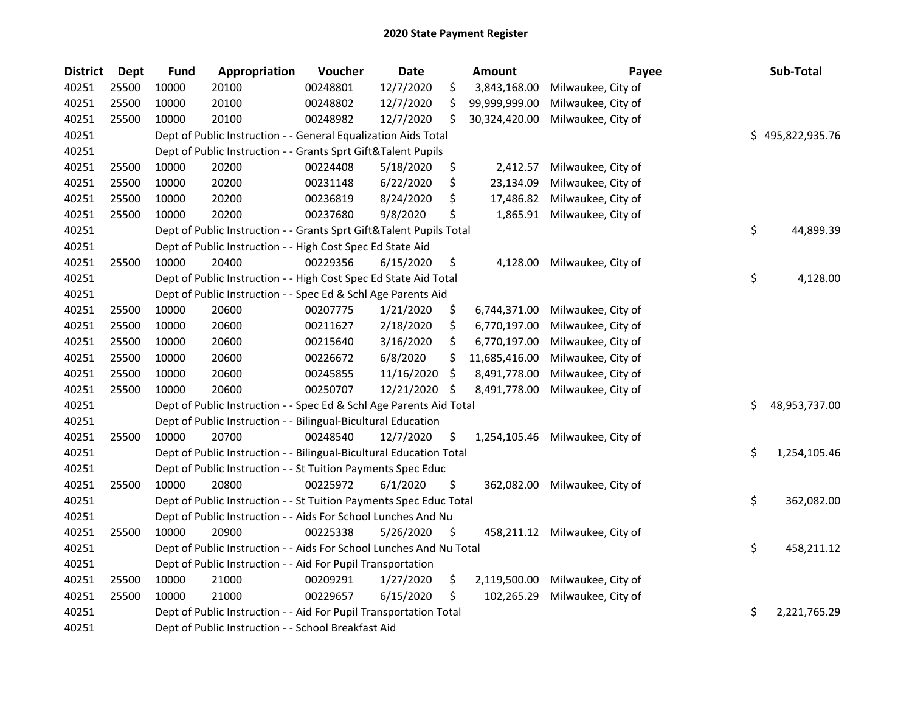| <b>District</b> | <b>Dept</b> | <b>Fund</b> | Appropriation                                                       | Voucher  | Date       |     | <b>Amount</b> | Payee                         | Sub-Total           |
|-----------------|-------------|-------------|---------------------------------------------------------------------|----------|------------|-----|---------------|-------------------------------|---------------------|
| 40251           | 25500       | 10000       | 20100                                                               | 00248801 | 12/7/2020  | \$  | 3,843,168.00  | Milwaukee, City of            |                     |
| 40251           | 25500       | 10000       | 20100                                                               | 00248802 | 12/7/2020  | \$  | 99,999,999.00 | Milwaukee, City of            |                     |
| 40251           | 25500       | 10000       | 20100                                                               | 00248982 | 12/7/2020  | \$  | 30,324,420.00 | Milwaukee, City of            |                     |
| 40251           |             |             | Dept of Public Instruction - - General Equalization Aids Total      |          |            |     |               |                               | \$495,822,935.76    |
| 40251           |             |             | Dept of Public Instruction - - Grants Sprt Gift&Talent Pupils       |          |            |     |               |                               |                     |
| 40251           | 25500       | 10000       | 20200                                                               | 00224408 | 5/18/2020  | \$  | 2,412.57      | Milwaukee, City of            |                     |
| 40251           | 25500       | 10000       | 20200                                                               | 00231148 | 6/22/2020  | \$  | 23,134.09     | Milwaukee, City of            |                     |
| 40251           | 25500       | 10000       | 20200                                                               | 00236819 | 8/24/2020  | \$  | 17,486.82     | Milwaukee, City of            |                     |
| 40251           | 25500       | 10000       | 20200                                                               | 00237680 | 9/8/2020   | \$  | 1,865.91      | Milwaukee, City of            |                     |
| 40251           |             |             | Dept of Public Instruction - - Grants Sprt Gift&Talent Pupils Total |          |            |     |               |                               | \$<br>44,899.39     |
| 40251           |             |             | Dept of Public Instruction - - High Cost Spec Ed State Aid          |          |            |     |               |                               |                     |
| 40251           | 25500       | 10000       | 20400                                                               | 00229356 | 6/15/2020  | \$  | 4,128.00      | Milwaukee, City of            |                     |
| 40251           |             |             | Dept of Public Instruction - - High Cost Spec Ed State Aid Total    |          |            |     |               |                               | \$<br>4,128.00      |
| 40251           |             |             | Dept of Public Instruction - - Spec Ed & Schl Age Parents Aid       |          |            |     |               |                               |                     |
| 40251           | 25500       | 10000       | 20600                                                               | 00207775 | 1/21/2020  | \$  | 6,744,371.00  | Milwaukee, City of            |                     |
| 40251           | 25500       | 10000       | 20600                                                               | 00211627 | 2/18/2020  | \$  | 6,770,197.00  | Milwaukee, City of            |                     |
| 40251           | 25500       | 10000       | 20600                                                               | 00215640 | 3/16/2020  | \$  | 6,770,197.00  | Milwaukee, City of            |                     |
| 40251           | 25500       | 10000       | 20600                                                               | 00226672 | 6/8/2020   | \$  | 11,685,416.00 | Milwaukee, City of            |                     |
| 40251           | 25500       | 10000       | 20600                                                               | 00245855 | 11/16/2020 | \$  | 8,491,778.00  | Milwaukee, City of            |                     |
| 40251           | 25500       | 10000       | 20600                                                               | 00250707 | 12/21/2020 | \$. | 8,491,778.00  | Milwaukee, City of            |                     |
| 40251           |             |             | Dept of Public Instruction - - Spec Ed & Schl Age Parents Aid Total |          |            |     |               |                               | \$<br>48,953,737.00 |
| 40251           |             |             | Dept of Public Instruction - - Bilingual-Bicultural Education       |          |            |     |               |                               |                     |
| 40251           | 25500       | 10000       | 20700                                                               | 00248540 | 12/7/2020  | \$. | 1,254,105.46  | Milwaukee, City of            |                     |
| 40251           |             |             | Dept of Public Instruction - - Bilingual-Bicultural Education Total |          |            |     |               |                               | \$<br>1,254,105.46  |
| 40251           |             |             | Dept of Public Instruction - - St Tuition Payments Spec Educ        |          |            |     |               |                               |                     |
| 40251           | 25500       | 10000       | 20800                                                               | 00225972 | 6/1/2020   | \$  | 362,082.00    | Milwaukee, City of            |                     |
| 40251           |             |             | Dept of Public Instruction - - St Tuition Payments Spec Educ Total  |          |            |     |               |                               | \$<br>362,082.00    |
| 40251           |             |             | Dept of Public Instruction - - Aids For School Lunches And Nu       |          |            |     |               |                               |                     |
| 40251           | 25500       | 10000       | 20900                                                               | 00225338 | 5/26/2020  | \$  |               | 458,211.12 Milwaukee, City of |                     |
| 40251           |             |             | Dept of Public Instruction - - Aids For School Lunches And Nu Total |          |            |     |               |                               | \$<br>458,211.12    |
| 40251           |             |             | Dept of Public Instruction - - Aid For Pupil Transportation         |          |            |     |               |                               |                     |
| 40251           | 25500       | 10000       | 21000                                                               | 00209291 | 1/27/2020  | \$  | 2,119,500.00  | Milwaukee, City of            |                     |
| 40251           | 25500       | 10000       | 21000                                                               | 00229657 | 6/15/2020  | \$  | 102,265.29    | Milwaukee, City of            |                     |
| 40251           |             |             | Dept of Public Instruction - - Aid For Pupil Transportation Total   |          |            |     |               |                               | \$<br>2,221,765.29  |
| 40251           |             |             | Dept of Public Instruction - - School Breakfast Aid                 |          |            |     |               |                               |                     |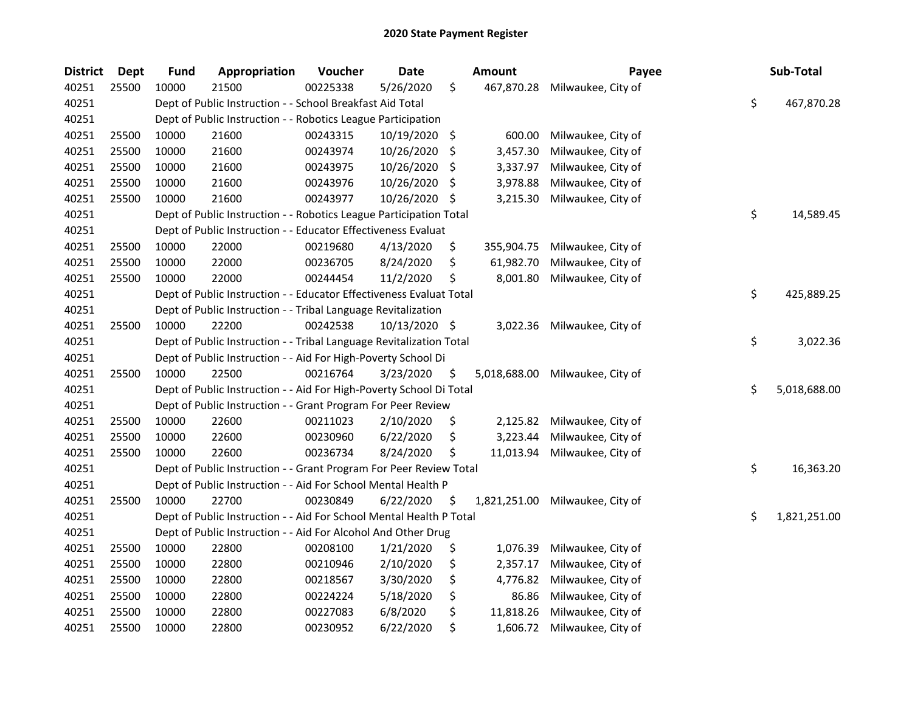| <b>District</b> | <b>Dept</b> | <b>Fund</b> | Appropriation                                                       | Voucher  | <b>Date</b>   |     | <b>Amount</b> | Payee              | Sub-Total          |
|-----------------|-------------|-------------|---------------------------------------------------------------------|----------|---------------|-----|---------------|--------------------|--------------------|
| 40251           | 25500       | 10000       | 21500                                                               | 00225338 | 5/26/2020     | \$  | 467,870.28    | Milwaukee, City of |                    |
| 40251           |             |             | Dept of Public Instruction - - School Breakfast Aid Total           |          |               |     |               |                    | \$<br>467,870.28   |
| 40251           |             |             | Dept of Public Instruction - - Robotics League Participation        |          |               |     |               |                    |                    |
| 40251           | 25500       | 10000       | 21600                                                               | 00243315 | 10/19/2020 \$ |     | 600.00        | Milwaukee, City of |                    |
| 40251           | 25500       | 10000       | 21600                                                               | 00243974 | 10/26/2020    | \$  | 3,457.30      | Milwaukee, City of |                    |
| 40251           | 25500       | 10000       | 21600                                                               | 00243975 | 10/26/2020    | \$. | 3,337.97      | Milwaukee, City of |                    |
| 40251           | 25500       | 10000       | 21600                                                               | 00243976 | 10/26/2020    | \$. | 3,978.88      | Milwaukee, City of |                    |
| 40251           | 25500       | 10000       | 21600                                                               | 00243977 | 10/26/2020    | \$  | 3,215.30      | Milwaukee, City of |                    |
| 40251           |             |             | Dept of Public Instruction - - Robotics League Participation Total  |          |               |     |               |                    | \$<br>14,589.45    |
| 40251           |             |             | Dept of Public Instruction - - Educator Effectiveness Evaluat       |          |               |     |               |                    |                    |
| 40251           | 25500       | 10000       | 22000                                                               | 00219680 | 4/13/2020     | \$  | 355,904.75    | Milwaukee, City of |                    |
| 40251           | 25500       | 10000       | 22000                                                               | 00236705 | 8/24/2020     | \$  | 61,982.70     | Milwaukee, City of |                    |
| 40251           | 25500       | 10000       | 22000                                                               | 00244454 | 11/2/2020     | \$  | 8,001.80      | Milwaukee, City of |                    |
| 40251           |             |             | Dept of Public Instruction - - Educator Effectiveness Evaluat Total |          |               |     |               |                    | \$<br>425,889.25   |
| 40251           |             |             | Dept of Public Instruction - - Tribal Language Revitalization       |          |               |     |               |                    |                    |
| 40251           | 25500       | 10000       | 22200                                                               | 00242538 | 10/13/2020 \$ |     | 3,022.36      | Milwaukee, City of |                    |
| 40251           |             |             | Dept of Public Instruction - - Tribal Language Revitalization Total |          |               |     |               |                    | \$<br>3,022.36     |
| 40251           |             |             | Dept of Public Instruction - - Aid For High-Poverty School Di       |          |               |     |               |                    |                    |
| 40251           | 25500       | 10000       | 22500                                                               | 00216764 | 3/23/2020     | \$  | 5,018,688.00  | Milwaukee, City of |                    |
| 40251           |             |             | Dept of Public Instruction - - Aid For High-Poverty School Di Total |          |               |     |               |                    | \$<br>5,018,688.00 |
| 40251           |             |             | Dept of Public Instruction - - Grant Program For Peer Review        |          |               |     |               |                    |                    |
| 40251           | 25500       | 10000       | 22600                                                               | 00211023 | 2/10/2020     | \$  | 2,125.82      | Milwaukee, City of |                    |
| 40251           | 25500       | 10000       | 22600                                                               | 00230960 | 6/22/2020     | \$  | 3,223.44      | Milwaukee, City of |                    |
| 40251           | 25500       | 10000       | 22600                                                               | 00236734 | 8/24/2020     | \$  | 11,013.94     | Milwaukee, City of |                    |
| 40251           |             |             | Dept of Public Instruction - - Grant Program For Peer Review Total  |          |               |     |               |                    | \$<br>16,363.20    |
| 40251           |             |             | Dept of Public Instruction - - Aid For School Mental Health P       |          |               |     |               |                    |                    |
| 40251           | 25500       | 10000       | 22700                                                               | 00230849 | 6/22/2020     | \$  | 1,821,251.00  | Milwaukee, City of |                    |
| 40251           |             |             | Dept of Public Instruction - - Aid For School Mental Health P Total |          |               |     |               |                    | \$<br>1,821,251.00 |
| 40251           |             |             | Dept of Public Instruction - - Aid For Alcohol And Other Drug       |          |               |     |               |                    |                    |
| 40251           | 25500       | 10000       | 22800                                                               | 00208100 | 1/21/2020     | \$  | 1,076.39      | Milwaukee, City of |                    |
| 40251           | 25500       | 10000       | 22800                                                               | 00210946 | 2/10/2020     | \$  | 2,357.17      | Milwaukee, City of |                    |
| 40251           | 25500       | 10000       | 22800                                                               | 00218567 | 3/30/2020     | \$  | 4,776.82      | Milwaukee, City of |                    |
| 40251           | 25500       | 10000       | 22800                                                               | 00224224 | 5/18/2020     | \$  | 86.86         | Milwaukee, City of |                    |
| 40251           | 25500       | 10000       | 22800                                                               | 00227083 | 6/8/2020      | \$  | 11,818.26     | Milwaukee, City of |                    |
| 40251           | 25500       | 10000       | 22800                                                               | 00230952 | 6/22/2020     | \$  | 1,606.72      | Milwaukee, City of |                    |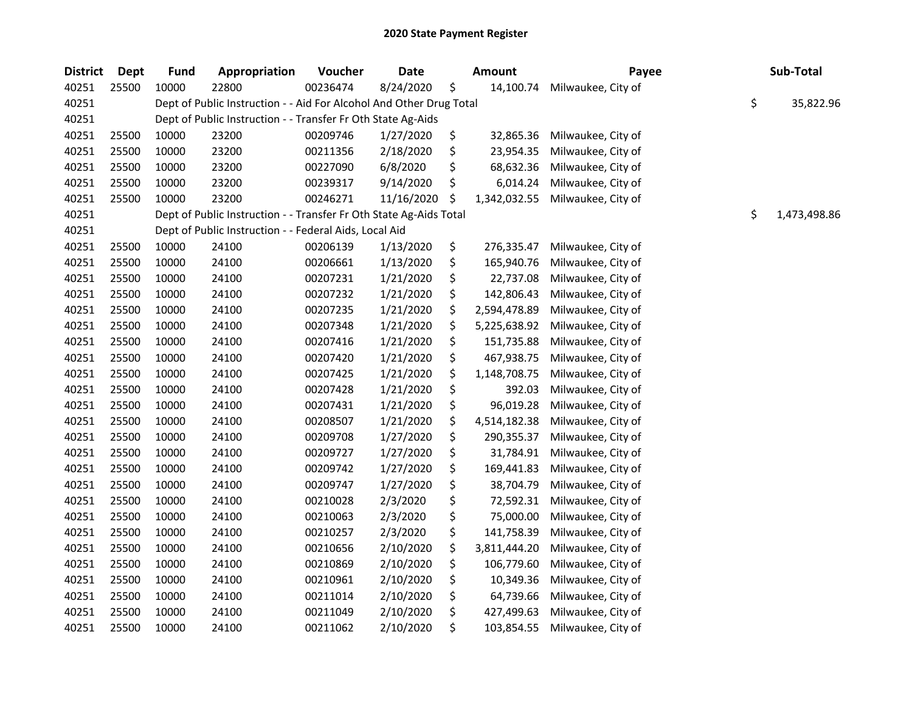| <b>District</b> | <b>Dept</b> | <b>Fund</b> | Appropriation                                                       | Voucher  | <b>Date</b> | Amount             | Payee              | Sub-Total          |
|-----------------|-------------|-------------|---------------------------------------------------------------------|----------|-------------|--------------------|--------------------|--------------------|
| 40251           | 25500       | 10000       | 22800                                                               | 00236474 | 8/24/2020   | \$<br>14,100.74    | Milwaukee, City of |                    |
| 40251           |             |             | Dept of Public Instruction - - Aid For Alcohol And Other Drug Total |          |             |                    |                    | \$<br>35,822.96    |
| 40251           |             |             | Dept of Public Instruction - - Transfer Fr Oth State Ag-Aids        |          |             |                    |                    |                    |
| 40251           | 25500       | 10000       | 23200                                                               | 00209746 | 1/27/2020   | \$<br>32,865.36    | Milwaukee, City of |                    |
| 40251           | 25500       | 10000       | 23200                                                               | 00211356 | 2/18/2020   | \$<br>23,954.35    | Milwaukee, City of |                    |
| 40251           | 25500       | 10000       | 23200                                                               | 00227090 | 6/8/2020    | \$<br>68,632.36    | Milwaukee, City of |                    |
| 40251           | 25500       | 10000       | 23200                                                               | 00239317 | 9/14/2020   | \$<br>6,014.24     | Milwaukee, City of |                    |
| 40251           | 25500       | 10000       | 23200                                                               | 00246271 | 11/16/2020  | \$<br>1,342,032.55 | Milwaukee, City of |                    |
| 40251           |             |             | Dept of Public Instruction - - Transfer Fr Oth State Ag-Aids Total  |          |             |                    |                    | \$<br>1,473,498.86 |
| 40251           |             |             | Dept of Public Instruction - - Federal Aids, Local Aid              |          |             |                    |                    |                    |
| 40251           | 25500       | 10000       | 24100                                                               | 00206139 | 1/13/2020   | \$<br>276,335.47   | Milwaukee, City of |                    |
| 40251           | 25500       | 10000       | 24100                                                               | 00206661 | 1/13/2020   | \$<br>165,940.76   | Milwaukee, City of |                    |
| 40251           | 25500       | 10000       | 24100                                                               | 00207231 | 1/21/2020   | \$<br>22,737.08    | Milwaukee, City of |                    |
| 40251           | 25500       | 10000       | 24100                                                               | 00207232 | 1/21/2020   | \$<br>142,806.43   | Milwaukee, City of |                    |
| 40251           | 25500       | 10000       | 24100                                                               | 00207235 | 1/21/2020   | \$<br>2,594,478.89 | Milwaukee, City of |                    |
| 40251           | 25500       | 10000       | 24100                                                               | 00207348 | 1/21/2020   | \$<br>5,225,638.92 | Milwaukee, City of |                    |
| 40251           | 25500       | 10000       | 24100                                                               | 00207416 | 1/21/2020   | \$<br>151,735.88   | Milwaukee, City of |                    |
| 40251           | 25500       | 10000       | 24100                                                               | 00207420 | 1/21/2020   | \$<br>467,938.75   | Milwaukee, City of |                    |
| 40251           | 25500       | 10000       | 24100                                                               | 00207425 | 1/21/2020   | \$<br>1,148,708.75 | Milwaukee, City of |                    |
| 40251           | 25500       | 10000       | 24100                                                               | 00207428 | 1/21/2020   | \$<br>392.03       | Milwaukee, City of |                    |
| 40251           | 25500       | 10000       | 24100                                                               | 00207431 | 1/21/2020   | \$<br>96,019.28    | Milwaukee, City of |                    |
| 40251           | 25500       | 10000       | 24100                                                               | 00208507 | 1/21/2020   | \$<br>4,514,182.38 | Milwaukee, City of |                    |
| 40251           | 25500       | 10000       | 24100                                                               | 00209708 | 1/27/2020   | \$<br>290,355.37   | Milwaukee, City of |                    |
| 40251           | 25500       | 10000       | 24100                                                               | 00209727 | 1/27/2020   | \$<br>31,784.91    | Milwaukee, City of |                    |
| 40251           | 25500       | 10000       | 24100                                                               | 00209742 | 1/27/2020   | \$<br>169,441.83   | Milwaukee, City of |                    |
| 40251           | 25500       | 10000       | 24100                                                               | 00209747 | 1/27/2020   | \$<br>38,704.79    | Milwaukee, City of |                    |
| 40251           | 25500       | 10000       | 24100                                                               | 00210028 | 2/3/2020    | \$<br>72,592.31    | Milwaukee, City of |                    |
| 40251           | 25500       | 10000       | 24100                                                               | 00210063 | 2/3/2020    | \$<br>75,000.00    | Milwaukee, City of |                    |
| 40251           | 25500       | 10000       | 24100                                                               | 00210257 | 2/3/2020    | \$<br>141,758.39   | Milwaukee, City of |                    |
| 40251           | 25500       | 10000       | 24100                                                               | 00210656 | 2/10/2020   | \$<br>3,811,444.20 | Milwaukee, City of |                    |
| 40251           | 25500       | 10000       | 24100                                                               | 00210869 | 2/10/2020   | \$<br>106,779.60   | Milwaukee, City of |                    |
| 40251           | 25500       | 10000       | 24100                                                               | 00210961 | 2/10/2020   | \$<br>10,349.36    | Milwaukee, City of |                    |
| 40251           | 25500       | 10000       | 24100                                                               | 00211014 | 2/10/2020   | \$<br>64,739.66    | Milwaukee, City of |                    |
| 40251           | 25500       | 10000       | 24100                                                               | 00211049 | 2/10/2020   | \$<br>427,499.63   | Milwaukee, City of |                    |
| 40251           | 25500       | 10000       | 24100                                                               | 00211062 | 2/10/2020   | \$<br>103,854.55   | Milwaukee, City of |                    |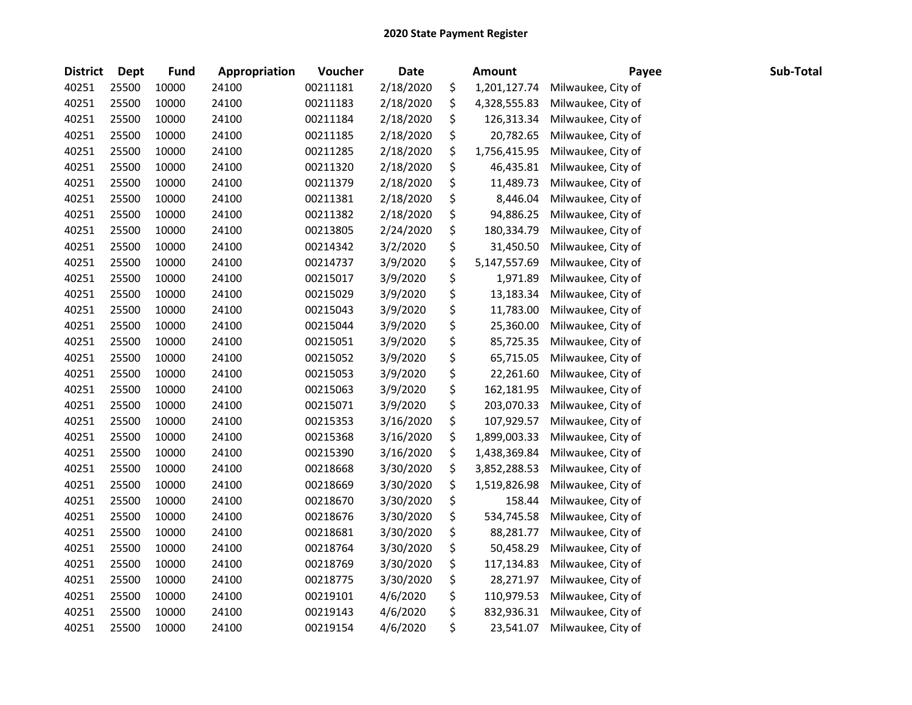| <b>District</b> | <b>Dept</b> | <b>Fund</b> | Appropriation | Voucher  | <b>Date</b> | <b>Amount</b>      | Payee              | Sub-Total |
|-----------------|-------------|-------------|---------------|----------|-------------|--------------------|--------------------|-----------|
| 40251           | 25500       | 10000       | 24100         | 00211181 | 2/18/2020   | \$<br>1,201,127.74 | Milwaukee, City of |           |
| 40251           | 25500       | 10000       | 24100         | 00211183 | 2/18/2020   | \$<br>4,328,555.83 | Milwaukee, City of |           |
| 40251           | 25500       | 10000       | 24100         | 00211184 | 2/18/2020   | \$<br>126,313.34   | Milwaukee, City of |           |
| 40251           | 25500       | 10000       | 24100         | 00211185 | 2/18/2020   | \$<br>20,782.65    | Milwaukee, City of |           |
| 40251           | 25500       | 10000       | 24100         | 00211285 | 2/18/2020   | \$<br>1,756,415.95 | Milwaukee, City of |           |
| 40251           | 25500       | 10000       | 24100         | 00211320 | 2/18/2020   | \$<br>46,435.81    | Milwaukee, City of |           |
| 40251           | 25500       | 10000       | 24100         | 00211379 | 2/18/2020   | \$<br>11,489.73    | Milwaukee, City of |           |
| 40251           | 25500       | 10000       | 24100         | 00211381 | 2/18/2020   | \$<br>8,446.04     | Milwaukee, City of |           |
| 40251           | 25500       | 10000       | 24100         | 00211382 | 2/18/2020   | \$<br>94,886.25    | Milwaukee, City of |           |
| 40251           | 25500       | 10000       | 24100         | 00213805 | 2/24/2020   | \$<br>180,334.79   | Milwaukee, City of |           |
| 40251           | 25500       | 10000       | 24100         | 00214342 | 3/2/2020    | \$<br>31,450.50    | Milwaukee, City of |           |
| 40251           | 25500       | 10000       | 24100         | 00214737 | 3/9/2020    | \$<br>5,147,557.69 | Milwaukee, City of |           |
| 40251           | 25500       | 10000       | 24100         | 00215017 | 3/9/2020    | \$<br>1,971.89     | Milwaukee, City of |           |
| 40251           | 25500       | 10000       | 24100         | 00215029 | 3/9/2020    | \$<br>13,183.34    | Milwaukee, City of |           |
| 40251           | 25500       | 10000       | 24100         | 00215043 | 3/9/2020    | \$<br>11,783.00    | Milwaukee, City of |           |
| 40251           | 25500       | 10000       | 24100         | 00215044 | 3/9/2020    | \$<br>25,360.00    | Milwaukee, City of |           |
| 40251           | 25500       | 10000       | 24100         | 00215051 | 3/9/2020    | \$<br>85,725.35    | Milwaukee, City of |           |
| 40251           | 25500       | 10000       | 24100         | 00215052 | 3/9/2020    | \$<br>65,715.05    | Milwaukee, City of |           |
| 40251           | 25500       | 10000       | 24100         | 00215053 | 3/9/2020    | \$<br>22,261.60    | Milwaukee, City of |           |
| 40251           | 25500       | 10000       | 24100         | 00215063 | 3/9/2020    | \$<br>162,181.95   | Milwaukee, City of |           |
| 40251           | 25500       | 10000       | 24100         | 00215071 | 3/9/2020    | \$<br>203,070.33   | Milwaukee, City of |           |
| 40251           | 25500       | 10000       | 24100         | 00215353 | 3/16/2020   | \$<br>107,929.57   | Milwaukee, City of |           |
| 40251           | 25500       | 10000       | 24100         | 00215368 | 3/16/2020   | \$<br>1,899,003.33 | Milwaukee, City of |           |
| 40251           | 25500       | 10000       | 24100         | 00215390 | 3/16/2020   | \$<br>1,438,369.84 | Milwaukee, City of |           |
| 40251           | 25500       | 10000       | 24100         | 00218668 | 3/30/2020   | \$<br>3,852,288.53 | Milwaukee, City of |           |
| 40251           | 25500       | 10000       | 24100         | 00218669 | 3/30/2020   | \$<br>1,519,826.98 | Milwaukee, City of |           |
| 40251           | 25500       | 10000       | 24100         | 00218670 | 3/30/2020   | \$<br>158.44       | Milwaukee, City of |           |
| 40251           | 25500       | 10000       | 24100         | 00218676 | 3/30/2020   | \$<br>534,745.58   | Milwaukee, City of |           |
| 40251           | 25500       | 10000       | 24100         | 00218681 | 3/30/2020   | \$<br>88,281.77    | Milwaukee, City of |           |
| 40251           | 25500       | 10000       | 24100         | 00218764 | 3/30/2020   | \$<br>50,458.29    | Milwaukee, City of |           |
| 40251           | 25500       | 10000       | 24100         | 00218769 | 3/30/2020   | \$<br>117,134.83   | Milwaukee, City of |           |
| 40251           | 25500       | 10000       | 24100         | 00218775 | 3/30/2020   | \$<br>28,271.97    | Milwaukee, City of |           |
| 40251           | 25500       | 10000       | 24100         | 00219101 | 4/6/2020    | \$<br>110,979.53   | Milwaukee, City of |           |
| 40251           | 25500       | 10000       | 24100         | 00219143 | 4/6/2020    | \$<br>832,936.31   | Milwaukee, City of |           |
| 40251           | 25500       | 10000       | 24100         | 00219154 | 4/6/2020    | \$<br>23,541.07    | Milwaukee, City of |           |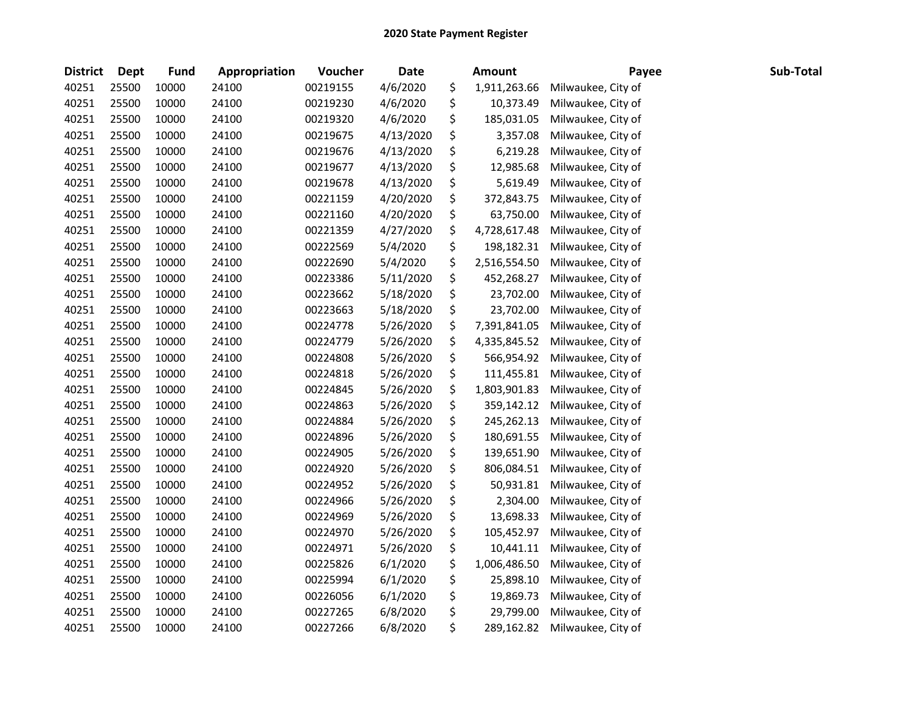| <b>District</b> | <b>Dept</b> | <b>Fund</b> | Appropriation | Voucher  | Date      | <b>Amount</b>      | Payee              | Sub-Total |
|-----------------|-------------|-------------|---------------|----------|-----------|--------------------|--------------------|-----------|
| 40251           | 25500       | 10000       | 24100         | 00219155 | 4/6/2020  | \$<br>1,911,263.66 | Milwaukee, City of |           |
| 40251           | 25500       | 10000       | 24100         | 00219230 | 4/6/2020  | \$<br>10,373.49    | Milwaukee, City of |           |
| 40251           | 25500       | 10000       | 24100         | 00219320 | 4/6/2020  | \$<br>185,031.05   | Milwaukee, City of |           |
| 40251           | 25500       | 10000       | 24100         | 00219675 | 4/13/2020 | \$<br>3,357.08     | Milwaukee, City of |           |
| 40251           | 25500       | 10000       | 24100         | 00219676 | 4/13/2020 | \$<br>6,219.28     | Milwaukee, City of |           |
| 40251           | 25500       | 10000       | 24100         | 00219677 | 4/13/2020 | \$<br>12,985.68    | Milwaukee, City of |           |
| 40251           | 25500       | 10000       | 24100         | 00219678 | 4/13/2020 | \$<br>5,619.49     | Milwaukee, City of |           |
| 40251           | 25500       | 10000       | 24100         | 00221159 | 4/20/2020 | \$<br>372,843.75   | Milwaukee, City of |           |
| 40251           | 25500       | 10000       | 24100         | 00221160 | 4/20/2020 | \$<br>63,750.00    | Milwaukee, City of |           |
| 40251           | 25500       | 10000       | 24100         | 00221359 | 4/27/2020 | \$<br>4,728,617.48 | Milwaukee, City of |           |
| 40251           | 25500       | 10000       | 24100         | 00222569 | 5/4/2020  | \$<br>198,182.31   | Milwaukee, City of |           |
| 40251           | 25500       | 10000       | 24100         | 00222690 | 5/4/2020  | \$<br>2,516,554.50 | Milwaukee, City of |           |
| 40251           | 25500       | 10000       | 24100         | 00223386 | 5/11/2020 | \$<br>452,268.27   | Milwaukee, City of |           |
| 40251           | 25500       | 10000       | 24100         | 00223662 | 5/18/2020 | \$<br>23,702.00    | Milwaukee, City of |           |
| 40251           | 25500       | 10000       | 24100         | 00223663 | 5/18/2020 | \$<br>23,702.00    | Milwaukee, City of |           |
| 40251           | 25500       | 10000       | 24100         | 00224778 | 5/26/2020 | \$<br>7,391,841.05 | Milwaukee, City of |           |
| 40251           | 25500       | 10000       | 24100         | 00224779 | 5/26/2020 | \$<br>4,335,845.52 | Milwaukee, City of |           |
| 40251           | 25500       | 10000       | 24100         | 00224808 | 5/26/2020 | \$<br>566,954.92   | Milwaukee, City of |           |
| 40251           | 25500       | 10000       | 24100         | 00224818 | 5/26/2020 | \$<br>111,455.81   | Milwaukee, City of |           |
| 40251           | 25500       | 10000       | 24100         | 00224845 | 5/26/2020 | \$<br>1,803,901.83 | Milwaukee, City of |           |
| 40251           | 25500       | 10000       | 24100         | 00224863 | 5/26/2020 | \$<br>359,142.12   | Milwaukee, City of |           |
| 40251           | 25500       | 10000       | 24100         | 00224884 | 5/26/2020 | \$<br>245,262.13   | Milwaukee, City of |           |
| 40251           | 25500       | 10000       | 24100         | 00224896 | 5/26/2020 | \$<br>180,691.55   | Milwaukee, City of |           |
| 40251           | 25500       | 10000       | 24100         | 00224905 | 5/26/2020 | \$<br>139,651.90   | Milwaukee, City of |           |
| 40251           | 25500       | 10000       | 24100         | 00224920 | 5/26/2020 | \$<br>806,084.51   | Milwaukee, City of |           |
| 40251           | 25500       | 10000       | 24100         | 00224952 | 5/26/2020 | \$<br>50,931.81    | Milwaukee, City of |           |
| 40251           | 25500       | 10000       | 24100         | 00224966 | 5/26/2020 | \$<br>2,304.00     | Milwaukee, City of |           |
| 40251           | 25500       | 10000       | 24100         | 00224969 | 5/26/2020 | \$<br>13,698.33    | Milwaukee, City of |           |
| 40251           | 25500       | 10000       | 24100         | 00224970 | 5/26/2020 | \$<br>105,452.97   | Milwaukee, City of |           |
| 40251           | 25500       | 10000       | 24100         | 00224971 | 5/26/2020 | \$<br>10,441.11    | Milwaukee, City of |           |
| 40251           | 25500       | 10000       | 24100         | 00225826 | 6/1/2020  | \$<br>1,006,486.50 | Milwaukee, City of |           |
| 40251           | 25500       | 10000       | 24100         | 00225994 | 6/1/2020  | \$<br>25,898.10    | Milwaukee, City of |           |
| 40251           | 25500       | 10000       | 24100         | 00226056 | 6/1/2020  | \$<br>19,869.73    | Milwaukee, City of |           |
| 40251           | 25500       | 10000       | 24100         | 00227265 | 6/8/2020  | \$<br>29,799.00    | Milwaukee, City of |           |
| 40251           | 25500       | 10000       | 24100         | 00227266 | 6/8/2020  | \$<br>289,162.82   | Milwaukee, City of |           |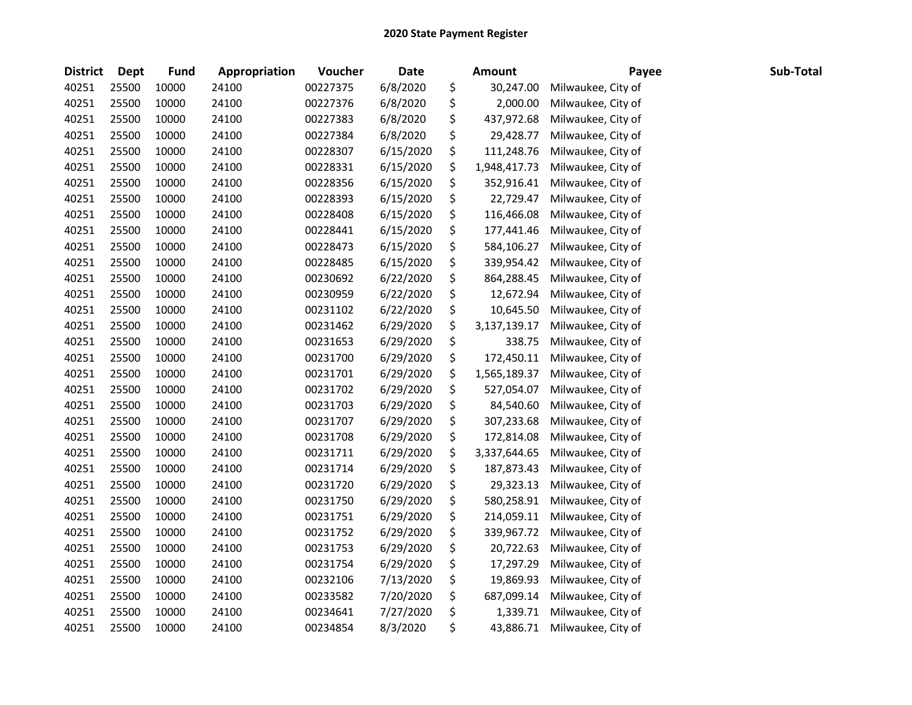| <b>District</b> | <b>Dept</b> | <b>Fund</b> | Appropriation | Voucher  | <b>Date</b> | <b>Amount</b>      | Payee              | Sub-Total |
|-----------------|-------------|-------------|---------------|----------|-------------|--------------------|--------------------|-----------|
| 40251           | 25500       | 10000       | 24100         | 00227375 | 6/8/2020    | \$<br>30,247.00    | Milwaukee, City of |           |
| 40251           | 25500       | 10000       | 24100         | 00227376 | 6/8/2020    | \$<br>2,000.00     | Milwaukee, City of |           |
| 40251           | 25500       | 10000       | 24100         | 00227383 | 6/8/2020    | \$<br>437,972.68   | Milwaukee, City of |           |
| 40251           | 25500       | 10000       | 24100         | 00227384 | 6/8/2020    | \$<br>29,428.77    | Milwaukee, City of |           |
| 40251           | 25500       | 10000       | 24100         | 00228307 | 6/15/2020   | \$<br>111,248.76   | Milwaukee, City of |           |
| 40251           | 25500       | 10000       | 24100         | 00228331 | 6/15/2020   | \$<br>1,948,417.73 | Milwaukee, City of |           |
| 40251           | 25500       | 10000       | 24100         | 00228356 | 6/15/2020   | \$<br>352,916.41   | Milwaukee, City of |           |
| 40251           | 25500       | 10000       | 24100         | 00228393 | 6/15/2020   | \$<br>22,729.47    | Milwaukee, City of |           |
| 40251           | 25500       | 10000       | 24100         | 00228408 | 6/15/2020   | \$<br>116,466.08   | Milwaukee, City of |           |
| 40251           | 25500       | 10000       | 24100         | 00228441 | 6/15/2020   | \$<br>177,441.46   | Milwaukee, City of |           |
| 40251           | 25500       | 10000       | 24100         | 00228473 | 6/15/2020   | \$<br>584,106.27   | Milwaukee, City of |           |
| 40251           | 25500       | 10000       | 24100         | 00228485 | 6/15/2020   | \$<br>339,954.42   | Milwaukee, City of |           |
| 40251           | 25500       | 10000       | 24100         | 00230692 | 6/22/2020   | \$<br>864,288.45   | Milwaukee, City of |           |
| 40251           | 25500       | 10000       | 24100         | 00230959 | 6/22/2020   | \$<br>12,672.94    | Milwaukee, City of |           |
| 40251           | 25500       | 10000       | 24100         | 00231102 | 6/22/2020   | \$<br>10,645.50    | Milwaukee, City of |           |
| 40251           | 25500       | 10000       | 24100         | 00231462 | 6/29/2020   | \$<br>3,137,139.17 | Milwaukee, City of |           |
| 40251           | 25500       | 10000       | 24100         | 00231653 | 6/29/2020   | \$<br>338.75       | Milwaukee, City of |           |
| 40251           | 25500       | 10000       | 24100         | 00231700 | 6/29/2020   | \$<br>172,450.11   | Milwaukee, City of |           |
| 40251           | 25500       | 10000       | 24100         | 00231701 | 6/29/2020   | \$<br>1,565,189.37 | Milwaukee, City of |           |
| 40251           | 25500       | 10000       | 24100         | 00231702 | 6/29/2020   | \$<br>527,054.07   | Milwaukee, City of |           |
| 40251           | 25500       | 10000       | 24100         | 00231703 | 6/29/2020   | \$<br>84,540.60    | Milwaukee, City of |           |
| 40251           | 25500       | 10000       | 24100         | 00231707 | 6/29/2020   | \$<br>307,233.68   | Milwaukee, City of |           |
| 40251           | 25500       | 10000       | 24100         | 00231708 | 6/29/2020   | \$<br>172,814.08   | Milwaukee, City of |           |
| 40251           | 25500       | 10000       | 24100         | 00231711 | 6/29/2020   | \$<br>3,337,644.65 | Milwaukee, City of |           |
| 40251           | 25500       | 10000       | 24100         | 00231714 | 6/29/2020   | \$<br>187,873.43   | Milwaukee, City of |           |
| 40251           | 25500       | 10000       | 24100         | 00231720 | 6/29/2020   | \$<br>29,323.13    | Milwaukee, City of |           |
| 40251           | 25500       | 10000       | 24100         | 00231750 | 6/29/2020   | \$<br>580,258.91   | Milwaukee, City of |           |
| 40251           | 25500       | 10000       | 24100         | 00231751 | 6/29/2020   | \$<br>214,059.11   | Milwaukee, City of |           |
| 40251           | 25500       | 10000       | 24100         | 00231752 | 6/29/2020   | \$<br>339,967.72   | Milwaukee, City of |           |
| 40251           | 25500       | 10000       | 24100         | 00231753 | 6/29/2020   | \$<br>20,722.63    | Milwaukee, City of |           |
| 40251           | 25500       | 10000       | 24100         | 00231754 | 6/29/2020   | \$<br>17,297.29    | Milwaukee, City of |           |
| 40251           | 25500       | 10000       | 24100         | 00232106 | 7/13/2020   | \$<br>19,869.93    | Milwaukee, City of |           |
| 40251           | 25500       | 10000       | 24100         | 00233582 | 7/20/2020   | \$<br>687,099.14   | Milwaukee, City of |           |
| 40251           | 25500       | 10000       | 24100         | 00234641 | 7/27/2020   | \$<br>1,339.71     | Milwaukee, City of |           |
| 40251           | 25500       | 10000       | 24100         | 00234854 | 8/3/2020    | \$<br>43,886.71    | Milwaukee, City of |           |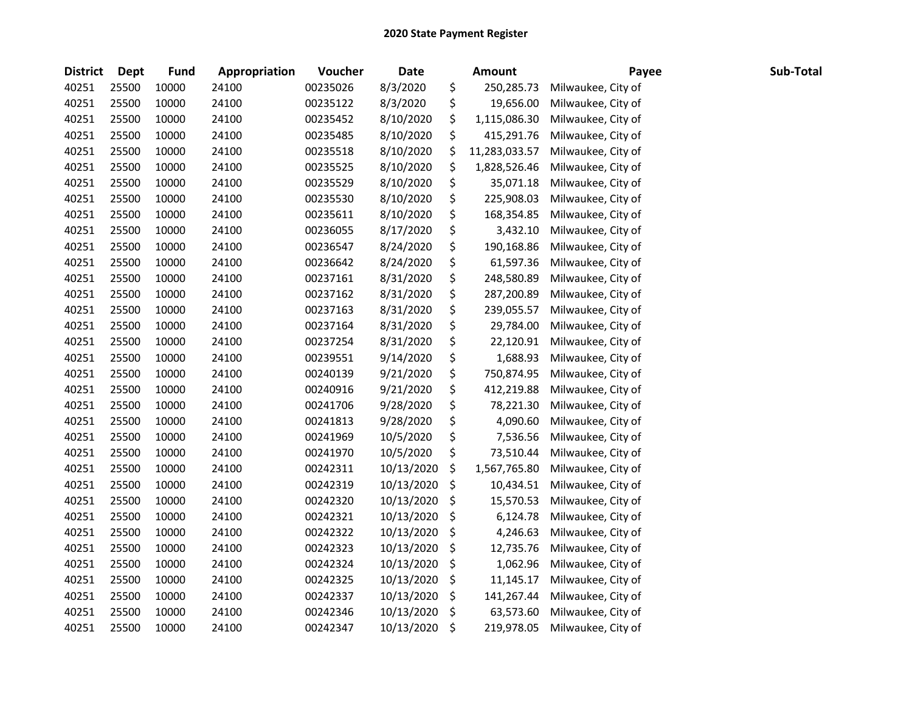| <b>District</b> | Dept  | <b>Fund</b> | Appropriation | Voucher  | <b>Date</b> | <b>Amount</b>       | Payee              | Sub-Total |
|-----------------|-------|-------------|---------------|----------|-------------|---------------------|--------------------|-----------|
| 40251           | 25500 | 10000       | 24100         | 00235026 | 8/3/2020    | \$<br>250,285.73    | Milwaukee, City of |           |
| 40251           | 25500 | 10000       | 24100         | 00235122 | 8/3/2020    | \$<br>19,656.00     | Milwaukee, City of |           |
| 40251           | 25500 | 10000       | 24100         | 00235452 | 8/10/2020   | \$<br>1,115,086.30  | Milwaukee, City of |           |
| 40251           | 25500 | 10000       | 24100         | 00235485 | 8/10/2020   | \$<br>415,291.76    | Milwaukee, City of |           |
| 40251           | 25500 | 10000       | 24100         | 00235518 | 8/10/2020   | \$<br>11,283,033.57 | Milwaukee, City of |           |
| 40251           | 25500 | 10000       | 24100         | 00235525 | 8/10/2020   | \$<br>1,828,526.46  | Milwaukee, City of |           |
| 40251           | 25500 | 10000       | 24100         | 00235529 | 8/10/2020   | \$<br>35,071.18     | Milwaukee, City of |           |
| 40251           | 25500 | 10000       | 24100         | 00235530 | 8/10/2020   | \$<br>225,908.03    | Milwaukee, City of |           |
| 40251           | 25500 | 10000       | 24100         | 00235611 | 8/10/2020   | \$<br>168,354.85    | Milwaukee, City of |           |
| 40251           | 25500 | 10000       | 24100         | 00236055 | 8/17/2020   | \$<br>3,432.10      | Milwaukee, City of |           |
| 40251           | 25500 | 10000       | 24100         | 00236547 | 8/24/2020   | \$<br>190,168.86    | Milwaukee, City of |           |
| 40251           | 25500 | 10000       | 24100         | 00236642 | 8/24/2020   | \$<br>61,597.36     | Milwaukee, City of |           |
| 40251           | 25500 | 10000       | 24100         | 00237161 | 8/31/2020   | \$<br>248,580.89    | Milwaukee, City of |           |
| 40251           | 25500 | 10000       | 24100         | 00237162 | 8/31/2020   | \$<br>287,200.89    | Milwaukee, City of |           |
| 40251           | 25500 | 10000       | 24100         | 00237163 | 8/31/2020   | \$<br>239,055.57    | Milwaukee, City of |           |
| 40251           | 25500 | 10000       | 24100         | 00237164 | 8/31/2020   | \$<br>29,784.00     | Milwaukee, City of |           |
| 40251           | 25500 | 10000       | 24100         | 00237254 | 8/31/2020   | \$<br>22,120.91     | Milwaukee, City of |           |
| 40251           | 25500 | 10000       | 24100         | 00239551 | 9/14/2020   | \$<br>1,688.93      | Milwaukee, City of |           |
| 40251           | 25500 | 10000       | 24100         | 00240139 | 9/21/2020   | \$<br>750,874.95    | Milwaukee, City of |           |
| 40251           | 25500 | 10000       | 24100         | 00240916 | 9/21/2020   | \$<br>412,219.88    | Milwaukee, City of |           |
| 40251           | 25500 | 10000       | 24100         | 00241706 | 9/28/2020   | \$<br>78,221.30     | Milwaukee, City of |           |
| 40251           | 25500 | 10000       | 24100         | 00241813 | 9/28/2020   | \$<br>4,090.60      | Milwaukee, City of |           |
| 40251           | 25500 | 10000       | 24100         | 00241969 | 10/5/2020   | \$<br>7,536.56      | Milwaukee, City of |           |
| 40251           | 25500 | 10000       | 24100         | 00241970 | 10/5/2020   | \$<br>73,510.44     | Milwaukee, City of |           |
| 40251           | 25500 | 10000       | 24100         | 00242311 | 10/13/2020  | \$<br>1,567,765.80  | Milwaukee, City of |           |
| 40251           | 25500 | 10000       | 24100         | 00242319 | 10/13/2020  | \$<br>10,434.51     | Milwaukee, City of |           |
| 40251           | 25500 | 10000       | 24100         | 00242320 | 10/13/2020  | \$<br>15,570.53     | Milwaukee, City of |           |
| 40251           | 25500 | 10000       | 24100         | 00242321 | 10/13/2020  | \$<br>6,124.78      | Milwaukee, City of |           |
| 40251           | 25500 | 10000       | 24100         | 00242322 | 10/13/2020  | \$<br>4,246.63      | Milwaukee, City of |           |
| 40251           | 25500 | 10000       | 24100         | 00242323 | 10/13/2020  | \$<br>12,735.76     | Milwaukee, City of |           |
| 40251           | 25500 | 10000       | 24100         | 00242324 | 10/13/2020  | \$<br>1,062.96      | Milwaukee, City of |           |
| 40251           | 25500 | 10000       | 24100         | 00242325 | 10/13/2020  | \$<br>11,145.17     | Milwaukee, City of |           |
| 40251           | 25500 | 10000       | 24100         | 00242337 | 10/13/2020  | \$<br>141,267.44    | Milwaukee, City of |           |
| 40251           | 25500 | 10000       | 24100         | 00242346 | 10/13/2020  | \$<br>63,573.60     | Milwaukee, City of |           |
| 40251           | 25500 | 10000       | 24100         | 00242347 | 10/13/2020  | \$<br>219,978.05    | Milwaukee, City of |           |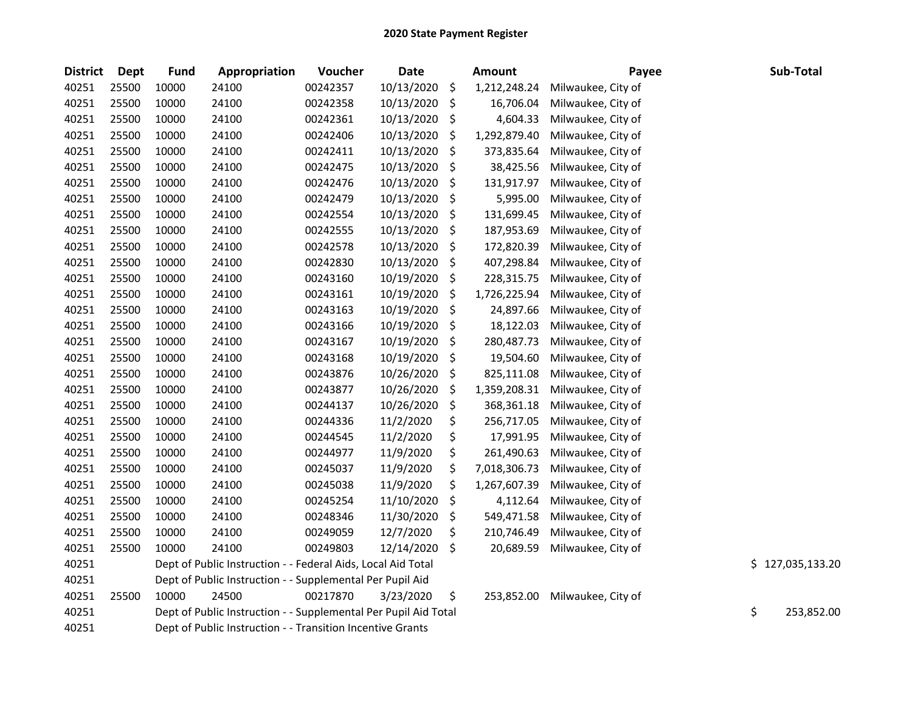| <b>District</b> | <b>Dept</b> | <b>Fund</b> | Appropriation                                                   | Voucher  | <b>Date</b> |                    | <b>Amount</b> | Payee              | Sub-Total        |
|-----------------|-------------|-------------|-----------------------------------------------------------------|----------|-------------|--------------------|---------------|--------------------|------------------|
| 40251           | 25500       | 10000       | 24100                                                           | 00242357 | 10/13/2020  | \$                 | 1,212,248.24  | Milwaukee, City of |                  |
| 40251           | 25500       | 10000       | 24100                                                           | 00242358 | 10/13/2020  | \$                 | 16,706.04     | Milwaukee, City of |                  |
| 40251           | 25500       | 10000       | 24100                                                           | 00242361 | 10/13/2020  | $\zeta$            | 4,604.33      | Milwaukee, City of |                  |
| 40251           | 25500       | 10000       | 24100                                                           | 00242406 | 10/13/2020  | \$                 | 1,292,879.40  | Milwaukee, City of |                  |
| 40251           | 25500       | 10000       | 24100                                                           | 00242411 | 10/13/2020  | $\ddot{\varsigma}$ | 373,835.64    | Milwaukee, City of |                  |
| 40251           | 25500       | 10000       | 24100                                                           | 00242475 | 10/13/2020  | \$                 | 38,425.56     | Milwaukee, City of |                  |
| 40251           | 25500       | 10000       | 24100                                                           | 00242476 | 10/13/2020  | \$                 | 131,917.97    | Milwaukee, City of |                  |
| 40251           | 25500       | 10000       | 24100                                                           | 00242479 | 10/13/2020  | \$                 | 5,995.00      | Milwaukee, City of |                  |
| 40251           | 25500       | 10000       | 24100                                                           | 00242554 | 10/13/2020  | \$                 | 131,699.45    | Milwaukee, City of |                  |
| 40251           | 25500       | 10000       | 24100                                                           | 00242555 | 10/13/2020  | \$                 | 187,953.69    | Milwaukee, City of |                  |
| 40251           | 25500       | 10000       | 24100                                                           | 00242578 | 10/13/2020  | \$                 | 172,820.39    | Milwaukee, City of |                  |
| 40251           | 25500       | 10000       | 24100                                                           | 00242830 | 10/13/2020  | \$                 | 407,298.84    | Milwaukee, City of |                  |
| 40251           | 25500       | 10000       | 24100                                                           | 00243160 | 10/19/2020  | \$                 | 228,315.75    | Milwaukee, City of |                  |
| 40251           | 25500       | 10000       | 24100                                                           | 00243161 | 10/19/2020  | \$                 | 1,726,225.94  | Milwaukee, City of |                  |
| 40251           | 25500       | 10000       | 24100                                                           | 00243163 | 10/19/2020  | \$                 | 24,897.66     | Milwaukee, City of |                  |
| 40251           | 25500       | 10000       | 24100                                                           | 00243166 | 10/19/2020  | \$                 | 18,122.03     | Milwaukee, City of |                  |
| 40251           | 25500       | 10000       | 24100                                                           | 00243167 | 10/19/2020  | $\zeta$            | 280,487.73    | Milwaukee, City of |                  |
| 40251           | 25500       | 10000       | 24100                                                           | 00243168 | 10/19/2020  | \$                 | 19,504.60     | Milwaukee, City of |                  |
| 40251           | 25500       | 10000       | 24100                                                           | 00243876 | 10/26/2020  | \$                 | 825,111.08    | Milwaukee, City of |                  |
| 40251           | 25500       | 10000       | 24100                                                           | 00243877 | 10/26/2020  | \$                 | 1,359,208.31  | Milwaukee, City of |                  |
| 40251           | 25500       | 10000       | 24100                                                           | 00244137 | 10/26/2020  | \$                 | 368,361.18    | Milwaukee, City of |                  |
| 40251           | 25500       | 10000       | 24100                                                           | 00244336 | 11/2/2020   | \$                 | 256,717.05    | Milwaukee, City of |                  |
| 40251           | 25500       | 10000       | 24100                                                           | 00244545 | 11/2/2020   | \$                 | 17,991.95     | Milwaukee, City of |                  |
| 40251           | 25500       | 10000       | 24100                                                           | 00244977 | 11/9/2020   | \$                 | 261,490.63    | Milwaukee, City of |                  |
| 40251           | 25500       | 10000       | 24100                                                           | 00245037 | 11/9/2020   | \$                 | 7,018,306.73  | Milwaukee, City of |                  |
| 40251           | 25500       | 10000       | 24100                                                           | 00245038 | 11/9/2020   | \$                 | 1,267,607.39  | Milwaukee, City of |                  |
| 40251           | 25500       | 10000       | 24100                                                           | 00245254 | 11/10/2020  | \$                 | 4,112.64      | Milwaukee, City of |                  |
| 40251           | 25500       | 10000       | 24100                                                           | 00248346 | 11/30/2020  | \$                 | 549,471.58    | Milwaukee, City of |                  |
| 40251           | 25500       | 10000       | 24100                                                           | 00249059 | 12/7/2020   | \$                 | 210,746.49    | Milwaukee, City of |                  |
| 40251           | 25500       | 10000       | 24100                                                           | 00249803 | 12/14/2020  | \$                 | 20,689.59     | Milwaukee, City of |                  |
| 40251           |             |             | Dept of Public Instruction - - Federal Aids, Local Aid Total    |          |             |                    |               |                    | \$127,035,133.20 |
| 40251           |             |             | Dept of Public Instruction - - Supplemental Per Pupil Aid       |          |             |                    |               |                    |                  |
| 40251           | 25500       | 10000       | 24500                                                           | 00217870 | 3/23/2020   | \$                 | 253,852.00    | Milwaukee, City of |                  |
| 40251           |             |             | Dept of Public Instruction - - Supplemental Per Pupil Aid Total |          |             |                    |               |                    | \$<br>253,852.00 |
| 40251           |             |             | Dept of Public Instruction - - Transition Incentive Grants      |          |             |                    |               |                    |                  |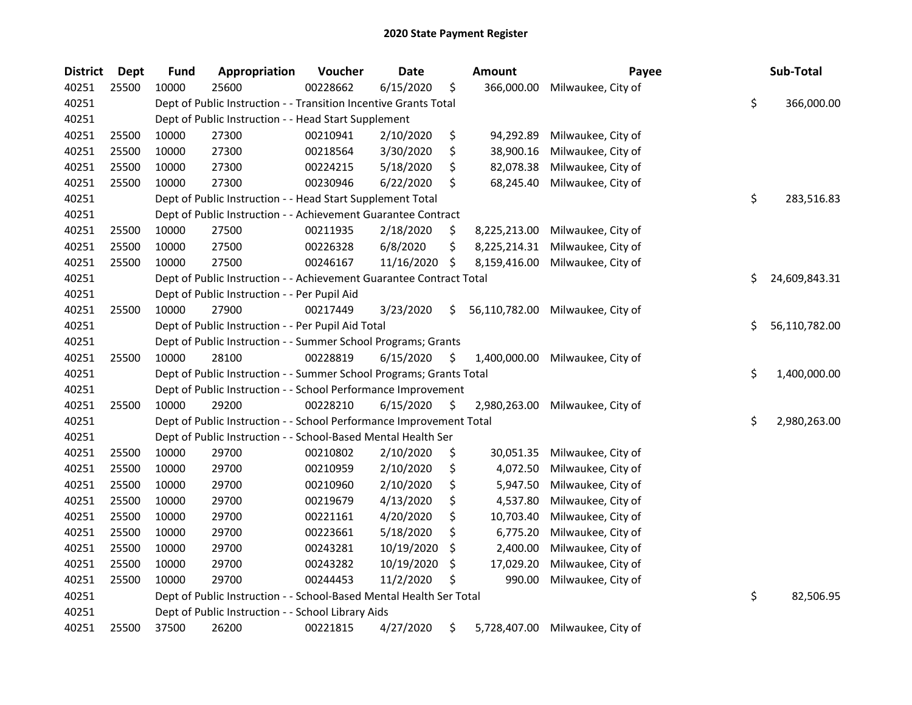| <b>District</b> | Dept  | <b>Fund</b> | <b>Appropriation</b>                                                | Voucher  | <b>Date</b> | <b>Amount</b>       | Payee              | Sub-Total           |
|-----------------|-------|-------------|---------------------------------------------------------------------|----------|-------------|---------------------|--------------------|---------------------|
| 40251           | 25500 | 10000       | 25600                                                               | 00228662 | 6/15/2020   | \$<br>366,000.00    | Milwaukee, City of |                     |
| 40251           |       |             | Dept of Public Instruction - - Transition Incentive Grants Total    |          |             |                     |                    | \$<br>366,000.00    |
| 40251           |       |             | Dept of Public Instruction - - Head Start Supplement                |          |             |                     |                    |                     |
| 40251           | 25500 | 10000       | 27300                                                               | 00210941 | 2/10/2020   | \$<br>94,292.89     | Milwaukee, City of |                     |
| 40251           | 25500 | 10000       | 27300                                                               | 00218564 | 3/30/2020   | \$<br>38,900.16     | Milwaukee, City of |                     |
| 40251           | 25500 | 10000       | 27300                                                               | 00224215 | 5/18/2020   | \$<br>82,078.38     | Milwaukee, City of |                     |
| 40251           | 25500 | 10000       | 27300                                                               | 00230946 | 6/22/2020   | \$<br>68,245.40     | Milwaukee, City of |                     |
| 40251           |       |             | Dept of Public Instruction - - Head Start Supplement Total          |          |             |                     |                    | \$<br>283,516.83    |
| 40251           |       |             | Dept of Public Instruction - - Achievement Guarantee Contract       |          |             |                     |                    |                     |
| 40251           | 25500 | 10000       | 27500                                                               | 00211935 | 2/18/2020   | \$<br>8,225,213.00  | Milwaukee, City of |                     |
| 40251           | 25500 | 10000       | 27500                                                               | 00226328 | 6/8/2020    | \$<br>8,225,214.31  | Milwaukee, City of |                     |
| 40251           | 25500 | 10000       | 27500                                                               | 00246167 | 11/16/2020  | \$<br>8,159,416.00  | Milwaukee, City of |                     |
| 40251           |       |             | Dept of Public Instruction - - Achievement Guarantee Contract Total |          |             |                     |                    | \$<br>24,609,843.31 |
| 40251           |       |             | Dept of Public Instruction - - Per Pupil Aid                        |          |             |                     |                    |                     |
| 40251           | 25500 | 10000       | 27900                                                               | 00217449 | 3/23/2020   | \$<br>56,110,782.00 | Milwaukee, City of |                     |
| 40251           |       |             | Dept of Public Instruction - - Per Pupil Aid Total                  |          |             |                     |                    | \$<br>56,110,782.00 |
| 40251           |       |             | Dept of Public Instruction - - Summer School Programs; Grants       |          |             |                     |                    |                     |
| 40251           | 25500 | 10000       | 28100                                                               | 00228819 | 6/15/2020   | \$<br>1,400,000.00  | Milwaukee, City of |                     |
| 40251           |       |             | Dept of Public Instruction - - Summer School Programs; Grants Total |          |             |                     |                    | \$<br>1,400,000.00  |
| 40251           |       |             | Dept of Public Instruction - - School Performance Improvement       |          |             |                     |                    |                     |
| 40251           | 25500 | 10000       | 29200                                                               | 00228210 | 6/15/2020   | \$<br>2,980,263.00  | Milwaukee, City of |                     |
| 40251           |       |             | Dept of Public Instruction - - School Performance Improvement Total |          |             |                     |                    | \$<br>2,980,263.00  |
| 40251           |       |             | Dept of Public Instruction - - School-Based Mental Health Ser       |          |             |                     |                    |                     |
| 40251           | 25500 | 10000       | 29700                                                               | 00210802 | 2/10/2020   | \$<br>30,051.35     | Milwaukee, City of |                     |
| 40251           | 25500 | 10000       | 29700                                                               | 00210959 | 2/10/2020   | \$<br>4,072.50      | Milwaukee, City of |                     |
| 40251           | 25500 | 10000       | 29700                                                               | 00210960 | 2/10/2020   | \$<br>5,947.50      | Milwaukee, City of |                     |
| 40251           | 25500 | 10000       | 29700                                                               | 00219679 | 4/13/2020   | \$<br>4,537.80      | Milwaukee, City of |                     |
| 40251           | 25500 | 10000       | 29700                                                               | 00221161 | 4/20/2020   | \$<br>10,703.40     | Milwaukee, City of |                     |
| 40251           | 25500 | 10000       | 29700                                                               | 00223661 | 5/18/2020   | \$<br>6,775.20      | Milwaukee, City of |                     |
| 40251           | 25500 | 10000       | 29700                                                               | 00243281 | 10/19/2020  | \$<br>2,400.00      | Milwaukee, City of |                     |
| 40251           | 25500 | 10000       | 29700                                                               | 00243282 | 10/19/2020  | \$<br>17,029.20     | Milwaukee, City of |                     |
| 40251           | 25500 | 10000       | 29700                                                               | 00244453 | 11/2/2020   | \$<br>990.00        | Milwaukee, City of |                     |
| 40251           |       |             | Dept of Public Instruction - - School-Based Mental Health Ser Total |          |             |                     |                    | \$<br>82,506.95     |
| 40251           |       |             | Dept of Public Instruction - - School Library Aids                  |          |             |                     |                    |                     |
| 40251           | 25500 | 37500       | 26200                                                               | 00221815 | 4/27/2020   | \$<br>5,728,407.00  | Milwaukee, City of |                     |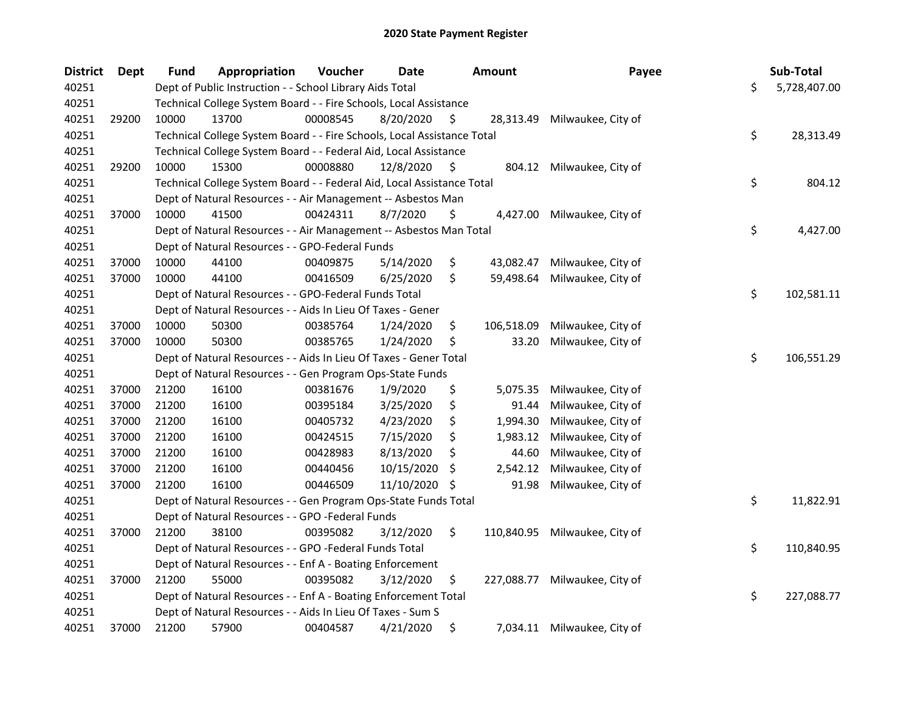| <b>District</b> | <b>Dept</b> | <b>Fund</b> | Appropriation                                                           | Voucher  | <b>Date</b> |     | <b>Amount</b> | Payee                     | Sub-Total          |
|-----------------|-------------|-------------|-------------------------------------------------------------------------|----------|-------------|-----|---------------|---------------------------|--------------------|
| 40251           |             |             | Dept of Public Instruction - - School Library Aids Total                |          |             |     |               |                           | \$<br>5,728,407.00 |
| 40251           |             |             | Technical College System Board - - Fire Schools, Local Assistance       |          |             |     |               |                           |                    |
| 40251           | 29200       | 10000       | 13700                                                                   | 00008545 | 8/20/2020   | \$  | 28,313.49     | Milwaukee, City of        |                    |
| 40251           |             |             | Technical College System Board - - Fire Schools, Local Assistance Total |          |             |     |               |                           | \$<br>28,313.49    |
| 40251           |             |             | Technical College System Board - - Federal Aid, Local Assistance        |          |             |     |               |                           |                    |
| 40251           | 29200       | 10000       | 15300                                                                   | 00008880 | 12/8/2020   | \$  |               | 804.12 Milwaukee, City of |                    |
| 40251           |             |             | Technical College System Board - - Federal Aid, Local Assistance Total  |          |             |     |               |                           | \$<br>804.12       |
| 40251           |             |             | Dept of Natural Resources - - Air Management -- Asbestos Man            |          |             |     |               |                           |                    |
| 40251           | 37000       | 10000       | 41500                                                                   | 00424311 | 8/7/2020    | \$  | 4,427.00      | Milwaukee, City of        |                    |
| 40251           |             |             | Dept of Natural Resources - - Air Management -- Asbestos Man Total      |          |             |     |               |                           | \$<br>4,427.00     |
| 40251           |             |             | Dept of Natural Resources - - GPO-Federal Funds                         |          |             |     |               |                           |                    |
| 40251           | 37000       | 10000       | 44100                                                                   | 00409875 | 5/14/2020   | \$  | 43,082.47     | Milwaukee, City of        |                    |
| 40251           | 37000       | 10000       | 44100                                                                   | 00416509 | 6/25/2020   | \$  | 59,498.64     | Milwaukee, City of        |                    |
| 40251           |             |             | Dept of Natural Resources - - GPO-Federal Funds Total                   |          |             |     |               |                           | \$<br>102,581.11   |
| 40251           |             |             | Dept of Natural Resources - - Aids In Lieu Of Taxes - Gener             |          |             |     |               |                           |                    |
| 40251           | 37000       | 10000       | 50300                                                                   | 00385764 | 1/24/2020   | \$  | 106,518.09    | Milwaukee, City of        |                    |
| 40251           | 37000       | 10000       | 50300                                                                   | 00385765 | 1/24/2020   | \$  | 33.20         | Milwaukee, City of        |                    |
| 40251           |             |             | Dept of Natural Resources - - Aids In Lieu Of Taxes - Gener Total       |          |             |     |               |                           | \$<br>106,551.29   |
| 40251           |             |             | Dept of Natural Resources - - Gen Program Ops-State Funds               |          |             |     |               |                           |                    |
| 40251           | 37000       | 21200       | 16100                                                                   | 00381676 | 1/9/2020    | \$  | 5,075.35      | Milwaukee, City of        |                    |
| 40251           | 37000       | 21200       | 16100                                                                   | 00395184 | 3/25/2020   | \$  | 91.44         | Milwaukee, City of        |                    |
| 40251           | 37000       | 21200       | 16100                                                                   | 00405732 | 4/23/2020   | \$  | 1,994.30      | Milwaukee, City of        |                    |
| 40251           | 37000       | 21200       | 16100                                                                   | 00424515 | 7/15/2020   | \$  | 1,983.12      | Milwaukee, City of        |                    |
| 40251           | 37000       | 21200       | 16100                                                                   | 00428983 | 8/13/2020   | \$  | 44.60         | Milwaukee, City of        |                    |
| 40251           | 37000       | 21200       | 16100                                                                   | 00440456 | 10/15/2020  | S   | 2,542.12      | Milwaukee, City of        |                    |
| 40251           | 37000       | 21200       | 16100                                                                   | 00446509 | 11/10/2020  | \$. | 91.98         | Milwaukee, City of        |                    |
| 40251           |             |             | Dept of Natural Resources - - Gen Program Ops-State Funds Total         |          |             |     |               |                           | \$<br>11,822.91    |
| 40251           |             |             | Dept of Natural Resources - - GPO -Federal Funds                        |          |             |     |               |                           |                    |
| 40251           | 37000       | 21200       | 38100                                                                   | 00395082 | 3/12/2020   | \$  | 110,840.95    | Milwaukee, City of        |                    |
| 40251           |             |             | Dept of Natural Resources - - GPO -Federal Funds Total                  |          |             |     |               |                           | \$<br>110,840.95   |
| 40251           |             |             | Dept of Natural Resources - - Enf A - Boating Enforcement               |          |             |     |               |                           |                    |
| 40251           | 37000       | 21200       | 55000                                                                   | 00395082 | 3/12/2020   | \$  | 227,088.77    | Milwaukee, City of        |                    |
| 40251           |             |             | Dept of Natural Resources - - Enf A - Boating Enforcement Total         |          |             |     |               |                           | \$<br>227,088.77   |
| 40251           |             |             | Dept of Natural Resources - - Aids In Lieu Of Taxes - Sum S             |          |             |     |               |                           |                    |
| 40251           | 37000       | 21200       | 57900                                                                   | 00404587 | 4/21/2020   | \$  | 7,034.11      | Milwaukee, City of        |                    |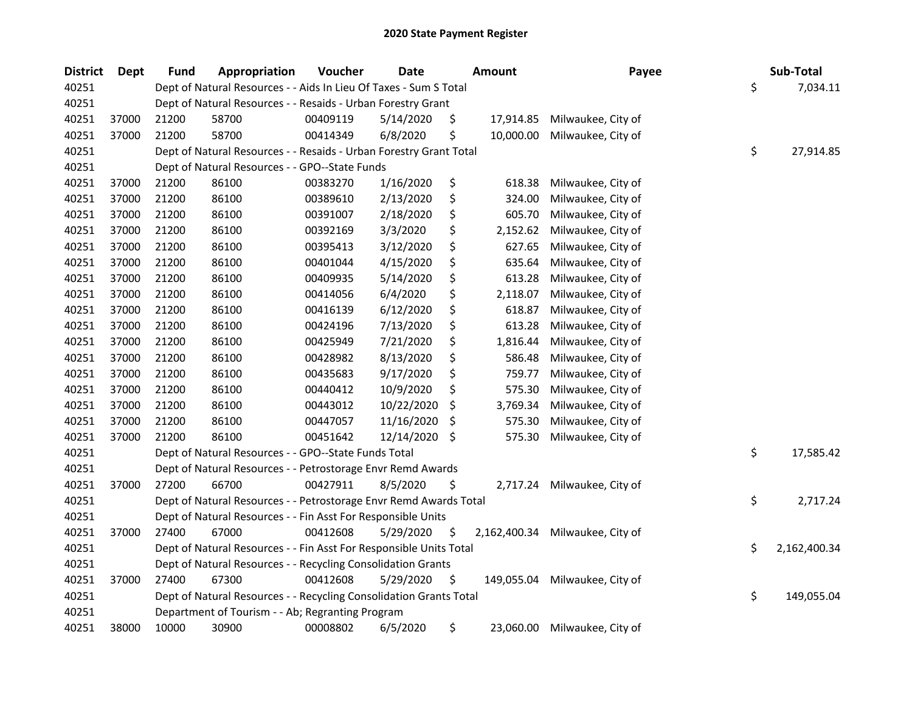| <b>District</b> | Dept  | <b>Fund</b> | Appropriation                                                      | Voucher  | <b>Date</b> |     | Amount       | Payee              | Sub-Total          |
|-----------------|-------|-------------|--------------------------------------------------------------------|----------|-------------|-----|--------------|--------------------|--------------------|
| 40251           |       |             | Dept of Natural Resources - - Aids In Lieu Of Taxes - Sum S Total  |          |             |     |              |                    | \$<br>7,034.11     |
| 40251           |       |             | Dept of Natural Resources - - Resaids - Urban Forestry Grant       |          |             |     |              |                    |                    |
| 40251           | 37000 | 21200       | 58700                                                              | 00409119 | 5/14/2020   | \$. | 17,914.85    | Milwaukee, City of |                    |
| 40251           | 37000 | 21200       | 58700                                                              | 00414349 | 6/8/2020    | \$  | 10,000.00    | Milwaukee, City of |                    |
| 40251           |       |             | Dept of Natural Resources - - Resaids - Urban Forestry Grant Total |          |             |     |              |                    | \$<br>27,914.85    |
| 40251           |       |             | Dept of Natural Resources - - GPO--State Funds                     |          |             |     |              |                    |                    |
| 40251           | 37000 | 21200       | 86100                                                              | 00383270 | 1/16/2020   | \$  | 618.38       | Milwaukee, City of |                    |
| 40251           | 37000 | 21200       | 86100                                                              | 00389610 | 2/13/2020   | \$  | 324.00       | Milwaukee, City of |                    |
| 40251           | 37000 | 21200       | 86100                                                              | 00391007 | 2/18/2020   | \$  | 605.70       | Milwaukee, City of |                    |
| 40251           | 37000 | 21200       | 86100                                                              | 00392169 | 3/3/2020    | \$  | 2,152.62     | Milwaukee, City of |                    |
| 40251           | 37000 | 21200       | 86100                                                              | 00395413 | 3/12/2020   | \$  | 627.65       | Milwaukee, City of |                    |
| 40251           | 37000 | 21200       | 86100                                                              | 00401044 | 4/15/2020   | \$  | 635.64       | Milwaukee, City of |                    |
| 40251           | 37000 | 21200       | 86100                                                              | 00409935 | 5/14/2020   | \$  | 613.28       | Milwaukee, City of |                    |
| 40251           | 37000 | 21200       | 86100                                                              | 00414056 | 6/4/2020    | \$  | 2,118.07     | Milwaukee, City of |                    |
| 40251           | 37000 | 21200       | 86100                                                              | 00416139 | 6/12/2020   | \$  | 618.87       | Milwaukee, City of |                    |
| 40251           | 37000 | 21200       | 86100                                                              | 00424196 | 7/13/2020   | \$  | 613.28       | Milwaukee, City of |                    |
| 40251           | 37000 | 21200       | 86100                                                              | 00425949 | 7/21/2020   | \$  | 1,816.44     | Milwaukee, City of |                    |
| 40251           | 37000 | 21200       | 86100                                                              | 00428982 | 8/13/2020   | \$  | 586.48       | Milwaukee, City of |                    |
| 40251           | 37000 | 21200       | 86100                                                              | 00435683 | 9/17/2020   | \$  | 759.77       | Milwaukee, City of |                    |
| 40251           | 37000 | 21200       | 86100                                                              | 00440412 | 10/9/2020   | \$  | 575.30       | Milwaukee, City of |                    |
| 40251           | 37000 | 21200       | 86100                                                              | 00443012 | 10/22/2020  | \$  | 3,769.34     | Milwaukee, City of |                    |
| 40251           | 37000 | 21200       | 86100                                                              | 00447057 | 11/16/2020  | \$  | 575.30       | Milwaukee, City of |                    |
| 40251           | 37000 | 21200       | 86100                                                              | 00451642 | 12/14/2020  | -\$ | 575.30       | Milwaukee, City of |                    |
| 40251           |       |             | Dept of Natural Resources - - GPO--State Funds Total               |          |             |     |              |                    | \$<br>17,585.42    |
| 40251           |       |             | Dept of Natural Resources - - Petrostorage Envr Remd Awards        |          |             |     |              |                    |                    |
| 40251           | 37000 | 27200       | 66700                                                              | 00427911 | 8/5/2020    | \$  | 2,717.24     | Milwaukee, City of |                    |
| 40251           |       |             | Dept of Natural Resources - - Petrostorage Envr Remd Awards Total  |          |             |     |              |                    | \$<br>2,717.24     |
| 40251           |       |             | Dept of Natural Resources - - Fin Asst For Responsible Units       |          |             |     |              |                    |                    |
| 40251           | 37000 | 27400       | 67000                                                              | 00412608 | 5/29/2020   | \$  | 2,162,400.34 | Milwaukee, City of |                    |
| 40251           |       |             | Dept of Natural Resources - - Fin Asst For Responsible Units Total |          |             |     |              |                    | \$<br>2,162,400.34 |
| 40251           |       |             | Dept of Natural Resources - - Recycling Consolidation Grants       |          |             |     |              |                    |                    |
| 40251           | 37000 | 27400       | 67300                                                              | 00412608 | 5/29/2020   | \$  | 149,055.04   | Milwaukee, City of |                    |
| 40251           |       |             | Dept of Natural Resources - - Recycling Consolidation Grants Total |          |             |     |              |                    | \$<br>149,055.04   |
| 40251           |       |             | Department of Tourism - - Ab; Regranting Program                   |          |             |     |              |                    |                    |
| 40251           | 38000 | 10000       | 30900                                                              | 00008802 | 6/5/2020    | \$  | 23,060.00    | Milwaukee, City of |                    |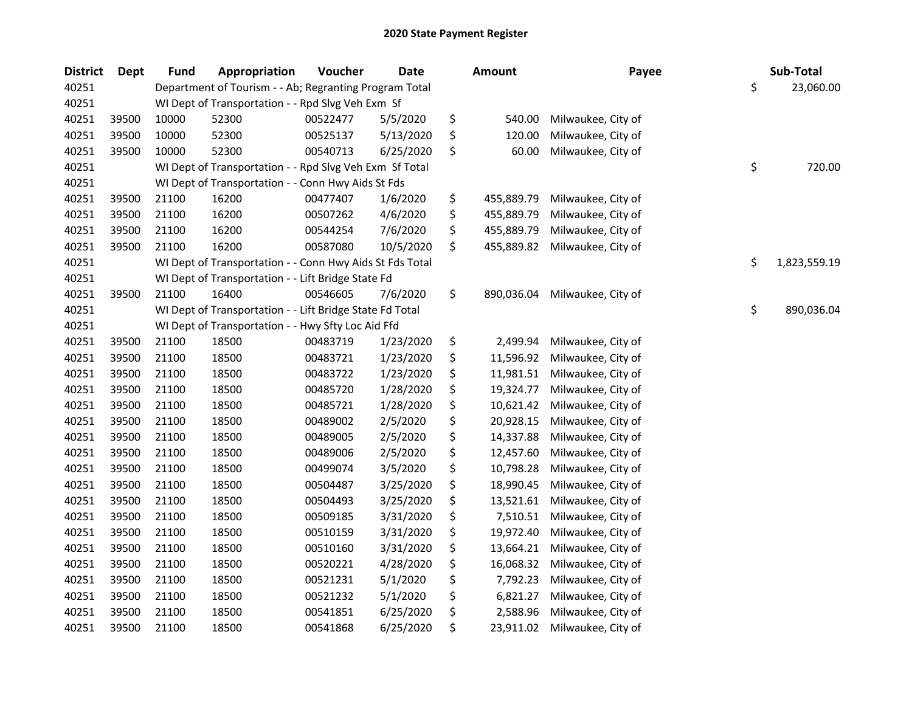| <b>District</b> | Dept  | <b>Fund</b> | Appropriation                                            | Voucher  | <b>Date</b> | Amount           | Payee              | Sub-Total          |
|-----------------|-------|-------------|----------------------------------------------------------|----------|-------------|------------------|--------------------|--------------------|
| 40251           |       |             | Department of Tourism - - Ab; Regranting Program Total   |          |             |                  |                    | \$<br>23,060.00    |
| 40251           |       |             | WI Dept of Transportation - - Rpd Slvg Veh Exm Sf        |          |             |                  |                    |                    |
| 40251           | 39500 | 10000       | 52300                                                    | 00522477 | 5/5/2020    | \$<br>540.00     | Milwaukee, City of |                    |
| 40251           | 39500 | 10000       | 52300                                                    | 00525137 | 5/13/2020   | \$<br>120.00     | Milwaukee, City of |                    |
| 40251           | 39500 | 10000       | 52300                                                    | 00540713 | 6/25/2020   | \$<br>60.00      | Milwaukee, City of |                    |
| 40251           |       |             | WI Dept of Transportation - - Rpd Slvg Veh Exm Sf Total  |          |             |                  |                    | \$<br>720.00       |
| 40251           |       |             | WI Dept of Transportation - - Conn Hwy Aids St Fds       |          |             |                  |                    |                    |
| 40251           | 39500 | 21100       | 16200                                                    | 00477407 | 1/6/2020    | \$<br>455,889.79 | Milwaukee, City of |                    |
| 40251           | 39500 | 21100       | 16200                                                    | 00507262 | 4/6/2020    | \$<br>455,889.79 | Milwaukee, City of |                    |
| 40251           | 39500 | 21100       | 16200                                                    | 00544254 | 7/6/2020    | \$<br>455,889.79 | Milwaukee, City of |                    |
| 40251           | 39500 | 21100       | 16200                                                    | 00587080 | 10/5/2020   | \$<br>455,889.82 | Milwaukee, City of |                    |
| 40251           |       |             | WI Dept of Transportation - - Conn Hwy Aids St Fds Total |          |             |                  |                    | \$<br>1,823,559.19 |
| 40251           |       |             | WI Dept of Transportation - - Lift Bridge State Fd       |          |             |                  |                    |                    |
| 40251           | 39500 | 21100       | 16400                                                    | 00546605 | 7/6/2020    | \$<br>890,036.04 | Milwaukee, City of |                    |
| 40251           |       |             | WI Dept of Transportation - - Lift Bridge State Fd Total |          |             |                  |                    | \$<br>890,036.04   |
| 40251           |       |             | WI Dept of Transportation - - Hwy Sfty Loc Aid Ffd       |          |             |                  |                    |                    |
| 40251           | 39500 | 21100       | 18500                                                    | 00483719 | 1/23/2020   | \$<br>2,499.94   | Milwaukee, City of |                    |
| 40251           | 39500 | 21100       | 18500                                                    | 00483721 | 1/23/2020   | \$<br>11,596.92  | Milwaukee, City of |                    |
| 40251           | 39500 | 21100       | 18500                                                    | 00483722 | 1/23/2020   | \$<br>11,981.51  | Milwaukee, City of |                    |
| 40251           | 39500 | 21100       | 18500                                                    | 00485720 | 1/28/2020   | \$<br>19,324.77  | Milwaukee, City of |                    |
| 40251           | 39500 | 21100       | 18500                                                    | 00485721 | 1/28/2020   | \$<br>10,621.42  | Milwaukee, City of |                    |
| 40251           | 39500 | 21100       | 18500                                                    | 00489002 | 2/5/2020    | \$<br>20,928.15  | Milwaukee, City of |                    |
| 40251           | 39500 | 21100       | 18500                                                    | 00489005 | 2/5/2020    | \$<br>14,337.88  | Milwaukee, City of |                    |
| 40251           | 39500 | 21100       | 18500                                                    | 00489006 | 2/5/2020    | \$<br>12,457.60  | Milwaukee, City of |                    |
| 40251           | 39500 | 21100       | 18500                                                    | 00499074 | 3/5/2020    | \$<br>10,798.28  | Milwaukee, City of |                    |
| 40251           | 39500 | 21100       | 18500                                                    | 00504487 | 3/25/2020   | \$<br>18,990.45  | Milwaukee, City of |                    |
| 40251           | 39500 | 21100       | 18500                                                    | 00504493 | 3/25/2020   | \$<br>13,521.61  | Milwaukee, City of |                    |
| 40251           | 39500 | 21100       | 18500                                                    | 00509185 | 3/31/2020   | \$<br>7,510.51   | Milwaukee, City of |                    |
| 40251           | 39500 | 21100       | 18500                                                    | 00510159 | 3/31/2020   | \$<br>19,972.40  | Milwaukee, City of |                    |
| 40251           | 39500 | 21100       | 18500                                                    | 00510160 | 3/31/2020   | \$<br>13,664.21  | Milwaukee, City of |                    |
| 40251           | 39500 | 21100       | 18500                                                    | 00520221 | 4/28/2020   | \$<br>16,068.32  | Milwaukee, City of |                    |
| 40251           | 39500 | 21100       | 18500                                                    | 00521231 | 5/1/2020    | \$<br>7,792.23   | Milwaukee, City of |                    |
| 40251           | 39500 | 21100       | 18500                                                    | 00521232 | 5/1/2020    | \$<br>6,821.27   | Milwaukee, City of |                    |
| 40251           | 39500 | 21100       | 18500                                                    | 00541851 | 6/25/2020   | \$<br>2,588.96   | Milwaukee, City of |                    |
| 40251           | 39500 | 21100       | 18500                                                    | 00541868 | 6/25/2020   | \$<br>23,911.02  | Milwaukee, City of |                    |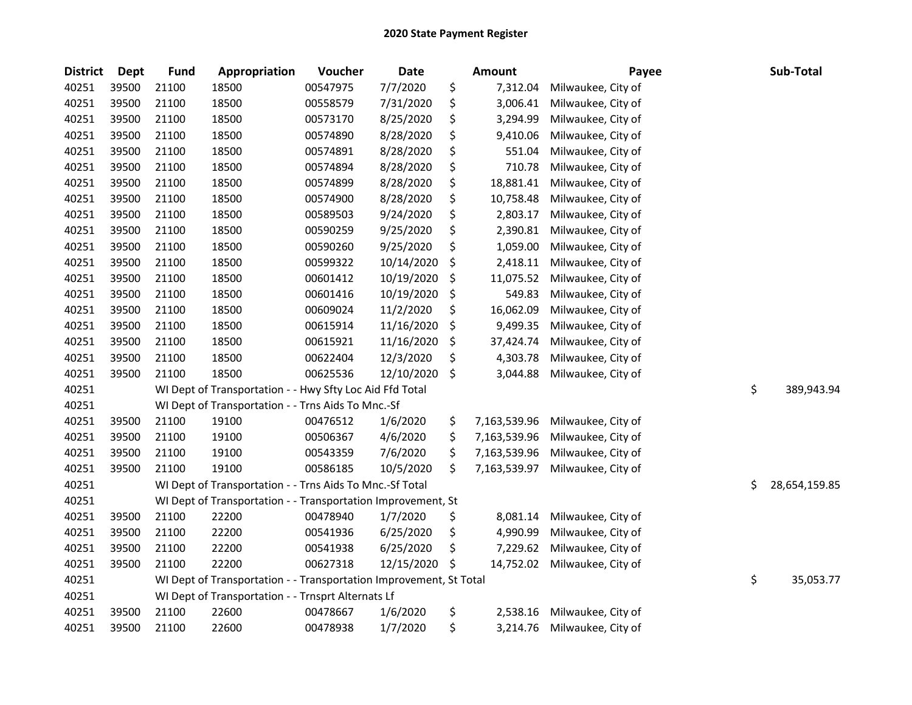| <b>District</b> | <b>Dept</b> | <b>Fund</b> | Appropriation                                                      | Voucher  | <b>Date</b> | <b>Amount</b>      | Payee              | Sub-Total           |
|-----------------|-------------|-------------|--------------------------------------------------------------------|----------|-------------|--------------------|--------------------|---------------------|
| 40251           | 39500       | 21100       | 18500                                                              | 00547975 | 7/7/2020    | \$<br>7,312.04     | Milwaukee, City of |                     |
| 40251           | 39500       | 21100       | 18500                                                              | 00558579 | 7/31/2020   | \$<br>3,006.41     | Milwaukee, City of |                     |
| 40251           | 39500       | 21100       | 18500                                                              | 00573170 | 8/25/2020   | \$<br>3,294.99     | Milwaukee, City of |                     |
| 40251           | 39500       | 21100       | 18500                                                              | 00574890 | 8/28/2020   | \$<br>9,410.06     | Milwaukee, City of |                     |
| 40251           | 39500       | 21100       | 18500                                                              | 00574891 | 8/28/2020   | \$<br>551.04       | Milwaukee, City of |                     |
| 40251           | 39500       | 21100       | 18500                                                              | 00574894 | 8/28/2020   | \$<br>710.78       | Milwaukee, City of |                     |
| 40251           | 39500       | 21100       | 18500                                                              | 00574899 | 8/28/2020   | \$<br>18,881.41    | Milwaukee, City of |                     |
| 40251           | 39500       | 21100       | 18500                                                              | 00574900 | 8/28/2020   | \$<br>10,758.48    | Milwaukee, City of |                     |
| 40251           | 39500       | 21100       | 18500                                                              | 00589503 | 9/24/2020   | \$<br>2,803.17     | Milwaukee, City of |                     |
| 40251           | 39500       | 21100       | 18500                                                              | 00590259 | 9/25/2020   | \$<br>2,390.81     | Milwaukee, City of |                     |
| 40251           | 39500       | 21100       | 18500                                                              | 00590260 | 9/25/2020   | \$<br>1,059.00     | Milwaukee, City of |                     |
| 40251           | 39500       | 21100       | 18500                                                              | 00599322 | 10/14/2020  | \$<br>2,418.11     | Milwaukee, City of |                     |
| 40251           | 39500       | 21100       | 18500                                                              | 00601412 | 10/19/2020  | \$<br>11,075.52    | Milwaukee, City of |                     |
| 40251           | 39500       | 21100       | 18500                                                              | 00601416 | 10/19/2020  | \$<br>549.83       | Milwaukee, City of |                     |
| 40251           | 39500       | 21100       | 18500                                                              | 00609024 | 11/2/2020   | \$<br>16,062.09    | Milwaukee, City of |                     |
| 40251           | 39500       | 21100       | 18500                                                              | 00615914 | 11/16/2020  | \$<br>9,499.35     | Milwaukee, City of |                     |
| 40251           | 39500       | 21100       | 18500                                                              | 00615921 | 11/16/2020  | \$<br>37,424.74    | Milwaukee, City of |                     |
| 40251           | 39500       | 21100       | 18500                                                              | 00622404 | 12/3/2020   | \$<br>4,303.78     | Milwaukee, City of |                     |
| 40251           | 39500       | 21100       | 18500                                                              | 00625536 | 12/10/2020  | \$<br>3,044.88     | Milwaukee, City of |                     |
| 40251           |             |             | WI Dept of Transportation - - Hwy Sfty Loc Aid Ffd Total           |          |             |                    |                    | \$<br>389,943.94    |
| 40251           |             |             | WI Dept of Transportation - - Trns Aids To Mnc.-Sf                 |          |             |                    |                    |                     |
| 40251           | 39500       | 21100       | 19100                                                              | 00476512 | 1/6/2020    | \$<br>7,163,539.96 | Milwaukee, City of |                     |
| 40251           | 39500       | 21100       | 19100                                                              | 00506367 | 4/6/2020    | \$<br>7,163,539.96 | Milwaukee, City of |                     |
| 40251           | 39500       | 21100       | 19100                                                              | 00543359 | 7/6/2020    | \$<br>7,163,539.96 | Milwaukee, City of |                     |
| 40251           | 39500       | 21100       | 19100                                                              | 00586185 | 10/5/2020   | \$<br>7,163,539.97 | Milwaukee, City of |                     |
| 40251           |             |             | WI Dept of Transportation - - Trns Aids To Mnc.-Sf Total           |          |             |                    |                    | \$<br>28,654,159.85 |
| 40251           |             |             | WI Dept of Transportation - - Transportation Improvement, St       |          |             |                    |                    |                     |
| 40251           | 39500       | 21100       | 22200                                                              | 00478940 | 1/7/2020    | \$<br>8,081.14     | Milwaukee, City of |                     |
| 40251           | 39500       | 21100       | 22200                                                              | 00541936 | 6/25/2020   | \$<br>4,990.99     | Milwaukee, City of |                     |
| 40251           | 39500       | 21100       | 22200                                                              | 00541938 | 6/25/2020   | \$<br>7,229.62     | Milwaukee, City of |                     |
| 40251           | 39500       | 21100       | 22200                                                              | 00627318 | 12/15/2020  | \$<br>14,752.02    | Milwaukee, City of |                     |
| 40251           |             |             | WI Dept of Transportation - - Transportation Improvement, St Total |          |             |                    |                    | \$<br>35,053.77     |
| 40251           |             |             | WI Dept of Transportation - - Trnsprt Alternats Lf                 |          |             |                    |                    |                     |
| 40251           | 39500       | 21100       | 22600                                                              | 00478667 | 1/6/2020    | \$<br>2,538.16     | Milwaukee, City of |                     |
| 40251           | 39500       | 21100       | 22600                                                              | 00478938 | 1/7/2020    | \$<br>3,214.76     | Milwaukee, City of |                     |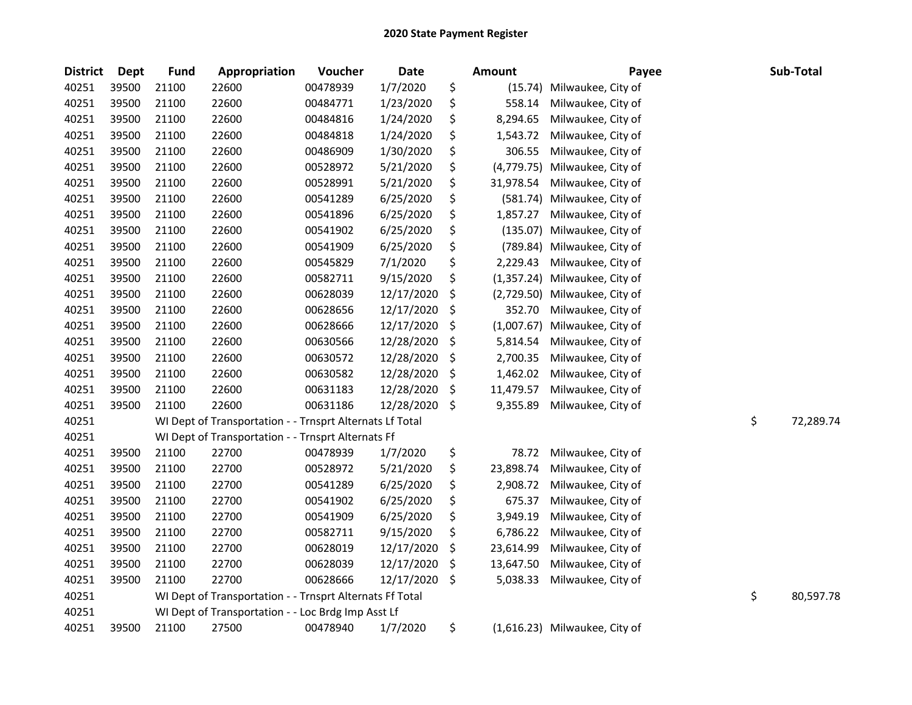| <b>District</b> | <b>Dept</b> | <b>Fund</b> | Appropriation                                            | Voucher  | <b>Date</b> | <b>Amount</b>     | Payee                         | Sub-Total       |
|-----------------|-------------|-------------|----------------------------------------------------------|----------|-------------|-------------------|-------------------------------|-----------------|
| 40251           | 39500       | 21100       | 22600                                                    | 00478939 | 1/7/2020    | \$<br>(15.74)     | Milwaukee, City of            |                 |
| 40251           | 39500       | 21100       | 22600                                                    | 00484771 | 1/23/2020   | \$<br>558.14      | Milwaukee, City of            |                 |
| 40251           | 39500       | 21100       | 22600                                                    | 00484816 | 1/24/2020   | \$<br>8,294.65    | Milwaukee, City of            |                 |
| 40251           | 39500       | 21100       | 22600                                                    | 00484818 | 1/24/2020   | \$<br>1,543.72    | Milwaukee, City of            |                 |
| 40251           | 39500       | 21100       | 22600                                                    | 00486909 | 1/30/2020   | \$<br>306.55      | Milwaukee, City of            |                 |
| 40251           | 39500       | 21100       | 22600                                                    | 00528972 | 5/21/2020   | \$<br>(4,779.75)  | Milwaukee, City of            |                 |
| 40251           | 39500       | 21100       | 22600                                                    | 00528991 | 5/21/2020   | \$<br>31,978.54   | Milwaukee, City of            |                 |
| 40251           | 39500       | 21100       | 22600                                                    | 00541289 | 6/25/2020   | \$<br>(581.74)    | Milwaukee, City of            |                 |
| 40251           | 39500       | 21100       | 22600                                                    | 00541896 | 6/25/2020   | \$<br>1,857.27    | Milwaukee, City of            |                 |
| 40251           | 39500       | 21100       | 22600                                                    | 00541902 | 6/25/2020   | \$<br>(135.07)    | Milwaukee, City of            |                 |
| 40251           | 39500       | 21100       | 22600                                                    | 00541909 | 6/25/2020   | \$<br>(789.84)    | Milwaukee, City of            |                 |
| 40251           | 39500       | 21100       | 22600                                                    | 00545829 | 7/1/2020    | \$<br>2,229.43    | Milwaukee, City of            |                 |
| 40251           | 39500       | 21100       | 22600                                                    | 00582711 | 9/15/2020   | \$<br>(1, 357.24) | Milwaukee, City of            |                 |
| 40251           | 39500       | 21100       | 22600                                                    | 00628039 | 12/17/2020  | \$<br>(2,729.50)  | Milwaukee, City of            |                 |
| 40251           | 39500       | 21100       | 22600                                                    | 00628656 | 12/17/2020  | \$<br>352.70      | Milwaukee, City of            |                 |
| 40251           | 39500       | 21100       | 22600                                                    | 00628666 | 12/17/2020  | \$<br>(1,007.67)  | Milwaukee, City of            |                 |
| 40251           | 39500       | 21100       | 22600                                                    | 00630566 | 12/28/2020  | \$<br>5,814.54    | Milwaukee, City of            |                 |
| 40251           | 39500       | 21100       | 22600                                                    | 00630572 | 12/28/2020  | \$<br>2,700.35    | Milwaukee, City of            |                 |
| 40251           | 39500       | 21100       | 22600                                                    | 00630582 | 12/28/2020  | \$<br>1,462.02    | Milwaukee, City of            |                 |
| 40251           | 39500       | 21100       | 22600                                                    | 00631183 | 12/28/2020  | \$<br>11,479.57   | Milwaukee, City of            |                 |
| 40251           | 39500       | 21100       | 22600                                                    | 00631186 | 12/28/2020  | \$<br>9,355.89    | Milwaukee, City of            |                 |
| 40251           |             |             | WI Dept of Transportation - - Trnsprt Alternats Lf Total |          |             |                   |                               | \$<br>72,289.74 |
| 40251           |             |             | WI Dept of Transportation - - Trnsprt Alternats Ff       |          |             |                   |                               |                 |
| 40251           | 39500       | 21100       | 22700                                                    | 00478939 | 1/7/2020    | \$<br>78.72       | Milwaukee, City of            |                 |
| 40251           | 39500       | 21100       | 22700                                                    | 00528972 | 5/21/2020   | \$<br>23,898.74   | Milwaukee, City of            |                 |
| 40251           | 39500       | 21100       | 22700                                                    | 00541289 | 6/25/2020   | \$<br>2,908.72    | Milwaukee, City of            |                 |
| 40251           | 39500       | 21100       | 22700                                                    | 00541902 | 6/25/2020   | \$<br>675.37      | Milwaukee, City of            |                 |
| 40251           | 39500       | 21100       | 22700                                                    | 00541909 | 6/25/2020   | \$<br>3,949.19    | Milwaukee, City of            |                 |
| 40251           | 39500       | 21100       | 22700                                                    | 00582711 | 9/15/2020   | \$<br>6,786.22    | Milwaukee, City of            |                 |
| 40251           | 39500       | 21100       | 22700                                                    | 00628019 | 12/17/2020  | \$<br>23,614.99   | Milwaukee, City of            |                 |
| 40251           | 39500       | 21100       | 22700                                                    | 00628039 | 12/17/2020  | \$<br>13,647.50   | Milwaukee, City of            |                 |
| 40251           | 39500       | 21100       | 22700                                                    | 00628666 | 12/17/2020  | \$<br>5,038.33    | Milwaukee, City of            |                 |
| 40251           |             |             | WI Dept of Transportation - - Trnsprt Alternats Ff Total |          |             |                   |                               | \$<br>80,597.78 |
| 40251           |             |             | WI Dept of Transportation - - Loc Brdg Imp Asst Lf       |          |             |                   |                               |                 |
| 40251           | 39500       | 21100       | 27500                                                    | 00478940 | 1/7/2020    | \$                | (1,616.23) Milwaukee, City of |                 |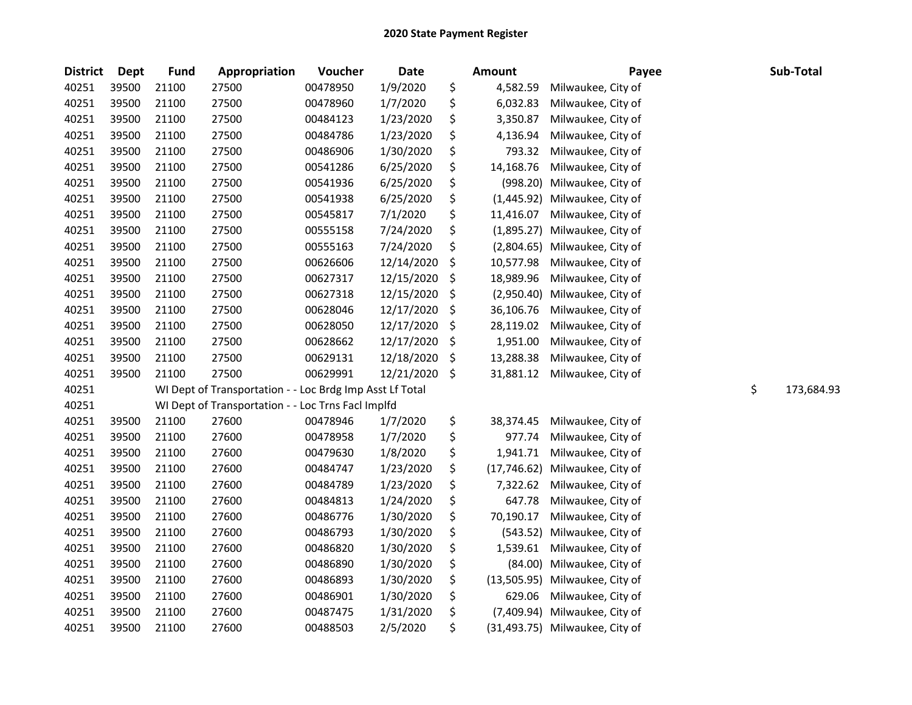| <b>District</b> | Dept  | <b>Fund</b> | Appropriation                                            | Voucher  | Date       |                    | <b>Amount</b> | Payee                          | Sub-Total        |
|-----------------|-------|-------------|----------------------------------------------------------|----------|------------|--------------------|---------------|--------------------------------|------------------|
| 40251           | 39500 | 21100       | 27500                                                    | 00478950 | 1/9/2020   | \$                 | 4,582.59      | Milwaukee, City of             |                  |
| 40251           | 39500 | 21100       | 27500                                                    | 00478960 | 1/7/2020   | \$                 | 6,032.83      | Milwaukee, City of             |                  |
| 40251           | 39500 | 21100       | 27500                                                    | 00484123 | 1/23/2020  | \$                 | 3,350.87      | Milwaukee, City of             |                  |
| 40251           | 39500 | 21100       | 27500                                                    | 00484786 | 1/23/2020  | \$                 | 4,136.94      | Milwaukee, City of             |                  |
| 40251           | 39500 | 21100       | 27500                                                    | 00486906 | 1/30/2020  | \$                 | 793.32        | Milwaukee, City of             |                  |
| 40251           | 39500 | 21100       | 27500                                                    | 00541286 | 6/25/2020  | \$                 | 14,168.76     | Milwaukee, City of             |                  |
| 40251           | 39500 | 21100       | 27500                                                    | 00541936 | 6/25/2020  | \$                 | (998.20)      | Milwaukee, City of             |                  |
| 40251           | 39500 | 21100       | 27500                                                    | 00541938 | 6/25/2020  | \$                 | (1,445.92)    | Milwaukee, City of             |                  |
| 40251           | 39500 | 21100       | 27500                                                    | 00545817 | 7/1/2020   | \$                 | 11,416.07     | Milwaukee, City of             |                  |
| 40251           | 39500 | 21100       | 27500                                                    | 00555158 | 7/24/2020  | \$                 | (1,895.27)    | Milwaukee, City of             |                  |
| 40251           | 39500 | 21100       | 27500                                                    | 00555163 | 7/24/2020  | \$                 |               | (2,804.65) Milwaukee, City of  |                  |
| 40251           | 39500 | 21100       | 27500                                                    | 00626606 | 12/14/2020 | \$                 | 10,577.98     | Milwaukee, City of             |                  |
| 40251           | 39500 | 21100       | 27500                                                    | 00627317 | 12/15/2020 | \$                 | 18,989.96     | Milwaukee, City of             |                  |
| 40251           | 39500 | 21100       | 27500                                                    | 00627318 | 12/15/2020 | \$                 | (2,950.40)    | Milwaukee, City of             |                  |
| 40251           | 39500 | 21100       | 27500                                                    | 00628046 | 12/17/2020 | \$                 | 36,106.76     | Milwaukee, City of             |                  |
| 40251           | 39500 | 21100       | 27500                                                    | 00628050 | 12/17/2020 | \$                 | 28,119.02     | Milwaukee, City of             |                  |
| 40251           | 39500 | 21100       | 27500                                                    | 00628662 | 12/17/2020 | \$                 | 1,951.00      | Milwaukee, City of             |                  |
| 40251           | 39500 | 21100       | 27500                                                    | 00629131 | 12/18/2020 | \$                 | 13,288.38     | Milwaukee, City of             |                  |
| 40251           | 39500 | 21100       | 27500                                                    | 00629991 | 12/21/2020 | $\ddot{\varsigma}$ | 31,881.12     | Milwaukee, City of             |                  |
| 40251           |       |             | WI Dept of Transportation - - Loc Brdg Imp Asst Lf Total |          |            |                    |               |                                | \$<br>173,684.93 |
| 40251           |       |             | WI Dept of Transportation - - Loc Trns Facl Implfd       |          |            |                    |               |                                |                  |
| 40251           | 39500 | 21100       | 27600                                                    | 00478946 | 1/7/2020   | \$                 | 38,374.45     | Milwaukee, City of             |                  |
| 40251           | 39500 | 21100       | 27600                                                    | 00478958 | 1/7/2020   | \$                 | 977.74        | Milwaukee, City of             |                  |
| 40251           | 39500 | 21100       | 27600                                                    | 00479630 | 1/8/2020   | \$                 | 1,941.71      | Milwaukee, City of             |                  |
| 40251           | 39500 | 21100       | 27600                                                    | 00484747 | 1/23/2020  | \$                 | (17,746.62)   | Milwaukee, City of             |                  |
| 40251           | 39500 | 21100       | 27600                                                    | 00484789 | 1/23/2020  | \$                 | 7,322.62      | Milwaukee, City of             |                  |
| 40251           | 39500 | 21100       | 27600                                                    | 00484813 | 1/24/2020  | \$                 | 647.78        | Milwaukee, City of             |                  |
| 40251           | 39500 | 21100       | 27600                                                    | 00486776 | 1/30/2020  | \$                 | 70,190.17     | Milwaukee, City of             |                  |
| 40251           | 39500 | 21100       | 27600                                                    | 00486793 | 1/30/2020  | \$                 | (543.52)      | Milwaukee, City of             |                  |
| 40251           | 39500 | 21100       | 27600                                                    | 00486820 | 1/30/2020  | \$                 | 1,539.61      | Milwaukee, City of             |                  |
| 40251           | 39500 | 21100       | 27600                                                    | 00486890 | 1/30/2020  | \$                 | (84.00)       | Milwaukee, City of             |                  |
| 40251           | 39500 | 21100       | 27600                                                    | 00486893 | 1/30/2020  | \$                 | (13,505.95)   | Milwaukee, City of             |                  |
| 40251           | 39500 | 21100       | 27600                                                    | 00486901 | 1/30/2020  | \$                 | 629.06        | Milwaukee, City of             |                  |
| 40251           | 39500 | 21100       | 27600                                                    | 00487475 | 1/31/2020  | \$                 | (7,409.94)    | Milwaukee, City of             |                  |
| 40251           | 39500 | 21100       | 27600                                                    | 00488503 | 2/5/2020   | \$                 |               | (31,493.75) Milwaukee, City of |                  |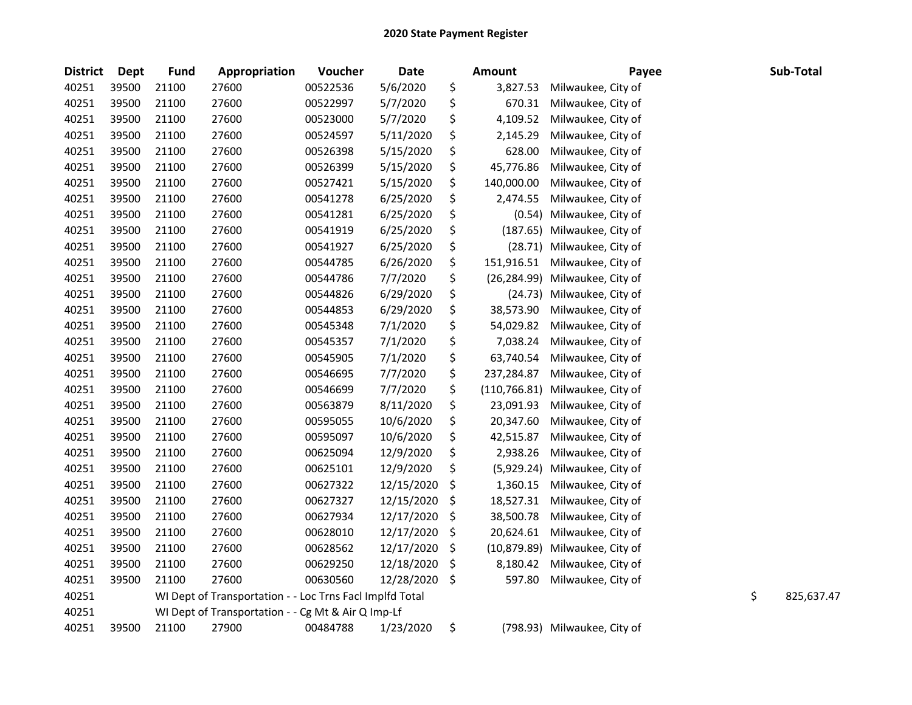| <b>District</b> | <b>Dept</b> | <b>Fund</b> | Appropriation                                            | Voucher  | <b>Date</b> | <b>Amount</b>       | Payee                      | Sub-Total        |
|-----------------|-------------|-------------|----------------------------------------------------------|----------|-------------|---------------------|----------------------------|------------------|
| 40251           | 39500       | 21100       | 27600                                                    | 00522536 | 5/6/2020    | \$<br>3,827.53      | Milwaukee, City of         |                  |
| 40251           | 39500       | 21100       | 27600                                                    | 00522997 | 5/7/2020    | \$<br>670.31        | Milwaukee, City of         |                  |
| 40251           | 39500       | 21100       | 27600                                                    | 00523000 | 5/7/2020    | \$<br>4,109.52      | Milwaukee, City of         |                  |
| 40251           | 39500       | 21100       | 27600                                                    | 00524597 | 5/11/2020   | \$<br>2,145.29      | Milwaukee, City of         |                  |
| 40251           | 39500       | 21100       | 27600                                                    | 00526398 | 5/15/2020   | \$<br>628.00        | Milwaukee, City of         |                  |
| 40251           | 39500       | 21100       | 27600                                                    | 00526399 | 5/15/2020   | \$<br>45,776.86     | Milwaukee, City of         |                  |
| 40251           | 39500       | 21100       | 27600                                                    | 00527421 | 5/15/2020   | \$<br>140,000.00    | Milwaukee, City of         |                  |
| 40251           | 39500       | 21100       | 27600                                                    | 00541278 | 6/25/2020   | \$<br>2,474.55      | Milwaukee, City of         |                  |
| 40251           | 39500       | 21100       | 27600                                                    | 00541281 | 6/25/2020   | \$                  | (0.54) Milwaukee, City of  |                  |
| 40251           | 39500       | 21100       | 27600                                                    | 00541919 | 6/25/2020   | \$<br>(187.65)      | Milwaukee, City of         |                  |
| 40251           | 39500       | 21100       | 27600                                                    | 00541927 | 6/25/2020   | \$<br>(28.71)       | Milwaukee, City of         |                  |
| 40251           | 39500       | 21100       | 27600                                                    | 00544785 | 6/26/2020   | \$<br>151,916.51    | Milwaukee, City of         |                  |
| 40251           | 39500       | 21100       | 27600                                                    | 00544786 | 7/7/2020    | \$<br>(26, 284.99)  | Milwaukee, City of         |                  |
| 40251           | 39500       | 21100       | 27600                                                    | 00544826 | 6/29/2020   | \$                  | (24.73) Milwaukee, City of |                  |
| 40251           | 39500       | 21100       | 27600                                                    | 00544853 | 6/29/2020   | \$<br>38,573.90     | Milwaukee, City of         |                  |
| 40251           | 39500       | 21100       | 27600                                                    | 00545348 | 7/1/2020    | \$<br>54,029.82     | Milwaukee, City of         |                  |
| 40251           | 39500       | 21100       | 27600                                                    | 00545357 | 7/1/2020    | \$<br>7,038.24      | Milwaukee, City of         |                  |
| 40251           | 39500       | 21100       | 27600                                                    | 00545905 | 7/1/2020    | \$<br>63,740.54     | Milwaukee, City of         |                  |
| 40251           | 39500       | 21100       | 27600                                                    | 00546695 | 7/7/2020    | \$<br>237,284.87    | Milwaukee, City of         |                  |
| 40251           | 39500       | 21100       | 27600                                                    | 00546699 | 7/7/2020    | \$<br>(110, 766.81) | Milwaukee, City of         |                  |
| 40251           | 39500       | 21100       | 27600                                                    | 00563879 | 8/11/2020   | \$<br>23,091.93     | Milwaukee, City of         |                  |
| 40251           | 39500       | 21100       | 27600                                                    | 00595055 | 10/6/2020   | \$<br>20,347.60     | Milwaukee, City of         |                  |
| 40251           | 39500       | 21100       | 27600                                                    | 00595097 | 10/6/2020   | \$<br>42,515.87     | Milwaukee, City of         |                  |
| 40251           | 39500       | 21100       | 27600                                                    | 00625094 | 12/9/2020   | \$<br>2,938.26      | Milwaukee, City of         |                  |
| 40251           | 39500       | 21100       | 27600                                                    | 00625101 | 12/9/2020   | \$<br>(5,929.24)    | Milwaukee, City of         |                  |
| 40251           | 39500       | 21100       | 27600                                                    | 00627322 | 12/15/2020  | \$<br>1,360.15      | Milwaukee, City of         |                  |
| 40251           | 39500       | 21100       | 27600                                                    | 00627327 | 12/15/2020  | \$<br>18,527.31     | Milwaukee, City of         |                  |
| 40251           | 39500       | 21100       | 27600                                                    | 00627934 | 12/17/2020  | \$<br>38,500.78     | Milwaukee, City of         |                  |
| 40251           | 39500       | 21100       | 27600                                                    | 00628010 | 12/17/2020  | \$<br>20,624.61     | Milwaukee, City of         |                  |
| 40251           | 39500       | 21100       | 27600                                                    | 00628562 | 12/17/2020  | \$<br>(10, 879.89)  | Milwaukee, City of         |                  |
| 40251           | 39500       | 21100       | 27600                                                    | 00629250 | 12/18/2020  | \$<br>8,180.42      | Milwaukee, City of         |                  |
| 40251           | 39500       | 21100       | 27600                                                    | 00630560 | 12/28/2020  | \$<br>597.80        | Milwaukee, City of         |                  |
| 40251           |             |             | WI Dept of Transportation - - Loc Trns Facl Implfd Total |          |             |                     |                            | \$<br>825,637.47 |
| 40251           |             |             | WI Dept of Transportation - - Cg Mt & Air Q Imp-Lf       |          |             |                     |                            |                  |
| 40251           | 39500       | 21100       | 27900                                                    | 00484788 | 1/23/2020   | \$<br>(798.93)      | Milwaukee, City of         |                  |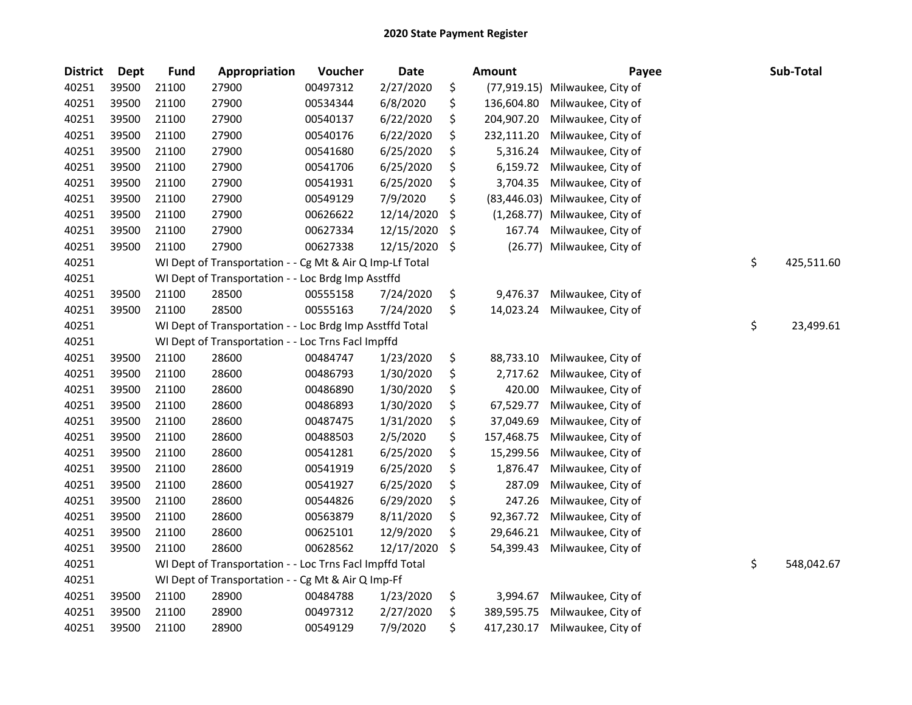| <b>District</b> | <b>Dept</b> | <b>Fund</b> | Appropriation                                            | Voucher  | <b>Date</b> | Amount             | Payee              | Sub-Total        |
|-----------------|-------------|-------------|----------------------------------------------------------|----------|-------------|--------------------|--------------------|------------------|
| 40251           | 39500       | 21100       | 27900                                                    | 00497312 | 2/27/2020   | \$<br>(77, 919.15) | Milwaukee, City of |                  |
| 40251           | 39500       | 21100       | 27900                                                    | 00534344 | 6/8/2020    | \$<br>136,604.80   | Milwaukee, City of |                  |
| 40251           | 39500       | 21100       | 27900                                                    | 00540137 | 6/22/2020   | \$<br>204,907.20   | Milwaukee, City of |                  |
| 40251           | 39500       | 21100       | 27900                                                    | 00540176 | 6/22/2020   | \$<br>232,111.20   | Milwaukee, City of |                  |
| 40251           | 39500       | 21100       | 27900                                                    | 00541680 | 6/25/2020   | \$<br>5,316.24     | Milwaukee, City of |                  |
| 40251           | 39500       | 21100       | 27900                                                    | 00541706 | 6/25/2020   | \$<br>6,159.72     | Milwaukee, City of |                  |
| 40251           | 39500       | 21100       | 27900                                                    | 00541931 | 6/25/2020   | \$<br>3,704.35     | Milwaukee, City of |                  |
| 40251           | 39500       | 21100       | 27900                                                    | 00549129 | 7/9/2020    | \$<br>(83, 446.03) | Milwaukee, City of |                  |
| 40251           | 39500       | 21100       | 27900                                                    | 00626622 | 12/14/2020  | \$<br>(1,268.77)   | Milwaukee, City of |                  |
| 40251           | 39500       | 21100       | 27900                                                    | 00627334 | 12/15/2020  | \$<br>167.74       | Milwaukee, City of |                  |
| 40251           | 39500       | 21100       | 27900                                                    | 00627338 | 12/15/2020  | \$<br>(26.77)      | Milwaukee, City of |                  |
| 40251           |             |             | WI Dept of Transportation - - Cg Mt & Air Q Imp-Lf Total |          |             |                    |                    | \$<br>425,511.60 |
| 40251           |             |             | WI Dept of Transportation - - Loc Brdg Imp Asstffd       |          |             |                    |                    |                  |
| 40251           | 39500       | 21100       | 28500                                                    | 00555158 | 7/24/2020   | \$<br>9,476.37     | Milwaukee, City of |                  |
| 40251           | 39500       | 21100       | 28500                                                    | 00555163 | 7/24/2020   | \$<br>14,023.24    | Milwaukee, City of |                  |
| 40251           |             |             | WI Dept of Transportation - - Loc Brdg Imp Asstffd Total |          |             |                    |                    | \$<br>23,499.61  |
| 40251           |             |             | WI Dept of Transportation - - Loc Trns Facl Impffd       |          |             |                    |                    |                  |
| 40251           | 39500       | 21100       | 28600                                                    | 00484747 | 1/23/2020   | \$<br>88,733.10    | Milwaukee, City of |                  |
| 40251           | 39500       | 21100       | 28600                                                    | 00486793 | 1/30/2020   | \$<br>2,717.62     | Milwaukee, City of |                  |
| 40251           | 39500       | 21100       | 28600                                                    | 00486890 | 1/30/2020   | \$<br>420.00       | Milwaukee, City of |                  |
| 40251           | 39500       | 21100       | 28600                                                    | 00486893 | 1/30/2020   | \$<br>67,529.77    | Milwaukee, City of |                  |
| 40251           | 39500       | 21100       | 28600                                                    | 00487475 | 1/31/2020   | \$<br>37,049.69    | Milwaukee, City of |                  |
| 40251           | 39500       | 21100       | 28600                                                    | 00488503 | 2/5/2020    | \$<br>157,468.75   | Milwaukee, City of |                  |
| 40251           | 39500       | 21100       | 28600                                                    | 00541281 | 6/25/2020   | \$<br>15,299.56    | Milwaukee, City of |                  |
| 40251           | 39500       | 21100       | 28600                                                    | 00541919 | 6/25/2020   | \$<br>1,876.47     | Milwaukee, City of |                  |
| 40251           | 39500       | 21100       | 28600                                                    | 00541927 | 6/25/2020   | \$<br>287.09       | Milwaukee, City of |                  |
| 40251           | 39500       | 21100       | 28600                                                    | 00544826 | 6/29/2020   | \$<br>247.26       | Milwaukee, City of |                  |
| 40251           | 39500       | 21100       | 28600                                                    | 00563879 | 8/11/2020   | \$<br>92,367.72    | Milwaukee, City of |                  |
| 40251           | 39500       | 21100       | 28600                                                    | 00625101 | 12/9/2020   | \$<br>29,646.21    | Milwaukee, City of |                  |
| 40251           | 39500       | 21100       | 28600                                                    | 00628562 | 12/17/2020  | \$<br>54,399.43    | Milwaukee, City of |                  |
| 40251           |             |             | WI Dept of Transportation - - Loc Trns Facl Impffd Total |          |             |                    |                    | \$<br>548,042.67 |
| 40251           |             |             | WI Dept of Transportation - - Cg Mt & Air Q Imp-Ff       |          |             |                    |                    |                  |
| 40251           | 39500       | 21100       | 28900                                                    | 00484788 | 1/23/2020   | \$<br>3,994.67     | Milwaukee, City of |                  |
| 40251           | 39500       | 21100       | 28900                                                    | 00497312 | 2/27/2020   | \$<br>389,595.75   | Milwaukee, City of |                  |
| 40251           | 39500       | 21100       | 28900                                                    | 00549129 | 7/9/2020    | \$<br>417,230.17   | Milwaukee, City of |                  |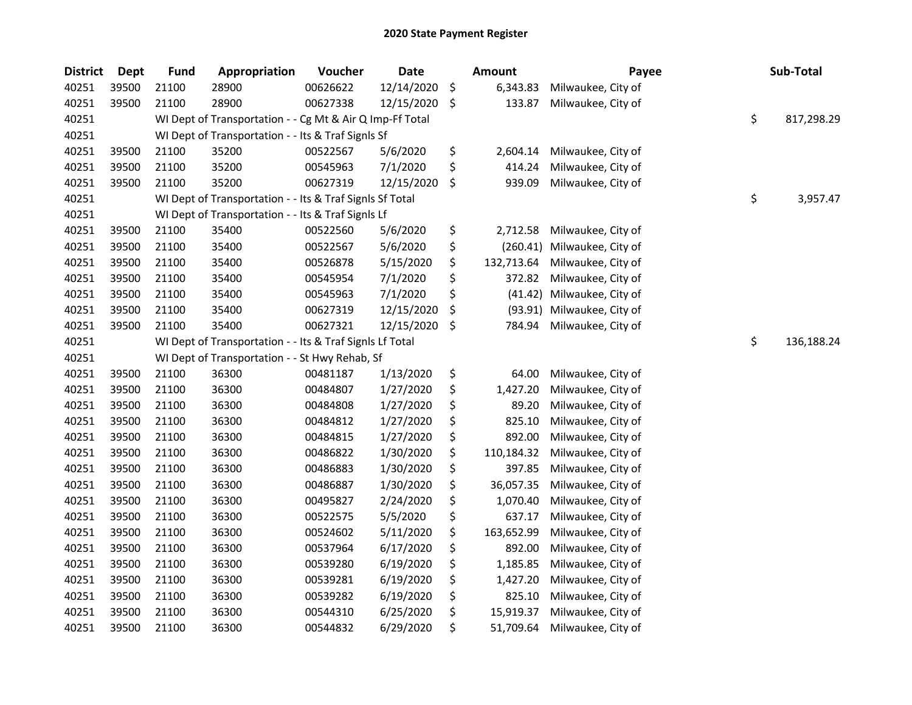| <b>District</b> | Dept  | <b>Fund</b> | Appropriation                                            | Voucher  | <b>Date</b> |     | <b>Amount</b> | Payee              | Sub-Total        |
|-----------------|-------|-------------|----------------------------------------------------------|----------|-------------|-----|---------------|--------------------|------------------|
| 40251           | 39500 | 21100       | 28900                                                    | 00626622 | 12/14/2020  | \$  | 6,343.83      | Milwaukee, City of |                  |
| 40251           | 39500 | 21100       | 28900                                                    | 00627338 | 12/15/2020  | -\$ | 133.87        | Milwaukee, City of |                  |
| 40251           |       |             | WI Dept of Transportation - - Cg Mt & Air Q Imp-Ff Total |          |             |     |               |                    | \$<br>817,298.29 |
| 40251           |       |             | WI Dept of Transportation - - Its & Traf SignIs Sf       |          |             |     |               |                    |                  |
| 40251           | 39500 | 21100       | 35200                                                    | 00522567 | 5/6/2020    | \$  | 2,604.14      | Milwaukee, City of |                  |
| 40251           | 39500 | 21100       | 35200                                                    | 00545963 | 7/1/2020    | \$  | 414.24        | Milwaukee, City of |                  |
| 40251           | 39500 | 21100       | 35200                                                    | 00627319 | 12/15/2020  | \$  | 939.09        | Milwaukee, City of |                  |
| 40251           |       |             | WI Dept of Transportation - - Its & Traf SignIs Sf Total |          |             |     |               |                    | \$<br>3,957.47   |
| 40251           |       |             | WI Dept of Transportation - - Its & Traf Signls Lf       |          |             |     |               |                    |                  |
| 40251           | 39500 | 21100       | 35400                                                    | 00522560 | 5/6/2020    | \$  | 2,712.58      | Milwaukee, City of |                  |
| 40251           | 39500 | 21100       | 35400                                                    | 00522567 | 5/6/2020    | \$  | (260.41)      | Milwaukee, City of |                  |
| 40251           | 39500 | 21100       | 35400                                                    | 00526878 | 5/15/2020   | \$  | 132,713.64    | Milwaukee, City of |                  |
| 40251           | 39500 | 21100       | 35400                                                    | 00545954 | 7/1/2020    | \$  | 372.82        | Milwaukee, City of |                  |
| 40251           | 39500 | 21100       | 35400                                                    | 00545963 | 7/1/2020    | \$  | (41.42)       | Milwaukee, City of |                  |
| 40251           | 39500 | 21100       | 35400                                                    | 00627319 | 12/15/2020  | \$  | (93.91)       | Milwaukee, City of |                  |
| 40251           | 39500 | 21100       | 35400                                                    | 00627321 | 12/15/2020  | \$  | 784.94        | Milwaukee, City of |                  |
| 40251           |       |             | WI Dept of Transportation - - Its & Traf SignIs Lf Total |          |             |     |               |                    | \$<br>136,188.24 |
| 40251           |       |             | WI Dept of Transportation - - St Hwy Rehab, Sf           |          |             |     |               |                    |                  |
| 40251           | 39500 | 21100       | 36300                                                    | 00481187 | 1/13/2020   | \$  | 64.00         | Milwaukee, City of |                  |
| 40251           | 39500 | 21100       | 36300                                                    | 00484807 | 1/27/2020   | \$  | 1,427.20      | Milwaukee, City of |                  |
| 40251           | 39500 | 21100       | 36300                                                    | 00484808 | 1/27/2020   | \$  | 89.20         | Milwaukee, City of |                  |
| 40251           | 39500 | 21100       | 36300                                                    | 00484812 | 1/27/2020   | \$  | 825.10        | Milwaukee, City of |                  |
| 40251           | 39500 | 21100       | 36300                                                    | 00484815 | 1/27/2020   | \$  | 892.00        | Milwaukee, City of |                  |
| 40251           | 39500 | 21100       | 36300                                                    | 00486822 | 1/30/2020   | \$  | 110,184.32    | Milwaukee, City of |                  |
| 40251           | 39500 | 21100       | 36300                                                    | 00486883 | 1/30/2020   | \$  | 397.85        | Milwaukee, City of |                  |
| 40251           | 39500 | 21100       | 36300                                                    | 00486887 | 1/30/2020   | \$  | 36,057.35     | Milwaukee, City of |                  |
| 40251           | 39500 | 21100       | 36300                                                    | 00495827 | 2/24/2020   | \$  | 1,070.40      | Milwaukee, City of |                  |
| 40251           | 39500 | 21100       | 36300                                                    | 00522575 | 5/5/2020    | \$  | 637.17        | Milwaukee, City of |                  |
| 40251           | 39500 | 21100       | 36300                                                    | 00524602 | 5/11/2020   | \$  | 163,652.99    | Milwaukee, City of |                  |
| 40251           | 39500 | 21100       | 36300                                                    | 00537964 | 6/17/2020   | \$  | 892.00        | Milwaukee, City of |                  |
| 40251           | 39500 | 21100       | 36300                                                    | 00539280 | 6/19/2020   | \$  | 1,185.85      | Milwaukee, City of |                  |
| 40251           | 39500 | 21100       | 36300                                                    | 00539281 | 6/19/2020   | \$  | 1,427.20      | Milwaukee, City of |                  |
| 40251           | 39500 | 21100       | 36300                                                    | 00539282 | 6/19/2020   | \$  | 825.10        | Milwaukee, City of |                  |
| 40251           | 39500 | 21100       | 36300                                                    | 00544310 | 6/25/2020   | \$  | 15,919.37     | Milwaukee, City of |                  |
| 40251           | 39500 | 21100       | 36300                                                    | 00544832 | 6/29/2020   | \$  | 51,709.64     | Milwaukee, City of |                  |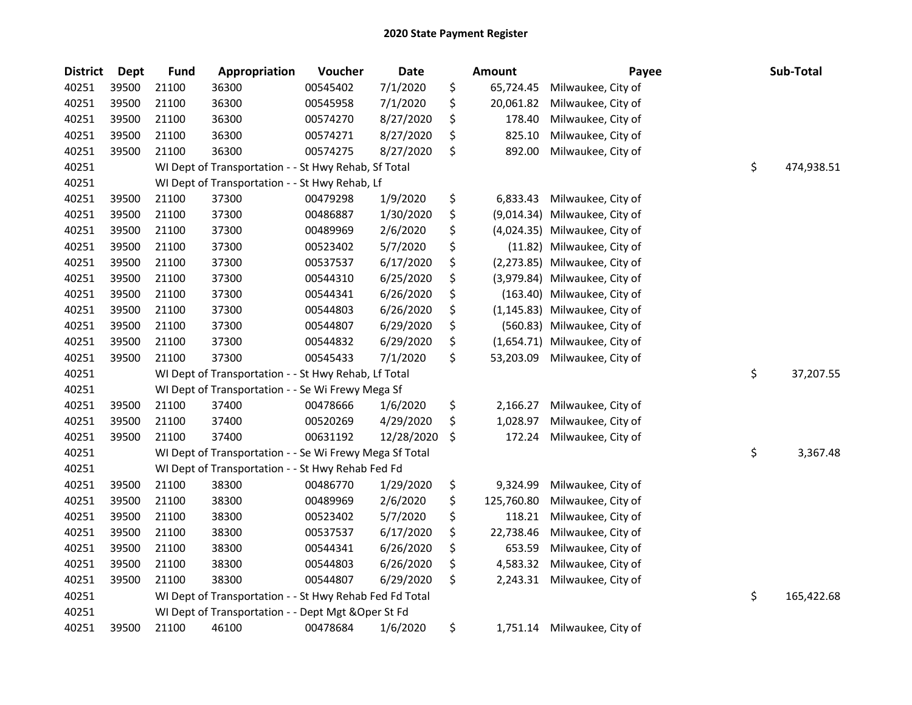| <b>District</b> | <b>Dept</b> | <b>Fund</b> | Appropriation                                           | Voucher  | <b>Date</b> | <b>Amount</b>     | Payee              | Sub-Total        |
|-----------------|-------------|-------------|---------------------------------------------------------|----------|-------------|-------------------|--------------------|------------------|
| 40251           | 39500       | 21100       | 36300                                                   | 00545402 | 7/1/2020    | \$<br>65,724.45   | Milwaukee, City of |                  |
| 40251           | 39500       | 21100       | 36300                                                   | 00545958 | 7/1/2020    | \$<br>20,061.82   | Milwaukee, City of |                  |
| 40251           | 39500       | 21100       | 36300                                                   | 00574270 | 8/27/2020   | \$<br>178.40      | Milwaukee, City of |                  |
| 40251           | 39500       | 21100       | 36300                                                   | 00574271 | 8/27/2020   | \$<br>825.10      | Milwaukee, City of |                  |
| 40251           | 39500       | 21100       | 36300                                                   | 00574275 | 8/27/2020   | \$<br>892.00      | Milwaukee, City of |                  |
| 40251           |             |             | WI Dept of Transportation - - St Hwy Rehab, Sf Total    |          |             |                   |                    | \$<br>474,938.51 |
| 40251           |             |             | WI Dept of Transportation - - St Hwy Rehab, Lf          |          |             |                   |                    |                  |
| 40251           | 39500       | 21100       | 37300                                                   | 00479298 | 1/9/2020    | \$<br>6,833.43    | Milwaukee, City of |                  |
| 40251           | 39500       | 21100       | 37300                                                   | 00486887 | 1/30/2020   | \$<br>(9,014.34)  | Milwaukee, City of |                  |
| 40251           | 39500       | 21100       | 37300                                                   | 00489969 | 2/6/2020    | \$<br>(4,024.35)  | Milwaukee, City of |                  |
| 40251           | 39500       | 21100       | 37300                                                   | 00523402 | 5/7/2020    | \$<br>(11.82)     | Milwaukee, City of |                  |
| 40251           | 39500       | 21100       | 37300                                                   | 00537537 | 6/17/2020   | \$<br>(2, 273.85) | Milwaukee, City of |                  |
| 40251           | 39500       | 21100       | 37300                                                   | 00544310 | 6/25/2020   | \$<br>(3,979.84)  | Milwaukee, City of |                  |
| 40251           | 39500       | 21100       | 37300                                                   | 00544341 | 6/26/2020   | \$<br>(163.40)    | Milwaukee, City of |                  |
| 40251           | 39500       | 21100       | 37300                                                   | 00544803 | 6/26/2020   | \$<br>(1, 145.83) | Milwaukee, City of |                  |
| 40251           | 39500       | 21100       | 37300                                                   | 00544807 | 6/29/2020   | \$<br>(560.83)    | Milwaukee, City of |                  |
| 40251           | 39500       | 21100       | 37300                                                   | 00544832 | 6/29/2020   | \$<br>(1,654.71)  | Milwaukee, City of |                  |
| 40251           | 39500       | 21100       | 37300                                                   | 00545433 | 7/1/2020    | \$<br>53,203.09   | Milwaukee, City of |                  |
| 40251           |             |             | WI Dept of Transportation - - St Hwy Rehab, Lf Total    |          |             |                   |                    | \$<br>37,207.55  |
| 40251           |             |             | WI Dept of Transportation - - Se Wi Frewy Mega Sf       |          |             |                   |                    |                  |
| 40251           | 39500       | 21100       | 37400                                                   | 00478666 | 1/6/2020    | \$<br>2,166.27    | Milwaukee, City of |                  |
| 40251           | 39500       | 21100       | 37400                                                   | 00520269 | 4/29/2020   | \$<br>1,028.97    | Milwaukee, City of |                  |
| 40251           | 39500       | 21100       | 37400                                                   | 00631192 | 12/28/2020  | \$<br>172.24      | Milwaukee, City of |                  |
| 40251           |             |             | WI Dept of Transportation - - Se Wi Frewy Mega Sf Total |          |             |                   |                    | \$<br>3,367.48   |
| 40251           |             |             | WI Dept of Transportation - - St Hwy Rehab Fed Fd       |          |             |                   |                    |                  |
| 40251           | 39500       | 21100       | 38300                                                   | 00486770 | 1/29/2020   | \$<br>9,324.99    | Milwaukee, City of |                  |
| 40251           | 39500       | 21100       | 38300                                                   | 00489969 | 2/6/2020    | \$<br>125,760.80  | Milwaukee, City of |                  |
| 40251           | 39500       | 21100       | 38300                                                   | 00523402 | 5/7/2020    | \$<br>118.21      | Milwaukee, City of |                  |
| 40251           | 39500       | 21100       | 38300                                                   | 00537537 | 6/17/2020   | \$<br>22,738.46   | Milwaukee, City of |                  |
| 40251           | 39500       | 21100       | 38300                                                   | 00544341 | 6/26/2020   | \$<br>653.59      | Milwaukee, City of |                  |
| 40251           | 39500       | 21100       | 38300                                                   | 00544803 | 6/26/2020   | \$<br>4,583.32    | Milwaukee, City of |                  |
| 40251           | 39500       | 21100       | 38300                                                   | 00544807 | 6/29/2020   | \$<br>2,243.31    | Milwaukee, City of |                  |
| 40251           |             |             | WI Dept of Transportation - - St Hwy Rehab Fed Fd Total |          |             |                   |                    | \$<br>165,422.68 |
| 40251           |             |             | WI Dept of Transportation - - Dept Mgt & Oper St Fd     |          |             |                   |                    |                  |
| 40251           | 39500       | 21100       | 46100                                                   | 00478684 | 1/6/2020    | \$<br>1,751.14    | Milwaukee, City of |                  |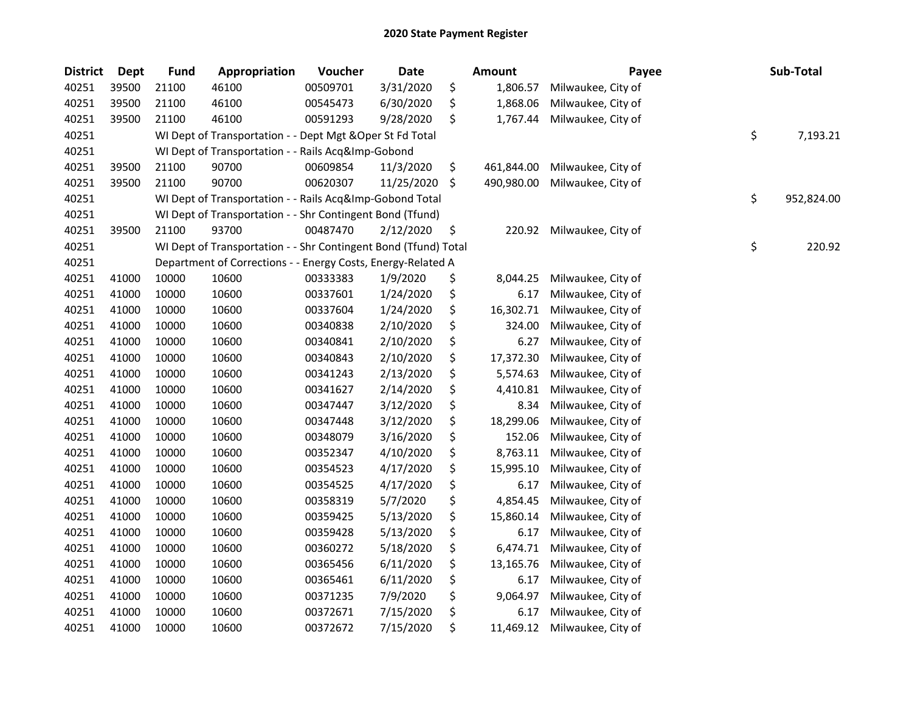| <b>District</b> | <b>Dept</b> | <b>Fund</b> | Appropriation                                                   | Voucher  | <b>Date</b> | <b>Amount</b>    | Payee              | Sub-Total        |
|-----------------|-------------|-------------|-----------------------------------------------------------------|----------|-------------|------------------|--------------------|------------------|
| 40251           | 39500       | 21100       | 46100                                                           | 00509701 | 3/31/2020   | \$<br>1,806.57   | Milwaukee, City of |                  |
| 40251           | 39500       | 21100       | 46100                                                           | 00545473 | 6/30/2020   | \$<br>1,868.06   | Milwaukee, City of |                  |
| 40251           | 39500       | 21100       | 46100                                                           | 00591293 | 9/28/2020   | \$<br>1,767.44   | Milwaukee, City of |                  |
| 40251           |             |             | WI Dept of Transportation - - Dept Mgt & Oper St Fd Total       |          |             |                  |                    | \$<br>7,193.21   |
| 40251           |             |             | WI Dept of Transportation - - Rails Acq&Imp-Gobond              |          |             |                  |                    |                  |
| 40251           | 39500       | 21100       | 90700                                                           | 00609854 | 11/3/2020   | \$<br>461,844.00 | Milwaukee, City of |                  |
| 40251           | 39500       | 21100       | 90700                                                           | 00620307 | 11/25/2020  | \$<br>490,980.00 | Milwaukee, City of |                  |
| 40251           |             |             | WI Dept of Transportation - - Rails Acq&Imp-Gobond Total        |          |             |                  |                    | \$<br>952,824.00 |
| 40251           |             |             | WI Dept of Transportation - - Shr Contingent Bond (Tfund)       |          |             |                  |                    |                  |
| 40251           | 39500       | 21100       | 93700                                                           | 00487470 | 2/12/2020   | \$<br>220.92     | Milwaukee, City of |                  |
| 40251           |             |             | WI Dept of Transportation - - Shr Contingent Bond (Tfund) Total |          |             |                  |                    | \$<br>220.92     |
| 40251           |             |             | Department of Corrections - - Energy Costs, Energy-Related A    |          |             |                  |                    |                  |
| 40251           | 41000       | 10000       | 10600                                                           | 00333383 | 1/9/2020    | \$<br>8,044.25   | Milwaukee, City of |                  |
| 40251           | 41000       | 10000       | 10600                                                           | 00337601 | 1/24/2020   | \$<br>6.17       | Milwaukee, City of |                  |
| 40251           | 41000       | 10000       | 10600                                                           | 00337604 | 1/24/2020   | \$<br>16,302.71  | Milwaukee, City of |                  |
| 40251           | 41000       | 10000       | 10600                                                           | 00340838 | 2/10/2020   | \$<br>324.00     | Milwaukee, City of |                  |
| 40251           | 41000       | 10000       | 10600                                                           | 00340841 | 2/10/2020   | \$<br>6.27       | Milwaukee, City of |                  |
| 40251           | 41000       | 10000       | 10600                                                           | 00340843 | 2/10/2020   | \$<br>17,372.30  | Milwaukee, City of |                  |
| 40251           | 41000       | 10000       | 10600                                                           | 00341243 | 2/13/2020   | \$<br>5,574.63   | Milwaukee, City of |                  |
| 40251           | 41000       | 10000       | 10600                                                           | 00341627 | 2/14/2020   | \$<br>4,410.81   | Milwaukee, City of |                  |
| 40251           | 41000       | 10000       | 10600                                                           | 00347447 | 3/12/2020   | \$<br>8.34       | Milwaukee, City of |                  |
| 40251           | 41000       | 10000       | 10600                                                           | 00347448 | 3/12/2020   | \$<br>18,299.06  | Milwaukee, City of |                  |
| 40251           | 41000       | 10000       | 10600                                                           | 00348079 | 3/16/2020   | \$<br>152.06     | Milwaukee, City of |                  |
| 40251           | 41000       | 10000       | 10600                                                           | 00352347 | 4/10/2020   | \$<br>8,763.11   | Milwaukee, City of |                  |
| 40251           | 41000       | 10000       | 10600                                                           | 00354523 | 4/17/2020   | \$<br>15,995.10  | Milwaukee, City of |                  |
| 40251           | 41000       | 10000       | 10600                                                           | 00354525 | 4/17/2020   | \$<br>6.17       | Milwaukee, City of |                  |
| 40251           | 41000       | 10000       | 10600                                                           | 00358319 | 5/7/2020    | \$<br>4,854.45   | Milwaukee, City of |                  |
| 40251           | 41000       | 10000       | 10600                                                           | 00359425 | 5/13/2020   | \$<br>15,860.14  | Milwaukee, City of |                  |
| 40251           | 41000       | 10000       | 10600                                                           | 00359428 | 5/13/2020   | \$<br>6.17       | Milwaukee, City of |                  |
| 40251           | 41000       | 10000       | 10600                                                           | 00360272 | 5/18/2020   | \$<br>6,474.71   | Milwaukee, City of |                  |
| 40251           | 41000       | 10000       | 10600                                                           | 00365456 | 6/11/2020   | \$<br>13,165.76  | Milwaukee, City of |                  |
| 40251           | 41000       | 10000       | 10600                                                           | 00365461 | 6/11/2020   | \$<br>6.17       | Milwaukee, City of |                  |
| 40251           | 41000       | 10000       | 10600                                                           | 00371235 | 7/9/2020    | \$<br>9,064.97   | Milwaukee, City of |                  |
| 40251           | 41000       | 10000       | 10600                                                           | 00372671 | 7/15/2020   | \$<br>6.17       | Milwaukee, City of |                  |
| 40251           | 41000       | 10000       | 10600                                                           | 00372672 | 7/15/2020   | \$<br>11,469.12  | Milwaukee, City of |                  |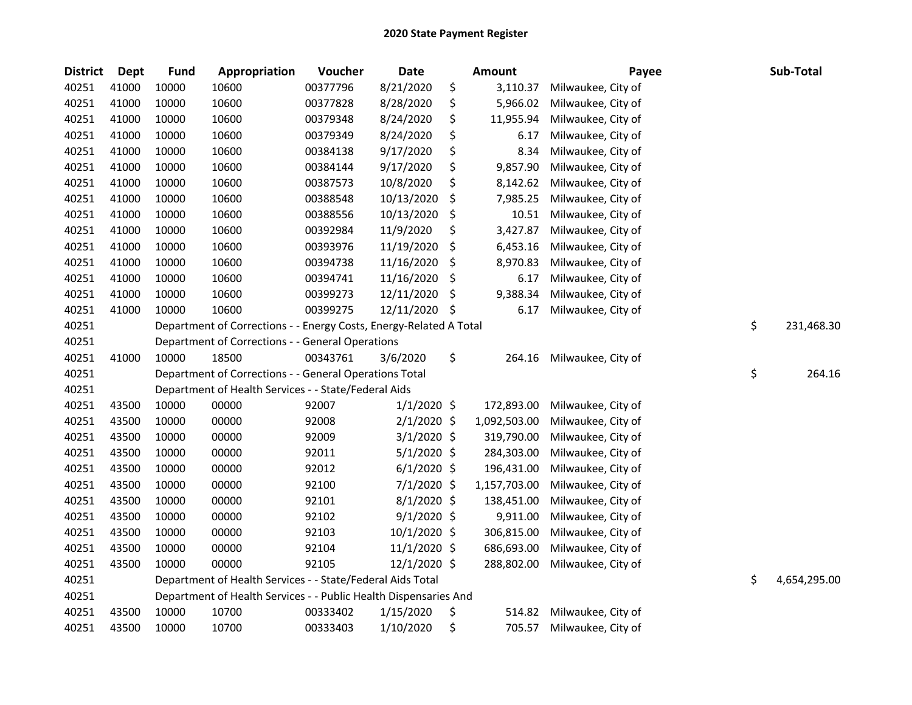| <b>District</b> | <b>Dept</b> | <b>Fund</b> | Appropriation                                                      | Voucher  | <b>Date</b>   |     | Amount       | Payee              | Sub-Total          |
|-----------------|-------------|-------------|--------------------------------------------------------------------|----------|---------------|-----|--------------|--------------------|--------------------|
| 40251           | 41000       | 10000       | 10600                                                              | 00377796 | 8/21/2020     | \$  | 3,110.37     | Milwaukee, City of |                    |
| 40251           | 41000       | 10000       | 10600                                                              | 00377828 | 8/28/2020     | \$  | 5,966.02     | Milwaukee, City of |                    |
| 40251           | 41000       | 10000       | 10600                                                              | 00379348 | 8/24/2020     | \$  | 11,955.94    | Milwaukee, City of |                    |
| 40251           | 41000       | 10000       | 10600                                                              | 00379349 | 8/24/2020     | \$  | 6.17         | Milwaukee, City of |                    |
| 40251           | 41000       | 10000       | 10600                                                              | 00384138 | 9/17/2020     | \$  | 8.34         | Milwaukee, City of |                    |
| 40251           | 41000       | 10000       | 10600                                                              | 00384144 | 9/17/2020     | \$  | 9,857.90     | Milwaukee, City of |                    |
| 40251           | 41000       | 10000       | 10600                                                              | 00387573 | 10/8/2020     | \$  | 8,142.62     | Milwaukee, City of |                    |
| 40251           | 41000       | 10000       | 10600                                                              | 00388548 | 10/13/2020    | \$  | 7,985.25     | Milwaukee, City of |                    |
| 40251           | 41000       | 10000       | 10600                                                              | 00388556 | 10/13/2020    | \$  | 10.51        | Milwaukee, City of |                    |
| 40251           | 41000       | 10000       | 10600                                                              | 00392984 | 11/9/2020     | \$  | 3,427.87     | Milwaukee, City of |                    |
| 40251           | 41000       | 10000       | 10600                                                              | 00393976 | 11/19/2020    | \$  | 6,453.16     | Milwaukee, City of |                    |
| 40251           | 41000       | 10000       | 10600                                                              | 00394738 | 11/16/2020    | \$  | 8,970.83     | Milwaukee, City of |                    |
| 40251           | 41000       | 10000       | 10600                                                              | 00394741 | 11/16/2020    | \$  | 6.17         | Milwaukee, City of |                    |
| 40251           | 41000       | 10000       | 10600                                                              | 00399273 | 12/11/2020    | \$  | 9,388.34     | Milwaukee, City of |                    |
| 40251           | 41000       | 10000       | 10600                                                              | 00399275 | 12/11/2020    | \$, | 6.17         | Milwaukee, City of |                    |
| 40251           |             |             | Department of Corrections - - Energy Costs, Energy-Related A Total |          |               |     |              |                    | \$<br>231,468.30   |
| 40251           |             |             | Department of Corrections - - General Operations                   |          |               |     |              |                    |                    |
| 40251           | 41000       | 10000       | 18500                                                              | 00343761 | 3/6/2020      | \$  | 264.16       | Milwaukee, City of |                    |
| 40251           |             |             | Department of Corrections - - General Operations Total             |          |               |     |              |                    | \$<br>264.16       |
| 40251           |             |             | Department of Health Services - - State/Federal Aids               |          |               |     |              |                    |                    |
| 40251           | 43500       | 10000       | 00000                                                              | 92007    | $1/1/2020$ \$ |     | 172,893.00   | Milwaukee, City of |                    |
| 40251           | 43500       | 10000       | 00000                                                              | 92008    | $2/1/2020$ \$ |     | 1,092,503.00 | Milwaukee, City of |                    |
| 40251           | 43500       | 10000       | 00000                                                              | 92009    | $3/1/2020$ \$ |     | 319,790.00   | Milwaukee, City of |                    |
| 40251           | 43500       | 10000       | 00000                                                              | 92011    | $5/1/2020$ \$ |     | 284,303.00   | Milwaukee, City of |                    |
| 40251           | 43500       | 10000       | 00000                                                              | 92012    | $6/1/2020$ \$ |     | 196,431.00   | Milwaukee, City of |                    |
| 40251           | 43500       | 10000       | 00000                                                              | 92100    | 7/1/2020 \$   |     | 1,157,703.00 | Milwaukee, City of |                    |
| 40251           | 43500       | 10000       | 00000                                                              | 92101    | 8/1/2020 \$   |     | 138,451.00   | Milwaukee, City of |                    |
| 40251           | 43500       | 10000       | 00000                                                              | 92102    | $9/1/2020$ \$ |     | 9,911.00     | Milwaukee, City of |                    |
| 40251           | 43500       | 10000       | 00000                                                              | 92103    | 10/1/2020 \$  |     | 306,815.00   | Milwaukee, City of |                    |
| 40251           | 43500       | 10000       | 00000                                                              | 92104    | 11/1/2020 \$  |     | 686,693.00   | Milwaukee, City of |                    |
| 40251           | 43500       | 10000       | 00000                                                              | 92105    | 12/1/2020 \$  |     | 288,802.00   | Milwaukee, City of |                    |
| 40251           |             |             | Department of Health Services - - State/Federal Aids Total         |          |               |     |              |                    | \$<br>4,654,295.00 |
| 40251           |             |             | Department of Health Services - - Public Health Dispensaries And   |          |               |     |              |                    |                    |
| 40251           | 43500       | 10000       | 10700                                                              | 00333402 | 1/15/2020     | \$  | 514.82       | Milwaukee, City of |                    |
| 40251           | 43500       | 10000       | 10700                                                              | 00333403 | 1/10/2020     | \$  | 705.57       | Milwaukee, City of |                    |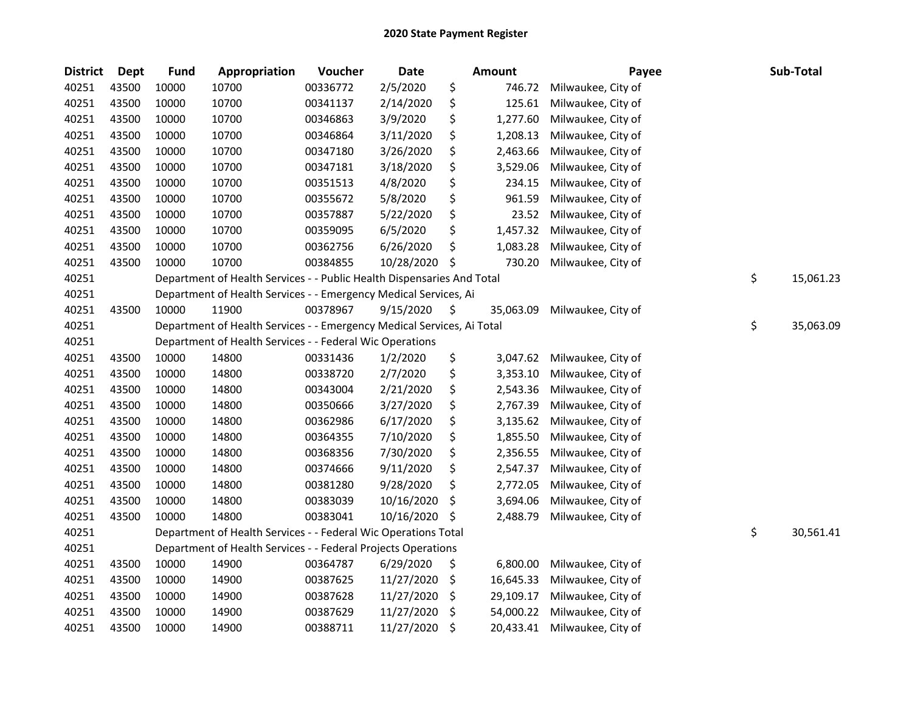| <b>District</b> | Dept  | <b>Fund</b> | Appropriation                                                          | Voucher  | <b>Date</b> | Amount          | Payee              | Sub-Total       |
|-----------------|-------|-------------|------------------------------------------------------------------------|----------|-------------|-----------------|--------------------|-----------------|
| 40251           | 43500 | 10000       | 10700                                                                  | 00336772 | 2/5/2020    | \$<br>746.72    | Milwaukee, City of |                 |
| 40251           | 43500 | 10000       | 10700                                                                  | 00341137 | 2/14/2020   | \$<br>125.61    | Milwaukee, City of |                 |
| 40251           | 43500 | 10000       | 10700                                                                  | 00346863 | 3/9/2020    | \$<br>1,277.60  | Milwaukee, City of |                 |
| 40251           | 43500 | 10000       | 10700                                                                  | 00346864 | 3/11/2020   | \$<br>1,208.13  | Milwaukee, City of |                 |
| 40251           | 43500 | 10000       | 10700                                                                  | 00347180 | 3/26/2020   | \$<br>2,463.66  | Milwaukee, City of |                 |
| 40251           | 43500 | 10000       | 10700                                                                  | 00347181 | 3/18/2020   | \$<br>3,529.06  | Milwaukee, City of |                 |
| 40251           | 43500 | 10000       | 10700                                                                  | 00351513 | 4/8/2020    | \$<br>234.15    | Milwaukee, City of |                 |
| 40251           | 43500 | 10000       | 10700                                                                  | 00355672 | 5/8/2020    | \$<br>961.59    | Milwaukee, City of |                 |
| 40251           | 43500 | 10000       | 10700                                                                  | 00357887 | 5/22/2020   | \$<br>23.52     | Milwaukee, City of |                 |
| 40251           | 43500 | 10000       | 10700                                                                  | 00359095 | 6/5/2020    | \$<br>1,457.32  | Milwaukee, City of |                 |
| 40251           | 43500 | 10000       | 10700                                                                  | 00362756 | 6/26/2020   | \$<br>1,083.28  | Milwaukee, City of |                 |
| 40251           | 43500 | 10000       | 10700                                                                  | 00384855 | 10/28/2020  | \$<br>730.20    | Milwaukee, City of |                 |
| 40251           |       |             | Department of Health Services - - Public Health Dispensaries And Total |          |             |                 |                    | \$<br>15,061.23 |
| 40251           |       |             | Department of Health Services - - Emergency Medical Services, Ai       |          |             |                 |                    |                 |
| 40251           | 43500 | 10000       | 11900                                                                  | 00378967 | 9/15/2020   | \$<br>35,063.09 | Milwaukee, City of |                 |
| 40251           |       |             | Department of Health Services - - Emergency Medical Services, Ai Total |          |             |                 |                    | \$<br>35,063.09 |
| 40251           |       |             | Department of Health Services - - Federal Wic Operations               |          |             |                 |                    |                 |
| 40251           | 43500 | 10000       | 14800                                                                  | 00331436 | 1/2/2020    | \$<br>3,047.62  | Milwaukee, City of |                 |
| 40251           | 43500 | 10000       | 14800                                                                  | 00338720 | 2/7/2020    | \$<br>3,353.10  | Milwaukee, City of |                 |
| 40251           | 43500 | 10000       | 14800                                                                  | 00343004 | 2/21/2020   | \$<br>2,543.36  | Milwaukee, City of |                 |
| 40251           | 43500 | 10000       | 14800                                                                  | 00350666 | 3/27/2020   | \$<br>2,767.39  | Milwaukee, City of |                 |
| 40251           | 43500 | 10000       | 14800                                                                  | 00362986 | 6/17/2020   | \$<br>3,135.62  | Milwaukee, City of |                 |
| 40251           | 43500 | 10000       | 14800                                                                  | 00364355 | 7/10/2020   | \$<br>1,855.50  | Milwaukee, City of |                 |
| 40251           | 43500 | 10000       | 14800                                                                  | 00368356 | 7/30/2020   | \$<br>2,356.55  | Milwaukee, City of |                 |
| 40251           | 43500 | 10000       | 14800                                                                  | 00374666 | 9/11/2020   | \$<br>2,547.37  | Milwaukee, City of |                 |
| 40251           | 43500 | 10000       | 14800                                                                  | 00381280 | 9/28/2020   | \$<br>2,772.05  | Milwaukee, City of |                 |
| 40251           | 43500 | 10000       | 14800                                                                  | 00383039 | 10/16/2020  | \$<br>3,694.06  | Milwaukee, City of |                 |
| 40251           | 43500 | 10000       | 14800                                                                  | 00383041 | 10/16/2020  | \$<br>2,488.79  | Milwaukee, City of |                 |
| 40251           |       |             | Department of Health Services - - Federal Wic Operations Total         |          |             |                 |                    | \$<br>30,561.41 |
| 40251           |       |             | Department of Health Services - - Federal Projects Operations          |          |             |                 |                    |                 |
| 40251           | 43500 | 10000       | 14900                                                                  | 00364787 | 6/29/2020   | \$<br>6,800.00  | Milwaukee, City of |                 |
| 40251           | 43500 | 10000       | 14900                                                                  | 00387625 | 11/27/2020  | \$<br>16,645.33 | Milwaukee, City of |                 |
| 40251           | 43500 | 10000       | 14900                                                                  | 00387628 | 11/27/2020  | \$<br>29,109.17 | Milwaukee, City of |                 |
| 40251           | 43500 | 10000       | 14900                                                                  | 00387629 | 11/27/2020  | \$<br>54,000.22 | Milwaukee, City of |                 |
| 40251           | 43500 | 10000       | 14900                                                                  | 00388711 | 11/27/2020  | \$<br>20,433.41 | Milwaukee, City of |                 |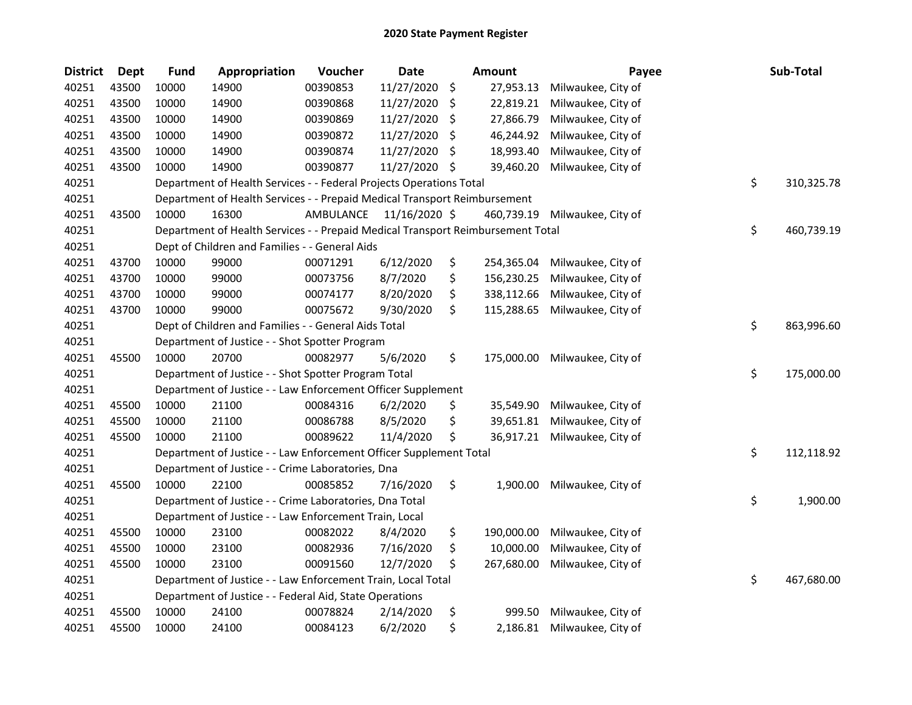| <b>District</b> | <b>Dept</b> | <b>Fund</b> | Appropriation                                                                   | Voucher   | <b>Date</b>   |     | Amount     | Payee              | Sub-Total        |
|-----------------|-------------|-------------|---------------------------------------------------------------------------------|-----------|---------------|-----|------------|--------------------|------------------|
| 40251           | 43500       | 10000       | 14900                                                                           | 00390853  | 11/27/2020    | \$  | 27,953.13  | Milwaukee, City of |                  |
| 40251           | 43500       | 10000       | 14900                                                                           | 00390868  | 11/27/2020    | \$. | 22,819.21  | Milwaukee, City of |                  |
| 40251           | 43500       | 10000       | 14900                                                                           | 00390869  | 11/27/2020    | \$  | 27,866.79  | Milwaukee, City of |                  |
| 40251           | 43500       | 10000       | 14900                                                                           | 00390872  | 11/27/2020    | \$  | 46,244.92  | Milwaukee, City of |                  |
| 40251           | 43500       | 10000       | 14900                                                                           | 00390874  | 11/27/2020    | \$  | 18,993.40  | Milwaukee, City of |                  |
| 40251           | 43500       | 10000       | 14900                                                                           | 00390877  | 11/27/2020    | \$  | 39,460.20  | Milwaukee, City of |                  |
| 40251           |             |             | Department of Health Services - - Federal Projects Operations Total             |           |               |     |            |                    | \$<br>310,325.78 |
| 40251           |             |             | Department of Health Services - - Prepaid Medical Transport Reimbursement       |           |               |     |            |                    |                  |
| 40251           | 43500       | 10000       | 16300                                                                           | AMBULANCE | 11/16/2020 \$ |     | 460,739.19 | Milwaukee, City of |                  |
| 40251           |             |             | Department of Health Services - - Prepaid Medical Transport Reimbursement Total |           |               |     |            |                    | \$<br>460,739.19 |
| 40251           |             |             | Dept of Children and Families - - General Aids                                  |           |               |     |            |                    |                  |
| 40251           | 43700       | 10000       | 99000                                                                           | 00071291  | 6/12/2020     | \$  | 254,365.04 | Milwaukee, City of |                  |
| 40251           | 43700       | 10000       | 99000                                                                           | 00073756  | 8/7/2020      | \$  | 156,230.25 | Milwaukee, City of |                  |
| 40251           | 43700       | 10000       | 99000                                                                           | 00074177  | 8/20/2020     | \$  | 338,112.66 | Milwaukee, City of |                  |
| 40251           | 43700       | 10000       | 99000                                                                           | 00075672  | 9/30/2020     | \$  | 115,288.65 | Milwaukee, City of |                  |
| 40251           |             |             | Dept of Children and Families - - General Aids Total                            |           |               |     |            |                    | \$<br>863,996.60 |
| 40251           |             |             | Department of Justice - - Shot Spotter Program                                  |           |               |     |            |                    |                  |
| 40251           | 45500       | 10000       | 20700                                                                           | 00082977  | 5/6/2020      | \$  | 175,000.00 | Milwaukee, City of |                  |
| 40251           |             |             | Department of Justice - - Shot Spotter Program Total                            |           |               |     |            |                    | \$<br>175,000.00 |
| 40251           |             |             | Department of Justice - - Law Enforcement Officer Supplement                    |           |               |     |            |                    |                  |
| 40251           | 45500       | 10000       | 21100                                                                           | 00084316  | 6/2/2020      | \$  | 35,549.90  | Milwaukee, City of |                  |
| 40251           | 45500       | 10000       | 21100                                                                           | 00086788  | 8/5/2020      | \$  | 39,651.81  | Milwaukee, City of |                  |
| 40251           | 45500       | 10000       | 21100                                                                           | 00089622  | 11/4/2020     | \$  | 36,917.21  | Milwaukee, City of |                  |
| 40251           |             |             | Department of Justice - - Law Enforcement Officer Supplement Total              |           |               |     |            |                    | \$<br>112,118.92 |
| 40251           |             |             | Department of Justice - - Crime Laboratories, Dna                               |           |               |     |            |                    |                  |
| 40251           | 45500       | 10000       | 22100                                                                           | 00085852  | 7/16/2020     | \$  | 1,900.00   | Milwaukee, City of |                  |
| 40251           |             |             | Department of Justice - - Crime Laboratories, Dna Total                         |           |               |     |            |                    | \$<br>1,900.00   |
| 40251           |             |             | Department of Justice - - Law Enforcement Train, Local                          |           |               |     |            |                    |                  |
| 40251           | 45500       | 10000       | 23100                                                                           | 00082022  | 8/4/2020      | \$  | 190,000.00 | Milwaukee, City of |                  |
| 40251           | 45500       | 10000       | 23100                                                                           | 00082936  | 7/16/2020     | \$  | 10,000.00  | Milwaukee, City of |                  |
| 40251           | 45500       | 10000       | 23100                                                                           | 00091560  | 12/7/2020     | \$  | 267,680.00 | Milwaukee, City of |                  |
| 40251           |             |             | Department of Justice - - Law Enforcement Train, Local Total                    |           |               |     |            |                    | \$<br>467,680.00 |
| 40251           |             |             | Department of Justice - - Federal Aid, State Operations                         |           |               |     |            |                    |                  |
| 40251           | 45500       | 10000       | 24100                                                                           | 00078824  | 2/14/2020     | \$  | 999.50     | Milwaukee, City of |                  |
| 40251           | 45500       | 10000       | 24100                                                                           | 00084123  | 6/2/2020      | \$  | 2,186.81   | Milwaukee, City of |                  |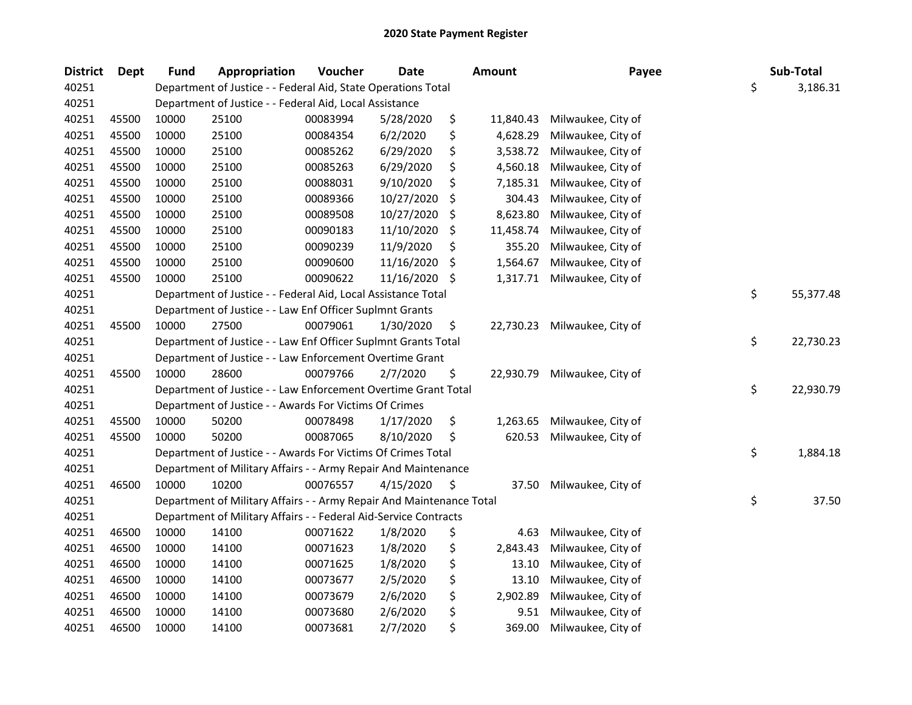| <b>District</b> | <b>Dept</b> | <b>Fund</b> | Appropriation                                                        | Voucher  | <b>Date</b> | <b>Amount</b>   | Payee              | Sub-Total       |
|-----------------|-------------|-------------|----------------------------------------------------------------------|----------|-------------|-----------------|--------------------|-----------------|
| 40251           |             |             | Department of Justice - - Federal Aid, State Operations Total        |          |             |                 |                    | \$<br>3,186.31  |
| 40251           |             |             | Department of Justice - - Federal Aid, Local Assistance              |          |             |                 |                    |                 |
| 40251           | 45500       | 10000       | 25100                                                                | 00083994 | 5/28/2020   | \$<br>11,840.43 | Milwaukee, City of |                 |
| 40251           | 45500       | 10000       | 25100                                                                | 00084354 | 6/2/2020    | \$<br>4,628.29  | Milwaukee, City of |                 |
| 40251           | 45500       | 10000       | 25100                                                                | 00085262 | 6/29/2020   | \$<br>3,538.72  | Milwaukee, City of |                 |
| 40251           | 45500       | 10000       | 25100                                                                | 00085263 | 6/29/2020   | \$<br>4,560.18  | Milwaukee, City of |                 |
| 40251           | 45500       | 10000       | 25100                                                                | 00088031 | 9/10/2020   | \$<br>7,185.31  | Milwaukee, City of |                 |
| 40251           | 45500       | 10000       | 25100                                                                | 00089366 | 10/27/2020  | \$<br>304.43    | Milwaukee, City of |                 |
| 40251           | 45500       | 10000       | 25100                                                                | 00089508 | 10/27/2020  | \$<br>8,623.80  | Milwaukee, City of |                 |
| 40251           | 45500       | 10000       | 25100                                                                | 00090183 | 11/10/2020  | \$<br>11,458.74 | Milwaukee, City of |                 |
| 40251           | 45500       | 10000       | 25100                                                                | 00090239 | 11/9/2020   | \$<br>355.20    | Milwaukee, City of |                 |
| 40251           | 45500       | 10000       | 25100                                                                | 00090600 | 11/16/2020  | \$<br>1,564.67  | Milwaukee, City of |                 |
| 40251           | 45500       | 10000       | 25100                                                                | 00090622 | 11/16/2020  | \$<br>1,317.71  | Milwaukee, City of |                 |
| 40251           |             |             | Department of Justice - - Federal Aid, Local Assistance Total        |          |             |                 |                    | \$<br>55,377.48 |
| 40251           |             |             | Department of Justice - - Law Enf Officer Suplmnt Grants             |          |             |                 |                    |                 |
| 40251           | 45500       | 10000       | 27500                                                                | 00079061 | 1/30/2020   | \$<br>22,730.23 | Milwaukee, City of |                 |
| 40251           |             |             | Department of Justice - - Law Enf Officer Suplmnt Grants Total       |          |             |                 |                    | \$<br>22,730.23 |
| 40251           |             |             | Department of Justice - - Law Enforcement Overtime Grant             |          |             |                 |                    |                 |
| 40251           | 45500       | 10000       | 28600                                                                | 00079766 | 2/7/2020    | \$<br>22,930.79 | Milwaukee, City of |                 |
| 40251           |             |             | Department of Justice - - Law Enforcement Overtime Grant Total       |          |             |                 |                    | \$<br>22,930.79 |
| 40251           |             |             | Department of Justice - - Awards For Victims Of Crimes               |          |             |                 |                    |                 |
| 40251           | 45500       | 10000       | 50200                                                                | 00078498 | 1/17/2020   | \$<br>1,263.65  | Milwaukee, City of |                 |
| 40251           | 45500       | 10000       | 50200                                                                | 00087065 | 8/10/2020   | \$<br>620.53    | Milwaukee, City of |                 |
| 40251           |             |             | Department of Justice - - Awards For Victims Of Crimes Total         |          |             |                 |                    | \$<br>1,884.18  |
| 40251           |             |             | Department of Military Affairs - - Army Repair And Maintenance       |          |             |                 |                    |                 |
| 40251           | 46500       | 10000       | 10200                                                                | 00076557 | 4/15/2020   | \$<br>37.50     | Milwaukee, City of |                 |
| 40251           |             |             | Department of Military Affairs - - Army Repair And Maintenance Total |          |             |                 |                    | \$<br>37.50     |
| 40251           |             |             | Department of Military Affairs - - Federal Aid-Service Contracts     |          |             |                 |                    |                 |
| 40251           | 46500       | 10000       | 14100                                                                | 00071622 | 1/8/2020    | \$<br>4.63      | Milwaukee, City of |                 |
| 40251           | 46500       | 10000       | 14100                                                                | 00071623 | 1/8/2020    | \$<br>2,843.43  | Milwaukee, City of |                 |
| 40251           | 46500       | 10000       | 14100                                                                | 00071625 | 1/8/2020    | \$<br>13.10     | Milwaukee, City of |                 |
| 40251           | 46500       | 10000       | 14100                                                                | 00073677 | 2/5/2020    | \$<br>13.10     | Milwaukee, City of |                 |
| 40251           | 46500       | 10000       | 14100                                                                | 00073679 | 2/6/2020    | \$<br>2,902.89  | Milwaukee, City of |                 |
| 40251           | 46500       | 10000       | 14100                                                                | 00073680 | 2/6/2020    | \$<br>9.51      | Milwaukee, City of |                 |
| 40251           | 46500       | 10000       | 14100                                                                | 00073681 | 2/7/2020    | \$<br>369.00    | Milwaukee, City of |                 |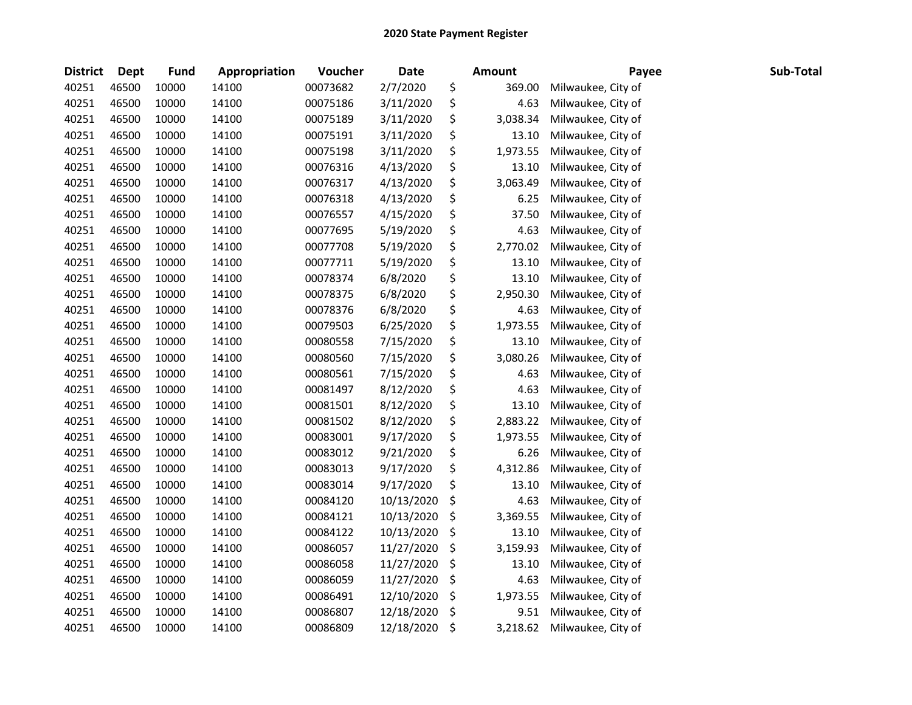| <b>District</b> | <b>Dept</b> | <b>Fund</b> | Appropriation | Voucher  | Date       | <b>Amount</b>  | Payee              | Sub-Total |
|-----------------|-------------|-------------|---------------|----------|------------|----------------|--------------------|-----------|
| 40251           | 46500       | 10000       | 14100         | 00073682 | 2/7/2020   | \$<br>369.00   | Milwaukee, City of |           |
| 40251           | 46500       | 10000       | 14100         | 00075186 | 3/11/2020  | \$<br>4.63     | Milwaukee, City of |           |
| 40251           | 46500       | 10000       | 14100         | 00075189 | 3/11/2020  | \$<br>3,038.34 | Milwaukee, City of |           |
| 40251           | 46500       | 10000       | 14100         | 00075191 | 3/11/2020  | \$<br>13.10    | Milwaukee, City of |           |
| 40251           | 46500       | 10000       | 14100         | 00075198 | 3/11/2020  | \$<br>1,973.55 | Milwaukee, City of |           |
| 40251           | 46500       | 10000       | 14100         | 00076316 | 4/13/2020  | \$<br>13.10    | Milwaukee, City of |           |
| 40251           | 46500       | 10000       | 14100         | 00076317 | 4/13/2020  | \$<br>3,063.49 | Milwaukee, City of |           |
| 40251           | 46500       | 10000       | 14100         | 00076318 | 4/13/2020  | \$<br>6.25     | Milwaukee, City of |           |
| 40251           | 46500       | 10000       | 14100         | 00076557 | 4/15/2020  | \$<br>37.50    | Milwaukee, City of |           |
| 40251           | 46500       | 10000       | 14100         | 00077695 | 5/19/2020  | \$<br>4.63     | Milwaukee, City of |           |
| 40251           | 46500       | 10000       | 14100         | 00077708 | 5/19/2020  | \$<br>2,770.02 | Milwaukee, City of |           |
| 40251           | 46500       | 10000       | 14100         | 00077711 | 5/19/2020  | \$<br>13.10    | Milwaukee, City of |           |
| 40251           | 46500       | 10000       | 14100         | 00078374 | 6/8/2020   | \$<br>13.10    | Milwaukee, City of |           |
| 40251           | 46500       | 10000       | 14100         | 00078375 | 6/8/2020   | \$<br>2,950.30 | Milwaukee, City of |           |
| 40251           | 46500       | 10000       | 14100         | 00078376 | 6/8/2020   | \$<br>4.63     | Milwaukee, City of |           |
| 40251           | 46500       | 10000       | 14100         | 00079503 | 6/25/2020  | \$<br>1,973.55 | Milwaukee, City of |           |
| 40251           | 46500       | 10000       | 14100         | 00080558 | 7/15/2020  | \$<br>13.10    | Milwaukee, City of |           |
| 40251           | 46500       | 10000       | 14100         | 00080560 | 7/15/2020  | \$<br>3,080.26 | Milwaukee, City of |           |
| 40251           | 46500       | 10000       | 14100         | 00080561 | 7/15/2020  | \$<br>4.63     | Milwaukee, City of |           |
| 40251           | 46500       | 10000       | 14100         | 00081497 | 8/12/2020  | \$<br>4.63     | Milwaukee, City of |           |
| 40251           | 46500       | 10000       | 14100         | 00081501 | 8/12/2020  | \$<br>13.10    | Milwaukee, City of |           |
| 40251           | 46500       | 10000       | 14100         | 00081502 | 8/12/2020  | \$<br>2,883.22 | Milwaukee, City of |           |
| 40251           | 46500       | 10000       | 14100         | 00083001 | 9/17/2020  | \$<br>1,973.55 | Milwaukee, City of |           |
| 40251           | 46500       | 10000       | 14100         | 00083012 | 9/21/2020  | \$<br>6.26     | Milwaukee, City of |           |
| 40251           | 46500       | 10000       | 14100         | 00083013 | 9/17/2020  | \$<br>4,312.86 | Milwaukee, City of |           |
| 40251           | 46500       | 10000       | 14100         | 00083014 | 9/17/2020  | \$<br>13.10    | Milwaukee, City of |           |
| 40251           | 46500       | 10000       | 14100         | 00084120 | 10/13/2020 | \$<br>4.63     | Milwaukee, City of |           |
| 40251           | 46500       | 10000       | 14100         | 00084121 | 10/13/2020 | \$<br>3,369.55 | Milwaukee, City of |           |
| 40251           | 46500       | 10000       | 14100         | 00084122 | 10/13/2020 | \$<br>13.10    | Milwaukee, City of |           |
| 40251           | 46500       | 10000       | 14100         | 00086057 | 11/27/2020 | \$<br>3,159.93 | Milwaukee, City of |           |
| 40251           | 46500       | 10000       | 14100         | 00086058 | 11/27/2020 | \$<br>13.10    | Milwaukee, City of |           |
| 40251           | 46500       | 10000       | 14100         | 00086059 | 11/27/2020 | \$<br>4.63     | Milwaukee, City of |           |
| 40251           | 46500       | 10000       | 14100         | 00086491 | 12/10/2020 | \$<br>1,973.55 | Milwaukee, City of |           |
| 40251           | 46500       | 10000       | 14100         | 00086807 | 12/18/2020 | \$<br>9.51     | Milwaukee, City of |           |
| 40251           | 46500       | 10000       | 14100         | 00086809 | 12/18/2020 | \$<br>3,218.62 | Milwaukee, City of |           |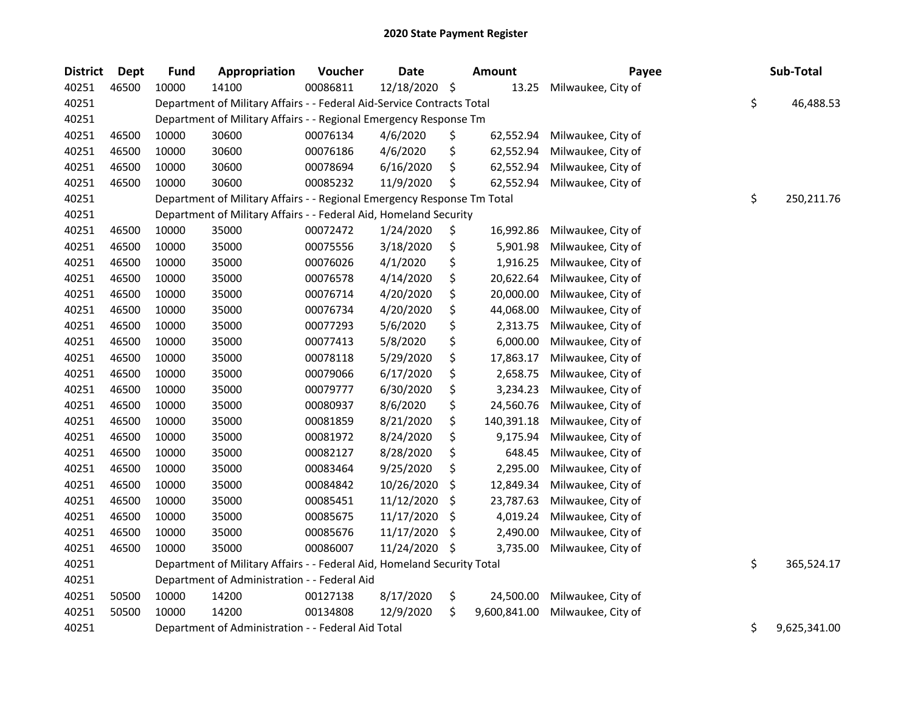| <b>District</b> | Dept  | <b>Fund</b> | Appropriation                                                           | Voucher  | <b>Date</b>   |     | <b>Amount</b> | Payee              | Sub-Total          |
|-----------------|-------|-------------|-------------------------------------------------------------------------|----------|---------------|-----|---------------|--------------------|--------------------|
| 40251           | 46500 | 10000       | 14100                                                                   | 00086811 | 12/18/2020 \$ |     | 13.25         | Milwaukee, City of |                    |
| 40251           |       |             | Department of Military Affairs - - Federal Aid-Service Contracts Total  |          |               |     |               |                    | \$<br>46,488.53    |
| 40251           |       |             | Department of Military Affairs - - Regional Emergency Response Tm       |          |               |     |               |                    |                    |
| 40251           | 46500 | 10000       | 30600                                                                   | 00076134 | 4/6/2020      | \$  | 62,552.94     | Milwaukee, City of |                    |
| 40251           | 46500 | 10000       | 30600                                                                   | 00076186 | 4/6/2020      | \$  | 62,552.94     | Milwaukee, City of |                    |
| 40251           | 46500 | 10000       | 30600                                                                   | 00078694 | 6/16/2020     | \$  | 62,552.94     | Milwaukee, City of |                    |
| 40251           | 46500 | 10000       | 30600                                                                   | 00085232 | 11/9/2020     | \$  | 62,552.94     | Milwaukee, City of |                    |
| 40251           |       |             | Department of Military Affairs - - Regional Emergency Response Tm Total |          |               |     |               |                    | \$<br>250,211.76   |
| 40251           |       |             | Department of Military Affairs - - Federal Aid, Homeland Security       |          |               |     |               |                    |                    |
| 40251           | 46500 | 10000       | 35000                                                                   | 00072472 | 1/24/2020     | \$  | 16,992.86     | Milwaukee, City of |                    |
| 40251           | 46500 | 10000       | 35000                                                                   | 00075556 | 3/18/2020     | \$  | 5,901.98      | Milwaukee, City of |                    |
| 40251           | 46500 | 10000       | 35000                                                                   | 00076026 | 4/1/2020      | \$  | 1,916.25      | Milwaukee, City of |                    |
| 40251           | 46500 | 10000       | 35000                                                                   | 00076578 | 4/14/2020     | \$  | 20,622.64     | Milwaukee, City of |                    |
| 40251           | 46500 | 10000       | 35000                                                                   | 00076714 | 4/20/2020     | \$  | 20,000.00     | Milwaukee, City of |                    |
| 40251           | 46500 | 10000       | 35000                                                                   | 00076734 | 4/20/2020     | \$  | 44,068.00     | Milwaukee, City of |                    |
| 40251           | 46500 | 10000       | 35000                                                                   | 00077293 | 5/6/2020      | \$  | 2,313.75      | Milwaukee, City of |                    |
| 40251           | 46500 | 10000       | 35000                                                                   | 00077413 | 5/8/2020      | \$  | 6,000.00      | Milwaukee, City of |                    |
| 40251           | 46500 | 10000       | 35000                                                                   | 00078118 | 5/29/2020     | \$  | 17,863.17     | Milwaukee, City of |                    |
| 40251           | 46500 | 10000       | 35000                                                                   | 00079066 | 6/17/2020     | \$  | 2,658.75      | Milwaukee, City of |                    |
| 40251           | 46500 | 10000       | 35000                                                                   | 00079777 | 6/30/2020     | \$  | 3,234.23      | Milwaukee, City of |                    |
| 40251           | 46500 | 10000       | 35000                                                                   | 00080937 | 8/6/2020      | \$  | 24,560.76     | Milwaukee, City of |                    |
| 40251           | 46500 | 10000       | 35000                                                                   | 00081859 | 8/21/2020     | \$  | 140,391.18    | Milwaukee, City of |                    |
| 40251           | 46500 | 10000       | 35000                                                                   | 00081972 | 8/24/2020     | \$  | 9,175.94      | Milwaukee, City of |                    |
| 40251           | 46500 | 10000       | 35000                                                                   | 00082127 | 8/28/2020     | \$  | 648.45        | Milwaukee, City of |                    |
| 40251           | 46500 | 10000       | 35000                                                                   | 00083464 | 9/25/2020     | \$  | 2,295.00      | Milwaukee, City of |                    |
| 40251           | 46500 | 10000       | 35000                                                                   | 00084842 | 10/26/2020    | \$  | 12,849.34     | Milwaukee, City of |                    |
| 40251           | 46500 | 10000       | 35000                                                                   | 00085451 | 11/12/2020    | \$  | 23,787.63     | Milwaukee, City of |                    |
| 40251           | 46500 | 10000       | 35000                                                                   | 00085675 | 11/17/2020    | \$  | 4,019.24      | Milwaukee, City of |                    |
| 40251           | 46500 | 10000       | 35000                                                                   | 00085676 | 11/17/2020    | \$. | 2,490.00      | Milwaukee, City of |                    |
| 40251           | 46500 | 10000       | 35000                                                                   | 00086007 | 11/24/2020    | \$  | 3,735.00      | Milwaukee, City of |                    |
| 40251           |       |             | Department of Military Affairs - - Federal Aid, Homeland Security Total |          |               |     |               |                    | \$<br>365,524.17   |
| 40251           |       |             | Department of Administration - - Federal Aid                            |          |               |     |               |                    |                    |
| 40251           | 50500 | 10000       | 14200                                                                   | 00127138 | 8/17/2020     | \$  | 24,500.00     | Milwaukee, City of |                    |
| 40251           | 50500 | 10000       | 14200                                                                   | 00134808 | 12/9/2020     | \$  | 9,600,841.00  | Milwaukee, City of |                    |
| 40251           |       |             | Department of Administration - - Federal Aid Total                      |          |               |     |               |                    | \$<br>9,625,341.00 |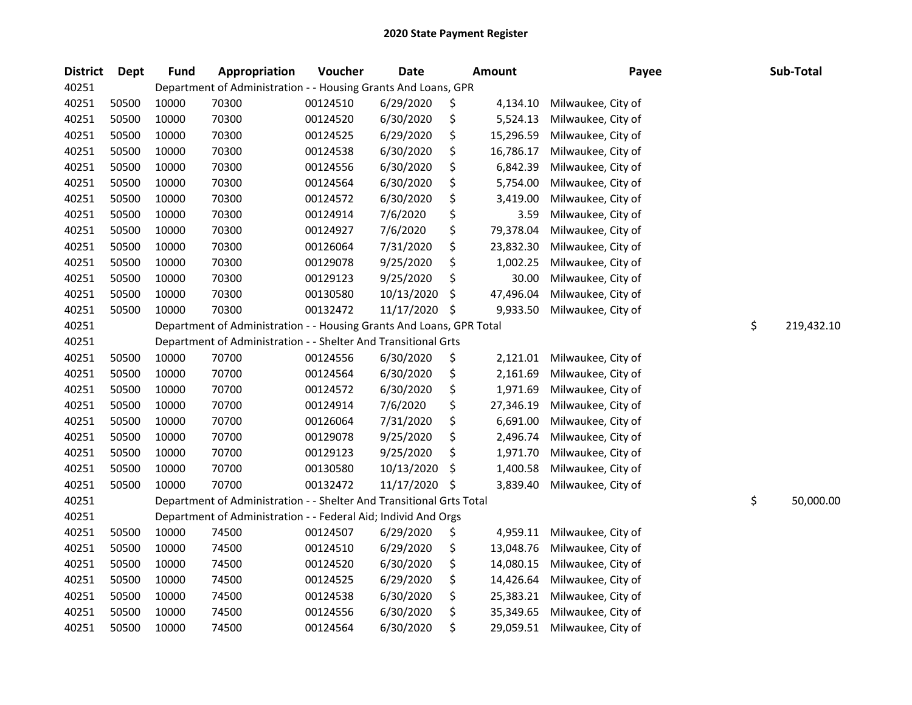| <b>District</b> | Dept  | <b>Fund</b> | Appropriation                                                        | Voucher  | <b>Date</b> | <b>Amount</b>   | Payee              | Sub-Total        |
|-----------------|-------|-------------|----------------------------------------------------------------------|----------|-------------|-----------------|--------------------|------------------|
| 40251           |       |             | Department of Administration - - Housing Grants And Loans, GPR       |          |             |                 |                    |                  |
| 40251           | 50500 | 10000       | 70300                                                                | 00124510 | 6/29/2020   | \$<br>4,134.10  | Milwaukee, City of |                  |
| 40251           | 50500 | 10000       | 70300                                                                | 00124520 | 6/30/2020   | \$<br>5,524.13  | Milwaukee, City of |                  |
| 40251           | 50500 | 10000       | 70300                                                                | 00124525 | 6/29/2020   | \$<br>15,296.59 | Milwaukee, City of |                  |
| 40251           | 50500 | 10000       | 70300                                                                | 00124538 | 6/30/2020   | \$<br>16,786.17 | Milwaukee, City of |                  |
| 40251           | 50500 | 10000       | 70300                                                                | 00124556 | 6/30/2020   | \$<br>6,842.39  | Milwaukee, City of |                  |
| 40251           | 50500 | 10000       | 70300                                                                | 00124564 | 6/30/2020   | \$<br>5,754.00  | Milwaukee, City of |                  |
| 40251           | 50500 | 10000       | 70300                                                                | 00124572 | 6/30/2020   | \$<br>3,419.00  | Milwaukee, City of |                  |
| 40251           | 50500 | 10000       | 70300                                                                | 00124914 | 7/6/2020    | \$<br>3.59      | Milwaukee, City of |                  |
| 40251           | 50500 | 10000       | 70300                                                                | 00124927 | 7/6/2020    | \$<br>79,378.04 | Milwaukee, City of |                  |
| 40251           | 50500 | 10000       | 70300                                                                | 00126064 | 7/31/2020   | \$<br>23,832.30 | Milwaukee, City of |                  |
| 40251           | 50500 | 10000       | 70300                                                                | 00129078 | 9/25/2020   | \$<br>1,002.25  | Milwaukee, City of |                  |
| 40251           | 50500 | 10000       | 70300                                                                | 00129123 | 9/25/2020   | \$<br>30.00     | Milwaukee, City of |                  |
| 40251           | 50500 | 10000       | 70300                                                                | 00130580 | 10/13/2020  | \$<br>47,496.04 | Milwaukee, City of |                  |
| 40251           | 50500 | 10000       | 70300                                                                | 00132472 | 11/17/2020  | \$<br>9,933.50  | Milwaukee, City of |                  |
| 40251           |       |             | Department of Administration - - Housing Grants And Loans, GPR Total |          |             |                 |                    | \$<br>219,432.10 |
| 40251           |       |             | Department of Administration - - Shelter And Transitional Grts       |          |             |                 |                    |                  |
| 40251           | 50500 | 10000       | 70700                                                                | 00124556 | 6/30/2020   | \$<br>2,121.01  | Milwaukee, City of |                  |
| 40251           | 50500 | 10000       | 70700                                                                | 00124564 | 6/30/2020   | \$<br>2,161.69  | Milwaukee, City of |                  |
| 40251           | 50500 | 10000       | 70700                                                                | 00124572 | 6/30/2020   | \$<br>1,971.69  | Milwaukee, City of |                  |
| 40251           | 50500 | 10000       | 70700                                                                | 00124914 | 7/6/2020    | \$<br>27,346.19 | Milwaukee, City of |                  |
| 40251           | 50500 | 10000       | 70700                                                                | 00126064 | 7/31/2020   | \$<br>6,691.00  | Milwaukee, City of |                  |
| 40251           | 50500 | 10000       | 70700                                                                | 00129078 | 9/25/2020   | \$<br>2,496.74  | Milwaukee, City of |                  |
| 40251           | 50500 | 10000       | 70700                                                                | 00129123 | 9/25/2020   | \$<br>1,971.70  | Milwaukee, City of |                  |
| 40251           | 50500 | 10000       | 70700                                                                | 00130580 | 10/13/2020  | \$<br>1,400.58  | Milwaukee, City of |                  |
| 40251           | 50500 | 10000       | 70700                                                                | 00132472 | 11/17/2020  | \$<br>3,839.40  | Milwaukee, City of |                  |
| 40251           |       |             | Department of Administration - - Shelter And Transitional Grts Total |          |             |                 |                    | \$<br>50,000.00  |
| 40251           |       |             | Department of Administration - - Federal Aid; Individ And Orgs       |          |             |                 |                    |                  |
| 40251           | 50500 | 10000       | 74500                                                                | 00124507 | 6/29/2020   | \$<br>4,959.11  | Milwaukee, City of |                  |
| 40251           | 50500 | 10000       | 74500                                                                | 00124510 | 6/29/2020   | \$<br>13,048.76 | Milwaukee, City of |                  |
| 40251           | 50500 | 10000       | 74500                                                                | 00124520 | 6/30/2020   | \$<br>14,080.15 | Milwaukee, City of |                  |
| 40251           | 50500 | 10000       | 74500                                                                | 00124525 | 6/29/2020   | \$<br>14,426.64 | Milwaukee, City of |                  |
| 40251           | 50500 | 10000       | 74500                                                                | 00124538 | 6/30/2020   | \$<br>25,383.21 | Milwaukee, City of |                  |
| 40251           | 50500 | 10000       | 74500                                                                | 00124556 | 6/30/2020   | \$<br>35,349.65 | Milwaukee, City of |                  |
| 40251           | 50500 | 10000       | 74500                                                                | 00124564 | 6/30/2020   | \$<br>29,059.51 | Milwaukee, City of |                  |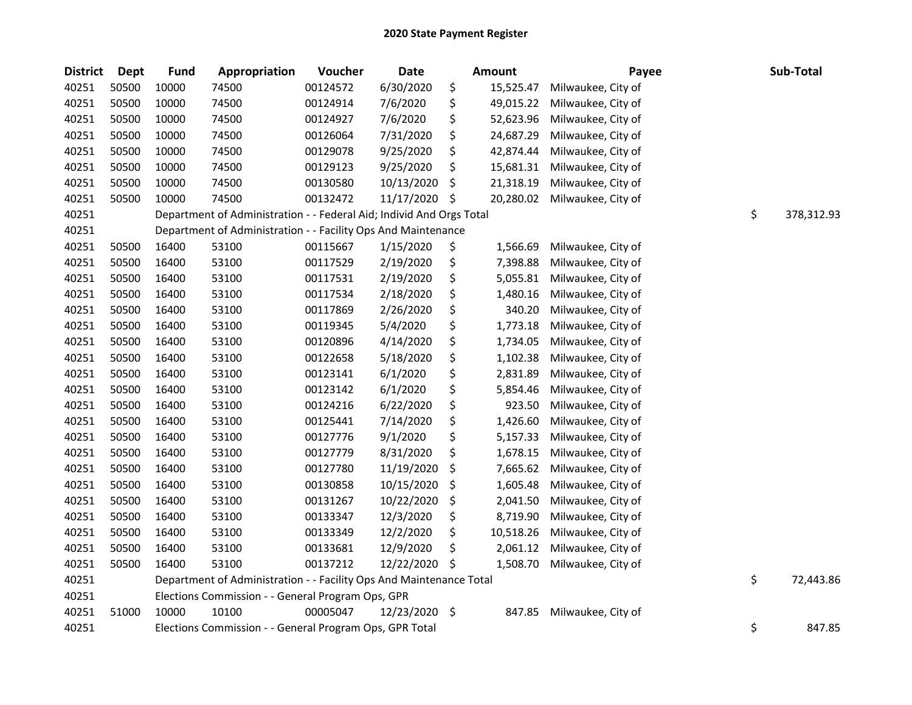| <b>District</b> | <b>Dept</b> | <b>Fund</b> | Appropriation                                                        | Voucher  | <b>Date</b>   | <b>Amount</b>   | Payee              | Sub-Total        |
|-----------------|-------------|-------------|----------------------------------------------------------------------|----------|---------------|-----------------|--------------------|------------------|
| 40251           | 50500       | 10000       | 74500                                                                | 00124572 | 6/30/2020     | \$<br>15,525.47 | Milwaukee, City of |                  |
| 40251           | 50500       | 10000       | 74500                                                                | 00124914 | 7/6/2020      | \$<br>49,015.22 | Milwaukee, City of |                  |
| 40251           | 50500       | 10000       | 74500                                                                | 00124927 | 7/6/2020      | \$<br>52,623.96 | Milwaukee, City of |                  |
| 40251           | 50500       | 10000       | 74500                                                                | 00126064 | 7/31/2020     | \$<br>24,687.29 | Milwaukee, City of |                  |
| 40251           | 50500       | 10000       | 74500                                                                | 00129078 | 9/25/2020     | \$<br>42,874.44 | Milwaukee, City of |                  |
| 40251           | 50500       | 10000       | 74500                                                                | 00129123 | 9/25/2020     | \$<br>15,681.31 | Milwaukee, City of |                  |
| 40251           | 50500       | 10000       | 74500                                                                | 00130580 | 10/13/2020    | \$<br>21,318.19 | Milwaukee, City of |                  |
| 40251           | 50500       | 10000       | 74500                                                                | 00132472 | 11/17/2020    | \$<br>20,280.02 | Milwaukee, City of |                  |
| 40251           |             |             | Department of Administration - - Federal Aid; Individ And Orgs Total |          |               |                 |                    | \$<br>378,312.93 |
| 40251           |             |             | Department of Administration - - Facility Ops And Maintenance        |          |               |                 |                    |                  |
| 40251           | 50500       | 16400       | 53100                                                                | 00115667 | 1/15/2020     | \$<br>1,566.69  | Milwaukee, City of |                  |
| 40251           | 50500       | 16400       | 53100                                                                | 00117529 | 2/19/2020     | \$<br>7,398.88  | Milwaukee, City of |                  |
| 40251           | 50500       | 16400       | 53100                                                                | 00117531 | 2/19/2020     | \$<br>5,055.81  | Milwaukee, City of |                  |
| 40251           | 50500       | 16400       | 53100                                                                | 00117534 | 2/18/2020     | \$<br>1,480.16  | Milwaukee, City of |                  |
| 40251           | 50500       | 16400       | 53100                                                                | 00117869 | 2/26/2020     | \$<br>340.20    | Milwaukee, City of |                  |
| 40251           | 50500       | 16400       | 53100                                                                | 00119345 | 5/4/2020      | \$<br>1,773.18  | Milwaukee, City of |                  |
| 40251           | 50500       | 16400       | 53100                                                                | 00120896 | 4/14/2020     | \$<br>1,734.05  | Milwaukee, City of |                  |
| 40251           | 50500       | 16400       | 53100                                                                | 00122658 | 5/18/2020     | \$<br>1,102.38  | Milwaukee, City of |                  |
| 40251           | 50500       | 16400       | 53100                                                                | 00123141 | 6/1/2020      | \$<br>2,831.89  | Milwaukee, City of |                  |
| 40251           | 50500       | 16400       | 53100                                                                | 00123142 | 6/1/2020      | \$<br>5,854.46  | Milwaukee, City of |                  |
| 40251           | 50500       | 16400       | 53100                                                                | 00124216 | 6/22/2020     | \$<br>923.50    | Milwaukee, City of |                  |
| 40251           | 50500       | 16400       | 53100                                                                | 00125441 | 7/14/2020     | \$<br>1,426.60  | Milwaukee, City of |                  |
| 40251           | 50500       | 16400       | 53100                                                                | 00127776 | 9/1/2020      | \$<br>5,157.33  | Milwaukee, City of |                  |
| 40251           | 50500       | 16400       | 53100                                                                | 00127779 | 8/31/2020     | \$<br>1,678.15  | Milwaukee, City of |                  |
| 40251           | 50500       | 16400       | 53100                                                                | 00127780 | 11/19/2020    | \$<br>7,665.62  | Milwaukee, City of |                  |
| 40251           | 50500       | 16400       | 53100                                                                | 00130858 | 10/15/2020    | \$<br>1,605.48  | Milwaukee, City of |                  |
| 40251           | 50500       | 16400       | 53100                                                                | 00131267 | 10/22/2020    | \$<br>2,041.50  | Milwaukee, City of |                  |
| 40251           | 50500       | 16400       | 53100                                                                | 00133347 | 12/3/2020     | \$<br>8,719.90  | Milwaukee, City of |                  |
| 40251           | 50500       | 16400       | 53100                                                                | 00133349 | 12/2/2020     | \$<br>10,518.26 | Milwaukee, City of |                  |
| 40251           | 50500       | 16400       | 53100                                                                | 00133681 | 12/9/2020     | \$<br>2,061.12  | Milwaukee, City of |                  |
| 40251           | 50500       | 16400       | 53100                                                                | 00137212 | 12/22/2020    | \$<br>1,508.70  | Milwaukee, City of |                  |
| 40251           |             |             | Department of Administration - - Facility Ops And Maintenance Total  |          |               |                 |                    | \$<br>72,443.86  |
| 40251           |             |             | Elections Commission - - General Program Ops, GPR                    |          |               |                 |                    |                  |
| 40251           | 51000       | 10000       | 10100                                                                | 00005047 | 12/23/2020 \$ | 847.85          | Milwaukee, City of |                  |
| 40251           |             |             | Elections Commission - - General Program Ops, GPR Total              |          |               |                 |                    | \$<br>847.85     |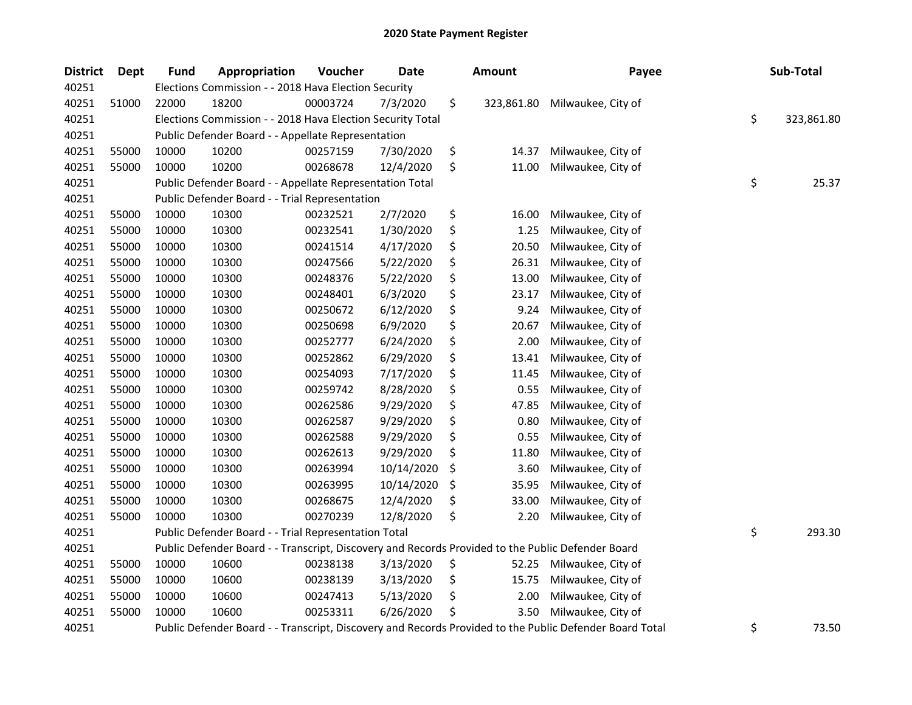| <b>District</b> | <b>Dept</b> | Fund  | Appropriation                                                                                     | Voucher  | <b>Date</b> | Amount           | Payee                                                                                                   | Sub-Total        |
|-----------------|-------------|-------|---------------------------------------------------------------------------------------------------|----------|-------------|------------------|---------------------------------------------------------------------------------------------------------|------------------|
| 40251           |             |       | Elections Commission - - 2018 Hava Election Security                                              |          |             |                  |                                                                                                         |                  |
| 40251           | 51000       | 22000 | 18200                                                                                             | 00003724 | 7/3/2020    | \$<br>323,861.80 | Milwaukee, City of                                                                                      |                  |
| 40251           |             |       | Elections Commission - - 2018 Hava Election Security Total                                        |          |             |                  |                                                                                                         | \$<br>323,861.80 |
| 40251           |             |       | Public Defender Board - - Appellate Representation                                                |          |             |                  |                                                                                                         |                  |
| 40251           | 55000       | 10000 | 10200                                                                                             | 00257159 | 7/30/2020   | \$<br>14.37      | Milwaukee, City of                                                                                      |                  |
| 40251           | 55000       | 10000 | 10200                                                                                             | 00268678 | 12/4/2020   | \$<br>11.00      | Milwaukee, City of                                                                                      |                  |
| 40251           |             |       | Public Defender Board - - Appellate Representation Total                                          |          |             |                  |                                                                                                         | \$<br>25.37      |
| 40251           |             |       | Public Defender Board - - Trial Representation                                                    |          |             |                  |                                                                                                         |                  |
| 40251           | 55000       | 10000 | 10300                                                                                             | 00232521 | 2/7/2020    | \$<br>16.00      | Milwaukee, City of                                                                                      |                  |
| 40251           | 55000       | 10000 | 10300                                                                                             | 00232541 | 1/30/2020   | \$<br>1.25       | Milwaukee, City of                                                                                      |                  |
| 40251           | 55000       | 10000 | 10300                                                                                             | 00241514 | 4/17/2020   | \$<br>20.50      | Milwaukee, City of                                                                                      |                  |
| 40251           | 55000       | 10000 | 10300                                                                                             | 00247566 | 5/22/2020   | \$<br>26.31      | Milwaukee, City of                                                                                      |                  |
| 40251           | 55000       | 10000 | 10300                                                                                             | 00248376 | 5/22/2020   | \$<br>13.00      | Milwaukee, City of                                                                                      |                  |
| 40251           | 55000       | 10000 | 10300                                                                                             | 00248401 | 6/3/2020    | \$<br>23.17      | Milwaukee, City of                                                                                      |                  |
| 40251           | 55000       | 10000 | 10300                                                                                             | 00250672 | 6/12/2020   | \$<br>9.24       | Milwaukee, City of                                                                                      |                  |
| 40251           | 55000       | 10000 | 10300                                                                                             | 00250698 | 6/9/2020    | \$<br>20.67      | Milwaukee, City of                                                                                      |                  |
| 40251           | 55000       | 10000 | 10300                                                                                             | 00252777 | 6/24/2020   | \$<br>2.00       | Milwaukee, City of                                                                                      |                  |
| 40251           | 55000       | 10000 | 10300                                                                                             | 00252862 | 6/29/2020   | \$<br>13.41      | Milwaukee, City of                                                                                      |                  |
| 40251           | 55000       | 10000 | 10300                                                                                             | 00254093 | 7/17/2020   | \$<br>11.45      | Milwaukee, City of                                                                                      |                  |
| 40251           | 55000       | 10000 | 10300                                                                                             | 00259742 | 8/28/2020   | \$<br>0.55       | Milwaukee, City of                                                                                      |                  |
| 40251           | 55000       | 10000 | 10300                                                                                             | 00262586 | 9/29/2020   | \$<br>47.85      | Milwaukee, City of                                                                                      |                  |
| 40251           | 55000       | 10000 | 10300                                                                                             | 00262587 | 9/29/2020   | \$<br>0.80       | Milwaukee, City of                                                                                      |                  |
| 40251           | 55000       | 10000 | 10300                                                                                             | 00262588 | 9/29/2020   | \$<br>0.55       | Milwaukee, City of                                                                                      |                  |
| 40251           | 55000       | 10000 | 10300                                                                                             | 00262613 | 9/29/2020   | \$<br>11.80      | Milwaukee, City of                                                                                      |                  |
| 40251           | 55000       | 10000 | 10300                                                                                             | 00263994 | 10/14/2020  | \$<br>3.60       | Milwaukee, City of                                                                                      |                  |
| 40251           | 55000       | 10000 | 10300                                                                                             | 00263995 | 10/14/2020  | \$<br>35.95      | Milwaukee, City of                                                                                      |                  |
| 40251           | 55000       | 10000 | 10300                                                                                             | 00268675 | 12/4/2020   | \$<br>33.00      | Milwaukee, City of                                                                                      |                  |
| 40251           | 55000       | 10000 | 10300                                                                                             | 00270239 | 12/8/2020   | \$<br>2.20       | Milwaukee, City of                                                                                      |                  |
| 40251           |             |       | Public Defender Board - - Trial Representation Total                                              |          |             |                  |                                                                                                         | \$<br>293.30     |
| 40251           |             |       | Public Defender Board - - Transcript, Discovery and Records Provided to the Public Defender Board |          |             |                  |                                                                                                         |                  |
| 40251           | 55000       | 10000 | 10600                                                                                             | 00238138 | 3/13/2020   | \$<br>52.25      | Milwaukee, City of                                                                                      |                  |
| 40251           | 55000       | 10000 | 10600                                                                                             | 00238139 | 3/13/2020   | \$<br>15.75      | Milwaukee, City of                                                                                      |                  |
| 40251           | 55000       | 10000 | 10600                                                                                             | 00247413 | 5/13/2020   | \$<br>2.00       | Milwaukee, City of                                                                                      |                  |
| 40251           | 55000       | 10000 | 10600                                                                                             | 00253311 | 6/26/2020   | \$<br>3.50       | Milwaukee, City of                                                                                      |                  |
| 40251           |             |       |                                                                                                   |          |             |                  | Public Defender Board - - Transcript, Discovery and Records Provided to the Public Defender Board Total | \$<br>73.50      |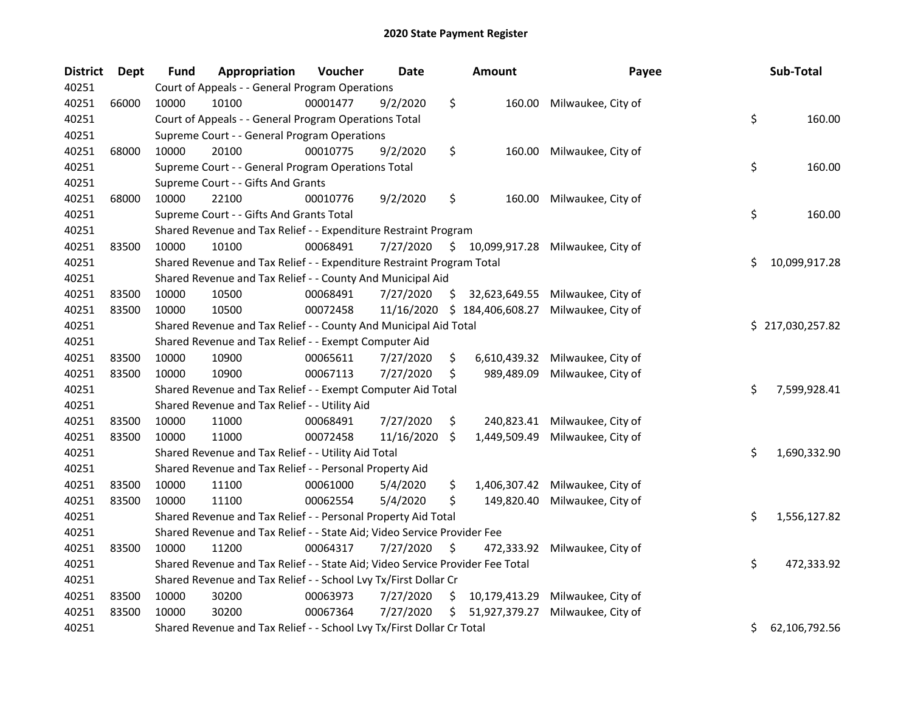| <b>District</b> | Dept  | <b>Fund</b> | Appropriation                                                                 | Voucher  | <b>Date</b> |     | <b>Amount</b>                | Payee                               | Sub-Total           |
|-----------------|-------|-------------|-------------------------------------------------------------------------------|----------|-------------|-----|------------------------------|-------------------------------------|---------------------|
| 40251           |       |             | Court of Appeals - - General Program Operations                               |          |             |     |                              |                                     |                     |
| 40251           | 66000 | 10000       | 10100                                                                         | 00001477 | 9/2/2020    | \$  | 160.00                       | Milwaukee, City of                  |                     |
| 40251           |       |             | Court of Appeals - - General Program Operations Total                         |          |             |     |                              |                                     | \$<br>160.00        |
| 40251           |       |             | Supreme Court - - General Program Operations                                  |          |             |     |                              |                                     |                     |
| 40251           | 68000 | 10000       | 20100                                                                         | 00010775 | 9/2/2020    | \$  | 160.00                       | Milwaukee, City of                  |                     |
| 40251           |       |             | Supreme Court - - General Program Operations Total                            |          |             |     |                              |                                     | \$<br>160.00        |
| 40251           |       |             | Supreme Court - - Gifts And Grants                                            |          |             |     |                              |                                     |                     |
| 40251           | 68000 | 10000       | 22100                                                                         | 00010776 | 9/2/2020    | \$  | 160.00                       | Milwaukee, City of                  |                     |
| 40251           |       |             | Supreme Court - - Gifts And Grants Total                                      |          |             |     |                              |                                     | \$<br>160.00        |
| 40251           |       |             | Shared Revenue and Tax Relief - - Expenditure Restraint Program               |          |             |     |                              |                                     |                     |
| 40251           | 83500 | 10000       | 10100                                                                         | 00068491 | 7/27/2020   |     |                              | $$10,099,917.28$ Milwaukee, City of |                     |
| 40251           |       |             | Shared Revenue and Tax Relief - - Expenditure Restraint Program Total         |          |             |     |                              |                                     | \$<br>10,099,917.28 |
| 40251           |       |             | Shared Revenue and Tax Relief - - County And Municipal Aid                    |          |             |     |                              |                                     |                     |
| 40251           | 83500 | 10000       | 10500                                                                         | 00068491 | 7/27/2020   | \$. | 32,623,649.55                | Milwaukee, City of                  |                     |
| 40251           | 83500 | 10000       | 10500                                                                         | 00072458 |             |     | 11/16/2020 \$ 184,406,608.27 | Milwaukee, City of                  |                     |
| 40251           |       |             | Shared Revenue and Tax Relief - - County And Municipal Aid Total              |          |             |     |                              |                                     | \$217,030,257.82    |
| 40251           |       |             | Shared Revenue and Tax Relief - - Exempt Computer Aid                         |          |             |     |                              |                                     |                     |
| 40251           | 83500 | 10000       | 10900                                                                         | 00065611 | 7/27/2020   | \$  | 6,610,439.32                 | Milwaukee, City of                  |                     |
| 40251           | 83500 | 10000       | 10900                                                                         | 00067113 | 7/27/2020   | \$  | 989,489.09                   | Milwaukee, City of                  |                     |
| 40251           |       |             | Shared Revenue and Tax Relief - - Exempt Computer Aid Total                   |          |             |     |                              |                                     | \$<br>7,599,928.41  |
| 40251           |       |             | Shared Revenue and Tax Relief - - Utility Aid                                 |          |             |     |                              |                                     |                     |
| 40251           | 83500 | 10000       | 11000                                                                         | 00068491 | 7/27/2020   | \$  | 240,823.41                   | Milwaukee, City of                  |                     |
| 40251           | 83500 | 10000       | 11000                                                                         | 00072458 | 11/16/2020  | \$  | 1,449,509.49                 | Milwaukee, City of                  |                     |
| 40251           |       |             | Shared Revenue and Tax Relief - - Utility Aid Total                           |          |             |     |                              |                                     | \$<br>1,690,332.90  |
| 40251           |       |             | Shared Revenue and Tax Relief - - Personal Property Aid                       |          |             |     |                              |                                     |                     |
| 40251           | 83500 | 10000       | 11100                                                                         | 00061000 | 5/4/2020    | \$  | 1,406,307.42                 | Milwaukee, City of                  |                     |
| 40251           | 83500 | 10000       | 11100                                                                         | 00062554 | 5/4/2020    | \$  | 149,820.40                   | Milwaukee, City of                  |                     |
| 40251           |       |             | Shared Revenue and Tax Relief - - Personal Property Aid Total                 |          |             |     |                              |                                     | \$<br>1,556,127.82  |
| 40251           |       |             | Shared Revenue and Tax Relief - - State Aid; Video Service Provider Fee       |          |             |     |                              |                                     |                     |
| 40251           | 83500 | 10000       | 11200                                                                         | 00064317 | 7/27/2020   | \$  | 472,333.92                   | Milwaukee, City of                  |                     |
| 40251           |       |             | Shared Revenue and Tax Relief - - State Aid; Video Service Provider Fee Total |          |             |     |                              |                                     | \$<br>472,333.92    |
| 40251           |       |             | Shared Revenue and Tax Relief - - School Lvy Tx/First Dollar Cr               |          |             |     |                              |                                     |                     |
| 40251           | 83500 | 10000       | 30200                                                                         | 00063973 | 7/27/2020   | \$  | 10,179,413.29                | Milwaukee, City of                  |                     |
| 40251           | 83500 | 10000       | 30200                                                                         | 00067364 | 7/27/2020   | S.  | 51,927,379.27                | Milwaukee, City of                  |                     |
| 40251           |       |             | Shared Revenue and Tax Relief - - School Lvy Tx/First Dollar Cr Total         |          |             |     |                              |                                     | \$<br>62,106,792.56 |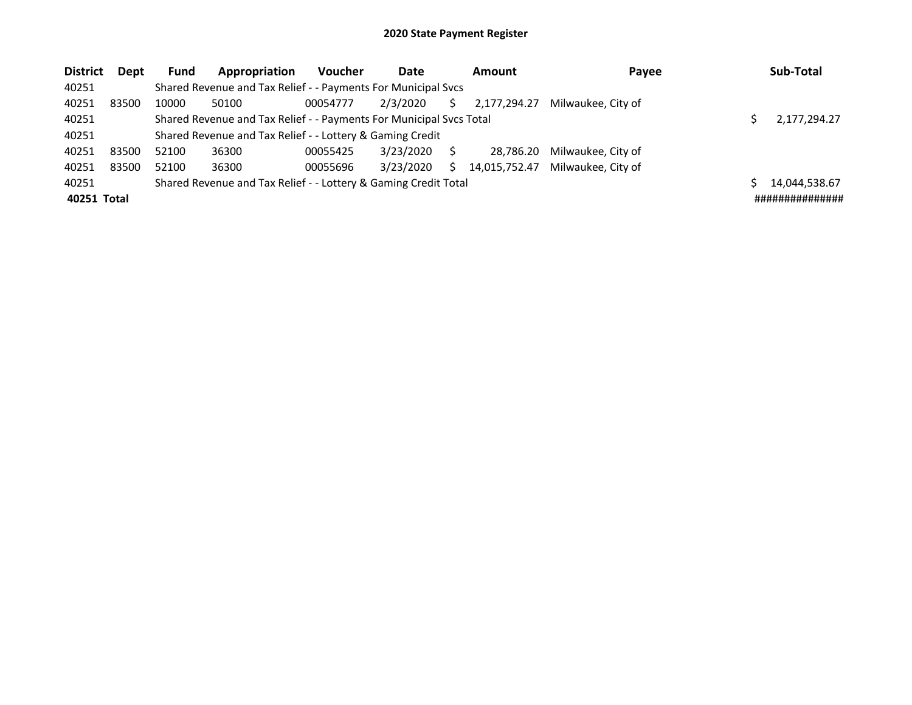| <b>District</b> | <b>Dept</b> | <b>Fund</b> | Appropriation                                                       | <b>Voucher</b> | Date      |   | Amount        | Payee              | Sub-Total       |
|-----------------|-------------|-------------|---------------------------------------------------------------------|----------------|-----------|---|---------------|--------------------|-----------------|
| 40251           |             |             | Shared Revenue and Tax Relief - - Payments For Municipal Svcs       |                |           |   |               |                    |                 |
| 40251           | 83500       | 10000       | 50100                                                               | 00054777       | 2/3/2020  |   | 2,177,294.27  | Milwaukee, City of |                 |
| 40251           |             |             | Shared Revenue and Tax Relief - - Payments For Municipal Svcs Total |                |           |   |               |                    | 2,177,294.27    |
| 40251           |             |             | Shared Revenue and Tax Relief - - Lottery & Gaming Credit           |                |           |   |               |                    |                 |
| 40251           | 83500       | 52100       | 36300                                                               | 00055425       | 3/23/2020 |   | 28.786.20     | Milwaukee, City of |                 |
| 40251           | 83500       | 52100       | 36300                                                               | 00055696       | 3/23/2020 | ς | 14,015,752.47 | Milwaukee. City of |                 |
| 40251           |             |             | Shared Revenue and Tax Relief - - Lottery & Gaming Credit Total     |                |           |   |               |                    | 14,044,538.67   |
| 40251 Total     |             |             |                                                                     |                |           |   |               |                    | ############### |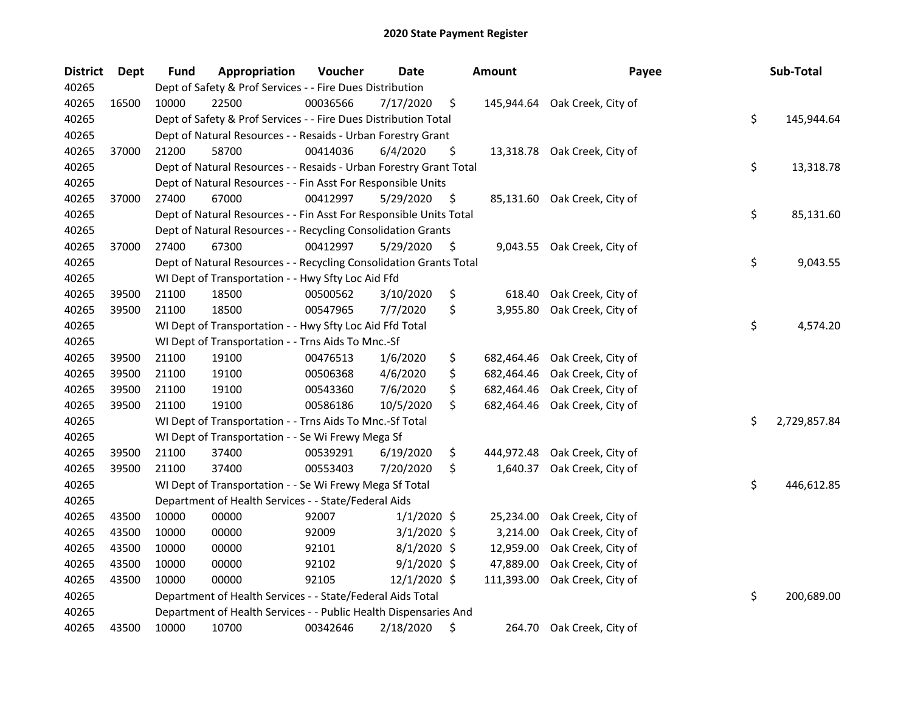| <b>District</b> | <b>Dept</b> | <b>Fund</b> | Appropriation                                                      | Voucher  | Date          | <b>Amount</b>    | Payee                        | Sub-Total          |
|-----------------|-------------|-------------|--------------------------------------------------------------------|----------|---------------|------------------|------------------------------|--------------------|
| 40265           |             |             | Dept of Safety & Prof Services - - Fire Dues Distribution          |          |               |                  |                              |                    |
| 40265           | 16500       | 10000       | 22500                                                              | 00036566 | 7/17/2020     | \$<br>145,944.64 | Oak Creek, City of           |                    |
| 40265           |             |             | Dept of Safety & Prof Services - - Fire Dues Distribution Total    |          |               |                  |                              | \$<br>145,944.64   |
| 40265           |             |             | Dept of Natural Resources - - Resaids - Urban Forestry Grant       |          |               |                  |                              |                    |
| 40265           | 37000       | 21200       | 58700                                                              | 00414036 | 6/4/2020      | \$               | 13,318.78 Oak Creek, City of |                    |
| 40265           |             |             | Dept of Natural Resources - - Resaids - Urban Forestry Grant Total |          |               |                  |                              | \$<br>13,318.78    |
| 40265           |             |             | Dept of Natural Resources - - Fin Asst For Responsible Units       |          |               |                  |                              |                    |
| 40265           | 37000       | 27400       | 67000                                                              | 00412997 | 5/29/2020     | \$               | 85,131.60 Oak Creek, City of |                    |
| 40265           |             |             | Dept of Natural Resources - - Fin Asst For Responsible Units Total |          |               |                  |                              | \$<br>85,131.60    |
| 40265           |             |             | Dept of Natural Resources - - Recycling Consolidation Grants       |          |               |                  |                              |                    |
| 40265           | 37000       | 27400       | 67300                                                              | 00412997 | 5/29/2020     | \$               | 9,043.55 Oak Creek, City of  |                    |
| 40265           |             |             | Dept of Natural Resources - - Recycling Consolidation Grants Total |          |               |                  |                              | \$<br>9,043.55     |
| 40265           |             |             | WI Dept of Transportation - - Hwy Sfty Loc Aid Ffd                 |          |               |                  |                              |                    |
| 40265           | 39500       | 21100       | 18500                                                              | 00500562 | 3/10/2020     | \$<br>618.40     | Oak Creek, City of           |                    |
| 40265           | 39500       | 21100       | 18500                                                              | 00547965 | 7/7/2020      | \$<br>3,955.80   | Oak Creek, City of           |                    |
| 40265           |             |             | WI Dept of Transportation - - Hwy Sfty Loc Aid Ffd Total           |          |               |                  |                              | \$<br>4,574.20     |
| 40265           |             |             | WI Dept of Transportation - - Trns Aids To Mnc.-Sf                 |          |               |                  |                              |                    |
| 40265           | 39500       | 21100       | 19100                                                              | 00476513 | 1/6/2020      | \$<br>682,464.46 | Oak Creek, City of           |                    |
| 40265           | 39500       | 21100       | 19100                                                              | 00506368 | 4/6/2020      | \$<br>682,464.46 | Oak Creek, City of           |                    |
| 40265           | 39500       | 21100       | 19100                                                              | 00543360 | 7/6/2020      | \$<br>682,464.46 | Oak Creek, City of           |                    |
| 40265           | 39500       | 21100       | 19100                                                              | 00586186 | 10/5/2020     | \$<br>682,464.46 | Oak Creek, City of           |                    |
| 40265           |             |             | WI Dept of Transportation - - Trns Aids To Mnc.-Sf Total           |          |               |                  |                              | \$<br>2,729,857.84 |
| 40265           |             |             | WI Dept of Transportation - - Se Wi Frewy Mega Sf                  |          |               |                  |                              |                    |
| 40265           | 39500       | 21100       | 37400                                                              | 00539291 | 6/19/2020     | \$<br>444,972.48 | Oak Creek, City of           |                    |
| 40265           | 39500       | 21100       | 37400                                                              | 00553403 | 7/20/2020     | \$<br>1,640.37   | Oak Creek, City of           |                    |
| 40265           |             |             | WI Dept of Transportation - - Se Wi Frewy Mega Sf Total            |          |               |                  |                              | \$<br>446,612.85   |
| 40265           |             |             | Department of Health Services - - State/Federal Aids               |          |               |                  |                              |                    |
| 40265           | 43500       | 10000       | 00000                                                              | 92007    | $1/1/2020$ \$ | 25,234.00        | Oak Creek, City of           |                    |
| 40265           | 43500       | 10000       | 00000                                                              | 92009    | $3/1/2020$ \$ | 3,214.00         | Oak Creek, City of           |                    |
| 40265           | 43500       | 10000       | 00000                                                              | 92101    | $8/1/2020$ \$ | 12,959.00        | Oak Creek, City of           |                    |
| 40265           | 43500       | 10000       | 00000                                                              | 92102    | $9/1/2020$ \$ | 47,889.00        | Oak Creek, City of           |                    |
| 40265           | 43500       | 10000       | 00000                                                              | 92105    | 12/1/2020 \$  | 111,393.00       | Oak Creek, City of           |                    |
| 40265           |             |             | Department of Health Services - - State/Federal Aids Total         |          |               |                  |                              | \$<br>200,689.00   |
| 40265           |             |             | Department of Health Services - - Public Health Dispensaries And   |          |               |                  |                              |                    |
| 40265           | 43500       | 10000       | 10700                                                              | 00342646 | 2/18/2020     | \$<br>264.70     | Oak Creek, City of           |                    |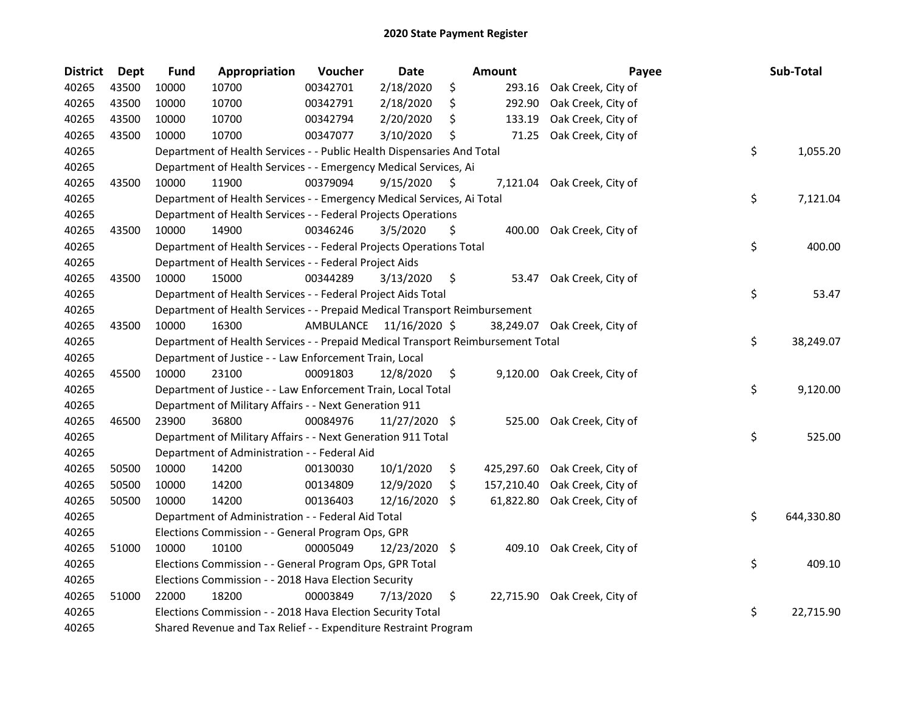| <b>District</b> | Dept  | <b>Fund</b> | Appropriation                                                                   | Voucher   | <b>Date</b>   |     | Amount     | Payee                        | Sub-Total        |
|-----------------|-------|-------------|---------------------------------------------------------------------------------|-----------|---------------|-----|------------|------------------------------|------------------|
| 40265           | 43500 | 10000       | 10700                                                                           | 00342701  | 2/18/2020     | \$  | 293.16     | Oak Creek, City of           |                  |
| 40265           | 43500 | 10000       | 10700                                                                           | 00342791  | 2/18/2020     | \$  | 292.90     | Oak Creek, City of           |                  |
| 40265           | 43500 | 10000       | 10700                                                                           | 00342794  | 2/20/2020     | \$  | 133.19     | Oak Creek, City of           |                  |
| 40265           | 43500 | 10000       | 10700                                                                           | 00347077  | 3/10/2020     | S   | 71.25      | Oak Creek, City of           |                  |
| 40265           |       |             | Department of Health Services - - Public Health Dispensaries And Total          |           |               |     |            |                              | \$<br>1,055.20   |
| 40265           |       |             | Department of Health Services - - Emergency Medical Services, Ai                |           |               |     |            |                              |                  |
| 40265           | 43500 | 10000       | 11900                                                                           | 00379094  | 9/15/2020     | \$. | 7,121.04   | Oak Creek, City of           |                  |
| 40265           |       |             | Department of Health Services - - Emergency Medical Services, Ai Total          |           |               |     |            |                              | \$<br>7,121.04   |
| 40265           |       |             | Department of Health Services - - Federal Projects Operations                   |           |               |     |            |                              |                  |
| 40265           | 43500 | 10000       | 14900                                                                           | 00346246  | 3/5/2020      | \$  |            | 400.00 Oak Creek, City of    |                  |
| 40265           |       |             | Department of Health Services - - Federal Projects Operations Total             |           |               |     |            |                              | \$<br>400.00     |
| 40265           |       |             | Department of Health Services - - Federal Project Aids                          |           |               |     |            |                              |                  |
| 40265           | 43500 | 10000       | 15000                                                                           | 00344289  | 3/13/2020     | \$  | 53.47      | Oak Creek, City of           |                  |
| 40265           |       |             | Department of Health Services - - Federal Project Aids Total                    |           |               |     |            |                              | \$<br>53.47      |
| 40265           |       |             | Department of Health Services - - Prepaid Medical Transport Reimbursement       |           |               |     |            |                              |                  |
| 40265           | 43500 | 10000       | 16300                                                                           | AMBULANCE | 11/16/2020 \$ |     |            | 38,249.07 Oak Creek, City of |                  |
| 40265           |       |             | Department of Health Services - - Prepaid Medical Transport Reimbursement Total |           |               |     |            |                              | \$<br>38,249.07  |
| 40265           |       |             | Department of Justice - - Law Enforcement Train, Local                          |           |               |     |            |                              |                  |
| 40265           | 45500 | 10000       | 23100                                                                           | 00091803  | 12/8/2020     | \$  |            | 9,120.00 Oak Creek, City of  |                  |
| 40265           |       |             | Department of Justice - - Law Enforcement Train, Local Total                    |           |               |     |            |                              | \$<br>9,120.00   |
| 40265           |       |             | Department of Military Affairs - - Next Generation 911                          |           |               |     |            |                              |                  |
| 40265           | 46500 | 23900       | 36800                                                                           | 00084976  | 11/27/2020 \$ |     | 525.00     | Oak Creek, City of           |                  |
| 40265           |       |             | Department of Military Affairs - - Next Generation 911 Total                    |           |               |     |            |                              | \$<br>525.00     |
| 40265           |       |             | Department of Administration - - Federal Aid                                    |           |               |     |            |                              |                  |
| 40265           | 50500 | 10000       | 14200                                                                           | 00130030  | 10/1/2020     | \$  | 425,297.60 | Oak Creek, City of           |                  |
| 40265           | 50500 | 10000       | 14200                                                                           | 00134809  | 12/9/2020     | \$. | 157,210.40 | Oak Creek, City of           |                  |
| 40265           | 50500 | 10000       | 14200                                                                           | 00136403  | 12/16/2020    | \$  | 61,822.80  | Oak Creek, City of           |                  |
| 40265           |       |             | Department of Administration - - Federal Aid Total                              |           |               |     |            |                              | \$<br>644,330.80 |
| 40265           |       |             | Elections Commission - - General Program Ops, GPR                               |           |               |     |            |                              |                  |
| 40265           | 51000 | 10000       | 10100                                                                           | 00005049  | 12/23/2020 \$ |     | 409.10     | Oak Creek, City of           |                  |
| 40265           |       |             | Elections Commission - - General Program Ops, GPR Total                         |           |               |     |            |                              | \$<br>409.10     |
| 40265           |       |             | Elections Commission - - 2018 Hava Election Security                            |           |               |     |            |                              |                  |
| 40265           | 51000 | 22000       | 18200                                                                           | 00003849  | 7/13/2020     | \$  |            | 22,715.90 Oak Creek, City of |                  |
| 40265           |       |             | Elections Commission - - 2018 Hava Election Security Total                      |           |               |     |            |                              | \$<br>22,715.90  |
| 40265           |       |             | Shared Revenue and Tax Relief - - Expenditure Restraint Program                 |           |               |     |            |                              |                  |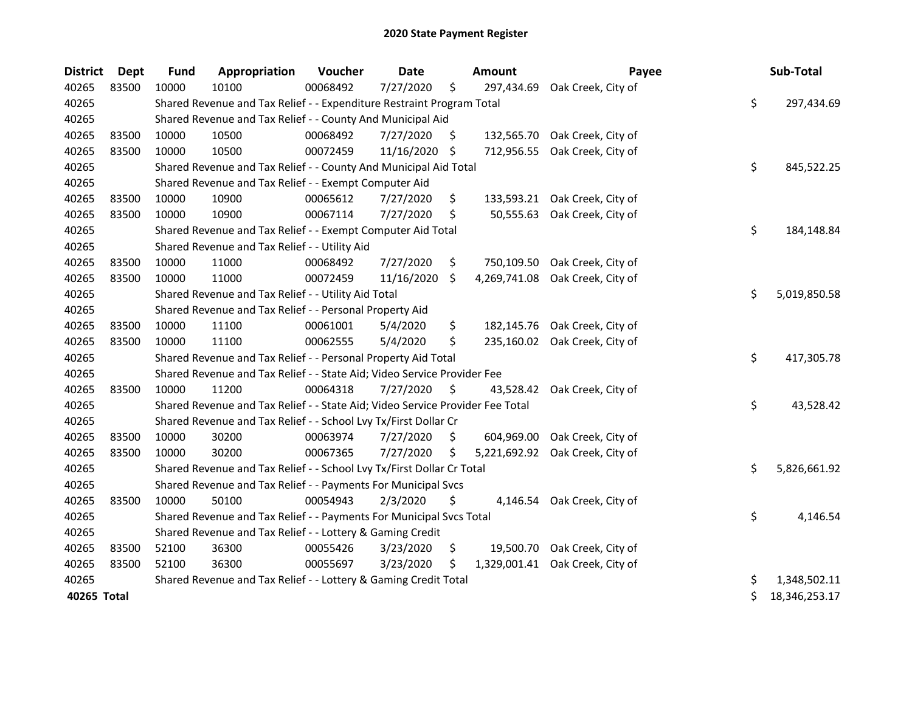| <b>District</b> | <b>Dept</b> | <b>Fund</b> | Appropriation                                                                 | Voucher  | <b>Date</b> |     | <b>Amount</b> | Payee                         | Sub-Total           |
|-----------------|-------------|-------------|-------------------------------------------------------------------------------|----------|-------------|-----|---------------|-------------------------------|---------------------|
| 40265           | 83500       | 10000       | 10100                                                                         | 00068492 | 7/27/2020   | \$  | 297,434.69    | Oak Creek, City of            |                     |
| 40265           |             |             | Shared Revenue and Tax Relief - - Expenditure Restraint Program Total         |          |             |     |               |                               | \$<br>297,434.69    |
| 40265           |             |             | Shared Revenue and Tax Relief - - County And Municipal Aid                    |          |             |     |               |                               |                     |
| 40265           | 83500       | 10000       | 10500                                                                         | 00068492 | 7/27/2020   | \$. |               | 132,565.70 Oak Creek, City of |                     |
| 40265           | 83500       | 10000       | 10500                                                                         | 00072459 | 11/16/2020  | \$  | 712,956.55    | Oak Creek, City of            |                     |
| 40265           |             |             | Shared Revenue and Tax Relief - - County And Municipal Aid Total              |          |             |     |               |                               | \$<br>845,522.25    |
| 40265           |             |             | Shared Revenue and Tax Relief - - Exempt Computer Aid                         |          |             |     |               |                               |                     |
| 40265           | 83500       | 10000       | 10900                                                                         | 00065612 | 7/27/2020   | \$  |               | 133,593.21 Oak Creek, City of |                     |
| 40265           | 83500       | 10000       | 10900                                                                         | 00067114 | 7/27/2020   | \$  |               | 50,555.63 Oak Creek, City of  |                     |
| 40265           |             |             | Shared Revenue and Tax Relief - - Exempt Computer Aid Total                   |          |             |     |               |                               | \$<br>184,148.84    |
| 40265           |             |             | Shared Revenue and Tax Relief - - Utility Aid                                 |          |             |     |               |                               |                     |
| 40265           | 83500       | 10000       | 11000                                                                         | 00068492 | 7/27/2020   | \$  | 750,109.50    | Oak Creek, City of            |                     |
| 40265           | 83500       | 10000       | 11000                                                                         | 00072459 | 11/16/2020  | \$  | 4,269,741.08  | Oak Creek, City of            |                     |
| 40265           |             |             | Shared Revenue and Tax Relief - - Utility Aid Total                           |          |             |     |               |                               | \$<br>5,019,850.58  |
| 40265           |             |             | Shared Revenue and Tax Relief - - Personal Property Aid                       |          |             |     |               |                               |                     |
| 40265           | 83500       | 10000       | 11100                                                                         | 00061001 | 5/4/2020    | \$  | 182,145.76    | Oak Creek, City of            |                     |
| 40265           | 83500       | 10000       | 11100                                                                         | 00062555 | 5/4/2020    | \$  | 235,160.02    | Oak Creek, City of            |                     |
| 40265           |             |             | Shared Revenue and Tax Relief - - Personal Property Aid Total                 |          |             |     |               |                               | \$<br>417,305.78    |
| 40265           |             |             | Shared Revenue and Tax Relief - - State Aid; Video Service Provider Fee       |          |             |     |               |                               |                     |
| 40265           | 83500       | 10000       | 11200                                                                         | 00064318 | 7/27/2020   | \$. | 43,528.42     | Oak Creek, City of            |                     |
| 40265           |             |             | Shared Revenue and Tax Relief - - State Aid; Video Service Provider Fee Total |          |             |     |               |                               | \$<br>43,528.42     |
| 40265           |             |             | Shared Revenue and Tax Relief - - School Lvy Tx/First Dollar Cr               |          |             |     |               |                               |                     |
| 40265           | 83500       | 10000       | 30200                                                                         | 00063974 | 7/27/2020   | \$  | 604,969.00    | Oak Creek, City of            |                     |
| 40265           | 83500       | 10000       | 30200                                                                         | 00067365 | 7/27/2020   | \$  | 5,221,692.92  | Oak Creek, City of            |                     |
| 40265           |             |             | Shared Revenue and Tax Relief - - School Lvy Tx/First Dollar Cr Total         |          |             |     |               |                               | \$<br>5,826,661.92  |
| 40265           |             |             | Shared Revenue and Tax Relief - - Payments For Municipal Svcs                 |          |             |     |               |                               |                     |
| 40265           | 83500       | 10000       | 50100                                                                         | 00054943 | 2/3/2020    | \$  |               | 4,146.54 Oak Creek, City of   |                     |
| 40265           |             |             | Shared Revenue and Tax Relief - - Payments For Municipal Svcs Total           |          |             |     |               |                               | \$<br>4,146.54      |
| 40265           |             |             | Shared Revenue and Tax Relief - - Lottery & Gaming Credit                     |          |             |     |               |                               |                     |
| 40265           | 83500       | 52100       | 36300                                                                         | 00055426 | 3/23/2020   | \$  | 19,500.70     | Oak Creek, City of            |                     |
| 40265           | 83500       | 52100       | 36300                                                                         | 00055697 | 3/23/2020   | \$  | 1,329,001.41  | Oak Creek, City of            |                     |
| 40265           |             |             | Shared Revenue and Tax Relief - - Lottery & Gaming Credit Total               |          |             |     |               |                               | \$<br>1,348,502.11  |
| 40265 Total     |             |             |                                                                               |          |             |     |               |                               | \$<br>18,346,253.17 |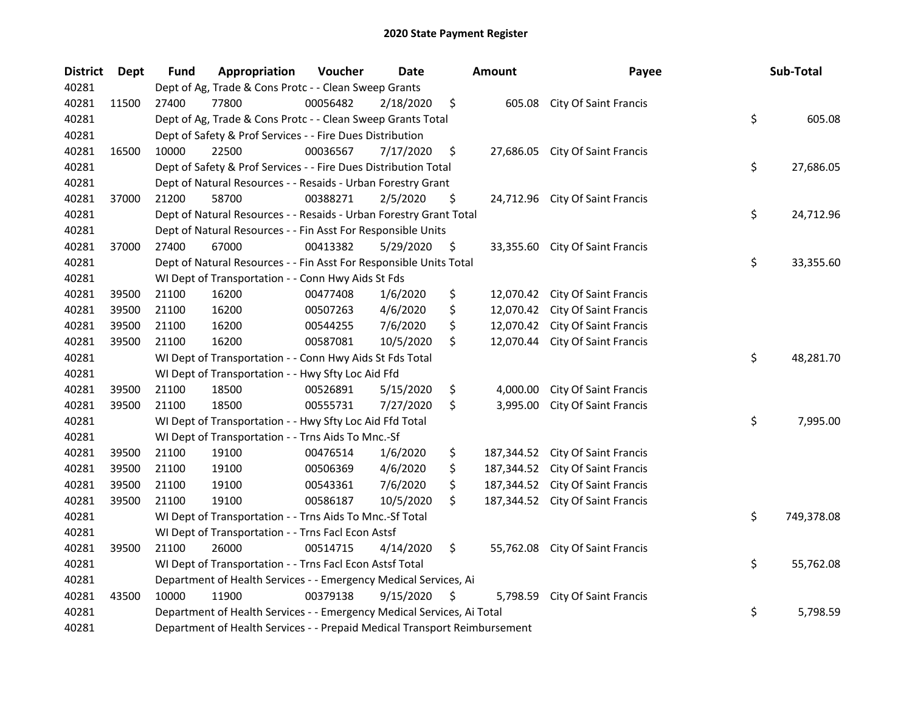| <b>District</b> | <b>Dept</b> | Fund  | Appropriation                                                             | Voucher  | <b>Date</b> | <b>Amount</b>    | Payee                           | Sub-Total        |
|-----------------|-------------|-------|---------------------------------------------------------------------------|----------|-------------|------------------|---------------------------------|------------------|
| 40281           |             |       | Dept of Ag, Trade & Cons Protc - - Clean Sweep Grants                     |          |             |                  |                                 |                  |
| 40281           | 11500       | 27400 | 77800                                                                     | 00056482 | 2/18/2020   | \$<br>605.08     | <b>City Of Saint Francis</b>    |                  |
| 40281           |             |       | Dept of Ag, Trade & Cons Protc - - Clean Sweep Grants Total               |          |             |                  |                                 | \$<br>605.08     |
| 40281           |             |       | Dept of Safety & Prof Services - - Fire Dues Distribution                 |          |             |                  |                                 |                  |
| 40281           | 16500       | 10000 | 22500                                                                     | 00036567 | 7/17/2020   | \$<br>27,686.05  | <b>City Of Saint Francis</b>    |                  |
| 40281           |             |       | Dept of Safety & Prof Services - - Fire Dues Distribution Total           |          |             |                  |                                 | \$<br>27,686.05  |
| 40281           |             |       | Dept of Natural Resources - - Resaids - Urban Forestry Grant              |          |             |                  |                                 |                  |
| 40281           | 37000       | 21200 | 58700                                                                     | 00388271 | 2/5/2020    | \$               | 24,712.96 City Of Saint Francis |                  |
| 40281           |             |       | Dept of Natural Resources - - Resaids - Urban Forestry Grant Total        |          |             |                  |                                 | \$<br>24,712.96  |
| 40281           |             |       | Dept of Natural Resources - - Fin Asst For Responsible Units              |          |             |                  |                                 |                  |
| 40281           | 37000       | 27400 | 67000                                                                     | 00413382 | 5/29/2020   | \$               | 33,355.60 City Of Saint Francis |                  |
| 40281           |             |       | Dept of Natural Resources - - Fin Asst For Responsible Units Total        |          |             |                  |                                 | \$<br>33,355.60  |
| 40281           |             |       | WI Dept of Transportation - - Conn Hwy Aids St Fds                        |          |             |                  |                                 |                  |
| 40281           | 39500       | 21100 | 16200                                                                     | 00477408 | 1/6/2020    | \$<br>12,070.42  | <b>City Of Saint Francis</b>    |                  |
| 40281           | 39500       | 21100 | 16200                                                                     | 00507263 | 4/6/2020    | \$<br>12,070.42  | City Of Saint Francis           |                  |
| 40281           | 39500       | 21100 | 16200                                                                     | 00544255 | 7/6/2020    | \$<br>12,070.42  | <b>City Of Saint Francis</b>    |                  |
| 40281           | 39500       | 21100 | 16200                                                                     | 00587081 | 10/5/2020   | \$<br>12,070.44  | <b>City Of Saint Francis</b>    |                  |
| 40281           |             |       | WI Dept of Transportation - - Conn Hwy Aids St Fds Total                  |          |             |                  |                                 | \$<br>48,281.70  |
| 40281           |             |       | WI Dept of Transportation - - Hwy Sfty Loc Aid Ffd                        |          |             |                  |                                 |                  |
| 40281           | 39500       | 21100 | 18500                                                                     | 00526891 | 5/15/2020   | \$<br>4,000.00   | City Of Saint Francis           |                  |
| 40281           | 39500       | 21100 | 18500                                                                     | 00555731 | 7/27/2020   | \$<br>3,995.00   | <b>City Of Saint Francis</b>    |                  |
| 40281           |             |       | WI Dept of Transportation - - Hwy Sfty Loc Aid Ffd Total                  |          |             |                  |                                 | \$<br>7,995.00   |
| 40281           |             |       | WI Dept of Transportation - - Trns Aids To Mnc.-Sf                        |          |             |                  |                                 |                  |
| 40281           | 39500       | 21100 | 19100                                                                     | 00476514 | 1/6/2020    | \$<br>187,344.52 | <b>City Of Saint Francis</b>    |                  |
| 40281           | 39500       | 21100 | 19100                                                                     | 00506369 | 4/6/2020    | \$<br>187,344.52 | City Of Saint Francis           |                  |
| 40281           | 39500       | 21100 | 19100                                                                     | 00543361 | 7/6/2020    | \$<br>187,344.52 | <b>City Of Saint Francis</b>    |                  |
| 40281           | 39500       | 21100 | 19100                                                                     | 00586187 | 10/5/2020   | \$<br>187,344.52 | <b>City Of Saint Francis</b>    |                  |
| 40281           |             |       | WI Dept of Transportation - - Trns Aids To Mnc.-Sf Total                  |          |             |                  |                                 | \$<br>749,378.08 |
| 40281           |             |       | WI Dept of Transportation - - Trns Facl Econ Astsf                        |          |             |                  |                                 |                  |
| 40281           | 39500       | 21100 | 26000                                                                     | 00514715 | 4/14/2020   | \$<br>55,762.08  | City Of Saint Francis           |                  |
| 40281           |             |       | WI Dept of Transportation - - Trns Facl Econ Astsf Total                  |          |             |                  |                                 | \$<br>55,762.08  |
| 40281           |             |       | Department of Health Services - - Emergency Medical Services, Ai          |          |             |                  |                                 |                  |
| 40281           | 43500       | 10000 | 11900                                                                     | 00379138 | 9/15/2020   | \$<br>5,798.59   | <b>City Of Saint Francis</b>    |                  |
| 40281           |             |       | Department of Health Services - - Emergency Medical Services, Ai Total    |          |             |                  |                                 | \$<br>5,798.59   |
| 40281           |             |       | Department of Health Services - - Prepaid Medical Transport Reimbursement |          |             |                  |                                 |                  |
|                 |             |       |                                                                           |          |             |                  |                                 |                  |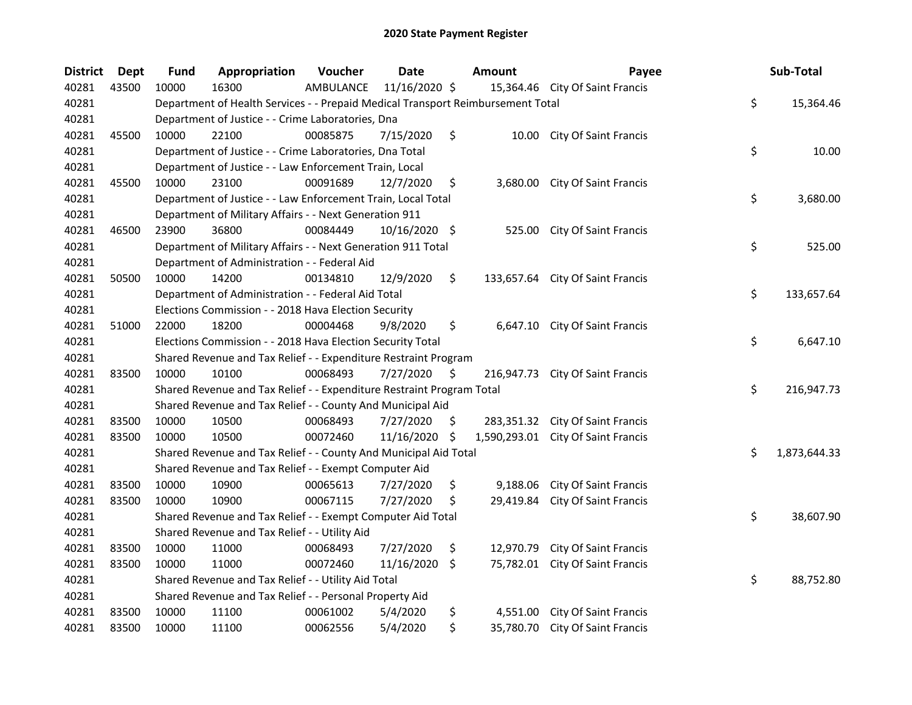| <b>District</b> | <b>Dept</b> | <b>Fund</b> | Appropriation                                                                   | Voucher   | <b>Date</b>   |     | <b>Amount</b> | Payee                              | Sub-Total          |
|-----------------|-------------|-------------|---------------------------------------------------------------------------------|-----------|---------------|-----|---------------|------------------------------------|--------------------|
| 40281           | 43500       | 10000       | 16300                                                                           | AMBULANCE | 11/16/2020 \$ |     |               | 15,364.46 City Of Saint Francis    |                    |
| 40281           |             |             | Department of Health Services - - Prepaid Medical Transport Reimbursement Total |           |               |     |               |                                    | \$<br>15,364.46    |
| 40281           |             |             | Department of Justice - - Crime Laboratories, Dna                               |           |               |     |               |                                    |                    |
| 40281           | 45500       | 10000       | 22100                                                                           | 00085875  | 7/15/2020     | \$  |               | 10.00 City Of Saint Francis        |                    |
| 40281           |             |             | Department of Justice - - Crime Laboratories, Dna Total                         |           |               |     |               |                                    | \$<br>10.00        |
| 40281           |             |             | Department of Justice - - Law Enforcement Train, Local                          |           |               |     |               |                                    |                    |
| 40281           | 45500       | 10000       | 23100                                                                           | 00091689  | 12/7/2020     | \$  |               | 3,680.00 City Of Saint Francis     |                    |
| 40281           |             |             | Department of Justice - - Law Enforcement Train, Local Total                    |           |               |     |               |                                    | \$<br>3,680.00     |
| 40281           |             |             | Department of Military Affairs - - Next Generation 911                          |           |               |     |               |                                    |                    |
| 40281           | 46500       | 23900       | 36800                                                                           | 00084449  | 10/16/2020 \$ |     | 525.00        | <b>City Of Saint Francis</b>       |                    |
| 40281           |             |             | Department of Military Affairs - - Next Generation 911 Total                    |           |               |     |               |                                    | \$<br>525.00       |
| 40281           |             |             | Department of Administration - - Federal Aid                                    |           |               |     |               |                                    |                    |
| 40281           | 50500       | 10000       | 14200                                                                           | 00134810  | 12/9/2020     | \$  |               | 133,657.64 City Of Saint Francis   |                    |
| 40281           |             |             | Department of Administration - - Federal Aid Total                              |           |               |     |               |                                    | \$<br>133,657.64   |
| 40281           |             |             | Elections Commission - - 2018 Hava Election Security                            |           |               |     |               |                                    |                    |
| 40281           | 51000       | 22000       | 18200                                                                           | 00004468  | 9/8/2020      | \$  | 6,647.10      | City Of Saint Francis              |                    |
| 40281           |             |             | Elections Commission - - 2018 Hava Election Security Total                      |           |               |     |               |                                    | \$<br>6,647.10     |
| 40281           |             |             | Shared Revenue and Tax Relief - - Expenditure Restraint Program                 |           |               |     |               |                                    |                    |
| 40281           | 83500       | 10000       | 10100                                                                           | 00068493  | 7/27/2020     | \$  | 216,947.73    | <b>City Of Saint Francis</b>       |                    |
| 40281           |             |             | Shared Revenue and Tax Relief - - Expenditure Restraint Program Total           |           |               |     |               |                                    | \$<br>216,947.73   |
| 40281           |             |             | Shared Revenue and Tax Relief - - County And Municipal Aid                      |           |               |     |               |                                    |                    |
| 40281           | 83500       | 10000       | 10500                                                                           | 00068493  | 7/27/2020     | \$. |               | 283,351.32 City Of Saint Francis   |                    |
| 40281           | 83500       | 10000       | 10500                                                                           | 00072460  | 11/16/2020    | -\$ |               | 1,590,293.01 City Of Saint Francis |                    |
| 40281           |             |             | Shared Revenue and Tax Relief - - County And Municipal Aid Total                |           |               |     |               |                                    | \$<br>1,873,644.33 |
| 40281           |             |             | Shared Revenue and Tax Relief - - Exempt Computer Aid                           |           |               |     |               |                                    |                    |
| 40281           | 83500       | 10000       | 10900                                                                           | 00065613  | 7/27/2020     | \$  | 9,188.06      | <b>City Of Saint Francis</b>       |                    |
| 40281           | 83500       | 10000       | 10900                                                                           | 00067115  | 7/27/2020     | S   | 29,419.84     | City Of Saint Francis              |                    |
| 40281           |             |             | Shared Revenue and Tax Relief - - Exempt Computer Aid Total                     |           |               |     |               |                                    | \$<br>38,607.90    |
| 40281           |             |             | Shared Revenue and Tax Relief - - Utility Aid                                   |           |               |     |               |                                    |                    |
| 40281           | 83500       | 10000       | 11000                                                                           | 00068493  | 7/27/2020     | \$  | 12,970.79     | <b>City Of Saint Francis</b>       |                    |
| 40281           | 83500       | 10000       | 11000                                                                           | 00072460  | 11/16/2020    | \$  | 75,782.01     | <b>City Of Saint Francis</b>       |                    |
| 40281           |             |             | Shared Revenue and Tax Relief - - Utility Aid Total                             |           |               |     |               |                                    | \$<br>88,752.80    |
| 40281           |             |             | Shared Revenue and Tax Relief - - Personal Property Aid                         |           |               |     |               |                                    |                    |
| 40281           | 83500       | 10000       | 11100                                                                           | 00061002  | 5/4/2020      | \$  | 4,551.00      | <b>City Of Saint Francis</b>       |                    |
| 40281           | 83500       | 10000       | 11100                                                                           | 00062556  | 5/4/2020      | \$  |               | 35,780.70 City Of Saint Francis    |                    |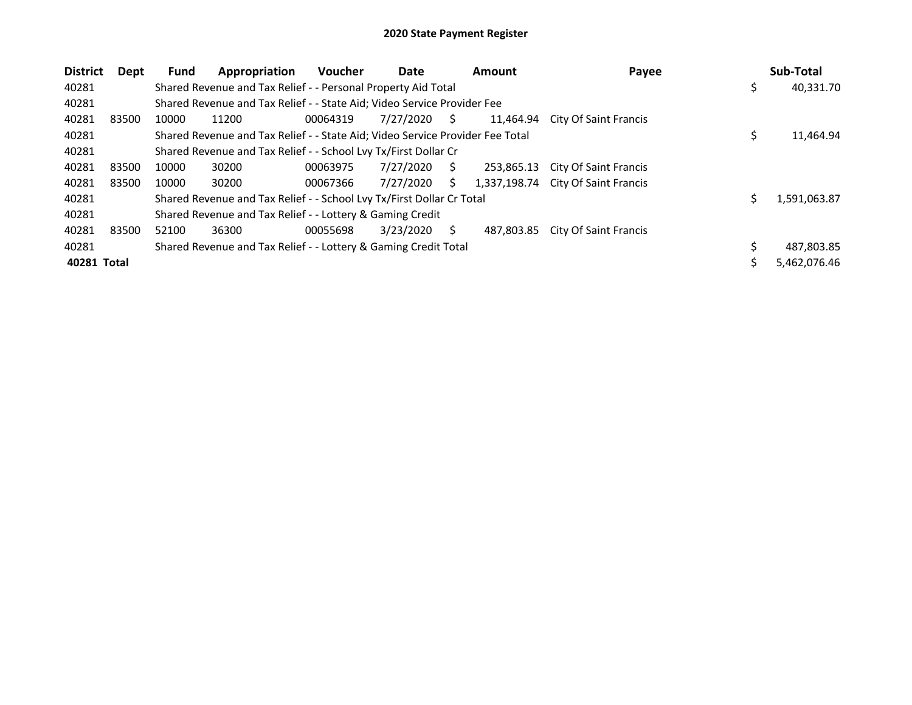| <b>District</b> | Dept  | <b>Fund</b> | Appropriation                                                                 | <b>Voucher</b> | Date      |    | <b>Amount</b> | Payee                        |   | Sub-Total    |
|-----------------|-------|-------------|-------------------------------------------------------------------------------|----------------|-----------|----|---------------|------------------------------|---|--------------|
| 40281           |       |             | Shared Revenue and Tax Relief - - Personal Property Aid Total                 |                |           |    |               |                              | ১ | 40,331.70    |
| 40281           |       |             | Shared Revenue and Tax Relief - - State Aid; Video Service Provider Fee       |                |           |    |               |                              |   |              |
| 40281           | 83500 | 10000       | 11200                                                                         | 00064319       | 7/27/2020 | S. | 11,464.94     | <b>City Of Saint Francis</b> |   |              |
| 40281           |       |             | Shared Revenue and Tax Relief - - State Aid; Video Service Provider Fee Total |                |           |    |               |                              |   | 11,464.94    |
| 40281           |       |             | Shared Revenue and Tax Relief - - School Lvy Tx/First Dollar Cr               |                |           |    |               |                              |   |              |
| 40281           | 83500 | 10000       | 30200                                                                         | 00063975       | 7/27/2020 | S  | 253.865.13    | City Of Saint Francis        |   |              |
| 40281           | 83500 | 10000       | 30200                                                                         | 00067366       | 7/27/2020 | S. | 1,337,198.74  | City Of Saint Francis        |   |              |
| 40281           |       |             | Shared Revenue and Tax Relief - - School Lvy Tx/First Dollar Cr Total         |                |           |    |               |                              |   | 1,591,063.87 |
| 40281           |       |             | Shared Revenue and Tax Relief - - Lottery & Gaming Credit                     |                |           |    |               |                              |   |              |
| 40281           | 83500 | 52100       | 36300                                                                         | 00055698       | 3/23/2020 | S  | 487.803.85    | City Of Saint Francis        |   |              |
| 40281           |       |             | Shared Revenue and Tax Relief - - Lottery & Gaming Credit Total               |                |           |    |               |                              |   | 487,803.85   |
| 40281 Total     |       |             |                                                                               |                |           |    |               |                              |   | 5,462,076.46 |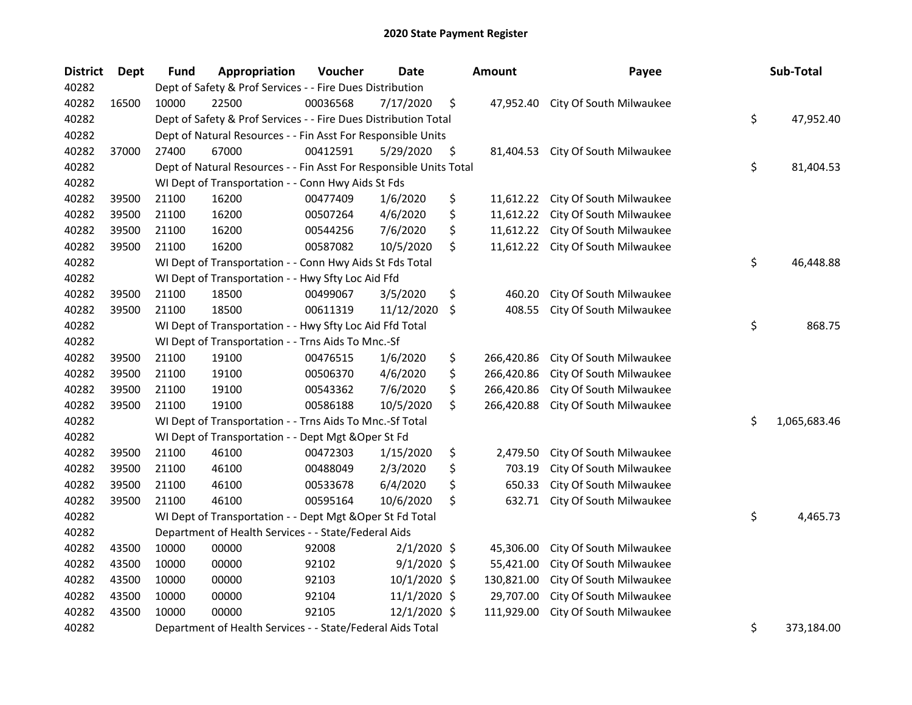| <b>District</b> | <b>Dept</b> | Fund  | Appropriation                                                      | Voucher  | <b>Date</b>    | <b>Amount</b>    | Payee                   | Sub-Total          |
|-----------------|-------------|-------|--------------------------------------------------------------------|----------|----------------|------------------|-------------------------|--------------------|
| 40282           |             |       | Dept of Safety & Prof Services - - Fire Dues Distribution          |          |                |                  |                         |                    |
| 40282           | 16500       | 10000 | 22500                                                              | 00036568 | 7/17/2020      | \$<br>47,952.40  | City Of South Milwaukee |                    |
| 40282           |             |       | Dept of Safety & Prof Services - - Fire Dues Distribution Total    |          |                |                  |                         | \$<br>47,952.40    |
| 40282           |             |       | Dept of Natural Resources - - Fin Asst For Responsible Units       |          |                |                  |                         |                    |
| 40282           | 37000       | 27400 | 67000                                                              | 00412591 | 5/29/2020      | \$<br>81,404.53  | City Of South Milwaukee |                    |
| 40282           |             |       | Dept of Natural Resources - - Fin Asst For Responsible Units Total |          |                |                  |                         | \$<br>81,404.53    |
| 40282           |             |       | WI Dept of Transportation - - Conn Hwy Aids St Fds                 |          |                |                  |                         |                    |
| 40282           | 39500       | 21100 | 16200                                                              | 00477409 | 1/6/2020       | \$<br>11,612.22  | City Of South Milwaukee |                    |
| 40282           | 39500       | 21100 | 16200                                                              | 00507264 | 4/6/2020       | \$<br>11,612.22  | City Of South Milwaukee |                    |
| 40282           | 39500       | 21100 | 16200                                                              | 00544256 | 7/6/2020       | \$<br>11,612.22  | City Of South Milwaukee |                    |
| 40282           | 39500       | 21100 | 16200                                                              | 00587082 | 10/5/2020      | \$<br>11,612.22  | City Of South Milwaukee |                    |
| 40282           |             |       | WI Dept of Transportation - - Conn Hwy Aids St Fds Total           |          |                |                  |                         | \$<br>46,448.88    |
| 40282           |             |       | WI Dept of Transportation - - Hwy Sfty Loc Aid Ffd                 |          |                |                  |                         |                    |
| 40282           | 39500       | 21100 | 18500                                                              | 00499067 | 3/5/2020       | \$<br>460.20     | City Of South Milwaukee |                    |
| 40282           | 39500       | 21100 | 18500                                                              | 00611319 | 11/12/2020     | \$<br>408.55     | City Of South Milwaukee |                    |
| 40282           |             |       | WI Dept of Transportation - - Hwy Sfty Loc Aid Ffd Total           |          |                |                  |                         | \$<br>868.75       |
| 40282           |             |       | WI Dept of Transportation - - Trns Aids To Mnc.-Sf                 |          |                |                  |                         |                    |
| 40282           | 39500       | 21100 | 19100                                                              | 00476515 | 1/6/2020       | \$<br>266,420.86 | City Of South Milwaukee |                    |
| 40282           | 39500       | 21100 | 19100                                                              | 00506370 | 4/6/2020       | \$<br>266,420.86 | City Of South Milwaukee |                    |
| 40282           | 39500       | 21100 | 19100                                                              | 00543362 | 7/6/2020       | \$<br>266,420.86 | City Of South Milwaukee |                    |
| 40282           | 39500       | 21100 | 19100                                                              | 00586188 | 10/5/2020      | \$<br>266,420.88 | City Of South Milwaukee |                    |
| 40282           |             |       | WI Dept of Transportation - - Trns Aids To Mnc.-Sf Total           |          |                |                  |                         | \$<br>1,065,683.46 |
| 40282           |             |       | WI Dept of Transportation - - Dept Mgt & Oper St Fd                |          |                |                  |                         |                    |
| 40282           | 39500       | 21100 | 46100                                                              | 00472303 | 1/15/2020      | \$<br>2,479.50   | City Of South Milwaukee |                    |
| 40282           | 39500       | 21100 | 46100                                                              | 00488049 | 2/3/2020       | \$<br>703.19     | City Of South Milwaukee |                    |
| 40282           | 39500       | 21100 | 46100                                                              | 00533678 | 6/4/2020       | \$<br>650.33     | City Of South Milwaukee |                    |
| 40282           | 39500       | 21100 | 46100                                                              | 00595164 | 10/6/2020      | \$<br>632.71     | City Of South Milwaukee |                    |
| 40282           |             |       | WI Dept of Transportation - - Dept Mgt & Oper St Fd Total          |          |                |                  |                         | \$<br>4,465.73     |
| 40282           |             |       | Department of Health Services - - State/Federal Aids               |          |                |                  |                         |                    |
| 40282           | 43500       | 10000 | 00000                                                              | 92008    | $2/1/2020$ \$  | 45,306.00        | City Of South Milwaukee |                    |
| 40282           | 43500       | 10000 | 00000                                                              | 92102    | $9/1/2020$ \$  | 55,421.00        | City Of South Milwaukee |                    |
| 40282           | 43500       | 10000 | 00000                                                              | 92103    | 10/1/2020 \$   | 130,821.00       | City Of South Milwaukee |                    |
| 40282           | 43500       | 10000 | 00000                                                              | 92104    | $11/1/2020$ \$ | 29,707.00        | City Of South Milwaukee |                    |
| 40282           | 43500       | 10000 | 00000                                                              | 92105    | 12/1/2020 \$   | 111,929.00       | City Of South Milwaukee |                    |
| 40282           |             |       | Department of Health Services - - State/Federal Aids Total         |          |                |                  |                         | \$<br>373,184.00   |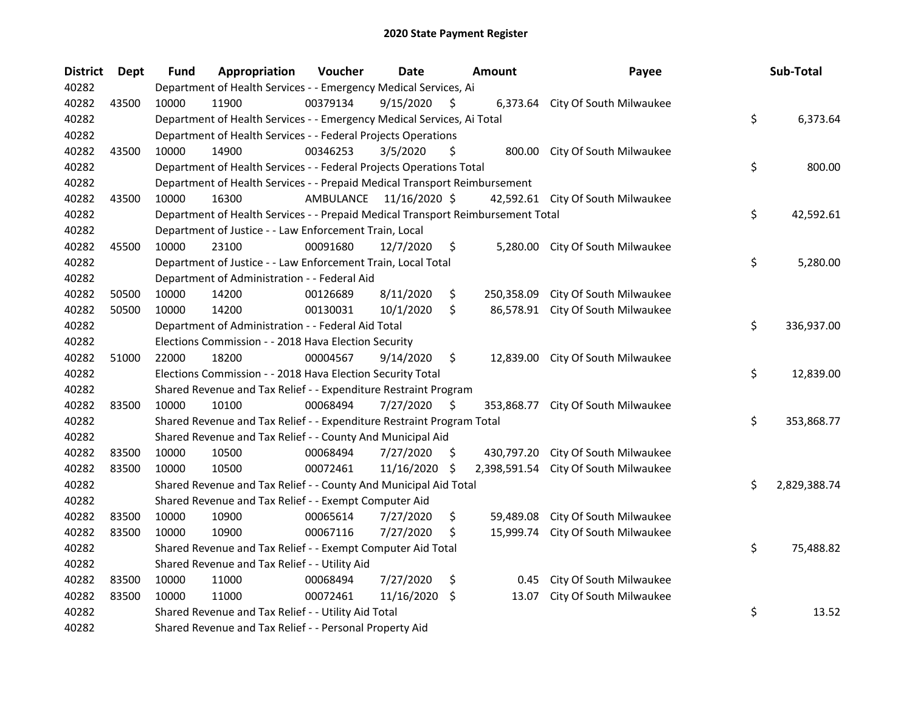| <b>District</b> | Dept  | <b>Fund</b> | Appropriation                                                                   | Voucher   | <b>Date</b>   |     | <b>Amount</b> | Payee                             | Sub-Total          |
|-----------------|-------|-------------|---------------------------------------------------------------------------------|-----------|---------------|-----|---------------|-----------------------------------|--------------------|
| 40282           |       |             | Department of Health Services - - Emergency Medical Services, Ai                |           |               |     |               |                                   |                    |
| 40282           | 43500 | 10000       | 11900                                                                           | 00379134  | 9/15/2020     | \$  |               | 6,373.64 City Of South Milwaukee  |                    |
| 40282           |       |             | Department of Health Services - - Emergency Medical Services, Ai Total          |           |               |     |               |                                   | \$<br>6,373.64     |
| 40282           |       |             | Department of Health Services - - Federal Projects Operations                   |           |               |     |               |                                   |                    |
| 40282           | 43500 | 10000       | 14900                                                                           | 00346253  | 3/5/2020      | S   |               | 800.00 City Of South Milwaukee    |                    |
| 40282           |       |             | Department of Health Services - - Federal Projects Operations Total             |           |               |     |               |                                   | \$<br>800.00       |
| 40282           |       |             | Department of Health Services - - Prepaid Medical Transport Reimbursement       |           |               |     |               |                                   |                    |
| 40282           | 43500 | 10000       | 16300                                                                           | AMBULANCE | 11/16/2020 \$ |     |               | 42,592.61 City Of South Milwaukee |                    |
| 40282           |       |             | Department of Health Services - - Prepaid Medical Transport Reimbursement Total |           |               |     |               |                                   | \$<br>42,592.61    |
| 40282           |       |             | Department of Justice - - Law Enforcement Train, Local                          |           |               |     |               |                                   |                    |
| 40282           | 45500 | 10000       | 23100                                                                           | 00091680  | 12/7/2020     | \$  |               | 5,280.00 City Of South Milwaukee  |                    |
| 40282           |       |             | Department of Justice - - Law Enforcement Train, Local Total                    |           |               |     |               |                                   | \$<br>5,280.00     |
| 40282           |       |             | Department of Administration - - Federal Aid                                    |           |               |     |               |                                   |                    |
| 40282           | 50500 | 10000       | 14200                                                                           | 00126689  | 8/11/2020     | \$  | 250,358.09    | City Of South Milwaukee           |                    |
| 40282           | 50500 | 10000       | 14200                                                                           | 00130031  | 10/1/2020     | \$  | 86,578.91     | City Of South Milwaukee           |                    |
| 40282           |       |             | Department of Administration - - Federal Aid Total                              |           |               |     |               |                                   | \$<br>336,937.00   |
| 40282           |       |             | Elections Commission - - 2018 Hava Election Security                            |           |               |     |               |                                   |                    |
| 40282           | 51000 | 22000       | 18200                                                                           | 00004567  | 9/14/2020     | \$  | 12,839.00     | City Of South Milwaukee           |                    |
| 40282           |       |             | Elections Commission - - 2018 Hava Election Security Total                      |           |               |     |               |                                   | \$<br>12,839.00    |
| 40282           |       |             | Shared Revenue and Tax Relief - - Expenditure Restraint Program                 |           |               |     |               |                                   |                    |
| 40282           | 83500 | 10000       | 10100                                                                           | 00068494  | 7/27/2020     | \$  | 353,868.77    | City Of South Milwaukee           |                    |
| 40282           |       |             | Shared Revenue and Tax Relief - - Expenditure Restraint Program Total           |           |               |     |               |                                   | \$<br>353,868.77   |
| 40282           |       |             | Shared Revenue and Tax Relief - - County And Municipal Aid                      |           |               |     |               |                                   |                    |
| 40282           | 83500 | 10000       | 10500                                                                           | 00068494  | 7/27/2020     | \$. | 430,797.20    | City Of South Milwaukee           |                    |
| 40282           | 83500 | 10000       | 10500                                                                           | 00072461  | 11/16/2020    | \$  | 2,398,591.54  | City Of South Milwaukee           |                    |
| 40282           |       |             | Shared Revenue and Tax Relief - - County And Municipal Aid Total                |           |               |     |               |                                   | \$<br>2,829,388.74 |
| 40282           |       |             | Shared Revenue and Tax Relief - - Exempt Computer Aid                           |           |               |     |               |                                   |                    |
| 40282           | 83500 | 10000       | 10900                                                                           | 00065614  | 7/27/2020     | \$  | 59,489.08     | City Of South Milwaukee           |                    |
| 40282           | 83500 | 10000       | 10900                                                                           | 00067116  | 7/27/2020     | \$  | 15,999.74     | City Of South Milwaukee           |                    |
| 40282           |       |             | Shared Revenue and Tax Relief - - Exempt Computer Aid Total                     |           |               |     |               |                                   | \$<br>75,488.82    |
| 40282           |       |             | Shared Revenue and Tax Relief - - Utility Aid                                   |           |               |     |               |                                   |                    |
| 40282           | 83500 | 10000       | 11000                                                                           | 00068494  | 7/27/2020     | \$  | 0.45          | City Of South Milwaukee           |                    |
| 40282           | 83500 | 10000       | 11000                                                                           | 00072461  | 11/16/2020    | \$  | 13.07         | City Of South Milwaukee           |                    |
| 40282           |       |             | Shared Revenue and Tax Relief - - Utility Aid Total                             |           |               |     |               |                                   | \$<br>13.52        |
| 40282           |       |             | Shared Revenue and Tax Relief - - Personal Property Aid                         |           |               |     |               |                                   |                    |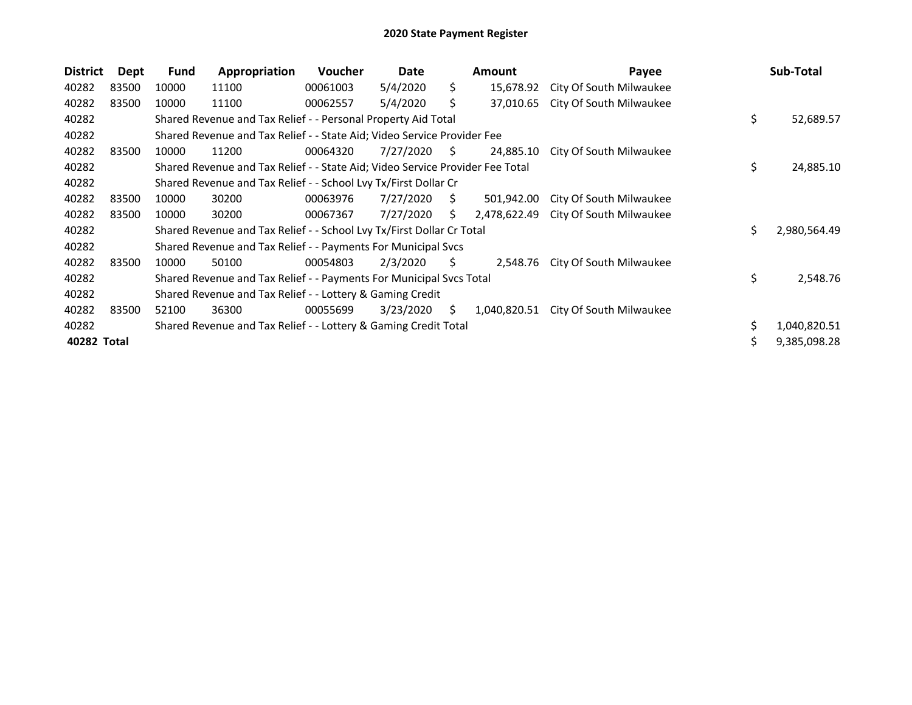| <b>District</b> | Dept  | Fund  | Appropriation                                                                 | <b>Voucher</b> | Date      |     | <b>Amount</b> | Payee                   | Sub-Total          |
|-----------------|-------|-------|-------------------------------------------------------------------------------|----------------|-----------|-----|---------------|-------------------------|--------------------|
| 40282           | 83500 | 10000 | 11100                                                                         | 00061003       | 5/4/2020  | \$. | 15,678.92     | City Of South Milwaukee |                    |
| 40282           | 83500 | 10000 | 11100                                                                         | 00062557       | 5/4/2020  | S   | 37,010.65     | City Of South Milwaukee |                    |
| 40282           |       |       | Shared Revenue and Tax Relief - - Personal Property Aid Total                 |                |           |     |               |                         | \$<br>52,689.57    |
| 40282           |       |       | Shared Revenue and Tax Relief - - State Aid; Video Service Provider Fee       |                |           |     |               |                         |                    |
| 40282           | 83500 | 10000 | 11200                                                                         | 00064320       | 7/27/2020 | S.  | 24,885.10     | City Of South Milwaukee |                    |
| 40282           |       |       | Shared Revenue and Tax Relief - - State Aid; Video Service Provider Fee Total |                |           |     |               |                         | \$<br>24,885.10    |
| 40282           |       |       | Shared Revenue and Tax Relief - - School Lvy Tx/First Dollar Cr               |                |           |     |               |                         |                    |
| 40282           | 83500 | 10000 | 30200                                                                         | 00063976       | 7/27/2020 | S.  | 501,942.00    | City Of South Milwaukee |                    |
| 40282           | 83500 | 10000 | 30200                                                                         | 00067367       | 7/27/2020 | S.  | 2,478,622.49  | City Of South Milwaukee |                    |
| 40282           |       |       | Shared Revenue and Tax Relief - - School Lvy Tx/First Dollar Cr Total         |                |           |     |               |                         | \$<br>2,980,564.49 |
| 40282           |       |       | Shared Revenue and Tax Relief - - Payments For Municipal Svcs                 |                |           |     |               |                         |                    |
| 40282           | 83500 | 10000 | 50100                                                                         | 00054803       | 2/3/2020  | S.  | 2,548.76      | City Of South Milwaukee |                    |
| 40282           |       |       | Shared Revenue and Tax Relief - - Payments For Municipal Svcs Total           |                |           |     |               |                         | \$<br>2,548.76     |
| 40282           |       |       | Shared Revenue and Tax Relief - - Lottery & Gaming Credit                     |                |           |     |               |                         |                    |
| 40282           | 83500 | 52100 | 36300                                                                         | 00055699       | 3/23/2020 | S.  | 1,040,820.51  | City Of South Milwaukee |                    |
| 40282           |       |       | Shared Revenue and Tax Relief - - Lottery & Gaming Credit Total               |                |           |     |               |                         | 1,040,820.51       |
| 40282 Total     |       |       |                                                                               |                |           |     |               |                         | \$<br>9,385,098.28 |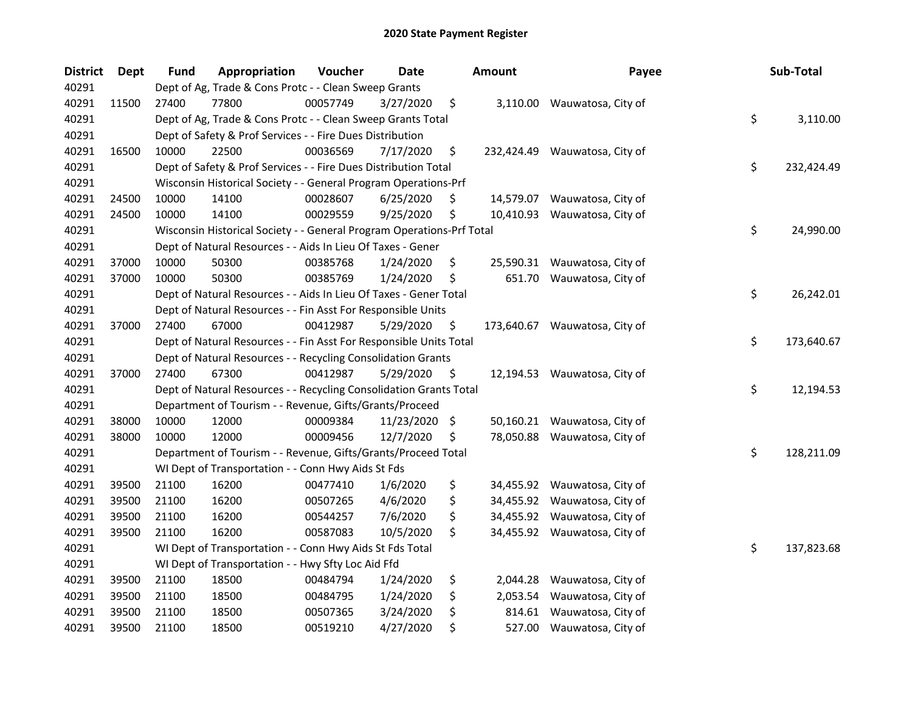| <b>District</b> | <b>Dept</b> | <b>Fund</b> | Appropriation                                                         | Voucher  | Date          | Amount          | Payee                         | Sub-Total        |
|-----------------|-------------|-------------|-----------------------------------------------------------------------|----------|---------------|-----------------|-------------------------------|------------------|
| 40291           |             |             | Dept of Ag, Trade & Cons Protc - - Clean Sweep Grants                 |          |               |                 |                               |                  |
| 40291           | 11500       | 27400       | 77800                                                                 | 00057749 | 3/27/2020     | \$              | 3,110.00 Wauwatosa, City of   |                  |
| 40291           |             |             | Dept of Ag, Trade & Cons Protc - - Clean Sweep Grants Total           |          |               |                 |                               | \$<br>3,110.00   |
| 40291           |             |             | Dept of Safety & Prof Services - - Fire Dues Distribution             |          |               |                 |                               |                  |
| 40291           | 16500       | 10000       | 22500                                                                 | 00036569 | 7/17/2020     | \$              | 232,424.49 Wauwatosa, City of |                  |
| 40291           |             |             | Dept of Safety & Prof Services - - Fire Dues Distribution Total       |          |               |                 |                               | \$<br>232,424.49 |
| 40291           |             |             | Wisconsin Historical Society - - General Program Operations-Prf       |          |               |                 |                               |                  |
| 40291           | 24500       | 10000       | 14100                                                                 | 00028607 | 6/25/2020     | \$              | 14,579.07 Wauwatosa, City of  |                  |
| 40291           | 24500       | 10000       | 14100                                                                 | 00029559 | 9/25/2020     | \$              | 10,410.93 Wauwatosa, City of  |                  |
| 40291           |             |             | Wisconsin Historical Society - - General Program Operations-Prf Total |          |               |                 |                               | \$<br>24,990.00  |
| 40291           |             |             | Dept of Natural Resources - - Aids In Lieu Of Taxes - Gener           |          |               |                 |                               |                  |
| 40291           | 37000       | 10000       | 50300                                                                 | 00385768 | 1/24/2020     | \$<br>25,590.31 | Wauwatosa, City of            |                  |
| 40291           | 37000       | 10000       | 50300                                                                 | 00385769 | 1/24/2020     | \$<br>651.70    | Wauwatosa, City of            |                  |
| 40291           |             |             | Dept of Natural Resources - - Aids In Lieu Of Taxes - Gener Total     |          |               |                 |                               | \$<br>26,242.01  |
| 40291           |             |             | Dept of Natural Resources - - Fin Asst For Responsible Units          |          |               |                 |                               |                  |
| 40291           | 37000       | 27400       | 67000                                                                 | 00412987 | 5/29/2020     | \$              | 173,640.67 Wauwatosa, City of |                  |
| 40291           |             |             | Dept of Natural Resources - - Fin Asst For Responsible Units Total    |          |               |                 |                               | \$<br>173,640.67 |
| 40291           |             |             | Dept of Natural Resources - - Recycling Consolidation Grants          |          |               |                 |                               |                  |
| 40291           | 37000       | 27400       | 67300                                                                 | 00412987 | 5/29/2020     | \$<br>12,194.53 | Wauwatosa, City of            |                  |
| 40291           |             |             | Dept of Natural Resources - - Recycling Consolidation Grants Total    |          |               |                 |                               | \$<br>12,194.53  |
| 40291           |             |             | Department of Tourism - - Revenue, Gifts/Grants/Proceed               |          |               |                 |                               |                  |
| 40291           | 38000       | 10000       | 12000                                                                 | 00009384 | 11/23/2020 \$ |                 | 50,160.21 Wauwatosa, City of  |                  |
| 40291           | 38000       | 10000       | 12000                                                                 | 00009456 | 12/7/2020     | \$              | 78,050.88 Wauwatosa, City of  |                  |
| 40291           |             |             | Department of Tourism - - Revenue, Gifts/Grants/Proceed Total         |          |               |                 |                               | \$<br>128,211.09 |
| 40291           |             |             | WI Dept of Transportation - - Conn Hwy Aids St Fds                    |          |               |                 |                               |                  |
| 40291           | 39500       | 21100       | 16200                                                                 | 00477410 | 1/6/2020      | \$              | 34,455.92 Wauwatosa, City of  |                  |
| 40291           | 39500       | 21100       | 16200                                                                 | 00507265 | 4/6/2020      | \$              | 34,455.92 Wauwatosa, City of  |                  |
| 40291           | 39500       | 21100       | 16200                                                                 | 00544257 | 7/6/2020      | \$              | 34,455.92 Wauwatosa, City of  |                  |
| 40291           | 39500       | 21100       | 16200                                                                 | 00587083 | 10/5/2020     | \$              | 34,455.92 Wauwatosa, City of  |                  |
| 40291           |             |             | WI Dept of Transportation - - Conn Hwy Aids St Fds Total              |          |               |                 |                               | \$<br>137,823.68 |
| 40291           |             |             | WI Dept of Transportation - - Hwy Sfty Loc Aid Ffd                    |          |               |                 |                               |                  |
| 40291           | 39500       | 21100       | 18500                                                                 | 00484794 | 1/24/2020     | \$<br>2,044.28  | Wauwatosa, City of            |                  |
| 40291           | 39500       | 21100       | 18500                                                                 | 00484795 | 1/24/2020     | \$<br>2,053.54  | Wauwatosa, City of            |                  |
| 40291           | 39500       | 21100       | 18500                                                                 | 00507365 | 3/24/2020     | \$<br>814.61    | Wauwatosa, City of            |                  |
| 40291           | 39500       | 21100       | 18500                                                                 | 00519210 | 4/27/2020     | \$              | 527.00 Wauwatosa, City of     |                  |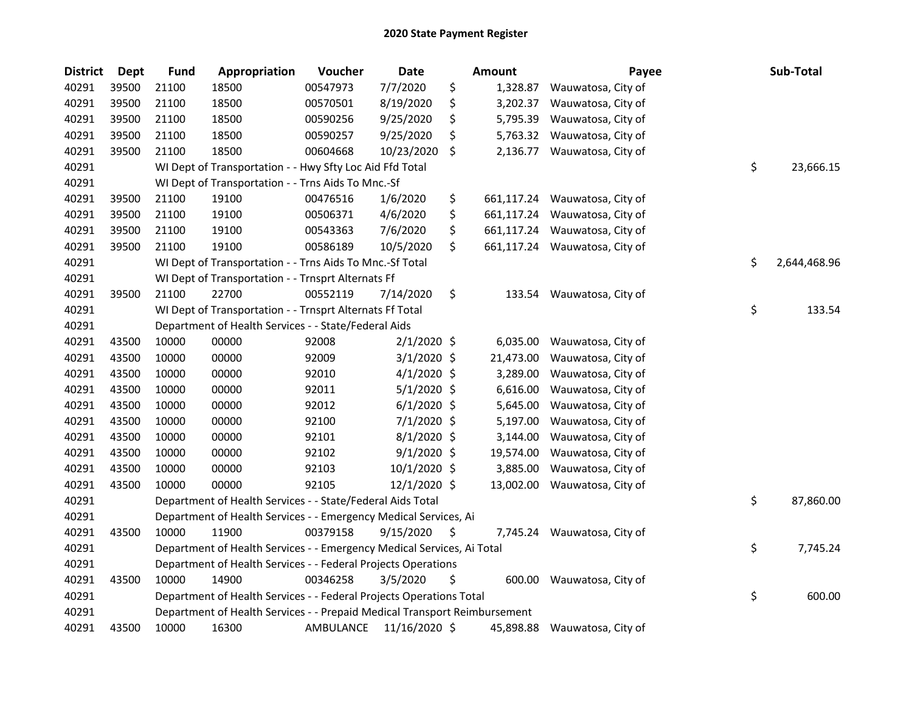| <b>District</b> | <b>Dept</b> | <b>Fund</b> | Appropriation                                                             | Voucher   | <b>Date</b>   |    | Amount     | Payee                         | Sub-Total          |
|-----------------|-------------|-------------|---------------------------------------------------------------------------|-----------|---------------|----|------------|-------------------------------|--------------------|
| 40291           | 39500       | 21100       | 18500                                                                     | 00547973  | 7/7/2020      | \$ | 1,328.87   | Wauwatosa, City of            |                    |
| 40291           | 39500       | 21100       | 18500                                                                     | 00570501  | 8/19/2020     | \$ | 3,202.37   | Wauwatosa, City of            |                    |
| 40291           | 39500       | 21100       | 18500                                                                     | 00590256  | 9/25/2020     | \$ | 5,795.39   | Wauwatosa, City of            |                    |
| 40291           | 39500       | 21100       | 18500                                                                     | 00590257  | 9/25/2020     | \$ | 5,763.32   | Wauwatosa, City of            |                    |
| 40291           | 39500       | 21100       | 18500                                                                     | 00604668  | 10/23/2020    | \$ | 2,136.77   | Wauwatosa, City of            |                    |
| 40291           |             |             | WI Dept of Transportation - - Hwy Sfty Loc Aid Ffd Total                  |           |               |    |            |                               | \$<br>23,666.15    |
| 40291           |             |             | WI Dept of Transportation - - Trns Aids To Mnc.-Sf                        |           |               |    |            |                               |                    |
| 40291           | 39500       | 21100       | 19100                                                                     | 00476516  | 1/6/2020      | \$ | 661,117.24 | Wauwatosa, City of            |                    |
| 40291           | 39500       | 21100       | 19100                                                                     | 00506371  | 4/6/2020      | \$ | 661,117.24 | Wauwatosa, City of            |                    |
| 40291           | 39500       | 21100       | 19100                                                                     | 00543363  | 7/6/2020      | \$ | 661,117.24 | Wauwatosa, City of            |                    |
| 40291           | 39500       | 21100       | 19100                                                                     | 00586189  | 10/5/2020     | \$ |            | 661,117.24 Wauwatosa, City of |                    |
| 40291           |             |             | WI Dept of Transportation - - Trns Aids To Mnc.-Sf Total                  |           |               |    |            |                               | \$<br>2,644,468.96 |
| 40291           |             |             | WI Dept of Transportation - - Trnsprt Alternats Ff                        |           |               |    |            |                               |                    |
| 40291           | 39500       | 21100       | 22700                                                                     | 00552119  | 7/14/2020     | \$ | 133.54     | Wauwatosa, City of            |                    |
| 40291           |             |             | WI Dept of Transportation - - Trnsprt Alternats Ff Total                  |           |               |    |            |                               | \$<br>133.54       |
| 40291           |             |             | Department of Health Services - - State/Federal Aids                      |           |               |    |            |                               |                    |
| 40291           | 43500       | 10000       | 00000                                                                     | 92008     | $2/1/2020$ \$ |    | 6,035.00   | Wauwatosa, City of            |                    |
| 40291           | 43500       | 10000       | 00000                                                                     | 92009     | $3/1/2020$ \$ |    | 21,473.00  | Wauwatosa, City of            |                    |
| 40291           | 43500       | 10000       | 00000                                                                     | 92010     | $4/1/2020$ \$ |    | 3,289.00   | Wauwatosa, City of            |                    |
| 40291           | 43500       | 10000       | 00000                                                                     | 92011     | $5/1/2020$ \$ |    | 6,616.00   | Wauwatosa, City of            |                    |
| 40291           | 43500       | 10000       | 00000                                                                     | 92012     | $6/1/2020$ \$ |    | 5,645.00   | Wauwatosa, City of            |                    |
| 40291           | 43500       | 10000       | 00000                                                                     | 92100     | $7/1/2020$ \$ |    | 5,197.00   | Wauwatosa, City of            |                    |
| 40291           | 43500       | 10000       | 00000                                                                     | 92101     | $8/1/2020$ \$ |    | 3,144.00   | Wauwatosa, City of            |                    |
| 40291           | 43500       | 10000       | 00000                                                                     | 92102     | $9/1/2020$ \$ |    | 19,574.00  | Wauwatosa, City of            |                    |
| 40291           | 43500       | 10000       | 00000                                                                     | 92103     | 10/1/2020 \$  |    | 3,885.00   | Wauwatosa, City of            |                    |
| 40291           | 43500       | 10000       | 00000                                                                     | 92105     | 12/1/2020 \$  |    | 13,002.00  | Wauwatosa, City of            |                    |
| 40291           |             |             | Department of Health Services - - State/Federal Aids Total                |           |               |    |            |                               | \$<br>87,860.00    |
| 40291           |             |             | Department of Health Services - - Emergency Medical Services, Ai          |           |               |    |            |                               |                    |
| 40291           | 43500       | 10000       | 11900                                                                     | 00379158  | 9/15/2020     | S  | 7,745.24   | Wauwatosa, City of            |                    |
| 40291           |             |             | Department of Health Services - - Emergency Medical Services, Ai Total    |           |               |    |            |                               | \$<br>7,745.24     |
| 40291           |             |             | Department of Health Services - - Federal Projects Operations             |           |               |    |            |                               |                    |
| 40291           | 43500       | 10000       | 14900                                                                     | 00346258  | 3/5/2020      | \$ |            | 600.00 Wauwatosa, City of     |                    |
| 40291           |             |             | Department of Health Services - - Federal Projects Operations Total       |           |               |    |            |                               | \$<br>600.00       |
| 40291           |             |             | Department of Health Services - - Prepaid Medical Transport Reimbursement |           |               |    |            |                               |                    |
| 40291           | 43500       | 10000       | 16300                                                                     | AMBULANCE | 11/16/2020 \$ |    | 45,898.88  | Wauwatosa, City of            |                    |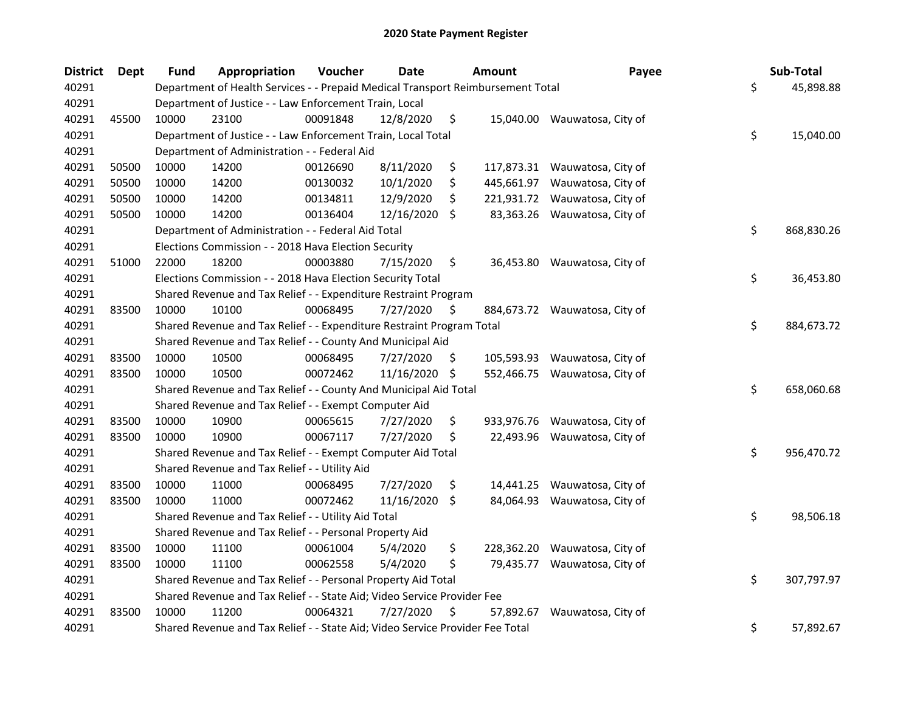| <b>District</b> | <b>Dept</b> | <b>Fund</b> | Appropriation                                                                   | Voucher  | Date       |     | <b>Amount</b> | Payee                         | Sub-Total        |
|-----------------|-------------|-------------|---------------------------------------------------------------------------------|----------|------------|-----|---------------|-------------------------------|------------------|
| 40291           |             |             | Department of Health Services - - Prepaid Medical Transport Reimbursement Total |          |            |     |               |                               | \$<br>45,898.88  |
| 40291           |             |             | Department of Justice - - Law Enforcement Train, Local                          |          |            |     |               |                               |                  |
| 40291           | 45500       | 10000       | 23100                                                                           | 00091848 | 12/8/2020  | \$  |               | 15,040.00 Wauwatosa, City of  |                  |
| 40291           |             |             | Department of Justice - - Law Enforcement Train, Local Total                    |          |            |     |               |                               | \$<br>15,040.00  |
| 40291           |             |             | Department of Administration - - Federal Aid                                    |          |            |     |               |                               |                  |
| 40291           | 50500       | 10000       | 14200                                                                           | 00126690 | 8/11/2020  | \$  |               | 117,873.31 Wauwatosa, City of |                  |
| 40291           | 50500       | 10000       | 14200                                                                           | 00130032 | 10/1/2020  | \$  | 445,661.97    | Wauwatosa, City of            |                  |
| 40291           | 50500       | 10000       | 14200                                                                           | 00134811 | 12/9/2020  | \$  |               | 221,931.72 Wauwatosa, City of |                  |
| 40291           | 50500       | 10000       | 14200                                                                           | 00136404 | 12/16/2020 | \$  |               | 83,363.26 Wauwatosa, City of  |                  |
| 40291           |             |             | Department of Administration - - Federal Aid Total                              |          |            |     |               |                               | \$<br>868,830.26 |
| 40291           |             |             | Elections Commission - - 2018 Hava Election Security                            |          |            |     |               |                               |                  |
| 40291           | 51000       | 22000       | 18200                                                                           | 00003880 | 7/15/2020  | \$  |               | 36,453.80 Wauwatosa, City of  |                  |
| 40291           |             |             | Elections Commission - - 2018 Hava Election Security Total                      |          |            |     |               |                               | \$<br>36,453.80  |
| 40291           |             |             | Shared Revenue and Tax Relief - - Expenditure Restraint Program                 |          |            |     |               |                               |                  |
| 40291           | 83500       | 10000       | 10100                                                                           | 00068495 | 7/27/2020  | \$  |               | 884,673.72 Wauwatosa, City of |                  |
| 40291           |             |             | Shared Revenue and Tax Relief - - Expenditure Restraint Program Total           |          |            |     |               |                               | \$<br>884,673.72 |
| 40291           |             |             | Shared Revenue and Tax Relief - - County And Municipal Aid                      |          |            |     |               |                               |                  |
| 40291           | 83500       | 10000       | 10500                                                                           | 00068495 | 7/27/2020  | \$. | 105,593.93    | Wauwatosa, City of            |                  |
| 40291           | 83500       | 10000       | 10500                                                                           | 00072462 | 11/16/2020 | -\$ |               | 552,466.75 Wauwatosa, City of |                  |
| 40291           |             |             | Shared Revenue and Tax Relief - - County And Municipal Aid Total                |          |            |     |               |                               | \$<br>658,060.68 |
| 40291           |             |             | Shared Revenue and Tax Relief - - Exempt Computer Aid                           |          |            |     |               |                               |                  |
| 40291           | 83500       | 10000       | 10900                                                                           | 00065615 | 7/27/2020  | \$  |               | 933,976.76 Wauwatosa, City of |                  |
| 40291           | 83500       | 10000       | 10900                                                                           | 00067117 | 7/27/2020  | \$  |               | 22,493.96 Wauwatosa, City of  |                  |
| 40291           |             |             | Shared Revenue and Tax Relief - - Exempt Computer Aid Total                     |          |            |     |               |                               | \$<br>956,470.72 |
| 40291           |             |             | Shared Revenue and Tax Relief - - Utility Aid                                   |          |            |     |               |                               |                  |
| 40291           | 83500       | 10000       | 11000                                                                           | 00068495 | 7/27/2020  | \$  | 14,441.25     | Wauwatosa, City of            |                  |
| 40291           | 83500       | 10000       | 11000                                                                           | 00072462 | 11/16/2020 | \$  |               | 84,064.93 Wauwatosa, City of  |                  |
| 40291           |             |             | Shared Revenue and Tax Relief - - Utility Aid Total                             |          |            |     |               |                               | \$<br>98,506.18  |
| 40291           |             |             | Shared Revenue and Tax Relief - - Personal Property Aid                         |          |            |     |               |                               |                  |
| 40291           | 83500       | 10000       | 11100                                                                           | 00061004 | 5/4/2020   | \$  | 228,362.20    | Wauwatosa, City of            |                  |
| 40291           | 83500       | 10000       | 11100                                                                           | 00062558 | 5/4/2020   | \$  | 79,435.77     | Wauwatosa, City of            |                  |
| 40291           |             |             | Shared Revenue and Tax Relief - - Personal Property Aid Total                   |          |            |     |               |                               | \$<br>307,797.97 |
| 40291           |             |             | Shared Revenue and Tax Relief - - State Aid; Video Service Provider Fee         |          |            |     |               |                               |                  |
| 40291           | 83500       | 10000       | 11200                                                                           | 00064321 | 7/27/2020  | \$  | 57,892.67     | Wauwatosa, City of            |                  |
| 40291           |             |             | Shared Revenue and Tax Relief - - State Aid; Video Service Provider Fee Total   |          |            |     |               |                               | \$<br>57,892.67  |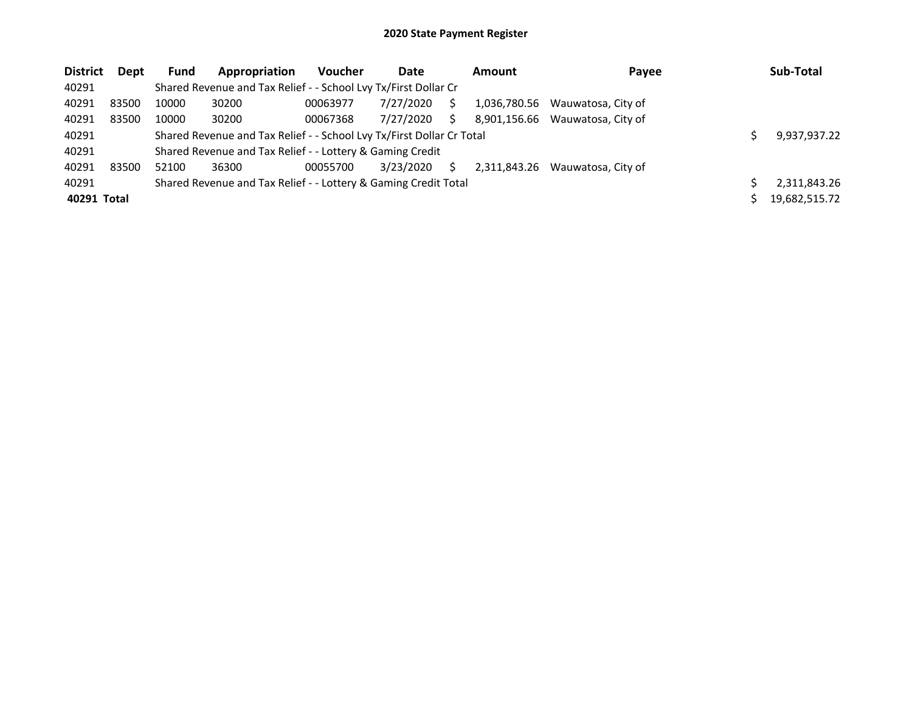| <b>District</b> | <b>Dept</b> | <b>Fund</b>                                                           | Appropriation                                                   | <b>Voucher</b> | Date         |    | Amount       | Payee              |  | Sub-Total     |
|-----------------|-------------|-----------------------------------------------------------------------|-----------------------------------------------------------------|----------------|--------------|----|--------------|--------------------|--|---------------|
| 40291           |             |                                                                       | Shared Revenue and Tax Relief - - School Lvy Tx/First Dollar Cr |                |              |    |              |                    |  |               |
| 40291           | 83500       | 10000                                                                 | 30200                                                           | 00063977       | 7/27/2020    | S  | 1,036,780.56 | Wauwatosa, City of |  |               |
| 40291           | 83500       | 10000                                                                 | 30200                                                           | 00067368       | 7/27/2020    | S. | 8,901,156.66 | Wauwatosa. City of |  |               |
| 40291           |             | Shared Revenue and Tax Relief - - School Lvy Tx/First Dollar Cr Total |                                                                 |                | 9,937,937.22 |    |              |                    |  |               |
| 40291           |             |                                                                       | Shared Revenue and Tax Relief - - Lottery & Gaming Credit       |                |              |    |              |                    |  |               |
| 40291           | 83500       | 52100                                                                 | 36300                                                           | 00055700       | 3/23/2020    | S. | 2.311.843.26 | Wauwatosa, City of |  |               |
| 40291           |             | Shared Revenue and Tax Relief - - Lottery & Gaming Credit Total       |                                                                 |                |              |    |              |                    |  | 2,311,843.26  |
| 40291 Total     |             |                                                                       |                                                                 |                |              |    |              |                    |  | 19,682,515.72 |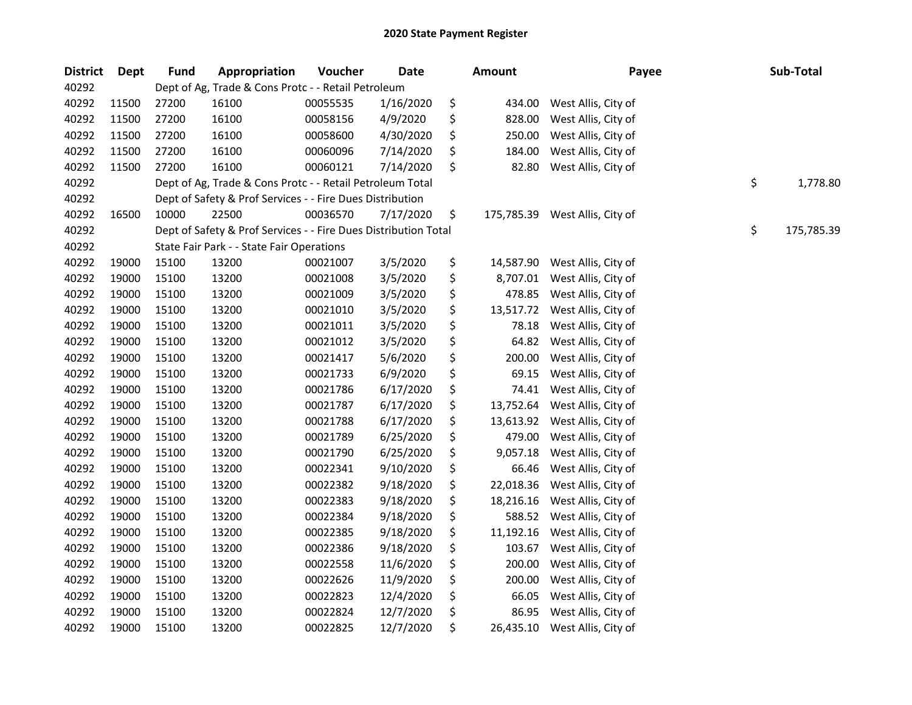| <b>District</b> | <b>Dept</b> | <b>Fund</b> | Appropriation                                                   | Voucher  | <b>Date</b> | <b>Amount</b>   | Payee                          | Sub-Total        |
|-----------------|-------------|-------------|-----------------------------------------------------------------|----------|-------------|-----------------|--------------------------------|------------------|
| 40292           |             |             | Dept of Ag, Trade & Cons Protc - - Retail Petroleum             |          |             |                 |                                |                  |
| 40292           | 11500       | 27200       | 16100                                                           | 00055535 | 1/16/2020   | \$<br>434.00    | West Allis, City of            |                  |
| 40292           | 11500       | 27200       | 16100                                                           | 00058156 | 4/9/2020    | \$<br>828.00    | West Allis, City of            |                  |
| 40292           | 11500       | 27200       | 16100                                                           | 00058600 | 4/30/2020   | \$<br>250.00    | West Allis, City of            |                  |
| 40292           | 11500       | 27200       | 16100                                                           | 00060096 | 7/14/2020   | \$<br>184.00    | West Allis, City of            |                  |
| 40292           | 11500       | 27200       | 16100                                                           | 00060121 | 7/14/2020   | \$<br>82.80     | West Allis, City of            |                  |
| 40292           |             |             | Dept of Ag, Trade & Cons Protc - - Retail Petroleum Total       |          |             |                 |                                | \$<br>1,778.80   |
| 40292           |             |             | Dept of Safety & Prof Services - - Fire Dues Distribution       |          |             |                 |                                |                  |
| 40292           | 16500       | 10000       | 22500                                                           | 00036570 | 7/17/2020   | \$              | 175,785.39 West Allis, City of |                  |
| 40292           |             |             | Dept of Safety & Prof Services - - Fire Dues Distribution Total |          |             |                 |                                | \$<br>175,785.39 |
| 40292           |             |             | State Fair Park - - State Fair Operations                       |          |             |                 |                                |                  |
| 40292           | 19000       | 15100       | 13200                                                           | 00021007 | 3/5/2020    | \$<br>14,587.90 | West Allis, City of            |                  |
| 40292           | 19000       | 15100       | 13200                                                           | 00021008 | 3/5/2020    | \$<br>8,707.01  | West Allis, City of            |                  |
| 40292           | 19000       | 15100       | 13200                                                           | 00021009 | 3/5/2020    | \$<br>478.85    | West Allis, City of            |                  |
| 40292           | 19000       | 15100       | 13200                                                           | 00021010 | 3/5/2020    | \$<br>13,517.72 | West Allis, City of            |                  |
| 40292           | 19000       | 15100       | 13200                                                           | 00021011 | 3/5/2020    | \$<br>78.18     | West Allis, City of            |                  |
| 40292           | 19000       | 15100       | 13200                                                           | 00021012 | 3/5/2020    | \$<br>64.82     | West Allis, City of            |                  |
| 40292           | 19000       | 15100       | 13200                                                           | 00021417 | 5/6/2020    | \$<br>200.00    | West Allis, City of            |                  |
| 40292           | 19000       | 15100       | 13200                                                           | 00021733 | 6/9/2020    | \$<br>69.15     | West Allis, City of            |                  |
| 40292           | 19000       | 15100       | 13200                                                           | 00021786 | 6/17/2020   | \$<br>74.41     | West Allis, City of            |                  |
| 40292           | 19000       | 15100       | 13200                                                           | 00021787 | 6/17/2020   | \$<br>13,752.64 | West Allis, City of            |                  |
| 40292           | 19000       | 15100       | 13200                                                           | 00021788 | 6/17/2020   | \$<br>13,613.92 | West Allis, City of            |                  |
| 40292           | 19000       | 15100       | 13200                                                           | 00021789 | 6/25/2020   | \$<br>479.00    | West Allis, City of            |                  |
| 40292           | 19000       | 15100       | 13200                                                           | 00021790 | 6/25/2020   | \$<br>9,057.18  | West Allis, City of            |                  |
| 40292           | 19000       | 15100       | 13200                                                           | 00022341 | 9/10/2020   | \$<br>66.46     | West Allis, City of            |                  |
| 40292           | 19000       | 15100       | 13200                                                           | 00022382 | 9/18/2020   | \$<br>22,018.36 | West Allis, City of            |                  |
| 40292           | 19000       | 15100       | 13200                                                           | 00022383 | 9/18/2020   | \$<br>18,216.16 | West Allis, City of            |                  |
| 40292           | 19000       | 15100       | 13200                                                           | 00022384 | 9/18/2020   | \$<br>588.52    | West Allis, City of            |                  |
| 40292           | 19000       | 15100       | 13200                                                           | 00022385 | 9/18/2020   | \$<br>11,192.16 | West Allis, City of            |                  |
| 40292           | 19000       | 15100       | 13200                                                           | 00022386 | 9/18/2020   | \$<br>103.67    | West Allis, City of            |                  |
| 40292           | 19000       | 15100       | 13200                                                           | 00022558 | 11/6/2020   | \$<br>200.00    | West Allis, City of            |                  |
| 40292           | 19000       | 15100       | 13200                                                           | 00022626 | 11/9/2020   | \$<br>200.00    | West Allis, City of            |                  |
| 40292           | 19000       | 15100       | 13200                                                           | 00022823 | 12/4/2020   | \$<br>66.05     | West Allis, City of            |                  |
| 40292           | 19000       | 15100       | 13200                                                           | 00022824 | 12/7/2020   | \$<br>86.95     | West Allis, City of            |                  |
| 40292           | 19000       | 15100       | 13200                                                           | 00022825 | 12/7/2020   | \$<br>26,435.10 | West Allis, City of            |                  |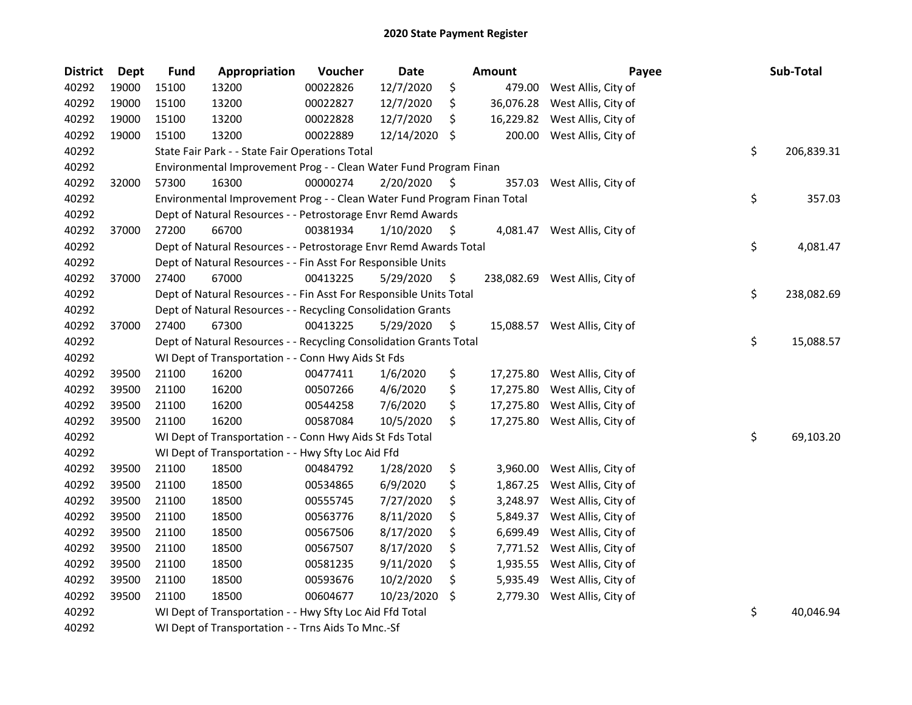| <b>District</b> | <b>Dept</b> | <b>Fund</b> | Appropriation                                                           | Voucher  | Date       |    | Amount    | Payee                          | Sub-Total        |
|-----------------|-------------|-------------|-------------------------------------------------------------------------|----------|------------|----|-----------|--------------------------------|------------------|
| 40292           | 19000       | 15100       | 13200                                                                   | 00022826 | 12/7/2020  | \$ | 479.00    | West Allis, City of            |                  |
| 40292           | 19000       | 15100       | 13200                                                                   | 00022827 | 12/7/2020  | \$ | 36,076.28 | West Allis, City of            |                  |
| 40292           | 19000       | 15100       | 13200                                                                   | 00022828 | 12/7/2020  | \$ | 16,229.82 | West Allis, City of            |                  |
| 40292           | 19000       | 15100       | 13200                                                                   | 00022889 | 12/14/2020 | \$ | 200.00    | West Allis, City of            |                  |
| 40292           |             |             | State Fair Park - - State Fair Operations Total                         |          |            |    |           |                                | \$<br>206,839.31 |
| 40292           |             |             | Environmental Improvement Prog - - Clean Water Fund Program Finan       |          |            |    |           |                                |                  |
| 40292           | 32000       | 57300       | 16300                                                                   | 00000274 | 2/20/2020  | \$ | 357.03    | West Allis, City of            |                  |
| 40292           |             |             | Environmental Improvement Prog - - Clean Water Fund Program Finan Total |          |            |    |           |                                | \$<br>357.03     |
| 40292           |             |             | Dept of Natural Resources - - Petrostorage Envr Remd Awards             |          |            |    |           |                                |                  |
| 40292           | 37000       | 27200       | 66700                                                                   | 00381934 | 1/10/2020  | Ş. | 4,081.47  | West Allis, City of            |                  |
| 40292           |             |             | Dept of Natural Resources - - Petrostorage Envr Remd Awards Total       |          |            |    |           |                                | \$<br>4,081.47   |
| 40292           |             |             | Dept of Natural Resources - - Fin Asst For Responsible Units            |          |            |    |           |                                |                  |
| 40292           | 37000       | 27400       | 67000                                                                   | 00413225 | 5/29/2020  | \$ |           | 238,082.69 West Allis, City of |                  |
| 40292           |             |             | Dept of Natural Resources - - Fin Asst For Responsible Units Total      |          |            |    |           |                                | \$<br>238,082.69 |
| 40292           |             |             | Dept of Natural Resources - - Recycling Consolidation Grants            |          |            |    |           |                                |                  |
| 40292           | 37000       | 27400       | 67300                                                                   | 00413225 | 5/29/2020  | Ş  | 15,088.57 | West Allis, City of            |                  |
| 40292           |             |             | Dept of Natural Resources - - Recycling Consolidation Grants Total      |          |            |    |           |                                | \$<br>15,088.57  |
| 40292           |             |             | WI Dept of Transportation - - Conn Hwy Aids St Fds                      |          |            |    |           |                                |                  |
| 40292           | 39500       | 21100       | 16200                                                                   | 00477411 | 1/6/2020   | \$ | 17,275.80 | West Allis, City of            |                  |
| 40292           | 39500       | 21100       | 16200                                                                   | 00507266 | 4/6/2020   | \$ | 17,275.80 | West Allis, City of            |                  |
| 40292           | 39500       | 21100       | 16200                                                                   | 00544258 | 7/6/2020   | \$ | 17,275.80 | West Allis, City of            |                  |
| 40292           | 39500       | 21100       | 16200                                                                   | 00587084 | 10/5/2020  | \$ | 17,275.80 | West Allis, City of            |                  |
| 40292           |             |             | WI Dept of Transportation - - Conn Hwy Aids St Fds Total                |          |            |    |           |                                | \$<br>69,103.20  |
| 40292           |             |             | WI Dept of Transportation - - Hwy Sfty Loc Aid Ffd                      |          |            |    |           |                                |                  |
| 40292           | 39500       | 21100       | 18500                                                                   | 00484792 | 1/28/2020  | \$ | 3,960.00  | West Allis, City of            |                  |
| 40292           | 39500       | 21100       | 18500                                                                   | 00534865 | 6/9/2020   | \$ | 1,867.25  | West Allis, City of            |                  |
| 40292           | 39500       | 21100       | 18500                                                                   | 00555745 | 7/27/2020  | \$ | 3,248.97  | West Allis, City of            |                  |
| 40292           | 39500       | 21100       | 18500                                                                   | 00563776 | 8/11/2020  | \$ | 5,849.37  | West Allis, City of            |                  |
| 40292           | 39500       | 21100       | 18500                                                                   | 00567506 | 8/17/2020  | \$ | 6,699.49  | West Allis, City of            |                  |
| 40292           | 39500       | 21100       | 18500                                                                   | 00567507 | 8/17/2020  | \$ | 7,771.52  | West Allis, City of            |                  |
| 40292           | 39500       | 21100       | 18500                                                                   | 00581235 | 9/11/2020  | \$ | 1,935.55  | West Allis, City of            |                  |
| 40292           | 39500       | 21100       | 18500                                                                   | 00593676 | 10/2/2020  | \$ | 5,935.49  | West Allis, City of            |                  |
| 40292           | 39500       | 21100       | 18500                                                                   | 00604677 | 10/23/2020 | \$ | 2,779.30  | West Allis, City of            |                  |
| 40292           |             |             | WI Dept of Transportation - - Hwy Sfty Loc Aid Ffd Total                |          |            |    |           |                                | \$<br>40,046.94  |
| 40292           |             |             | WI Dept of Transportation - - Trns Aids To Mnc.-Sf                      |          |            |    |           |                                |                  |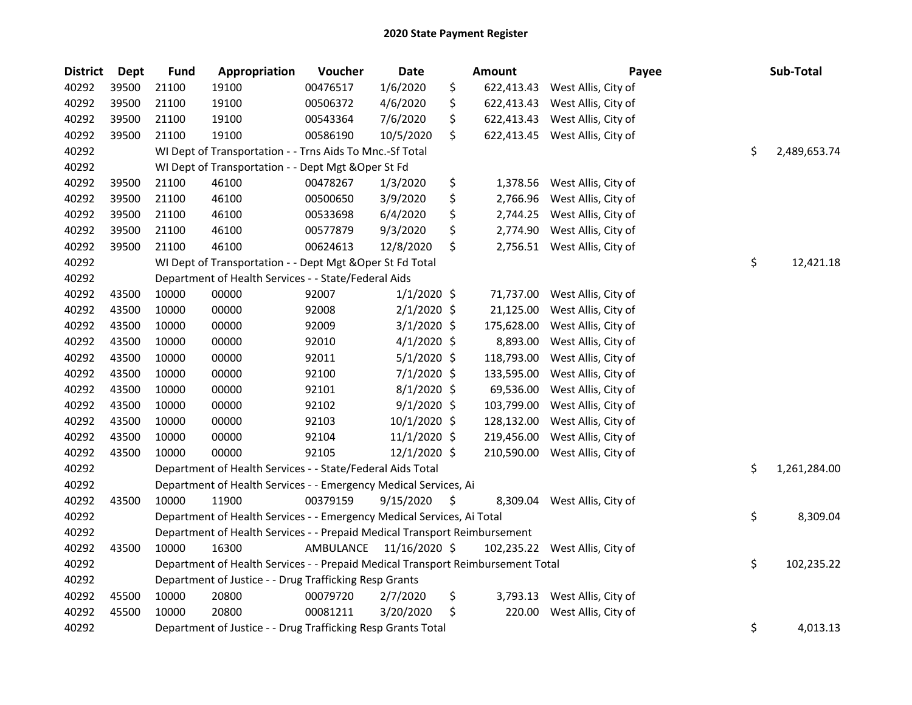| <b>District</b> | Dept  | <b>Fund</b> | Appropriation                                                                   | Voucher   | <b>Date</b>   | <b>Amount</b>    | Payee                          | Sub-Total          |
|-----------------|-------|-------------|---------------------------------------------------------------------------------|-----------|---------------|------------------|--------------------------------|--------------------|
| 40292           | 39500 | 21100       | 19100                                                                           | 00476517  | 1/6/2020      | \$<br>622,413.43 | West Allis, City of            |                    |
| 40292           | 39500 | 21100       | 19100                                                                           | 00506372  | 4/6/2020      | \$<br>622,413.43 | West Allis, City of            |                    |
| 40292           | 39500 | 21100       | 19100                                                                           | 00543364  | 7/6/2020      | \$<br>622,413.43 | West Allis, City of            |                    |
| 40292           | 39500 | 21100       | 19100                                                                           | 00586190  | 10/5/2020     | \$<br>622,413.45 | West Allis, City of            |                    |
| 40292           |       |             | WI Dept of Transportation - - Trns Aids To Mnc.-Sf Total                        |           |               |                  |                                | \$<br>2,489,653.74 |
| 40292           |       |             | WI Dept of Transportation - - Dept Mgt & Oper St Fd                             |           |               |                  |                                |                    |
| 40292           | 39500 | 21100       | 46100                                                                           | 00478267  | 1/3/2020      | \$               | 1,378.56 West Allis, City of   |                    |
| 40292           | 39500 | 21100       | 46100                                                                           | 00500650  | 3/9/2020      | \$<br>2,766.96   | West Allis, City of            |                    |
| 40292           | 39500 | 21100       | 46100                                                                           | 00533698  | 6/4/2020      | \$<br>2,744.25   | West Allis, City of            |                    |
| 40292           | 39500 | 21100       | 46100                                                                           | 00577879  | 9/3/2020      | \$<br>2,774.90   | West Allis, City of            |                    |
| 40292           | 39500 | 21100       | 46100                                                                           | 00624613  | 12/8/2020     | \$               | 2,756.51 West Allis, City of   |                    |
| 40292           |       |             | WI Dept of Transportation - - Dept Mgt & Oper St Fd Total                       |           |               |                  |                                | \$<br>12,421.18    |
| 40292           |       |             | Department of Health Services - - State/Federal Aids                            |           |               |                  |                                |                    |
| 40292           | 43500 | 10000       | 00000                                                                           | 92007     | $1/1/2020$ \$ | 71,737.00        | West Allis, City of            |                    |
| 40292           | 43500 | 10000       | 00000                                                                           | 92008     | $2/1/2020$ \$ | 21,125.00        | West Allis, City of            |                    |
| 40292           | 43500 | 10000       | 00000                                                                           | 92009     | $3/1/2020$ \$ | 175,628.00       | West Allis, City of            |                    |
| 40292           | 43500 | 10000       | 00000                                                                           | 92010     | $4/1/2020$ \$ | 8,893.00         | West Allis, City of            |                    |
| 40292           | 43500 | 10000       | 00000                                                                           | 92011     | $5/1/2020$ \$ | 118,793.00       | West Allis, City of            |                    |
| 40292           | 43500 | 10000       | 00000                                                                           | 92100     | 7/1/2020 \$   | 133,595.00       | West Allis, City of            |                    |
| 40292           | 43500 | 10000       | 00000                                                                           | 92101     | 8/1/2020 \$   | 69,536.00        | West Allis, City of            |                    |
| 40292           | 43500 | 10000       | 00000                                                                           | 92102     | $9/1/2020$ \$ | 103,799.00       | West Allis, City of            |                    |
| 40292           | 43500 | 10000       | 00000                                                                           | 92103     | 10/1/2020 \$  | 128,132.00       | West Allis, City of            |                    |
| 40292           | 43500 | 10000       | 00000                                                                           | 92104     | 11/1/2020 \$  | 219,456.00       | West Allis, City of            |                    |
| 40292           | 43500 | 10000       | 00000                                                                           | 92105     | 12/1/2020 \$  | 210,590.00       | West Allis, City of            |                    |
| 40292           |       |             | Department of Health Services - - State/Federal Aids Total                      |           |               |                  |                                | \$<br>1,261,284.00 |
| 40292           |       |             | Department of Health Services - - Emergency Medical Services, Ai                |           |               |                  |                                |                    |
| 40292           | 43500 | 10000       | 11900                                                                           | 00379159  | 9/15/2020     | \$               | 8,309.04 West Allis, City of   |                    |
| 40292           |       |             | Department of Health Services - - Emergency Medical Services, Ai Total          |           |               |                  |                                | \$<br>8,309.04     |
| 40292           |       |             | Department of Health Services - - Prepaid Medical Transport Reimbursement       |           |               |                  |                                |                    |
| 40292           | 43500 | 10000       | 16300                                                                           | AMBULANCE | 11/16/2020 \$ |                  | 102,235.22 West Allis, City of |                    |
| 40292           |       |             | Department of Health Services - - Prepaid Medical Transport Reimbursement Total |           |               |                  |                                | \$<br>102,235.22   |
| 40292           |       |             | Department of Justice - - Drug Trafficking Resp Grants                          |           |               |                  |                                |                    |
| 40292           | 45500 | 10000       | 20800                                                                           | 00079720  | 2/7/2020      | \$               | 3,793.13 West Allis, City of   |                    |
| 40292           | 45500 | 10000       | 20800                                                                           | 00081211  | 3/20/2020     | \$<br>220.00     | West Allis, City of            |                    |
| 40292           |       |             | Department of Justice - - Drug Trafficking Resp Grants Total                    |           |               |                  |                                | \$<br>4,013.13     |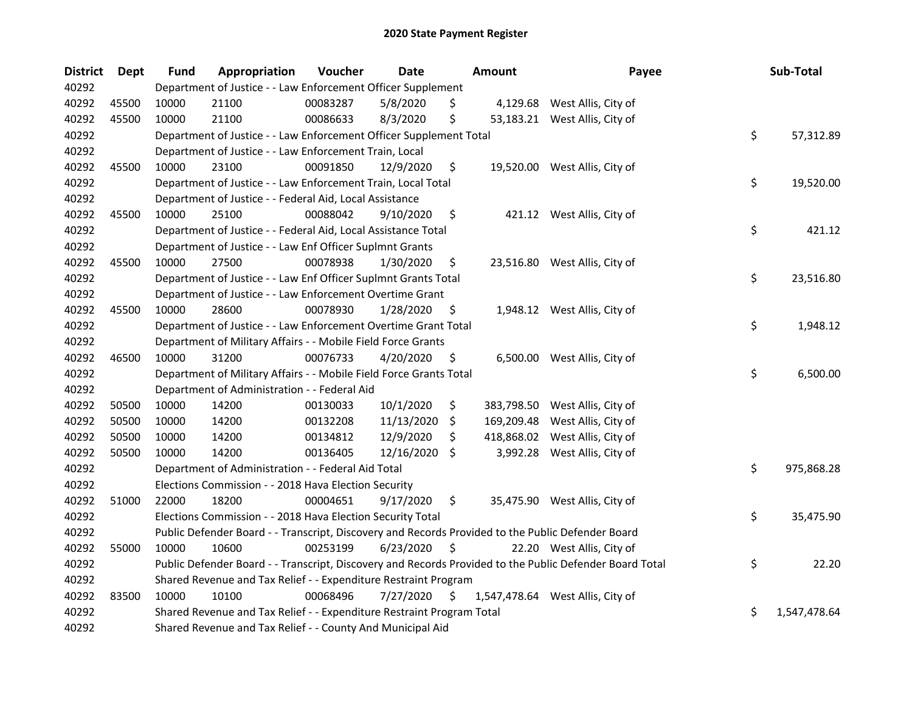| <b>District</b> | <b>Dept</b> | <b>Fund</b>                                                     | Appropriation                                                                                     | Voucher  | Date            |     | <b>Amount</b> | Payee                                                                                                   |    | Sub-Total    |
|-----------------|-------------|-----------------------------------------------------------------|---------------------------------------------------------------------------------------------------|----------|-----------------|-----|---------------|---------------------------------------------------------------------------------------------------------|----|--------------|
| 40292           |             |                                                                 | Department of Justice - - Law Enforcement Officer Supplement                                      |          |                 |     |               |                                                                                                         |    |              |
| 40292           | 45500       | 10000                                                           | 21100                                                                                             | 00083287 | 5/8/2020        | \$  |               | 4,129.68 West Allis, City of                                                                            |    |              |
| 40292           | 45500       | 10000                                                           | 21100                                                                                             | 00086633 | 8/3/2020        | \$  |               | 53,183.21 West Allis, City of                                                                           |    |              |
| 40292           |             |                                                                 | Department of Justice - - Law Enforcement Officer Supplement Total                                |          |                 |     |               |                                                                                                         | \$ | 57,312.89    |
| 40292           |             |                                                                 | Department of Justice - - Law Enforcement Train, Local                                            |          |                 |     |               |                                                                                                         |    |              |
| 40292           | 45500       | 10000                                                           | 23100                                                                                             | 00091850 | 12/9/2020       | \$  |               | 19,520.00 West Allis, City of                                                                           |    |              |
| 40292           |             |                                                                 | Department of Justice - - Law Enforcement Train, Local Total                                      |          |                 |     |               |                                                                                                         | \$ | 19,520.00    |
| 40292           |             |                                                                 | Department of Justice - - Federal Aid, Local Assistance                                           |          |                 |     |               |                                                                                                         |    |              |
| 40292           | 45500       | 10000                                                           | 25100                                                                                             | 00088042 | 9/10/2020       | \$  |               | 421.12 West Allis, City of                                                                              |    |              |
| 40292           |             |                                                                 | Department of Justice - - Federal Aid, Local Assistance Total                                     |          |                 |     |               |                                                                                                         | \$ | 421.12       |
| 40292           |             |                                                                 | Department of Justice - - Law Enf Officer Suplmnt Grants                                          |          |                 |     |               |                                                                                                         |    |              |
| 40292           | 45500       | 10000                                                           | 27500                                                                                             | 00078938 | 1/30/2020       | \$. |               | 23,516.80 West Allis, City of                                                                           |    |              |
| 40292           |             |                                                                 | Department of Justice - - Law Enf Officer Suplmnt Grants Total                                    |          |                 |     |               |                                                                                                         | \$ | 23,516.80    |
| 40292           |             |                                                                 | Department of Justice - - Law Enforcement Overtime Grant                                          |          |                 |     |               |                                                                                                         |    |              |
| 40292           | 45500       | 10000                                                           | 28600                                                                                             | 00078930 | 1/28/2020       | \$. |               | 1,948.12 West Allis, City of                                                                            |    |              |
| 40292           |             |                                                                 | Department of Justice - - Law Enforcement Overtime Grant Total                                    |          |                 |     |               |                                                                                                         | \$ | 1,948.12     |
| 40292           |             |                                                                 | Department of Military Affairs - - Mobile Field Force Grants                                      |          |                 |     |               |                                                                                                         |    |              |
| 40292           | 46500       | 10000                                                           | 31200                                                                                             | 00076733 | 4/20/2020       | \$  |               | 6,500.00 West Allis, City of                                                                            |    |              |
| 40292           |             |                                                                 | Department of Military Affairs - - Mobile Field Force Grants Total                                |          |                 |     |               |                                                                                                         | \$ | 6,500.00     |
| 40292           |             |                                                                 | Department of Administration - - Federal Aid                                                      |          |                 |     |               |                                                                                                         |    |              |
| 40292           | 50500       | 10000                                                           | 14200                                                                                             | 00130033 | 10/1/2020       | \$  | 383,798.50    | West Allis, City of                                                                                     |    |              |
| 40292           | 50500       | 10000                                                           | 14200                                                                                             | 00132208 | 11/13/2020      | \$  | 169,209.48    | West Allis, City of                                                                                     |    |              |
| 40292           | 50500       | 10000                                                           | 14200                                                                                             | 00134812 | 12/9/2020       | \$  |               | 418,868.02 West Allis, City of                                                                          |    |              |
| 40292           | 50500       | 10000                                                           | 14200                                                                                             | 00136405 | $12/16/2020$ \$ |     |               | 3,992.28 West Allis, City of                                                                            |    |              |
| 40292           |             |                                                                 | Department of Administration - - Federal Aid Total                                                |          |                 |     |               |                                                                                                         | \$ | 975,868.28   |
| 40292           |             |                                                                 | Elections Commission - - 2018 Hava Election Security                                              |          |                 |     |               |                                                                                                         |    |              |
| 40292           | 51000       | 22000                                                           | 18200                                                                                             | 00004651 | 9/17/2020       | \$  |               | 35,475.90 West Allis, City of                                                                           |    |              |
| 40292           |             |                                                                 | Elections Commission - - 2018 Hava Election Security Total                                        |          |                 |     |               |                                                                                                         | \$ | 35,475.90    |
| 40292           |             |                                                                 | Public Defender Board - - Transcript, Discovery and Records Provided to the Public Defender Board |          |                 |     |               |                                                                                                         |    |              |
| 40292           | 55000       | 10000                                                           | 10600                                                                                             | 00253199 | 6/23/2020       | \$  |               | 22.20 West Allis, City of                                                                               |    |              |
| 40292           |             |                                                                 |                                                                                                   |          |                 |     |               | Public Defender Board - - Transcript, Discovery and Records Provided to the Public Defender Board Total | \$ | 22.20        |
| 40292           |             | Shared Revenue and Tax Relief - - Expenditure Restraint Program |                                                                                                   |          |                 |     |               |                                                                                                         |    |              |
| 40292           | 83500       | 10000                                                           | 10100                                                                                             | 00068496 | 7/27/2020       | \$  |               | 1,547,478.64 West Allis, City of                                                                        |    |              |
| 40292           |             |                                                                 | Shared Revenue and Tax Relief - - Expenditure Restraint Program Total                             |          |                 |     |               |                                                                                                         | \$ | 1,547,478.64 |
| 40292           |             |                                                                 | Shared Revenue and Tax Relief - - County And Municipal Aid                                        |          |                 |     |               |                                                                                                         |    |              |